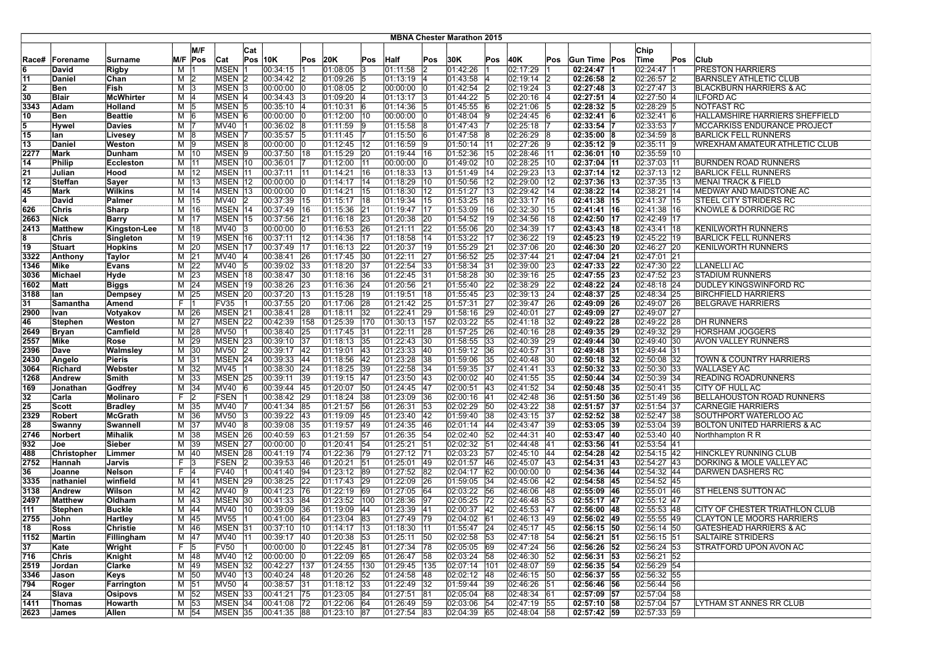|              |                     |                         |          |                      |                    |              |                            |     |                                |     |                                |                    | <b>MBNA Chester Marathon 2015</b> |                 |                      |              |                              |                            |     |                                                      |
|--------------|---------------------|-------------------------|----------|----------------------|--------------------|--------------|----------------------------|-----|--------------------------------|-----|--------------------------------|--------------------|-----------------------------------|-----------------|----------------------|--------------|------------------------------|----------------------------|-----|------------------------------------------------------|
|              |                     |                         |          | M/F                  |                    | Cat          |                            |     |                                |     |                                |                    |                                   |                 |                      |              |                              | Chip                       |     |                                                      |
| Race#        | Forename            | Surname                 | M/F      | <b>Pos</b>           | Cat                |              | <b>Pos 10K</b>             | Pos | 20K                            | Pos | Half                           | Pos                | 30K                               | Pos             | 40K                  | Pos          | Gun Time Pos                 | Time                       | Pos | Club                                                 |
| 6            | David               | Rigby                   | M        |                      | MSEN <sub>1</sub>  |              | 00:34:15                   |     | 01:08:05 3                     |     | 01:11:58                       |                    | 01:42:26                          |                 | 02:17:29             |              | 02:24:47 1                   | 02:24:47 1                 |     | <b>PRESTON HARRIERS</b>                              |
| 11           | Daniel              | Chan                    | м        | 2                    | MSEN <sub>2</sub>  |              | 00:34:42 2                 |     | $01:09:26$ 5                   |     | 01:13:19                       | 14                 | 01:43:58                          | 14              | 02:19:14             | l2           | $02:26:58$ 2                 | 02:26:57 2                 |     | <b>BARNSLEY ATHLETIC CLUB</b>                        |
| 2            | Ben                 | Fish                    | М        | IЗ                   | MSEN <sub>3</sub>  |              | $00:00:00$ 0               |     | 01:08:05 2                     |     | 00:00:00                       |                    | 01:42:54                          |                 | 02:19:24             |              | $02:27:48$ 3                 | 02:27:47 3                 |     | <b>BLACKBURN HARRIERS &amp; AC</b>                   |
| 30           | Blair               | <b>McWhirter</b>        | м        | 14                   | MSEN 4             |              | $00:34:43$ 3               |     | 01:09:20 4                     |     | 01:13:17 3                     |                    | 01:44:22                          | 15              | 02:20:16             | 4            | $02:27:51$ 4                 | 02:27:50 4                 |     | <b>ILFORD AC</b>                                     |
| 3343         | Adam                | Holland                 | М        | 15                   | MSEN <sub>5</sub>  |              | 00:35:10 4                 |     | $01:10:31$ 6                   |     | 01:14:36 5                     |                    | 01:45:55                          | 6               | 02:21:06             | 15           | $02:28:32$ 5                 | 02:28:29 5                 |     | <b>NOTFAST RC</b>                                    |
| 10           | Ben                 | <b>Beattie</b>          | $M$ 6    |                      | MSEN 6             |              | $00:00:00$ 0               |     | $01:12:00$ 10                  |     | $00:00:00$ 0                   |                    | 01:48:04                          | 9               | 02:24:45             | 16           | $02:32:41$ 6                 | 02:32:41 6                 |     | HALLAMSHIRE HARRIERS SHEFFIELD                       |
| 5            | Hywel               | <b>Davies</b>           | M        | 17                   | MV40 1             |              | 00:36:02 8                 |     | 01:11:59 9                     |     | 01:15:58 8                     |                    | 01:47:43                          |                 | 02:25:18             |              | 02:33:54 7                   | 02:33:53 7                 |     | MCCARKISS ENDURANCE PROJECT                          |
| 15           | lan                 | Livesey                 | м        | 18                   | MSEN <sub>7</sub>  |              | 00:35:57 5                 |     | $ 01:11:45 $ 7                 |     | 01:15:50                       | 16                 | 01:47:58                          | 18              | 02:26:29             | 18           | $02:35:00$ 8                 | 02:34:59 8                 |     | BARLICK FELL RUNNERS                                 |
| 13           | Daniel              | Weston                  | м        | 19                   | MSEN 8             |              | $00:00:00$ 0               |     | 01:12:45 12                    |     | 01:16:59 9                     |                    | 01:50:14                          | 11              | 02:27:26             | ١9           | $02:35:12$ 9                 | 02:35:11 9                 |     | WREXHAM AMATEUR ATHLETIC CLUB                        |
| 2277         | Mark                | Dunham                  | M        | 10                   | MSEN 9             |              | 00:37:50 18                |     | $01:15:29$ 20                  |     | 01:19:44 16                    |                    | 01:52:36                          | 15              | 02:28:46             | 11           | 02:36:01 10                  | 02:35:59 10                |     |                                                      |
| 14           | <b>Philip</b>       | <b>Eccleston</b>        |          | M   11               | MSEN 10            |              | 00:36:01                   |     | 01:12:00 11                    |     | 00:00:00                       | $ 0\rangle$        | 01:49:02                          | 10              | 02:28:25             | $ 10\rangle$ | 02:37:04 11                  | 02:37:03 11                |     | <b>BURNDEN ROAD RUNNERS</b>                          |
| 21           | Julian              | Hood                    |          | M   12               | MSEN 11            |              | 00:37:11   11              |     | 01:14:21 16                    |     | 01:18:33 13                    |                    | 01:51:49 14                       |                 | 02:29:23             | 13           | $02:37:14$ 12                | $02:37:13$  12             |     | <b>BARLICK FELL RUNNERS</b>                          |
| 12           | Steffan             | Sayer                   |          | M   13               | MSEN 12            |              | 00:00:00 0                 |     | 01:14:17 14                    |     | 01:18:29 10                    |                    | 01:50:56 12                       |                 | 02:29:00             | $ 12\rangle$ | 02:37:36 13                  | 02:37:35   13              |     | <b>MENAI TRACK &amp; FIELD</b>                       |
| 45           | Mark                | <b>Wilkins</b>          | М        | 14                   | MSEN 13            |              | 00:00:00 0                 |     | 01:14:21 15                    |     | 01:18:30                       | $ 12\rangle$       | 01:51:27                          | 13              | 02:29:42             | 114          | $02:38:22$  14               | 02:38:21   14              |     | MEDWAY AND MAIDSTONE AC                              |
| 4            | David               | Palmer                  | M        | 15                   | MV40               | 2            | 00:37:39   15              |     | 01:15:17 18                    |     | 01:19:34                       | 15                 | 01:53:25                          | 18              | 02:33:17             | 16           | 02:41:38 15                  | 02:41:37 15                |     | STEEL CITY STRIDERS RC                               |
| 626          | Chris               | Sharp                   | M        | 16                   | MSEN 14            |              | 00:37:49 16                |     | 01:15:36 21                    |     | 01:19:47 17                    |                    | 01:53:09                          | 16              | 02:32:30             | 15           | $02:41:41$ 16                | 02:41:38 16                |     | KNOWLE & DORRIDGE RC                                 |
| 2663         | Nick                | Barry                   | М        | 17                   | MSEN 15            |              | 00:37:56 21                |     | 01:16:18 23                    |     | 01:20:38                       | 20                 | 01:54:52                          | 19              | 02:34:56             | 18           | 02:42:50 17                  | 02:42:49   17              |     |                                                      |
| 2413         | Matthew             | Kingston-Lee            |          | M   18               | MV40 3             |              | $00:00:00$ 0               |     | 01:16:53 26                    |     | 01:21:11 22                    |                    | 01:55:06 20                       |                 | 02:34:39             | 17           | 02:43:43 18                  | 02:43:41   18              |     | <b>KENILWORTH RUNNERS</b>                            |
| 8            | Chris               | Singleton               |          | M   19               | MSEN 16            |              | 00:37:11 12                |     | 01:14:36 17                    |     | 01:18:58 14                    |                    | 01:53:22                          | 17              | 02:36:22             | 19           | 02:45:23 19                  | 02:45:22 19                |     | <b>BARLICK FELL RUNNERS</b>                          |
| 19           | Stuart              | <b>Hopkins</b>          | М        | 20                   | MSEN 17            |              | 00:37:49 17                |     | 01:16:13 22                    |     | 01:20:37 19                    |                    | 01:55:29                          | 21              | 02:37:06             | 20           | 02:46:30 20                  | 02:46:27 20                |     | KENILWORTH RUNNERS                                   |
| 3322<br>1346 | Anthony<br>Mike     | Taylor<br><b>Evans</b>  | м<br>м   | 21<br>22             | MV40  4<br>MV40 5  |              | 00:38:41 26<br>00:39:02 33 |     | $ 01:17:45 $ 30<br>01:18:20 37 |     | 01:22:11<br> 01:22:54          | 27<br>$ 33\rangle$ | 01:56:52 25<br>01:58:34           | 31              | 02:37:44<br>02:39:00 | 21<br> 23    | 02:47:04 21<br>02:47:33 22   | 02:47:01 21<br>02:47:30 22 |     | LLANELLI AC                                          |
| 3036         | <b>Michael</b>      | Hyde                    | м        | 23                   | MSEN 18            |              | 00:38:47 30                |     | 01:18:16 36                    |     | 01:22:45                       | 31                 | 01:58:28                          | 30              | 02:39:16             | 25           | 02:47:55 23                  | 02:47:52 23                |     | <b>STADIUM RUNNERS</b>                               |
| 1602         | Matt                | <b>Biggs</b>            | M        | 24                   | MSEN 19            |              | 00:38:26 23                |     | 01:16:36 24                    |     | $01:20:56$ 21                  |                    | 01:55:40                          | 22              | 02:38:29             | 22           | 02:48:22 24                  | 02:48:18 24                |     | DUDLEY KINGSWINFORD RC                               |
| 3188         | lan                 | <b>Dempsey</b>          |          | M 25                 | MSEN 20            |              | 00:37:20 13                |     | 01:15:28 19                    |     | $01:19:51$ 18                  |                    | 01:55:45                          | 23              | 02:39:13             | 24           | 02:48:37 25                  | 02:48:34 25                |     | <b>BIRCHFIELD HARRIERS</b>                           |
| 31           | Samantha            | Amend                   | F.       | - 11                 | <b>FV35</b>        |              | 00:37:55 20                |     | 01:17:06 28                    |     | 01:21:42 25                    |                    | 01:57:31                          | 27              | 02:39:47             | 26           | 02:49:09 26                  | 02:49:07 26                |     | <b>BELGRAVE HARRIERS</b>                             |
| 2900         | Ivan                | Votyakov                | M        | 26                   | MSEN 21            |              | 00:38:41 28                |     | 01:18:11                       | 32  | 01:22:41                       | 29                 | 01:58:16                          | 29              | 02:40:01             | 27           | 02:49:09 27                  | 02:49:07 27                |     |                                                      |
| 46           | Stephen             | Weston                  | M        | 27                   | MSEN 22            |              | 00:42:39 158               |     | 01:25:39 170                   |     | 01:30:13 157                   |                    | 02:03:22                          | $\overline{55}$ | 02:41:18             | 32           | 02:49:22 28                  | 02:49:22 28                |     | <b>DH RUNNERS</b>                                    |
| 2649         | <b>Bryan</b>        | Camfield                | M        | 28                   | MV50               |              | 00:38:40 25                |     | 01:17:45 31                    |     | 01:22:11                       | 28                 | 01:57:25                          | 26              | 02:40:16             | 28           | 02:49:35 29                  | 02:49:32 29                |     | <b>HORSHAM JOGGERS</b>                               |
| 2557         | Mike                | Rose                    | M        | 29                   | MSEN <sub>23</sub> |              | $ 00:39:10$ 37             |     | 01:18:13 35                    |     | $01:22:43$ 30                  |                    | 01:58:55 33                       |                 | 02:40:39             | 29           | 02:49:44 30                  | 02:49:40 30                |     | <b>AVON VALLEY RUNNERS</b>                           |
| 2396         | Dave                | Walmsley                | М        | $ 30\rangle$         | MV50 2             |              | 00:39:17 42                |     | 01:19:01 43                    |     | $01:23:33$ 40                  |                    | 01:59:12 36                       |                 | 02:40:57             | 31           | 02:49:48 31                  | 02:49:44 31                |     |                                                      |
| 2430         | Angelo              | <b>Pieris</b>           | М        | 31                   | MSEN 24            |              | 00:39:33 44                |     | 01:18:56 42                    |     | $01:23:28$ 38                  |                    | 01:59:06                          | 35              | 02:40:48             | $ 30\rangle$ | $02:50:18$ 32                | 02:50:08 32                |     | TOWN & COUNTRY HARRIERS                              |
| 3064         | Richard             | Webster                 | м        | 32                   | <b>MV45</b>        |              | 00:38:30 24                |     | 01:18:25 39                    |     | 01:22:58                       | 34                 | 01:59:35                          | 37              | 02:41:41             | 33           | $02:50:32$ 33                | $\overline{02:}50:30$ 33   |     | <b>WALLASEY AC</b>                                   |
| 1268         | Andrew              | Smith                   | М        | 33                   | MSEN <sub>25</sub> |              | 00:39:11                   | 39  | 01:19:15 47                    |     | 01:23:50                       | <b>43</b>          | 02:00:02                          | 40              | 02:41:55             | 35           | $02:50:44$ 34                | 02:50:39 34                |     | <b>READING ROADRUNNERS</b>                           |
| 169          | Jonathan            | Godfrey                 | M        | 34                   | MV40 6             |              | 00:39:44 45                |     | 01:20:07 50                    |     | $ 01:24:45 $ 47                |                    | $02:00:51$ 43                     |                 | 02:41:52             | 34           | $02:50:48$ 35                | 02:50:41 35                |     | CITY OF HULL AC                                      |
| 32           | Carla               | Molinaro                | F.       | 2                    | FSEN 1             |              | 00:38:42 29                |     | 01:18:24 38                    |     | 01:23:09 36                    |                    | 02:00:16                          | 41              | 02:42:48             | 36           | 02:51:50 36                  | 02:51:49 36                |     | BELLAHOUSTON ROAD RUNNERS                            |
| 25           | Scott               | <b>Bradley</b>          |          | M 35                 | MV40 7             |              | 00:41:34 85                |     | $01:21:57$ 56                  |     | $01:26:31$ 53                  |                    | 02:02:29 50                       |                 | 02:43:22             | 38           | 02:51:57 37                  | 02:51:54 37                |     | CARNEGIE HARRIERS                                    |
| 2329         | <b>Robert</b>       | <b>McGrath</b>          | M        | 36                   | MV50 3             |              | 00:39:22 43                |     | 01:19:09 45                    |     | 01:23:40 42                    |                    | 01:59:40                          | 38              | 02:43:15             | 37           | 02:52:52 38                  | 02:52:47 38                |     | SOUTHPORT WATERLOO AC                                |
| 28           | Swanny              | Swannell                | M        | 37                   | MV40 8             |              | 00:39:08 35                |     | 01:19:57 49                    |     | 01:24:35 46                    |                    | 02:01:14                          | 44              | 02:43:47             | 39           | 02:53:05 39                  | 02:53:04 39                |     | BOLTON UNITED HARRIERS & AC                          |
| 2746         | Norbert             | <b>Mihalik</b>          | м        | 38                   | MSEN 26            |              | 00:40:59 63                |     | 01:21:59 57                    |     | 01:26:35 54                    |                    | $02:02:40$ 52                     |                 | 02:44:31             | 140          | 02:53:47 40                  | 02:53:40 40                |     | Northhampton R R                                     |
| 932          | Joe                 | Sieber                  | M        | 39                   | MSEN <sub>27</sub> |              | 00:00:00 0                 |     | 01:20:41 54                    |     | 01:25:21                       | 51                 | 02:02:32                          | 51              | 02:44:48             | 41           | 02:53:56 41                  | 02:53:54 41                |     |                                                      |
| 488          | Christopher         | Limmer                  | м        | 140                  | MSEN 28            |              | 00:41:19 74                |     | 01:22:36 79                    |     | 01:27:12 71                    |                    | 02:03:23                          | 57              | 02:45:10             | 44           | 02:54:28 42                  | 02:54:15 42                |     | HINCKLEY RUNNING CLUB                                |
| 2752<br>36   | Hannah<br>Joanne    | Jarvis<br><b>Nelson</b> | F.<br>F. | 13<br> 4             | FSEN 2<br>FV40 1   |              | 00:39:53 46<br>00:41:40 94 |     | $01:20:21$ 51<br>01:23:12 89   |     | $01:25:01$ 49<br>$01:27:52$ 82 |                    | 02:01:57<br>02:04:17              | 46<br>62        | 02:45:07<br>00:00:00 | 43<br>١n     | $02:54:31$ 43<br>02:54:36 44 | 02:54:27 43<br>02:54:32 44 |     | DORKING & MOLE VALLEY AC<br><b>DARWEN DASHERS RC</b> |
| 3335         |                     |                         |          |                      | MSEN 29            |              |                            |     | 01:17:43 29                    |     |                                | 26                 |                                   | 34              |                      |              | 02:54:58 45                  |                            |     |                                                      |
| 3138         | nathaniel<br>Andrew | winfield<br>Wilson      | м        | M 41<br>$ 42\rangle$ | MV40 9             |              | 00:38:25 22<br>00:41:23 76 |     | 01:22:19 69                    |     | 01:22:09<br>01:27:05           | 64                 | 01:59:05<br>02:03:22 56           |                 | 02:45:06<br>02:46:06 | 42<br>48     | $02:55:09$ 46                | 02:54:52 45<br>02:55:01 46 |     | <b>IST HELENS SUTTON AC</b>                          |
| 2497         | Matthew             | Oldham                  | м        | 43                   | MSEN 30            |              | 00:41:33 84                |     | 01:23:52 100                   |     | 01:28:36                       | 97                 | 02:05:25 72                       |                 | 02:46:48             | 53           | 02:55:17 47                  | 02:55:12  47               |     |                                                      |
| 111          | Stephen             | <b>Buckle</b>           | М        | 44                   | MV40               | $ 10\rangle$ | 00:39:09 36                |     | 01:19:09 44                    |     | 01:23:39 41                    |                    | 02:00:37 42                       |                 | 02:45:53             | 147          | 02:56:00 48                  | 02:55:53 48                |     | CITY OF CHESTER TRIATHLON CLUB                       |
| 2755         | John                | Hartley                 |          | M 45                 | MV55 1             |              | $ 00:41:00$ 64             |     | 01:23:04 83                    |     | 01:27:49 79                    |                    | 02:04:02 61                       |                 | $02:46:13$ 49        |              | $02:56:02$ 49                | 02:55:55 49                |     | <b>CLAYTON LE MOORS HARRIERS</b>                     |
| 18           | Ross                | Christie                |          | M   46               | MSEN 31            |              | 00:37:10 10                |     | $ 01:14:17 $  13               |     | 01:18:30 11                    |                    | 01:55:47 24                       |                 | 02:45:17  45         |              | $02:56:15$ 50                | 02:56:14   50              |     | GATESHEAD HARRIERS & AC                              |
| 1152         | Martin              | Fillingham              |          | M 47                 | MV40 11            |              | 00:39:17 40                |     | 01:20:38 53                    |     | 01:25:11 50                    |                    | 02:02:58 53                       |                 | 02:47:18 54          |              | $02:56:21$ 51                | 02:56:15 51                |     | <b>SALTAIRE STRIDERS</b>                             |
| 37           | Kate                | Wright                  |          | F 5                  | <b>FV50</b>        |              | 00:00:00 0                 |     | $01:22:45$ 81                  |     | $ 01:27:34 $  78               |                    | 02:05:05 69                       |                 | 02:47:24 56          |              | 02:56:26 52                  | 02:56:24 53                |     | STRATFORD UPON AVON AC                               |
| 716          | Chris               | Knight                  |          | M 48                 | MV40 12            |              | 00:00:00 0                 |     | $01:22:09$ 65                  |     | $01:26:47$ 58                  |                    | 02:03:24 58                       |                 | 02:46:30             | 52           | $02:56:31$ 53                | 02:56:21 52                |     |                                                      |
| 2519         | Jordan              | Clarke                  |          | M 49                 | MSEN 32            |              | 00:42:27 137               |     | 01:24:55 130                   |     | $ 01:29:45 $ 135               |                    | 02:07:14 101                      |                 | 02:48:07 59          |              | 02:56:35 54                  | 02:56:29 54                |     |                                                      |
| 3346         | Jason               | Keys                    |          | M 50                 | MV40 13            |              | $ 00:40:24 $ 48            |     | $01:20:26$ 52                  |     | 01:24:58 48                    |                    | $02:02:12$ 48                     |                 | 02:46:15 50          |              | 02:56:37 55                  | 02:56:32 55                |     |                                                      |
| 794          | Roger               | Farrington              |          | $M$ 51               | MV50 4             |              | 00:38:57 31                |     | $01:18:12$ 33                  |     | $01:22:49$ 32                  |                    | 01:59:44 39                       |                 | 02:46:26 51          |              | 02:56:46 56                  | 02:56:44 56                |     |                                                      |
| 24           | Slava               | Osipovs                 |          | M 52                 | MSEN 33            |              | 00:41:21 75                |     | 01:23:05 84                    |     | 01:27:51 81                    |                    | 02:05:04 68                       |                 | 02:48:34 61          |              | 02:57:09 57                  | 02:57:04 58                |     |                                                      |
| 1411         | Thomas              | Howarth                 |          | M 53                 | MSEN 34            |              | 00:41:08 72                |     | 01:22:06 64                    |     | 01:26:49 59                    |                    | 02:03:06 54                       |                 | 02:47:19             | 55           | $02:57:10$ 58                | 02:57:04 57                |     | LYTHAM ST ANNES RR CLUB                              |
| 2623         | James               | Allen                   |          | M 54                 | MSEN 35            |              | 00:41:35 88                |     | $ 01:23:10$ 87                 |     | 01:27:54 83                    |                    | 02:04:39 65                       |                 | 02:48:04 58          |              | 02:57:42 59                  | 02:57:33 59                |     |                                                      |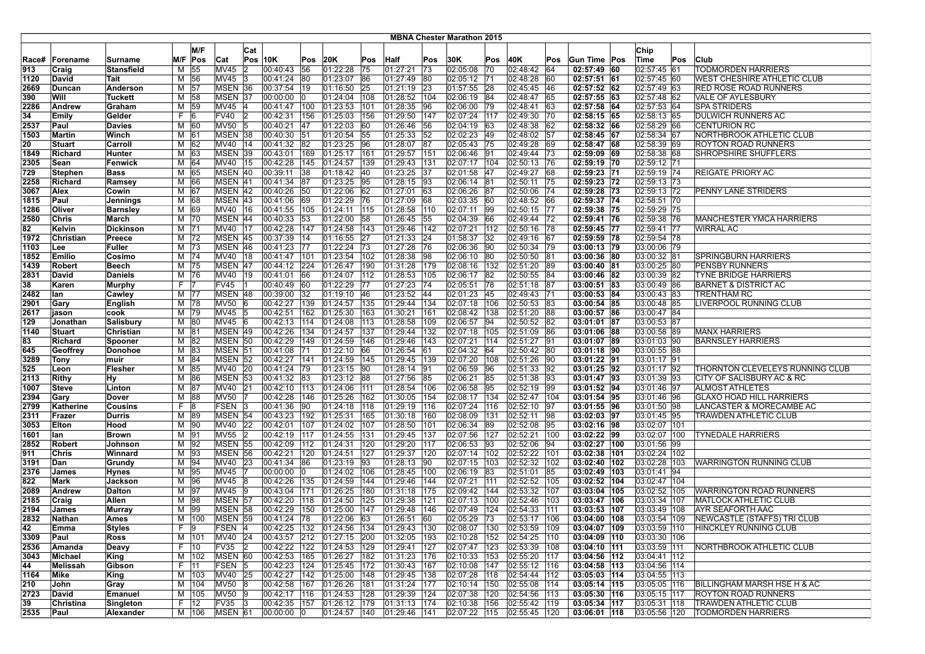| <b>MBNA Chester Marathon 2015</b> |                   |                              |   |                    |                        |                |                              |               |                                |           |                          |            |                          |           |                                |                 |                              |                                |     |                                                       |
|-----------------------------------|-------------------|------------------------------|---|--------------------|------------------------|----------------|------------------------------|---------------|--------------------------------|-----------|--------------------------|------------|--------------------------|-----------|--------------------------------|-----------------|------------------------------|--------------------------------|-----|-------------------------------------------------------|
|                                   |                   |                              |   | M/F                |                        |                |                              |               |                                |           |                          |            |                          |           |                                |                 |                              | Chip                           |     |                                                       |
|                                   |                   |                              |   | M/F Pos            |                        | Cat            | $Pos$ 10K                    | Pos           | 20K                            |           |                          |            | 30K                      | Pos       | 40K                            | Pos             | Gun Time Pos                 | Time                           | Pos | Club                                                  |
| Race#<br>913                      | Forename<br>Craig | Surname<br><b>Stansfield</b> | М | 55                 | Cat<br>MV45            | 12             | 00:40:43                     | 56            | 01:22:28                       | Pos<br>75 | Half<br> 01:27:21        | Pos<br> 73 | 02:05:08                 | 70        | 02:48:42                       | 64              | $02:57:49$ 60                | 02:57:45 61                    |     | <b>TODMORDEN HARRIERS</b>                             |
| 1120                              | David             | Tait                         |   | M 56               | MV45                   | -13            | 00:41:24                     | 80            | 01:23:07                       | 86        | 01:27:49                 | 180        | 02:05:12 71              |           | 02:48:28                       | 160             | $02:57:51$ 61                | 02:57:45 60                    |     | WEST CHESHIRE ATHLETIC CLUB                           |
| 2669                              | Duncan            | Anderson                     |   | M   57             | MSEN 36                |                | 00:37:54                     | 19            | 01:16:50                       | 25        | 01:21:19                 | 23         | 01:57:55                 | 28        | 02:45:45                       | 46              | $02:57:52$ 62                | 02:57:49 63                    |     | <b>RED ROSE ROAD RUNNERS</b>                          |
| 390                               | Will              | <b>Tuckett</b>               |   | M   58             | MSEN 37                |                | 00:00:00                     |               | 01:24:04                       | 108       | 01:28:52                 | 104        | 02:06:19                 | 84        | 02:48:47                       | 65              | 02:57:55 63                  | 02:57:48 62                    |     | VALE OF AYLESBURY                                     |
| 2286                              | Andrew            | Graham                       |   | M 59               | MV45 4                 |                | 00:41:47   100               |               | $01:23:53$ 101                 |           | 01:28:35                 | 96         | 02:06:00                 | 79        | 02:48:41                       | 63              | 02:57:58 64                  | 02:57:53 64                    |     | <b>SPA STRIDERS</b>                                   |
| 34                                | Emily             | Gelder                       |   | F 6                | FV40 2                 |                | 00:42:31 156                 |               | 01:25:03 156                   |           | 01:29:50                 | 147        | 02:07:24 117             |           | 02:49:30                       | $\overline{70}$ | $02:58:15$ 65                | 02:58:13 65                    |     | DULWICH RUNNERS AC                                    |
| 2537                              | Paul              | <b>Davies</b>                |   | M 60               | MV50 5                 |                | 00:40:21 47                  |               | 01:22:03                       | 60        | 01:26:46                 | 56         | 02:04:19                 | 63        | 02:48:38                       | 162             | 02:58:32 66                  | 02:58:29 66                    |     | <b>CENTURION RC</b>                                   |
| 1503                              | Martin            | Winch                        |   | M 61               | MSEN 38                |                | 00:40:30 51                  |               | 01:20:54                       | 55        | 01:25:33                 | 52         | 02:02:23                 | 49        | 02:48:02                       | 57              | 02:58:45 67                  | 02:58:34 67                    |     | NORTHBROOK ATHLETIC CLUB                              |
| 20                                | Stuart            | Carroll                      |   | $M$ 62             | MV40 14                |                | 00:41:32 82                  |               | 01:23:25 96                    |           | 01:28:07                 | 187        | 02:05:43                 | 75        | 02:49:28                       | 69              | 02:58:47 68                  | 02:58:39 69                    |     | ROYTON ROAD RUNNERS                                   |
| 1849                              | Richard           | Hunter                       |   | M 63               | MSEN 39                |                | 00:43:01   169               |               | 01:25:17                       | 161       | 01:29:57                 | 151        | 02:06:46                 | 91        | 02:49:44                       | 73              | 02:59:09 69                  | 02:58:38 68                    |     | <b>SHROPSHIRE SHUFFLERS</b>                           |
| 2305                              | Sean              | Fenwick                      |   | M 64               | MV40 15                |                | 00:42:28 145                 |               | 01:24:57 139                   |           | 01:29:43                 | 131        | 02:07:17                 | 104       | 02:50:13                       | 76              | 02:59:19 70                  | 02:59:12 71                    |     |                                                       |
| 729                               | Stephen           | Bass                         |   | M 65               | MSEN 40                |                | 00:39:11                     | 38            | $01:18:42$ 40                  |           | 01:23:25                 | 137        | 02:01:58                 | <b>47</b> | 02:49:27 68                    |                 | 02:59:23 71                  | 02:59:19 74                    |     | <b>REIGATE PRIORY AC</b>                              |
| 2258                              | Richard           | Ramsey                       |   | M 66               | MSEN 41                |                | 00:41:34 87                  |               | $01:23:25$ 95                  |           | 01:28:15                 | 93         | 02:06:14                 | 81        | 02:50:11                       | 175             | 02:59:23 72                  | 02:59:13 73                    |     |                                                       |
| 3067                              | Alex              | Cowin                        |   | M 67               | MSEN 42                |                | 00:40:26 50                  |               | 01:22:06                       | 62        | 01:27:01                 | 63         | 02:06:26                 | 87        | 02:50:06                       | 74              | 02:59:28 73                  | 02:59:13 72                    |     | PENNY LANE STRIDERS                                   |
| 1815                              | Paul              | Jennings                     |   | M 68               | MSEN 43                |                | 00:41:06 69                  |               | 01:22:29                       | 76        | 01:27:09                 | 68         | 02:03:35                 | 60        | 02:48:52                       | 66              | 02:59:37 74                  | 02:58:51 70                    |     |                                                       |
| 1286                              | Oliver            | Barnsley                     |   | M 69               | MV40 16                |                | 00:41:55   105               |               | 01:24:11                       | 115       | 01:28:58                 | 110        | 02:07:11                 | 99        | 02:50:15                       | 77              | 02:59:38 75                  | 02:59:29 75                    |     |                                                       |
| 2580                              | Chris             | March                        |   | M 70               | MSEN 44                |                | 00:40:33 53                  |               | 01:22:00                       | 58        | 01:26:45                 | 55         | 02:04:39                 | 66        | 02:49:44                       | 72              | 02:59:41 76                  | 02:59:38 76                    |     | <b>MANCHESTER YMCA HARRIERS</b>                       |
| 82                                | Kelvin            | <b>Dickinson</b>             |   | M  71              | MV40 17                |                | 00:42:28 147                 |               | 01:24:58 143                   |           | 01:29:46                 | 142        | 02:07:21                 | 112       | 02:50:16 78                    |                 | 02:59:45 77                  | 02:59:41 77                    |     | <b>WIRRAL AC</b>                                      |
| 1972                              | Christian         | Preece                       |   | M  72              | MSEN 45                |                | 00:37:39   14                |               | 01:16:55 27                    |           | 01:21:33                 | 24         | 01:58:37                 | 32        | 02:49:16 67                    |                 | 02:59:59 78                  | 02:59:54 78                    |     |                                                       |
| 1103                              | Lee               | Fuller                       |   | M  73              | MSEN 46                |                | 00:41:23                     | 77            | 01:22:24 73                    |           | 01:27:28                 | 76         | 02:06:36                 | 90        | 02:50:34                       | 79              | 03:00:13 79                  | 03:00:06 79                    |     |                                                       |
| 1852                              | Emilio            | Cosimo                       |   | $M$ 74             | MV40 18                |                | 00:41:47 101                 |               | 01:23:54 102                   |           | 01:28:38                 | 198        | 02:06:10                 | 80        | 02:50:50 81                    |                 | 03:00:36 80                  | 03:00:32 81                    |     | <b>SPRINGBURN HARRIERS</b>                            |
| 1439                              | Robert            | Beech                        |   | M 75               | MSEN 47                |                | 00:44:12 224                 |               | 01:26:47                       | 190       | 01:31:28                 | 179        | 02:08:16                 | 132       | 02:51:20                       | 189             | 03:00:40 81                  | 03:00:25 80                    |     | PENSBY RUNNERS                                        |
| 2831                              | David             | Daniels                      |   | $M$  76            | MV40 19                |                | 00:41:01                     | 66            | 01:24:07                       | 112       | 01:28:53                 | 105        | 02:06:17                 | 82        | 02:50:55<br>02:51:18 87        | 84              | 03:00:46 82                  | 03:00:39 82                    |     | <b>TYNE BRIDGE HARRIERS</b>                           |
| 38                                | Karen             | <b>Murphy</b>                |   | F 7<br>M 77        | <b>FV45</b><br>MSEN 48 |                | 00:40:49 60<br> 00:39:00 32  |               | 01:22:29 77<br>$01:19:10$ 46   |           | 01:27:23<br>01:23:52     | 174<br> 44 | 02:05:51<br>02:01:23     | 78<br>45  | 02:49:43                       | 71              | 03:00:51 83<br>03:00:53 84   | 03:00:49 86<br>03:00:43 83     |     | <b>BARNET &amp; DISTRICT AC</b><br><b>TRENTHAM RC</b> |
| 2482<br>2901                      | lan<br>Gary       | Cawley<br><b>English</b>     |   | M   78             | MV50 6                 |                | 00:42:27 139                 |               | 01:24:57 135                   |           | 01:29:44                 | 134        | 02:07:18                 | 106       | 02:50:53                       | 83              | 03:00:54 85                  | 03:00:48 85                    |     | LIVERPOOL RUNNING CLUB                                |
| 2617                              | jason             | cook                         |   | M  79              | MV45 5                 |                | 00:42:51                     | 162           | 01:25:30                       | 163       | 01:30:21                 | 161        | 02:08:42                 | 138       | 02:51:20                       | 88              | 03:00:57 86                  | 03:00:47 84                    |     |                                                       |
| 129                               | Jonathan          | Salisbury                    |   | M 80               | MV45 6                 |                | 00:42:13                     | 114           | 01:24:08                       | 113       | 01:28:58                 | 109        | 02:06:57                 | 94        | 02:50:52                       | 82              | 03:01:01 87                  | 03:00:53 87                    |     |                                                       |
| 1140                              | Stuart            | Christian                    |   | M 81               | MSEN 49                |                | 00:42:26                     | 134           | 01:24:57                       | 137       | 01:29:44                 | 132        | 02:07:18                 | 105       | 02:51:09                       | 86              | 03:01:06 88                  | 03:00:58 89                    |     | <b>MANX HARRIERS</b>                                  |
| 83                                | Richard           | Spooner                      |   | M 82               | MSEN 50                |                | 00:42:29 149                 |               | 01:24:59 146                   |           | 01:29:46                 | 143        | 02:07:21                 | 114       | 02:51:27 91                    |                 | 03:01:07 89                  | 03:01:03 90                    |     | <b>BARNSLEY HARRIERS</b>                              |
| 645                               | Geoffrey          | Donohoe                      |   | M 83               | MSEN 51                |                | 00:41:08 71                  |               | 01:22:10 66                    |           | 01:26:54                 | 161        | 02:04:32                 | 64        | 02:50:42 80                    |                 | 03:01:18 90                  | 03:00:55 88                    |     |                                                       |
| 3289                              | Tony              | muir                         |   | M 84               | MSEN 52                |                | 00:42:27 141                 |               | 01:24:59 145                   |           | 01:29:45                 | 139        | 02:07:20                 | 108       | 02:51:26 90                    |                 | 03:01:22 91                  | 03:01:17 91                    |     |                                                       |
| 525                               | Leon              | <b>Flesher</b>               |   | M 85               | MV40 20                |                | 00:41:24 79                  |               | $ 01:23:15 $  90               |           | 01:28:14                 | 191        | 02:06:59                 | 96        | 02:51:33                       | 92              | 03:01:25 92                  | 03:01:17 92                    |     | THORNTON CLEVELEYS RUNNING CLUB                       |
| 2113                              | Rithy             | Нy                           | M | 86                 | MSEN 53                |                | 00:41:32 83                  |               | 01:23:12 88                    |           | 01:27:56                 | 85         | 02:06:21                 | 85        | 02:51:38                       | $\overline{93}$ | 03:01:47 93                  | 03:01:39 93                    |     | CITY OF SALISBURY AC & RC                             |
| 1007                              | <b>Steve</b>      | Linton                       |   | M 87               | MV40 21                |                | 00:42:10 113                 |               | 01:24:06                       | 111       | 01:28:54                 | 106        | 02:06:58                 | 95        | 02:52:19                       | $\sqrt{99}$     | 03:01:52 94                  | 03:01:46 97                    |     | <b>ALMOST ATHLETES</b>                                |
| 2394                              | Gary              | Dover                        |   | M 88               | MV50                   |                | 00:42:28                     | 146           | 01:25:26 162                   |           | 01:30:05                 | 154        | 02:08:17                 | 134       | 02:52:47                       | 104             | 03:01:54 95                  | 03:01:46 96                    |     | <b>GLAXO HOAD HILL HARRIERS</b>                       |
| 2799                              | Katherine         | Cousins                      |   | F 8                | FSEN 3                 |                | 00:41:36 90                  |               | $ 01:24:18 $ 118               |           | 01:29:19 116             |            | 02:07:24                 | 116       | 02:52:10                       | 97              | 03:01:55 96                  | 03:01:50 98                    |     | LANCASTER & MORECAMBE AC                              |
| 2311                              | Frazer            | <b>Durris</b>                |   | M 89               | MSEN 54                |                | 00:43:23                     | 192           | 01:25:31 165                   |           | 01:30:18                 | 160        | 02:08:09                 | 131       | 02:52:11                       | 98              | 03:02:03 97                  | 03:01:45 95                    |     | <b>TRAWDEN ATHLETIC CLUB</b>                          |
| 3053                              | Elton             | Hood                         |   | M 90<br>M 91       | MV40 22<br>MV55        | $\overline{2}$ | 00:42:01<br>00:42:19         | 107<br>117    | 01:24:02<br>01:24:55 131       | 107       | 01:28:50<br>01:29:45     | 101<br>137 | 02:06:34<br>02:07:56     | 89<br>127 | 02:52:08<br>02:52:21           | 95<br>100       | 03:02:16 98<br>03:02:22 99   | 03:02:07 101<br>03:02:07   100 |     | <b>TYNEDALE HARRIERS</b>                              |
| 1601<br>2852                      | lan<br>Robert     | <b>Brown</b><br>Johnson      |   | $M$ 92             | MSEN 55                |                | 00:42:09                     | $ 112\rangle$ | 01:24:31                       | 120       | 01:29:20                 | 117        | 02:06:53                 | 93        | 02:52:06                       | 194             | 03:02:27  100                | 03:01:56 99                    |     |                                                       |
| 911                               | Chris             | Winnard                      |   | M 93               | <b>MSEN 56</b>         |                | 00:42:21                     | 120           | 01:24:51                       | 127       | 01:29:37                 | 120        | 02:07:14                 | 102       | 02:52:22                       | 101             | 03:02:38 101                 | 03:02:24 102                   |     |                                                       |
| 3191                              | Dan               | Grundy                       |   | M 94               | MV40 23                |                | 00:41:34                     | 86            | $ 01:23:19$ 93                 |           | 01:28:13                 | 190        | 02:07:15                 | 103       | 02:52:32                       | $ 102\rangle$   | 03:02:40 102                 | 03:02:28 103                   |     | WARRINGTON RUNNING CLUB                               |
| 2376                              | James             | <b>Hynes</b>                 |   | M 95               | MV45                   |                | 00:00:00                     | 10            | 01:24:02 106                   |           | 01:28:45                 | 100        | 02:06:19                 | 83        | 02:51:01                       | 185             | 03:02:49   103               | 03:01:41 94                    |     |                                                       |
| 822                               | Mark              | Jackson                      |   | M 96               | MV45 8                 |                | 00:42:26 135                 |               | 01:24:59 144                   |           | 01:29:46                 | 144        | 02:07:21                 | 111       | 02:52:52                       | 105             | 03:02:52 104                 | 03:02:47 104                   |     |                                                       |
| 2089                              | Andrew            | <b>Dalton</b>                |   | M  97              | MV45 9                 |                | 00:43:04                     | 171           | 01:26:25   180                 |           | 01:31:18                 | 175        | 02:09:42                 | 144       | 02:53:32                       | 107             | 03:03:04   105               | 03:02:52 105                   |     | WARRINGTON ROAD RUNNERS                               |
| 2185                              | Craig             | Allen                        |   | M 98               | MSEN 57                |                | 00:42:20                     | 118           | 01:24:50                       | 125       | 01:29:38                 | 121        | 02:07:13                 | 100       | 02:52:46                       | 103             | 03:03:47   106               | 03:03:34 107                   |     | MATLOCK ATHLETIC CLUB                                 |
| 2194                              | James             | <b>Murray</b>                |   | M 99               | <b>MSEN 58</b>         |                | 00:42:29                     | 150           | 01:25:00                       | 147       | 01:29:48                 | 146        | 02:07:49                 | 124       | 02:54:33                       | 111             | 03:03:53 107                 | 03:03:49   108                 |     | <b>AYR SEAFORTH AAC</b>                               |
| 2832                              | Nathan            | Ames                         |   | M   100            | MSEN 59                |                | 00:41:24 78                  |               | 01:22:06 63                    |           | 01:26:51                 | 60         | 02:05:29 73              |           | 02:53:17   106                 |                 | $03:04:00$ 108               | 03:03:54 109                   |     | NEWCASTLE (STAFFS) TRI CLUB                           |
| 42                                | ∣Emma             | Styles                       |   | $F$ 9              | FSEN  4                |                |                              |               | 00:42:25  132  01:24:56  134   |           | 01:29:43 130             |            | 02:08:07   130           |           | 02:53:59 109                   |                 | $03:04:07$  109              | 03:03:59 110                   |     | HINCKLEY RUNNING CLUB                                 |
| 3309                              | Paul              | Ross                         |   | M   101            | MV40 24                |                | 00:43:57 212 01:27:15 200    |               |                                |           | 01:32:05 193             |            | 02:10:28 152             |           | 02:54:25 110                   |                 | 03:04:09 110                 | 03:03:30 106                   |     |                                                       |
| 2536                              | Amanda            | Deavy                        |   | $F$ 10             | FV35                   | 2              | 00:42:22 122                 |               | $ 01:24:53 $ 129               |           | 01:29:41 127             |            | 02:07:47 123             |           | 02:53:39 108                   |                 | $03:04:10$ 111               | $03:03:59$ 111                 |     | NORTHBROOK ATHLETIC CLUB                              |
| 3043                              | Michael           | King                         |   | M   102            | MSEN 60                |                | 00:42:53                     | 165           | 01:26:27 182                   |           | 01:31:23                 | 176        | 02:10:33                 | 153       | 02:55:20                       | $ 117\rangle$   | 03:04:56 112                 | 03:04:41 112                   |     |                                                       |
| 44<br>1164                        | Melissah          | Gibson                       |   | $F$  11<br>M   103 | FSEN 5<br>MV40 25      |                | 00:42:23<br>$ 00:42:27 $ 142 | 124           | 01:25:45 172<br>$01:25:00$ 148 |           | 01:30:43<br>01:29:45 138 | 167        | 02:10:08<br>02:07:28 118 | 147       | $02:55:12$ 116<br>02:54:44 112 |                 | 03:04:58 113<br>03:05:03 114 | 03:04:56 114<br>03:04:55 113   |     |                                                       |
| 210                               | Mike<br>John      | King<br>Gray                 |   | M 104              | MV50 8                 |                | 00:42:58 167                 |               | 01:26:26 181                   |           | 01:31:24 177             |            | 02:10:14 150             |           | 02:55:08 114                   |                 | 03:05:14 115                 | $03:05:05$ 116                 |     | <b>BILLINGHAM MARSH HSE H &amp; AC</b>                |
| 2723                              | David             | <b>Emanuel</b>               |   | M   105            | MV50 9                 |                | 00:42:17 116                 |               | 01:24:53 128                   |           | 01:29:39                 | 124        | 02:07:38 120             |           | 02:54:56 113                   |                 | 03:05:30 116                 | 03:05:15 117                   |     | <b>ROYTON ROAD RUNNERS</b>                            |
| 39                                | Christina         | Singleton                    |   | $F$ 12             | FV35 3                 |                | 00:42:35 157                 |               | 01:26:12 179                   |           | 01:31:13 174             |            | 02:10:38                 | 156       | 02:55:42 119                   |                 | 03:05:34 117                 | 03:05:31 118                   |     | TRAWDEN ATHLETIC CLUB                                 |
| 2535                              | Paul              | Alexander                    |   | M   106            | MSEN 61                |                | 00:00:00 0                   |               | 01:24:57 140                   |           | 01:29:46 141             |            | 02:07:22 115             |           | 02:55:45 120                   |                 | 03:06:01 118                 | 03:05:56 120                   |     | <b>TODMORDEN HARRIERS</b>                             |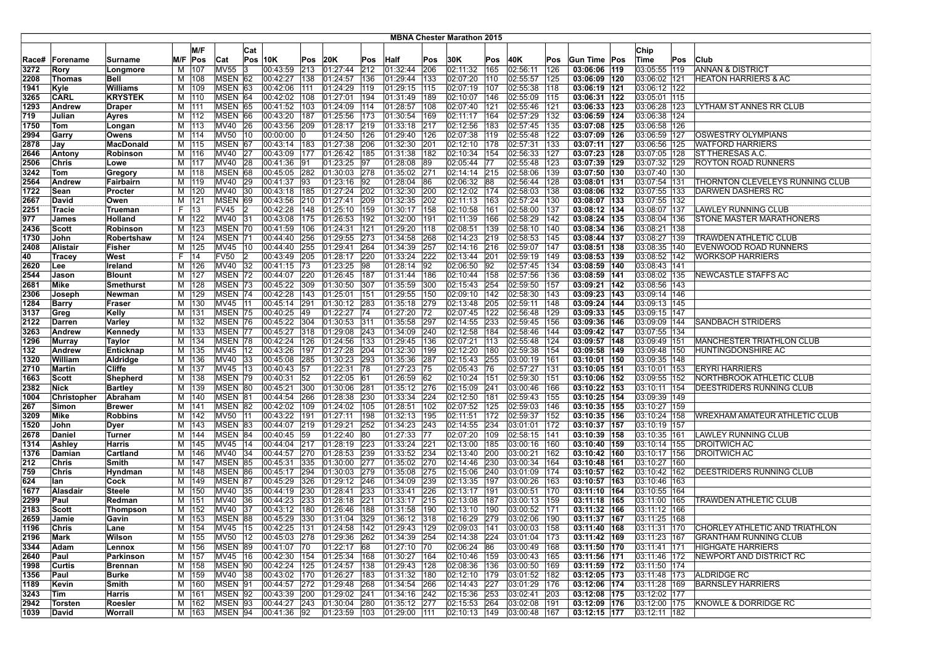|               |                       |                           |     |                    |                    |              |                              |            |                              |     |                                             |            | <b>MBNA Chester Marathon 2015</b> |     |                              |            |                               |                                |     |                                         |
|---------------|-----------------------|---------------------------|-----|--------------------|--------------------|--------------|------------------------------|------------|------------------------------|-----|---------------------------------------------|------------|-----------------------------------|-----|------------------------------|------------|-------------------------------|--------------------------------|-----|-----------------------------------------|
|               |                       |                           |     | M/F                |                    |              |                              |            |                              |     |                                             |            |                                   |     |                              |            |                               | Chip                           |     |                                         |
|               |                       |                           | M/F | Pos                |                    | Cat          | <b>Pos 10K</b>               |            | 20K                          | Pos |                                             | Pos        | 30K                               | Pos | 40K                          |            | Gun Time Pos                  | Time                           |     | Club                                    |
| Race#<br>3272 | Forename<br>Rory      | Surname<br>Longmore       | м   | 107                | Cat<br>MV55        | 13           | 00:43:59                     | Pos<br>213 | 01:27:44                     | 212 | <b>Half</b><br> 01:32:44                    | 206        | 02:11:32                          | 165 | 02:56:11                     | Pos<br>126 | 03:06:06   119                | 03:05:55 119                   | Pos | <b>ANNAN &amp; DISTRICT</b>             |
| 2208          | Thomas                | Bell                      | M   | 108                | MSEN 62            |              | 00:42:27                     | 138        | 01:24:57                     | 136 | 01:29:44                                    | 133        | 02:07:20 110                      |     | 02:55:57                     | 125        | 03:06:09 120                  | 03:06:02   121                 |     | <b>HEATON HARRIERS &amp; AC</b>         |
| 1941          | Kyle                  | <b>Williams</b>           | M   | 109                | <b>MSEN</b>        | 63           | 00:42:06                     | 111        | 01:24:29                     | 119 | 01:29:15                                    | 115        | 02:07:19                          | 107 | 02:55:38                     | 118        | 03:06:19   121                | 03:06:12 122                   |     |                                         |
| 3265          | <b>CARL</b>           | <b>KRYSTEK</b>            | м   | 110                | MSEN 64            |              | 00:42:02                     | 108        | 01:27:01                     | 194 | 01:31:49                                    | 189        | 02:10:07                          | 146 | 02:55:09                     | 115        | 03:06:31 122                  | 03:05:01 115                   |     |                                         |
| 1293          | Andrew                | <b>Draper</b>             | м   | 111                | MSEN 65            |              | 00:41:52 103                 |            | 01:24:09 114                 |     | 01:28:57                                    | 108        | 02:07:40 121                      |     | 02:55:46                     | 121        | 03:06:33 123                  | 03:06:28 123                   |     | LYTHAM ST ANNES RR CLUB                 |
| 719           | Julian                | Ayres                     |     | M 112              | MSEN 66            |              | 00:43:20   187               |            | 01:25:56 173                 |     | 01:30:54                                    | 169        | 02:11:17   164                    |     | 02:57:29                     | 132        | 03:06:59 124                  | 03:06:38 124                   |     |                                         |
| 1750          | Tom                   | Longan                    |     | M   113            | MV40               | 26           | 00:43:56                     | 209        | 01:28:17 219                 |     | 01:33:18                                    | 217        | 02:12:56                          | 183 | 02:57:45                     | 135        | 03:07:08 125                  | 03:06:58 126                   |     |                                         |
| 2994          | Garry                 | Owens                     | м   | 114                | <b>MV50</b>        | 10           | 00:00:00                     | 10         | 01:24:50                     | 126 | 01:29:40                                    | 126        | 02:07:38                          | 119 | 02:55:48                     | 122        | 03:07:09   126                | 03:06:59 127                   |     | <b>OSWESTRY OLYMPIANS</b>               |
| 2878          | Jay                   | MacDonald                 | M   | 115                | MSEN 67            |              | 00:43:14   183               |            | 01:27:38                     | 206 | 01:32:30                                    | 201        | 02:12:10                          | 178 | 02:57:31                     | 133        | 03:07:11 127                  | 03:06:56 125                   |     | <b>WATFORD HARRIERS</b>                 |
| 2646          | Antony                | Robinson                  | М   | 116                | <b>MV40</b>        | 27           | 00:43:09                     | 177        | 01:26:42 185                 |     | 01:31:38                                    | 182        | 02:10:34   154                    |     | 02:56:33                     | 127        | 03:07:23 128                  | 03:07:05 128                   |     | <b>ST THERESAS A.C.</b>                 |
| 2506          | Chris                 | Lowe                      | M   | 117                | MV40 28            |              | 00:41:36                     | 91         | 01:23:25                     | 97  | 01:28:08                                    | 89         | 02:05:44 77                       |     | 02:55:48                     | 123        | 03:07:39   129                | 03:07:32 129                   |     | <b>ROYTON ROAD RUNNERS</b>              |
| 3242          | Tom                   | Gregory                   |     | M   118            | MSEN 68            |              | 00:45:05 282                 |            | 01:30:03 278                 |     | 01:35:02 271                                |            | 02:14:14 215                      |     | 02:58:06                     | 139        | 03:07:50 130                  | 03:07:40 130                   |     |                                         |
| 2564          | Andrew                | Fairbairn                 |     | M   119            | MV40               | 29           | 00:41:37                     | 93         | 01:23:16 92                  |     | 01:28:04                                    | 186        | 02:06:32 88                       |     | 02:56:44                     | 128        | 03:08:01   131                | 03:07:54 131                   |     | <b>ITHORNTON CLEVELEYS RUNNING CLUB</b> |
| 1722          | Sean                  | Procter                   | м   | 120                | MV40               | $ 30\rangle$ | 00:43:18                     | 185        | 01:27:24                     | 202 | 01:32:30                                    | 200        | 02:12:02   174                    |     | 02:58:03                     | 138        | 03:08:06 132                  | 03:07:55 133                   |     | DARWEN DASHERS RC                       |
| 2667          | David                 | Owen                      | М   | 121                | MSEN 69            |              | 00:43:56                     | 210        | 01:27:41                     | 209 | 01:32:35                                    | 202        | 02:11:13                          | 163 | 02:57:24                     | 130        | 03:08:07   133                | 03:07:55 132                   |     |                                         |
| 2251          | Tracie                | Trueman                   | F   | 13                 | <b>FV45</b>        |              | 00:42:28                     | 148        | 01:25:10                     | 159 | [01:30:17]                                  | 158        | 02:10:58                          | 161 | 02:58:00                     | 137        | 03:08:12  134                 | 03:08:07 137                   |     | LAWLEY RUNNING CLUB                     |
| 977           | James                 | <b>Holland</b>            | М   | 122                | MV40 31            |              | 00:43:08                     | 175        | 01:26:53                     | 192 | 01:32:00                                    | 191        | 02:11:39                          | 166 | 02:58:29                     | 142        | 03:08:24 135                  | 03:08:04 136                   |     | <b>STONE MASTER MARATHONERS</b>         |
| 2436          | Scott                 | Robinson                  | M   | 123                | MSEN 70            |              | 00:41:59                     | 106        | 01:24:31                     | 121 | 01:29:20                                    | 118        | 02:08:51                          | 139 | 02:58:10                     | 140        | 03:08:34   136                | 03:08:21   138                 |     |                                         |
| 1730          | John                  | Robertshaw                |     | M   124            | MSEN <sub>71</sub> |              | 00:44:40                     | 256        | 01:29:55                     | 273 | 01:34:58                                    | 268        | 02:14:23 219                      |     | 02:58:53                     | 145        | 03:08:44 137                  | 03:08:27 139                   |     | <b>TRAWDEN ATHLETIC CLUB</b>            |
| 2408          | Alistair              | Fisher                    | м   | 125                | MV45               | 10           | 00:44:40                     | 255        | 01:29:41                     | 264 | 01:34:39                                    | 257        | 02:14:16 216                      |     | 02:59:07                     | 147        | 03:08:51   138                | 03:08:35 140                   |     | EVENWOOD ROAD RUNNERS                   |
| 40            | <b>Tracey</b>         | West                      | F.  | 14                 | <b>FV50</b>        | 12           | 00:43:49                     | 205        | 01:28:17                     | 220 | 01:33:24                                    | 222        | 02:13:44 201                      |     | 02:59:19                     | 149        | 03:08:53 139                  | 03:08:52 142                   |     | WORKSOP HARRIERS                        |
| 2620          | Lee                   | Ireland                   | м   | 126                | MV40               | 32           | 00:41:15                     | 73         | 01:23:25                     | 98  | $\sqrt{01:28:14}$                           | 192        | 02:06:50 92                       |     | 02:57:45                     | 134        | 03:08:59 140                  | 03:08:43   141                 |     |                                         |
| 2544          | Jason                 | <b>Blount</b>             | М   | 127                | <b>MSEN 72</b>     |              | 00:44:07                     | 220        | 01:26:45                     | 187 | 01:31:44 186                                |            | 02:10:44   158                    |     | 02:57:56                     | 136        | 03:08:59   141                | 03:08:02 135                   |     | NEWCASTLE STAFFS AC                     |
| 2681          | Mike                  | Smethurst                 | м   | 128                | MSEN 73            |              | 00:45:22                     | 309        | 01:30:50                     | 307 | 01:35:59                                    | 300        | 02:15:43 254                      |     | 02:59:50                     | 157        | 03:09:21 142                  | 03:08:56 143                   |     |                                         |
| 2306          | Joseph                | Newman                    |     | M   129            | MSEN 74            |              | 00:42:28                     | 143        | 01:25:01                     | 151 | 01:29:55                                    | 150        | 02:09:10 142                      |     | 02:58:30                     | 143        | 03:09:23 143                  | 03:09:14 146                   |     |                                         |
| 1284          | <b>Barry</b>          | Fraser                    | м   | 130                | MV45 11            |              | 00:45:14                     | 291        | 01:30:12                     | 283 | 01:35:18                                    | 279        | 02:13:48 205                      |     | 02:59:11                     | 148        | 03:09:24 144                  | 03:09:13   145                 |     |                                         |
| 3137          | Greg                  | Kelly                     | M   | 131                | MSEN 75            |              | 00:40:25                     | 49         | 01:22:27                     | 174 | 01:27:20                                    | 172        | 02:07:45 122                      |     | 02:56:48                     | 129        | 03:09:33 145                  | 03:09:15 147                   |     |                                         |
| 2122          | Darren                | Varley                    | M   | 132                | MSEN 76            |              | 00:45:22                     | 304        | 01:30:53                     | 311 | 01:35:58                                    | 297        | 02:14:55 233                      |     | 02:59:45                     | 156        | 03:09:36 146                  | 03:09:09 144                   |     | <b>SANDBACH STRIDERS</b>                |
| 3263          | Andrew                | Kennedy                   | M   | 133                | MSEN 77            |              | 00:45:27                     | 318        | 01:29:08                     | 243 | 01:34:09                                    | 240        | 02:12:58   184                    |     | 02:58:46                     | 144        | 03:09:42 147                  | 03:07:55 134                   |     |                                         |
| 1296          | Murray                | Taylor                    | M   | 134                | MSEN 78            |              | 00:42:24                     | 126        | 01:24:56 133<br>01:27:28 204 |     | 01:29:45 136                                |            | 02:07:21   113                    |     | 02:55:48                     | 124        | 03:09:57   148                | 03:09:49   151                 |     | MANCHESTER TRIATHLON CLUB               |
| 132           | Andrew<br>William     | Enticknap                 |     | M   135<br>M   136 | MV45 12<br>MV40    | 33           | 00:43:26<br>00:45:08         | 197<br>285 | 01:30:23                     | 293 | 01:32:30                                    | 199<br>287 | 02:12:20 180<br>02:15:43 255      |     | 02:59:38                     | 154<br>161 | 03:09:58  149<br>03:10:01 150 | 03:09:48 150                   |     | HUNTINGDONSHIRE AC                      |
| 1320<br>2710  | Martin                | Aldridge<br><b>Cliffe</b> | М   | 137                | MV45               | $ 13\rangle$ | 00:40:43                     | 57         | 01:22:31                     | 78  | 01:35:36<br>01:27:23                        | 175        | 02:05:43 76                       |     | 03:00:19<br>02:57:27         | 131        | $\overline{03:}10:05$  151    | 03:09:35 148<br>03:10:01   153 |     | <b>ERYRI HARRIERS</b>                   |
| 1663          | Scott                 | Shepherd                  | M   | 138                | MSEN 79            |              | 00:40:31                     | 52         | 01:22:05                     | 61  | 01:26:59                                    | 62         | 02:10:24 151                      |     | 02:59:30                     | 151        | 03:10:06 152                  | 03:09:55 152                   |     | NORTHBROOK ATHLETIC CLUB                |
| 2382          | Nick                  | <b>Bartley</b>            | M   | 139                | MSEN 80            |              | 00:45:21                     | 300        | 01:30:06                     | 281 | 01:35:12 276                                |            | 02:15:09 241                      |     | 03:00:46                     | 166        | 03:10:22  153                 | 03:10:11 154                   |     | DEESTRIDERS RUNNING CLUB                |
| 1004          | Christopher           | Abraham                   | м   | 140                | MSEN 81            |              | 00:44:54                     | 266        | 01:28:38                     | 230 | 01:33:34 224                                |            | 02:12:50 181                      |     | 02:59:43                     | 155        | 03:10:25 154                  | 03:09:39 149                   |     |                                         |
| 267           | Simon                 | <b>Brewer</b>             |     | M   141            | MSEN 82            |              | 00:42:02 109                 |            | 01:24:02 105                 |     | 01:28:51                                    | 102        | 02:07:52 125                      |     | 02:59:03                     | 146        | 03:10:35 155                  | 03:10:27 159                   |     |                                         |
| 3209          | Mike                  | <b>Robbins</b>            |     | M   142            | <b>MV50</b>        | 11           | 00:43:22                     | 191        | 01:27:11                     | 198 | 01:32:13                                    | 195        | 02:11:51                          | 172 | 02:59:37                     | 152        | 03:10:35  156                 | 03:10:24 158                   |     | WREXHAM AMATEUR ATHLETIC CLUB           |
| 1520          | John                  | Dyer                      | м   | 143                | MSEN 83            |              | 00:44:07 219                 |            | 01:29:21                     | 252 | 01:34:23                                    | 243        | 02:14:55 234                      |     | 03:01:01                     | 172        | 03:10:37 157                  | 03:10:19 157                   |     |                                         |
| 2678          | Daniel                | Turner                    | M   | 144                | MSEN 84            |              | 00:40:45                     | 59         | 01:22:40                     | 80  | 01:27:33                                    | 177        | 02:07:20 109                      |     | 02:58:15                     | 141        | 03:10:39 158                  | 03:10:35   161                 |     | LAWLEY RUNNING CLUB                     |
| 1314          | Ashley                | Harris                    | м   | 145                | MV45               | 14           | 00:44:04                     | 217        | 01:28:19                     | 223 | 01:33:24                                    | 221        | 02:13:00 185                      |     | 03:00:16                     | 160        | 03:10:40   159                | 03:10:14   155                 |     | <b>DROITWICH AC</b>                     |
| 1376          | Damian                | Cartland                  | М   | 146                | MV40 34            |              | 00:44:57                     | 270        | 01:28:53 239                 |     | 01:33:52 234                                |            | 02:13:40 200                      |     | 03:00:21                     | 162        | 03:10:42   160                | 03:10:17 156                   |     | <b>DROITWICH AC</b>                     |
| 212           | Chris                 | Smith                     | М   | 147                | <b>MSEN 85</b>     |              | 00:45:31                     | 335        | 01:30:00 277                 |     | 01:35:02 270                                |            | 02:14:46 230                      |     | 03:00:34                     | 164        | 03:10:48   161                | 03:10:27 160                   |     |                                         |
| 759           | Chris                 | Hyndman                   | М   | 148                | MSEN 86            |              | 00:45:17                     | 294        | 01:30:03 279                 |     | 01:35:08                                    | 275        | 02:15:06 240                      |     | 03:01:09                     | 174        | 03:10:57 162                  | 03:10:42 162                   |     | DEESTRIDERS RUNNING CLUB                |
| 624           | lan                   | Cock                      | M   | 149                | MSEN 87            |              | 00:45:29                     | 326        | 01:29:12                     | 246 | 01:34:09                                    | 239        | 02:13:35 197                      |     | 03:00:26                     | 163        | 03:10:57   163                | 03:10:46 163                   |     |                                         |
| 1677          | Alasdair              | <b>Steele</b>             | м   | 150                | MV40               | 35           | 00:44:19                     | 230        | 01:28:41                     | 233 | 01:33:41                                    | 226        | 02:13:17   191                    |     | 03:00:51                     | 170        | 03:11:10   164                | 03:10:55 164                   |     |                                         |
| 2299          | Paul                  | Redman                    | м   | 151                | MV40               | 36           | 00:44:23                     | 233        | 01:28:18                     | 221 | 01:33:17                                    | 215        | 02:13:08                          | 187 | 03:00:13                     | 159        | 03:11:18 165                  | 03:11:00 165                   |     | <b>TRAWDEN ATHLETIC CLUB</b>            |
| 2183          | Scott                 | Thompson                  | М   | 152                | MV40               | 37           | 00:43:12                     | 180        | 01:26:46                     | 188 | 01:31:58                                    | 190        | 02:13:10                          | 190 | 03:00:52                     | 171        | 03:11:32 166                  | 03:11:12   166                 |     |                                         |
| 2659          | Jamie                 | Gavin                     |     | M   153            | MSEN 88            |              | 00:45:29 330                 |            | 01:31:04 329                 |     | 01:36:12 318                                |            | 02:16:29 279                      |     | 03:02:06                     | 190        | 03:11:37 167                  | 03:11:25 168                   |     |                                         |
| 1196          | Chris                 | Lane                      |     | M   154            | MV45  15           |              |                              |            |                              |     | 00:42:25  131  01:24:58  142  01:29:43  129 |            | 02:09:03 141                      |     | 03:00:03 158                 |            | $03:11:40$ 168                | 03:11:31  170                  |     | CHORLEY ATHLETIC AND TRIATHLON          |
| 2196          | Mark                  | Wilson                    |     | M   155            | MV50 12            |              | 00:45:03 278                 |            | 01:29:36 262                 |     | 01:34:39 254                                |            | 02:14:38 224                      |     | 03:01:04 173                 |            | 03:11:42 169                  | 03:11:23 167                   |     | <b>GRANTHAM RUNNING CLUB</b>            |
| 3344          | Adam                  | Lennox                    |     | M   156            | MSEN 89            |              | 00:41:07 70                  |            | 01:22:17 68                  |     | 01:27:10 70                                 |            | 02:06:24 86                       |     | 03:00:49                     | 168        | 03:11:50 170                  | 03:11:41   171                 |     | <b>HIGHGATE HARRIERS</b>                |
| 2640          | Paul                  | Parkinson                 | M   | 157                | MV45               | 16           | 00:42:30 154                 |            | 01:25:34 168                 |     | 01:30:27 164                                |            | 02:10:46 159                      |     | 03:00:43                     | 165        | 03:11:56 171                  | 03:11:46 172                   |     | NEWPORT AND DISTRICT RC                 |
| 1998          | Curtis                | <b>Brennan</b>            |     | M   158            | MSEN 90            |              | 00:42:24                     | 125        | 01:24:57 138                 |     | 01:29:43 128                                |            | 02:08:36 136                      |     | 03:00:50                     | 169        | 03:11:59 172                  | 03:11:50 174                   |     |                                         |
| 1356          | Paul                  | Burke                     |     | M   159            | MV40 38            |              | 00:43:02 170                 |            | 01:26:27 183                 |     | 01:31:32 180<br>$01:34:54$ 266              |            | 02:12:10 179                      |     | 03:01:52 182                 |            | 03:12:05 173                  | 03:11:48 173<br>03:11:28 169   |     | <b>ALDRIDGE RC</b>                      |
| 1189<br>3243  | Kevin                 | Smith                     |     | M   160            | MSEN 91<br>MSEN 92 |              | 00:44:57 272<br>00:43:39 200 |            | 01:29:48 268<br>01:29:02 241 |     | 01:34:16 242                                |            | 02:14:43 227<br>02:15:36 253      |     | 03:01:29 176<br>03:02:41 203 |            | 03:12:06 174<br>03:12:08 175  | 03:12:02 177                   |     | <b>BARNSLEY HARRIERS</b>                |
| 2942          | Tim<br><b>Torsten</b> | Harris<br>Roesler         |     | M   161            | MSEN 93            |              | 00:44:27 243                 |            | $\boxed{01:30:04}$ 280       |     | 01:35:12 277                                |            | 02:15:53 264                      |     | 03:02:08                     | 191        | 03:12:09 176                  | 03:12:00 175                   |     | KNOWLE & DORRIDGE RC                    |
| 1039          | David                 | Worrall                   |     | M   162<br>M   163 | MSEN 94            |              | 00:41:36 92                  |            | $ 01:23:59 $ 103             |     | 01:29:00 111                                |            | 02:10:13 149                      |     | 03:00:48 167                 |            | $03:12:15$ 177                | 03:12:11 182                   |     |                                         |
|               |                       |                           |     |                    |                    |              |                              |            |                              |     |                                             |            |                                   |     |                              |            |                               |                                |     |                                         |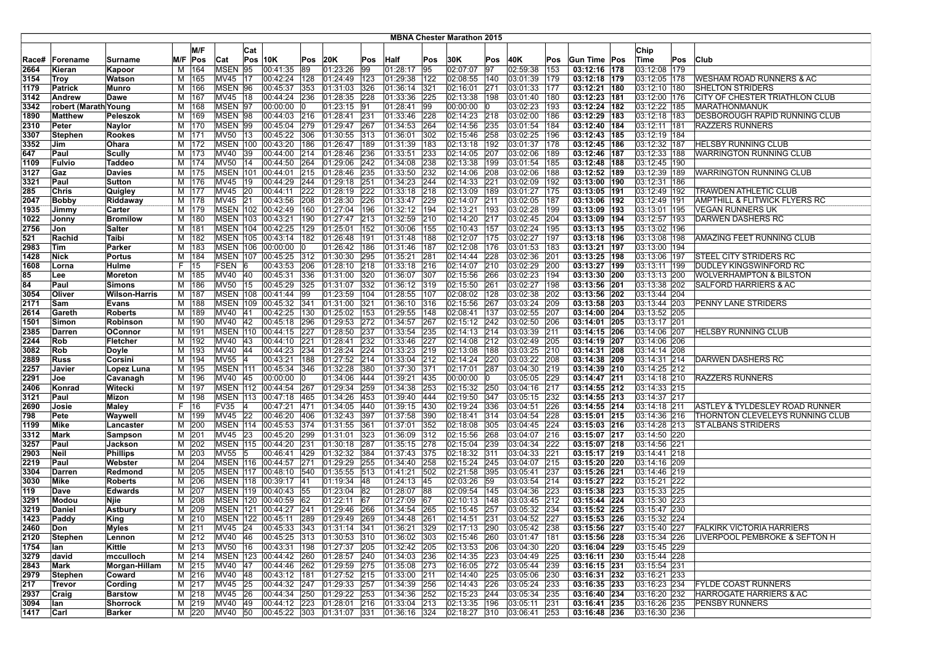|               |                      |                                      |          |                |                                |     |                                          |               |                               |            |                               |            | <b>MBNA Chester Marathon 2015</b> |            |                          |               |                              |                              |     |                                    |
|---------------|----------------------|--------------------------------------|----------|----------------|--------------------------------|-----|------------------------------------------|---------------|-------------------------------|------------|-------------------------------|------------|-----------------------------------|------------|--------------------------|---------------|------------------------------|------------------------------|-----|------------------------------------|
|               |                      |                                      |          | M/F            |                                |     |                                          |               |                               |            |                               |            |                                   |            |                          |               |                              |                              |     |                                    |
|               |                      |                                      |          |                |                                | Cat |                                          |               |                               |            |                               |            |                                   |            |                          |               | Gun Time Pos                 | Chip                         |     |                                    |
| Race#<br>2664 | Forename<br>Kieran   | Surname                              | M/F<br>м | Pos<br>164     | Cat<br><b>MSEN</b>             | 95  | $Pos$ 10K<br>00:41:35                    | Pos<br>89     | 20K<br>01:23:26               | Pos<br>99  | Half<br> 01:28:17             | Pos<br>195 | 30K<br>02:07:07                   | Pos<br>97  | 40K<br>02:59:38          | Pos<br>153    | 03:12:16 178                 | ∣Time<br>03:12:08 179        | Pos | Club                               |
| 3154          | Troy                 | Kapoor<br>Watson                     | M        | 165            | MV45                           | 17  | 00:42:24                                 | 128           | 01:24:49                      | 123        | 01:29:38                      | 122        | 02:08:55                          | 140        | 03:01:39                 | 179           | 03:12:18  179                | 03:12:05   178               |     | WESHAM ROAD RUNNERS & AC           |
| 1179          | <b>Patrick</b>       | <b>Munro</b>                         | м        | 166            | MSEN 96                        |     | 00:45:37                                 | 353           | $ 01:31:03 $ 326              |            | 01:36:14                      | 321        | 02:16:01                          | 271        | 03:01:33                 | 177           | 03:12:21  180                | 03:12:10 180                 |     | <b>SHELTON STRIDERS</b>            |
| 3142          | Andrew               | Dawe                                 | м        | 167            | MV45 18                        |     | 00:44:24                                 | 236           | 01:28:35 228                  |            | 01:33:36                      | 225        | 02:13:38                          | 198        | 03:01:40                 | 180           | 03:12:23 181                 | 03:12:00 176                 |     | CITY OF CHESTER TRIATHLON CLUB     |
| 3342          | robert (Marath Young |                                      | М        | 168            | MSEN 97                        |     | 00:00:00                                 |               | 01:23:15 91                   |            | 01:28:41                      | 199        | 00:00:00                          | 10         | 03:02:23                 | 193           | 03:12:24   182               | 03:12:22 185                 |     | MARATHONMANUK                      |
| 1890          | <b>Matthew</b>       | Peleszok                             | M        | 169            | MSEN 98                        |     | 00:44:03 216                             |               | 01:28:41                      | 231        | 01:33:46                      | 228        | 02:14:23 218                      |            | 03:02:00                 | 186           | 03:12:29 183                 | 03:12:18   183               |     | DESBOROUGH RAPID RUNNING CLUB      |
| 2310          | Peter                | Naylor                               | М        | 170            | MSEN 99                        |     | 00:45:04                                 | 279           | 01:29:47                      | 267        | 01:34:53                      | 264        | 02:14:56                          | 235        | 03:01:54                 | 184           | 03:12:40 184                 | 03:12:11 181                 |     | RAZZERS RUNNERS                    |
| 3307          | <b>Stephen</b>       | <b>Rookes</b>                        | м        | 171            | MV50                           | 13  | 00:45:22                                 | 306           | 01:30:55                      | 313        | 01:36:01                      | 302        | 02:15:46                          | 258        | 03:02:25                 | 196           | 03:12:43   185               | 03:12:19 184                 |     |                                    |
| 3352          | Jim                  | Ohara                                | м        | 172            | <b>MSEN 100</b>                |     | 00:43:20 186                             |               | 01:26:47   189                |            | 01:31:39                      | 183        | 02:13:18                          | 192        | 03:01:37                 | 178           | 03:12:45   186               | 03:12:32 187                 |     | HELSBY RUNNING CLUB                |
| 647           | Paul                 | Scully                               | м        | 173            | <b>MV40</b>                    | 39  | 00:44:00                                 | 214           | 01:28:46                      | 236        | 01:33:51                      | 233        | 02:14:05                          | 207        | 03:02:06                 | 189           | 03:12:46 187                 | 03:12:33   188               |     | WARRINGTON RUNNING CLUB            |
| 1109          | <b>Fulvio</b>        | Taddeo                               | M        | 174            | <b>MV50</b>                    | 14  | 00:44:50                                 | 264           | 01:29:06                      | 242        | 01:34:08                      | 238        | 02:13:38                          | 199        | 03:01:54                 | 185           | 03:12:48   188               | 03:12:45 190                 |     |                                    |
| 3127          | Gaz                  | <b>Davies</b>                        | м        | 175            | <b>MSEN 101</b>                |     | 00:44:01                                 | 215           | 01:28:46 235                  |            | 01:33:50                      | 232        | 02:14:06                          | 208        | 03:02:06                 | 188           | 03:12:52  189                | 03:12:39 189                 |     | WARRINGTON RUNNING CLUB            |
| 3321          | Paul                 | Sutton                               |          | M   176        | MV45 19                        |     | 00:44:29                                 | 244           | 01:29:18 251                  |            | 01:34:23                      | 244        | 02:14:33                          | 221        | 03:02:09                 | 192           | 03:13:00  190                | 03:12:31   186               |     |                                    |
| 285           | Chris                | Quigley                              |          | M 177          | <b>MV45</b>                    | 20  | 00:44:11                                 | 222           | 01:28:19 222                  |            | 01:33:18                      | 218        | 02:13:09                          | 189        | 03:01:27                 | 175           | 03:13:05 191                 | 03:12:49 192                 |     | TRAWDEN ATHLETIC CLUB              |
| 2047          | Bobby                | Riddaway                             | м        | 178            | MV45                           | 21  | 00:43:56                                 | 208           | 01:28:30                      | 226        | 01:33:47                      | 229        | 02:14:07                          | 211        | 03:02:05                 | 187           | 03:13:06   192               | 03:12:49   191               |     | AMPTHILL & FLITWICK FLYERS RC      |
| 1935          | Jimmy                | Carter                               | м        | 179            | <b>MSEN 102</b>                |     | 00:42:49                                 | 160           | 01:27:04                      | 196        | 01:32:12                      | 194        | 02:13:21                          | 193        | 03:02:28                 | 199           | 03:13:09 193                 | 03:13:01   195               |     | <b>VEGAN RUNNERS UK</b>            |
| 1022          | Jonny                | <b>Bromilow</b>                      | M        | 180            | <b>MSEN 103</b>                |     | 00:43:21                                 | 190           | 01:27:47 213                  |            | 01:32:59                      | 210        | 02:14:20                          | 217        | 03:02:45                 | 204           | 03:13:09 194                 | 03:12:57 193                 |     | DARWEN DASHERS RC                  |
| 2756          | Jon                  | <b>Salter</b>                        | M        | 181            |                                |     | MSEN 104 00:42:25                        | 129           | 01:25:01                      | 152        | 01:30:06                      | 155        | 02:10:43                          | 157        | 03:02:24                 | 195           | 03:13:13  195                | 03:13:02 196                 |     |                                    |
| 521           | Rachid               | Taibi                                | М        | 182            |                                |     | MSEN 105 00:43:14                        | $ 182\rangle$ | 01:26:48 191                  |            | 01:31:48                      | 188        | 02:12:07                          | 175        | 03:02:27                 | 197           | 03:13:18  196                | 03:13:08 198                 |     | AMAZING FEET RUNNING CLUB          |
| 2983          | Tim                  | Parker                               | м        | 183            |                                |     | MSEN 106 00:00:00                        |               | 01:26:42 186                  |            | 01:31:46                      | 187        | 02:12:08                          | 176        | 03:01:53                 | 183           | 03:13:21  197                | 03:13:00 194                 |     |                                    |
| 1428          | Nick                 | <b>Portus</b>                        | M        | 184            | <b>MSEN 107</b>                |     | 00:45:25 312                             |               | 01:30:30                      | 295        | 01:35:21                      | 281        | 02:14:44                          | 228        | 03:02:36                 | 201           | 03:13:25  198                | 03:13:06 197                 |     | <b>STEEL CITY STRIDERS RC</b>      |
| 1608          | Lorna                | Hulme                                | F.       | 15             | FSEN 6                         |     | 00:43:53                                 | 206           | 01:28:10                      | 218        | 01:33:18                      | 216        | 02:14:07                          | 210        | 03:02:29                 | 200           | 03:13:27  199                | 03:13:11   199               |     | DUDLEY KINGSWINFORD RC             |
| 85            | Lee                  | Moreton                              | м        | 185            | MV40 40                        |     | 00:45:31                                 | 336           | 01:31:00 320                  |            | 01:36:07                      | 307        | 02:15:56                          | 266        | 03:02:23                 | 194           | 03:13:30 200                 | 03:13:13 200                 |     | <b>WOLVERHAMPTON &amp; BILSTON</b> |
| 84<br>3054    | Paul<br>Oliver       | <b>Simons</b>                        | М<br>м   | 186<br>187     | <b>MV50</b><br><b>MSEN 108</b> | 15  | 00:45:29<br>00:41:44                     | 325<br>99     | 01:31:07<br>01:23:59 104      | 332        | 01:36:12 <br>01:28:55         | 319<br>107 | 02:15:50<br>02:08:02              | 261<br>128 | 03:02:27<br>03:02:38     | 198<br>202    | 03:13:56 201<br>03:13:56 202 | 03:13:38 202<br>03:13:44 204 |     | <b>SALFORD HARRIERS &amp; AC</b>   |
| 2171          | Sam                  | <b>Wilson-Harris</b><br><b>Evans</b> | м        | 188            | <b>MSEN 109</b>                |     | 00:45:32                                 | 341           | 01:31:00 321                  |            | 01:36:10                      | 316        | 02:15:56                          | 267        | 03:03:24                 | 209           | 03:13:58 203                 | 03:13:44 203                 |     | PENNY LANE STRIDERS                |
| 2614          | Gareth               | <b>Roberts</b>                       | M        | 189            | <b>MV40</b>                    | 41  | 00:42:25                                 | 130           | 01:25:02 153                  |            | 01:29:55                      | 148        | 02:08:41                          | 137        | 03:02:55                 | 207           | 03:14:00 204                 | 03:13:52 205                 |     |                                    |
| 1501          | Simon                | Robinson                             | M        | 190            | MV40                           | 42  | 00:45:18                                 | 296           | 01:29:53 272                  |            | 01:34:57                      | 267        | 02:15:12                          | 242        | 03:02:50                 | 206           | 03:14:01 205                 | 03:13:17 201                 |     |                                    |
| 2385          | Darren               | OConnor                              | M        | 191            | <b>MSEN 110</b>                |     | 00:44:15                                 | 227           | 01:28:50                      | 237        | 01:33:54                      | 235        | 02:14:13                          | 214        | 03:03:39                 | 211           | 03:14:15 206                 | 03:14:06 207                 |     | <b>HELSBY RUNNING CLUB</b>         |
| 2244          | Rob                  | Fletcher                             | M        | 192            | MV40 43                        |     | 00:44:10                                 | 221           | 01:28:41                      | 232        | 01:33:46                      | 227        | 02:14:08                          | 212        | 03:02:49                 | 205           | 03:14:19 207                 | 03:14:06 206                 |     |                                    |
| 3082          | Rob                  | Doyle                                | м        | 193            | MV40 44                        |     | 00:44:23 234                             |               | 01:28:24 224                  |            | 01:33:23                      | 219        | 02:13:08                          | 188        | 03:03:25                 | $ 210\rangle$ | 03:14:31 208                 | 03:14:14 208                 |     |                                    |
| 2889          | Russ                 | Corsini                              | М        | 194            | MV55 4                         |     | 00:43:21   188                           |               | 01:27:52 214                  |            | 01:33:04                      | 212        | 02:14:24                          | 220        | 03:03:22                 | 208           | 03:14:38 209                 | 03:14:31 214                 |     | DARWEN DASHERS RC                  |
| 2257          | Javier               | Lopez Luna                           | м        | 195            | <b>MSEN</b> 111                |     | 00:45:34                                 | 346           | 01:32:28                      | 380        | 01:37:30                      | 1371       | 02:17:01                          | 287        | 03:04:30                 | 219           | 03:14:39 210                 | 03:14:25 212                 |     |                                    |
| 2291          | Joe                  | Cavanagh                             | м        | 196            | MV40                           | 45  | 00:00:00                                 | 10            | 01:34:06                      | 444        | 01:39:21                      | 435        | 00:00:00                          | 10         | 03:05:05                 | 229           | 03:14:47 211                 | 03:14:18 210                 |     | <b>RAZZERS RUNNERS</b>             |
| 2406          | Konrad               | Witecki                              | м        | 197            | <b>MSEN 112</b>                |     | 00:44:54                                 | 267           | 01:29:34                      | 259        | 01:34:38                      | 253        | 02:15:32                          | 250        | 03:04:16                 | 217           | 03:14:55 212                 | 03:14:33 215                 |     |                                    |
| 3121          | Paul                 | Mizon                                | M        | 198            | <b>MSEN 113</b>                |     | 00:47:18                                 | 465           | 01:34:26                      | 453        | 01:39:40                      | 444        | 02:19:50                          | 347        | 03:05:15                 | 232           | 03:14:55 213                 | 03:14:37 217                 |     |                                    |
| 2690          | Josie                | <b>Maley</b>                         | F.       | 16             | FV35                           | 14  | 00:47:21 471                             |               | $ 01:34:05 $ 440              |            | 01:39:15                      | 430        | 02:19:24                          | 336        | 03:04:51                 | 226           | 03:14:55 214                 | 03:14:18 211                 |     | ASTLEY & TYLDESLEY ROAD RUNNER     |
| 798           | Pete                 | Waywell                              | М        | 199            | MV45 22                        |     | 00:46:20 406                             |               | 01:32:43 397                  |            | 01:37:58                      | 390        | 02:18:41                          | 314        | 03:04:54                 | 228           | 03:15:01 215                 | 03:14:36 216                 |     | THORNTON CLEVELEYS RUNNING CLUB    |
| 1199          | Mike                 | Lancaster                            | м        | 200            | <b>MSEN 114</b>                |     | 00:45:53 374                             |               | 01:31:55                      | 361        | 01:37:01                      | 352        | 02:18:08                          | 305        | 03:04:45                 | 224           | 03:15:03 216                 | 03:14:28 213                 |     | ST ALBANS STRIDERS                 |
| 3312<br>3257  | Mark<br>Paul         | Sampson<br>Jackson                   | M<br>М   | 201<br>202     | MV45<br><b>MSEN 115</b>        | 23  | 00:45:20<br>00:44:20                     | 299<br>231    | 01:31:01<br>01:30:18          | 323<br>287 | 01:36:09<br> 01:35:15         | 312<br>278 | 02:15:56<br>02:15:04              | 268<br>239 | 03:04:07<br>03:04:34     | 216 <br>222   | 03:15:07 217<br>03:15:07 218 | 03:14:50 220<br>03:14:56 221 |     |                                    |
| 2903          | Neil                 | <b>Phillips</b>                      | M        | 203            | <b>MV55</b>                    | 15  | 00:46:41                                 | 429           | 01:32:32                      | 384        | 01:37:43                      | 375        | 02:18:32                          | 311        | 03:04:33                 | 221           | 03:15:17 219                 | 03:14:41 218                 |     |                                    |
| 2219          | Paul                 | Webster                              | M        | 204            |                                |     | MSEN 116 00:44:57                        | 271           | 01:29:29 255                  |            | 01:34:40                      | 258        | 02:15:24                          | 245        | 03:04:07                 | 215           | 03:15:20 220                 | 03:14:16 209                 |     |                                    |
| 3304          | Darren               | Redmond                              | M        | 205            |                                |     | MSEN 117 00:48:10 540                    |               | $ 01:35:55 $   513            |            | 01:41:21 502                  |            | 02:21:58 395                      |            | 03:05:41                 | 237           | 03:15:26 221                 | 03:14:46 219                 |     |                                    |
| 3030          | Mike                 | <b>Roberts</b>                       | м        | 206            | <b>MSEN 118</b>                |     | 00:39:17 41                              |               | 01:19:34 48                   |            | 01:24:13                      | 45         | 02:03:26                          | 59         | 03:03:54                 | 214           | 03:15:27 222                 | 03:15:21 222                 |     |                                    |
| 119           | Dave                 | <b>Edwards</b>                       | M        | 207            | <b>MSEN 119</b>                |     | 00:40:43                                 | 55            | 01:23:04                      | 82         | 01:28:07                      | 88         | 02:09:54                          | 145        | 03:04:36                 | 223           | 03:15:38 223                 | 03:15:33 225                 |     |                                    |
| 3291          | Modou                | Njie                                 | M        | 208            | <b>MSEN 120</b>                |     | 00:40:59                                 | 62            | 01:22:11                      | 67         | 01:27:09                      | 67         | 02:10:13                          | 148        | 03:03:45                 | 212           | 03:15:44 224                 | 03:15:30 223                 |     |                                    |
| 3219          | Daniel               | Astbury                              | м        | 209            |                                |     | MSEN   121   00:44:27   241              |               | 01:29:46 266                  |            | 01:34:54                      | 265        | 02:15:45                          | 257        | 03:05:32                 | 234           | 03:15:52 225                 | 03:15:47 230                 |     |                                    |
| 1423          | Paddy                | King                                 |          | M 210          |                                |     | MSEN 122 00:45:11 289                    |               | 01:29:49 269                  |            | 01:34:48 261                  |            | 02:14:51 231                      |            | 03:04:52                 | 227           | 03:15:53 226                 | 03:15:32 224                 |     |                                    |
| 2460          | Don                  | Myles                                |          | M 211          | MV45 24                        |     | $ 00:45:33 \t  343 \t  01:31:14 \t  341$ |               |                               |            | 01:36:21 329                  |            | 02:17:13 290                      |            | 03:05:42 238             |               | 03:15:56 227                 | 03:15:40 227                 |     | <b>FALKIRK VICTORIA HARRIERS</b>   |
| 2120          | Stephen              | Lennon                               |          | M 212          | MV40 46                        |     | 00:45:25 313 01:30:53 310                |               |                               |            | 01:36:02 303                  |            | 02:15:46 260                      |            | 03:01:47   181           |               | 03:15:56 228                 | 03:15:34 226                 |     | LIVERPOOL PEMBROKE & SEFTON H      |
| 1754          | llan                 | Kittle                               |          | M 213          | MV50 16                        |     | 00:43:31 198                             |               | 01:27:37 205                  |            | 01:32:42 205                  |            | 02:13:53                          | 206        | 03:04:30                 | 220           | 03:16:04 229                 | 03:15:45 229                 |     |                                    |
| 3279          | david                | mcculloch                            |          | M 214          |                                |     | MSEN 123 00:44:42 260                    |               | 01:28:57 240                  |            | $01:34:03$ 236                |            | 02:14:35 223                      |            | 03:04:49                 | 225           | 03:16:11 230                 | 03:15:44 228                 |     |                                    |
| 2843<br>2979  | Mark<br>Stephen      | Morgan-Hillam<br>Coward              |          | M 215<br>M 216 | MV40 47<br>MV40 48             |     | 00:44:46 262<br>00:43:12 181             |               | 01:29:59 275<br> 01:27:52 215 |            | 01:35:08 273<br> 01:33:00 211 |            | 02:16:05 272<br>02:14:40 225      |            | 03:05:44 239<br>03:05:06 | $ 230\rangle$ | 03:16:15 231<br>03:16:31 232 | 03:15:54 231<br>03:16:21 233 |     |                                    |
| 217           | Trevor               | Cording                              |          | M 217          | MV45 25                        |     | 00:44:32 247                             |               | $01:29:33$ 257                |            | 01:34:39 256                  |            | 02:14:43 226                      |            | 03:05:24 233             |               | 03:16:35 233                 | 03:16:23 234                 |     | <b>FYLDE COAST RUNNERS</b>         |
| 2937          | Craig                | <b>Barstow</b>                       |          | M 218          | MV45 26                        |     | 00:44:34 250                             |               | $01:29:22$ 253                |            | $01:34:36$ 252                |            | 02:15:23 244                      |            | 03:05:34 235             |               | 03:16:40 234                 | 03:16:20 232                 |     | HARROGATE HARRIERS & AC            |
| 3094          | llan                 | <b>Shorrock</b>                      |          | M 219          | MV40 49                        |     | 00:44:12 223 01:28:01 216                |               |                               |            | 01:33:04 213                  |            | 02:13:35 196                      |            | 03:05:11 231             |               | 03:16:41 235                 | 03:16:26 235                 |     | PENSBY RUNNERS                     |
| 1417          | Carl                 | Barker                               |          | M 220          | MV40 50                        |     | $ 00:45:22 \t303 \t 01:31:07 \t331$      |               |                               |            | 01:36:16 324                  |            | 02:18:27 310                      |            | 03:06:41 253             |               | 03:16:48 236                 | 03:16:30 236                 |     |                                    |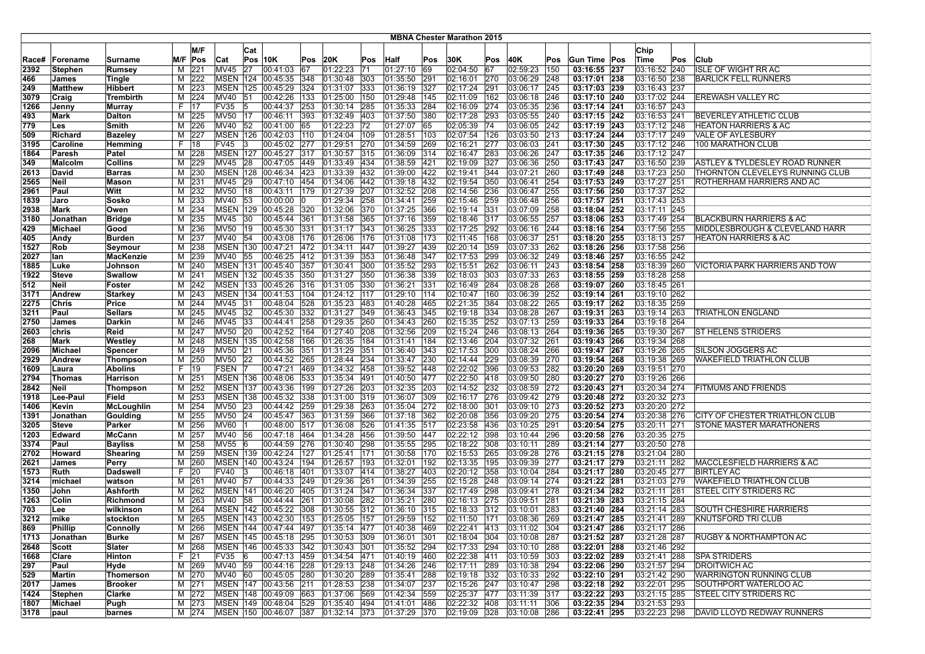|               |                  |                                 |          |                     |                            |          |                                                |            |                              |            |                              |            | <b>MBNA Chester Marathon 2015</b> |            |                              |            |                              |                              |     |                                                      |
|---------------|------------------|---------------------------------|----------|---------------------|----------------------------|----------|------------------------------------------------|------------|------------------------------|------------|------------------------------|------------|-----------------------------------|------------|------------------------------|------------|------------------------------|------------------------------|-----|------------------------------------------------------|
|               |                  |                                 |          | M/F                 |                            |          |                                                |            |                              |            |                              |            |                                   |            |                              |            |                              |                              |     |                                                      |
|               |                  |                                 |          |                     |                            | Cat      |                                                |            |                              |            |                              |            |                                   |            |                              |            |                              | Chip                         |     |                                                      |
| Race#<br>2392 | Forename         | Surname<br>Rumsey               | M/F<br>м | Pos<br>221          | Cat<br>MV45                | 27       | <b>Pos 10K</b><br>00:41:03                     | Pos<br>67  | 20K<br>01:22:23              | Pos<br> 71 | <b>Half</b><br> 01:27:10     | Pos<br>69  | 30K<br>02:04:50                   | Pos<br>67  | 40K<br>02:59:23              | Pos<br>150 | Gun Time Pos<br>03:16:55 237 | <b>Time</b><br>03:16:52 240  | Pos | <b>Club</b><br>ISLE OF WIGHT RR AC                   |
| 466           | Stephen<br>James |                                 | м        | 222                 |                            |          | MSEN 124 00:45:35                              | 348        | 01:30:48                     | 303        | 01:35:50                     | 291        | 02:16:01                          | 270        | 03:06:29                     | 248        | 03:17:01 238                 | 03:16:50 238                 |     | BARLICK FELL RUNNERS                                 |
| 249           | Matthew          | Tingle<br>Hibbert               | М        | 223                 | <b>MSEN</b>                | 125      | 00:45:29                                       | 324        | 01:31:07                     | 333        | 01:36:19                     | 327        | 02:17:24                          | 291        | 03:06:17                     | 245        | 03:17:03 239                 | 03:16:43 237                 |     |                                                      |
| 3079          | Craig            | Trembirth                       | M        | 224                 | MV40                       | 51       | 00:42:26                                       | 133        | 01:25:00                     | 150        | 01:29:48                     | 145        | 02:11:09                          | 162        | 03:06:18                     | 246        | 03:17:10 240                 | 03:17:02 244                 |     | <b>EREWASH VALLEY RC</b>                             |
| 1266          | Jenny            | Murray                          | F.       | 117                 | FV35                       | 15       | 00:44:37                                       | 253        | 01:30:14 285                 |            | 01:35:33                     | 284        | 02:16:09                          | 274        | 03:05:35                     | 236        | 03:17:14 241                 | 03:16:57 243                 |     |                                                      |
| 493           | Mark             | Dalton                          | M        | 225                 | MV50 17                    |          | 00:46:11                                       | 393        | 01:32:49 403                 |            | 01:37:50                     | 380        | 02:17:28                          | 293        | 03:05:55                     | 240        | 03:17:15 242                 | 03:16:53 241                 |     | BEVERLEY ATHLETIC CLUB                               |
| 779           | Les              | Smith                           | M        | 226                 | <b>MV40</b>                | 52       | 00:41:00                                       | 65         | 01:22:23 72                  |            | 01:27:07                     | 65         | 02:05:39                          | 74         | 03:06:05                     | 242        | 03:17:19 243                 | 03:17:12 248                 |     | HEATON HARRIERS & AC                                 |
| 509           | Richard          | <b>Bazeley</b>                  | м        | 227                 | <b>MSEN 126</b>            |          | 00:42:03                                       | 110        | 01:24:04                     | 109        | 01:28:51                     | 103        | 02:07:54                          | 126        | 03:03:50                     | 213        | 03:17:24 244                 | 03:17:17 249                 |     | <b>VALE OF AYLESBURY</b>                             |
| 3195          | Caroline         | Hemming                         | F.       | 18                  | <b>FV45</b>                |          | 00:45:02                                       | 277        | 01:29:51                     | 270        | 01:34:59                     | 269        | 02:16:21                          | 277        | 03:06:03                     | 241        | 03:17:30 245                 | 03:17:12 246                 |     | 100 MARATHON CLUB                                    |
| 1864          | Paresh           | Patel                           | M        | 228                 | <b>MSEN 127</b>            |          | 00:45:27                                       | 317        | 01:30:57 315                 |            | 01:36:09                     | 314        | 02:16:47                          | 283        | 03:06:26                     | 247        | 03:17:35 246                 | 03:17:12 247                 |     |                                                      |
| 349           | Malcolm          | Collins                         | м        | 229                 | MV45 28                    |          | 00:47:05                                       | 449        | $ 01:33:49 $ 434             |            | 01:38:59                     | 421        | 02:19:09                          | 327        | 03:06:36                     | 250        | 03:17:43 247                 | 03:16:50 239                 |     | ASTLEY & TYLDESLEY ROAD RUNNER                       |
| 2613          | David            | <b>Barras</b>                   | м        | 230                 | <b>MSEN 128</b>            |          | 00:46:34                                       | 423        | 01:33:39 432                 |            | 01:39:00                     | 422        | 02:19:41                          | 344        | 03:07:21                     | 260        | 03:17:49 248                 | 03:17:23 250                 |     | THORNTON CLEVELEYS RUNNING CLUB                      |
| 2565          | <b>Neil</b>      | Mason                           | м        | 231                 | <b>MV45</b>                | 29       | 00:47:10                                       | 454        | 01:34:06                     | 442        | [01:39:18]                   | 432        | 02:19:54                          | 350        | 03:06:41                     | 254        | 03:17:53 249                 | 03:17:27 251                 |     | ROTHERHAM HARRIERS AND AC                            |
| 2961          | Paul             | Witt                            | м        | 232                 | <b>MV50</b>                | 18       | 00:43:11                                       | 179        | 01:27:39                     | 207        | 01:32:52                     | 208        | 02:14:56                          | 236        | 03:06:47                     | 255        | 03:17:56 250                 | 03:17:37 252                 |     |                                                      |
| 1839          | Jaro             | Sosko                           | M        | 233                 | MV40                       | 53       | 00:00:00                                       |            | 01:29:34                     | 258        | 01:34:41                     | 259        | 02:15:46                          | 259        | 03:06:48                     | 256        | 03:17:57 251                 | 03:17:43 253                 |     |                                                      |
| 2938          | Mark             | Owen                            | M        | 234                 | <b>MSEN 129</b>            |          | 00:45:28                                       | 320        | 01:32:06                     | 370        | 01:37:25                     | 366        | 02:19:14                          | 331        | 03:07:09                     | 258        | 03:18:04 252                 | 03:17:11 245                 |     |                                                      |
| 3180          | Jonathan         | <b>Bridge</b>                   | M        | 235                 | <b>MV45</b>                | 30       | 00:45:44                                       | 361        | 01:31:58                     | 365        | 01:37:16                     | 359        | 02:18:46                          | 317        | 03:06:55                     | 257        | 03:18:06 253                 | 03:17:49 254                 |     | <b>BLACKBURN HARRIERS &amp; AC</b>                   |
| 429           | Michael          | Good                            | M        | 236                 | <b>MV50</b>                | 19       | 00:45:30                                       | 331        | $ 01:31:17 $ 343             |            | 01:36:25                     | 333        | 02:17:25                          | 292        | 03:06:16                     | 244        | 03:18:16 254                 | 03:17:56 255                 |     | MIDDLESBROUGH & CLEVELAND HARR                       |
| 405           | Andy             | <b>Burden</b>                   | М        | 237                 | MV40                       | 54       | 00:43:08                                       | 176        | 01:26:06                     | 176        | 01:31:08                     | 173        | 02:11:45                          | 168        | 03:06:37                     | 251        | 03:18:20 255                 | 03:18:13 257                 |     | <b>HEATON HARRIERS &amp; AC</b>                      |
| 1527          | Rob              | Seymour                         | м        | 238                 | <b>MSEN 130</b>            |          | 00:47:21 472                                   |            | 01:34:11                     | 447        | 01:39:27                     | 439        | 02:20:14                          | 359        | 03:07:33                     | 262        | 03:18:26 256                 | 03:17:58 256                 |     |                                                      |
| 2027          | lan              | MacKenzie                       | м        | 239                 | MV40                       | 55       | 00:46:25 412                                   |            | 01:31:39                     | 353        | 01:36:48                     | 347        | 02:17:53                          | 299        | 03:06:32                     | 249        | 03:18:46 257                 | 03:16:55 242                 |     |                                                      |
| 1885          | Luke             | Johnson                         | M        | 240                 | <b>MSEN 131</b>            |          | 00:45:40                                       | 357        | 01:30:41                     | 300        | 01:35:52                     | 293        | 02:15:51                          | 262        | 03:06:11                     | 243        | 03:18:54 258                 | 03:18:39 260                 |     | VICTORIA PARK HARRIERS AND TOW                       |
| 1922          | <b>Steve</b>     | Swallow                         | м        | 241                 |                            |          | MSEN 132 00:45:35                              | 350        | 01:31:27                     | 350        | 01:36:38                     | 339        | 02:18:03                          | 303        | 03:07:33                     | 263        | 03:18:55 259                 | 03:18:28 258                 |     |                                                      |
| 512           | Neil             | Foster                          | M        | 242                 | <b>MSEN 133</b>            |          | 00:45:26                                       | 316        | $ 01:31:05 $ 330             |            | 01:36:21                     | 331        | 02:16:49                          | 284        | 03:08:28                     | 268        | 03:19:07 260                 | 03:18:45 261                 |     |                                                      |
| 3171          | Andrew           | <b>Starkey</b>                  | М        | 243                 |                            |          | MSEN 134 00:41:53                              | 104        | 01:24:12 117                 |            | 01:29:10                     | 114        | 02:10:47                          | 160        | 03:06:39                     | 252        | 03:19:14 261                 | 03:19:10 262                 |     |                                                      |
| 2275          | Chris            | Price                           | M        | 244                 | MV45                       | 31       | 00:48:04                                       | 528        | 01:35:23 483                 |            | 01:40:28                     | 465        | 02:21:35                          | 384        | 03:08:22                     | 265        | 03:19:17 262                 | 03:18:35 259                 |     |                                                      |
| 3211          | Paul             | <b>Sellars</b>                  | м        | 245                 | MV45                       | 32       | 00:45:30                                       | 332        | 01:31:27                     | 349        | 01:36:43                     | 345        | 02:19:18                          | 334        | 03:08:28                     | 267        | 03:19:31 263                 | 03:19:14 263                 |     | TRIATHLON ENGLAND                                    |
| 2750          | James            | Darkin                          | M        | 246                 | MV45                       | 33       | 00:44:41                                       | 258        | 01:29:35                     | 260        | 01:34:43                     | 260        | 02:15:35                          | 252        | 03:07:13                     | 259        | 03:19:33 264                 | 03:19:18 264                 |     |                                                      |
| 2603          | chris            | Reid                            | M        | 247                 | <b>MV50</b>                | 20       | 00:42:52                                       | 164        | 01:27:40 208                 |            | 01:32:56                     | 209        | 02:15:24                          | 246        | 03:08:13                     | 264        | 03:19:36 265                 | 03:19:30 267                 |     | <b>ST HELENS STRIDERS</b>                            |
| 268           | Mark             | Westley                         | M        | 248                 |                            |          | MSEN 135 00:42:58                              | 166        | 01:26:35 184                 |            | 01:31:41                     | 184        | 02:13:46                          | 204        | 03:07:32                     | 261        | 03:19:43 266                 | 03:19:34 268                 |     |                                                      |
| 2096          | Michael          | Spencer                         | М        | 249                 | MV50                       | 21<br>22 | 00:45:36                                       | 351        | 01:31:29 351                 |            | 01:36:40                     | 343        | 02:17:53                          | 300        | 03:08:24                     | 266        | 03:19:47 267                 | 03:19:26 265                 |     | SILSON JOGGERS AC<br><b>WAKEFIELD TRIATHLON CLUB</b> |
| 2929<br>1609  | Andrew<br>Laura  | <b>Thompson</b><br>Abolins      | м<br>F.  | 250<br>$ 19\rangle$ | <b>MV50</b><br><b>FSEN</b> |          | 00:44:52<br>00:47:21                           | 265<br>469 | 01:28:44 234<br>01:34:32 458 |            | 01:33:47<br> 01:39:52        | 230<br>448 | 02:14:44<br>02:22:02              | 229<br>396 | 03:08:39<br>03:09:53         | 270<br>282 | 03:19:54 268<br>03:20:20 269 | 03:19:38 269<br>03:19:51 270 |     |                                                      |
| 2794          | Thomas           | Harrison                        | M        | 251                 | <b>MSEN 136</b>            |          | 00:48:06                                       | 533        | 01:35:34 491                 |            | 01:40:50                     | 477        | 02:22:50                          | 418        | 03:09:50                     | 280        | 03:20:27 270                 | 03:19:26 266                 |     |                                                      |
| 2842          | Neil             | Thompson                        | M        | 252                 | <b>MSEN 137</b>            |          | 00:43:36                                       | 199        | 01:27:26 203                 |            | 01:32:35                     | 203        | 02:14:52                          | 232        | 03:08:59                     | 272        | 03:20:43 271                 | 03:20:34 274                 |     | FITMUMS AND FRIENDS                                  |
| 1918          | Lee-Paul         | Field                           | м        | 253                 |                            |          | MSEN 138 00:45:32                              | 338        | 01:31:00 319                 |            | 01:36:07                     | 309        | 02:16:17                          | 276        | 03:09:42                     | 279        | 03:20:48 272                 | 03:20:32 273                 |     |                                                      |
| 1406          | Kevin            | McLoughlin                      | M        | 254                 | MV50 23                    |          | 00:44:42 259                                   |            | 01:29:38 263                 |            | 01:35:04                     | 272        | 02:18:00                          | 301        | 03:09:10                     | 273        | 03:20:52 273                 | 03:20:20 272                 |     |                                                      |
| 1391          | Jonathan         | Goulding                        | м        | 255                 | MV50                       | 24       | 00:45:47                                       | 363        | 01:31:59                     | 366        | 01:37:18                     | 362        | 02:20:08                          | 356        | 03:09:20                     | 275        | 03:20:54 274                 | 03:20:38 276                 |     | CITY OF CHESTER TRIATHLON CLUB                       |
| 3205          | <b>Steve</b>     | Parker                          | M        | 256                 | MV60                       |          | 00:48:00                                       | 517        | 01:36:08                     | 526        | 01:41:35                     | 517        | 02:23:58                          | 436        | 03:10:25                     | 291        | 03:20:54 275                 | 03:20:11 271                 |     | <b>STONE MASTER MARATHONERS</b>                      |
| 1203          | Edward           | McCann                          | M        | 257                 | MV40 56                    |          | 00:47:18                                       | 464        | 01:34:28                     | 456        | 01:39:50                     | 447        | 02:22:12                          | 398        | 03:10:44                     | 296        | 03:20:58 276                 | 03:20:35 275                 |     |                                                      |
| 3374          | Paul             | <b>Bayliss</b>                  | м        | 258                 | <b>MV55</b>                | 16       | 00:44:59                                       | 276        | 01:30:40 298                 |            | 01:35:55                     | 295        | 02:18:22                          | 308        | 03:10:11                     | 289        | 03:21:14 277                 | 03:20:50 278                 |     |                                                      |
| 2702          | Howard           | Shearing                        | M        | 259                 |                            |          | MSEN 139 00:42:24                              | 127        | 01:25:41                     | 171        | 01:30:58                     | 170        | 02:15:53                          | 265        | 03:09:28                     | 276        | 03:21:15 278                 | 03:21:04 280                 |     |                                                      |
| 2621          | James            | Perry                           | M        | 260                 | <b>MSEN 140</b>            |          | 00:43:24                                       | 194        | 01:26:57 193                 |            | 01:32:01                     | 192        | 02:13:35                          | 195        | 03:09:39                     | 277        | 03:21:17 279                 | 03:21:11 282                 |     | MACCLESFIELD HARRIERS & AC                           |
| 1573          | Ruth             | Dadswell                        | F.       | $ 20\rangle$        | <b>FV40</b>                | l3       | 00:46:18                                       | 401        | 01:33:07 414                 |            | 01:38:27                     | 403        | 02:20:12                          | 358        | 03:10:04                     | 284        | 03:21:17 280                 | 03:20:45 277                 |     | <b>BIRTLEY AC</b>                                    |
| 3214          | michael          | watson                          | M        | 261                 | MV40                       | 57       | 00:44:33                                       | 249        | 01:29:36                     | 261        | 01:34:39                     | 255        | 02:15:28                          | 248        | 03:09:14                     | 274        | 03:21:22 281                 | 03:21:03 279                 |     | WAKEFIELD TRIATHLON CLUB                             |
| 1350          | John             | Ashforth                        | м        | 262                 | <b>MSEN 141</b>            |          | 00:46:20                                       | 1405       | $ 01:31:24 $ 347             |            | 01:36:34                     | 337        | 02:17:49                          | 298        | 03:09:41                     | 278        | 03:21:34 282                 | 03:21:11 281                 |     | ISTEEL CITY STRIDERS RC                              |
| 1263          | Colin            | Richmond                        | м        | 263                 | MV40                       | 58       | 00:44:44                                       | 261        | 01:30:08                     | 282        | 01:35:21                     | 280        | 02:16:13                          | 275        | 03:09:51                     | 281        | 03:21:39 283                 | 03:21:15 284                 |     |                                                      |
| 703           | Lee              | wilkinson                       | М        | 264                 |                            |          | MSEN 142 00:45:22                              | 308        | 01:30:55 312                 |            | 01:36:10                     | 315        | 02:18:33                          | $ 312$     | 03:10:01                     | 283        | 03:21:40 284                 | 03:21:14 283                 |     | SOUTH CHESHIRE HARRIERS                              |
| 3212          | mike             | stockton                        |          | M 265               |                            |          | MSEN 143 00:42:30 153                          |            | 01:25:05 157                 |            | 01:29:59 152                 |            | 02:11:50                          | 171        | 03:08:36                     | 269        | 03:21:47 285                 | 03:21:41 289                 |     | <b>KNUTSFORD TRI CLUB</b>                            |
| 869           | Phillip          | Connolly                        |          | M 266               |                            |          | MSEN 144 00:47:44 497 01:35:14 477             |            |                              |            | 01:40:38  469                |            | $ 02:22:41 $ 413                  |            | $ 03:11:02 $  304            |            | 03:21:47 286                 | 03:21:17 286                 |     |                                                      |
| 1713          | Jonathan         | Burke                           |          | M 267               |                            |          | MSEN 145 00:45:18 295                          |            | 01:30:53 309                 |            | 01:36:01 301                 |            | 02:18:04 304                      |            | 03:10:08 287                 |            | 03:21:52 287                 | 03:21:28 287                 |     | RUGBY & NORTHAMPTON AC                               |
| 2648          | Scott            | Slater                          |          | M 268               |                            |          | MSEN  146  00:45:33  342                       |            | $ 01:30:43 $ 301             |            | 01:35:52 294                 |            | 02:17:33 294                      |            | 03:10:10 288                 |            | 03:22:01 288                 | 03:21:46 292                 |     |                                                      |
| 1668          | Clare            | Hinton                          | F.       | 21                  | FV35                       | 16       | 00:47:13 459                                   |            | 01:34:54 471                 |            | $01:40:19$ 460               |            | 02:22:38 411                      |            | 03:10:59                     | 303        | 03:22:02 289                 | 03:21:41 288                 |     | <b>SPA STRIDERS</b>                                  |
| 297           | Paul             | Hyde                            |          | M 269               | MV40 59                    |          | 00:44:16 228                                   |            | 01:29:13 248<br>01:30:20 289 |            | 01:34:26 246                 |            | 02:17:11                          | 289        | 03:10:38                     | 294        | 03:22:06 290<br>03:22:10 291 | 03:21:57 294                 |     | <b>DROITWICH AC</b>                                  |
| 529           | Martin           | Thomerson                       |          | M 270               | MV40 60                    |          | 00:45:05 280                                   |            | $01:28:53$ 238               |            | $01:35:41$ 288               |            | 02:19:18 332                      |            | 03:10:33 292                 |            |                              | 03:21:42 290<br>03:22:01 295 |     | WARRINGTON RUNNING CLUB<br>SOUTHPORT WATERLOO AC     |
| 2017<br>1424  | James<br>Stephen | <b>Brooker</b><br><b>Clarke</b> |          | M 271<br>M 272      |                            |          | MSEN 147 00:43:56 211<br>MSEN 148 00:49:09 663 |            | 01:37:06 569                 |            | 01:34:07 237<br>01:42:34 559 |            | 02:15:26 247<br>02:25:37 477      |            | 03:10:47 298<br>03:11:39 317 |            | 03:22:18 292<br>03:22:22 293 | 03:21:15 285                 |     | <b>STEEL CITY STRIDERS RC</b>                        |
| 1807          | Michael          |                                 |          | M 273               |                            |          | MSEN 149 00:48:04 529                          |            | $ 01:35:40 $ 494             |            | 01:41:01                     | 486        | 02:22:32 408                      |            | 03:11:11                     | 306        | 03:22:35 294                 | 03:21:53 293                 |     |                                                      |
| 3178          | paul             | Pugh<br>barnes                  |          | M 274               |                            |          | MSEN 150 00:46:07 387                          |            | 01:32:14 373                 |            | 01:37:29 370                 |            | 02:19:09 328                      |            | 03:10:08                     | 286        | 03:22:41 295                 | 03:22:23 298                 |     | DAVID LLOYD REDWAY RUNNERS                           |
|               |                  |                                 |          |                     |                            |          |                                                |            |                              |            |                              |            |                                   |            |                              |            |                              |                              |     |                                                      |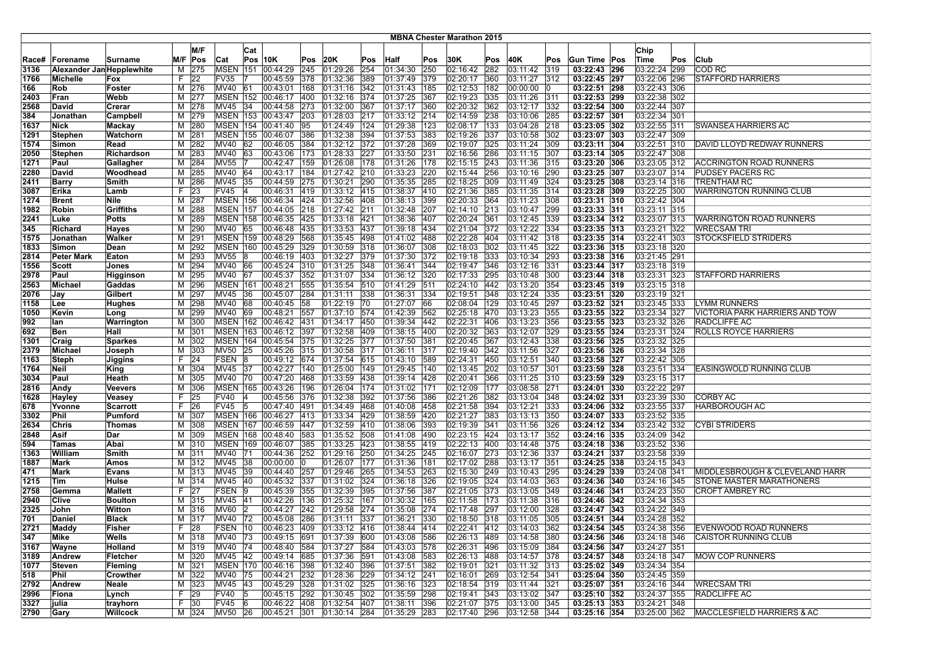|              |                           |                 |        |             |                   |     |                              |     |                  |     |                       |     | <b>MBNA Chester Marathon 2015</b> |     |                  |               |                |                              |     |                                                           |
|--------------|---------------------------|-----------------|--------|-------------|-------------------|-----|------------------------------|-----|------------------|-----|-----------------------|-----|-----------------------------------|-----|------------------|---------------|----------------|------------------------------|-----|-----------------------------------------------------------|
|              |                           |                 |        | M/F         |                   |     |                              |     |                  |     |                       |     |                                   |     |                  |               |                |                              |     |                                                           |
|              |                           |                 |        |             |                   | Cat |                              |     |                  |     |                       |     |                                   |     |                  |               |                | Chip                         |     |                                                           |
| Race#        | Forename                  | Surname         | M/F    | Pos         | Cat               |     | <b>Pos 10K</b>               | Pos | 20K              | Pos | <b>Half</b>           | Pos | 30K                               | Pos | 40K              | Pos           | Gun Time Pos   | Time                         | Pos | Club                                                      |
| 3136         | Alexander Jan Hepplewhite |                 | M      | 275         | MSEN              | 151 | 00:44:29                     | 245 | 01:29:26         | 254 | 01:34:30              | 250 | 02:16:42                          | 282 | 03:11:42         | 319           | 03:22:43 296   | 03:22:24 299                 |     | <b>COD RC</b>                                             |
| 1766         | Michelle                  | Fox             | F.     | 22          | FV35              |     | 00:45:59                     | 378 | 01:32:36         | 389 | 01:37:49              | 379 | 02:20:17                          | 360 | 03:11:27         | $ 312\rangle$ | 03:22:45 297   | 03:22:06 296                 |     | <b>STAFFORD HARRIERS</b>                                  |
| 166          | Rob                       | Foster          | M      | 276         | <b>MV40</b>       | 61  | 00:43:01                     | 168 | 01:31:16         | 342 | 01:31:43              | 185 | 02:12:53                          | 182 | 00:00:00         |               | 03:22:51 298   | 03:22:43 306                 |     |                                                           |
| 2403         | Fran                      | Webb            | M      | 277         | <b>MSEN 152</b>   |     | 00:46:17                     | 400 | 01:32:16 374     |     | 01:37:25              | 367 | 02:19:23                          | 335 | 03:11:26         | 311           | 03:22:53 299   | 03:22:38 302                 |     |                                                           |
| 2568         | David                     | Crerar          | м      | 278         | MV45 34           |     | 00:44:58 273                 |     | 01:32:00 367     |     | 01:37:17              | 360 | 02:20:32                          | 362 | 03:12:17         | 332           | 03:22:54 300   | 03:22:44 307                 |     |                                                           |
| 384          | Jonathan                  | Campbell        | M      | 279         | <b>MSEN 153</b>   |     | 00:43:47 203                 |     | 01:28:03 217     |     | 01:33:12 214          |     | 02:14:59                          | 238 | 03:10:06         | 285           | 03:22:57 301   | 03:22:34 301                 |     |                                                           |
| 1637         | <b>Nick</b>               | Mackay          | M      | 280         | <b>MSEN 154</b>   |     | 00:41:40                     | 95  | 01:24:49 124     |     | 01:29:38              | 123 | 02:08:17                          | 133 | 03:04:28         | 218           | 03:23:05 302   | 03:22:55 311                 |     | <b>SWANSEA HARRIERS AC</b>                                |
| 1291         | <b>Stephen</b>            | Watchorn        | м      | 281         | <b>MSEN 155</b>   |     | 00:46:07                     | 386 | 01:32:38         | 394 | 01:37:53              | 383 | 02:19:26                          | 337 | 03:10:58         | 302           | 03:23:07 303   | 03:22:47 309                 |     |                                                           |
| 1574         | Simon                     | Read            | M      | 282         | <b>MV40</b>       | 62  | 00:46:05                     | 384 | 01:32:12 372     |     | 01:37:28              | 369 | 02:19:07                          | 325 | 03:11:24         | 309           | 03:23:11 304   | 03:22:51 310                 |     | DAVID LLOYD REDWAY RUNNERS                                |
| 2050         | Stephen                   | Richardson      | M      | 283         | MV40              | 63  | 00:43:06                     | 173 | 01:28:33 227     |     | 01:33:50              | 231 | 02:16:56                          | 286 | 03:11:15         | 307           | 03:23:14 305   | 03:22:47 308                 |     |                                                           |
| 1271         | Paul                      | Gallagher       | М      | 284         | MV <sub>55</sub>  |     | 00:42:47                     | 159 | 01:26:08 178     |     | 01:31:26              | 178 | 02:15:15                          | 243 | 03:11:36         | 315           | 03:23:20 306   | 03:23:05 312                 |     | <b>ACCRINGTON ROAD RUNNERS</b>                            |
| 2280         | David                     | Woodhead        | M      | 285         | MV40 64           |     | 00:43:17   184               |     | 01:27:42 210     |     | 01:33:23              | 220 | 02:15:44                          | 256 | 03:10:16         | 290           | 03:23:25 307   | 03:23:07 314                 |     | PUDSEY PACERS RC                                          |
| 2411         | Barry                     | Smith           | M      | 286         | MV45              | 35  | 00:44:59                     | 275 | 01:30:21 290     |     | 01:35:35              | 285 | 02:18:25                          | 309 | 03:11:49         | 324           | 03:23:25 308   | 03:23:14 316                 |     | <b>TRENTHAM RC</b>                                        |
| 3087         | Erika                     | Lamb            | F.     | 23          | <b>FV45</b>       | 14  | 00:46:31                     | 419 | $ 01:33:12 $ 415 |     | 01:38:37              | 410 | 02:21:36                          | 385 | 03:11:35         | 314           | 03:23:28 309   | 03:22:25 300                 |     | WARRINGTON RUNNING CLUB                                   |
| 1274         | <b>Brent</b>              | Nile            | M      | 287         | <b>MSEN 156</b>   |     | 00:46:34                     | 424 | 01:32:56 408     |     | 01:38:13              | 399 | 02:20:33                          | 364 | 03:11:23         | 308           | 03:23:31 310   | 03:22:42 304                 |     |                                                           |
| 1982         | Robin                     | Griffiths       | M      | 288         | <b>MSEN 157</b>   |     | 00:44:05                     | 218 | 01:27:42 211     |     | 01:32:48              | 207 | 02:14:10                          | 213 | 03:10:47         | 299           | 03:23:33 311   | 03:23:11 315                 |     |                                                           |
| 2241         | Luke                      | <b>Potts</b>    | М      | 289         | <b>MSEN 158</b>   |     | 00:46:35                     | 425 | 01:33:18 421     |     | 01:38:36              | 407 | 02:20:24                          | 361 | 03:12:45         | 339           | 03:23:34 312   | 03:23:07 313                 |     | WARRINGTON ROAD RUNNERS                                   |
| 345          | Richard                   | Hayes           | м      | 290         | MV40 65           |     | 00:46:48                     | 435 | 01:33:53 437     |     | 01:39:18 434          |     | 02:21:04                          | 372 | 03:12:22         | 334           | 03:23:35 313   | 03:23:21 322                 |     | <b>WRECSAM TRI</b>                                        |
| 1575         | Jonathan                  | Walker          | M      | 291         |                   |     | MSEN 159 00:48:29            | 568 | 01:35:45 498     |     | 01:41:02              | 488 | 02:22:28                          | 404 | 03:11:42         | 318           | 03:23:35 314   | 03:22:41 303                 |     | <b>STOCKSFIELD STRIDERS</b>                               |
| 1833         | Simon                     | Dean            | M      | 292         | <b>MSEN 160</b>   |     | 00:45:29                     | 329 | 01:30:59         | 318 | 01:36:07              | 308 | 02:18:03                          | 302 | 03:11:45         | 322           | 03:23:36 315   | 03:23:18 320                 |     |                                                           |
| 2814         | <b>Peter Mark</b>         | Eaton           | M      | 293         | MV55              | 18  | 00:46:19                     | 403 | 01:32:27 379     |     | 01:37:30              | 372 | 02:19:18                          | 333 | 03:10:34         | 293           | 03:23:38 316   | 03:21:45 291                 |     |                                                           |
| 1556         | Scott                     | Jones           | M      | 294         | MV40 66           |     | 00:45:24                     | 310 | 01:31:25 348     |     | 01:36:41              | 344 | 02:19:47                          | 346 | 03:12:16         | 331           | 03:23:44 317   | 03:23:18 319                 |     |                                                           |
| 2978         | Paul                      | Higginson       | м      | 295         | MV40 67           |     | 00:45:37                     | 352 | 01:31:07         | 334 | 01:36:12              | 320 | 02:17:33                          | 295 | 03:10:48         | 300           | 03:23:44 318   | 03:23:31 323                 |     | <b>STAFFORD HARRIERS</b>                                  |
| 2563         | Michael                   | Gaddas          | М      | 296         | <b>MSEN 161</b>   |     | 00:48:21                     | 555 | 01:35:54 510     |     | 01:41:29              | 511 | 02:24:10                          | 442 | 03:13:20         | 354           | 03:23:45 319   | 03:23:15 318                 |     |                                                           |
| 2076         | Jay                       | Gilbert         | М      | 297         | MV45              | 36  | 00:45:07                     | 284 | 01:31:11         | 338 | 01:36:31              | 334 | 02:19:51                          | 348 | 03:12:24         | 335           | 03:23:51 320   | 03:23:19 321                 |     |                                                           |
| 1158         | Lee                       | <b>Hughes</b>   | M      | 298         | MV40              | 68  | 00:40:45                     | 58  | 01:22:19 70      |     | 01:27:07              | 166 | 02:08:04                          | 129 | 03:10:45         | 297           | 03:23:52 321   | 03:23:45 333                 |     | LYMM RUNNERS                                              |
| 1050         | Kevin                     | Long            | м      | 299         | MV40              | 69  | 00:48:21                     | 557 | 01:37:10 574     |     | 01:42:39              | 562 | 02:25:18                          | 470 | 03:13:23         | 355           | 03:23:55 322   | 03:23:34 327                 |     | VICTORIA PARK HARRIERS AND TOW                            |
| 992          | lan                       | Warrington      | M      | 300         | <b>MSEN 162</b>   |     | 00:46:42 431                 |     | 01:34:17 450     |     | 01:39:34              | 442 | 02:22:31                          | 406 | 03:13:23         | 356           | 03:23:55 323   | 03:23:32 326                 |     | <b>RADCLIFFE AC</b>                                       |
| 692          | Ben                       | Hall            | M      | 301         | <b>MSEN 163</b>   |     | 00:46:12                     | 397 | 01:32:58         | 409 | 01:38:15              | 400 | 02:20:32                          | 363 | 03:12:07         | 329           | 03:23:55 324   | 03:23:31 324                 |     | <b>ROLLS ROYCE HARRIERS</b>                               |
| 1301         | Craig                     | <b>Sparkes</b>  | M      | 302         | <b>MSEN</b> 164   |     | 00:45:54 375                 |     | 01:32:25 377     |     | 01:37:50              | 381 | 02:20:45                          | 367 | 03:12:43         | 338           | 03:23:56 325   | 03:23:32 325                 |     |                                                           |
| 2379         | Michael                   | Joseph          | М      | 303         | MV50 25           |     | 00:45:26 315                 |     | 01:30:58 317     |     | 01:36:11              | 317 | 02:19:40                          | 342 | 03:11:56         | 327           | 03:23:56 326   | 03:23:34 328                 |     |                                                           |
| 1163         | Steph                     | Jiggins         | F      | 24          | FSEN 8            |     | 00:49:12 674                 |     | 01:37:54 615     |     | 01:43:10              | 589 | 02:24:31                          | 450 | 03:12:51         | 340           | 03:23:58 327   | 03:22:42 305                 |     |                                                           |
| 1764         | Neil                      | King            | M      | 304         | MV45 37           |     | 00:42:27                     | 140 | 01:25:00         | 149 | 01:29:45              | 140 | 02:13:45                          | 202 | 03:10:57         | 1301          | 03:23:59 328   | 03:23:51 334                 |     | EASINGWOLD RUNNING CLUB                                   |
| 3034         | Paul                      | Heath           | M      | 305         | <b>MV40</b>       | 70  | 00:47:20                     | 468 | 01:33:59 438     |     | 01:39:14              | 428 | 02:20:41                          | 366 | 03:11:25         | 310           | 03:23:59 329   | 03:23:15 317                 |     |                                                           |
| 2816         | Andy                      | <b>Veevers</b>  | M      | 306         | <b>MSEN 165</b>   |     | 00:43:26                     | 196 | 01:26:04 174     |     | 01:31:02              | 171 | 02:12:09                          | 177 | 03:08:58         | 271           | 03:24:01 330   | 03:22:22 297                 |     |                                                           |
| 1628         | <b>Hayley</b>             | Veasey          | F.     | 25          | <b>FV40</b>       | 4   | 00:45:56                     | 376 | 01:32:38 392     |     | 01:37:56              | 386 | 02:21:26                          | 382 | 03:13:04         | 348           | 03:24:02 331   | 03:23:39 330                 |     | <b>CORBY AC</b>                                           |
| 678          | Yvonne                    | <b>Scarrott</b> | F.     | 26          | FV45 5            |     | 00:47:40 491                 |     | 01:34:49 468     |     | 01:40:08              | 458 | 02:21:58                          | 394 | 03:12:21         | 333           | 03:24:06 332   | 03:23:55 337                 |     | <b>HARBOROUGH AC</b>                                      |
| 3302         | Phil                      | Pumford         | м      | 307         | <b>MSEN 166</b>   |     | 00:46:27                     | 413 | 01:33:34         | 429 | 01:38:59              | 420 | 02:21:27                          | 383 | 03:13:13         | 350           | 03:24:07 333   | 03:23:52 335                 |     |                                                           |
|              | Chris                     |                 | M      | 308         | <b>MSEN 167</b>   |     | 00:46:59                     | 447 | 01:32:59         | 410 | 01:38:06              | 393 | 02:19:39                          | 341 | 03:11:56         | 326           | 03:24:12 334   | 03:23:42 332                 |     | <b>CYBI STRIDERS</b>                                      |
| 2634<br>2848 | Asif                      | Thomas<br>Dar   | M      | 309         | <b>MSEN 168</b>   |     | 00:48:40                     | 583 | $01:35:52$ 508   |     |                       | 490 | 02:23:15                          | 424 | 03:13:17         | 352           | 03:24:16 335   | 03:24:09 342                 |     |                                                           |
| 594          | Tamas                     | Abai            | M      | 310         | <b>MSEN 169</b>   |     | 00:46:07                     | 385 | 01:33:25 423     |     | 01:41:08<br> 01:38:55 | 419 | 02:22:13                          | 400 | 03:14:48         | 375           | 03:24:18 336   | 03:23:52 336                 |     |                                                           |
| 1363         | William                   | Smith           | M      | 311         | MV40              | 71  | 00:44:36                     | 252 | 01:29:16 250     |     | 01:34:25              | 245 | 02:16:07                          | 273 | 03:12:36         | 337           | 03:24:21 337   | 03:23:58 339                 |     |                                                           |
|              |                           |                 |        |             |                   |     | 00:00:00                     | l0  | 01:26:07 177     |     | 01:31:36              | 181 |                                   | 288 | 03:13:17         |               | 03:24:25 338   |                              |     |                                                           |
| 1887<br>471  | Mark<br>Mark              | Amos            | M<br>м | 312<br> 313 | MV45 38<br>MV45   | 39  | 00:44:40 257                 |     | 01:29:46 265     |     | 01:34:53              | 263 | 02:17:02<br>02:15:30              | 249 | 03:10:43         | 351<br>295    | 03:24:29 339   | 03:24:15 343<br>03:24:08 341 |     | MIDDLESBROUGH & CLEVELAND HARR                            |
|              |                           | <b>Evans</b>    |        |             |                   |     |                              |     |                  |     |                       |     |                                   |     |                  |               |                |                              |     |                                                           |
| 1215         | Tim                       | Hulse           | M      | 314         | MV45 40<br>FSEN 9 |     | 00:45:32                     | 337 | 01:31:02 324     |     | 01:36:18              | 326 | 02:19:05                          | 324 | 03:14:03         | 363           | 03:24:36 340   | 03:24:16 345                 |     | <b>STONE MASTER MARATHONERS</b><br><b>CROFT AMBREY RC</b> |
| 2758         | Gemma                     | <b>Mallett</b>  | F.     | 27          |                   |     | 00:45:39                     | 355 | 01:32:39 395     |     | 01:37:56              | 387 | 02:21:05                          | 373 | 03:13:05         | 349           | 03:24:46 341   | 03:24:23 350                 |     |                                                           |
| 2940         | Clive                     | <b>Boulton</b>  | м      | 315         | MV45 41           |     | 00:42:26                     | 136 | 01:25:32         | 167 | 01:30:32              | 165 | 02:11:58                          | 173 | 03:11:38         | 316           | 03:24:46 342   | 03:24:34 353                 |     |                                                           |
| 2325         | John                      | Witton          | м      | 316         | MV60              | 12  | 00:44:27                     | 242 | 01:29:58 274     |     | 01:35:08              | 274 | 02:17:48                          | 297 | 03:12:00         | 328           | 03:24:47 343   | 03:24:22 349                 |     |                                                           |
| 701          | Daniel                    | <b>Black</b>    |        | M 317       | MV40 72           |     | 00:45:08 286                 |     | 01:31:11         | 337 | 01:36:21              | 330 | 02:18:50 318                      |     | 03:11:05         | 305           | 03:24:51 344   | 03:24:28 352                 |     |                                                           |
| 2721         | Maddy                     | Fisher          | F      | 28          | FSEN 10           |     | 00:46:23  409  01:33:12  416 |     |                  |     | $ 01:38:44 $ 414      |     | 02:22:41 412                      |     | $ 03:14:03 $ 362 |               | 03:24:54 345   | 03:24:38 356                 |     | EVENWOOD ROAD RUNNERS                                     |
| 347          | Mike                      | Wells           |        | M 318       | MV40 73           |     | 00:49:15 691                 |     | 01:37:39 600     |     | 01:43:08 586          |     | 02:26:13 489                      |     | 03:14:58         | 380           | 03:24:56 346   | 03:24:18 346                 |     | CAISTOR RUNNING CLUB                                      |
| 3167         | Wayne                     | Holland         |        | M 319       | MV40 74           |     | 00:48:40 584                 |     | 01:37:27 584     |     | 01:43:03 578          |     | 02:26:31 496                      |     | 03:15:09         | 384           | 03:24:56 347   | 03:24:27 351                 |     |                                                           |
| 3189         | Andrew                    | Fletcher        | м      | 320         | MV45 42           |     | 00:49:14 685                 |     | 01:37:36 591     |     | 01:43:08              | 583 | 02:26:13                          | 488 | 03:14:57 378     |               | 03:24:57 348   | 03:24:18 347                 |     | <b>MOW COP RUNNERS</b>                                    |
| 1077         | <b>Steven</b>             | Fleming         | M      | 321         |                   |     | MSEN 170 00:46:16 398        |     | 01:32:40 396     |     | 01:37:51              | 382 | 02:19:01                          | 321 | 03:11:32 313     |               | 03:25:02 349   | 03:24:34 354                 |     |                                                           |
| 518          | Phil                      | Crowther        |        | M 322       | MV40 75           |     | 00:44:21 232                 |     | 01:28:36 229     |     | 01:34:12 241          |     | 02:16:01                          | 269 | 03:12:54 341     |               | 03:25:04 350   | 03:24:45 359                 |     |                                                           |
| 2792         | Andrew                    | Neale           |        | $M$ 323     | MV45 43           |     | 00:45:29 328                 |     | 01:31:02 325     |     | $01:36:16$ 323        |     | 02:18:54 319                      |     | 03:11:44         | 321           | 03:25:07 351   | 03:24:16 344                 |     | <b>WRECSAM TRI</b>                                        |
| 2996         | Fiona                     | Lynch           | F.     | 29          | FV40 5            |     | 00:45:15 292                 |     | 01:30:45 302     |     | 01:35:59 298          |     | 02:19:41                          | 343 | 03:13:02 347     |               | 03:25:10 352   | 03:24:37 355                 |     | RADCLIFFE AC                                              |
| 3327         | julia                     | trayhorn        |        | F 30        | FV45 6            |     | 00:46:22 408                 |     | $ 01:32:54 $ 407 |     | 01:38:11              | 396 | 02:21:07 375                      |     | 03:13:00         | 345           | $03:25:13$ 353 | 03:24:21 348                 |     |                                                           |
| 2790         | Gary                      | Willcock        |        | M 324       | MV50 26           |     | 00:45:21 301                 |     | 01:30:14 284     |     | 01:35:29 283          |     | 02:17:40 296                      |     | 03:12:58 344     |               | 03:25:16 354   | 03:25:00 362                 |     | MACCLESFIELD HARRIERS & AC                                |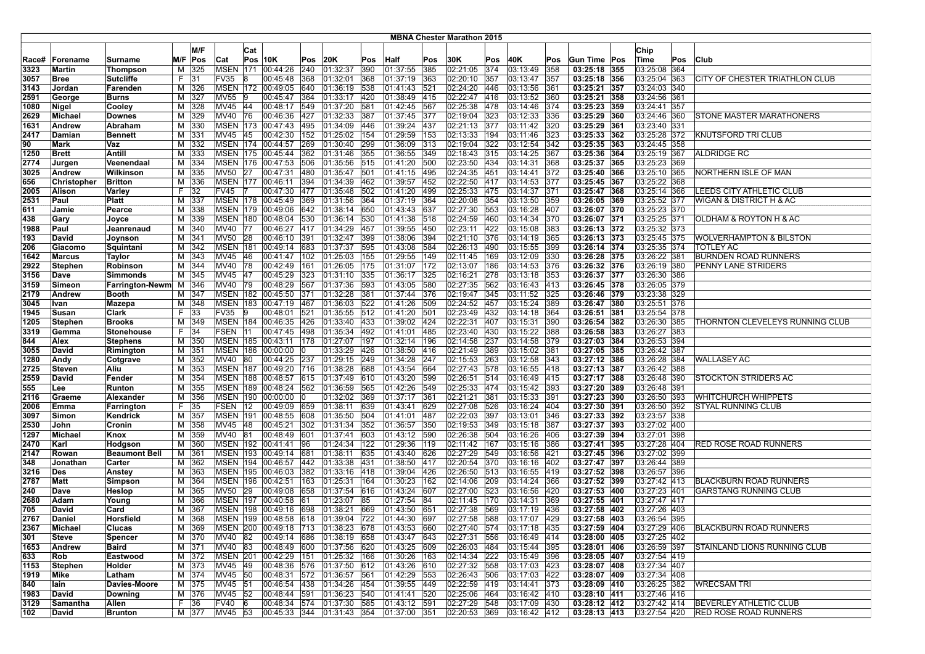|              |                          |                                   |         |             |                                |            |                                    |            |                              |     |                        |            | <b>MBNA Chester Marathon 2015</b> |            |                      |            |                              |                              |     |                                    |
|--------------|--------------------------|-----------------------------------|---------|-------------|--------------------------------|------------|------------------------------------|------------|------------------------------|-----|------------------------|------------|-----------------------------------|------------|----------------------|------------|------------------------------|------------------------------|-----|------------------------------------|
|              |                          |                                   |         | M/F         |                                |            |                                    |            |                              |     |                        |            |                                   |            |                      |            |                              |                              |     |                                    |
|              |                          |                                   |         |             |                                | Cat        |                                    |            |                              |     |                        |            |                                   |            |                      |            |                              | Chip                         |     |                                    |
| Race#        | Forename                 | Surname                           | M/F     | Pos         | Cat                            |            | Pos 10K                            | Pos        | 20K                          | Pos | <b>Half</b>            | Pos        | 30K                               | Pos        | 40K                  | Pos        | Gun Time Pos                 | Time                         | Pos | <b>Club</b>                        |
| 3323         | Martin                   | Thompson                          | M       | 325         | <b>MSEN</b> 171                |            | 00:44:26                           | 240        | 01:32:37                     | 390 | 01:37:55               | 385        | 02:21:05                          | 374        | 03:13:49             | 358        | 03:25:18 355                 | 03:25:08 364                 |     |                                    |
| 3057         | Bree                     | <b>Sutcliffe</b>                  | F.      | 31          | FV35                           | 18         | 00:45:48                           | 368        | 01:32:01                     | 368 | 01:37:19               | 363        | 02:20:10                          | 357        | 03:13:47             | 357        | 03:25:18 356                 | 03:25:04 363                 |     | CITY OF CHESTER TRIATHLON CLUB     |
| 3143         | Jordan                   | Farenden                          | M       | 326         | <b>MSEN 172</b>                |            | 00:49:05                           | 640        | 01:36:19                     | 538 | 01:41:43               | 521        | 02:24:20                          | 446        | 03:13:56             | 361        | 03:25:21 357                 | 03:24:03 340                 |     |                                    |
| 2591         | George                   | Burns                             | M       | 327         | MV55                           | ١9         | 00:45:47                           | 364        | 01:33:17                     | 420 | 01:38:49               | 415        | 02:22:47                          | 416        | 03:13:52             | 360        | 03:25:21 358                 | 03:24:56 361                 |     |                                    |
| 1080         | Nigel                    | Cooley                            | м       | 328         | MV45 44                        |            | 00:48:17                           | 549        | 01:37:20 581                 |     | 01:42:45               | 567        | 02:25:38                          | 478        | 03:14:46             | 374        | 03:25:23 359                 | 03:24:41 357                 |     |                                    |
| 2629         | Michael                  | <b>Downes</b>                     | М       | 329         | MV40 76                        |            | 00:46:36                           | 427        | 01:32:33 387                 |     | 01:37:45               | 377        | 02:19:04                          | 323        | 03:12:33             | 336        | 03:25:29 360                 | 03:24:46 360                 |     | STONE MASTER MARATHONERS           |
| 1631         | Andrew                   | Abraham                           | M       | 330         | <b>MSEN 173</b>                |            | 00:47:43                           | 495        | 01:34:09 446                 |     | 01:39:24               | 437        | 02:21:13                          | 377        | 03:11:42             | 320        | 03:25:29 361                 | 03:23:40 331                 |     |                                    |
| 2417         | Damian                   | <b>Bennett</b>                    | М       | 331         | MV45                           | 45         | 00:42:30                           | 152        | 01:25:02 154                 |     | $\sqrt{01:29:59}$      | 153        | 02:13:33                          | 194        | 03:11:46             | 323        | 03:25:33 362                 | 03:25:28 372                 |     | KNUTSFORD TRI CLUB                 |
| 90           | Mark                     | Vaz                               | M       | 332         | <b>MSEN</b> 174                |            | 00:44:57                           | 269        | 01:30:40                     | 299 | 01:36:09               | 313        | 02:19:04                          | 322        | 03:12:54             | 342        | 03:25:35 363                 | 03:24:45 358                 |     |                                    |
| 1250         | <b>Brett</b>             | Antill                            | M       | 333         |                                |            | MSEN 175 00:45:44                  | 362        | 01:31:46 355                 |     | 01:36:55               | 349        | 02:18:43                          | 315        | 03:14:25             | 367        | 03:25:36 364                 | 03:25:19 367                 |     | <b>ALDRIDGE RC</b>                 |
| 2774         | Jurgen                   | Veenendaal                        | M       | 334         |                                |            | MSEN 176 00:47:53                  | 506        | 01:35:56 515                 |     | 01:41:20               | 500        | 02:23:50 434                      |            | 03:14:31             | 368        | 03:25:37 365<br>03:25:40 366 | 03:25:23 369                 |     | NORTHERN ISLE OF MAN               |
| 3025         | Andrew                   | Wilkinson                         | м       | 335         | MV50 27                        |            | 00:47:31                           | 480        | 01:35:47 501                 |     | 01:41:15               | 495        | 02:24:35<br>02:22:50              | 451        | 03:14:41             | 372        |                              | 03:25:10 365                 |     |                                    |
| 656          | Christopher              | <b>Britton</b>                    | м<br>F. | 336         |                                |            | MSEN 177 100:46:11                 | 394        | 01:34:39                     | 462 | 01:39:57               | 452        |                                   | 417        | 03:14:53             | 377        | 03:25:45 367                 | 03:25:22 368                 |     |                                    |
| 2005         | Alison<br>Paul           | Varley                            |         | 32          | <b>FV45</b><br><b>MSEN 178</b> |            | 00:47:30                           | 477        | 01:35:48                     | 502 | 01:41:20               | 499<br>364 | 02:25:33                          | 475<br>354 | 03:14:37             | 371        | 03:25:47 368                 | 03:25:14 366                 |     | LEEDS CITY ATHLETIC CLUB           |
| 2531<br>611  | Jamie                    | Platt<br>Pearce                   | M<br>M  | 337<br>338  |                                |            | 00:45:49<br>MSEN 179 00:49:06      | 369<br>642 | 01:31:56<br>01:38:14 650     | 364 | 01:37:19<br>[01:43:43] | 637        | 02:20:08<br>02:27:30              | 553        | 03:13:50<br>03:16:28 | 359<br>407 | 03:26:05 369<br>03:26:07 370 | 03:25:52 377<br>03:25:23 370 |     | WIGAN & DISTRICT H & AC            |
| 438          | Gary                     |                                   | М       | 339         |                                |            | MSEN 180 00:48:04                  | 530        | 01:36:14 530                 |     | 01:41:38               | 518        | 02:24:59                          | 460        | 03:14:34             | 370        | 03:26:07 371                 | 03:25:25 371                 |     | OLDHAM & ROYTON H & AC             |
|              |                          | Joyce                             |         |             |                                |            |                                    |            |                              |     |                        |            |                                   | 422        | 03:15:08             |            | 03:26:13 372                 | 03:25:32 373                 |     |                                    |
| 1988<br>193  | Paul<br>David            | Jeanrenaud<br>Joynson             | м<br>M  | 340<br> 341 | MV40 77<br>MV50 28             |            | 00:46:27<br>00:46:10               | 417<br>391 | 01:34:29 457<br>01:32:47 399 |     | 01:39:55<br> 01:38:06  | 450<br>394 | 02:23:11<br>02:21:10              | 376        | 03:14:19             | 383<br>365 | 03:26:13 373                 | 03:25:45 375                 |     | <b>WOLVERHAMPTON &amp; BILSTON</b> |
|              |                          |                                   |         |             | <b>MSEN 181</b>                |            | 00:49:14                           | 683        |                              |     |                        | 584        |                                   | 490        |                      | 399        |                              |                              |     | <b>TOTLEY AC</b>                   |
| 206          | Giacomo                  | Squintani                         | м       | 342         | MV45 46                        |            | 00:41:47 102                       |            | 01:37:37                     | 595 | 01:43:08               | 149        | 02:26:13                          | 169        | 03:15:55             |            | 03:26:14 374<br>03:26:28 375 | 03:25:35 374                 |     | BURNDEN ROAD RUNNERS               |
| 1642<br>2922 | Marcus<br><b>Stephen</b> | Taylor<br>Robinson                | M<br>M  | 343<br>344  | MV40                           | 78         | 00:42:49                           | 161        | 01:25:03 155<br>01:26:05 175 |     | 01:29:55<br> 01:31:07  | 172        | 02:11:45<br>02:13:07              | 186        | 03:12:09<br>03:14:53 | 330<br>376 | 03:26:32 376                 | 03:26:22 381<br>03:26:19 380 |     | PENNY LANE STRIDERS                |
| 3156         | Dave                     | <b>Simmonds</b>                   | M       | 345         | MV45 47                        |            | 00:45:29                           | 323        | 01:31:10 335                 |     | 01:36:17               | 325        | 02:16:21                          | 278        | 03:13:18             | 353        | 03:26:37 377                 | 03:26:30 386                 |     |                                    |
| 3159         | Simeon                   |                                   |         | 346         | MV40 79                        |            | 00:48:29                           | 567        | 01:37:36 593                 |     | 01:43:05               | 580        | 02:27:35                          | 562        | 03:16:43             | 413        | 03:26:45 378                 | 03:26:05 379                 |     |                                    |
| 2179         | Andrew                   | Farrington-Newm M<br><b>Booth</b> | М       | 347         |                                |            | MSEN 182 00:45:50                  | 371        | 01:32:28 381                 |     | 01:37:44               | 376        | 02:19:47                          | 345        | 03:11:52             | 325        | 03:26:46 379                 | 03:23:38 329                 |     |                                    |
| 3045         | Ivan                     | Mazepa                            | M       | 348         |                                |            | MSEN 183 00:47:19 467              |            | 01:36:03 522                 |     | 01:41:26               | 509        | 02:24:52                          | 457        | 03:15:24             | 389        | 03:26:47 380                 | 03:25:51 376                 |     |                                    |
| 1945         | Susan                    | Clark                             | F.      | 33          | FV35                           | 19         | 00:48:01                           | 521        | $ 01:35:55$ 512              |     | 01:41:20               | 1501       | 02:23:49                          | 432        | 03:14:18             | 364        | 03:26:51 381                 | 03:25:54 378                 |     |                                    |
| 1205         | <b>Stephen</b>           | <b>Brooks</b>                     | M       | 349         | <b>MSEN 184</b>                |            | 00:46:35                           | 426        | 01:33:40                     | 433 | 01:39:02               | 424        | 02:22:31                          | 407        | 03:15:31             | 390        | 03:26:54 382                 | 03:26:30 385                 |     | THORNTON CLEVELEYS RUNNING CLUB    |
| 3319         | Gemma                    | <b>Stonehouse</b>                 | F.      | 34          | <b>FSEN</b>                    | <b>111</b> | 00:47:45                           | 498        | 01:35:34                     | 492 | 01:41:01               | 485        | 02:23:40                          | 430        | 03:15:22             | 388        | 03:26:58 383                 | 03:26:27 383                 |     |                                    |
| 844          | Alex                     | <b>Stephens</b>                   | M       | 350         |                                |            | MSEN 185 00:43:11                  | 178        | 01:27:07 197                 |     | 01:32:14               | 196        | 02:14:58                          | 237        | 03:14:58             | 379        | 03:27:03 384                 | 03:26:53 394                 |     |                                    |
| 3055         | David                    | Rimington                         | M       | 351         |                                |            | MSEN 186 00:00:00 0                |            | 01:33:29 426                 |     | 01:38:50               | 416        | 02:21:49 389                      |            | 03:15:02             | 381        | 03:27:05 385                 | 03:26:42 387                 |     |                                    |
| 1280         | Andy                     | Cotgrave                          | м       | 352         | MV40                           | 80         | 00:44:25                           | 237        | 01:29:15 249                 |     | 01:34:28               | 247        | 02:15:53                          | 263        | 03:12:58             | 343        | 03:27:12 386                 | 03:26:28 384                 |     | <b>WALLASEY AC</b>                 |
| 2725         | <b>Steven</b>            | Aliu                              | M       | 353         | <b>MSEN 187</b>                |            | 00:49:20                           | 716        | 01:38:28 688                 |     | 01:43:54               | 664        | 02:27:43                          | 578        | 03:16:55             | 1418       | 03:27:13 387                 | 03:26:42 388                 |     |                                    |
| 2559         | David                    | Fender                            | М       | 354         | <b>MSEN</b>                    | 188        | 00:48:57                           | 615        | 01:37:49 610                 |     | 01:43:20               | 599        | 02:26:51                          | 514        | 03:16:49             | 415        | 03:27:17 388                 | 03:26:48 390                 |     | <b>STOCKTON STRIDERS AC</b>        |
| 555          | Lee                      | Runton                            | M       | 355         | <b>MSEN 189</b>                |            | 00:48:24                           | 562        | 01:36:59 565                 |     | 01:42:26               | 549        | 02:25:33                          | 474        | 03:15:42             | 393        | 03:27:20 389                 | 03:26:48 391                 |     |                                    |
| 2116         | Graeme                   | Alexander                         | M       | 356         |                                |            | MSEN 190 00:00:00                  |            | 01:32:02 369                 |     | 01:37:17               | 361        | 02:21:21                          | 381        | 03:15:33             | 391        | 03:27:23 390                 | 03:26:50 393                 |     | WHITCHURCH WHIPPETS                |
| 2006         | Emma                     | Farrington                        | F.      | 35          | FSEN 12                        |            | 00:49:09                           | 659        | 01:38:11                     | 639 | 01:43:41               | 629        | 02:27:08                          | 526        | 03:16:24             | 404        | 03:27:30 391                 | 03:26:50 392                 |     | STYAL RUNNING CLUB                 |
| 3097         | Simon                    | Kendrick                          | м       | 357         | <b>MSEN 191</b>                |            | 00:48:55                           | 608        | 01:35:50 504                 |     | 01:41:01               | 487        | 02:22:03                          | 397        | 03:13:01             | 346        | 03:27:33 392                 | 03:23:57 338                 |     |                                    |
| 2530         | John                     | Cronin                            | M       | 358         | <b>MV45</b>                    | 48         | 00:45:21                           | 302        | 01:31:34                     | 352 | 01:36:57               | 350        | 02:19:53                          | 349        | 03:15:18             | 387        | 03:27:37 393                 | 03:27:02 400                 |     |                                    |
| 1297         | Michael                  | Knox                              | M       | 359         | MV40                           | 81         | 00:48:49                           | 601        | 01:37:41                     | 603 | 01:43:12               | 590        | 02:26:38                          | 504        | 03:16:26             | 406        | 03:27:39 394                 | 03:27:01 398                 |     |                                    |
| 2470         | Karl                     | Hodgson                           | M       | 360         |                                |            | MSEN 192 00:41:41                  | 96         | 01:24:34                     | 122 | 01:29:36               | 119        | 02:11:42                          | 167        | 03:15:16             | 386        | 03:27:41 395                 | 03:27:28 404                 |     | <b>RED ROSE ROAD RUNNERS</b>       |
| 2147         | Rowan                    | <b>Beaumont Bell</b>              | м       | 361         | <b>MSEN 193</b>                |            | 00:49:14                           | 681        | 01:38:11                     | 635 | 01:43:40               | 626        | 02:27:29                          | 549        | 03:16:56             | 421        | 03:27:45 396                 | 03:27:02 399                 |     |                                    |
| 348          | Jonathan                 | Carter                            | M       | 362         |                                |            | MSEN 194 00:46:57                  | 442        | 01:33:38 431                 |     | 01:38:50               | 417        | 02:20:54                          | 370        | 03:16:16             | 402        | 03:27:47 397                 | 03:26:44 389                 |     |                                    |
| 3216         | Des                      | Anstey                            | М       | 363         |                                |            | MSEN 195 00:46:03                  | 382        | $ 01:33:16 $ 418             |     | 01:39:04               | 426        | 02:26:50                          | 513        | 03:16:55             | 419        | 03:27:52 398                 | 03:26:57 396                 |     |                                    |
| 2787         | Matt                     | Simpson                           | M       | 364         | <b>MSEN 196</b>                |            | 00:42:51                           | 163        | 01:25:31 164                 |     | 01:30:23               | 162        | 02:14:06                          | 209        | 03:14:24             | 366        | 03:27:52 399                 | 03:27:42 413                 |     | <b>BLACKBURN ROAD RUNNERS</b>      |
| 240          | Dave                     | Heslop                            | м       | 365         | MV50                           | 29         | 00:49:08                           | 658        | 01:37:54 616                 |     | 01:43:24               | 607        | 02:27:00                          | 523        | 03:16:56             | 420        | 03:27:53 400                 | 03:27:23 401                 |     | <b>GARSTANG RUNNING CLUB</b>       |
| 2680         | Adam                     | Young                             | м       | 366         | <b>MSEN 197</b>                |            | 00:40:58                           | 61         | 01:23:07                     | 85  | 01:27:54               | 184        | 02:11:45                          | 170        | 03:14:31             | 369        | 03:27:55 401                 | 03:27:47 417                 |     |                                    |
| 705          | David                    | Card                              | М       | 367         | <b>MSEN 198</b>                |            | 00:49:16                           | 698        | 01:38:21                     | 669 | 01:43:50               | 651        | 02:27:38                          | 569        | 03:17:19             | 436        | 03:27:58 402                 | 03:27:26 403                 |     |                                    |
| 2767         | Daniel                   | Horsfield                         | M       | 368         |                                |            | MSEN 199 00:48:58 618              |            | 01:39:04 722                 |     | 01:44:30               | 697        | 02:27:58 588                      |            | 03:17:07             | 429        | 03:27:58 403                 | 03:26:54 395                 |     |                                    |
| 2367         | Michael                  | Clucas                            |         | M 369       |                                |            | MSEN 200 00:49:18 713 01:38:23 678 |            |                              |     | 01:43:53 660           |            | $ 02:27:40 $ 574                  |            | $ 03:17:18$ 435      |            | 03:27:59 404                 | 03:27:29 406                 |     | BLACKBURN ROAD RUNNERS             |
| 301          | Steve                    | <b>Spencer</b>                    |         | M 370       | MV40 82                        |            | 00:49:14 686                       |            | 01:38:19 658                 |     | 01:43:47 643           |            | 02:27:31 556                      |            | 03:16:49 414         |            | 03:28:00 405                 | 03:27:25 402                 |     |                                    |
| 1653         | Andrew                   | Baird                             |         | M 371       | MV40 83                        |            | 00:48:49 600                       |            | 01:37:56 620                 |     | 01:43:25 609           |            | 02:26:03                          | 484        | 03:15:44 395         |            | 03:28:01 406                 | 03:26:59 397                 |     | STAINLAND LIONS RUNNING CLUB       |
| 633          | Rob                      | Eastwood                          | М       | 372         | <b>MSEN 201</b>                |            | 00:42:29 151                       |            | 01:25:32 166                 |     | 01:30:26               | 163        | 02:14:34                          | 222        | 03:15:49             | 396        | 03:28:05 407                 | 03:27:54 419                 |     |                                    |
| 1153         | Stephen                  | Holder                            | M       | 373         | MV45 49                        |            | 00:48:36 576                       |            | 01:37:50 612                 |     | 01:43:26               | 610        | 02:27:32 558                      |            | 03:17:03 423         |            | 03:28:07 408                 | 03:27:34 407                 |     |                                    |
| 1919         | Mike                     | Latham                            |         | M 374       | MV45 50                        |            | 00:48:31 572                       |            | 01:36:57 561                 |     | $01:42:29$ 553         |            | 02:26:43 506                      |            | 03:17:03 422         |            | 03:28:07 409                 | 03:27:34 408                 |     |                                    |
| 840          | lain                     | Davies-Moore                      |         | M 375       | MV45 51                        |            | 00:46:54 438                       |            | $ 01:34:26 $ 454             |     | 01:39:55 449           |            | 02:22:59 419                      |            | 03:14:41 373         |            | 03:28:09 410                 | 03:26:25 382                 |     | <b>WRECSAM TRI</b>                 |
| 1983         | David                    | Downing                           |         | M 376       | MV45 52                        |            | 00:48:44 591                       |            | 01:36:23 540                 |     | 01:41:41 520           |            | 02:25:06 464                      |            | 03:16:42 410         |            | 03:28:10 411                 | 03:27:46 416                 |     |                                    |
| 3129         | Samantha                 | Allen                             |         | F 36        | FV40 6                         |            | 00:48:34 574                       |            | 01:37:30 585                 |     | 01:43:12 591           |            | 02:27:29 548                      |            | 03:17:09 430         |            | 03:28:12 412                 | 03:27:42 414                 |     | <b>BEVERLEY ATHLETIC CLUB</b>      |
| 102          | David                    | <b>Brunton</b>                    |         | M 377       | MV45 53                        |            | 00:45:33 344 01:31:43 354          |            |                              |     | 01:37:00 351           |            | 02:20:53 369                      |            | 03:16:42 412         |            | $03:28:13$ 413               | 03:27:54 420                 |     | <b>RED ROSE ROAD RUNNERS</b>       |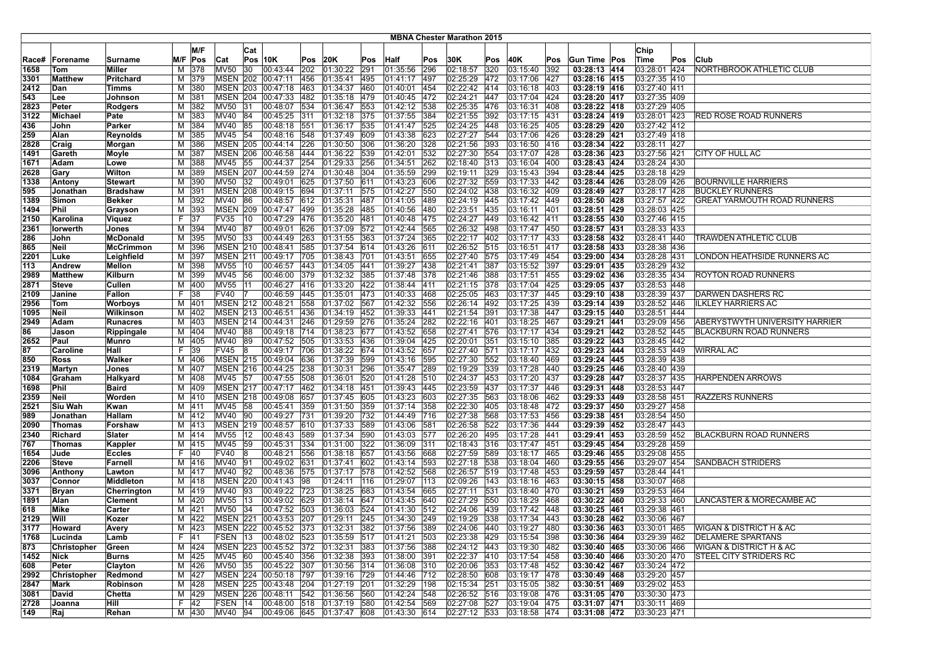|             |                |                  |         |            |                 |              |                                        |            |                          |            |                      |               | <b>MBNA Chester Marathon 2015</b> |            |                               |             |                              |                              |     |                                        |
|-------------|----------------|------------------|---------|------------|-----------------|--------------|----------------------------------------|------------|--------------------------|------------|----------------------|---------------|-----------------------------------|------------|-------------------------------|-------------|------------------------------|------------------------------|-----|----------------------------------------|
|             |                |                  |         | M/F        |                 |              |                                        |            |                          |            |                      |               |                                   |            |                               |             |                              |                              |     |                                        |
|             |                |                  |         |            |                 | Cat          |                                        |            |                          |            |                      |               |                                   |            |                               |             |                              | Chip                         |     |                                        |
| Race#       | Forename       | Surname          |         | M/F Pos    | Cat             |              | $Pos$ 10K                              | Pos        | 20K                      | Pos        | Half                 | Pos           | 30K                               | Pos        | 40K                           | Pos         | Gun Time Pos                 | Time                         | Pos | Club                                   |
| 1658        | Tom            | Miller           | М       | 378        | <b>MV50</b>     | 30           | 00:43:44                               | 202        | 01:30:22                 | 291        | 01:35:56             | 296           | 02:18:57                          | 320        | 03:15:40                      | 392         | 03:28:13 414                 | 03:28:01 424                 |     | NORTHBROOK ATHLETIC CLUB               |
| 3301        | Matthew        | Pritchard        |         | M 379      |                 |              | MSEN 202 00:47:11                      | 456        | 01:35:41                 | 495        | 01:41:17             | 497           | 02:25:29                          | 472        | 03:17:06                      | 427         | 03:28:16 415                 | 03:27:35 410                 |     |                                        |
| 2412        | Dan            | Timms            | М       | 380        | <b>MSEN 203</b> |              | 00:47:18                               | 463        | 01:34:37                 | 460        | 01:40:01             | 454           | 02:22:42                          | 414        | 03:16:18                      | 403         | 03:28:19 416                 | 03:27:40 411                 |     |                                        |
| 543         | Lee            | Johnson          | м       | 381        | <b>MSEN 204</b> |              | 00:47:33                               | 482        | 01:35:18                 | 479        | 01:40:45             | 472           | 02:24:21                          | 447        | 03:17:04                      | 424         | 03:28:20 417                 | 03:27:35 409                 |     |                                        |
| 2823        | Peter          | Rodgers          | м       | 382        | MV50 31         |              | 00:48:07                               | 534        | 01:36:47                 | 553        | 01:42:12             | 538           | 02:25:35                          | 476        | 03:16:31                      | 408         | 03:28:22 418                 | 03:27:29 405                 |     |                                        |
| 3122        | Michael        | Pate             |         | M 383      | MV40 84         |              | 00:45:25                               | 311        | 01:32:18 375             |            | 01:37:55             | 384           | 02:21:55                          | 392        | 03:17:15                      | 431         | 03:28:24 419                 | 03:28:01 423                 |     | RED ROSE ROAD RUNNERS                  |
| 436         | John           | Parker           | м       | 384        | MV40            | 85           | 00:48:18                               | 551        | 01:36:17                 | 535        | 01:41:47             | 525           | 02:24:25                          | 448        | 03:16:25                      | 405         | 03:28:29 420                 | 03:27:42 412                 |     |                                        |
| 259         | Alan           | Reynolds         | м       | 385        | MV45            | 54           | 00:48:16                               | 548        | 01:37:49                 | 609        | 01:43:38             | 623           | 02:27:27                          | 544        | 03:17:06                      | 426         | 03:28:29 421                 | 03:27:49 418                 |     |                                        |
| 2828        | Craig          | Morgan           | M       | 386        | <b>MSEN 205</b> |              | 00:44:14                               | 226        | 01:30:50                 | 306        | 01:36:20             | 328           | 02:21:56                          | 393        | 03:16:50                      | 416         | 03:28:34 422                 | 03:28:11 427                 |     |                                        |
| 1491        | Gareth         | Moyle            | М       | 387        | <b>MSEN 206</b> |              | 00:46:58                               | 444        | 01:36:22                 | 539        | 01:42:01             | 532           | 02:27:30                          | 554        | 03:17:07                      | 428         | 03:28:36 423                 | 03:27:56 421                 |     | CITY OF HULL AC                        |
| 1671        | Adam           | Lowe             | М       | 388        | MV45 55         |              | 00:44:37                               | 254        | 01:29:33                 | 256        | 01:34:51             | 262           | 02:18:40                          | 313        | 03:16:04                      | 400         | 03:28:43 424                 | 03:28:24 430                 |     |                                        |
| 2628        | Gary           | Wilton           | M       | 389        |                 |              | MSEN 207 00:44:59 274                  |            | 01:30:48 304             |            | 01:35:59             | 299           | 02:19:11                          | 329        | 03:15:43                      | 394         | 03:28:44 425                 | 03:28:18 429                 |     |                                        |
| 1338        | Antony         | <b>Stewart</b>   | м       | 390        | <b>MV50</b>     | 32           | 00:49:01                               | 625        | 01:37:50                 | 611        | 01:43:23             | 1606          | 02:27:32                          | 559        | 03:17:33                      | 442         | 03:28:44 426                 | 03:28:09 426                 |     | <b>BOURNVILLE HARRIERS</b>             |
| 595         | Jonathan       | <b>Bradshaw</b>  | М       | 391        | <b>MSEN 208</b> |              | 00:49:15                               | 694        | 01:37:11                 | 575        | 01:42:27             | 550           | 02:24:02                          | 438        | 03:16:32                      | 409         | 03:28:49 427                 | 03:28:17 428                 |     | <b>BUCKLEY RUNNERS</b>                 |
| 1389        | Simon          | <b>Bekker</b>    | М       | 392        | MV40            | 86           | 00:48:57                               | 612        | 01:35:31                 | 487        | 01:41:05             | 489           | 02:24:19                          | 445        | 03:17:42                      | 449         | 03:28:50 428                 | 03:27:57 422                 |     | <b>GREAT YARMOUTH ROAD RUNNERS</b>     |
| 1494        | Phil           | Grayson          | M       | 393        |                 |              | MSEN 209 00:47:47                      | 499        | 01:35:28                 | 485        | 01:40:56             | 480           | 02:23:51                          | 435        | 03:16:11                      | 401         | 03:28:51 429                 | 03:28:03 425                 |     |                                        |
| 2150        | Karolina       | Viquez           | F.      | 37         | <b>FV35</b>     | 10           | 00:47:29                               | 476        | 01:35:20                 | 481        | 01:40:48             | 475           | 02:24:27                          | 449        | 03:16:42                      | 1411        | 03:28:55 430                 | 03:27:46 415                 |     |                                        |
| 2361        | lorwerth       | Jones            | М       | 394        | MV40 87         |              | 00:49:01                               | 626        | 01:37:09 572             |            | 01:42:44             | 565           | 02:26:32                          | 498        | 03:17:47                      | 450         | 03:28:57 431                 | 03:28:33 433                 |     |                                        |
| 286         | John           | McDonald         | м       | 395        | <b>MV50</b>     | $ 33\rangle$ | 00:44:49                               | 263        | 01:31:55                 | 363        | 01:37:24             | 365           | 02:22:17                          | 402        | 03:17:17                      | 433         | 03:28:58 432                 | 03:28:41 440                 |     | TRAWDEN ATHLETIC CLUB                  |
| 865         | Neil           | <b>McCrimmon</b> | М       | 396        | <b>MSEN 210</b> |              | 00:48:41                               | 585        | 01:37:54                 | 614        | 01:43:26             | 611           | 02:26:52                          | 515        | 03:16:51                      | 417         | 03:28:58 433                 | 03:28:38 436                 |     |                                        |
| 2201        | Luke           | Leighfield       | M       | 397        | <b>MSEN 211</b> |              | 00:49:17                               | 705        | $ 01:38:43 $ 701         |            | 01:43:51             | 655           | 02:27:40                          | 575        | 03:17:49                      | 1454        | 03:29:00 434                 | 03:28:28 431                 |     | ONDON HEATHSIDE RUNNERS AC             |
| 113         | Andrew         | <b>Mellon</b>    | M       | 398        | MV55            | 10           | 00:46:57                               | 443        | 01:34:05                 | 441        | 01:39:27             | 438           | 02:21:41                          | 387        | 03:15:52                      | 397         | 03:29:01 435                 | 03:28:29 432                 |     |                                        |
| 2989        | Matthew        | Kilburn          | М       | 399        | MV45            | 56           | 00:46:00                               | 379        | 01:32:32                 | 385        | 01:37:48             | 378           | 02:21:46                          | 388        | 03:17:51                      | 455         | 03:29:02 436                 | 03:28:35 434                 |     | ROYTON ROAD RUNNERS                    |
| 2871        | Steve          | Cullen           | м       | 400        | <b>MV55</b>     | 11           | 00:46:27                               | 416        | 01:33:20                 | 422        | 01:38:44             | 411           | 02:21:15                          | 378        | 03:17:04                      | 425         | 03:29:05 437                 | 03:28:53 448                 |     |                                        |
| 2109        | Janine         | Fallon           | F.      | 38         | <b>FV40</b>     |              | 00:46:59                               | 445        | 01:35:01                 | 473        | 01:40:33             | 468           | 02:25:05                          | 463        | 03:17:37                      | 445         | 03:29:10 438                 | 03:28:39 437                 |     | <b>DARWEN DASHERS RC</b>               |
| 2956        | Tom            | <b>Worboys</b>   | М       | 401        |                 |              | MSEN 212 00:48:21                      | 558        | 01:37:02                 | 567        | 01:42:32             | 556           | 02:26:14                          | 492        | 03:17:25                      | 439         | 03:29:14 439                 | 03:28:52 446                 |     | <b>ILKLEY HARRIERS AC</b>              |
| 1095        | Neil           | Wilkinson        | М       | 402        | <b>MSEN 213</b> |              | 00:46:51                               | 436        | $ 01:34:19$ 452          | 276        | 01:39:33             | 441           | 02:21:54                          | 391        | 03:17:38                      | 447         | 03:29:15 440                 | 03:28:51 444<br>03:29:09 456 |     |                                        |
| 2949        | Adam           | <b>Runacres</b>  | М       | 403        | <b>MSEN 214</b> |              | 00:44:31                               | 246        | 01:29:59                 |            | 01:35:24             | 282           | 02:22:16                          | 401        | 03:18:25                      | 467         | 03:29:21 441                 |                              |     | ABERYSTWYTH UNIVERSITY HARRIER         |
| 86          | Jason          | Rippingale       | М       | 404        | MV40            | 88           | 00:49:18                               | 714        | 01:38:23                 | 677        | 01:43:52             | 658<br>425    | 02:27:41                          | 576        | 03:17:17                      | 434         | 03:29:21 442<br>03:29:22 443 | 03:28:52 445<br>03:28:45 442 |     | <b>BLACKBURN ROAD RUNNERS</b>          |
| 2652        | Paul           | Munro            |         | M 405      | MV40 89         |              | 00:47:52 505                           |            | 01:33:53<br>01:38:22 674 | 436        | 01:39:04             |               | 02:20:01<br>02:27:40              | 351        | 03:15:10                      | 385         | 03:29:23 444                 |                              |     |                                        |
| 87          | Caroline       | Hall             | F.<br>М | 39         | <b>FV45</b>     | 8            | 00:49:17 706                           |            |                          |            | 01:43:52             | 657           |                                   | 571        | 03:17:17 432                  |             |                              | 03:28:53 449                 |     | WIRRAL AC                              |
| 850<br>2319 | Ross<br>Martyn | Walker<br>Jones  | м       | 406<br>407 |                 |              | MSEN 215 00:49:04<br>MSEN 216 00:44:25 | 636<br>238 | 01:37:39<br>01:30:31     | 599<br>296 | 01:43:16<br>01:35:47 | 595<br>289    | 02:27:30<br>02:19:29              | 552<br>339 | 03:18:40<br>$\sqrt{03:17:28}$ | 469<br>1440 | 03:29:24 445<br>03:29:25 446 | 03:28:39 438<br>03:28:40 439 |     |                                        |
| 1084        | Graham         | Halkyard         | M       | 408        | MV45            | 57           | 00:47:55                               | 508        | 01:36:01                 | 520        | 01:41:28             | 510           | 02:24:37                          | 453        | 03:17:20                      | 437         | 03:29:28 447                 | 03:28:37 435                 |     | <b>HARPENDEN ARROWS</b>                |
| 1698        | Phil           | <b>Baird</b>     | М       | 409        |                 |              | MSEN 217 00:47:17                      | 462        | 01:34:18                 | 451        | 01:39:43             | 445           | 02:23:59                          | 437        | 03:17:37                      | 446         | 03:29:31 448                 | 03:28:53 447                 |     |                                        |
| 2359        | Neil           | Worden           |         | M 410      |                 |              | MSEN 218 00:49:08                      | 657        | 01:37:45 605             |            | 01:43:23             | 603           | 02:27:35                          | 563        | 03:18:06                      | 462         | 03:29:33 449                 | 03:28:58 451                 |     | <b>RAZZERS RUNNERS</b>                 |
| 2521        | <b>Siu Wah</b> | Kwan             |         | M 411      | MV45 58         |              | 00:45:41                               | 359        | 01:31:50 359             |            | 01:37:14             | 358           | 02:22:30                          | 405        | 03:18:48                      | 472         | 03:29:37 450                 | 03:29:27 458                 |     |                                        |
| 989         | Jonathan       | Hallam           |         | M 412      | MV40            | $ 90\rangle$ | 00:49:27                               | 731        | 01:39:20                 | 732        | 01:44:49             | 716           | 02:27:38                          | 568        | 03:17:53                      | 456         | 03:29:38 451                 | 03:28:54 450                 |     |                                        |
| 2090        | Thomas         | Forshaw          | М       | 413        |                 |              | MSEN 219 00:48:57                      | 610        | 01:37:33                 | 589        | 01:43:06             | 581           | 02:26:58                          | 522        | 03:17:36                      | 444         | 03:29:39 452                 | 03:28:47 443                 |     |                                        |
| 2340        | Richard        | Slater           |         | M 414      | <b>MV55</b>     | 12           | 00:48:43                               | 589        | 01:37:34                 | 590        | 01:43:03             | 577           | 02:26:20                          | 495        | 03:17:28                      | 441         | 03:29:41 453                 | 03:28:59 452                 |     | BLACKBURN ROAD RUNNERS                 |
| 767         | Thomas         | Kappler          |         | M 415      | MV45            | 59           | 00:45:31                               | 334        | 01:31:00                 | 322        | 01:36:09             | 311           | 02:18:43                          | 316        | 03:17:47                      | 451         | 03:29:45 454                 | 03:29:28 459                 |     |                                        |
| 1654        | Jude           | <b>Eccles</b>    | F.      | 140        | <b>FV40</b>     | 8            | 00:48:21                               | 556        | 01:38:18                 | 657        | 01:43:56             | 668           | 02:27:59                          | 589        | 03:18:17                      | 465         | 03:29:46 455                 | 03:29:08 455                 |     |                                        |
| 2206        | Steve          | Farnell          |         | M 416      | MV40 91         |              | 00:49:02                               | 631        | 01:37:41                 | 602        | 01:43:14             | 593           | 02:27:18                          | 538        | 03:18:04                      | 1460        | 03:29:55 456                 | 03:29:07 454                 |     | <b>SANDBACH STRIDERS</b>               |
| 3096        | Anthony        | Lawton           |         | M 417      | MV40            | 92           | 00:48:36                               | 575        | 01:37:17                 | 578        | 01:42:52             | 568           | 02:26:57                          | 519        | 03:17:48                      | 453         | 03:29:59 457                 | 03:28:44 441                 |     |                                        |
| 3037        | Connor         | Middleton        |         | M 418      | <b>MSEN 220</b> |              | 100:41:43                              | 98         | 01:24:11                 | 116        | 01:29:07             | 113           | 02:09:26                          | 143        | 03:18:16                      | 463         | 03:30:15 458                 | 03:30:07 468                 |     |                                        |
| 3371        | Bryan          | Cherrington      |         | M 419      | MV40            | 93           | 00:49:22                               | 723        | 01:38:25                 | 683        | 01:43:54             | 665           | 02:27:11                          | 531        | 03:18:40                      | 470         | 03:30:21 459                 | 03:29:53 464                 |     |                                        |
| 1891        | Alan           | Clement          |         | M 420      | MV55            | 13           | 00:49:02                               | 629        | 01:38:14                 | 647        | 01:43:45             | 640           | 02:27:29                          | 550        | 03:18:29                      | 1468        | 03:30:22 460                 | 03:29:33 460                 |     | <b>LANCASTER &amp; MORECAMBE AC</b>    |
| 618         | Mike           | Carter           |         | M 421      | <b>MV50</b>     | 34           | 00:47:52                               | 503        | 01:36:03                 | 524        | 01:41:30             | 512           | 02:24:06                          | 439        | 03:17:42                      | 1448        | 03:30:25 461                 | 03:29:38 461                 |     |                                        |
| 2129        | Will           | Kozer            |         | M 422      |                 |              | MSEN 221 00:43:53 207                  |            | 01:29:11                 | 245        | 01:34:30             | $ 249\rangle$ | 02:19:29 338                      |            | 03:17:34 443                  |             | 03:30:28 462                 | 03:30:06 467                 |     |                                        |
| 3177        | <b>Howard</b>  | Avery            |         | M   423    |                 |              | MSEN 222 00:45:52 373 01:32:31 382     |            |                          |            | 01:37:56 389         |               | 02:24:06 440                      |            | 03:19:27  480                 |             | 03:30:36 463                 | 03:30:01 465                 |     | WIGAN & DISTRICT H & AC                |
| 1768        | Lucinda        | Lamb             |         | F 41       |                 |              | FSEN 13 00:48:02 523 01:35:59 517      |            |                          |            | 01:41:21 503         |               | 02:23:38 429                      |            | 03:15:54 398                  |             | 03:30:36 464                 | 03:29:39 462                 |     | <b>DELAMERE SPARTANS</b>               |
| 873         | Christopher    | Green            |         | M 424      |                 |              | MSEN 223 00:45:52 372 01:32:31 383     |            |                          |            | 01:37:56             | 388           | $02:24:12$ 443                    |            | $ 03:19:30 $ 482              |             | 03:30:40 465                 | 03:30:06 466                 |     | <b>WIGAN &amp; DISTRICT H &amp; AC</b> |
| 1452        | Nick           | Burns            |         | M 425      | MV45 60         |              | 00:45:40 356                           |            | 01:32:38 393             |            | 01:38:00             | 391           | 02:22:37 410                      |            | 03:17:54 458                  |             | 03:30:40 466                 | 03:30:20 470                 |     | <b>STEEL CITY STRIDERS RC</b>          |
| 608         | Peter          | Clayton          |         | M 426      | MV50 35         |              | 00:45:22 307                           |            | $01:30:56$ 314           |            | 01:36:08             | 310           | 02:20:06                          | 353        | 03:17:48 452                  |             | 03:30:42 467                 | 03:30:24 472                 |     |                                        |
| 2992        | Christopher    | Redmond          |         | M 427      |                 |              | MSEN 224 00:50:18 797                  |            | 01:39:16 729             |            | 01:44:46             | 712           | 02:28:50 608                      |            | 03:19:17 478                  |             | 03:30:49 468                 | 03:29:20 457                 |     |                                        |
| 2847        | Mark           | Robinson         |         | M 428      |                 |              | MSEN 225 00:43:48 204 01:27:19 201     |            |                          |            | 01:32:29 198         |               | 02:15:34 251                      |            | 03:15:05 382                  |             | 03:30:51 469                 | 03:29:02 453                 |     |                                        |
| 3081        | David          | Chetta           |         | M 429      |                 |              | MSEN 226 00:48:11 542                  |            | 01:36:56 560             |            | 01:42:24             | 548           | 02:26:52 516                      |            | 03:19:08 476                  |             | 03:31:05 470                 | 03:30:30 473                 |     |                                        |
| 2728        | Joanna         | Hill             |         | F 42       | FSEN 14         |              | 00:48:00 518                           |            | 01:37:19 580             |            | 01:42:54             | 569           | 02:27:08 527                      |            | 03:19:04 475                  |             | 03:31:07 471                 | 03:30:11 469                 |     |                                        |
| 149         | Raj            | Rehan            |         | M 430      | MV40 94         |              | $ 00:49:06$ 645 01:37:47 608           |            |                          |            | 01:43:30 614         |               | 02:27:12 533                      |            | 03:18:58 474                  |             | 03:31:08 472                 | 03:30:23 471                 |     |                                        |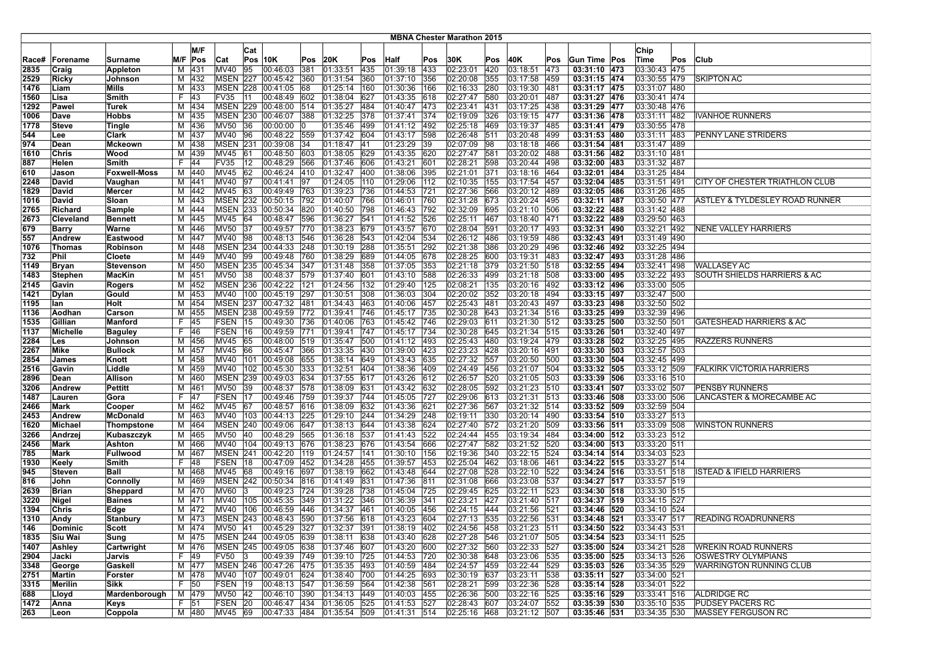|              |                         |                            |    |                |                         |              |                                          |            |                              |            |                      |            | <b>MBNA Chester Marathon 2015</b> |            |                      |               |                              |                              |     |                                    |
|--------------|-------------------------|----------------------------|----|----------------|-------------------------|--------------|------------------------------------------|------------|------------------------------|------------|----------------------|------------|-----------------------------------|------------|----------------------|---------------|------------------------------|------------------------------|-----|------------------------------------|
|              |                         |                            |    | M/F            |                         |              |                                          |            |                              |            |                      |            |                                   |            |                      |               |                              | Chip                         |     |                                    |
|              |                         |                            |    |                |                         | Cat          |                                          |            |                              |            |                      |            |                                   |            |                      |               |                              |                              |     |                                    |
| Race#        | Forename                | Surname                    |    | M/F Pos        | Cat                     |              | $Pos$ 10K                                | Pos        | 20K                          | Pos        | Half                 | Pos        | 30K                               | Pos        | 40K                  | Pos           | Gun Time Pos                 | Time                         | Pos | Club                               |
| 2835         | Craig                   | Appleton                   | М  | 431            | <b>MV40</b>             | 95           | 00:46:03                                 | 381        | 01:33:51                     | 435        | 01:39:18             | 433        | 02:23:01                          | 420        | 03:18:51             | 473           | 03:31:10 473                 | 03:30:43 475                 |     |                                    |
| 2529         | Ricky                   | Johnson                    |    | M 432          |                         |              | MSEN 227 00:45:42                        | 360        | 01:31:54                     | 360        | 01:37:10             | 356        | 02:20:08                          | 355        | 03:17:58             | 459           | 03:31:15 474                 | 03:30:55 479                 |     | SKIPTON AC                         |
| 1476         | Liam                    | <b>Mills</b>               | м  | 433            | <b>MSEN</b>             | 228          | 00:41:05                                 | 68         | 01:25:14                     | 160        | 01:30:36             | 166        | 02:16:33                          | 280        | 03:19:30             | 481           | 03:31:17 475                 | 03:31:07 480                 |     |                                    |
| 1560         | Lisa                    | Smith                      | F. | 143            | <b>FV35</b>             | l 11         | 00:48:49 602<br>MSEN 229 00:48:00 514    |            | 01:38:04                     | 627        | 01:43:35             | 618        | 02:27:47                          | 580        | 03:20:01             | 487           | 03:31:27 476                 | 03:30:41 474                 |     |                                    |
| 1292         | Pawel                   | Turek                      |    | M 434          |                         |              |                                          |            | 01:35:27                     | 484        | 01:40:47             | 473        | 02:23:41                          | 431        | 03:17:25             | 438           | 03:31:29 477                 | 03:30:48 476                 |     |                                    |
| 1006         | Dave                    | <b>Hobbs</b>               |    | M 435          |                         |              | MSEN 230 00:46:07                        | 388        | 01:32:25 378                 |            | 01:37:41             | 374        | 02:19:09                          | 326        | 03:19:15             | 477           | 03:31:36 478                 | 03:31:11 482                 |     | IVANHOE RUNNERS                    |
| 1778         | <b>Steve</b>            | Tingle                     |    | M 436          | <b>MV50</b>             | 36           | 00:00:00                                 |            | 01:35:46 499                 |            | 01:41:12             | 492        | 02:25:18                          | 469        | 03:19:37             | 485           | 03:31:41 479                 | 03:30:55 478                 |     |                                    |
| 544          | Lee                     | Clark                      |    | M 437          | MV40                    | 96           | 00:48:22 559                             |            | 01:37:42 604                 |            | 01:43:17             | 598        | 02:26:48                          | 511        | 03:20:48             | 499           | 03:31:53 480                 | 03:31:11 483                 |     | PENNY LANE STRIDERS                |
| 974          | Dean                    | <b>Mckeown</b>             |    | M 438          | <b>MSEN 231</b>         |              | 00:39:08                                 | 34         | 01:18:47 41                  |            | 01:23:29             | 39         | 02:07:09                          | 98         | 03:18:18             | 466           | 03:31:54 481                 | 03:31:47 489                 |     |                                    |
| 1610         | Chris                   | Wood                       |    | M 439          | MV45                    | 61           | 00:48:50                                 | 603        | 01:38:05 629                 |            | 01:43:35             | 620        | 02:27:47                          | 581        | 03:20:02             | 488           | 03:31:56 482                 | 03:31:10 481                 |     |                                    |
| 887          | Helen                   | Smith                      | F. | 44             | <b>FV35</b>             | $ 12\rangle$ | 00:48:29 566<br>00:46:24 410             |            | 01:37:46 606                 |            | 01:43:21             | 601        | 02:28:21<br>02:21:01              | 598        | 03:20:44<br>03:18:16 | 498           | 03:32:00 483<br>03:32:01 484 | 03:31:32 487                 |     |                                    |
| 610          | Jason                   | <b>Foxwell-Moss</b>        |    | M 440          | MV45 62                 |              |                                          |            | 01:32:47 400                 |            | 01:38:06<br>01:29:06 | 395<br>112 | 02:10:35                          | 371        |                      | 464           | 03:32:04 485                 | 03:31:25 484                 |     |                                    |
| 2248         | David                   | Vaughan                    |    | M 441          | MV40                    | 97           | 00:41:41                                 | 97         | 01:24:05                     | 110        |                      |            |                                   | 155<br>566 | 03:17:54<br>03:20:12 | 457           | 03:32:05 486                 | 03:31:51 491                 |     | CITY OF CHESTER TRIATHLON CLUB     |
| 1829         | David<br>David          | <b>Mercer</b>              | М  | M 442<br>443   | MV45<br><b>MSEN 232</b> | 63           | 00:49:49 763<br>[00:50:15]               | 792        | 01:39:23<br>01:40:07         | 736<br>766 | 01:44:53<br>01:46:01 | 721<br>760 | 02:27:36<br>02:31:28              | 673        | 03:20:24             | 489<br>495    | 03:32:11 487                 | 03:31:26 485<br>03:30:50 477 |     | ASTLEY & TYLDESLEY ROAD RUNNER     |
| 1016         | Richard                 | Sloan                      |    | 444            |                         |              | MSEN 233 00:50:34                        | 820        | 01:40:50                     | 798        | 01:46:43             | 792        | 02:32:09                          | 695        | 03:21:10             | 506           | 03:32:22 488                 | 03:31:42 488                 |     |                                    |
| 2765         |                         | Sample                     | М  |                |                         | 64           |                                          |            |                              |            | 01:41:52             | 526        | 02:25:11                          | 467        | 03:18:40             | 471           | 03:32:22 489                 | 03:29:50 463                 |     |                                    |
| 2673         | Cleveland               | <b>Bennett</b>             | М  | 445            | MV45                    |              | 00:48:47                                 | 596        | 01:36:27                     | 541        |                      |            |                                   |            |                      |               |                              |                              |     |                                    |
| 679<br>557   | <b>Barry</b><br>Andrew  | Warne<br>Eastwood          |    | M 446<br>M 447 | <b>MV50</b><br>MV40     | 37<br>98     | 00:49:57<br>00:48:13                     | 770<br>546 | 01:38:23 679<br>01:36:28 543 |            | 01:43:57<br>01:42:04 | 670<br>534 | 02:28:04<br>02:26:12              | 591<br>486 | 03:20:17<br>03:19:59 | 493<br>486    | 03:32:31 490<br>03:32:43 491 | 03:32:21 492<br>03:31:49 490 |     | NENE VALLEY HARRIERS               |
|              | Thomas                  |                            |    |                | <b>MSEN 234</b>         |              |                                          | 248        |                              |            |                      | 292        | 02:21:38                          | 386        |                      | 496           | 03:32:46 492                 | 03:32:25 494                 |     |                                    |
| 1076         | Phil                    | Robinson                   |    | M 448          | MV40                    | 99           | 00:44:33                                 | 760        | 01:30:19                     | 288        | 01:35:51             | 678        | 02:28:25                          | 600        | 03:20:29             | 483           | 03:32:47 493                 |                              |     |                                    |
| 732          |                         | Cloete                     |    | M 449<br>450   |                         |              | 00:49:48<br>MSEN 235 00:45:34            | 347        | 01:38:29 689<br>01:31:48 358 |            | 01:44:05<br>01:37:05 | 353        | 02:21:18                          | 379        | 03:19:31<br>03:21:50 | 518           | 03:32:55 494                 | 03:31:28 486<br>03:32:41 498 |     | <b>WALLASEY AC</b>                 |
| 1149<br>1483 | Bryan<br><b>Stephen</b> | Stevenson<br><b>MacKin</b> | M  | M 451          | <b>MV50</b>             | 38           | 00:48:37                                 | 579        | 01:37:40 601                 |            | 01:43:10             | 588        | 02:26:33                          | 499        | 03:21:18             | 508           | 03:33:00 495                 | 03:32:22 493                 |     | SOUTH SHIELDS HARRIERS & AC        |
|              | Gavin                   |                            |    | M 452          |                         |              | MSEN 236 00:42:22                        | 121        | 01:24:56 132                 |            | 01:29:40             | 125        | 02:08:21                          | 135        | 03:20:16             | 492           | 03:33:12 496                 | 03:33:00 505                 |     |                                    |
| 2145         |                         | <b>Rogers</b>              |    | M 453          |                         |              | MV40   100   00:45:19   297              |            | 01:30:51                     | 308        | 01:36:03             | 304        | 02:20:02                          | 352        | 03:20:18             | 494           | 03:33:15 497                 | 03:32:47 500                 |     |                                    |
| 1421<br>1195 | Dylan<br>lan            | Gould<br>Holt              | М  | 454            |                         |              | MSEN 237 00:47:32 481                    |            | 01:34:43                     | 463        | 01:40:06             | 457        | 02:25:43                          | 481        | 03:20:43             | 497           | 03:33:23 498                 | 03:32:50 502                 |     |                                    |
| 1136         | Aodhan                  | Carson                     | М  | 455            | <b>MSEN 238</b>         |              | 00:49:59                                 | 772        | 01:39:41                     | 746        | 01:45:17             | 735        | 02:30:28                          | 643        | 03:21:34             | $ 516\rangle$ | 03:33:25 499                 | 03:32:39 496                 |     |                                    |
| 1535         | Gillian                 | <b>Manford</b>             | F. | 45             | FSEN                    | 15           | 00:49:30                                 | 736        | 01:40:06                     | 763        | 01:45:42             | 746        | 02:29:03                          | 611        | 03:21:30             | 512           | 03:33:25 500                 | 03:32:50 501                 |     | <b>GATESHEAD HARRIERS &amp; AC</b> |
| 1137         | Michelle                | <b>Baguley</b>             | F. | 46             | <b>FSEN 16</b>          |              | 00:49:59                                 | 771        | 01:39:41                     | 747        | 01:45:17             | 734        | 02:30:28                          | 645        | 03:21:34             | 515           | 03:33:26 501                 | 03:32:40 497                 |     |                                    |
| 2284         | Les                     | Johnson                    |    | M 456          | MV45 65                 |              | 00:48:00 519                             |            | 01:35:47                     | 500        | 01:41:12             | 1493       | 02:25:43                          | 480        | 03:19:24             | 479           | 03:33:28 502                 | 03:32:25 495                 |     | <b>RAZZERS RUNNERS</b>             |
| 2267         | Mike                    | <b>Bullock</b>             |    | M 457          | MV45 66                 |              | 00:45:47 366                             |            | 01:33:35 430                 |            | 01:39:00             | 423        | 02:23:23                          | 428        | 03:20:16             | 491           | 03:33:30 503                 | 03:32:57 503                 |     |                                    |
| 2854         | James                   | Knott                      |    | M 458          | MV40                    |              | 101 00:49:08                             | 655        | 01:38:14                     | 649        | 01:43:43             | 635        | 02:27:32                          | 557        | 03:20:50             | 500           | 03:33:30 504                 | 03:32:45 499                 |     |                                    |
| 2516         | Gavin                   | Liddle                     | М  | 459            | MV40                    |              | $\boxed{102}$ $\boxed{00:45:30}$         | 333        | 01:32:51                     | 404        | 01:38:36             | 409        | 02:24:49                          | 456        | 03:21:07             | 504           | 03:33:32 505                 | 03:33:12 509                 |     | <b>FALKIRK VICTORIA HARRIERS</b>   |
| 2896         | Dean                    | Allison                    | Μ  | 460            | MSEN                    | 239          | 00:49:03                                 | 634        | 01:37:55                     | 617        | 01:43:26             | 612        | 02:26:57                          | 520        | 03:21:05             | 503           | 03:33:39 506                 | 03:33:16 510                 |     |                                    |
| 3206         | Andrew                  | Pettitt                    | М  | 461            | <b>MV50</b>             | 39           | 00:48:37                                 | 578        | 01:38:09                     | 631        | 01:43:42             | 632        | 02:28:05                          | 592        | 03:21:23             | 510           | 03:33:41 507                 | 03:33:02 507                 |     | PENSBY RUNNERS                     |
| 1487         | Lauren                  | Gora                       | F. | 47             | <b>FSEN 17</b>          |              | 00:49:46                                 | 759        | 01:39:37                     | 744        | 01:45:05             | 727        | 02:29:06                          | 613        | 03:21:31             | 513           | 03:33:46 508                 | 03:33:00 506                 |     | LANCASTER & MORECAMBE AC           |
| 2466         | Mark                    | Cooper                     |    | M 462          | MV45 67                 |              | 00:48:57                                 | 616        | 01:38:09 632                 |            | 01:43:36             | 621        | 02:27:36                          | 567        | 03:21:32 514         |               | 03:33:52 509                 | 03:32:59 504                 |     |                                    |
| 2453         | Andrew                  | <b>McDonald</b>            |    | M 463          |                         |              | MV40 103 00:44:13                        | 225        | 01:29:10 244                 |            | 01:34:29             | 248        | 02:19:11                          | 330        | 03:20:14             | 490           | 03:33:54 510                 | 03:33:27 513                 |     |                                    |
| 1620         | Michael                 | Thompstone                 | M  | 464            |                         |              | MSEN 240 00:49:06                        | 647        | 01:38:13                     | 644        | 01:43:38             | 624        | 02:27:40                          | 572        | 03:21:20             | 509           | 03:33:56 511                 | 03:33:09 508                 |     | <b>WINSTON RUNNERS</b>             |
| 3266         | Andrzej                 | Kubaszczyk                 |    | M 465          | <b>MV50</b>             | 40           | 00:48:29                                 | 565        | 01:36:18                     | 537        | 01:41:43             | 522        | 02:24:44                          | 455        | 03:19:34             | 484           | 03:34:00 512                 | 03:33:23 512                 |     |                                    |
| 2456         | Mark                    | Ashton                     |    | M 466          | <b>MV40</b>             |              | 104 00:49:13                             | 676        | 01:38:23                     | 676        | 01:43:54             | 666        | 02:27:47                          | 582        | 03:21:52             | 520           | 03:34:00 513                 | 03:33:20 511                 |     |                                    |
| 785          | Mark                    | Fullwood                   |    | M 467          |                         |              | MSEN 241 00:42:20                        | 119        | 01:24:57                     | 141        | 01:30:10             | 156        | 02:19:36                          | 340        | 03:22:15             | 524           | 03:34:14 514                 | 03:34:03 523                 |     |                                    |
| 1930         | Keely                   | Smith                      | F. | 48             | FSEN 18                 |              | 00:47:09 452                             |            | 01:34:28 455                 |            | 01:39:57             | 453        | 02:25:04                          | 462        | 03:18:06             | 1461          | 03:34:22 515                 | 03:33:27 514                 |     |                                    |
| 945          | Steven                  | <b>Ball</b>                |    | M 468          | MV45 68                 |              | 00:49:16                                 | 697        | 01:38:19 662                 |            | 01:43:48             | 644        | 02:27:08                          | 528        | 03:22:10             | 522           | 03:34:24 516                 | 03:33:51 518                 |     | <b>STEAD &amp; IFIELD HARRIERS</b> |
| 816          | John                    | Connolly                   | M  | 469            |                         |              | MSEN 242 00:50:34                        | 816        | 01:41:49                     | 831        | 01:47:36             | 811        | 02:31:08                          | 666        | 03:23:08             | 537           | 03:34:27 517                 | 03:33:57 519                 |     |                                    |
| 2639         | <b>Brian</b>            | Sheppard                   |    | M 470          | <b>MV60</b>             | 13           | 00:49:23                                 | 724        | 01:39:28                     | 738        | 01:45:04             | 725        | 02:29:45                          | 625        | 03:22:11             | 523           | 03:34:30 518                 | 03:33:30 515                 |     |                                    |
| 3220         | Nigel                   | <b>Baines</b>              |    | M 471          | MV40                    |              | 105 00:45:35                             | 349        | 01:31:22                     | 346        | 01:36:39             | 341        | 02:23:21                          | 427        | 03:21:40             | 517           | 03:34:37 519                 | 03:34:15 527                 |     |                                    |
| 1394         | Chris                   | Edge                       |    | M 472          | MV40                    | 106          | 00:46:59 446                             |            | 01:34:37                     | 461        | 01:40:05             | 456        | 02:24:15                          | 444        | 03:21:56             | 521           | 03:34:46 520                 | 03:34:10 524                 |     |                                    |
| 1310         | Andy                    | Stanbury                   |    | M 473          |                         |              | MSEN 243 00:48:43 590                    |            | 01:37:56 618                 |            | 01:43:23             | 604        | 02:27:13 535                      |            | 03:22:56             | 531           | 03:34:48 521                 | 03:33:47 517                 |     | <b>READING ROADRUNNERS</b>         |
| 146          | Dominic                 | Scott                      |    | M   474        |                         |              | MV50 41 00:45:29 327 01:32:37 391        |            |                              |            | $ 01:38:19$ $ 402$   |            | 02:24:56 458                      |            | 03:21:23 511         |               | 03:34:50 522                 | 03:34:43 531                 |     |                                    |
| 1835         | Siu Wai                 | Sung                       |    | M 475          |                         |              | MSEN 244 00:49:05 639 01:38:11 638       |            |                              |            | 01:43:40 628         |            | 02:27:28 546                      |            | 03:21:07 505         |               | 03:34:54 523                 | 03:34:11 525                 |     |                                    |
| 1407         | Ashley                  | Cartwright                 |    | M 476          |                         |              | MSEN 245 00:49:05 638                    |            | $ 01:37:46 $ 607             |            | 01:43:20             | 600        | 02:27:32 560                      |            | 03:22:33 527         |               | 03:35:00 524                 | 03:34:21 528                 |     | WREKIN ROAD RUNNERS                |
| 2904         | Jacki                   | Jarvis                     |    | F 49           | <b>FV50</b>             | 13           | 00:49:39 749                             |            | 01:39:10 725                 |            | 01:44:53             | 720        | 02:30:38                          | 648        | 03:23:06 535         |               | 03:35:00 525                 | 03:34:13 526                 |     | <b>OSWESTRY OLYMPIANS</b>          |
| 3348         | George                  | Gaskell                    |    | M 477          |                         |              | MSEN 246 00:47:26 475                    |            | 01:35:35 493                 |            | 01:40:59 484         |            | 02:24:57 459                      |            | 03:22:44 529         |               | 03:35:03 526                 | 03:34:35 529                 |     | <b>WARRINGTON RUNNING CLUB</b>     |
| 2751         | Martin                  | Forster                    |    | M 478          |                         |              | MV40 107 00:49:01 624                    |            | $ 01:38:40$ 700              |            | 01:44:25 693         |            | 02:30:19 637                      |            | 03:23:11 538         |               | 03:35:11 527                 | 03:34:00 521                 |     |                                    |
| 3315         | Merilin                 | Sikk                       |    | F 50           | FSEN 19                 |              | 00:48:13 547                             |            | 01:36:59 564                 |            | 01:42:38 561         |            | 02:28:21 599                      |            | 03:22:36 528         |               | 03:35:14 528                 | 03:34:01 522                 |     |                                    |
| 688          | Lloyd                   | Mardenborough              |    | M 479          | MV50 42                 |              | 00:46:10 390                             |            | 01:34:13 449                 |            | 01:40:03 455         |            | 02:26:36                          | 500        | 03:22:16 525         |               | 03:35:16 529                 | 03:33:41 516                 |     | ALDRIDGE RC                        |
| 1472         | Anna                    | Keys                       |    | $F$ 51         | FSEN 20                 |              | 00:46:47 434                             |            | $ 01:36:05 $ 525             |            | 01:41:53             | 527        | 02:28:43 607                      |            | 03:24:07 552         |               | 03:35:39 530                 | 03:35:10 535                 |     | <b>PUDSEY PACERS RC</b>            |
| 263          | Leon                    | Coppola                    |    | M 480          | MV45 69                 |              | $ 00:47:33 \t  484 \t  01:35:54 \t  509$ |            |                              |            | 01:41:31 514         |            | 02:25:16 468                      |            | 03:21:12 507         |               | 03:35:46 531                 | 03:34:35 530                 |     | MASSEY FERGUSON RC                 |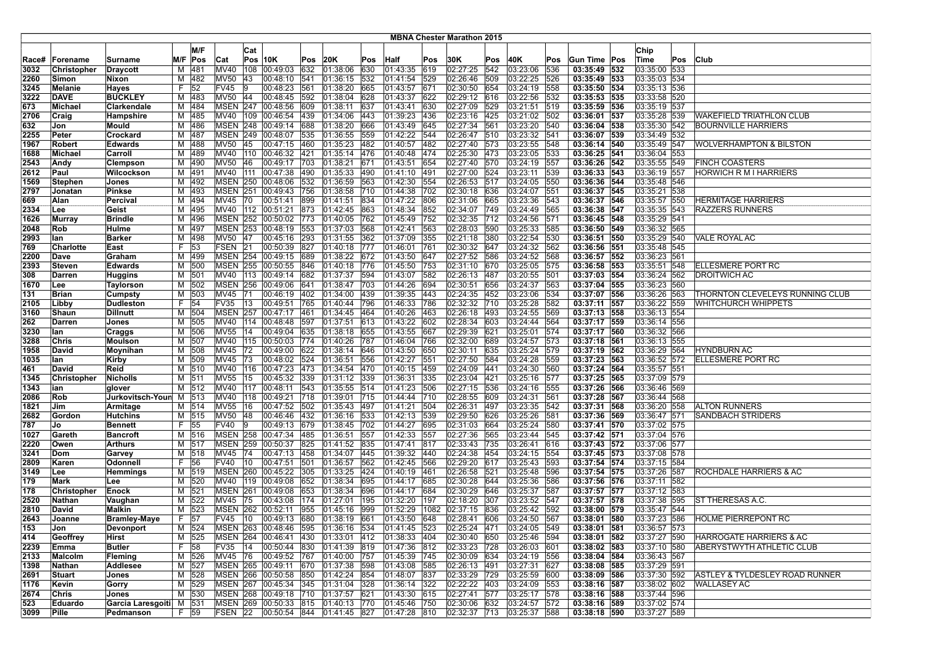|       |                  |                     |    |         |                 |                 |                                    |     |                |     |                |               | <b>MBNA Chester Marathon 2015</b> |     |                   |     |              |              |     |                                           |
|-------|------------------|---------------------|----|---------|-----------------|-----------------|------------------------------------|-----|----------------|-----|----------------|---------------|-----------------------------------|-----|-------------------|-----|--------------|--------------|-----|-------------------------------------------|
|       |                  |                     |    |         |                 |                 |                                    |     |                |     |                |               |                                   |     |                   |     |              |              |     |                                           |
|       |                  |                     |    | M/F     |                 | Cat             |                                    |     |                |     |                |               |                                   |     |                   |     |              | Chip         |     |                                           |
| Race# | Forename         | Surname             |    | M/F Pos | Cat             |                 | $Pos$ 10K                          | Pos | 20K            | Pos | Half           | Pos           | 30K                               | Pos | 40K               | Pos | Gun Time Pos | Time         | Pos | Club                                      |
| 3032  | Christopher      | <b>Draycott</b>     | М  | 481     | <b>MV40</b>     | 108             | 00:49:03                           | 632 | 01:38:06       | 630 | 01:43:35       | 619           | 02:27:25                          | 542 | 03:23:06          | 536 | 03:35:49 532 | 03:35:00 533 |     |                                           |
| 2260  | Simon            | Nixon               | м  | 482     | MV50            | 43              | 00:48:10                           | 541 | 01:36:15       | 532 | 01:41:54       | 529           | 02:26:46 509                      |     | 03:22:25          | 526 | 03:35:49 533 | 03:35:03 534 |     |                                           |
| 3245  | Melanie          | Hayes               | F  | 52      | <b>FV45</b>     |                 | 00:48:23                           | 561 | 01:38:20       | 665 | 01:43:57       | 671           | 02:30:50                          | 654 | 03:24:19          | 558 | 03:35:50 534 | 03:35:13 536 |     |                                           |
| 3222  | <b>DAVE</b>      | <b>BUCKLEY</b>      | М  | 483     | MV50            | 44              | 00:48:45                           | 592 | 01:38:04       | 628 | 01:43:37       | 622           | 02:29:12 616                      |     | 03:22:56          | 532 | 03:35:53 535 | 03:33:58 520 |     |                                           |
| 673   | Michael          | Clarkendale         | М  | 484     |                 |                 | MSEN 247 00:48:56                  | 609 | 01:38:11       | 637 | 01:43:41       | 630           | 02:27:09 529                      |     | 03:21:51 519      |     | 03:35:59 536 | 03:35:19 537 |     |                                           |
| 2706  | Craig            | Hampshire           | м  | 485     |                 |                 | MV40 109 00:46:54                  | 439 | 01:34:06       | 443 | 01:39:23 436   |               | 02:23:16 425                      |     | 03:21:02 502      |     | 03:36:01 537 | 03:35:28 539 |     | WAKEFIELD TRIATHLON CLUB                  |
| 632   | Jon              | Mould               | м  | 486     |                 |                 | MSEN 248 00:49:14                  | 688 | 01:38:20       | 666 | 01:43:49       | 645           | 02:27:34                          | 561 | 03:23:20          | 540 | 03:36:04 538 | 03:35:30 542 |     | <b>BOURNVILLE HARRIERS</b>                |
| 2255  | Peter            | Crockard            | м  | 487     |                 |                 | MSEN 249 00:48:07                  | 535 | 01:36:55       | 559 | 01:42:22       | 544           | 02:26:47 510                      |     | 03:23:32          | 541 | 03:36:07 539 | 03:34:49 532 |     |                                           |
| 1967  | Robert           | <b>Edwards</b>      | М  | 488     | <b>MV50</b>     | $\overline{45}$ | 00:47:15                           | 460 | 01:35:23       | 482 | 01:40:57       | $ 482\rangle$ | 02:27:40 573                      |     | 03:23:55          | 548 | 03:36:14 540 | 03:35:49 547 |     | <b>WOLVERHAMPTON &amp; BILSTON</b>        |
| 1688  | Michael          | Carroll             | М  | 489     | MV40            |                 | 110 00:46:32                       | 421 | 01:35:14       | 476 | 01:40:48 474   |               | 02:25:30 473                      |     | 03:23:05          | 533 | 03:36:25 541 | 03:36:04 553 |     |                                           |
| 2543  | Andy             | <b>Clempson</b>     | м  | 490     | <b>MV50</b>     | 46              | 00:49:17                           | 703 | 01:38:21       | 671 | 01:43:51       | 654           | 02:27:40 570                      |     | 03:24:19          | 557 | 03:36:26 542 | 03:35:55 549 |     | <b>FINCH COASTERS</b>                     |
| 2612  | Paul             | Wilcockson          | м  | 491     |                 |                 | MV40 111 00:47:38                  | 490 | 01:35:33       | 490 | 01:41:10 491   |               | 02:27:00 524                      |     | 03:23:11          | 539 | 03:36:33 543 | 03:36:19 557 |     | <b>HORWICH R M I HARRIERS</b>             |
| 1569  | <b>Stephen</b>   | Jones               | М  | 492     |                 |                 | MSEN 250 00:48:06                  | 532 | 01:36:59       | 563 | 01:42:30       | 554           | 02:26:53 517                      |     | 03:24:05          | 550 | 03:36:36 544 | 03:35:48 546 |     |                                           |
| 2797  | Jonatan          | <b>Pinkse</b>       | М  | 493     | <b>MSEN 251</b> |                 | 00:49:43                           | 756 | 01:38:58       | 710 | 01:44:38       | 702           | 02:30:18 636                      |     | 03:24:07          | 551 | 03:36:37 545 | 03:35:21 538 |     |                                           |
| 669   | Alan             | Percival            | М  | 494     | <b>MV45</b>     | 70              | 00:51:41                           | 899 | 01:41:51       | 834 | 01:47:22       | 806           | 02:31:06                          | 665 | 03:23:36          | 543 | 03:36:37 546 | 03:35:57 550 |     | <b>HERMITAGE HARRIERS</b>                 |
| 2334  | Lee              | Geist               | М  | 495     |                 |                 | MV40   112   00:51:21              | 873 | 01:42:45       | 863 | 01:48:34       | 852           | 02:34:07                          | 749 | 03:24:49          | 565 | 03:36:38 547 | 03:35:35 543 |     | <b>RAZZERS RUNNERS</b>                    |
| 1626  | Murray           | <b>Brindle</b>      | М  | 496     |                 |                 | MSEN 252 00:50:02                  | 773 | 01:40:05       | 762 | 01:45:49       | 752           | 02:32:35                          | 712 | 03:24:56          | 571 | 03:36:45 548 | 03:35:29 541 |     |                                           |
| 2048  | Rob              | Hulme               | М  | 497     |                 |                 | MSEN 253 00:48:19                  | 553 | 01:37:03       | 568 | 01:42:41       | 563           | 02:28:03 590                      |     | 03:25:33          | 585 | 03:36:50 549 | 03:36:32 565 |     |                                           |
| 2993  | lan              | <b>Barker</b>       | М  | 498     | MV50 47         |                 | 00:45:16                           | 293 | 01:31:55       | 362 | 01:37:09       | 355           | 02:21:18 380                      |     | 03:22:54          | 530 | 03:36:51 550 | 03:35:29 540 |     | VALE ROYAL AC                             |
| 769   | <b>Charlotte</b> | East                | F  | 53      | <b>FSEN 21</b>  |                 | 00:50:39                           | 827 | 01:40:18       | 777 | 01:46:01       | 761           | 02:30:32 647                      |     | 03:24:32          | 562 | 03:36:56 551 | 03:35:48 545 |     |                                           |
| 2200  | Dave             | Graham              | М  | 499     |                 |                 | MSEN 254 00:49:15                  | 689 | 01:38:22       | 672 | 01:43:50       | 647           | 02:27:52 586                      |     | 03:24:52 568      |     | 03:36:57 552 | 03:36:23 561 |     |                                           |
| 2393  | <b>Steven</b>    | <b>Edwards</b>      | М  | 500     |                 |                 | MSEN 255 00:50:55                  | 846 | 01:40:18       | 776 | 01:45:50       | 753           | 02:31:10 670                      |     | 03:25:05          | 575 | 03:36:58 553 | 03:35:51 548 |     | ELLESMERE PORT RC                         |
| 308   | <b>Darren</b>    | <b>Huggins</b>      | М  | 501     |                 |                 | MV40 113 00:49:14                  | 682 | 01:37:37       | 594 | 01:43:07       | 582           | 02:26:13 487                      |     | 03:20:55          | 501 | 03:37:03 554 | 03:36:24 562 |     | <b>DROITWICH AC</b>                       |
| 1670  | Lee              | <b>Taylorson</b>    | М  | 502     |                 |                 | MSEN 256 00:49:06                  | 641 | 01:38:47       | 703 | 01:44:26       | 694           | 02:30:51                          | 656 | 03:24:37          | 563 | 03:37:04 555 | 03:36:23 560 |     |                                           |
| 131   | <b>Brian</b>     | <b>Cumpsty</b>      | М  | 503     | <b>MV45</b>     | 71              | 00:46:19                           | 402 | 01:34:00       | 439 | $01:39:35$ 443 |               | 02:24:35 452                      |     | 03:23:06          | 534 | 03:37:07 556 | 03:36:26 563 |     | THORNTON CLEVELEYS RUNNING CLUB           |
| 2105  | Libby            | <b>Dudleston</b>    |    | $F$ 54  | <b>FV35</b>     | 13              | 00:49:51                           | 765 | 01:40:44       | 796 | 01:46:33       | 786           | 02:32:32 710                      |     | 03:25:28          | 582 | 03:37:11 557 | 03:36:22 559 |     | WHITCHURCH WHIPPETS                       |
| 3160  | Shaun            | <b>Dillnutt</b>     | м  | 504     | <b>MSEN 257</b> |                 | 00:47:17                           | 461 | 01:34:45       | 464 | 01:40:26       | 463           | 02:26:18 493                      |     | 03:24:55          | 569 | 03:37:13 558 | 03:36:13 554 |     |                                           |
| 262   | Darren           | Jones               | М  | 505     | <b>MV40</b>     | 114             | 00:48:48                           | 597 | 01:37:51       | 613 | 01:43:22       | 602           | 02:28:34 603                      |     | 03:24:44          | 564 | 03:37:17 559 | 03:36:14 556 |     |                                           |
| 3230  | lan              | Craggs              | М  | 506     | <b>MV55</b>     | 14              | 00:49:04                           | 635 | 01:38:18       | 655 | 01:43:55       | 667           | 02:29:39 621                      |     | 03:25:01          | 574 | 03:37:17 560 | 03:36:32 566 |     |                                           |
| 3288  | Chris            | <b>Moulson</b>      | М  | 507     |                 |                 | MV40   115   00:50:03              | 774 | 01:40:26       | 787 | 01:46:04       | 766           | 02:32:00 689                      |     | 03:24:57 573      |     | 03:37:18 561 | 03:36:13 555 |     |                                           |
| 1958  | David            | Moynihan            | м  | 508     | MV45            | 72              | 00:49:00                           | 622 | 01:38:14 646   |     | 01:43:50       | 650           | 02:30:11 635                      |     | 03:25:24 579      |     | 03:37:19 562 | 03:36:29 564 |     | <b>HYNDBURN AC</b>                        |
| 1035  | lan              | Kirby               | м  | 509     | <b>MV45</b>     | 73              | 00:48:02                           | 524 | 01:36:51       | 556 | 01:42:27       | 551           | 02:27:50 584                      |     | 03:24:28          | 559 | 03:37:23 563 | 03:36:52 572 |     | ELLESMERE PORT RC                         |
| 461   | David            | Reid                | М  | 510     | MV40            | 116             | $\sqrt{00:47:23}$                  | 473 | 01:34:54       | 470 | 01:40:15 459   |               | 02:24:09 441                      |     | 03:24:30          | 560 | 03:37:24 564 | 03:35:57 551 |     |                                           |
| 1345  | Christopher      | <b>Nicholls</b>     | М  | 511     | <b>MV55</b>     | 15              | 00:45:32                           | 339 | 01:31:12       | 339 | 01:36:31       | 335           | 02:23:04 421                      |     | 03:25:16          | 577 | 03:37:25 565 | 03:37:09 579 |     |                                           |
| 1343  | ian              | glover              | M  | 512     | <b>MV40</b>     |                 | 117 00:48:11                       | 543 | 01:35:55       | 514 | 01:41:23       | 506           | 02:27:15 536                      |     | 03:24:16          | 555 | 03:37:26 566 | 03:36:46 569 |     |                                           |
| 2086  | Rob              | Jurkovitsch-Youn M  |    | 513     | MV40            |                 | 118 00:49:21                       | 718 | 01:39:01       | 715 | 01:44:44 710   |               | 02:28:55 609                      |     | 03:24:31 561      |     | 03:37:28 567 | 03:36:44 568 |     |                                           |
| 1821  | Jim              | Armitage            |    | M 514   | <b>MV55</b>     | 16              | 00:47:52                           | 502 | 01:35:43 497   |     | 01:41:21 504   |               | 02:26:31                          | 497 | 03:23:35 542      |     | 03:37:31 568 | 03:36:20 558 |     | <b>ALTON RUNNERS</b>                      |
| 2682  | Gordon           | <b>Hutchins</b>     |    | M 515   | <b>MV50</b>     | 48              | 00:46:46                           | 432 | 01:36:16       | 533 | 01:42:13       | 539           | 02:29:50                          | 626 | 03:25:26          | 581 | 03:37:36 569 | 03:36:47 571 |     | <b>SANDBACH STRIDERS</b>                  |
| 787   | Jo               | <b>Bennett</b>      | F. | 55      | <b>FV40</b>     | 19              | 00:49:13                           | 679 | 01:38:45       | 702 | 01:44:27       | 695           | 02:31:03                          | 664 | 03:25:24          | 580 | 03:37:41 570 | 03:37:02 575 |     |                                           |
| 1027  | Gareth           | <b>Bancroft</b>     | м  | 516     |                 |                 | MSEN 258 00:47:34                  | 485 | 01:36:51       | 557 | 01:42:33       | 557           | 02:27:36                          | 565 | 03:23:44 545      |     | 03:37:42 571 | 03:37:04 576 |     |                                           |
| 2220  | Owen             | <b>Arthurs</b>      | М  | 517     | <b>MSEN</b>     |                 | 259 00:50:37                       | 825 | 01:41:52       | 835 | 01:47:41       | 817           | 02:33:43                          | 735 | 03:26:41 616      |     | 03:37:43 572 | 03:37:06 577 |     |                                           |
| 3241  | Dom              | Garvey              | М  | 518     | MV45            | 74              | 00:47:13                           | 458 | 01:34:07       | 445 | 01:39:32 440   |               | 02:24:38 454                      |     | 03:24:15          | 554 | 03:37:45 573 | 03:37:08 578 |     |                                           |
| 2809  | Karen            | Odonnell            | F  | 56      | FV40            | 10              | 00:47:51                           | 501 | 01:36:57       | 562 | 01:42:45 566   |               | 02:29:20 617                      |     | 03:25:43          | 593 | 03:37:54 574 | 03:37:15 584 |     |                                           |
| 3149  | Lee              | <b>Hemmings</b>     |    | M 519   | <b>MSEN 260</b> |                 | 00:45:22                           | 305 | 01:33:25       | 424 | 01:40:19 461   |               | 02:26:58 521                      |     | 03:25:48          | 596 | 03:37:54 575 | 03:37:26 587 |     | ROCHDALE HARRIERS & AC                    |
| 179   | Mark             | Lee                 | M  | 520     | MV40            | 119             | 00:49:08                           | 652 | 01:38:34       | 695 | 01:44:17       | 685           | 02:30:28                          | 644 | 03:25:36          | 586 | 03:37:56 576 | 03:37:11 582 |     |                                           |
| 178   | Christopher      | Enock               | М  | 521     | <b>MSEN 261</b> |                 | 00:49:08                           | 653 | 01:38:34       | 696 | 01:44:17       | 684           | 02:30:29 646                      |     | 03:25:37          | 587 | 03:37:57 577 | 03:37:12 583 |     |                                           |
| 2520  | Nathan           | Vaughan             | M  | 522     | MV45            | 75              | 00:43:08                           | 174 | 01:27:01       | 195 | 01:32:20       | 197           | 02:18:20 307                      |     | 03:23:52          | 547 | 03:37:57 578 | 03:37:38     | 595 | ST THERESAS A.C.                          |
| 2810  | David            | <b>Malkin</b>       | м  | 523     | <b>MSEN 262</b> |                 | 00:52:11                           | 955 | 01:45:16       | 999 | 01:52:29       | 1082          | 02:37:15 836                      |     | 03:25:42 592      |     | 03:38:00 579 | 03:35:47 544 |     |                                           |
| 2643  | Joanne           | <b>Bramley-Maye</b> |    | F 57    | FV45 10         |                 | 00:49:13 680                       |     | 01:38:19 661   |     | 01:43:50 648   |               | 02:28:41 606                      |     | 03:24:50 567      |     | 03:38:01 580 | 03:37:23 586 |     | <b>HOLME PIERREPONT RC</b>                |
| 153   | Jon              | <b>Devonport</b>    |    | M 524   |                 |                 | MSEN 263 00:48:46 595 01:36:16 534 |     |                |     | 01:41:45 523   |               | 02:25:24 471                      |     | $ 03:24:05 $  549 |     | 03:38:01 581 | 03:36:57 573 |     |                                           |
| 414   | Geoffrey         | Hirst               |    | M 525   |                 |                 | MSEN 264 00:46:41 430              |     | 01:33:01 412   |     | 01:38:33 404   |               | 02:30:40 650                      |     | 03:25:46 594      |     | 03:38:01 582 | 03:37:27 590 |     | HARROGATE HARRIERS & AC                   |
| 2239  | Emma             | Butler              |    | F 58    | FV35 14         |                 | 00:50:44 830                       |     | 01:41:39 819   |     | 01:47:36 812   |               | 02:33:23 728                      |     | 03:26:03 601      |     | 03:38:02 583 | 03:37:10 580 |     | ABERYSTWYTH ATHLETIC CLUB                 |
| 2133  | Malcolm          | Fleming             | М  | 526     | MV45 76         |                 | 00:49:52 767                       |     | 01:40:00       | 757 | 01:45:39 745   |               | 02:30:09 634                      |     | 03:24:19 556      |     | 03:38:04 584 | 03:36:43 567 |     |                                           |
| 1398  | Nathan           | Addlesee            |    | M 527   |                 |                 | MSEN 265 00:49:11                  | 670 | 01:37:38       | 598 | 01:43:08 585   |               | 02:26:13 491                      |     | 03:27:31 627      |     | 03:38:08 585 | 03:37:29 591 |     |                                           |
| 2691  | Stuart           | Jones               |    | M 528   |                 |                 | MSEN 266 00:50:58                  | 850 | 01:42:24 854   |     | 01:48:07 837   |               | 02:33:29 729                      |     | $03:25:59$ 600    |     | 03:38:09 586 | 03:37:30 592 |     | <b>ASTLEY &amp; TYLDESLEY ROAD RUNNER</b> |
| 1176  | Kevin            |                     |    | M 529   |                 |                 | MSEN 267 00:45:34 345              |     | $01:31:04$ 328 |     | $01:36:14$ 322 |               | 02:22:22 403                      |     | 03:24:09 553      |     | 03:38:16 587 | 03:38:02 602 |     | <b>WALLASEY AC</b>                        |
| 2674  | Chris            | Gorry               |    | M 530   |                 |                 | MSEN 268 00:49:18 710              |     | 01:37:57 621   |     | 01:43:30 615   |               | 02:27:41 577                      |     | 03:25:17 578      |     | 03:38:16 588 | 03:37:44 596 |     |                                           |
| 523   | Eduardo          | Jones               |    |         |                 |                 |                                    |     |                |     |                |               |                                   |     |                   |     |              |              |     |                                           |
|       |                  | Garcia Laresgoiti   |    | M 531   |                 |                 | MSEN 269 00:50:33 815              |     | 01:40:13 770   |     | 01:45:46 750   |               | 02:30:06 632                      |     | 03:24:57 572      |     | 03:38:16 589 | 03:37:02 574 |     |                                           |
| 3099  | Pille            | Pedmanson           |    | F 59    |                 |                 | FSEN 22 00:50:54 844 01:41:45 827  |     |                |     | 01:47:28 810   |               | 02:32:37 713                      |     | 03:25:37 588      |     | 03:38:18 590 | 03:37:27 589 |     |                                           |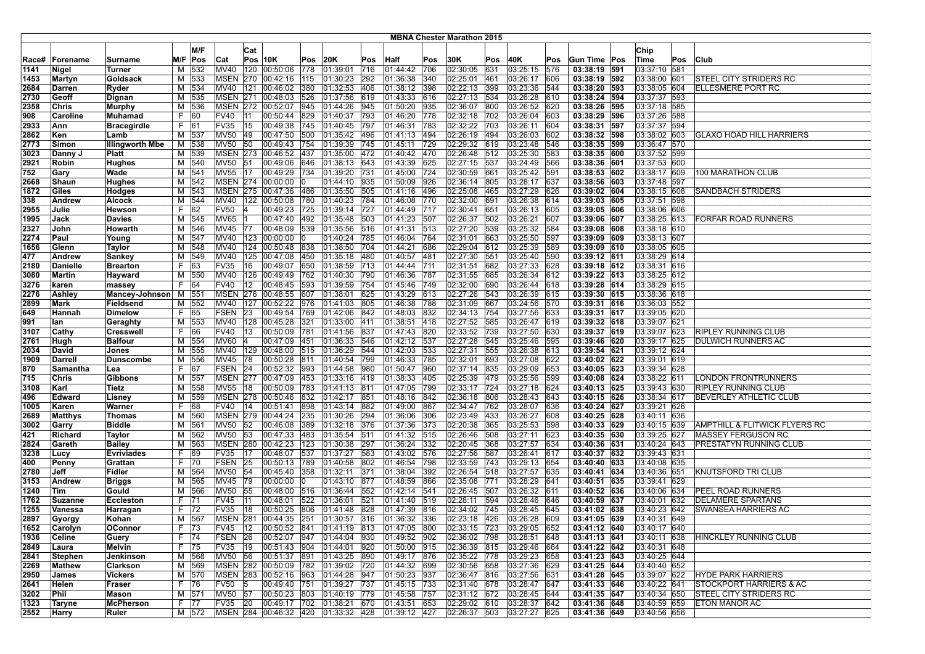|              |                 |                         |        |            |                        |     |                                    |            |                      |            |                                        |            | <b>MBNA Chester Marathon 2015</b> |     |                           |            |                              |                              |     |                                 |
|--------------|-----------------|-------------------------|--------|------------|------------------------|-----|------------------------------------|------------|----------------------|------------|----------------------------------------|------------|-----------------------------------|-----|---------------------------|------------|------------------------------|------------------------------|-----|---------------------------------|
|              |                 |                         |        |            |                        |     |                                    |            |                      |            |                                        |            |                                   |     |                           |            |                              |                              |     |                                 |
|              |                 |                         |        | M/F        |                        | Cat |                                    |            |                      |            |                                        |            |                                   |     |                           |            |                              | Chip                         |     |                                 |
| Race#        | Forename        | Surname                 |        | M/F Pos    | Cat                    |     | $Pos$ 10K                          | Pos        | 20K                  | Pos        | <b>Half</b>                            | Pos        | 30K                               | Pos | 40K                       | Pos        | Gun Time Pos                 | Time                         | Pos | Club                            |
| 1141         | Nigel           | Turner                  | М      | 532        | <b>MV40</b>            | 120 | 00:50:06                           | 778        | 01:39:01             | 716        | 01:44:42                               | 706        | 02:30:05                          | 631 | 03:25:15                  | 576        | 03:38:19 591                 | 03:37:10 581                 |     |                                 |
| 1453         | Martyn          | Goldsack                | M      | 533        | <b>MSEN</b>            |     | 270 00:42:16                       | 115        | 01:30:23             | 292        | 01:36:38                               | 340        | 02:25:01                          | 461 | 03:26:17                  | 1606       | 03:38:19 592                 | 03:38:00 601                 |     | <b>STEEL CITY STRIDERS RC</b>   |
| 2684         | Darren          | Ryder                   | М      | 534        | MV40                   | 121 | 00:46:02                           | 380        | 01:32:53             | 406        | 01:38:12                               | 398        | 02:22:13 399                      |     | 03:23:36                  | 544        | 03:38:20 593                 | 03:38:05 604                 |     | ELLESMERE PORT RC               |
| 2730         | Geoff           | Dignan                  | М      | 1535       | <b>MSEN 271</b>        |     | 00:48:03                           | 526        | 01:37:56             | 619        | 01:43:33                               | 616        | 02:27:13 534                      |     | 03:26:28                  | 610        | 03:38:24 594                 | 03:37:37 593                 |     |                                 |
| 2358         | Chris           | Murphy                  | М      | 536        |                        |     | MSEN 272 00:52:07                  | 945        | 01:44:26             | 945        | 01:50:20                               | 935        | 02:36:07                          | 800 | 03:26:52                  | 620        | 03:38:26 595                 | 03:37:18 585                 |     |                                 |
| 908          | Caroline        | Muhamad                 | F      | 60         | <b>FV40</b>            | 11  | 00:50:44                           | 829        | 01:40:37             | 793        | 01:46:20                               | 778        | 02:32:18 702                      |     | 03:26:04                  | 603        | 03:38:29 596                 | 03:37:26 588                 |     |                                 |
| 2933         | Ann             | <b>Bracegirdle</b>      | F      | 61         | FV35                   | 15  | 00:49:38                           | 745        | 01:40:45 797         |            | 01:46:31                               | 783        | 02:32:22 703                      |     | 03:26:11                  | 604        | 03:38:31 597                 | 03:37:37 594                 |     |                                 |
| 2862         | Ken             | Lamb                    | м      | 537        | <b>MV50</b>            | 49  | 00:47:50                           | 500        | 01:35:42             | 496        | 01:41:13                               | 494        | 02:26:19 494                      |     | 03:26:03                  | 602        | 03:38:32 598                 | 03:38:02 603                 |     | <b>GLAXO HOAD HILL HARRIERS</b> |
| 2773         | Simon           | <b>Illingworth Mbe</b>  | м      | 538        | <b>MV50</b>            | 50  | 00:49:43                           | 754        | 01:39:39             | 745        | 01:45:11                               | 729        | 02:29:32 619                      |     | 03:23:48                  | 546        | 03:38:35 599                 | 03:36:47 570                 |     |                                 |
| 3023         | Danny J         | <b>Platt</b>            | М      | 539        | <b>MSEN 273</b>        |     | 00:46:52                           | 437        | 01:35:00             | 472        | 01:40:42 470                           |            | 02:26:48 512                      |     | 03:25:30                  | 583        | 03:38:35 600                 | 03:37:52 599                 |     |                                 |
| 2921         | Robin           | Hughes                  | М      | 540        | <b>MV50</b><br>MV55 17 | 51  | 00:49:06                           | 646        | 01:38:13             | 643        | 01:43:39                               | 625        | 02:27:15 537                      |     | 03:24:49<br>03:25:42      | 566        | 03:38:36 601<br>03:38:53 602 | 03:37:53 600                 |     | <b>100 MARATHON CLUB</b>        |
| 752          | Gary            | Wade                    | М      | 541        |                        |     | 00:49:29<br>MSEN 274 00:00:00      | 734<br>١O  | 01:39:20             | 731        | 01:45:00 724<br>$ 01:50:09$ 926        |            | 02:30:59 661<br>02:36:14 805      |     | 03:28:17                  | 591        | 03:38:56 603                 | 03:38:17 609<br>03:37:48 597 |     |                                 |
| 2668         | Shaun           | Hughes                  | м      | 542        |                        |     |                                    |            | 01:44:10 935         |            |                                        |            |                                   |     |                           | 637        |                              | 03:38:15 608                 |     | <b>SANDBACH STRIDERS</b>        |
| 1872<br>338  | Giles<br>Andrew | <b>Hodges</b><br>Alcock | М<br>М | 543<br>544 | MV40                   | 122 | MSEN 275 00:47:36<br> 00:50:08     | 486<br>780 | 01:35:50<br>01:40:23 | 505<br>784 | 01:41:16<br> 01:46:08                  | 496<br>770 | 02:25:08 465<br>02:32:00          | 691 | 03:27:29<br>03:26:38      | 626<br>614 | 03:39:02 604<br>03:39:03 605 | 03:37:51 598                 |     |                                 |
| 2955         | Julie           | Hewson                  | F      | 62         | <b>FV50</b>            |     | 00:49:23                           | 725        | 01:39:14             | 727        | 01:44:49                               | 717        | 02:30:41                          | 651 | 03:26:13                  | 605        | 03:39:05 606                 | 03:38:06 606                 |     |                                 |
|              |                 |                         |        |            | <b>MV65</b>            |     | 00:47:40                           | 492        | 01:35:48             | 503        | 01:41:23                               | 507        | 02:26:37                          | 502 | 03:26:21                  | 607        | 03:39:06 607                 | 03:38:25 613                 |     | FORFAR ROAD RUNNERS             |
| 1995         | Jack<br>John    | Davies                  | М<br>М | 545<br>546 | <b>MV45</b>            | 77  | 00:48:09                           | 539        | 01:35:56             | 516        | 01:41:31                               | 513        | 02:27:20 539                      |     | 03:25:32                  | 584        | 03:39:08 608                 | 03:38:18 610                 |     |                                 |
| 2327<br>2274 | Paul            | Howarth                 | м      | 547        | MV40                   |     | 123 00:00:00                       | 10         | 01:40:24 785         |            | 01:46:04                               | 764        | 02:31:01                          | 663 | 03:25:50                  | 597        | 03:39:09 609                 | 03:38:13 607                 |     |                                 |
| 1656         | Glenn           | Young<br>Taylor         | М      | 548        | <b>MV40</b>            |     | 124 00:50:48                       | 838        | 01:38:50             | 704        | 01:44:21                               | 686        | 02:29:04                          | 612 | 03:25:39                  | 589        | 03:39:09 610                 | 03:38:05 605                 |     |                                 |
| 477          | Andrew          | <b>Sankey</b>           | M      | 549        | <b>MV40</b>            | 125 | 00:47:08                           | 450        | 01:35:18             | 480        | 01:40:57                               | 481        | 02:27:30                          | 551 | 03:25:40                  | 1590       | 03:39:12 611                 | 03:38:29 614                 |     |                                 |
| 2180         | Danielle        | <b>Brearton</b>         | F      | 63         | <b>FV35</b>            | 16  | 00:49:07                           | 650        | 01:38:59             | 713        | 01:44:44                               | 711        | 02:31:51                          | 682 | 03:27:33                  | 628        | 03:39:18 612                 | 03:38:31 616                 |     |                                 |
| 3080         | Martin          | Hayward                 | M      | 550        | <b>MV40</b>            | 126 | 00:49:49                           | 762        | 01:40:30             | 790        | 01:46:36                               | 787        | 02:31:55 685                      |     | 03:26:34                  | 612        | 03:39:22 613                 | 03:38:25 612                 |     |                                 |
| 3276         | karen           | massey                  | F      | 64         | <b>FV40</b>            | 12  | 00:48:45                           | 593        | 01:39:59             | 754        | 01:45:46                               | 749        | 02:32:00 690                      |     | 03:26:44                  | 618        | 03:39:28 614                 | 03:38:29 615                 |     |                                 |
| 2276         | Ashley          | Mancey-Johnson          | M      | 551        |                        |     | MSEN 276 00:48:55                  | 607        | 01:38:01             | 625        | 01:43:29                               | 613        | 02:27:26 543                      |     | 03:26:39                  | 615        | 03:39:30 615                 | 03:38:36 618                 |     |                                 |
| 2899         | Mark            | Fieldsend               | М      | 552        | <b>MV40</b>            | 127 | 00:52:22                           | 976        | 01:41:03             | 805        | 01:46:38                               | 788        | 02:31:09 667                      |     | 03:24:56                  | 570        | 03:39:31 616                 | 03:36:03 552                 |     |                                 |
| 649          | Hannah          | <b>Dimelow</b>          | F      | 165        | FSEN                   | 23  | 00:49:54                           | 769        | 01:42:06             | 842        | 01:48:03                               | 832        | 02:34:13 754                      |     | 03:27:56                  | 633        | 03:39:31 617                 | 03:39:05 620                 |     |                                 |
| 991          | lan             | Geraghty                | M      | 553        | MV40                   | 128 | 00:45:28                           | 321        | 01:33:00             | 411        | 01:38:51 418                           |            | 02:27:52 585                      |     | 03:26:47                  | 619        | 03:39:32 618                 | 03:39:07 621                 |     |                                 |
| 3107         | Cathy           | <b>Cresswell</b>        | F      | 66         | <b>FV40</b>            | 13  | 00:50:09                           | 781        | 01:41:56             | 837        | $\sqrt{01:47:43}$                      | 820        | 02:33:52 739                      |     | 03:27:50                  | 630        | 03:39:37 619                 | 03:39:07 623                 |     | <b>RIPLEY RUNNING CLUB</b>      |
| 2761         | Hugh            | <b>Balfour</b>          | М      | 554        | <b>MV60</b>            | 14  | 00:47:09                           | 451        | 01:36:33             | 546        | 01:42:12                               | 537        | 02:27:28                          | 545 | 03:25:46                  | 595        | 03:39:46 620                 | 03:39:17 625                 |     | <b>DULWICH RUNNERS AC</b>       |
| 2034         | David           | Jones                   | М      | 555        | <b>MV40</b>            |     | 129 00:48:00                       | 515        | 01:36:29             | 544        | 01:42:03                               | 533        | 02:27:31                          | 555 | 03:26:38                  | 613        | 03:39:54 621                 | 03:39:12 624                 |     |                                 |
| 1909         | Darrell         | <b>Dunscombe</b>        | М      | 556        | MV45                   | 78  | 00:50:28                           | 811        | 01:40:54             | 799        | 01:46:33                               | 785        | 02:32:01                          | 693 | 03:27:08                  | 622        | 03:40:02 622                 | 03:39:01 619                 |     |                                 |
| 870          | Samantha        | Lea                     | F      | 67         | FSEN 24                |     | 00:52:32                           | 993        | 01:44:58             | 980        | 01:50:47                               | 960        | 02:37:14 835                      |     | 03:29:09                  | 653        | 03:40:05 623                 | 03:39:34 628                 |     |                                 |
| 715          | Chris           | Gibbons                 | м      | 557        | <b>MSEN 277</b>        |     | 00:47:09                           | 453        | 01:33:16             | 419        | 01:38:33                               | 405        | 02:25:39 479                      |     | 03:25:56                  | 599        | 03:40:08 624                 | 03:38:22 611                 |     | LONDON FRONTRUNNERS             |
| 3108         | Karl            | Tietz                   | М      | 558        | MV55                   | 18  | 00:50:09                           | 783        | 01:41:13             | 811        | 01:47:05                               | 799        | 02:33:17 724                      |     | 03:27:18                  | 624        | 03:40:13 625                 | 03:39:43 630                 |     | <b>RIPLEY RUNNING CLUB</b>      |
| 496          | Edward          | Lisney                  | М      | 559        | <b>MSEN 278</b>        |     | 00:50:46                           | 832        | 01:42:17             | 851        | 01:48:16                               | 842        | 02:36:18                          | 806 | 03:28:43                  | 643        | 03:40:15 626                 | 03:38:34 617                 |     | <b>BEVERLEY ATHLETIC CLUB</b>   |
| 1005         | Karen           | Warner                  | F      | 68         | <b>FV40</b>            | 14  | 00:51:41                           | 898        | 01:43:14 882         |            | 01:49:00                               | 867        | 02:34:47 762                      |     | 03:28:07                  | 636        | 03:40:24 627                 | 03:39:21 626                 |     |                                 |
| 2689         | Matthys         | Thomas                  | М      | 560        |                        |     | MSEN 279 00:44:24                  | 235        | 01:30:26 294         |            | 01:36:06                               | 306        | 02:23:49 433                      |     | 03:26:27                  | 608        | 03:40:25 628                 | 03:40:11 636                 |     |                                 |
| 3002         | Garry           | <b>Biddle</b>           | М      | 561        | <b>MV50</b>            | 52  | 00:46:08                           | 389        | 01:32:18 376         |            | 01:37:36                               | 373        | 02:20:38                          | 365 | 03:25:53                  | 598        | 03:40:33 629                 | 03:40:15 639                 |     | AMPTHILL & FLITWICK FLYERS RC   |
| 421          | Richard         | Taylor                  | M      | 562        | <b>MV50</b>            | 53  | 00:47:33                           | 483        | 01:35:54             | 511        | 01:41:32                               | 515        | 02:26:46 508                      |     | 03:27:11                  | 623        | 03:40:35 630                 | 03:39:25 627                 |     | <b>MASSEY FERGUSON RC</b>       |
| 2824         | Gareth          | <b>Bailey</b>           | М      | 563        | <b>MSEN</b>            | 280 | 00:42:23                           | 123        | 01:30:38             | 297        | 01:36:24                               | 332        | 02:20:45 368                      |     | 03:27:57                  | 634        | 03:40:36 631                 | 03:40:24 643                 |     | PRESTATYN RUNNING CLUB          |
| 3238         | Lucy            | <b>Evriviades</b>       | F      | 69         | <b>FV35</b>            | 17  | 00:48:07                           | 537        | 01:37:27             | 583        | 01:43:02                               | 576        | 02:27:56                          | 587 | 03:26:41                  | 617        | 03:40:37 632                 | 03:39:43 631                 |     |                                 |
| 400          | Penny           | Grattan                 | F      | 70         | FSEN 25                |     | 00:50:13                           | 789        | 01:40:58             | 802        | 01:46:54                               | 798        | 02:33:59 743                      |     | 03:29:13                  | 654        | 03:40:40 633                 | 03:40:08 635                 |     |                                 |
| 2780         | Jeff            | Fidler                  | м      | 564        | MV50 54                |     | 00:45:40                           | 358        | 01:32:11             | 371        | 01:38:04                               | 392        | 02:26:54 518                      |     | 03:27:57                  | 635        | 03:40:41 634                 | 03:40:36 651                 |     | KNUTSFORD TRI CLUB              |
| 3153         | Andrew          | <b>Briggs</b>           | М      | 565        | MV45                   | 79  | 00:00:00                           |            | 01:43:10             | 877        | 01:48:59                               | 866        | 02:35:08                          | 771 | 03:28:29                  | 641        | 03:40:51 635                 | 03:39:41 629                 |     |                                 |
| 1240         | Tim             | Gould                   | М      | 566        | <b>MV50</b>            | 55  | 00:48:00                           | 516        | 01:36:44             | 552        | $\sqrt{01:42:14}$                      | 541        | 02:26:45                          | 507 | 03:26:32                  | 611        | 03:40:52 636                 | 03:40:06 634                 |     | <b>PEEL ROAD RUNNERS</b>        |
| 1762         | Suzanne         | <b>Eccleston</b>        | F      | 171        | FV45                   | 111 | 00:48:01                           | 522        | 01:36:01             | 521        | 01:41:40                               | 519        | 02:28:11                          | 594 | 03:28:46                  | 646        | 03:40:59 637                 | 03:40:01 632                 |     | <b>DELAMERE SPARTANS</b>        |
| 1255         | Vanessa         | Harragan                | F.     | 72         | <b>FV35</b>            | 18  | 00:50:25                           | 806        | 01:41:48             | 828        | 01:47:39                               | 816        | 02:34:02 745                      |     | 03:28:45                  | 645        | 03:41:02 638                 | 03:40:23 642                 |     | <b>SWANSEA HARRIERS AC</b>      |
| 2897         | Gyorgy          | Kohan                   |        | M 567      | <b>MSEN 281</b>        |     | 00:44:35 251                       |            | 01:30:57 316         |            | 01:36:32 336                           |            | 02:23:18 426                      |     | 03:26:28                  | 609        | 03:41:05 639                 | 03:40:31 649                 |     |                                 |
| 1652         | Carolyn         | OConnor                 |        | F  73      | FV45  12               |     |                                    |            |                      |            | 00:50:52 841 01:41:19 813 01:47:05 800 |            | 02:33:15 723                      |     | 03:29:05 652              |            | 03:41:12 640                 | 03:40:17 640                 |     |                                 |
| 1936         | Celine          | Guery                   |        | F  74      | FSEN 26                |     | 00:52:07 947                       |            | 01:44:04 930         |            | 01:49:52 902                           |            | 02:36:02 798                      |     | 03:28:51 648              |            | 03:41:13 641                 | 03:40:11 638                 |     | HINCKLEY RUNNING CLUB           |
| 2849         | Laura           | Melvin                  |        | F 75       | FV35                   | 19  | 00:51:43 904                       |            | 01:44:01             | 920        | 01:50:00 915                           |            | 02:36:39 815                      |     | 03:29:46                  | 664        | 03:41:22 642                 | 03:40:31 648                 |     |                                 |
| 2841         | <b>Stephen</b>  | Jenkinson               |        | M 568      | MV50 56                |     | 00:51:37 891                       |            | 01:43:25 890         |            | 01:49:17 876                           |            | 02:35:22 778                      |     | 03:29:23                  | 658        | 03:41:23 643                 | 03:40:25 644                 |     |                                 |
| 2269         | Mathew          | Clarkson                | М      | 569        |                        |     | MSEN 282 00:50:09 782              |            | 01:39:02 720         |            | 01:44:32 699                           |            | 02:30:56 658                      |     | 03:27:36                  | 629        | 03:41:25 644                 | 03:40:40 652                 |     |                                 |
| 2950         | James           | Vickers                 |        | M 570      |                        |     | MSEN 283 00:52:16 963              |            | 01:44:28 947         |            | 01:50:23 937                           |            | 02:36:47 816                      |     | 03:27:56                  | 631        | 03:41:28 645                 | 03:39:07 622                 |     | <b>HYDE PARK HARRIERS</b>       |
| 2641         | Helen           | Fraser                  |        | F 76       | FV50 5                 |     | 00:49:40 751                       |            | 01:39:27 737         |            | $01:45:15$ 733                         |            | 02:31:40 678                      |     | 03:28:47 647              |            | 03:41:33 646                 | 03:40:22 641                 |     | STOCKPORT HARRIERS & AC         |
| 3202         | Phil            | Mason                   |        | M 571      | MV50 57                |     | 00:50:23 803                       |            | 01:40:19 779         |            | 01:45:58 757                           |            | 02:31:12 672                      |     | 03:28:45 644              |            | 03:41:35 647                 | 03:40:34 650                 |     | <b>STEEL CITY STRIDERS RC</b>   |
| 1323         | Taryne          | <b>McPherson</b>        |        | F 77       | FV35 20                |     | 00:49:17 702                       |            | 01:38:21 670         |            | $01:43:51$ 653                         |            | 02:29:02 610                      |     | 03:28:37 642              |            | 03:41:36 648                 | 03:40:59 659                 |     | <b>ETON MANOR AC</b>            |
| 2552         | Harry           | Ruler                   |        | M 572      |                        |     | MSEN 284 00:46:32 420 01:33:32 428 |            |                      |            | $ 01:39:12 $ 427                       |            |                                   |     | 02:26:37 503 03:27:27 625 |            | 03:41:36 649                 | 03:40:56 656                 |     |                                 |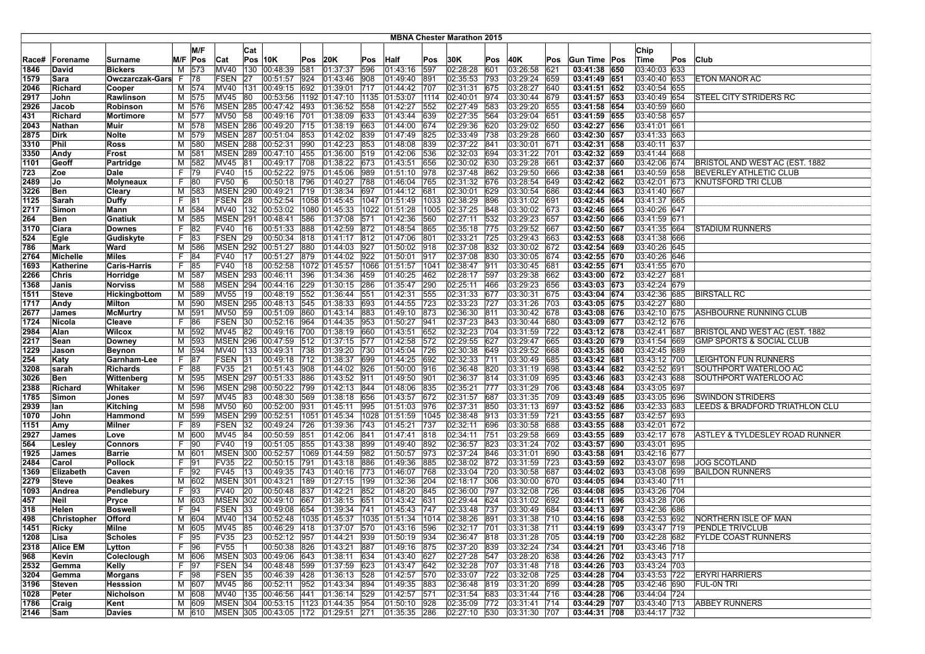|              |                           |                              |          |                |                            |              |                                                           |            |                                  |     |                                |            | <b>MBNA Chester Marathon 2015</b> |            |                                   |            |                              |                              |     |                                               |
|--------------|---------------------------|------------------------------|----------|----------------|----------------------------|--------------|-----------------------------------------------------------|------------|----------------------------------|-----|--------------------------------|------------|-----------------------------------|------------|-----------------------------------|------------|------------------------------|------------------------------|-----|-----------------------------------------------|
|              |                           |                              |          | M/F            |                            |              |                                                           |            |                                  |     |                                |            |                                   |            |                                   |            |                              |                              |     |                                               |
|              |                           |                              |          |                |                            | Cat          |                                                           |            |                                  |     |                                |            |                                   |            |                                   |            |                              | Chip                         |     |                                               |
| Race#        | Forename                  | Surname                      | M/F      | Pos            | Cat                        |              | Pos 10K                                                   | Pos        | 20K                              | Pos | <b>Half</b>                    | Pos        | 30K                               | Pos        | 40K                               | Pos        | Gun Time Pos                 | Time                         | Pos | Club                                          |
| 1846         | David                     | <b>Bickers</b>               | M        | 573            | <b>MV40</b>                | 130          | 00:48:39                                                  | 581        | 01:37:37                         | 596 | 01:43:16                       | 597        | 02:28:28                          | 601        | 03:26:58                          | 621        | 03:41:38 650                 | 03:40:03 633                 |     |                                               |
| 1579         | Sara                      | Owczarczak-Gars              | -F       | 78             | FSEN                       | 27           | 00:51:57                                                  | 924        | 01:43:46                         | 908 | 01:49:40                       | 891        | 02:35:53                          | 793        | 03:29:24                          | 659        | 03:41:49 651                 | 03:40:40 653                 |     | ETON MANOR AC                                 |
| 2046         | Richard                   | Cooper                       | M        | 574            | <b>MV40</b>                | 131          | 00:49:15                                                  | 692        | 01:39:01                         | 717 | 01:44:42                       | 707        | 02:31:31                          | 675        | 03:28:27                          | 640        | 03:41:51 652                 | 03:40:54 655                 |     |                                               |
| 2917         | John                      | Rawlinson                    | M        | 575            | MV45                       | 80           | 00:53:56                                                  | 1192       | 01:47:10 1135                    |     | 01:53:07                       | 1114       | 02:40:01                          | 974        | 03:30:44                          | 679        | 03:41:57 653                 | 03:40:49 654                 |     | <b>STEEL CITY STRIDERS RC</b>                 |
| 2926         | Jacob                     | Robinson                     | м        | 576            | <b>MSEN 285</b>            |              | 00:47:42 493                                              |            | 01:36:52 558                     |     | 01:42:27                       | 552        | 02:27:49                          | 583        | 03:29:20                          | 655        | 03:41:58 654                 | 03:40:59 660                 |     |                                               |
| 431          | Richard                   | Mortimore                    |          | M 577          | MV50 58                    |              | 00:49:16 701                                              |            | 01:38:09 633                     |     | 01:43:44                       | 639        | 02:27:35 564                      |            | 03:29:04                          | 651        | 03:41:59 655                 | 03:40:58 657                 |     |                                               |
| 2043         | Nathan                    | Muir                         | M        | 578            | <b>MSEN 286</b>            |              | 00:49:20                                                  | 715        | 01:38:19 663                     |     | 01:44:00                       | 674        | 02:29:36                          | 620        | 03:29:02                          | 650        | 03:42:27 656                 | 03:41:01 661                 |     |                                               |
| 2875         | Dirk                      | Nolte                        | М        | 579            | <b>MSEN 287</b>            |              | 00:51:04                                                  | 853        | 01:42:02 839                     |     | 01:47:49                       | 825        | 02:33:49                          | 738        | 03:29:28                          | 660        | 03:42:30 657                 | 03:41:33 663                 |     |                                               |
| 3310         | Phil                      | Ross                         | м        | 580            | <b>MSEN 288</b>            |              | 00:52:31                                                  | 990        | 01:42:23                         | 853 | 01:48:08                       | 839        | 02:37:22                          | 841        | 03:30:01                          | 671        | 03:42:31 658                 | 03:40:11 637                 |     |                                               |
| 3350         | Andy                      | Frost                        | M        | 581            | <b>MSEN 289</b>            |              | 00:47:10                                                  | 455        | 01:36:00 519                     |     | 01:42:06                       | 536        | 02:32:03                          | 694        | 03:31:22                          | 701        | 03:42:32 659                 | 03:41:44 668                 |     |                                               |
| 1101         | Geoff                     | Partridge                    | M        | 582            | MV45 81                    |              | 00:49:17                                                  | 708        | 01:38:22 673                     |     | 01:43:51                       | 656        | 02:30:02 630                      |            | 03:29:28                          | 661        | 03:42:37 660                 | 03:42:06 674                 |     | BRISTOL AND WEST AC (EST. 1882                |
| 723          | Zoe                       | Dale                         | F.       | 79             | FV40                       | 15           | 00:52:22 975                                              |            | 01:45:06 989                     |     | 01:51:10                       | 978        | 02:37:48                          | 862        | 03:29:50                          | 666        | 03:42:38 661                 | 03:40:59 658                 |     | BEVERLEY ATHLETIC CLUB                        |
| 2489         | Jo                        | Molyneaux                    | F        | 80             | <b>FV50</b>                | 16           | 00:50:18                                                  | 796        | 01:40:27                         | 788 | 01:46:04                       | 765        | 02:31:32                          | 676        | 03:28:54                          | 649        | 03:42:42 662                 | 03:42:01 673                 |     | KNUTSFORD TRI CLUB                            |
| 3226         | Ben                       | Cleary                       | м        | 583            | <b>MSEN 290</b>            |              | 00:49:21                                                  | 719        | 01:38:34                         | 697 | 01:44:12                       | 681        | 02:30:01                          | 629        | 03:30:54                          | 686        | 03:42:44 663                 | 03:41:40 667                 |     |                                               |
| 1125         | Sarah                     | <b>Duffy</b>                 | F.       | 81             | FSEN 28                    |              | 00:52:54                                                  |            |                                  |     | 1058 01:45:45 1047 01:51:49    | 1033       | 02:38:29                          | 896        | 03:31:02                          | 691        | 03:42:45 664                 | 03:41:37 665                 |     |                                               |
| 2717         | Simon                     | Mann                         | м        | 584            |                            |              | MV40 132 00:53:02                                         |            | 1080 01:45:33                    |     | 1022 01:51:28                  | 1005       | 02:37:25                          | 848        | 03:30:02                          | 673        | 03:42:46 665                 | 03:40:26 647                 |     |                                               |
| 264          | Ben                       | <b>Gnatiuk</b>               | М        | 585            | <b>MSEN 291</b>            |              | 00:48:41                                                  | 586        | 01:37:08 571                     |     | 01:42:36                       | 560        | 02:27:11                          | 532        | 03:29:23                          | 657        | 03:42:50 666                 | 03:41:59 671                 |     |                                               |
| 3170         | Ciara                     | <b>Downes</b>                | F.       | 82             | <b>FV40</b>                | 16           | 00:51:33                                                  | 888        | 01:42:59 872                     |     | 01:48:54                       | 865        | 02:35:18                          | 775        | 03:29:52                          | 667        | 03:42:50 667                 | 03:41:35 664                 |     | STADIUM RUNNERS                               |
| 524          | Egle                      | Gudiskyte                    | F.       | 83             | FSEN 29                    |              | 00:50:34                                                  | 818        | 01:41:17 812                     |     | 01:47:06                       | 801        | 02:33:21                          | 725        | 03:29:43                          | 663        | 03:42:53 668                 | 03:41:38 666                 |     |                                               |
| 786          | Mark                      | Ward                         | M        | 586            | <b>MSEN 292</b>            |              | 00:51:27                                                  | 880        | 01:44:03 927                     |     | 01:50:02                       | 918        | 02:37:08                          | 832        | 03:30:02                          | 672        | 03:42:54 669                 | 03:40:26 645                 |     |                                               |
| 2764         | Michelle                  | <b>Miles</b>                 | F.       | 84             | FV40                       | 17           | 00:51:27                                                  | 879        | 01:44:02 922                     |     | 01:50:01                       | 917        | 02:37:08                          | 830        | 03:30:05                          | 1674       | 03:42:55 670                 | 03:40:26 646                 |     |                                               |
| 1693         | Katherine                 | <b>Caris-Harris</b>          | F.       | 85             | <b>FV40</b>                | 18           | 00:52:58                                                  | 1072       | 01:45:57                         |     | 1066 01:51:57                  | 1041       | 02:38:47                          | 911        | 03:30:45                          | 681        | 03:42:55 671                 | 03:41:55 670                 |     |                                               |
| 2266         | Chris                     | Horridge                     | M        | 587            | <b>MSEN 293</b>            |              | 00:46:11                                                  | 396        | 01:34:36                         | 459 | 01:40:25                       | 462        | 02:28:17                          | 597        | 03:29:38                          | 662        | 03:43:00 672                 | 03:42:27 681                 |     |                                               |
| 1368         | Janis                     | <b>Norviss</b>               | M        | 588            | <b>MSEN 294</b>            |              | 00:44:16                                                  | 229        | 01:30:15 286                     |     | 01:35:47                       | 290        | 02:25:11                          | 466        | 03:29:23                          | 656        | 03:43:03 673                 | 03:42:24 679                 |     |                                               |
| 1511         | <b>Steve</b>              | Hickingbottom                | М        | 589            | MV55 19                    |              | 00:48:19 552                                              |            | 01:36:44 551                     |     | 01:42:31                       | 555        | 02:31:33                          | 677        | 03:30:31                          | 675        | 03:43:04 674                 | 03:42:36 685                 |     | <b>BIRSTALL RC</b>                            |
| 1717         | Andy                      | Milton                       | м        | 590            | <b>MSEN 295</b>            |              | 00:48:13                                                  | 545        | 01:38:33 693                     |     | 01:44:55                       | 723        | 02:33:23                          | 727        | 03:31:26                          | 703        | 03:43:05 675                 | 03:42:27 680                 |     |                                               |
| 2677         | James                     | <b>McMurtry</b>              | м        | 1591           | MV50                       | 59           | 00:51:09                                                  | 860        | 01:43:14 883                     |     | 01:49:10                       | 873        | 02:36:30                          | 811        | 03:30:42                          | 678        | 03:43:08 676                 | 03:42:10 675                 |     | ASHBOURNE RUNNING CLUB                        |
| 1724         | Nicola                    | Cleave                       | F.       | 86             | FSEN                       | 30           | 00:52:16                                                  | 964        | 01:44:35                         | 953 | 01:50:27                       | 941        | 02:37:23                          | 843        | 03:30:44                          | 680        | 03:43:09 677                 | 03:42:12 676                 |     |                                               |
| 2984         | Alan                      | <b>Wilcox</b>                | M        | 592            | MV45                       | 82           | 00:49:16                                                  | 700        | 01:38:19 660                     |     | 01:43:51                       | 652        | 02:32:23                          | 704        | 03:31:59                          | 722        | 03:43:12 678                 | 03:42:41 687                 |     | BRISTOL AND WEST AC (EST. 1882                |
| 2217         | Sean                      | Downey                       | M        | 593            |                            |              | MSEN 296 00:47:59 512                                     |            | 01:37:15 577                     |     | 01:42:58                       | 572        | 02:29:55                          | 627        | 03:29:47                          | 665        | 03:43:20 679                 | 03:41:54 669                 |     | <b>GMP SPORTS &amp; SOCIAL CLUB</b>           |
| 1229         | Jason                     | <b>Beynon</b>                | М        | 594            | MV40 133                   |              | 00:49:31 738                                              |            | 01:39:20 730                     |     | 01:45:04                       | 726        | 02:30:38                          | 649        | 03:29:52                          | 668        | 03:43:35 680                 | 03:42:45 689                 |     |                                               |
| 254          | Katy                      | Garnham-Lee                  | F        | 187            | FSEN                       | 31           | 00:49:18 712                                              |            | 01:38:37 699                     |     | 01:44:25                       | 692        | 02:32:33                          | 1711       | 03:30:49                          | 685        | 03:43:42 681                 | 03:43:12 700                 |     | LEIGHTON FUN RUNNERS                          |
| 3208         | sarah                     | <b>Richards</b>              | F.       | 88             | FV35                       | 21           | 00:51:43                                                  | 908        | 01:44:02 926                     |     | 01:50:00                       | 916        | 02:36:48                          | 820        | 03:31:19                          | 698        | 03:43:44 682                 | 03:42:52 691                 |     | SOUTHPORT WATERLOO AC                         |
| 3026         | Ben                       | Wittenberg                   | M        | 595            | <b>MSEN 297</b>            |              | 00:51:33                                                  | 886        | 01:43:52 911                     |     | 01:49:50                       | 901        | 02:36:37                          | 814        | 03:31:09                          | 695        | 03:43:46 683                 | 03:42:43 688                 |     | SOUTHPORT WATERLOO AC                         |
| 2388         | Richard                   | Whitaker                     | M        | 596            | <b>MSEN 298</b>            |              | 00:50:22                                                  | 799        | 01:42:13 844                     |     | 01:48:06                       | 835        | 02:35:21                          | 777        | 03:31:29                          | 706        | 03:43:48 684                 | 03:43:05 697                 |     |                                               |
| 1785         | Simon                     | Jones                        | M        | 597            | MV45 83                    |              | 00:48:30                                                  | 569        | 01:38:18 656                     |     | 01:43:57                       | 672        | 02:31:57                          | 687        | 03:31:35                          | 709        | 03:43:49 685                 | 03:43:05 696                 |     | <b>SWINDON STRIDERS</b>                       |
| 2939         | lan                       | Kitching                     | M<br>M   | 598            | MV50 60                    |              | 00:52:00                                                  | 931        | 01:45:11                         | 995 | 01:51:03                       | 976        | 02:37:31                          | 850        | 03:31:13                          | 697        | 03:43:52 686<br>03:43:55 687 | 03:42:33 683                 |     | LEEDS & BRADFORD TRIATHLON CLU                |
| 1070         | John                      | Hammond                      |          | 599            | <b>MSEN 299</b>            |              | 00:52:51                                                  |            | 1051 01:45:34                    |     | 1028 01:51:59                  | 1045       | 02:38:48                          | 913        | 03:31:59                          | 721        |                              | 03:42:57 693                 |     |                                               |
| 1151         | Amy                       | <b>Milner</b>                | F.       | 189            | FSEN                       | 32           | 00:49:24                                                  | 726        | 01:39:36                         | 743 | 01:45:21                       | 737        | 02:32:11                          | 696        | 03:30:58                          | 688        | 03:43:55 688                 | 03:42:01 672                 |     |                                               |
| 2927         | James                     | Love                         | M<br>F.  | 600            | <b>MV45</b><br><b>FV40</b> | 84           | 00:50:59<br>00:51:05                                      | 851<br>855 | 01:42:06                         | 841 | 01:47:41                       | 818<br>892 | 02:34:11                          | 751<br>823 | 03:29:58                          | 669<br>702 | 03:43:55 689<br>03:43:57 690 | 03:42:17 678                 |     | ASTLEY & TYLDESLEY ROAD RUNNER                |
| 564          | Lesley                    | Connors<br><b>Barrie</b>     |          | $ 90\rangle$   | <b>MSEN 300</b>            | 19           | 00:52:57                                                  |            | 01:43:38                         | 899 | 01:49:40                       | 973        | 02:36:57                          | 846        | 03:31:24                          | 690        | 03:43:58 691                 | 03:43:01 695                 |     |                                               |
| 1925         | James                     |                              | M        | 1601<br> 91    | FV35                       | 22           |                                                           | 791        | 1069 01:44:59 982                |     | 01:50:57                       | 885        | 02:37:24<br>02:38:02              | 872        | 03:31:01<br>03:31:59              |            | 03:43:59 692                 | 03:42:16 677                 |     | <b>JOG SCOTLAND</b>                           |
| 2484<br>1369 | Carol<br><b>Elizabeth</b> | <b>Pollock</b><br>Caven      | F.<br>F. | 92             | FV45                       | $ 13\rangle$ | 00:50:15<br>00:49:35                                      | 743        | 01:43:18 886<br>$ 01:40:16 $ 773 |     | 01:49:36<br> 01:46:07          | 768        | 02:33:04                          | 720        | 03:30:58                          | 723<br>687 | 03:44:02 693                 | 03:43:07 698<br>03:43:08 699 |     | <b>BAILDON RUNNERS</b>                        |
| 2279         | <b>Steve</b>              | <b>Deakes</b>                | М        | 602            | <b>MSEN 301</b>            |              | 00:43:21                                                  | 189        | 01:27:15   199                   |     | 01:32:36                       | 204        | 02:18:17                          | 306        | 03:30:00                          | 670        | 03:44:05 694                 | 03:43:40 711                 |     |                                               |
| 1093         | Andrea                    | Pendlebury                   | F.       | 93             | FV40                       | 20           | 00:50:48                                                  | 837        | 01:42:21                         | 852 | 01:48:20                       | 845        | 02:36:00                          | 797        | 03:32:08                          | 726        | 03:44:08 695                 | 03:43:26 704                 |     |                                               |
| 457          | Neil                      |                              |          | 603            | <b>MSEN 302</b>            |              | 00:49:10                                                  | 667        | 01:38:15                         | 651 | 01:43:42                       | 631        | 02:29:44                          | 624        | 03:31:02                          | 692        | 03:44:11 696                 | 03:43:28 706                 |     |                                               |
| 318          | Helen                     | Pryce<br><b>Boswell</b>      | M<br>F.  | 94             | FSEN                       | 33           | 00:49:08                                                  | 654        | 01:39:34 741                     |     | 01:45:43                       | 747        | 02:33:48                          | 737        | 03:30:49                          | 684        | 03:44:13 697                 | 03:42:36 686                 |     |                                               |
| 498          | Christopher               | <b>Offord</b>                |          | M 604          |                            |              | MV40 134 00:52:48 1035 01:45:37 1035 01:51:34             |            |                                  |     |                                |            | 1014 02:38:26                     | 891        | 03:31:38                          | 710        | 03:44:16 698                 | 03:42:53 692                 |     | NORTHERN ISLE OF MAN                          |
|              |                           |                              |          |                |                            |              |                                                           |            |                                  |     |                                |            |                                   |            |                                   |            |                              |                              |     |                                               |
| 1451<br>1208 | Ricky<br>Lisa             | Milne<br><b>Scholes</b>      | F.       | M 605<br>95    | MV45 85<br>FV35 23         |              | 00:46:29  418  01:37:07  570<br>00:52:12 957 01:44:21 939 |            |                                  |     | 01:43:16  596<br> 01:50:19 934 |            | 02:32:17 701<br>02:36:47 818      |            | $ 03:31:38 $  711<br>03:31:28 705 |            | 03:44:19 699<br>03:44:19 700 | 03:43:47 719<br>03:42:28 682 |     | PENDLE TRIVCLUB<br><b>FYLDE COAST RUNNERS</b> |
| 2318         | <b>Alice EM</b>           | Lytton                       |          | F 96           | FV55                       |              | 00:50:38 826                                              |            | 01:43:21 887                     |     | 01:49:16 875                   |            | 02:37:20 839                      |            | 03:32:24 734                      |            | 03:44:21 701                 | 03:43:46 718                 |     |                                               |
| 968          | Kevin                     | Coleclough                   | M        | 606            |                            |              | MSEN 303 00:49:06 643                                     |            | 01:38:11 634                     |     | $01:43:40$ 627                 |            | 02:27:28 547                      |            | 03:28:20                          | 638        | 03:44:26 702                 | 03:43:43 717                 |     |                                               |
|              |                           |                              | F        | 97             | FSEN 34                    |              | 00:48:48 599                                              |            |                                  |     | 01:43:47 642                   |            | 02:32:28 707                      |            | 03:31:48 718                      |            | 03:44:26 703                 | 03:43:24 703                 |     |                                               |
| 2532<br>3204 | Gemma<br>Gemma            | Kelly                        |          | F 98           | FSEN 35                    |              | 00:46:39 428                                              |            | 01:37:59 623<br> 01:36:13 528    |     | 01:42:57 570                   |            | 02:33:07 722                      |            | 03:32:08 725                      |            | 03:44:28 704                 | 03:43:53 722                 |     | <b>ERYRI HARRIERS</b>                         |
| 3196         | Steven                    | Morgans                      |          | M 607          | MV45 86                    |              | $ 00:52:11 $ 952                                          |            | 01:43:34 894                     |     | 01:49:35 883                   |            | 02:36:48 819                      |            | 03:31:20 699                      |            | 03:44:28 705                 | 03:42:46 690                 |     | FUL-ON TRI                                    |
| 1028         | Peter                     | Hesssion<br><b>Nicholson</b> |          |                |                            |              | MV40 135 00:46:56 441                                     |            | 01:36:14 529                     |     | 01:42:57 571                   |            | 02:31:54 683                      |            | 03:31:44 716                      |            | 03:44:28 706                 | 03:44:04 724                 |     |                                               |
| 1786         |                           | Kent                         |          | M 608<br>M 609 |                            |              | MSEN 304 00:53:15 1123 01:44:35 954                       |            |                                  |     | 01:50:10 928                   |            | 02:35:09 772                      |            | 03:31:41 714                      |            | 03:44:29 707                 | 03:43:40 713                 |     | <b>ABBEY RUNNERS</b>                          |
| 2146         | Craig<br>Sam              |                              |          | M 610          |                            |              | MSEN 305 00:43:05 172 01:29:51 271                        |            |                                  |     | 01:35:35 286                   |            | 02:27:10 530                      |            |                                   |            |                              | 03:44:17 732                 |     |                                               |
|              |                           | Davies                       |          |                |                            |              |                                                           |            |                                  |     |                                |            |                                   |            | 03:31:30 707                      |            | 03:44:31 708                 |                              |     |                                               |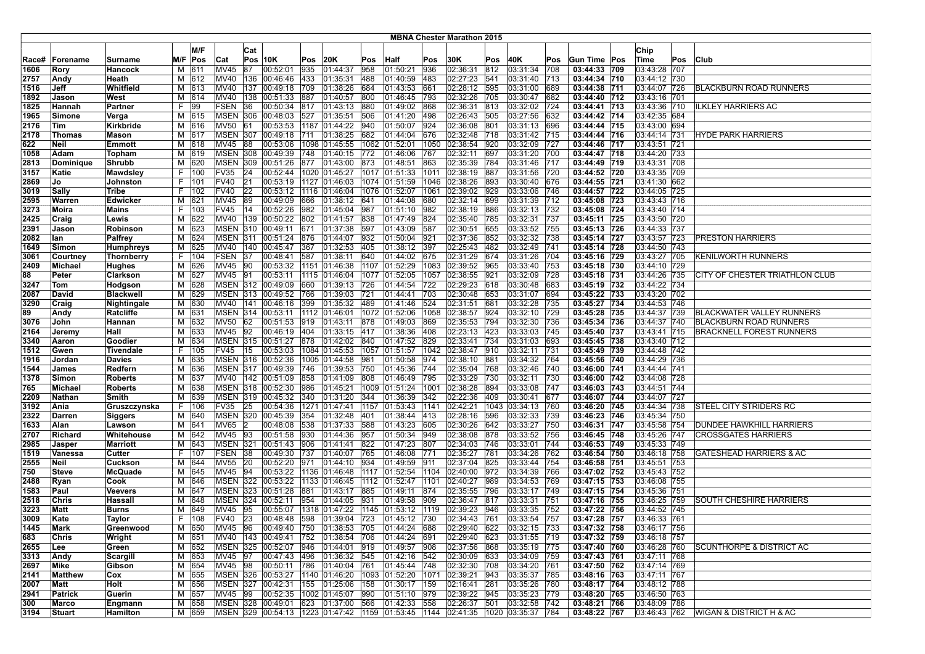| <b>MBNA Chester Marathon 2015</b> |                |                           |    |              |                 |           |                                                    |            |                      |            |                      |            |                           |            |                               |             |                              |                              |     |                                        |
|-----------------------------------|----------------|---------------------------|----|--------------|-----------------|-----------|----------------------------------------------------|------------|----------------------|------------|----------------------|------------|---------------------------|------------|-------------------------------|-------------|------------------------------|------------------------------|-----|----------------------------------------|
|                                   |                |                           |    | M/F          |                 | Cat       |                                                    |            |                      |            |                      |            |                           |            |                               |             |                              | Chip                         |     |                                        |
| Race#                             | Forename       | <b>Surname</b>            |    | M/F Pos      | Cat             |           | Pos 10K                                            | Pos        | 20K                  | Pos        | Half                 | Pos        | 30K                       | Pos        | 40K                           | Pos         | Gun Time Pos                 | Time                         | Pos | <b>Club</b>                            |
| 1606                              | Rory           | Hancock                   | м  | 611          | <b>MV45</b>     | 87        | 00:52:01                                           | 935        | 01:44:37             | 958        | 01:50:21             | 936        | 02:36:31                  | 812        | 03:31:34                      | 708         | 03:44:33 709                 | 03:43:28 707                 |     |                                        |
| 2757                              | Andy           | Heath                     |    | M 612        | MV40            |           | 136 00:46:46                                       | 433        | 01:35:31             | 488        | 01:40:59             | 483        | 02:27:23                  | 541        | 03:31:40                      | 713         | 03:44:34 710                 | 03:44:12 730                 |     |                                        |
| 1516                              | Jeff           | Whitfield                 | м  | 613          | <b>MV40</b>     | 137       | 00:49:18                                           | 709        | 01:38:26             | 684        | 01:43:53             | 661        | 02:28:12                  | 595        | 03:31:00                      | 689         | 03:44:38 711                 | 03:44:07 726                 |     | <b>BLACKBURN ROAD RUNNERS</b>          |
| 1892                              | Jason          | West                      | М  | 614          | <b>MV40</b>     | 138       | 00:51:33                                           | 887        | 01:40:57             | 800        | 01:46:45             | 793        | 02:32:26                  | 705        | 03:30:47                      | 682         | 03:44:40 712                 | 03:43:16 701                 |     |                                        |
| 1825                              | Hannah         | Partner                   | F. | $ 99\rangle$ | <b>FSEN</b>     | 36        | 00:50:34                                           | 817        | 01:43:13             | 880        | 01:49:02             | 868        | 02:36:31                  | 813        | 03:32:02                      | 724         | 03:44:41 713                 | 03:43:36 710                 |     | ILKLEY HARRIERS AC                     |
| 1965                              | Simone         | Verga                     |    | M 615        | <b>MSEN 306</b> |           | 00:48:03                                           | 527        | 01:35:51             | 506        | 01:41:20             | 498        | 02:26:43                  | 505        | 03:27:56                      | 632         | 03:44:42 714                 | 03:42:35 684                 |     |                                        |
| 2176                              | Tim            | <b>Kirkbride</b>          |    | M 616        | <b>MV50</b>     | 161       | 00:53:53                                           |            | 1187 01:44:22        | 940        | 01:50:07             | 924        | 02:36:08                  | 801        | 03:31:13                      | 696         | 03:44:44 715                 | 03:43:00 694                 |     |                                        |
| 2178                              | Thomas         | <b>Mason</b>              |    | M 617        | <b>MSEN 307</b> |           | 00:49:18                                           | 711        | 01:38:25             | 682        | 01:44:04             | 676        | 02:32:48                  | 718        | 03:31:42                      | 715         | 03:44:44 716                 | 03:44:14 731                 |     | <b>HYDE PARK HARRIERS</b>              |
| 622                               | Neil           | Emmott                    | м  | 618          | MV45            | 88        | 00:53:06                                           |            | 1098 01:45:55        | 1062       | 01:52:01             | 1050       | 02:38:54                  | 920        | 03:32:09                      | 727         | 03:44:46 717                 | 03:43:51 721                 |     |                                        |
| 1058                              | Adam           | Topham                    |    | M 619        | <b>MSEN 308</b> |           | 00:49:39                                           | 748        | 01:40:15             | 772        | 01:46:06             | 767        | 02:32:11                  | 697        | 03:31:20                      | 700         | 03:44:47 718                 | 03:44:20 733                 |     |                                        |
| 2813                              | Dominique      | <b>Shrubb</b>             |    | M 620        | <b>MSEN 309</b> |           | 00:51:26                                           | 877        | 01:43:00             | 873        | 01:48:51             | 863        | 02:35:39                  | 784        | 03:31:46                      | 717         | 03:44:49 719                 | 03:43:31 708                 |     |                                        |
| 3157                              | Katie          | <b>Mawdsley</b>           | F. | 100          | FV35            | 24        | 00:52:44                                           |            | 1020 01:45:27        |            | 1017 01:51:33        | 1011       | 02:38:19                  | 887        | 03:31:56                      | 720         | 03:44:52 720                 | 03:43:35 709                 |     |                                        |
| 2869                              | IJo.           | <b>Johnston</b>           | F. | 101          | <b>FV40</b>     | 21        | 00:53:19                                           |            | 1127 01:46:03        |            | 1074 01:51:59        | 1046       | 02:38:26                  | 893        | 03:30:40                      | 676         | 03:44:55 721                 | 03:41:30 662                 |     |                                        |
| 3019                              | Sally          | Tribe                     | F. | 102          | <b>FV40</b>     | 22        | 00:53:12                                           |            | 1116 01:46:04        | 1076       | 01:52:07             | 1061       | 02:39:02                  | 929        | 03:33:06                      | 746         | 03:44:57 722                 | 03:44:05 725                 |     |                                        |
| 2595                              | Warren         | Edwicker                  | м  | 621          | <b>MV45</b>     | 89        | 00:49:09                                           | 666        | 01:38:12             | 641        | 01:44:08             | 680        | 02:32:14                  | 699        | 03:31:39                      | 712         | 03:45:08 723                 | 03:43:43 716                 |     |                                        |
| 3273                              | Moira          | <b>Mains</b>              | F. | 103          | <b>FV45</b>     | 14        | 00:52:26                                           | 982        | 01:45:04             | 987        | 01:51:10             | 982        | 02:38:19                  | 886        | 03:32:13                      | 732         | 03:45:08 724                 | 03:43:40 714                 |     |                                        |
| 2425                              | Craig          | Lewis                     | М  | 622          | MV40            |           | 139 00:50:22                                       | 802        | 01:41:57             | 838        | 01:47:49             | 824        | 02:35:40                  | 785        | 03:32:31                      | 737         | 03:45:11 725                 | 03:43:50 720                 |     |                                        |
| 2391                              | Jason          | Robinson                  |    | M 623        |                 |           | MSEN 310 00:49:11                                  | 671        | 01:37:38             | 597        | 01:43:09             | 587        | 02:30:51                  | 655        | 03:33:52                      | 755         | 03:45:13 726                 | 03:44:33 737                 |     |                                        |
| 2082                              | lan            | Palfrey                   |    | M 624        |                 |           | MSEN 311 00:51:24                                  | 876        | 01:44:07             | 932        | 01:50:04             | 921        | 02:37:36                  | 852        | 03:32:32                      | 738         | 03:45:14 727                 | 03:43:57 723                 |     | PRESTON HARRIERS                       |
| 1649                              | Simon          | <b>Humphreys</b>          | M  | 625          | MV40            | 140       | 00:45:47                                           | 367        | 01:32:53             | 405        | 01:38:12             | 397        | 02:25:43                  | 482        | 03:32:49                      | 741         | 03:45:14 728                 | 03:44:50 743                 |     |                                        |
| 3061                              | Courtney       | Thornberry                |    | F 104        | FSEN            | 37        | 00:48:41                                           | 587        | 01:38:11             | 640        | 01:44:02             | 675        | 02:31:29                  | 674        | 03:31:26                      | 1704        | 03:45:16 729                 | 03:43:27 705                 |     | <b>KENILWORTH RUNNERS</b>              |
| 2409                              | Michael        | <b>Hughes</b>             |    | M 626        | MV45            | 90        | 00:53:32                                           |            | 1151 01:46:38        | 1107       | 01:52:29             | 1083       | 02:39:52                  | 965        | 03:33:40                      | 753         | 03:45:18 730                 | 03:44:10 729                 |     |                                        |
| 88                                | Peter          | Clarkson                  |    | M 627        | MV45            | <b>91</b> | 00:53:11                                           |            | 1115 01:46:04        | 1077       | 01:52:05             | 1057       | 02:38:55                  | 921        | 03:32:09                      | 728         | 03:45:18 731                 | 03:44:26 735                 |     | CITY OF CHESTER TRIATHLON CLUB         |
| 3247                              | Tom            | Hodgson                   | М  | 628          |                 |           | MSEN 312 00:49:09                                  | 660        | 01:39:13             | 726        | 01:44:54             | 722        | 02:29:23                  | 618        | 03:30:48                      | 683         | 03:45:19 732                 | 03:44:22 734                 |     |                                        |
| 2087                              | David          | <b>Blackwell</b>          |    | M 629        |                 |           | MSEN 313 00:49:52                                  | 766        | 01:39:03             | 721        | 01:44:41             | 703        | 02:30:48                  | 653        | 03:31:07                      | 694         | 03:45:22 733                 | 03:43:20 702                 |     |                                        |
| 3290                              | Craig          | Nightingale               |    | M 630        |                 |           | MV40   141   00:46:16                              | 399        | $ 01:35:32 $ 489     |            | 01:41:46             | 524        | 02:31:51                  | 681        | 03:32:28                      | 735         | 03:45:27 734                 | 03:44:53 746                 |     |                                        |
| 89                                | Andy           | Ratcliffe                 |    | M 631        | MSEN 314        |           | 00:53:11                                           | 1112       | 01:46:01             | 1072       | 01:52:06             | 1058       | 02:38:57                  | 924        | 03:32:10                      | 729         | 03:45:28 735                 | 03:44:37 739                 |     | BLACKWATER VALLEY RUNNERS              |
| 3076                              | John           | Hannan                    | м  | 632          | <b>MV50</b>     | 62        | 00:51:53                                           | 919        | 01:43:11             | 878        | 01:49:03             | 869        | 02:35:53                  | 794        | 03:32:30                      | 736         | 03:45:34 736                 | 03:44:37 740                 |     | BLACKBURN ROAD RUNNERS                 |
| 2164                              | Jeremy         | Hall                      | М  | 633          | MV45            | 92        | 00:46:19                                           | 404        | 01:33:15             | 417        | 01:38:36             | 408        | 02:23:13                  | 423        | 03:33:03                      | 745         | 03:45:40 737                 | 03:43:41 715                 |     | <b>BRACKNELL FOREST RUNNERS</b>        |
| 3340                              | Aaron          | Goodier                   |    | M 634        |                 |           | MSEN 315 00:51:27                                  | 878        | 01:42:02 840         |            | 01:47:52             | 829        | 02:33:41                  | 734        | 03:31:03                      | 693         | 03:45:45 738                 | 03:43:40 712                 |     |                                        |
| 1512                              | Gwen           | <b>Tivendale</b>          |    | F   105      | <b>FV45</b>     | 15        | 00:53:03                                           |            | 1084 01:45:53        | 1057       | 01:51:57             | 1042       | 02:38:47                  | 910        | 03:32:11                      | 731         | 03:45:49 739                 | 03:44:48 742                 |     |                                        |
| 1916                              | <b>Jordan</b>  | <b>Davies</b>             |    | M 635        |                 |           | MSEN 316 00:52:36                                  |            | 1005 01:44:58        | 981        | 01:50:58             | 974<br>744 | 02:38:10                  | 881<br>768 | 03:34:32                      | 764         | 03:45:56 740                 | 03:44:29 736                 |     |                                        |
| 1544<br>1378                      | James<br>Simon | Redfern<br><b>Roberts</b> | М  | M 636<br>637 | <b>MV40</b>     | 142       | MSEN 317 00:49:39<br> 00:51:09                     | 746<br>858 | 01:39:53<br>01:41:09 | 750<br>808 | 01:45:36<br>01:46:49 | 795        | 02:35:04<br>02:33:29      | 730        | 03:32:46<br>03:32:11          | 1740<br>730 | 03:46:00 741<br>03:46:00 742 | 03:44:44 741<br>03:44:08 728 |     |                                        |
| 765                               | Michael        | <b>Roberts</b>            | М  | 638          |                 |           | MSEN 318 00:52:30                                  | 986        | 01:45:21             | 1009       | 01:51:24             | 1001       | 02:38:28                  | 894        | 03:33:08                      | 747         | 03:46:03 743                 | 03:44:51 744                 |     |                                        |
| 2209                              | Nathan         | Smith                     |    | M 639        |                 |           | MSEN 319 00:45:32                                  | 340        | 01:31:20             | 344        | 01:36:39             | 342        | 02:22:36                  | 409        | 03:30:41                      | 1677        | 03:46:07 744                 | 03:44:07 727                 |     |                                        |
| 3192                              | Ania           | Gruszczynska              |    | F   106      | <b>FV35</b>     | 25        | 00:54:36                                           |            | 1271 01:47:41        | 1157       | 01:53:43             | 1141       | 02:42:21                  |            | 1043 03:34:13                 | 760         | 03:46:20 745                 | 03:44:34 738                 |     | STEEL CITY STRIDERS RC                 |
| 2322                              | Darren         | <b>Siggers</b>            |    | M 640        |                 |           | MSEN 320 00:45:39                                  | 354        | 01:32:48             | 401        | 01:38:44             | 413        | 02:28:16                  | 596        | 03:32:33                      | 739         | 03:46:23 746                 | 03:45:34 750                 |     |                                        |
| 1633                              | Alan           | Lawson                    | М  | 641          | <b>MV65</b>     | 12        | 00:48:08                                           | 538        | 01:37:33             | 588        | 01:43:23             | 605        | 02:30:26                  | 642        | 03:33:27                      | 750         | 03:46:31 747                 | 03:45:58 754                 |     | DUNDEE HAWKHILL HARRIERS               |
| 2707                              | Richard        | Whitehouse                |    | M 642        | MV45            | 93        | 00:51:58                                           | 930        | 01:44:36             | 957        | 01:50:34             | 949        | 02:38:08                  | 878        | 03:33:52                      | 756         | 03:46:45 748                 | 03:45:26 747                 |     | <b>CROSSGATES HARRIERS</b>             |
| 2985                              | Jasper         | <b>Marriott</b>           |    | M 643        | <b>MSEN 321</b> |           | 00:51:43                                           | 906        | 01:41:41             | 822        | 01:47:23             | 1807       | 02:34:03                  | 746        | 03:33:01                      | 744         | 03:46:53 749                 | 03:45:33 749                 |     |                                        |
| 1519                              | Vanessa        | Cutter                    | F. | 107          | FSEN            | 38        | 00:49:30                                           | 737        | 01:40:07             | 765        | 01:46:08             | 771        | 02:35:27                  | 781        | 03:34:26                      | 762         | 03:46:54 750                 | 03:46:18 758                 |     | <b>GATESHEAD HARRIERS &amp; AC</b>     |
| 2555                              | Neil           | <b>Cuckson</b>            |    | M 644        | <b>MV55</b>     | 20        | 00:52:20 971                                       |            | 01:44:10 934         |            | 01:49:59             | 1911       | 02:37:04                  | 825        | 03:33:44                      | 754         | 03:46:58 751                 | 03:45:51 753                 |     |                                        |
| 750                               | Steve          | McQuade                   |    | M 645        | MV45            | 94        | 00:53:22 1136 01:46:48                             |            |                      | 1117       | 01:52:54             | 1104       | 02:40:00                  | 972        | 03:34:39                      | 766         | 03:47:02 752                 | 03:45:43 752                 |     |                                        |
| 2488                              | Ryan           | Cook                      | М  | 646          | <b>MSEN 322</b> |           | 00:53:22                                           |            | 1133 01:46:45        | 1112       | 01:52:47             | 1101       | 02:40:27                  | 989        | 03:34:53                      | 769         | 03:47:15 753                 | 03:46:08 755                 |     |                                        |
| 1583                              | Paul           | Veevers                   | M  | 647          | <b>MSEN 323</b> |           | 00:51:28                                           | 881        | 01:43:17             | 885        | 01:49:11             | 874        | 02:35:55                  | 796        | 03:33:17                      | 749         | 03:47:15 754                 | 03:45:36 751                 |     |                                        |
| 2518                              | Chris          | Hassal                    | м  | 648          | MSEN            | 324       | 00:52:11                                           | 954        | 01:44:05             | 931        | 01:49:58             | 909        | 02:36:47                  | 817        | 03:33:31                      | 751         | 03:47:16 755                 | 03:46:25 759                 |     | SOUTH CHESHIRE HARRIERS                |
| 3223                              | Matt           | Burns                     | М  | 649          | MV45            | 95        | 00:55:07                                           |            | 1318 01:47:22        | 1145       | 01:53:12             | 1119       | 02:39:23                  | 946        | 03:33:35                      | 752         | 03:47:22 756                 | 03:44:52 745                 |     |                                        |
| 3009                              | Kate           | Taylor                    |    | F   108      | <b>FV40</b>     | 23        | 00:48:48 598                                       |            | 01:39:04             | 723        | 01:45:12             | 730        | 02:34:43                  | 761        | 03:33:54                      | 757         | 03:47:28 757                 | 03:46:33 761                 |     |                                        |
| 1445                              | Mark           | Greenwood                 |    | M 650        | MV45  96        |           | 00:49:40 750 01:38:53 705                          |            |                      |            | 01:44:24 688         |            | 02:29:40 622              |            | $ 03:32:15 $ 733              |             | 03:47:32 758                 | 03:46:17 756                 |     |                                        |
| 683                               | Chris          | Wright                    |    | M 651        |                 |           | MV40 143 00:49:41 752 01:38:54 706                 |            |                      |            | 01:44:24             | 691        | $\overline{02:29:40}$ 623 |            | 03:31:55 719                  |             | 03:47:32 759                 | 03:46:18 757                 |     |                                        |
| 2655                              | ∣Lee           | Green                     |    | M 652        |                 |           | MSEN 325 00:52:07 946                              |            | 01:44:01 919         |            | 01:49:57             | 908        | 02:37:56                  | 868        | 03:35:19 775                  |             | 03:47:40 760                 | 03:46:28 760                 |     | SCUNTHORPE & DISTRICT AC               |
| 3313                              | Andy           | Scargill                  |    | M 653        | <b>MV45</b>     | 97        | 00:47:43 496                                       |            | 01:36:32 545         |            | 01:42:16             | 542        | 02:30:09                  | 633        | 03:34:09                      | 759         | 03:47:43 761                 | 03:47:11 768                 |     |                                        |
| 2697                              | Mike           | Gibson                    |    | M 654        | MV45 98         |           | 00:50:11                                           | 786        | 01:40:04 761         |            | 01:45:44             | 748        | 02:32:30                  | 708        | 03:34:20                      | 761         | 03:47:50 762                 | 03:47:14 769                 |     |                                        |
| 2141                              | Matthew        | Cox                       |    | M 655        |                 |           | MSEN 326 00:53:27 1140 01:46:20 1093 01:52:20      |            |                      |            |                      | 1071       | 02:39:21                  | 943        | 03:35:37 785                  |             | 03:48:16 763                 | 03:47:11 767                 |     |                                        |
| 2007                              | Matt           | Holt                      |    | M 656        |                 |           | MSEN 327 00:42:31 155 01:25:06 158                 |            |                      |            | 01:30:17 159         |            | 02:16:41                  | 281        | 03:35:26 780                  |             | 03:48:17 764                 | 03:48:12 788                 |     |                                        |
| 2941                              | Patrick        | Guerin                    |    | M 657        | MV45 99         |           | 00:52:35 1002 01:45:07 990                         |            |                      |            | 01:51:10             | 979        | 02:39:22                  | 945        | 03:35:23 779                  |             | 03:48:20 765                 | 03:46:50 763                 |     |                                        |
| 300                               | Marco          | Engmann                   |    | M 658        |                 |           | MSEN 328 00:49:01 623 01:37:00 566                 |            |                      |            | 01:42:33             | 558        | 02:26:37                  | 501        | 03:32:58                      | 742         | 03:48:21 766                 | 03:48:09 786                 |     |                                        |
| 3194                              | Stuart         | Hamilton                  |    | M 659        |                 |           | MSEN 329 00:54:13 1223 01:47:42 1159 01:53:45 1144 |            |                      |            |                      |            |                           |            | 02:41:35  1020  03:35:37  784 |             | 03:48:22 767                 | 03:46:43 762                 |     | <b>WIGAN &amp; DISTRICT H &amp; AC</b> |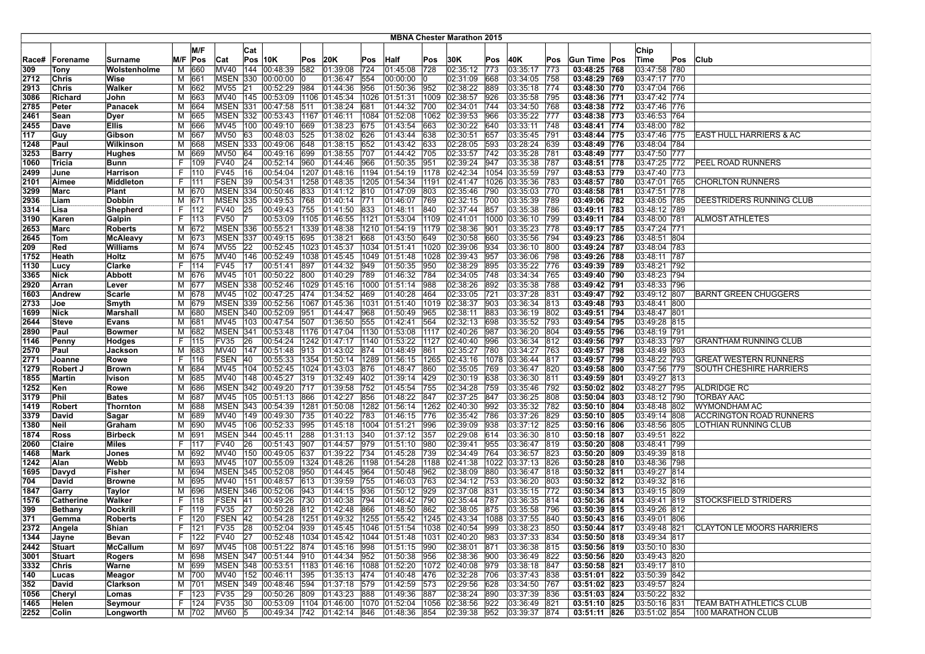| <b>MBNA Chester Marathon 2015</b> |               |                 |    |                |                            |           |                                                          |            |                                           |             |                 |             |                      |            |                      |            |                              |                              |     |                                  |
|-----------------------------------|---------------|-----------------|----|----------------|----------------------------|-----------|----------------------------------------------------------|------------|-------------------------------------------|-------------|-----------------|-------------|----------------------|------------|----------------------|------------|------------------------------|------------------------------|-----|----------------------------------|
|                                   |               |                 |    |                |                            |           |                                                          |            |                                           |             |                 |             |                      |            |                      |            |                              |                              |     |                                  |
|                                   |               |                 |    | M/F            |                            | Cat       |                                                          |            |                                           |             |                 |             |                      |            |                      |            |                              | Chip                         |     |                                  |
| Race#                             | Forename      | Surname         |    | M/F Pos        | Cat                        |           | $Pos$ 10K                                                | Pos        | 20K                                       | Pos         | Half            | Pos         | 30K                  | Pos        | 40K                  | Pos        | Gun Time  Pos                | ∣Time                        | Pos | <b>Club</b>                      |
| 309                               | Tony          | Wolstenholme    | м  | 660            | MV40                       | 144       | 00:48:39                                                 | 582        | 01:39:08                                  | 724         | 01:45:08        | 728         | 02:35:12             | 773        | 03:35:17             | 773        | 03:48:25 768                 | 03:47:58 780                 |     |                                  |
| 2712                              | Chris         | Wise            |    | M 661          | MSEN                       | 330       | 00:00:00                                                 |            | 01:36:47                                  | 554         | 00:00:00        |             | 02:31:09             | 668        | 03:34:05             | 758        | 03:48:29 769                 | 03:47:17 770                 |     |                                  |
| 2913                              | Chris         | Walker          | м  | 662            | <b>MV55</b>                | 21        | 00:52:29                                                 | 984        | 01:44:36                                  | 956         | 01:50:36        | 952         | 02:38:22             | 889        | 03:35:18             | 774        | 03:48:30 770                 | 03:47:04 766                 |     |                                  |
| 3086                              | Richard       | John            | м  | 1663           | MV40                       | 145       | 00:53:09                                                 |            | 1106 01:45:34                             | 1026        | 01:51:31        | 1009        | 02:38:57             | 926        | 03:35:58             | 795        | 03:48:36 771                 | 03:47:42 774                 |     |                                  |
| 2785                              | Peter         | Panacek         | м  | 664            | <b>MSEN 331</b>            |           | 00:47:58 511                                             |            | 01:38:24                                  | 681         | 01:44:32        | 700         | 02:34:01             | 744        | 03:34:50             | 768        | 03:48:38 772                 | 03:47:46 776                 |     |                                  |
| 2461                              | Sean          | Dyer            |    | M 665          |                            |           | MSEN 332 00:53:43 1167 01:46:11                          |            |                                           | 1084        | 01:52:08        | 1062        | 02:39:53             | 966        | 03:35:22             | 777        | 03:48:38 773                 | 03:46:53 764                 |     |                                  |
| 2455                              | Dave          | <b>Ellis</b>    | М  | 666            | MV45                       |           | 100 00:49:10                                             | 669        | 01:38:23                                  | 675         | 01:43:54        | 663         | 02:30:22             | 640        | 03:33:11             | 748        | 03:48:41 774                 | 03:48:00 782                 |     |                                  |
| 117                               | Guy           | Gibson          | М  | 667            | <b>MV50</b>                | 63        | 00:48:03                                                 | 525        | 01:38:02                                  | 626         | 01:43:44        | 638         | 02:30:51             | 657        | 03:35:45             | 791        | 03:48:44 775                 | 03:47:46 775                 |     | (EAST HULL HARRIERS & AC         |
| 1248                              | Paul          | Wilkinson       | М  | 668            | <b>MSEN 333</b>            |           | 00:49:06                                                 | 648        | 01:38:15                                  | 652         | 01:43:42        | 633         | 02:28:05             | 593        | 03:28:24             | 639        | 03:48:49 776                 | 03:48:04 784                 |     |                                  |
| 3253                              | Barry         | Hughes          | M  | 669            | <b>MV50</b>                | 64        | 00:49:16                                                 | 699        | 01:38:55                                  | 707         | 01:44:42        | 705         | 02:33:57             | 742        | 03:35:28             | 781        | 03:48:49 777                 | 03:47:50 777                 |     |                                  |
| 1060                              | Tricia        | Bunn            |    | F   109        | <b>FV40</b>                | 24        | 00:52:14                                                 | 960        | 01:44:46 966                              |             | 01:50:35        | 951         | 02:39:24             | 947        | 03:35:38             | 787        | 03:48:51 778                 | 03:47:25 772                 |     | PEEL ROAD RUNNERS                |
| 2499                              | June          | Harrison        |    | F   110        | <b>FV45</b>                | 16        | 00:54:04                                                 |            | 1207 01:48:16 1194                        |             | 01:54:19        | 1178        | 02:42:34             |            | 1054 03:35:59        | 797        | 03:48:53 779                 | 03:47:40 773                 |     |                                  |
| 2101                              | Aimee         | Middleton       |    | F 1111         | FSEN                       | 39        | 00:54:31                                                 |            | 1258 01:48:35                             | 1205        | 01:54:34        | 1191        | 02:41:47             |            | 1026 03:35:36        | 783        | 03:48:57 780                 | 03:47:01 765                 |     | <b>CHORLTON RUNNERS</b>          |
| 3299                              | Marc          | <b>Plant</b>    |    | M 670          | <b>MSEN 334</b>            |           | 00:50:46                                                 | 833        | 01:41:12 810                              |             | 01:47:09        | 803         | 02:35:46             | 790        | 03:35:03             | 770        | 03:48:58 781                 | 03:47:51 778                 |     |                                  |
| 2936                              | Liam          | Dobbin          | м  | 671            | MSEN                       | 335       | 00:49:53                                                 | 768        | 01:40:14                                  | 771         | 01:46:07        | 769         | 02:32:15             | 700        | 03:35:39             | 789        | 03:49:06 782                 | 03:48:05 785                 |     | DEESTRIDERS RUNNING CLUB         |
| 3314                              | Lisa          | Shepherd        |    | F   112        | <b>FV40</b>                | 25        | 00:49:43                                                 | 755        | 01:41:50                                  | 833         | 01:48:11        | 840         | 02:37:44             | 857        | 03:35:38             | 786        | 03:49:11 783                 | 03:48:12 789                 |     |                                  |
| 3190                              | Karen         | Galpin          |    | F 113          | <b>FV50</b>                |           | 00:53:09                                                 |            | 1105 01:46:55                             | 1121        | 01:53:04        | 1109        | 02:41:01             |            | 1000 03:36:10        | 799        | 03:49:11 784                 | 03:48:00 781                 |     | <b>ALMOST ATHLETES</b>           |
| 2653                              | Marc          | Roberts         |    | M 672          | <b>MSEN 336</b>            |           | 00:55:21<br>MSEN 337 00:49:15                            | 695        | 1339 01:48:38                             |             | 1210 01:54:19   | 1179<br>649 | 02:38:36             | 901<br>660 | 03:35:23             | 778        | 03:49:17 785                 | 03:47:24 771<br>03:48:51 804 |     |                                  |
| 2645                              | Tom           | McAleavy        |    | M 673          | <b>MV55</b>                |           | 00:52:45                                                 |            | 01:38:21                                  | 668<br>1034 | 01:43:50        | 1020        | 02:30:58             | 934        | 03:35:56             | 794        | 03:49:23 786<br>03:49:24 787 | 03:48:04 783                 |     |                                  |
| 209                               | Red           | Williams        |    | M 674          |                            | 22        |                                                          |            | 1023 01:45:37                             |             | 01:51:41        |             | 02:39:06             |            | 03:36:10             | 800        |                              |                              |     |                                  |
| 1752                              | Heath         | Holtz           |    | M 675<br>114   | MV40                       | 146<br>17 | 00:52:49                                                 |            | 1038 01:45:45 1049 01:51:48               |             | 01:50:35        | 1028<br>950 | 02:39:43             | 957<br>895 | 03:36:06             | 1798       | 03:49:26 788                 | 03:48:11 787                 |     |                                  |
| 1130                              | Lucy          | Clarke          | F. |                | <b>FV45</b><br><b>MV45</b> | 101       | 00:51:41<br>00:50:22                                     | 897<br>800 | 01:44:32                                  | 949         |                 | 784         | 02:38:29<br>02:34:05 | 748        | 03:35:22             | 776<br>765 | 03:49:39 789                 | 03:48:21 792<br>03:48:23 794 |     |                                  |
| 3365                              | Nick<br>Arran | Abbott          |    | M 676          |                            |           | MSEN 338 00:52:46                                        |            | 01:40:29<br> 1029 01:45:16  1000 01:51:14 | 789         | 01:46:32        | 988         | 02:38:26             | 892        | 03:34:34<br>03:35:38 | 788        | 03:49:40 790<br>03:49:42 791 | 03:48:33 796                 |     |                                  |
| 2920                              | Andrew        | Lever<br>Scarle |    | M 677<br>M 678 | MV45                       | 102       | 00:47:25                                                 | 474        | 01:34:52                                  | 469         | 01:40:28        | 464         | 02:33:05             | 721        | 03:37:28             | 831        | 03:49:47 792                 | 03:49:12 807                 |     | <b>BARNT GREEN CHUGGERS</b>      |
| 1603 <br>2733                     | Joe           | Smyth           |    | M 679          |                            |           | MSEN 339 00:52:56                                        |            | 1067 01:45:36                             | 1031        | 01:51:40        | 1019        | 02:38:37             | 903        | 03:36:34             | 813        | 03:49:48 793                 | 03:48:41 800                 |     |                                  |
| 1699                              | Nick          | Marshall        |    | M 680          |                            |           | MSEN 340 00:52:09                                        | 951        | 01:44:47                                  | 968         | 01:50:49        | 965         | 02:38:11             | 883        | 03:36:19             | 802        | 03:49:51 794                 | 03:48:47 801                 |     |                                  |
| 2644                              | ∣Steve        | Evans           | М  | 681            | MV45                       | 103       | 00:47:54                                                 | 507        | 01:36:50                                  | 555         | 01:42:41        | 564         | 02:32:13             | 698        | 03:35:52             | 793        | 03:49:54 795                 | 03:49:28 815                 |     |                                  |
| 2890                              | Paul          | Bowmer          | М  | 682            | <b>MSEN</b>                | 341       | 00:53:48                                                 |            | 1176 01:47:04                             | 1130        | 01:53:08        | 1117        | 02:40:26             | 987        | 03:36:20             | 804        | 03:49:55 796                 | 03:48:19 791                 |     |                                  |
| 1146                              | Penny         | Hodges          |    | F   115        | <b>FV35</b>                | 26        | 00:54:24                                                 |            | 1242 01:47:17                             |             | 1140 01:53:22   | 1127        | 02:40:40             | 996        | 03:36:34             | 812        | 03:49:56 797                 | 03:48:33 797                 |     | GRANTHAM RUNNING CLUB            |
| 2570                              | Paul          | Jackson         |    | M 683          | MV40                       |           | 147 00:51:48                                             |            | 913 01:43:02 874                          |             | 01:48:49        | 861         | 02:35:27             | 780        | 03:34:27             | 763        | 03:49:57 798                 | 03:48:49 803                 |     |                                  |
| 2771                              | Joanne        | Rowe            | F. | 116            | <b>FSEN</b>                | 40        | 00:55:33                                                 |            | 1354 01:50:14                             | 1289        | 01:56:15        | 1265        | 02:43:16             |            | 1078 03:36:44        | 817        | 03:49:57 799                 | 03:48:22 793                 |     | <b>GREAT WESTERN RUNNERS</b>     |
| 1279                              | Robert J      | Brown           |    | M 684          | MV45                       | 104       | 00:52:45                                                 |            | 1024 01:43:03                             | 876         | 01:48:47        | 860         | 02:35:05             | 769        | 03:36:47             | 1820       | 03:49:58 800                 | 03:47:56 779                 |     | SOUTH CHESHIRE HARRIERS          |
| 1855                              | Martin        | Ivison          | М  | 685            | <b>MV40</b>                | 148       | 00:45:27                                                 | 319        | 01:32:49                                  | 402         | 01:39:14        | 429         | 02:30:19             | 638        | 03:36:30             | 811        | 03:49:59 801                 | 03:49:27 813                 |     |                                  |
| 1252                              | Ken           | Rowe            | М  | 686            | <b>MSEN</b>                |           | 342 00:49:20                                             | 717        | 01:39:58                                  | 752         | 01:45:54        | 755         | 02:34:28             | 759        | 03:35:46             | 792        | 03:50:02 802                 | 03:48:27 795                 |     | <b>ALDRIDGE RC</b>               |
| 3179                              | Phil          | <b>Bates</b>    | М  | 687            | MV45                       |           | 105 00:51:13                                             | 866        | 01:42:27                                  | 856         | 01:48:22        | 847         | 02:37:25             | 847        | 03:36:25             | 808        | 03:50:04 803                 | 03:48:12 790                 |     | <b>TORBAY AAC</b>                |
| 1419                              | Robert        | Thornton        |    | M 688          |                            |           | MSEN 343 00:54:39                                        |            | $ 1281 01:50:08$  1282  01:56:14          |             |                 | 1262        | 02:40:30             | 992        | 03:35:32             | 782        | 03:50:10 804                 | 03:48:48 802                 |     | WYMONDHAM AC                     |
| 3379                              | David         | Sagar           |    | M 689          | <b>MV40</b>                |           | 149 00:49:30                                             | 735        | 01:40:22                                  | 783         | 01:46:15        | 776         | 02:35:42             | 786        | 03:37:26             | 829        | 03:50:10 805                 | 03:49:14 808                 |     | <b>ACCRINGTON ROAD RUNNERS</b>   |
| 1380                              | Neil          | Graham          | М  | 690            | <b>MV45</b>                | 106       | 00:52:33                                                 | 995        | 01:45:18                                  | 1004        | 01:51:21        | 996         | 02:39:09             | 938        | 03:37:12             | 825        | 03:50:16 806                 | 03:48:56 805                 |     | _OTHIAN RUNNING CLUB             |
| 1874                              | Ross          | <b>Birbeck</b>  |    | M 691          | <b>MSEN</b>                | 344       | 00:45:11                                                 | 288        | 01:31:13                                  | 340         | 01:37:12        | 357         | 02:29:08             | 614        | 03:36:30             | 1810       | 03:50:18 807                 | 03:49:51 822                 |     |                                  |
| 2060                              | Claire        | <b>Miles</b>    |    | F   117        | <b>FV40</b>                | 26        | 00:51:43                                                 | 907        | 01:44:57                                  | 979         | 01:51:10        | 980         | 02:39:41             | 955        | 03:36:47             | 819        | 03:50:20 808                 | 03:48:41 799                 |     |                                  |
| 1468                              | Mark          | Jones           |    | M 692          | MV40                       |           | 150 00:49:05                                             | 637        | 01:39:22                                  | 734         | 01:45:28        | 739         | 02:34:49             | 764        | 03:36:57             | 823        | 03:50:20 809                 | 03:49:39 818                 |     |                                  |
| 1242                              | Alan          | Webb            |    | M 693          | MV45                       |           | 107 00:55:09                                             |            | 1324 01:48:26 1198                        |             | 01:54:28        | 1188        | 02:41:38             |            | 1022 03:37:13        | 826        | 03:50:28 810                 | 03:48:36 798                 |     |                                  |
| 1695                              | Davyd         | Fisher          |    | M 694          | <b>MSEN 345</b>            |           | 00:52:08                                                 | 950        | 01:44:45                                  | 964         | 01:50:48        | 962         | 02:38:09             | 880        | 03:36:47             | 818        | 03:50:32 811                 | 03:49:27 814                 |     |                                  |
| 704                               | David         | <b>Browne</b>   |    | M 695          | MV40                       | 151       | 00:48:57                                                 | 613        | 01:39:59                                  | 755         | 01:46:03        | 763         | 02:34:12             | 753        | 03:36:20             | 803        | 03:50:32 812                 | 03:49:32 816                 |     |                                  |
| 1847                              | Garry         | <b>Taylor</b>   |    | M 696          | MSEN 346                   |           | 00:52:06                                                 | 943        | 01:44:15 936                              |             | 01:50:12        | 929         | 02:37:08             | 831        | 03:35:15             | 772        | 03:50:34 813                 | 03:49:15 809                 |     |                                  |
| 1576                              | Catherine     | Walker          |    | F   118        | FSEN                       | 141       | 00:49:26                                                 | 730        | 01:40:38                                  | 794         | 01:46:42        | 790         | 02:35:44             | 787        | 03:36:35             | 814        | 03:50:36 814                 | 03:49:41 819                 |     | <b>STOCKSFIELD STRIDERS</b>      |
| 399                               | Bethany       | Dockrill        |    | F   119        | <b>FV35</b>                | 27        | 00:50:28                                                 | 812        | 01:42:48                                  | 866         | 01:48:50        | 862         | 02:38:05             | 875        | 03:35:58             | 796        | 03:50:39 815                 | 03:49:26 812                 |     |                                  |
| 371                               | Gemma         | Roberts         |    | F   120        | FSEN 42                    |           |                                                          |            |                                           |             |                 | 1245        | 02:43:34             |            | 1088 03:37:55        | 840        | $03:50:43$ 816               | 03:49:01 806                 |     |                                  |
| 2372                              | Angela        | Shian           |    | F   121        | FV35 28                    |           | $ 00:52:04$ 939 01:45:45 1046 01:51:54 1038 02:40:54 999 |            |                                           |             |                 |             |                      |            | 03:38:23 850         |            | 03:50:44 817                 | 03:49:48  821                |     | <b>CLAYTON LE MOORS HARRIERS</b> |
| 1344                              | Jayne         | <b>Bevan</b>    |    | F   122        | FV40 27                    |           | $ 00:52:48$  1034  01:45:42  1044  01:51:48  1031        |            |                                           |             |                 |             | 02:40:20 983         |            | 03:37:33 834         |            | 03:50:50 818                 | 03:49:34 817                 |     |                                  |
| 2442                              | Stuart        | McCallum        |    | M 697          |                            |           | MV45 108 00:51:22 874 01:45:16 998                       |            |                                           |             | 01:51:15        | 990         | 02:38:01             | 871        | 03:36:38 815         |            | 03:50:56 819                 | 03:50:10 830                 |     |                                  |
| 3001                              | Stuart        | Rogers          |    | M 698          |                            |           | MSEN 347 00:51:44 910                                    |            | 01:44:34 952                              |             | 01:50:38        | 956         | 02:38:36             | 900        | 03:36:49             | 822        | 03:50:56 820                 | 03:49:43 820                 |     |                                  |
| 3332                              | Chris         | Warne           |    | M 699          |                            |           | MSEN 348 00:53:51 1183 01:46:16 1088 01:52:20            |            |                                           |             |                 | 1072        | 02:40:08             | 979        | 03:38:18 847         |            | 03:50:58 821                 | 03:49:17 810                 |     |                                  |
| 140                               | Lucas         | Meagor          |    | M 700          |                            |           | MV40 152 00:46:11                                        |            | 395 01:35:13 474                          |             | 01:40:48 476    |             | 02:32:28 706         |            | 03:37:43 838         |            | 03:51:01 822                 | 03:50:39 842                 |     |                                  |
| 352                               | David         | Clarkson        |    | M 701          |                            |           | MSEN 349 00:48:46 594 01:37:18 579                       |            |                                           |             | $ 01:42:59$ 573 |             | 02:29:56 628         |            | 03:34:50 767         |            | 03:51:02 823                 | 03:49:57 824                 |     |                                  |
| 1056                              | Cheryl        | Lomas           |    | F   123        | <b>FV35</b>                | 29        | 00:50:26 809                                             |            | 01:43:23 888                              |             | 01:49:36        | 887         | 02:38:24             | 890        | 03:37:39 836         |            | 03:51:03 824                 | 03:50:22 832                 |     |                                  |
| 1465                              | Helen         | Seymour         |    | F   124        | <b>FV35</b>                | 30        | 00:53:09 1104 01:46:00 1070 01:52:04                     |            |                                           |             |                 | 1056        | 02:38:56 922         |            | 03:36:49             | 821        | 03:51:10 825                 | 03:50:16 831                 |     | <b>TEAM BATH ATHLETICS CLUB</b>  |
| 2252                              | Colin         | Longworth       |    | M 702          | MV60 5                     |           | 00:49:34 742 01:42:14 846                                |            |                                           |             | 01:48:36 854    |             | 02:39:38 952         |            | 03:39:37 874         |            | 03:51:11 826                 | 03:51:02 854                 |     | 100 MARATHON CLUB                |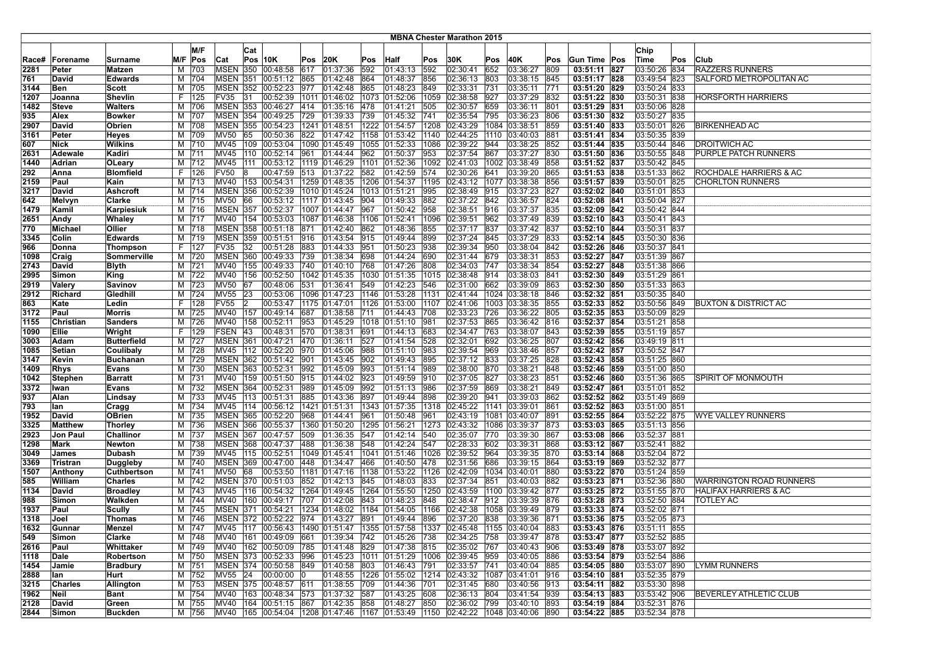| <b>MBNA Chester Marathon 2015</b> |              |                    |   |              |                     |            |                                                                                          |     |                                |             |                           |              |                      |                |                            |            |                              |                              |     |                                  |
|-----------------------------------|--------------|--------------------|---|--------------|---------------------|------------|------------------------------------------------------------------------------------------|-----|--------------------------------|-------------|---------------------------|--------------|----------------------|----------------|----------------------------|------------|------------------------------|------------------------------|-----|----------------------------------|
|                                   |              |                    |   | M/F          |                     |            |                                                                                          |     |                                |             |                           |              |                      |                |                            |            |                              |                              |     |                                  |
|                                   |              |                    |   |              |                     | Cat        |                                                                                          |     |                                |             |                           |              |                      |                |                            |            |                              | Chip                         |     |                                  |
| Race#                             | Forename     | Surname            |   | M/F Pos      | Cat                 |            | $Pos$ 10K                                                                                | Pos | 20K                            | Pos         | Half                      | Pos          | 30K                  | Pos            | 40K                        | Pos        | Gun Time Pos                 | Time                         | Pos | Club                             |
| 2281                              | ∣Peter       | <b>Matzen</b>      | М | 703          | <b>MSEN 350</b>     |            | 00:48:58                                                                                 | 617 | 01:37:36                       | 592         | 01:43:13                  | 592          | 02:30:41             | 652            | 03:36:27                   | 809        | 03:51:11 827                 | 03:50:26 834                 |     | <b>RAZZERS RUNNERS</b>           |
| 761                               | David        | <b>Edwards</b>     |   | M 704        |                     |            | MSEN 351 00:51:12                                                                        | 865 | 01:42:48                       | 864         | 01:48:37                  | 856          | 02:36:13             | 803            | 03:38:15                   | 845        | 03:51:17 828                 | 03:49:54 823                 |     | SALFORD METROPOLITAN AC          |
| 3144                              | Ben          | Scott              | м | 705          | <b>MSEN</b>         | 352        | 00:52:23                                                                                 | 977 | 01:42:48                       | 865         | 01:48:23                  | 849          | 02:33:31             | 731            | 03:35:11                   | 771        | 03:51:20 829                 | 03:50:24 833                 |     |                                  |
| 1207                              | Joanna       | <b>Shevlin</b>     |   | F   125      | FV35                | 31         | 00:52:39                                                                                 |     | 1011 01:46:02 1073             |             | 01:52:06                  | 1059         | 02:38:58             | 927            | 03:37:29                   | 832        | 03:51:22 830                 | 03:50:31 838                 |     | <b>HORSFORTH HARRIERS</b>        |
| 1482                              | Steve        | <b>Walters</b>     |   | M 706        |                     |            | MSEN 353 00:46:27 414                                                                    |     | $ 01:35:16 $ 478               |             | 01:41:21                  | 505          | 02:30:57             | 659            | 03:36:11                   | 1801       | 03:51:29 831                 | 03:50:06 828                 |     |                                  |
| 935                               | Alex         | Bowker             |   | M 707        |                     |            | MSEN 354 00:49:25                                                                        | 729 | $[01:39:33$ 739                |             | 01:45:32                  | 741          | 02:35:54             | 795            | 03:36:23                   | 806        | 03:51:30 832                 | 03:50:27 835                 |     |                                  |
| 2907                              | David        | Obrien             |   | M 708        |                     |            | MSEN 355 00:54:23                                                                        |     | 1241 01:48:51                  |             | 1222 01:54:57             | 1208         | 02:43:29             |                | 1084 03:38:51              | 859        | 03:51:40 833                 | 03:50:01 826                 |     | <b>BIRKENHEAD AC</b>             |
| 3161                              | Peter        | <b>Heyes</b>       |   | M 709        | <b>MV50</b>         | 65         | 00:50:36                                                                                 | 822 | 01:47:42 1158                  |             | 01:53:42                  | 1140         | 02:44:25             | $ 1110\rangle$ | 03:40:03                   | 881        | 03:51:41 834                 | 03:50:35 839                 |     |                                  |
| 607                               | Nick         | <b>Wilkins</b>     |   | M 710        | MV45                |            | 109 00:53:04                                                                             |     | 1090 01:45:49                  |             | 1055 01:52:33             | 1086         | 02:39:22             | 944            | 03:38:25                   | 852        | 03:51:44 835                 | 03:50:44 846                 |     | <b>DROITWICH AC</b>              |
| 2631                              | Adewale      | Kadiri             |   | M 711        | <b>MV45</b>         | 110        | 00:52:14 961                                                                             |     | 01:44:44 962                   |             | 01:50:37                  | 953          | 02:37:54             | 867            | 03:37:27                   | 830        | 03:51:50 836                 | 03:50:55 848                 |     | PURPLE PATCH RUNNERS             |
| 1440                              | Adrian       | <b>OLeary</b>      |   | M 712        | <b>MV45</b>         | 111        | 00:53:12  1119  01:46:29  1101  01:52:36                                                 |     |                                |             |                           | 1092         | 02:41:03             |                | 1002 03:38:49              | 858        | 03:51:52 837                 | 03:50:42 845                 |     |                                  |
| 292                               | Anna         | <b>Blomfield</b>   |   | F   126      | <b>FV50</b>         | 18         |                                                                                          |     | 00:47:59 513 01:37:22 582      |             | 01:42:59                  | 574          | 02:30:26             | 641            | 03:39:20                   | 865        | 03:51:53 838                 | 03:51:33 862                 |     | ROCHDALE HARRIERS & AC           |
| 2159                              | Paul         | Kain               |   | M 713        | MV40                |            | 153 00:54:31                                                                             |     | 1259 01:48:35   1206 01:54:37  |             |                           | 1195         | 02:43:12             |                | 1077 03:38:38              | 856        | 03:51:57 839                 | 03:50:01 825                 |     | <b>CHORLTON RUNNERS</b>          |
| 3217                              | David        | <b>Ashcroft</b>    |   | M 714        | <b>MSEN</b>         | 356        | 00:52:39                                                                                 |     | 1010 01:45:24   1013 01:51:21  |             |                           | 995          | 02:38:49             | 915            | 03:37:23                   | 827        | 03:52:02 840                 | 03:51:01 853                 |     |                                  |
| 642                               | Melvyn       | Clarke             |   | M 715        | <b>MV50</b>         | 66         | 00:53:12                                                                                 |     | 1117  01:43:45  904            |             | 01:49:33                  | 882          | 02:37:22             | 842            | 03:36:57                   | 824        | 03:52:08 841                 | 03:50:04 827                 |     |                                  |
| 1479                              | Kamil        | Karpiesiuk         |   | M 716        | <b>MSEN 357</b>     |            | 00:52:37                                                                                 |     | 1007 01:44:47                  | 967         | $ 01:50:42\rangle$        | 958          | 02:38:51             | 916            | 03:37:37                   | 835        | 03:52:09 842                 | 03:50:42 844                 |     |                                  |
| 2651                              | Andy         | Whaley             |   | M 717        | MV40                |            | 154 00:53:03                                                                             |     | 1087 01:46:38                  | 1106        | 01:52:41                  | 1096         | 02:39:51             | 962            | 03:37:49                   | 839        | 03:52:10 843                 | 03:50:41 843                 |     |                                  |
| 770                               | Michael      | Ollier             |   | M 718        | <b>MSEN 358</b>     |            | 00:51:18 871                                                                             |     | 01:42:40 862                   |             | 01:48:36                  | 855          | 02:37:17             | 837            | 03:37:42                   | 837        | 03:52:10 844                 | 03:50:31 837                 |     |                                  |
| 3345                              | Colin        | <b>Edwards</b>     |   | M 719        |                     |            | MSEN 359 00:51:51 916                                                                    |     | 01:43:54                       | 915         | 01:49:44                  | 899          | 02:37:24             | 845            | 03:37:29                   | 833        | 03:52:14 845                 | 03:50:30 836                 |     |                                  |
| 966                               | Donna        | Thompson           |   | F   127      | <b>FV35</b>         | 32         | 00:51:28                                                                                 | 883 | 01:44:33                       | 951         | 01:50:23                  | 938          | 02:39:34             | 950            | 03:38:04                   | 842        | 03:52:26 846                 | 03:50:37 841                 |     |                                  |
| 1098                              | Craig        | Sommerville        |   | M 720        |                     |            | MSEN 360 00:49:33                                                                        | 739 | 01:38:34                       | 698         | 01:44:24                  | 690          | 02:31:44             | 679            | 03:38:31                   | 1853       | 03:52:27 847                 | 03:51:39 867                 |     |                                  |
| 2743                              | David        | <b>Blyth</b>       |   | M 721        | <b>MV40</b>         |            | 155 00:49:33                                                                             | 740 | 01:40:10                       | 768         | 01:47:26                  | 808          | 02:34:03             | 747            | 03:38:34                   | 854        | 03:52:27 848                 | 03:51:38 866                 |     |                                  |
| 2995                              | Simon        | King               |   | M 722        | MV40                | 156        | 00:52:50                                                                                 |     | 1042 01:45:35                  |             | 1030 01:51:35             | 1015         | 02:38:48             | 914            | 03:38:03                   | 841        | 03:52:30 849                 | 03:51:29 861                 |     |                                  |
| 2919                              | Valery       | <b>Savinov</b>     |   | M 723        | <b>MV50</b>         | 67         | 00:48:06                                                                                 | 531 | 01:36:41                       | 549         | 01:42:23                  | 546          | 02:31:00             | 662            | 03:39:09                   | 863        | 03:52:30 850                 | 03:51:33 863                 |     |                                  |
| 2912                              | Richard      | Gledhill           |   | M 724        | <b>MV55</b>         | 23<br>12   | 00:53:06                                                                                 |     | 1096 01:47:23                  |             | 1146 01:53:28             | 1131<br>1107 | 02:41:44             |                | 1024 03:38:18              | 846        | 03:52:32 851                 | 03:50:35 840<br>03:50:56 849 |     | BUXTON & DISTRICT AC             |
| 863<br>3172                       | Kate<br>Paul | Ledin              |   | F   128      | <b>FV55</b><br>MV40 |            | 00:53:47<br> 00:49:14                                                                    | 687 | 1175 01:47:01                  | 1126<br>711 | 01:53:00                  | 708          | 02:41:06<br>02:33:23 | 726            | 1003 03:38:35<br>03:36:22  | 855<br>805 | 03:52:33 852<br>03:52:35 853 | 03:50:09 829                 |     |                                  |
| 1155                              | Christian    | <b>Morris</b>      |   | M 725<br>726 | <b>MV40</b>         | 157<br>158 | 00:52:11                                                                                 | 953 | 01:38:58<br>01:45:29           |             | 01:44:43<br>1018 01:51:10 | 981          | 02:37:53             | 865            | 03:36:42                   |            | 03:52:37 854                 | 03:51:21 858                 |     |                                  |
| 1090                              | Ellie        | Sanders<br>Wright  | М | F 129        | <b>FSEN</b>         | 43         | 00:48:31                                                                                 | 570 | 01:38:31                       | 691         | 01:44:13                  | 683          | 02:34:47             | 763            | 03:38:07                   | 816<br>843 | 03:52:39 855                 | 03:51:19 857                 |     |                                  |
| 3003                              | Adam         | <b>Butterfield</b> |   | M 727        |                     |            | MSEN 361 00:47:21                                                                        | 470 | 01:36:11                       | 527         | 01:41:54                  | 528          | 02:32:01             | 692            | 03:36:25                   | 807        | 03:52:42 856                 | 03:49:19 811                 |     |                                  |
| 1085                              | Setian       | Coulibaly          |   | M 728        |                     |            | MV45 112 00:52:20 970                                                                    |     | 01:45:06                       | 988         | 01:51:10                  | 983          | 02:39:54             | 969            | 03:38:46                   | 857        | 03:52:42 857                 | 03:50:52 847                 |     |                                  |
| 3147                              | Kevin        | <b>Buchanan</b>    |   | M 729        |                     |            | MSEN 362 00:51:42                                                                        | 901 | 01:43:45                       | 902         | 01:49:43                  | 895          | 02:37:12             | 833            | 03:37:25                   | 828        | 03:52:43 858                 | 03:51:25 860                 |     |                                  |
| 1409                              | <b>Rhys</b>  | <b>Evans</b>       |   | M 730        |                     |            | MSEN 363 00:52:31                                                                        | 992 | 01:45:09                       | 993         | 01:51:14                  | 989          | 02:38:00             | 870            | 03:38:21                   | 1848       | 03:52:46 859                 | 03:51:00 850                 |     |                                  |
| 1042                              | Stephen      | <b>Barratt</b>     |   | M 731        | <b>MV40</b>         |            | 159 00:51:50                                                                             | 915 | 01:44:02                       | 923         | 01:49:59                  | 910          | 02:37:05             | 827            | 03:38:23                   | 851        | 03:52:46 860                 | 03:51:36 865                 |     | SPIRIT OF MONMOUTH               |
| 3372                              | Iwan         | Evans              |   | M 732        |                     |            | MSEN 364 00:52:31                                                                        | 989 | 01:45:09                       | 992         | 01:51:13                  | 986          | 02:37:59             | 869            | 03:38:21                   | 849        | 03:52:47 861                 | 03:51:01 852                 |     |                                  |
| 937                               | Alan         | Lindsay            |   | M 733        | MV45                |            | 113 00:51:31                                                                             | 885 | 01:43:36 897                   |             | 01:49:44                  | 898          | 02:39:20             | 941            | 03:39:03                   | 862        | 03:52:52 862                 | 03:51:49 869                 |     |                                  |
| 793                               | lan          | Cragg              |   | M 734        |                     |            | MV45  114  00:56:12  1421  01:51:31                                                      |     |                                |             | 1343 01:57:35             | 1318         | 02:45:22             | 1141           | 03:39:01                   | 861        | 03:52:52 863                 | 03:51:00 851                 |     |                                  |
| 1952                              | David        | <b>OBrien</b>      |   | M 735        |                     |            | MSEN 365 00:52:20                                                                        | 968 | 01:44:41                       | 961         | 01:50:48                  | 961          | 02:43:19             |                | 1081 03:40:07              | 891        | 03:52:55 864                 | 03:52:22 875                 |     | <b>WYE VALLEY RUNNERS</b>        |
| 3325                              | Matthew      | Thorley            |   | M 736        | MSEN 366            |            | 00:55:37                                                                                 |     | 1360 01:50:20                  | 1295        | 01:56:21                  | 1273         | 02:43:32             | 1086           | 03:39:37                   | 873        | 03:53:03 865                 | 03:51:13 856                 |     |                                  |
| 2923                              | Jon Paul     | Challinor          |   | M 737        |                     |            | MSEN 367 00:47:57                                                                        | 509 | 01:36:35                       | 547         | 01:42:14                  | 540          | 02:35:07             | 770            | 03:39:30                   | 1867       | 03:53:08 866                 | 03:52:37 881                 |     |                                  |
| 1298                              | Mark         | <b>Newton</b>      |   | M 738        | <b>MSEN 368</b>     |            | 00:47:37                                                                                 | 488 | 01:36:38                       | 548         | 01:42:24                  | 547          | 02:28:33             | 602            | 03:39:31                   | 1868       | 03:53:12 867                 | 03:52:41 882                 |     |                                  |
| 3049                              | James        | Dubash             |   | M 739        | MV45                | 115        | 00:52:51                                                                                 |     | 1049 01:45:41                  |             | 1041 01:51:46             | 1026         | 02:39:52             | 964            | 03:39:35                   | 870        | 03:53:14 868                 | 03:52:04 872                 |     |                                  |
| 3369                              | Tristran     | <b>Duggleby</b>    |   | M 740        |                     |            | MSEN 369 00:47:00                                                                        | 448 | 01:34:47                       | 466         | 01:40:50                  | 478          | 02:31:56             | 686            | 03:39:15                   | 864        | 03:53:19 869                 | 03:52:32 877                 |     |                                  |
| 1507                              | Anthony      | <b>Cuthbertson</b> |   | M 741        | MV50 68             |            | 00:53:50                                                                                 |     | 1181 01:47:16                  | 1138        | 01:53:22                  | 1126         | 02:42:09             |                | 1034 03:40:01              | 880        | 03:53:22 870                 | 03:51:24 859                 |     |                                  |
| 585                               | William      | <b>Charles</b>     |   | M 742        |                     |            | MSEN 370 00:51:03                                                                        | 852 | [01:42:13]                     | 845         | 01:48:03                  | 833          | 02:37:34             | 851            | 03:40:03                   | 882        | 03:53:23 871                 | 03:52:36 880                 |     | WARRINGTON ROAD RUNNERS          |
| 1134                              | David        | <b>Broadley</b>    |   | M 743        | MV45                | 116        | 00:54:32                                                                                 |     | 1264  01:49:45  1264  01:55:50 |             |                           | 1250         | 02:43:59             |                | 1100 03:39:42              | 877        | 03:53:25 872                 | 03:51:55 870                 |     | <b>HALIFAX HARRIERS &amp; AC</b> |
| 988                               | Simon        | Walkden            |   | M 744        | MV40                | 160        | 00:49:17                                                                                 | 707 | 01:42:08                       | 843         | 01:48:23                  | 848          | 02:38:47             | 912            | 03:39:39                   | 876        | 03:53:28 873                 | 03:52:50 884                 |     | TOTLEY AC                        |
| 1937                              | Paul         | Scully             |   | M 745        | <b>MSEN 371</b>     |            | 00:54:21                                                                                 |     | 1234 01:48:02                  | 1184        | 01:54:05                  | 1166         | 02:42:38             |                | 1058 03:39:49              | 879        | 03:53:33 874                 | 03:52:02 871                 |     |                                  |
| 1318                              | Joel         | Thomas             |   | M 746        |                     |            | MSEN 372 00:52:22 974 01:43:27 891                                                       |     |                                |             | 01:49:44                  | 896          | 02:37:20 838         |                | 03:39:36 871               |            | 03:53:36 875                 | 03:52:05 873                 |     |                                  |
| 1632                              | Gunnar       | Menzel             |   | M   747      |                     |            | MV45  117  00:56:43  1490  01:51:47  1355  01:57:58  1337  02:45:48  1155  03:40:04  883 |     |                                |             |                           |              |                      |                |                            |            | 03:53:43 876                 | 03:51:11 855                 |     |                                  |
| 549                               | Simon        | Clarke             |   | M 748        |                     |            | MV40 161 00:49:09 661 01:39:34 742                                                       |     |                                |             | 01:45:26                  | 738          | 02:34:25 758         |                | 03:39:47 878               |            | 03:53:47 877                 | 03:52:52 885                 |     |                                  |
| 2616                              | Paul         | Whittaker          |   | M 749        |                     |            | MV40  162  00:50:09  785                                                                 |     | $ 01:41:48$ 829                |             | 01:47:38                  | 815          | 02:35:02             | 767            | 03:40:43 906               |            | 03:53:49 878                 | 03:53:07 892                 |     |                                  |
| 1118                              | Dale         | Robertson          |   | M 750        |                     |            | MSEN 373 00:52:33 996                                                                    |     | 01:45:23 1011                  |             | 01:51:29                  | 1006         | 02:39:45             | 959            | 03:40:05 886               |            | 03:53:54 879                 | 03:52:54 886                 |     |                                  |
| 1454                              | Jamie        | <b>Bradbury</b>    |   | M 751        |                     |            | MSEN 374 00:50:58 849                                                                    |     | 01:40:58 803                   |             | 01:46:43                  | 791          | 02:33:57             | 741            | 03:40:04                   | 885        | 03:54:05 880                 | 03:53:07 890                 |     | LYMM RUNNERS                     |
| 2888                              | lan          | Hurt               |   | M 752        | MV55 24             |            | 00:00:00 0                                                                               |     | 01:48:55 1226 01:55:02 1214    |             |                           |              | 02:43:32             |                | 1087 03:41:01 916          |            | 03:54:10 881                 | 03:52:35 879                 |     |                                  |
| 3215                              | Charles      | Allington          |   | M 753        |                     |            | MSEN 375 00:48:57 611 01:38:55 709                                                       |     |                                |             | 01:44:36                  | 701          | 02:31:45 680         |                | 03:40:56 913               |            | 03:54:11 882                 | 03:53:30 898                 |     |                                  |
| 1962                              | Neil         | <b>Bant</b>        |   | M 754        |                     |            | MV40 163 00:48:34 573 01:37:32 587                                                       |     |                                |             | 01:43:25                  | 608          | 02:36:13             | 804            | 03:41:54 939               |            | 03:54:13 883                 | 03:53:42 906                 |     | BEVERLEY ATHLETIC CLUB           |
| 2128                              | David        | Green              |   | M 755        | MV40                |            | 164  00:51:15  867  01:42:35  858                                                        |     |                                |             | 01:48:27                  | 850          | 02:36:02             | 799            | 03:40:10                   | 893        | 03:54:19 884                 | 03:52:31 876                 |     |                                  |
| 2844                              | Simon        | <b>Buckden</b>     |   | M 756        |                     |            | MV40  165  00:54:04  1208  01:47:46  1167  01:53:49  1150                                |     |                                |             |                           |              |                      |                | 02:42:22 1048 03:40:06 890 |            | 03:54:22 885                 | 03:52:34 878                 |     |                                  |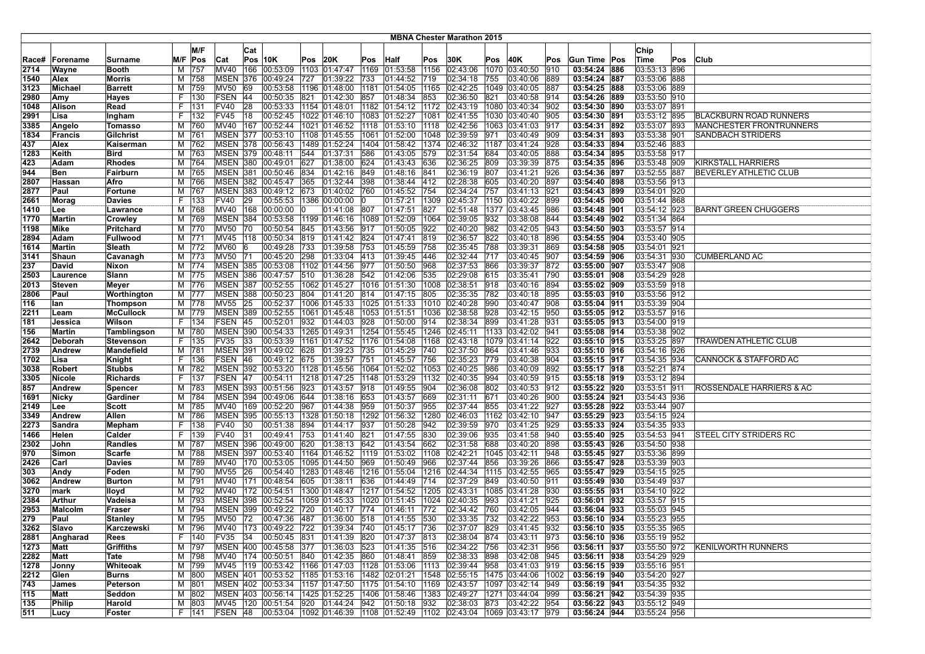|             |                 |                  |    |         |                 |     |                                                                                         |      |                   |      |                                |      | <b>MBNA Chester Marathon 2015</b> |      |                             |               |              |              |     |                                |
|-------------|-----------------|------------------|----|---------|-----------------|-----|-----------------------------------------------------------------------------------------|------|-------------------|------|--------------------------------|------|-----------------------------------|------|-----------------------------|---------------|--------------|--------------|-----|--------------------------------|
|             |                 |                  |    | M/F     |                 |     |                                                                                         |      |                   |      |                                |      |                                   |      |                             |               |              |              |     |                                |
|             |                 |                  |    |         |                 | Cat |                                                                                         |      |                   |      |                                |      |                                   |      |                             |               |              | Chip         |     |                                |
| Race#       | <b>Forename</b> | Surname          |    | M/F Pos | Cat             |     | <b>Pos 10K</b>                                                                          | Pos  | 20K               | Pos  | <b>Half</b>                    | Pos  | 30K                               | Pos  | 40K                         | Pos           | Gun Time Pos | Time         | Pos | <b>Club</b>                    |
| 2714        | Wayne           | <b>Booth</b>     | м  | 757     | MV40            | 166 | 00:53:09                                                                                |      | 1103 01:47:47     | 1169 | 01:53:58                       | 1156 | 02:43:06                          | 1070 | 03:40:50                    | 910           | 03:54:24 886 | 03:53:13 896 |     |                                |
| 1540        | Alex            | Morris           | м  | 758     | <b>MSEN</b>     |     | 376 00:49:24                                                                            | 727  | 01:39:22 733      |      | 01:44:52                       | 719  | 02:34:18                          | 755  | 03:40:06                    | 889           | 03:54:24 887 | 03:53:06 888 |     |                                |
| 3123        | Michael         | <b>Barrett</b>   | М  | 759     | <b>MV50</b>     | 69  | 00:53:58                                                                                | 1196 | 01:48:00          | 1181 | 01:54:05                       | 1165 | 02:42:25                          | 1049 | 03:40:05                    | 887           | 03:54:25 888 | 03:53:06 889 |     |                                |
| 2980        | Amy             | Hayes            | F. | 130     | FSEN 44         |     | 00:50:35                                                                                | 821  | 01:42:30          | 857  | 01:48:34                       | 853  | 02:36:50                          | 821  | 03:40:58                    | 914           | 03:54:26 889 | 03:53:50 910 |     |                                |
| 1048        | Alison          | Read             | F. | 131     | <b>FV40</b>     | 28  | 00:53:33                                                                                |      |                   |      | 1154 01:48:01 1182 01:54:12    |      | $1172$ 02:43:19                   |      | 1080 03:40:34               | 902           | 03:54:30 890 | 03:53:07 891 |     |                                |
| 2991        | Lisa            | Ingham           |    | F   132 | FV45            | 18  | 00:52:45                                                                                |      |                   |      | 1022 01:46:10 1083 01:52:27    | 1081 | 02:41:55                          |      | 1030 03:40:40               | 905           | 03:54:30 891 | 03:53:12 895 |     | BLACKBURN ROAD RUNNERS         |
| 3385        | Angelo          | Tomasso          | м  | 760     | MV40            | 167 | 00:52:44                                                                                |      |                   |      | 1021 01:46:52 1118 01:53:10    | 1118 | 02:42:56                          |      | 1063 03:41:03               | 917           | 03:54:31 892 | 03:53:07 893 |     | <b>MANCHESTER FRONTRUNNERS</b> |
| 1834        | Francis         | Gilchrist        | М  | 761     | MSEN 377        |     | 00:53:10                                                                                |      |                   |      | 1108 01:45:55 1061 01:52:00    | 1048 | 02:39:59                          | 971  | 03:40:49                    | 909           | 03:54:31 893 | 03:53:38 901 |     | SANDBACH STRIDERS              |
| 437         | Alex            | Kaiserman        | M  | 762     | <b>MSEN 378</b> |     | 00:56:43                                                                                |      |                   |      | 1489 01:52:24 1404 01:58:42    | 1374 | 02:46:32                          | 1187 | 03:41:24                    | 928           | 03:54:33 894 | 03:52:46 883 |     |                                |
| 1283        | Keith           | <b>Bird</b>      | M  | 763     | <b>MSEN 379</b> |     | 00:48:11                                                                                | 544  | 01:37:31          | 586  | 01:43:05                       | 579  | 02:31:54                          | 684  | 03:40:05                    | 888           | 03:54:34 895 | 03:53:58 917 |     |                                |
| 423         | Adam            | Rhodes           | м  | 764     |                 |     | MSEN 380 00:49:01                                                                       | 627  | 01:38:00 624      |      | 01:43:43                       | 636  | 02:36:25                          | 809  | 03:39:39                    | 875           | 03:54:35 896 | 03:53:48 909 |     | <b>KIRKSTALL HARRIERS</b>      |
| 944         | Ben             | Fairburn         | м  | 765     | <b>MSEN 381</b> |     | 00:50:46                                                                                | 834  | 01:42:16 849      |      | 01:48:16                       | 841  | 02:36:19                          | 807  | 03:41:21                    | 926           | 03:54:36 897 | 03:52:55 887 |     | <b>BEVERLEY ATHLETIC CLUB</b>  |
| 2807        | Hassan          | Afro             | М  | 766     |                 |     | MSEN 382 00:45:47                                                                       | 365  | $ 01:32:44 $ 398  |      | 01:38:44                       | 412  | 02:28:38                          | 605  | 03:40:20                    | 897           | 03:54:40 898 | 03:53:56 913 |     |                                |
| 2877        | Paul            | Fortune          | M  | 767     | <b>MSEN 383</b> |     | 00:49:12                                                                                | 673  | 01:40:02 760      |      | 01:45:52                       | 754  | 02:34:24                          | 757  | 03:41:13                    | 921           | 03:54:43 899 | 03:54:01 920 |     |                                |
| 2661        | Morag           | Davies           | F. | 133     | <b>FV40</b>     | 29  | 00:55:53                                                                                | 1386 | 00:00:00          | 10   | 01:57:21                       | 1309 | 02:45:37                          | 1150 | 03:40:22                    | 899           | 03:54:45 900 | 03:51:44 868 |     |                                |
| 1410        | Lee             | Lawrance         | M  | 768     | MV40            | 168 | 00:00:00                                                                                |      | 01:41:08 807      |      | 01:47:51                       | 827  | 02:51:48                          |      | 1377 03:43:45               | 986           | 03:54:48 901 | 03:54:12 923 |     | <b>BARNT GREEN CHUGGERS</b>    |
| 1770        | Martin          | Crowley          | М  | 769     | <b>MSEN 384</b> |     | 00:53:58                                                                                |      |                   |      | $1199$ 01:46:16 1089 01:52:09  | 1064 | 02:39:05                          | 932  | 03:38:08                    | 844           | 03:54:49 902 | 03:51:34 864 |     |                                |
| ∣1198       | Mike            | Pritchard        | M  | 770     | <b>MV50</b>     | 70  | 00:50:54                                                                                | 845  | 01:43:56 917      |      | 01:50:05                       | 922  | 02:40:20                          | 982  | 03:42:05                    | 943           | 03:54:50 903 | 03:53:57 914 |     |                                |
| 2894        | Adam            | <b>Fullwood</b>  |    | M  771  | <b>MV45</b>     | 118 | 00:50:34                                                                                | 819  | 01:41:42 824      |      | 01:47:41                       | 819  | 02:36:57                          | 822  | 03:40:18                    | 896           | 03:54:55 904 | 03:53:40 905 |     |                                |
| 1614        | Martin          | Sleath           | M  | 772     | MV60            | 16  | 00:49:28                                                                                | 733  | 01:39:58 753      |      | 01:45:59                       | 758  | 02:35:45                          | 788  | 03:39:31                    | 869           | 03:54:58 905 | 03:54:01 921 |     |                                |
| 3141        | Shaun           | Cavanagh         | M  | 773     | <b>MV50</b>     | 71  | 00:45:20                                                                                | 298  | $ 01:33:04 $ 413  |      | 01:39:45                       | 446  | 02:32:44                          | 717  | 03:40:45                    | 1907          | 03:54:59 906 | 03:54:31 930 |     | <b>CUMBERLAND AC</b>           |
| 237         | David           | Nixon            | м  | 774     | <b>MSEN 385</b> |     | 00:53:08                                                                                |      | 1102 01:44:56 977 |      | 01:50:50                       | 968  | 02:37:53                          | 866  | 03:39:37                    | 872           | 03:55:00 907 | 03:53:47 908 |     |                                |
| 2503        | Laurence        | Slann            | м  | 775     | <b>MSEN 386</b> |     | 00:47:57                                                                                | 510  | 01:36:28          | 542  | 01:42:06                       | 535  | 02:29:08                          | 615  | 03:35:41                    | 790           | 03:55:01 908 | 03:54:29 928 |     |                                |
| 2013        | Steven          | Meyer            | м  | 776     | <b>MSEN 387</b> |     | 00:52:55                                                                                |      |                   |      | 1062 01:45:27 1016 01:51:30    | 1008 | 02:38:51                          | 918  | 03:40:16                    | 894           | 03:55:02 909 | 03:53:59 918 |     |                                |
|             | Paul            | Worthington      |    | M 777   | <b>MSEN 388</b> |     | 00:50:23                                                                                | 804  | 01:41:20 814      |      | 01:47:15                       | 805  | 02:35:35                          | 782  | 03:40:18                    | 895           | 03:55:03 910 | 03:53:56 912 |     |                                |
| 2806<br>116 | lan             |                  |    | M 778   | MV55            | 25  | 00:52:37                                                                                |      |                   |      | 1006 01:45:33 1025 01:51:33    | 1010 | 02:40:28                          | 990  | 03:40:47                    | 908           | 03:55:04 911 | 03:53:39 904 |     |                                |
|             |                 | Thompson         |    |         | <b>MSEN 389</b> |     |                                                                                         |      |                   |      |                                |      |                                   | 928  |                             | 950           |              |              |     |                                |
| 2211        | Leam            | <b>McCullock</b> | M  | 779     | FSEN 45         |     | 00:52:55                                                                                |      |                   |      | 1061  01:45:48  1053  01:51:51 | 1036 | 02:38:58                          |      | 03:42:15                    |               | 03:55:05 912 | 03:53:57 916 |     |                                |
| 181         | Jessica         | Wilson           | F. | 134     |                 |     | 00:52:01                                                                                | 932  | 01:44:03          | 928  | 01:50:00                       | 914  | 02:38:34                          | 899  | 03:41:28                    | 931           | 03:55:05 913 | 03:54:00 919 |     |                                |
| 156         | Martin          | Tamblingson      | M  | 780     | <b>MSEN 390</b> |     | 00:54:33                                                                                |      | 1265 01:49:31     |      | 1254 01:55:45                  | 1246 | 02:45:11                          |      | 1133 03:42:02               | 941           | 03:55:08 914 | 03:53:38 902 |     |                                |
| 2642        | Deborah         | Stevenson        | F. | 135     | FV35            | 33  | 00:53:39                                                                                |      |                   |      | 1161 01:47:52 1176 01:54:08    | 1168 | 02:43:18                          |      | 1079 03:41:14               | 922           | 03:55:10 915 | 03:53:25 897 |     | TRAWDEN ATHLETIC CLUB          |
| 2739        | Andrew          | Mandefield       |    | M 781   | <b>MSEN 391</b> |     | 00:49:02                                                                                | 628  | 01:39:23 735      |      | 01:45:29                       | 740  | 02:37:50                          | 864  | 03:41:46                    | 933           | 03:55:10 916 | 03:54:16 926 |     |                                |
| 1702        | Lisa            | Knight           | F. | 136     | FSEN 46         |     | 00:49:12 675                                                                            |      | 01:39:57 751      |      | 01:45:57                       | 756  | 02:35:23                          | 779  | 03:40:38                    | 904           | 03:55:15 917 | 03:54:35 934 |     | CANNOCK & STAFFORD AC          |
| 3038        | <b>Robert</b>   | <b>Stubbs</b>    | м  | 782     | MSEN 392        |     | 00:53:20 1128 01:45:56 1064 01:52:02                                                    |      |                   |      |                                | 1053 | 02:40:25                          | 986  | 03:40:09                    | 892           | 03:55:17 918 | 03:52:21 874 |     |                                |
| 3305        | Nicole          | <b>Richards</b>  | F. | 137     | FSEN 47         |     | 00:54:11                                                                                |      |                   |      | 1218 01:47:25 1148 01:53:29    | 1132 | 02:40:35                          | 994  | 03:40:59                    | $ 915\rangle$ | 03:55:18 919 | 03:53:12 894 |     |                                |
| 857         | Andrew          | Spencer          | M  | 783     | <b>MSEN 393</b> |     | 00:51:56                                                                                | 923  | 01:43:57 918      |      | 01:49:55                       | 904  | 02:36:08                          | 802  | 03:40:53                    | 912           | 03:55:22 920 | 03:53:51 911 |     | ROSSENDALE HARRIERS & AC       |
| 1691        | Nicky           | Gardiner         | м  | 784     |                 |     | MSEN 394 00:49:06                                                                       | 644  | 01:38:16 653      |      | 01:43:57                       | 669  | 02:31:11                          | 671  | 03:40:26                    | 900           | 03:55:24 921 | 03:54:43 936 |     |                                |
| 2149        | Lee             | Scott            |    | M 785   |                 |     | MV40   169   00:52:20                                                                   | 967  | $ 01:44:38$ 959   |      | 01:50:37                       | 955  | 02:37:44                          | 855  | 03:41:22                    | 927           | 03:55:28 922 | 03:53:44 907 |     |                                |
| 3349        | Andrew          | Allen            | М  | 786     | <b>MSEN</b>     | 395 | 00:55:13                                                                                | 1328 |                   |      | 01:50:18  1292  01:56:32       | 1280 | 02:46:03                          | 1162 | 03:42:10                    | 947           | 03:55:29 923 | 03:54:15 924 |     |                                |
| 2273        | Sandra          | Mepham           | F. | 138     | <b>FV40</b>     | 30  | 00:51:38                                                                                | 894  | 01:44:17 937      |      | 01:50:28                       | 942  | 02:39:59                          | 970  | 03:41:25                    | 929           | 03:55:33 924 | 03:54:35 933 |     |                                |
| 1466        | Helen           | Calder           | F. | 139     | <b>FV40</b>     | 31  | 00:49:41                                                                                | 753  | 01:41:40          | 821  | 01:47:55                       | 830  | 02:39:06                          | 935  | 03:41:58                    | 1940          | 03:55:40 925 | 03:54:53 941 |     | STEEL CITY STRIDERS RC         |
| 2302        | John            | <b>Randles</b>   | м  | 787     | <b>MSEN 396</b> |     | 00:49:00                                                                                | 620  | 01:38:13 642      |      | 01:43:54                       | 662  | 02:31:58                          | 688  | 03:40:20                    | 898           | 03:55:43 926 | 03:54:50 938 |     |                                |
| 970         | Simon           | Scarfe           | м  | 788     | <b>MSEN 397</b> |     | 00:53:40                                                                                |      |                   |      | 1164  01:46:52  1119  01:53:02 | 1108 | 02:42:21                          |      | 1045 03:42:11               | 948           | 03:55:45 927 | 03:53:36 899 |     |                                |
| 2426        | Carl            | <b>Davies</b>    | м  | 789     |                 |     | MV40 170 00:53:05                                                                       |      | 1095 01:44:50 969 |      | 01:50:49                       | 966  | 02:37:44                          | 856  | 03:39:26                    | 866           | 03:55:47 928 | 03:53:39 903 |     |                                |
| 303         | Andy            | Foden            | м  | 790     | <b>MV55</b>     | 26  | 00:54:40                                                                                |      |                   |      | 1283 01:48:46 1216 01:55:04    | 1216 | 02:44:34                          | 1115 | 03:42:55                    | 965           | 03:55:47 929 | 03:54:15 925 |     |                                |
| 3062        | Andrew          | <b>Burton</b>    | м  | 791     | <b>MV40</b>     | 171 | 00:48:54                                                                                | 605  | [01:38:11]        | 636  | 01:44:49                       | 714  | 02:37:29                          | 849  | 03:40:50                    | 911           | 03:55:49 930 | 03:54:49 937 |     |                                |
| 3270        | mark            | lloyd            | м  | 792     | MV40            |     | 172 00:54:51                                                                            |      |                   |      | 1300 01:48:47  1217 01:54:52   | 1205 | 02:43:31                          |      | 1085 03:41:28               | 930           | 03:55:55 931 | 03:54:10 922 |     |                                |
| 2384        | Arthur          | Vadeisa          | м  | 793     | <b>MSEN</b>     | 398 | 00:52:54                                                                                | 1059 | 01:45:33          |      | 1020 01:51:45                  | 1024 | 02:40:35                          | 993  | 03:41:21                    | 925           | 03:56:01 932 | 03:53:57 915 |     |                                |
| 2953        | Malcolm         | Fraser           | М  | 794     | <b>MSEN 399</b> |     | 00:49:22                                                                                | 720  | 01:40:17          | 774  | 01:46:11                       | 772  | 02:34:42                          | 760  | 03:42:05                    | 944           | 03:56:04 933 | 03:55:03 945 |     |                                |
| 279         | Paul            | Stanley          |    | M 795   | MV50 72         |     | 00:47:36 487                                                                            |      | 01:36:00 518      |      | 01:41:55                       | 530  | 02:33:35 732                      |      | 03:42:22                    | 953           | 03:56:10 934 | 03:55:23 955 |     |                                |
| 3262        | Slavo           | Karczewski       |    | M 796   |                 |     | MV40 173 00:49:22 722 01:39:34 740 01:45:17 736                                         |      |                   |      |                                |      | 02:37:07 829                      |      | $ 03:41:45 $ $ 932$         |               | 03:56:10 935 | 03:55:35 965 |     |                                |
| 2881        | Angharad        | Rees             | F. | 140     | FV35 34         |     | 00:50:45 831 01:41:39 820                                                               |      |                   |      | 01:47:37 813                   |      | 02:38:04 874                      |      | $ 03:43:11 $ 973            |               | 03:56:10 936 | 03:55:19 952 |     |                                |
| 1273        | Matt            | Griffiths        |    | M 797   |                 |     | MSEN 400 00:45:58 377                                                                   |      | 01:36:03 523      |      | 01:41:35 516                   |      | 02:34:22 756                      |      | 03:42:31 956                |               | 03:56:11 937 | 03:55:50 972 |     | KENILWORTH RUNNERS             |
| 2282        | Matt            | Tate             | M  | 798     | MV40            |     | 174 00:50:51 840                                                                        |      | 01:42:35 860      |      | [01:48:41]                     | 859  | 02:38:33                          | 898  | 03:42:08                    | 945           | 03:56:11 938 | 03:54:29 929 |     |                                |
| 1278        | Jonny           | Whiteoak         |    | M 799   |                 |     | MV45 119 00:53:42 1166 01:47:03 1128 01:53:06                                           |      |                   |      |                                | 1113 | 02:39:44                          | 958  | 03:41:03 919                |               | 03:56:15 939 | 03:55:16 951 |     |                                |
| 2212        | Glen            | Burns            |    | M 800   |                 |     | MSEN 401 00:53:52 1185 01:53:16 1482 02:01:21 1548                                      |      |                   |      |                                |      |                                   |      | 02:55:15 1475 03:44:06 1002 |               | 03:56:19 940 | 03:54:20 927 |     |                                |
| 743         | James           | Peterson         |    | M 801   |                 |     | MSEN 402 00:53:34 1157 01:47:50 1175 01:54:10 1169 02:43:57 1097 03:42:14               |      |                   |      |                                |      |                                   |      |                             | 949           | 03:56:19 941 | 03:54:35 932 |     |                                |
| 115         | Matt            | Seddon           |    | M 802   |                 |     | MSEN 403 00:56:14 1425 01:52:25 1406 01:58:46                                           |      |                   |      |                                |      | 1383 02:49:27                     |      | 1271 03:44:04 999           |               | 03:56:21 942 | 03:54:39 935 |     |                                |
| 135         | Philip          | Harold           |    | M 803   |                 |     | MV45 120 00:51:54 920 01:44:24 942 01:50:18                                             |      |                   |      |                                | 932  | 02:38:03                          | 873  | 03:42:22                    | 954           | 03:56:22 943 | 03:55:12 949 |     |                                |
| 511         | <b>Lucy</b>     | Foster           |    | F   141 | FSEN 48         |     | $ 00:53:04$ $ 1092 01:46:39$ $ 1108 01:52:49$ $ 1102 02:43:04$ $ 1069 03:43:17$ $ 979 $ |      |                   |      |                                |      |                                   |      |                             |               | 03:56:24 944 | 03:55:24 956 |     |                                |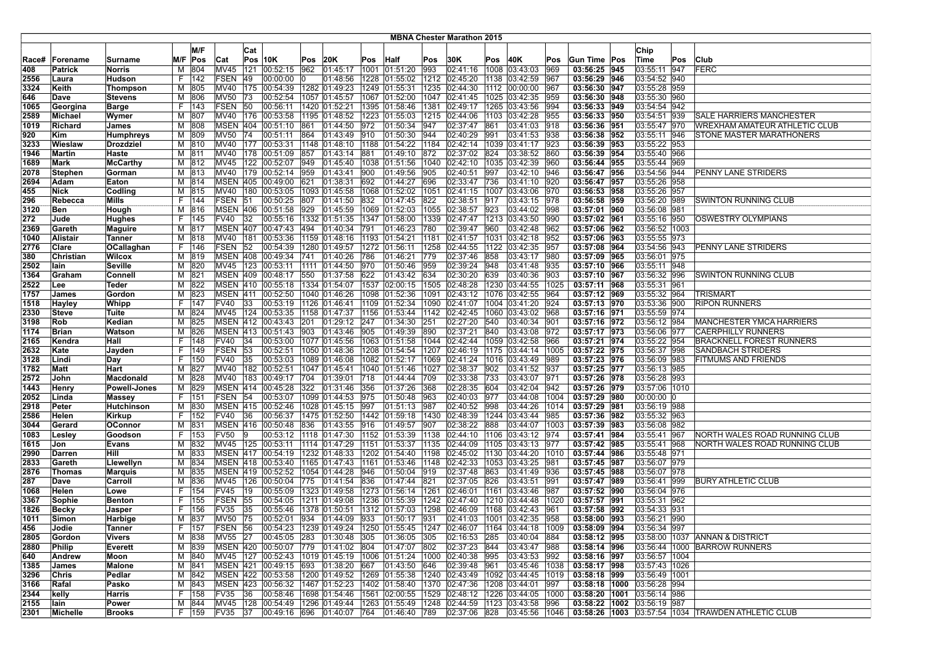|       |                 |                     |     |         |                 |     |                                                                           |      |                    |      |                                        |      | <b>MBNA Chester Marathon 2015</b> |      |                                                                                |      |                                  |                            |     |                                                           |
|-------|-----------------|---------------------|-----|---------|-----------------|-----|---------------------------------------------------------------------------|------|--------------------|------|----------------------------------------|------|-----------------------------------|------|--------------------------------------------------------------------------------|------|----------------------------------|----------------------------|-----|-----------------------------------------------------------|
|       |                 |                     |     |         |                 |     |                                                                           |      |                    |      |                                        |      |                                   |      |                                                                                |      |                                  |                            |     |                                                           |
|       |                 |                     |     | M/F     |                 | Cat |                                                                           |      |                    |      |                                        |      |                                   |      |                                                                                |      |                                  | Chip                       |     |                                                           |
| Race# | <b>Forename</b> | Surname             | M/F | Pos     | Cat             |     | Pos 10K                                                                   | Pos  | 20K                | Pos  | Half                                   | Pos  | 30K                               | Pos  | 40K                                                                            | Pos  | Gun Time Pos                     | Time                       | Pos | Club                                                      |
| 408   | Patrick         | <b>Norris</b>       | м   | 804     | MV45            | 121 | 00:52:15                                                                  | 962  | 01:45:17           | 1001 | 01:51:20                               | 993  | 02:41:16                          | 1008 | 03:43:03                                                                       | 969  | 03:56:25 945                     | 03:55:11 947               |     | FERC                                                      |
| 2556  | Laura           | Hudson              | F.  | 142     | FSEN            | 49  | 00:00:00                                                                  |      | 01:48:56           |      | 1228 01:55:02                          | 1212 | 02:45:20                          |      | 1138 03:42:59                                                                  | 1967 | 03:56:29 946                     | 03:54:52 940               |     |                                                           |
| 3324  | Keith           | Thompson            | M   | 805     | <b>MV40</b>     | 175 | 00:54:39                                                                  |      | 1282 01:49:23      |      | 1249 01:55:31                          | 1235 | 02:44:30                          | 1112 | 00:00:00                                                                       | 967  | 03:56:30 947                     | 03:55:28 959               |     |                                                           |
| 646   | Dave            | <b>Stevens</b>      | M   | 806     | MV50            | 173 | 00:52:54                                                                  |      | 1057 01:45:57      |      | 1067 01:52:00                          | 1047 | 02:41:45                          |      | 1025 03:42:35                                                                  | 959  | 03:56:30 948                     | 03:55:30 960               |     |                                                           |
| 1065  | Georgina        | <b>Barge</b>        | F.  | 143     | FSEN 50         |     | 00:56:11                                                                  |      | 1420 01:52:21      |      | 1395 01:58:46                          | 1381 | 02:49:17                          |      | 1265 03:43:56                                                                  | 994  | 03:56:33 949                     | 03:54:54 942               |     |                                                           |
| 2589  | Michael         | Wymer               | M   | 807     | MV40 176        |     | 00:53:58                                                                  |      |                    |      | 1195 01:48:52 1223 01:55:03            | 1215 | 02:44:06                          |      | 1103 03:42:28                                                                  | 955  | 03:56:33 950                     | 03:54:51 939               |     | <b>SALE HARRIERS MANCHESTER</b>                           |
| 1019  | Richard         | James               | M   | 808     | <b>MSEN 404</b> |     | 00:51:10                                                                  | 861  | 01:44:50 972       |      | 01:50:34                               | 947  | 02:37:47                          | 861  | 03:41:03                                                                       | 918  | 03:56:36 951                     | 03:55:47 970               |     | WREXHAM AMATEUR ATHLETIC CLUB                             |
| 920   | Kim             | <b>Humphreys</b>    | м   | 809     | <b>MV50</b>     | 74  | 00:51:11                                                                  | 864  | 01:43:49 010       |      | 01:50:30                               | 944  | 02:40:29                          | 991  | 03:41:53                                                                       | 938  | 03:56:38 952                     | 03:55:11 946               |     | STONE MASTER MARATHONERS                                  |
| 3233  | Wieslaw         | Drozdziel           | M   | 810     | <b>MV40</b>     | 177 | 00:53:31                                                                  | 1148 | 01:48:10           | 1188 | [01:54:22]                             | 1184 | 02:42:14                          | 1039 | 03:41:17                                                                       | 923  | 03:56:39 953                     | 03:55:22 953               |     |                                                           |
| 1946  | Martin          | Haste               | M   | 811     | <b>MV40</b>     |     | 178 00:51:09                                                              | 857  | 01:43:14           | 881  | 01:49:10                               | 872  | 02:37:02                          | 824  | 03:38:52                                                                       | 860  | 03:56:39 954                     | 03:55:40 966               |     |                                                           |
| 1689  | Mark            | <b>McCarthy</b>     | м   | 812     | <b>MV45</b>     |     | 122 00:52:07                                                              | 949  |                    |      | 01:45:40  1038  01:51:56               | 1040 | 02:42:10                          |      | 1035 03:42:39                                                                  | 960  | 03:56:44 955                     | 03:55:44 969               |     |                                                           |
| 2078  | Stephen         | Gorman              | м   | 813     | <b>MV40</b>     |     | 179 00:52:14                                                              | 959  | 01:43:41           | 900  | 01:49:56                               | 905  | 02:40:51                          | 997  | 03:42:10                                                                       | 946  | 03:56:47 956                     | 03:54:56 944               |     | PENNY LANE STRIDERS                                       |
| 2694  | Adam            | Eaton               | м   | 814     | <b>MSEN 405</b> |     | 00:49:00                                                                  | 621  | 01:38:31           | 692  | 01:44:27                               | 696  | 02:33:47                          | 736  | 03:41:10                                                                       | 920  | 03:56:47 957                     | 03:55:26 958               |     |                                                           |
| 455   | Nick            | Codling             | M   | 815     | <b>MV40</b>     | 180 | 00:53:05                                                                  | 1093 | 01:45:58           |      | 1068 01:52:02                          | 1051 | 02:41:15                          | 1007 | 03:43:06                                                                       | 970  | 03:56:53 958                     | 03:55:26 957               |     |                                                           |
| 296   | Rebecca         | Mills               | F.  | 144     | FSEN            | 51  | 00:50:25                                                                  | 807  | 01:41:50           | 832  | 01:47:45                               | 822  | 02:38:51                          | 917  | 03:43:15                                                                       | 978  | 03:56:58 959                     | 03:56:20 989               |     | SWINTON RUNNING CLUB                                      |
| 3120  | Ben             | Hough               | M   | 816     | <b>MSEN 406</b> |     | 00:51:58                                                                  | 929  |                    |      |                                        | 1055 | 02:38:57                          | 923  | 03:44:02                                                                       | 998  | 03:57:01 960                     | 03:56:08 981               |     |                                                           |
| 272   | Jude            | Hughes              | F.  | 145     | <b>FV40</b>     | 32  | 00:55:16                                                                  | 1332 |                    |      | 01:51:35  1347  01:58:00               | 1339 | 02:47:47                          |      | 1213 03:43:50                                                                  | 990  | 03:57:02 961                     | 03:55:16 950               |     | OSWESTRY OLYMPIANS                                        |
| 2369  | Gareth          | <b>Maguire</b>      | м   | 817     | <b>MSEN 407</b> |     | 00:47:43                                                                  | 494  | 01:40:34           | 791  | 01:46:23                               | 780  | 02:39:47                          | 960  | 03:42:48                                                                       | 962  | 03:57:06 962                     | 03:56:52 1003              |     |                                                           |
| 1040  | Alistair        | <b>Tanner</b>       | м   | 818     | <b>MV40</b>     | 181 | 00:53:36                                                                  |      |                    |      | 1159  01:48:16  1193  01:54:21         | 1181 | 02:41:57                          | 1031 | 03:42:18                                                                       | 952  | 03:57:06 963                     | 03:55:55 973               |     |                                                           |
| 2776  | Clare           | OCallaghan          | F.  | 146     | <b>FSEN</b>     | 52  | 00:54:39                                                                  |      |                    |      | 1280 01:49:57   1272 01:56:11          | 1258 | 02:44:55                          | 1122 | 03:42:35                                                                       | 957  | 03:57:08 964                     | 03:54:56 943               |     | PENNY LANE STRIDERS                                       |
| 380   | Christian       | Wilcox              | м   | 819     | MSEN 408        |     | 00:49:34                                                                  | 741  | 01:40:26 786       |      | 01:46:21                               | 1779 | 02:37:46                          | 858  | 03:43:17                                                                       | 1980 | 03:57:09 965                     | 03:56:01 975               |     |                                                           |
| 2502  | lain            | <b>Seville</b>      | м   | 820     | MV45            | 123 | 00:53:11                                                                  | 1111 | 01:44:50 970       |      | 01:50:46                               | 959  | 02:39:24                          | 948  | 03:41:48                                                                       | 935  | 03:57:10 966                     | 03:55:11 948               |     |                                                           |
| 1364  | Graham          | Connell             | M   | 821     | <b>MSEN 409</b> |     | 00:48:17                                                                  | 550  | 01:37:58           | 622  | 01:43:42                               | 634  | 02:30:20                          | 639  | 03:40:36                                                                       | 903  | 03:57:10 967                     | 03:56:32 996               |     | SWINTON RUNNING CLUB                                      |
| 2522  | Lee             | Teder               | М   | 822     |                 |     | MSEN 410 00:55:18                                                         |      |                    |      | 1334 01:54:07 1537 02:00:15            | 1505 | 02:48:28                          |      | 1230 03:44:55                                                                  | 1025 | 03:57:11 968                     | 03:55:31 961               |     |                                                           |
| 1757  | James           | Gordon              | М   | 823     | <b>MSEN 411</b> |     | 00:52:50                                                                  |      |                    |      | 1040 01:46:26   1098 01:52:36          | 1091 | 02:43:12                          |      | 1076 03:42:55                                                                  | 964  | 03:57:12 969                     | 03:55:32 964               |     | <b>TRISMART</b>                                           |
| 1518  | Hayley          | Whipp               | F.  | 147     | FV40            | 33  | 00:53:19                                                                  |      |                    |      | 1126 01:46:41 1109 01:52:34            | 1090 | 02:41:07                          |      | 1004 03:41:20                                                                  | 924  | 03:57:13 970                     | 03:53:36 900               |     | <b>RIPON RUNNERS</b>                                      |
| 2330  | <b>Steve</b>    | Tuite               | м   | 824     | MV45            | 124 | 00:53:35                                                                  |      | 1158 01:47:37 1156 |      | 01:53:44                               | 1142 | 02:42:45                          |      | 1060 03:43:02                                                                  | 968  | 03:57:16 971                     | 03:55:59 974               |     |                                                           |
| 3198  | Rob             | Kedian              | M   | 825     |                 |     | MSEN 412 00:43:43                                                         | 201  | 01:29:12           | 247  | 01:34:30                               | 251  | 02:27:20                          | 540  | 03:40:34                                                                       | 1901 | 03:57:16 972                     | 03:56:12 984               |     | <b>MANCHESTER YMCA HARRIERS</b>                           |
| 1174  | <b>Brian</b>    | Watson              | M   | 826     | <b>MSEN 413</b> |     | 00:51:43                                                                  | 903  | 01:43:46           | 905  | 01:49:39                               | 890  | 02:37:21                          | 840  | 03:43:08                                                                       | 972  | 03:57:17 973                     | 03:56:06 977               |     | <b>CAERPHILLY RUNNERS</b>                                 |
| 2165  | Kendra          | Hall                | F.  | 148     | FV40            | 34  | 00:53:00                                                                  |      |                    |      | 1077 01:45:56 1063 01:51:58            | 1044 | 02:42:44                          |      | 1059 03:42:58                                                                  | 966  | 03:57:21 974                     | 03:55:22 954               |     | <b>BRACKNELL FOREST RUNNERS</b>                           |
| 2632  | Kate            | Jayden              | F.  | 149     | FSEN 53         |     | 00:52:51                                                                  |      |                    |      | 1050  01:48:36  1208  01:54:54         | 1207 | 02:46:19                          |      | 1175 03:44:14                                                                  | 1005 | 03:57:22 975                     | 03:56:37 998               |     | <b>SANDBACH STRIDERS</b>                                  |
| 3128  | Lindi           | Day                 | F.  | 150     | <b>FV40</b>     | 35  | 00:53:03                                                                  |      | 1089 01:46:08      |      | 1082 01:52:17                          | 1069 | 02:41:24                          |      | 1016 03:43:49                                                                  | 989  | 03:57:23 976                     | 03:56:09 983               |     | FITMUMS AND FRIENDS                                       |
| 1782  | Matt            | Hart                | M   | 827     | MV40            | 182 | 00:52:51                                                                  |      | 1047 01:45:41      |      | 1040 01:51:46                          | 1027 | 02:38:37                          | 902  | 03:41:52                                                                       | 1937 | 03:57:25 977                     | 03:56:13 985               |     |                                                           |
| 2572  | John            | Macdonald           | M   | 828     | <b>MV40</b>     | 183 | 00:49:17                                                                  | 704  | 01:39:01           | 718  | 01:44:44                               | 709  | 02:33:38                          | 733  | 03:43:07                                                                       | 971  | 03:57:26 978                     | 03:56:28 993               |     |                                                           |
| 1443  | Henry           | <b>Powell-Jones</b> | M   | 829     | MSEN 414        |     | 00:45:28                                                                  | 322  | 01:31:46           | 356  | 01:37:26                               | 368  | 02:28:35                          | 604  | 03:42:04                                                                       | 942  | 03:57:26 979                     | 03:57:06 1010              |     |                                                           |
| 2052  | Linda           | <b>Massey</b>       | F.  | 151     | FSEN 54         |     | 00:53:07                                                                  |      | 1099 01:44:53 975  |      | 01:50:48                               | 963  | 02:40:03                          | 977  | 03:44:08                                                                       | 1004 | 03:57:29 980                     | 00:00:00 0                 |     |                                                           |
| 2918  | Peter           | Hutchinson          | M   | 830     |                 |     | MSEN 415 00:52:46                                                         |      | 1028 01:45:15 997  |      | 01:51:13                               | 987  | 02:40:52                          | 998  | 03:44:26                                                                       | 1014 | 03:57:29 981                     | 03:56:19 988               |     |                                                           |
| 2586  | Helen           | Kirkup              | F.  | 152     | <b>FV40</b>     | 36  | 00:56:37                                                                  |      | 1475 01:52:50      |      | 1442 01:59:18                          | 1430 | 02:48:39                          |      | 1244 03:43:44                                                                  | 985  | 03:57:36 982                     | 03:55:32 963               |     |                                                           |
| 3044  | Gerard          | <b>OConnor</b>      | м   | 831     | <b>MSEN 416</b> |     | 00:50:48                                                                  | 836  | 01:43:55           | 916  | 01:49:57                               | 907  | 02:38:22                          | 888  | 03:44:07                                                                       | 1003 | 03:57:39 983                     | 03:56:08 982               |     |                                                           |
| 1083  | Lesley          | Goodson             | F.  | 153     | <b>FV50</b>     | 19  | 00:53:12                                                                  |      | 1118 01:47:30      |      | 1152 01:53:39                          | 1138 | 02:44:10                          | 1106 | 03:43:12                                                                       | 1974 | 03:57:41 984                     | 03:55:41 967               |     | NORTH WALES ROAD RUNNING CLUB                             |
| 1615  | Jon             | <b>Evans</b>        | м   | 832     | MV45            | 125 | 00:53:11                                                                  |      | 1114 01:47:29 1151 |      | 01:53:37                               | 1135 | 02:44:09                          | 1105 | 03:43:13                                                                       | 1977 | 03:57:42 985                     | 03:55:41 968               |     | NORTH WALES ROAD RUNNING CLUB                             |
| 2990  | Darren          | Hill                | M   | 833     | <b>MSEN 417</b> |     | 00:54:19                                                                  |      | 1232 01:48:33      |      | 1202 01:54:40                          | 1198 | 02:45:02                          |      | 1130 03:44:20                                                                  | 1010 | 03:57:44 986                     | 03:55:48 971               |     |                                                           |
| 2833  | Gareth          | Llewellyn           | M   | 834     |                 |     | MSEN 418 00:53:40                                                         |      |                    |      | 1165 01:47:43 1161 01:53:46            | 1148 | 02:42:33                          |      | 1053 03:43:25                                                                  | 1981 | 03:57:45 987                     | 03:56:07 979               |     |                                                           |
| 2876  | <b>Thomas</b>   | <b>Marquis</b>      | м   | 835     |                 |     | MSEN 419 00:52:52                                                         |      | 1054 01:44:28 946  |      | 01:50:04                               | 1919 | 02:37:48                          | 863  | 03:41:49                                                                       | 936  | 03:57:45 988                     | 03:56:07 978               |     |                                                           |
| 287   | Dave            | Carroll             | M   | 836     | <b>MV45</b>     | 126 | 00:50:04                                                                  | 775  | 01:41:54           | 836  | 01:47:44                               | 821  | 02:37:05                          | 826  | 03:43:51                                                                       | 991  | 03:57:47 989                     | 03:56:41 999               |     | <b>BURY ATHLETIC CLUB</b>                                 |
| 1068  | Helen           | Lowe                | F.  | 154     | FV45            | 19  | 00:55:09                                                                  |      |                    |      | 1323  01:49:58  1273  01:56:14         | 1261 | 02:46:01                          | 1161 | 03:43:46                                                                       | 987  | 03:57:52 990                     | 03:56:04 976               |     |                                                           |
| 3367  | Sophie          | Benton              | F.  | 155     | FSEN            | 55  | 00:54:05                                                                  |      | 1211 01:49:08      |      | 1236 01:55:39                          | 1242 | 02:47:40                          |      | 1210 03:44:48                                                                  | 1020 | 03:57:57 991                     | 03:55:31 962               |     |                                                           |
| 1826  | Becky           | Jasper              | F.  | 156     | <b>FV35</b>     | 35  | 00:55:46                                                                  |      | 1378 01:50:51      |      | 1312 01:57:03                          | 1298 | 02:46:09                          |      | 1168 03:42:43                                                                  | 961  | 03:57:58 992                     | 03:54:33 931               |     |                                                           |
| 1011  | Simon           | Harbige             |     | M 837   | MV50 75         |     | 00:52:01                                                                  | 934  | 01:44:09 933       |      | 01:50:17                               | 931  | 02:41:03                          |      | 1001 03:42:35                                                                  | 958  | 03:58:00 993                     | 03:56:21 990               |     |                                                           |
| 456   | Jodie           | Tanner              | F.  | 157     | FSEN 56         |     |                                                                           |      |                    |      |                                        |      |                                   |      | 00:54:23  1239  01:49:24  1250  01:55:45  1247  02:46:07  1164  03:44:18  1009 |      | 03:58:09 994                     | 03:56:34 997               |     |                                                           |
| 2805  | Gordon          | Vivers              |     | M 838   | MV55 27         |     | 00:45:05 283 01:30:48 305                                                 |      |                    |      | 01:36:05 305                           |      | 02:16:53 285                      |      | 03:40:04                                                                       | 884  | 03:58:12 995                     | 03:58:00 1037              |     | ANNAN & DISTRICT                                          |
| 2880  | Philip          | <b>Everett</b>      |     | M 839   |                 |     | MSEN 420 00:50:07 779 01:41:02 804                                        |      |                    |      | 01:47:07                               | 802  | 02:37:23                          | 844  | 03:43:47                                                                       | 988  | 03:58:14 996                     | 03:56:44 1000              |     | <b>BARROW RUNNERS</b>                                     |
| 640   | Andrew          | Moon                | м   | 840     | MV45            |     | 127 00:52:43 1019 01:45:19 1006 01:51:24                                  |      |                    |      |                                        | 1000 | 02:40:38                          | 995  | 03:43:53                                                                       | 992  | 03:58:16 997                     | 03:56:57 1004              |     |                                                           |
| 1385  | <b>James</b>    | <b>Malone</b>       | м   | 841     |                 |     | MSEN 421 00:49:15                                                         | 693  | 01:38:20           | 667  | 01:43:50                               | 646  | 02:39:48                          | 961  | 03:45:46                                                                       | 1038 | 03:58:17 998                     | 03:57:43 1026              |     |                                                           |
| 3296  | Chris           | Pedlar              |     | M 842   |                 |     | MSEN 422 00:53:58 1200 01:49:52 1269 01:55:38                             |      |                    |      |                                        |      |                                   |      | 1240 02:43:49 1092 03:44:45                                                    | 1019 | 03:58:18 999                     | 03:56:49   1001            |     |                                                           |
| 3166  | Rafal           | Pasko               |     | M 843   |                 |     | MSEN 423 00:56:32 1467 01:52:23 1402 01:58:40 1370 02:47:36 1208 03:44:01 |      |                    |      |                                        |      |                                   |      |                                                                                | 997  |                                  | 03:58:18 1000 03:56:28 994 |     |                                                           |
| 2344  | kelly           | Harris              |     | F  158  | FV35            | 36  | 00:58:46                                                                  |      |                    |      | 1698 01:54:46 1561 02:00:55            | 1529 | 02:48:12 1226 03:44:05            |      |                                                                                | 1000 | 03:58:20   1001   03:56:14   986 |                            |     |                                                           |
| 2155  | lain            | Power               |     | M 844   |                 |     | MV45 128 00:54:49 1296 01:49:44 1263 01:55:49                             |      |                    |      |                                        | 1248 | 02:44:59                          |      | 1123 03:43:58                                                                  | 996  | 03:58:22   1002   03:56:19   987 |                            |     |                                                           |
| 2301  | Michelle        | <b>Brooks</b>       |     | F   159 | FV35 37         |     |                                                                           |      |                    |      | 00:49:16 696 01:40:07 764 01:46:40 789 |      |                                   |      | 02:37:06 828 03:45:56 1046                                                     |      |                                  |                            |     | 03:58:26   1003   03:57:54   1034   TRAWDEN ATHLETIC CLUB |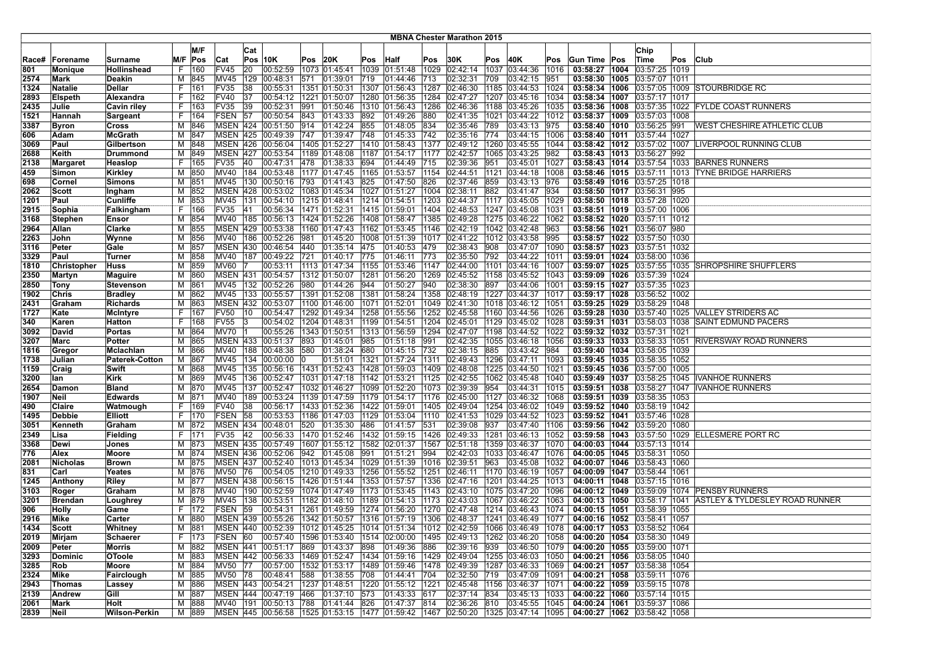|       |                    |                       |                |       |                 |     |                                                 |      |               |      |                                  |      | <b>MBNA Chester Marathon 2015</b> |      |                                                                                           |      |                                   |                                   |     |                                                          |
|-------|--------------------|-----------------------|----------------|-------|-----------------|-----|-------------------------------------------------|------|---------------|------|----------------------------------|------|-----------------------------------|------|-------------------------------------------------------------------------------------------|------|-----------------------------------|-----------------------------------|-----|----------------------------------------------------------|
|       |                    |                       |                |       |                 |     |                                                 |      |               |      |                                  |      |                                   |      |                                                                                           |      |                                   |                                   |     |                                                          |
|       |                    |                       |                | M/F   |                 | Cat |                                                 |      |               |      |                                  |      |                                   |      |                                                                                           |      |                                   | Chip                              |     |                                                          |
| Race# | Forename           | Surname               | M/F            | Pos   | Cat             |     | <b>Pos 10K</b>                                  | Pos  | 20K           | Pos  | Half                             | Pos  | 30K                               | Pos  | 40K                                                                                       | Pos  | Gun Time Pos                      | ∣Time                             | Pos | <b>Club</b>                                              |
| 801   | Moniaue            | Hollinshead           | F              | 160   | FV45            | 20  | 00:52:59                                        |      | 1073 01:45:41 |      | 1039 01:51:48                    | 1029 | 02:42:14                          | 1037 | 03:44:36                                                                                  | 1016 | 03:58:27   1004                   | 03:57:25   1019                   |     |                                                          |
| 2574  | Mark               | Deakin                | M              | 845   | MV45            | 129 | 00:48:31                                        | 571  | [01:39:01]    | 719  | 01:44:46                         | 713  | 02:32:31                          | 709  | 03:42:15                                                                                  | 1951 |                                   | 03:58:30   1005   03:57:07   1011 |     |                                                          |
| 1324  | Natalie            | Dellar                | F.             | 161   | <b>FV35</b>     | 38  | 00:55:31                                        | 1351 | 01:50:31      | 1307 | 01:56:43                         | 1287 | 02:46:30                          | 1185 | 03:44:53                                                                                  | 1024 | 03:58:34   1006                   | 03:57:05 1009                     |     | <b>STOURBRIDGE RC</b>                                    |
| 2893  | <b>Elspeth</b>     | Alexandra             | F.             | 162   | FV40            | 137 | 00:54:12                                        |      | 1221 01:50:07 |      | 1280 01:56:35                    | 1284 | 02:47:27                          |      | 1207 03:45:16                                                                             | 1034 | 03:58:34 1007                     | 03:57:17 1017                     |     |                                                          |
| 2435  | Julie              | Cavin riley           | F.             | 163   | FV35            | 39  | 00:52:31                                        | 991  |               |      | 01:50:46  1310  01:56:43         | 1286 | 02:46:36                          |      | 1188 03:45:26                                                                             | 1035 |                                   |                                   |     | 03:58:36   1008   03:57:35   1022   FYLDE COAST RUNNERS  |
| 1521  | Hannah             | Sargeant              | F.             | 164   | FSEN 57         |     | 00:50:54                                        | 843  | 01:43:33 892  |      | 01:49:26                         | 880  | 02:41:35                          |      | 1021 03:44:22                                                                             | 1012 |                                   | 03:58:37   1009   03:57:03   1008 |     |                                                          |
| 3387  | <b>Byron</b>       | <b>Cross</b>          | м              | 1846  | <b>MSEN 424</b> |     | 00:51:50                                        | 914  | 01:42:24      | 855  | 01:48:05                         | 834  | 02:35:46                          | 789  | 03:43:13                                                                                  | 975  |                                   | 03:58:40   1010   03:56:25   991  |     | WEST CHESHIRE ATHLETIC CLUB                              |
| 606   | Adam               | <b>McGrath</b>        | М              | 847   | <b>MSEN 425</b> |     | 00:49:39                                        | 747  | 01:39:47      | 748  | 01:45:33                         | 742  | 02:35:16                          | 774  | 03:44:15                                                                                  | 1006 |                                   | 03:58:40   1011   03:57:44   1027 |     |                                                          |
| 3069  | Paul               | Gilbertson            | M              | 848   | <b>MSEN 426</b> |     | 00:56:04                                        |      | 1405 01:52:27 |      | 1410 01:58:43                    | 1377 | 02:49:12                          | 1260 | 03:45:55                                                                                  | 1044 |                                   | 03:58:42   1012   03:57:02   1007 |     | <b>LIVERPOOL RUNNING CLUB</b>                            |
| 2688  | Keith              | Drummond              | M              | 849   | <b>MSEN 427</b> |     | 00:53:54                                        |      | 1189 01:48:08 |      | 1187 01:54:17                    | 1177 | 02:42:57                          |      | 1065 03:43:25                                                                             | 982  |                                   | 03:58:43 1013 03:56:27 992        |     |                                                          |
| 2138  | Margaret           | Heaslop               | F.             | 165   | FV35            | 40  | 00:47:31                                        | 478  | 01:38:33 694  |      | 01:44:49                         | 715  | 02:39:36                          | 951  | 03:45:01                                                                                  | 1027 |                                   |                                   |     | 03:58:43   1014   03:57:54   1033   BARNES RUNNERS       |
| 459   | Simon              | Kirkley               | M              | 850   |                 |     | MV40 184 00:53:48                               |      |               |      | 1177  01:47:45  1165  01:53:57   | 1154 | 02:44:51                          | 1121 | 03:44:18                                                                                  | 1008 |                                   |                                   |     | 03:58:46   1015   03:57:11   1013   TYNE BRIDGE HARRIERS |
| 698   | Cornel             | <b>Simons</b>         | м              | 851   | <b>MV45</b>     | 130 | 00:50:16                                        | 793  | 01:41:43 825  |      | 01:47:50                         | 826  | 02:37:46                          | 859  | 03:43:13                                                                                  | 976  |                                   | 03:58:49   1016   03:57:25   1018 |     |                                                          |
| 2062  | Scott              | Ingham                | м              | 852   | <b>MSEN 428</b> |     | 00:53:02                                        |      |               |      | 1083 01:45:34 1027 01:51:27      | 1004 | 02:38:11                          | 882  | 03:41:47                                                                                  | 934  |                                   | 03:58:50 1017 03:56:31 995        |     |                                                          |
| 1201  | Paul               | Cunliffe              | M              | 853   | MV45            | 131 | 00:54:10                                        |      | 1215 01:48:41 |      | 1214 01:54:51                    | 1203 | 02:44:37                          | 1117 | 03:45:05                                                                                  | 1029 |                                   | 03:58:50   1018   03:57:28   1020 |     |                                                          |
| 2915  | Sophia             | Falkingham            | F.             | 166   | FV35            | 41  | 00:56:34                                        |      | 1471 01:52:31 |      | 1415 01:59:01                    | 1404 | 02:48:53                          |      | 1247 03:45:08                                                                             | 1031 |                                   | 03:58:51   1019   03:57:00   1006 |     |                                                          |
| 3168  | <b>Stephen</b>     | Ensor                 | М              | 854   | MV40            | 185 | 00:56:13                                        |      |               |      | 1424 01:52:26   1408 01:58:47    | 1385 | 02:49:28                          |      | 1275 03:46:22                                                                             | 1062 |                                   | 03:58:52   1020   03:57:11   1012 |     |                                                          |
| 2964  | Allan              | Clarke                | м              | 855   |                 |     | MSEN 429 00:53:38                               |      |               |      | $1160$ 01:47:43 1162 01:53:45    | 1146 | 02:42:19                          |      | 1042 03:42:48                                                                             | 963  |                                   | 03:58:56 1021 03:56:07 980        |     |                                                          |
| 2263  | John               | Wynne                 | м              | 856   | MV40            | 186 | 00:52:26                                        | 981  |               |      | 01:45:20   1008   01:51:39       | 1017 | 02:41:22                          |      | 1012 03:43:58                                                                             | 995  |                                   | 03:58:57   1022   03:57:50   1030 |     |                                                          |
| 3116  | Peter              | Gale                  | M              | 857   | <b>MSEN 430</b> |     | 00:46:54                                        | 440  | 01:35:14 475  |      | 01:40:53                         | 479  | 02:38:43                          | 908  | 03:47:07                                                                                  | 1090 | 03:58:57 1023                     | 03:57:51 1032                     |     |                                                          |
| 3329  | Paul               | <b>Turner</b>         | M              | 858   | MV40            | 187 | 00:49:22                                        | 721  | 01:40:17 775  |      | 01:46:11                         | 773  | 02:35:50                          | 792  | 03:44:22                                                                                  | 1011 |                                   | 03:59:01   1024   03:58:00   1036 |     |                                                          |
| 1810  | <b>Christopher</b> | Huss                  | м              | 859   | MV60            |     | 00:53:11                                        |      |               |      | 1113  01:47:34  1155  01:53:46   | 1147 | 02:44:00                          | 1101 | 03:44:16                                                                                  | 1007 | 03:59:07 1025                     | 03:57:55 1035                     |     | <b>SHROPSHIRE SHUFFLERS</b>                              |
| 2350  | <b>Martyn</b>      | <b>Maguire</b>        | M              | 860   | <b>MSEN 431</b> |     | 00:54:57                                        |      | 1312 01:50:07 |      | 1281 01:56:20                    | 1269 | 02:45:52                          |      | 1158 03:45:52                                                                             | 1043 |                                   | 03:59:09 1026 03:57:39 1024       |     |                                                          |
| 2850  | Tony               | Stevenson             | м              | 861   |                 |     | MV45 132 00:52:26                               | 980  | 01:44:26 944  |      | 01:50:27                         | 940  | 02:38:30                          | 897  | 03:44:06                                                                                  | 1001 |                                   | 03:59:15 1027 03:57:35 1023       |     |                                                          |
| 1902  | Chris              | <b>Bradley</b>        | М              | 862   | MV45 133        |     | 00:55:57                                        |      |               |      | 1391 01:52:08 1381 01:58:24      | 1358 | 02:48:19                          |      | 1227 03:44:37                                                                             | 1017 |                                   | 03:59:17 1028 03:56:52 1002       |     |                                                          |
| 2431  | Graham             | <b>Richards</b>       | M              | 863   |                 |     | MSEN 432 00:53:07                               |      |               |      | 1100 01:46:00 1071 01:52:01      | 1049 | 02:41:30                          |      | 1018 03:46:12                                                                             | 1051 | 03:59:25 1029                     | 03:58:29 1048                     |     |                                                          |
| 1727  | Kate               | <b>McIntyre</b>       | F.             | 167   | FV50            | 10  | 00:54:47                                        |      |               |      | 1292  01:49:34  1258  01:55:56   | 1252 | 02:45:58                          |      | 1160 03:44:56                                                                             | 1026 |                                   |                                   |     | 03:59:28   1030   03:57:40   1025   VALLEY STRIDERS AC   |
| 340   | Karen              | Hatton                | F.             | 168   | <b>FV55</b>     |     | 00:54:02                                        |      | 1204 01:48:31 |      | 1199 01:54:51                    | 1204 | 02:45:01                          |      | 1129 03:45:02                                                                             | 1028 | 03:59:31 1031                     | 03:58:03 1038                     |     | <b>SAINT EDMUND PACERS</b>                               |
| 3092  | David              | Portas                | M              | 864   | MV70            |     | 00:55:26                                        |      | 1343 01:50:51 |      | 1313 01:56:59                    | 1294 | 02:47:07                          |      | 1198 03:44:52                                                                             | 1022 |                                   | 03:59:32   1032   03:57:31   1021 |     |                                                          |
| 3207  | Marc               | Potter                | M              | 865   |                 |     | MSEN 433 00:51:37                               | 893  | 01:45:01      | 985  | 01:51:18                         | 991  | 02:42:35                          |      | 1055 03:46:18                                                                             | 1056 |                                   | 03:59:33   1033   03:58:33   1051 |     | <b>RIVERSWAY ROAD RUNNERS</b>                            |
| 1816  | Gregor             | Mclachlan             | M              | 866   | MV40            |     | 188  00:48:38   580                             |      | 01:38:24 680  |      | 01:45:15                         | 732  | 02:38:15                          | 885  | 03:43:42                                                                                  | 984  |                                   | 03:59:40   1034   03:58:05   1039 |     |                                                          |
| 1738  | Julian             | <b>Paterek-Cotton</b> | $\overline{M}$ | 867   | <b>MV45</b>     | 134 | 00:00:00                                        |      | 01:51:01      |      | 1321 01:57:24                    | 1311 | 02:49:43                          |      | 1296 03:47:11                                                                             | 1093 | 03:59:45 1035                     | 03:58:35 1052                     |     |                                                          |
| 1159  | Craig              | Swift                 | м              | 868   | MV45            |     | 135 00:56:16                                    |      |               |      | 1431 01:52:43  1428 01:59:03     | 1409 | 02:48:08                          |      | 1225 03:44:50                                                                             | 1021 |                                   | 03:59:45   1036   03:57:00   1005 |     |                                                          |
| 3200  | lan                | Kirk                  | М              | 869   | <b>MV45</b>     | 136 | 00:52:47                                        |      |               |      | 1031  01:47:18  1142  01:53:21   | 1125 | 02:42:55                          |      | 1062 03:45:48                                                                             | 1040 | 03:59:49   1037                   | 03:58:25 1045                     |     | <b>IVANHOE RUNNERS</b>                                   |
| 2654  | Damon              | Bland                 | M              | 870   | <b>MV45</b>     |     | 137 00:52:47                                    |      | 1032 01:46:27 |      | 1099 01:52:20                    | 1073 | 02:39:39                          | 954  | 03:44:31                                                                                  | 1015 | 03:59:51   1038                   | 03:58:27 1047                     |     | IVANHOE RUNNERS                                          |
| 1907  | Neil               | <b>Edwards</b>        | M              | 871   | MV40            |     | 189 00:53:24                                    |      |               |      | 1139 01:47:59  1179 01:54:17     | 1176 | 02:45:00                          |      | 1127 03:46:32                                                                             | 1068 |                                   | 03:59:51   1039   03:58:35   1053 |     |                                                          |
| 490   | Claire             | Watmough              | F.             | 169   | FV40            | 38  | 00:56:17                                        |      |               |      | $ 1433 01:52:36$  1422  01:59:01 | 1405 | 02:49:04                          |      | 1254 03:46:02                                                                             | 1049 |                                   | 03:59:52 1040 03:58:19 1042       |     |                                                          |
| 1495  | <b>Debbie</b>      | <b>Elliott</b>        | F.             | 170   | FSEN            | 58  | 00:53:53                                        |      |               |      | 1186  01:47:03  1129  01:53:04   | 1110 | 02:41:53                          |      | 1029 03:44:52                                                                             | 1023 |                                   | 03:59:52   1041   03:57:46   1028 |     |                                                          |
| 3051  | Kenneth            | Graham                | м              | 872   | <b>MSEN 434</b> |     | 00:48:01                                        | 520  | 01:35:30      | 486  | [01:41:57]                       | 531  | 02:39:08                          | 937  | 03:47:40                                                                                  | 1106 | 03:59:56 1042                     | 03:59:20 1080                     |     |                                                          |
| 2349  | Lisa               | Fielding              | F.             | 171   | FV35            | 42  | 00:56:33                                        |      |               |      | 1470 01:52:46 1432 01:59:15      | 1426 | 02:49:33                          |      | 1281 03:46:13                                                                             | 1052 | 03:59:58 1043                     | 03:57:50 1029                     |     | ELLESMERE PORT RC                                        |
| 3368  | Dewi               | Jones                 | м              | 873   |                 |     | MSEN 435 00:57:49                               |      |               |      | 1607 01:55:12 1582 02:01:37      | 1567 | 02:51:18                          |      | 1359 03:46:37                                                                             | 1070 | 04:00:03 1044                     | 03:57:13 1014                     |     |                                                          |
| 776   | Alex               | Moore                 | M              | 874   | <b>MSEN 436</b> |     | 00:52:06                                        | 942  | 01:45:08      | 991  | 01:51:21                         | 994  | 02:42:03                          |      | 1033 03:46:47                                                                             | 1076 |                                   | 04:00:05   1045   03:58:31   1050 |     |                                                          |
| 2081  | Nicholas           | Brown                 | M              | 875   | <b>MSEN 437</b> |     | 00:52:40                                        |      |               |      | 1013  01:45:34  1029  01:51:39   | 1016 | 02:39:51                          | 963  | 03:45:08                                                                                  | 1032 |                                   | 04:00:07 1046 03:58:43 1060       |     |                                                          |
| 831   | Carl               | Yeates                | м              | 876   | <b>MV50</b>     | 76  | 00:54:05                                        |      | 1210 01:49:33 |      | 1256 01:55:52                    | 1251 | 02:46:11                          |      | 1170 03:46:19                                                                             | 1057 | 04:00:09 1047                     | 03:58:44   1061                   |     |                                                          |
| 1245  | Anthony            | Riley                 | M              | 877   | <b>MSEN 438</b> |     | 00:56:15                                        |      | 1426 01:51:44 |      | 1353 01:57:57                    | 1336 | 02:47:16                          |      | 1201 03:44:25                                                                             | 1013 | 04:00:11   1048                   | 03:57:15 1016                     |     |                                                          |
| 3103  | Roger              | Graham                | м              | 1878  | MV40            | 190 | 00:52:59                                        |      |               |      | 1074  01:47:49  1173  01:53:45   | 1143 | 02:43:10                          |      | 1075 03:47:20                                                                             | 1096 | 04:00:12   1049                   |                                   |     | 03:59:09 1074 PENSBY RUNNERS                             |
| 3201  | Brendan            | Loughrey              | м              | 879   | MV45            | 138 | 00:53:51                                        |      | 1182 01:48:10 |      | 1189 01:54:13                    | 1173 | 02:43:03                          |      | 1067 03:46:22                                                                             | 1063 | 04:00:13 1050                     | 03:58:17   1041                   |     | <b>ASTLEY &amp; TYLDESLEY ROAD RUNNER</b>                |
| 906   | Holly              | Game                  | F.             | 172   | <b>FSEN</b>     | 59  | 00:54:31                                        |      |               |      | 1261  01:49:59  1274  01:56:20   | 1270 | 02:47:48                          |      | 1214 03:46:43                                                                             | 1074 | 04:00:15 1051                     | 03:58:39   1055                   |     |                                                          |
| 2916  | Mike               | Carter                |                | M 880 |                 |     | MSEN 439 00:55:26 1342 01:50:57 1316 01:57:19   |      |               |      |                                  |      | 1306 02:48:37                     |      | 1241 03:46:49                                                                             | 1077 | 04:00:16   1052   03:58:41   1057 |                                   |     |                                                          |
| 1434  | Scott              | Whitney               |                | M 881 |                 |     |                                                 |      |               |      |                                  |      |                                   |      | MSEN  440  00:52:39  1012  01:45:25  1014  01:51:34  1012  02:42:59  1066  03:46:49  1078 |      |                                   | 04:00:17   1053   03:58:52   1064 |     |                                                          |
| 2019  | Mirjam             | Schaerer              | F.             | 173   |                 |     |                                                 |      |               |      |                                  |      |                                   |      | FSEN 60 00:57:40 1596 01:53:40 1514 02:00:00 1495 02:49:13 1262 03:46:20 1058             |      |                                   | 04:00:20 1054 03:58:30 1049       |     |                                                          |
| 2009  | Peter              | Morris                |                | M 882 |                 |     | MSEN 441 00:51:17 869 01:43:37 898              |      |               |      | 01:49:36                         | 886  |                                   |      | $ 02:39:16$ 939 03:46:50 1079                                                             |      |                                   | 04:00:20   1055   03:59:00   1071 |     |                                                          |
| 3293  | Dominic            | <b>OToole</b>         | м              | 883   |                 |     | MSEN 442 00:56:33 1469 01:52:47 1434 01:59:16   |      |               |      |                                  | 1429 | 02:49:04                          |      | 1255 03:46:03                                                                             | 1050 |                                   | 04:00:21   1056   03:58:05   1040 |     |                                                          |
| 3285  | Rob                | Moore                 | M              | 884   | MV50 77         |     | 00:57:00 1532 01:53:17 1489 01:59:46            |      |               |      |                                  | 1478 | 02:49:39                          |      | 1287 03:46:33                                                                             | 1069 |                                   | 04:00:21   1057   03:58:38   1054 |     |                                                          |
| 2324  | Mike               | Fairclough            |                | M 885 | MV50 78         |     | 00:48:41 588 01:38:55 708 01:44:41 704          |      |               |      |                                  |      |                                   |      | 02:32:50 719 03:47:09                                                                     | 1091 |                                   | 04:00:21 1058 03:59:11 1076       |     |                                                          |
| 2943  | Thomas             | Lassey                |                | M 886 |                 |     |                                                 |      |               |      |                                  |      |                                   |      | MSEN 443 00:54:21 1237 01:48:51 1220 01:55:12 1221 02:45:48 1156 03:46:37                 | 1071 |                                   | 04:00:22 1059 03:59:15 1078       |     |                                                          |
| 2139  | Andrew             | Gill                  |                | M 887 |                 |     | MSEN 444 00:47:19 466 01:37:10 573 01:43:33 617 |      |               |      |                                  |      | 02:37:14 834                      |      | 03:45:13 1033                                                                             |      |                                   | 04:00:22 1060 03:57:14 1015       |     |                                                          |
| 2061  | Mark               | Holt                  |                | M 888 |                 |     | MV40 191 00:50:13 788 01:41:44 826              |      |               |      | 01:47:37 814                     |      | 02:36:26 810                      |      | 03:45:55                                                                                  | 1045 |                                   | 04:00:24   1061   03:59:37   1086 |     |                                                          |
| 2839  | Neil               | Wilson-Perkin         |                | M 889 |                 |     |                                                 |      |               |      |                                  |      |                                   |      | MSEN 445 00:56:58 1525 01:53:15 1477 01:59:42 1467 02:50:20 1325 03:47:14 1095            |      | 04:00:27   1062   03:58:42   1058 |                                   |     |                                                          |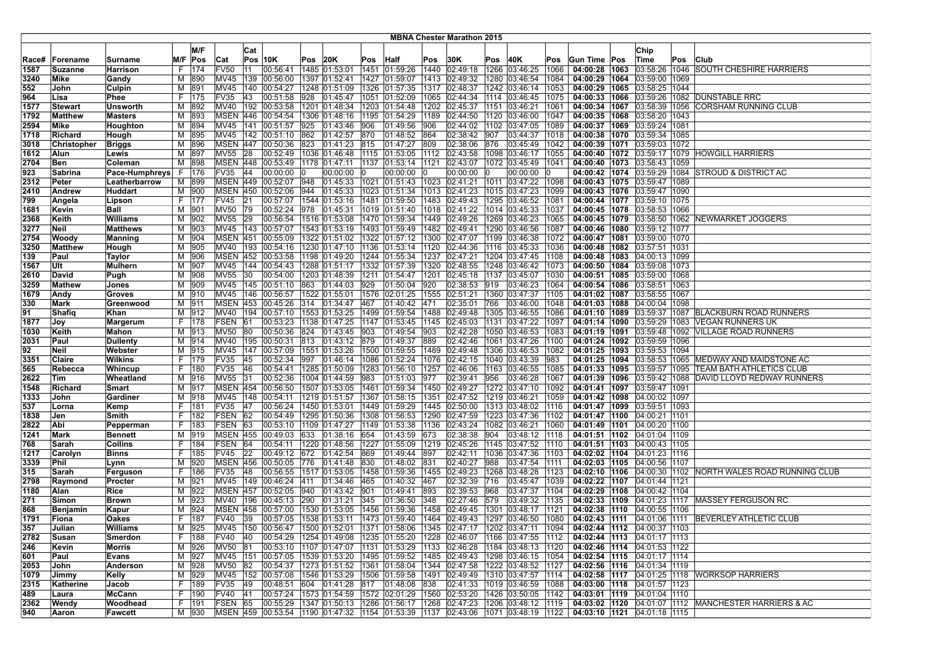|       |                 |                 |    |         |                 |           |                                                  |     |                          |      |                                      |      | <b>MBNA Chester Marathon 2015</b> |      |                                                                                           |      |                                   |                                                  |     |                                                              |
|-------|-----------------|-----------------|----|---------|-----------------|-----------|--------------------------------------------------|-----|--------------------------|------|--------------------------------------|------|-----------------------------------|------|-------------------------------------------------------------------------------------------|------|-----------------------------------|--------------------------------------------------|-----|--------------------------------------------------------------|
|       |                 |                 |    |         |                 |           |                                                  |     |                          |      |                                      |      |                                   |      |                                                                                           |      |                                   |                                                  |     |                                                              |
|       |                 |                 |    | M/F     |                 | Cat       |                                                  |     |                          |      |                                      |      |                                   |      |                                                                                           |      |                                   | Chip                                             |     |                                                              |
| Race# | <b>Forename</b> | <b>Surname</b>  |    | M/F Pos | Cat             |           | $Pos$ 10K                                        | Pos | 20K                      |      | Pos Half                             | Pos  | 30K                               | Pos  | 40K                                                                                       | Pos  | Gun Time Pos                      | Time                                             | Pos | <b>Club</b>                                                  |
| 1587  | <b>Suzanne</b>  | Harrison        | F  | 174     | <b>FV50</b>     | 111       | 00:56:41                                         |     | 1485 01:53:01            |      | 1451 01:59:26                        | 1440 | [02:49:18]                        |      | 1266 03:46:25                                                                             | 1066 | 04:00:28 1063                     | 03:58:26 1046                                    |     | SOUTH CHESHIRE HARRIERS                                      |
| 3240  | Mike            | Gandy           | м  | 890     | MV45            | 139       | 00:56:00                                         |     | 1397 01:52:41            |      | 1427 01:59:07                        | 1413 | 02:49:32                          | 1280 | 03:46:54                                                                                  | 1084 | 04:00:29 1064                     | 03:59:00   1069                                  |     |                                                              |
| 552   | John            | Culpin          | м  | 891     | MV45            |           | 140 00:54:27                                     |     | 1248 01:51:09            |      | 1326 01:57:35                        | 1317 | 02:48:37                          |      | 1242 03:46:14                                                                             | 1053 |                                   | 04:00:29   1065   03:58:25   1044                |     |                                                              |
| 964   | Lisa            | Phee            | F. | 175     | FV35            | 43        | 00:51:58                                         | 928 | 01:45:47                 |      | 1051 01:52:09                        | 1065 | 02:44:34                          |      | 1114 03:46:45                                                                             | 1075 | 04:00:33  1066                    | 03:59:26 1082                                    |     | <b>DUNSTABLE RRC</b>                                         |
| 1577  | Stewart         | <b>Unsworth</b> | М  | 892     | MV40            |           | 192 00:53:58                                     |     | 1201 01:48:34            |      | 1203 01:54:48                        | 1202 | 02:45:37                          |      | 1151 03:46:21                                                                             | 1061 | 04:00:34 1067                     | 03:58:39 1056                                    |     | <b>CORSHAM RUNNING CLUB</b>                                  |
| 1792  | Matthew         | <b>Masters</b>  | M  | 893     | <b>MSEN 446</b> |           | 00:54:54                                         |     |                          |      | 1306 01:48:16 1195 01:54:29          | 1189 | 02:44:50                          |      | 1120 03:46:00                                                                             | 1047 |                                   | 04:00:35   1068   03:58:20   1043                |     |                                                              |
| 2594  | Mike            | Houghton        | M  | 894     | MV45            | 141       | 00:51:57                                         | 925 | 01:43:46 906             |      | 01:49:56                             | 906  | 02:44:02                          |      | 1102 03:47:05                                                                             | 1089 |                                   | 04:00:37 1069 03:59:24 1081                      |     |                                                              |
| 1718  | Richard         | Hough           | м  | 895     | <b>MV45</b>     |           | 142 00:51:10                                     | 862 | 01:42:57 870             |      | 01:48:52                             | 864  | 02:38:42                          | 907  | 03:44:37                                                                                  | 1018 |                                   | 04:00:38   1070   03:59:34   1085                |     |                                                              |
| 3018  | Christopher     | <b>Briggs</b>   | м  | 896     |                 |           | MSEN 447 00:50:36                                | 823 | 01:41:23 815             |      | 01:47:27                             | 809  | 02:38:06                          | 876  | 03:45:49                                                                                  | 1042 |                                   | 04:00:39 1071 03:59:03 1072                      |     |                                                              |
| 1612  | Alun            | Lewis           | М  | 897     | <b>MV55</b>     | 28        |                                                  |     |                          |      | 00:52:49 1036 01:46:48 1115 01:53:05 | 1112 | 02:43:58                          |      | 1098 03:46:17                                                                             | 1055 |                                   | 04:00:40   1072   03:59:17   1079                |     | <b>HOWGILL HARRIERS</b>                                      |
| 2704  | Ben             | Coleman         | M  | 898     | <b>MSEN 448</b> |           | 00:53:49                                         |     | 1178 01:47:11            |      | 1137 01:53:14                        | 1121 | 02:43:07                          |      | 1072 03:45:49                                                                             | 1041 | 04:00:40 1073                     | 03:58:43 1059                                    |     |                                                              |
| 923   | Sabrina         | Pace-Humphreys  | F. | 176     | FV35            | 44        | 00:00:00 0                                       |     | 00:00:00 0               |      | 00:00:00                             | 10   | 00:00:00                          | 10   | 00:00:00                                                                                  |      |                                   |                                                  |     | 04:00:42   1074   03:59:29   1084   STROUD & DISTRICT AC     |
| 2312  | Peter           | Leatherbarrow   |    | M 899   |                 |           | MSEN 449 00:52:07 948                            |     |                          |      | 01:45:33 1021 01:51:43 1023 02:41:21 |      |                                   |      | 1011 03:47:22                                                                             | 1098 |                                   | 04:00:43   1075   03:59:47   1089                |     |                                                              |
| 2410  | Andrew          | Huddart         |    | M 900   |                 |           | MSEN 450 00:52:06                                | 944 |                          |      | 01:45:33 1023 01:51:34               |      | 1013 02:41:23                     |      | 1015 03:47:23                                                                             | 1099 |                                   | 04:00:43 1076 03:59:47 1090                      |     |                                                              |
| 799   | Angela          | Lipson          |    | F   177 | FV45            | 21        | 00:57:07                                         |     |                          |      | 1544  01:53:16  1481  01:59:50       | 1483 | 02:49:43                          |      | 1295 03:46:52                                                                             | 1081 |                                   | 04:00:44   1077   03:59:10   1075                |     |                                                              |
| 1681  | Kevin           | Ball            | м  | 901     | MV50            | 79        | 00:52:24                                         | 978 | 01:45:31                 |      | 1019 01:51:40                        | 1018 | 02:41:22                          |      | 1014 03:45:33                                                                             | 1037 | 04:00:45   1078                   | 03:58:53 1066                                    |     |                                                              |
| 2368  | Keith           | <b>Williams</b> | M  | 902     | <b>MV55</b>     | 29        | 00:56:54                                         |     | 1516 01:53:08            |      | 1470 01:59:34                        | 1449 | 02:49:26                          |      | 1269 03:46:23                                                                             | 1065 | 04:00:45 1079                     |                                                  |     | 03:58:50   1062   NEWMARKET JOGGERS                          |
| 3277  | Neil            | <b>Matthews</b> | м  | 903     |                 |           | MV45   143   00:57:07                            |     |                          |      | 1543 01:53:19 1493 01:59:49          |      | 1482 02:49:41                     |      | 1290 03:46:56                                                                             | 1087 |                                   | 04:00:46   1080   03:59:12   1077                |     |                                                              |
| 2754  | Woody           | <b>Manning</b>  | М  | 904     | <b>MSEN 451</b> |           | 00:55:09                                         |     |                          |      | 1322 01:51:02 1322 01:57:12          |      | 1300 02:47:07                     |      | 1199 03:46:38                                                                             | 1072 |                                   | 04:00:47   1081   03:59:00   1070                |     |                                                              |
| 3250  | <b>Matthew</b>  | Hough           | м  | 905     | MV40            | 193       | 00:54:16                                         |     |                          |      | 1230 01:47:10   1136 01:53:14        | 1120 | 02:44:36                          |      | 1116 03:45:33                                                                             | 1036 |                                   | 04:00:48   1082   03:57:51   1031                |     |                                                              |
| 139   | Paul            | Taylor          | M  | 906     | <b>MSEN 452</b> |           | 00:53:58                                         |     |                          |      | 1198 01:49:20   1244 01:55:34        | 1237 | 02:47:21                          |      | 1204 03:47:45                                                                             | 1108 |                                   | 04:00:48   1083   04:00:13   1099                |     |                                                              |
| 1567  | Ult             | Mulhern         | М  | 907     | <b>MV45</b>     | 144       | 00:54:43                                         |     |                          |      | 1288 01:51:17 1332 01:57:39          | 1320 | 02:48:55                          |      | 1248 03:46:42                                                                             | 1073 |                                   | 04:00:50   1084   03:59:08   1073                |     |                                                              |
| 2610  | David           | Pugh            | M  | 908     | <b>MV55</b>     | 30        | 00:54:00                                         |     |                          |      | 1203 01:48:39 1211 01:54:47          | 1201 | 02:45:18                          |      | 1137 03:45:07                                                                             | 1030 |                                   | 04:00:51 1085 03:59:00 1068                      |     |                                                              |
| 3259  | Mathew          | Jones           | М  | 909     | <b>MV45</b>     |           | 145 00:51:10                                     | 863 | 01:44:03 929             |      | 01:50:04                             | 920  | 02:38:53                          | 919  | 03:46:23                                                                                  | 1064 |                                   | 04:00:54   1086   03:58:51   1063                |     |                                                              |
| 1679  | Andy            | <b>Groves</b>   | м  | 910     | <b>MV45</b>     | 146       | 00:56:57                                         |     | 1522 01:55:01            |      | 1576 02:01:25                        | 1555 | 02:51:21                          |      | 1360 03:47:37                                                                             | 1105 |                                   | 04:01:02 1087 03:58:55 1067                      |     |                                                              |
| 330   | Mark            | Greenwood       | м  | 911     | <b>MSEN 453</b> |           | 00:45:26                                         |     | $ 314 $ $ 01:34:47 $ 467 |      | 01:40:42                             | 471  | 02:35:01                          | 766  | 03:46:00                                                                                  | 1048 | 04:01:03 1088                     | 04:00:04 1098                                    |     |                                                              |
| 91    | Shafiq          | Khan            | м  | 912     | <b>MV40</b>     | 194       | 00:57:10                                         |     |                          |      | 1553  01:53:25  1499  01:59:54       | 1488 | 02:49:48                          | 1305 | 03:46:55                                                                                  | 1086 | 04:01:10 1089                     | 03:59:37 1087                                    |     | <b>BLACKBURN ROAD RUNNERS</b>                                |
| 1877  | Joy             | <b>Margerum</b> | F. | 178     | FSEN            | 61        | 00:53:23                                         |     |                          |      | 1138 01:47:25 1147 01:53:45          | 1145 | 02:45:03                          | 1131 | 03:47:22                                                                                  | 1097 |                                   | 04:01:14 1090 03:59:29 1083                      |     | <b>VEGAN RUNNERS UK</b>                                      |
| 1030  | Keith           | Mahon           | м  | 913     | <b>MV50</b>     | 80        | 00:50:36                                         | 824 | 01:43:45 903             |      | 01:49:54                             | 1903 | 02:42:28                          |      | 1050 03:46:53                                                                             | 1083 |                                   | 04:01:19   1091   03:59:48   1092                |     | <b>VILLAGE ROAD RUNNERS</b>                                  |
| 2031  | Paul            | <b>Dullenty</b> | м  | 914     | MV40            | 195       | 00:50:31                                         | 813 | 01:43:12 879             |      | 01:49:37                             | 889  | 02:42:46                          |      | 1061 03:47:26                                                                             | 1100 |                                   | 04:01:24   1092   03:59:59   1096                |     |                                                              |
| 92    | Neil            | Webster         | м  | 915     | <b>MV45</b>     | 147       | 00:57:09                                         |     |                          |      | 1551 01:53:26 1500 01:59:55          | 1489 | 02:49:48                          |      | 1306 03:46:53                                                                             | 1082 |                                   | 04:01:25 1093 03:59:53 1094                      |     |                                                              |
| 3351  | Claire          | <b>Wilkins</b>  | F. | 179     | FV35            | 45        | 00:52:34                                         | 997 |                          |      | 01:46:14  1086  01:52:24             | 1076 | 02:42:15                          |      | 1040 03:43:39                                                                             | 983  |                                   | 04:01:25   1094   03:58:53   1065                |     | MEDWAY AND MAIDSTONE AC                                      |
| 565   | Rebecca         | Whincup         | F. | 180     | FV35            | 46        | 00:54:41                                         |     |                          |      | 1285 01:50:09 1283 01:56:10          | 1257 | 02:46:06                          |      | 1163 03:46:55                                                                             | 1085 | 04:01:33 1095                     | 03:59:57 1095                                    |     | TEAM BATH ATHLETICS CLUB                                     |
| 2622  | Tim             | Wheatland       | M  | 916     | <b>MV55</b>     | 31        | 00:52:36                                         |     | 1004 01:44:59            | 983  | 01:51:03                             | 977  | 02:39:41                          | 956  | 03:46:28                                                                                  | 1067 | 04:01:39 1096                     | 03:59:42 1088                                    |     | DAVID LLOYD REDWAY RUNNERS                                   |
| 1548  | Richard         | Smart           | м  | 917     | <b>MSEN 454</b> |           | 00:56:50                                         |     | 1507 01:53:05 1461       |      | 01:59:34                             | 1450 | 02:49:27                          |      | 1272 03:47:10                                                                             | 1092 | 04:01:41  1097                    | 03:59:47 1091                                    |     |                                                              |
| 1333  | John            | Gardiner        | M  | 918     | <b>MV45</b>     | 148       | 00:54:11                                         |     | 1219 01:51:57            |      | 1367 01:58:15                        | 1351 | 02:47:52                          |      | 1219 03:46:21                                                                             | 1059 | 04:01:42 1098                     | 04:00:02 1097                                    |     |                                                              |
| 537   | Lorna           | Kemp            | F. | 181     | FV35            | <b>47</b> | 00:56:24                                         |     | 1450 01:53:01            |      | 1449 01:59:29                        | 1445 | 02:50:00                          |      | 1313 03:48:02                                                                             | 1116 |                                   | 04:01:47   1099   03:59:51   1093                |     |                                                              |
| 1838  | Jen             | Smith           | F. | 182     | FSEN 62         |           | 00:54:49                                         |     |                          |      | 1295 01:50:36 1308 01:56:53          | 1290 | 02:47:59                          |      | 1223 03:47:36                                                                             | 1102 |                                   | 04:01:47   1100   04:00:21   1101                |     |                                                              |
| 2822  | Abi             | Pepperman       | F  | 183     | FSEN 63         |           | 00:53:10                                         |     |                          |      | 1109 01:47:27  1149 01:53:38         | 1136 | 02:43:24                          |      | 1082 03:46:21                                                                             | 1060 |                                   | 04:01:49   1101   04:00:20   1100                |     |                                                              |
| 1241  | Mark            | <b>Bennett</b>  | м  | 919     | <b>MSEN 455</b> |           | 00:49:03                                         | 633 | 01:38:16                 | 654  | 01:43:59                             | 673  | 02:38:38                          | 904  | 03:48:12                                                                                  | 1118 |                                   | 04:01:51  1102  04:01:04  1109                   |     |                                                              |
| 768   | Sarah           | Collins         | F. | 184     | FSEN            | 64        | 00:54:11                                         |     | 1220 01:48:56            | 1227 | $\sqrt{01:55:09}$                    | 1219 | 02:45:26                          | 1145 | 03:47:52                                                                                  | 1110 | 04:01:51 1103                     | 04:00:43 1105                                    |     |                                                              |
| 1217  | Carolyn         | <b>Binns</b>    | F. | 185     | FV45            | 22        | 00:49:12                                         | 672 | 01:42:54                 | 869  | 01:49:44                             | 897  | 02:42:11                          |      | 1036 03:47:36                                                                             | 1103 | 04:02:02 1104                     | 04:01:23 1116                                    |     |                                                              |
| 3339  | Phil            | Lynn            | м  | 920     | <b>MSEN 456</b> |           | 00:50:05                                         | 776 | 01:41:48 830             |      | 01:48:02                             | 831  | 02:40:27                          | 988  | 03:47:54                                                                                  | 1111 | 04:02:03 1105                     | 04:00:56 1107                                    |     |                                                              |
| 315   | Sarah           | Ferguson        | F. | 186     | FV35            | 48        | 00:56:55                                         |     |                          |      | 1517 01:53:05 1458 01:59:36          | 1455 | 02:49:23                          |      | 1268 03:48:28                                                                             | 1123 |                                   |                                                  |     | 04:02:10 1106 04:00:30 1102 NORTH WALES ROAD RUNNING CLUB    |
| 2798  | Raymond         | Procter         | M  | 921     | <b>MV45</b>     |           | 149 00:46:24                                     | 411 | 01:34:46 465             |      | 01:40:32                             | 467  | 02:32:39                          | 716  | 03:45:47                                                                                  | 1039 |                                   | 04:02:22 1107 04:01:44 1121                      |     |                                                              |
| 1180  | Alan            | Rice            | M  | 922     | <b>MSEN 457</b> |           | 00:52:05                                         | 940 | 01:43:42                 | 901  | 01:49:41                             | 893  | 02:39:53                          | 968  | 03:47:37                                                                                  | 1104 | 04:02:29 1108                     | 04:00:42 1104                                    |     |                                                              |
| 271   | Simon           | <b>Brown</b>    | M  | 923     | MV40            | 196       | 00:45:13                                         | 290 | 01:31:21                 | 345  | 01:36:50                             | 348  | 02:27:46                          | 579  | 03:49:32                                                                                  | 1135 | 04:02:33 1109                     | 04:01:23 1117                                    |     | <b>MASSEY FERGUSON RC</b>                                    |
| 868   | Benjamin        | Kapur           | м  | 924     | <b>MSEN 458</b> |           | $ 00:57:00 $ 1530 $ 01:53:05 $ 1456 $ 01:59:36 $ |     |                          |      |                                      | 1458 | 02:49:45                          |      | 1301 03:48:17                                                                             | 1121 | 04:02:38 1110                     | 04:00:55   1106                                  |     |                                                              |
| 1791  | Fiona           | Oakes           |    | F 187   | <b>FV40</b>     | 39        |                                                  |     |                          |      |                                      |      |                                   |      | 1464 02:49:43 1297 03:46:50                                                               | 1080 | 04:02:43 1111 04:01:06 1111       |                                                  |     | BEVERLEY ATHLETIC CLUB                                       |
| 357   | Julian          | Williams        |    | M 925   |                 |           |                                                  |     |                          |      |                                      |      |                                   |      | MV45  150  00:56:47  1500  01:52:01  1371  01:58:06  1345  02:47:17  1202  03:47:11  1094 |      |                                   | <b>04:02:44</b>   <b>1112</b> $ 04:00:37$   1103 |     |                                                              |
| 2782  | Susan           | Smerdon         |    | F   188 | <b>FV40</b>     | 40        | 00:54:29 1254 01:49:08 1235 01:55:20             |     |                          |      |                                      |      | 1228 02:46:07                     |      | 1166 03:47:55  1112                                                                       |      |                                   | 04:02:44   1113   04:01:17   1113                |     |                                                              |
| 246   | <b>Kevin</b>    | Morris          |    | M 926   | <b>MV50</b>     | 81        | 00:53:10 1107 01:47:07 1131 01:53:29             |     |                          |      |                                      | 1133 | 02:46:28                          |      | 1184 03:48:13 1120                                                                        |      |                                   | 04:02:46 1114 04:01:53 1122                      |     |                                                              |
| 601   | Paul            | Evans           |    | M 927   |                 |           | MV45 151 00:57:05 1539 01:53:20 1495 01:59:52    |     |                          |      |                                      |      | 1485 02:49:43                     |      | 1298 03:46:15 1054                                                                        |      |                                   | 04:02:54 1115 04:01:17 1114                      |     |                                                              |
| 2053  | John            | Anderson        | M  | 928     | <b>MV50</b>     | 82        | 00:54:37 1273 01:51:52 1361 01:58:04             |     |                          |      |                                      |      | 1344 02:47:58                     |      | 1222 03:48:52 1127                                                                        |      |                                   | 04:02:56   1116   04:01:34   1119                |     |                                                              |
| 1079  | Jimmy           | Kelly           | M  | 929     | MV45            |           | 152 00:57:08                                     |     |                          |      | 1546 01:53:29 1506 01:59:58          |      |                                   |      | 1491 02:49:49 1310 03:47:57 1114                                                          |      | 04:02:58 1117 04:01:25 1118       |                                                  |     | <b>WORKSOP HARRIERS</b>                                      |
| 2315  | Katherine       | Jacob           |    | F   189 | FV35 49         |           | $ 00:48:51$ 604 01:41:28 817 01:48:08            |     |                          |      |                                      | 838  |                                   |      | $02:41:33$ 1019 03:46:59 1088                                                             |      | 04:03:00 1118 04:01:57 1123       |                                                  |     |                                                              |
| 489   | Laura           | McCann          |    | F  190  | FV40 41         |           | 00:57:24 1573 01:54:59 1572 02:01:29             |     |                          |      |                                      |      | 1560 02:53:20                     |      | 1426 03:50:05 1142                                                                        |      |                                   | 04:03:01   1119   04:01:04   1110                |     |                                                              |
| 2362  | Wendy           | Woodhead        |    | F   191 | FSEN 65         |           |                                                  |     |                          |      |                                      |      |                                   |      | 00:55:29 1347 01:50:13 1286 01:56:17 1268 02:47:23 1206 03:48:12 1119                     |      |                                   |                                                  |     | 04:03:02   1120   04:01:07   1112   MANCHESTER HARRIERS & AC |
| 940   | Aaron           | Fawcett         |    | M 930   |                 |           |                                                  |     |                          |      |                                      |      |                                   |      | MSEN  459  00:53:54  1190  01:47:32  1154  01:53:39  1137  02:43:06  1071  03:48:19  1122 |      | 04:03:10   1121   04:01:18   1115 |                                                  |     |                                                              |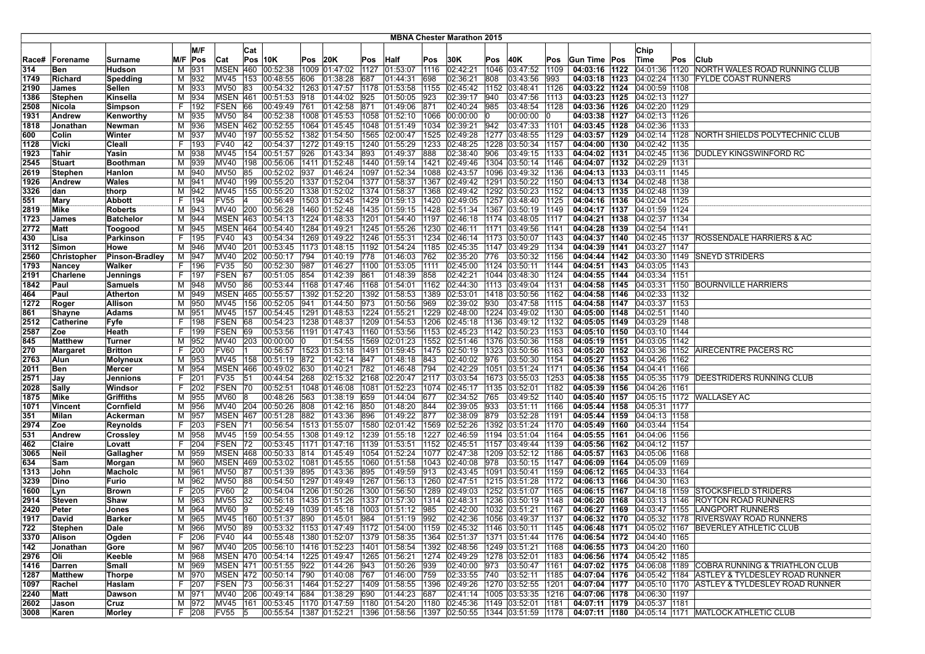| <b>MBNA Chester Marathon 2015</b> |              |                      |    |              |                 |     |                                               |      |                                |             |                      |             |                                                                                           |      |                                     |       |                                   |                                 |     |                                                                                                                                         |
|-----------------------------------|--------------|----------------------|----|--------------|-----------------|-----|-----------------------------------------------|------|--------------------------------|-------------|----------------------|-------------|-------------------------------------------------------------------------------------------|------|-------------------------------------|-------|-----------------------------------|---------------------------------|-----|-----------------------------------------------------------------------------------------------------------------------------------------|
|                                   |              |                      |    | M/F          |                 | Cat |                                               |      |                                |             |                      |             |                                                                                           |      |                                     |       |                                   | Chip                            |     |                                                                                                                                         |
| Race#                             | Forename     | Surname              |    | M/F  Pos     | Cat             |     | $Pos$ 10K                                     | Pos  | 20K                            | Pos         | Half                 | Pos         | 30K                                                                                       | Pos  | 40K                                 | Pos   | Gun Time Pos                      | Time                            | Pos | Club                                                                                                                                    |
| 314                               | Ben          | Hudson               | М  | 931          | <b>MSEN 460</b> |     | 00:52:38                                      |      | 1009 01:47:02                  | 1127        | 01:53:07             | 1116        | 02:42:21                                                                                  | 1046 | 03:47:52  1109                      |       | 04:03:16 1122                     |                                 |     | 04:01:36 1120 NORTH WALES ROAD RUNNING CLUB                                                                                             |
| 1749                              | Richard      | Spedding             |    | M 932        | MV45            | 153 | 00:48:55                                      | 606  | 01:38:28                       | 687         | 01:44:31             | 698         | 02:36:21                                                                                  | 808  | 03:43:56                            | 1993  | 04:03:18 1123                     |                                 |     | 04:02:24   1130   FYLDE COAST RUNNERS                                                                                                   |
| 2190                              | James        | Sellen               | м  | 933          | <b>MV50</b>     | 83  | 00:54:32                                      | 1263 | 01:47:57                       | 1178        | 01:53:58             | 1155        | 02:45:42                                                                                  |      | 1152 03:48:41                       | 1126  | 04:03:22 1124                     | 04:00:59 1108                   |     |                                                                                                                                         |
| 1386                              | Stephen      | Kinsella             | м  | 934          | <b>MSEN 461</b> |     | 00:51:53                                      | 918  | 01:44:02                       | 925         | 01:50:05             | 923         | 02:39:17                                                                                  | 940  | 03:47:56                            | 1113  | 04:03:23 1125                     | 04:02:13 1127                   |     |                                                                                                                                         |
| 2508                              | Nicola       | <b>Simpson</b>       | F. | 192          | FSEN 66         |     | 00:49:49                                      | 761  | 01:42:58 871                   |             | 01:49:06             | 871         | 02:40:24                                                                                  | 985  | 03:48:54 1128                       |       | 04:03:36 1126 04:02:20 1129       |                                 |     |                                                                                                                                         |
| 1931                              | Andrew       | Kenworthy            |    | M 935        | MV50 84         |     | 00:52:38                                      |      | 1008 01:45:53                  |             | 1058 01:52:10        | 1066        | 00:00:00                                                                                  | 10   | 00:00:00                            | 10    | 04:03:38   1127   04:02:13   1126 |                                 |     |                                                                                                                                         |
| 1818                              | Jonathan     | Newman               |    | M 936        |                 |     | MSEN 462 00:52:55                             |      | 1064 01:45:45                  |             | 1048 01:51:49        | 1034        | 02:39:21                                                                                  | 942  | $ 03:47:33 $ 1101                   |       | 04:03:45 1128                     | 04:02:36 1133                   |     |                                                                                                                                         |
| 600                               | Colin        | Winter               |    | M 937        | MV40            | 197 | 00:55:52                                      |      | 1382 01:54:50                  | 1565        | 02:00:47             | 1525        | 02:49:28                                                                                  |      | 1277 03:48:55 1129                  |       | 04:03:57   1129                   |                                 |     | 04:02:14 1128 NORTH SHIELDS POLYTECHNIC CLUB                                                                                            |
| 1128                              | Vicki        | Cleall               |    | F   193      | <b>FV40</b>     | 42  | 00:54:37                                      |      | 1272 01:49:15                  |             | 1240 01:55:29        | 1233        | 02:48:25                                                                                  |      | 1228 03:50:34 1157                  |       | 04:04:00 1130                     | 04:02:42   1135                 |     |                                                                                                                                         |
| 1923                              | Tahir        | Yasin                |    | M 938        | MV45            |     | 154 00:51:57                                  | 926  | 01:43:34                       | 893         | 01:49:37             | 888         | 02:38:40                                                                                  | 906  | 03:49:15                            | 1133  | 04:04:02 1131                     |                                 |     | 04:02:45 1136 DUDLEY KINGSWINFORD RC                                                                                                    |
| 2545                              | Stuart       | Boothman             |    | M 939        | <b>MV40</b>     |     | 198 00:56:06                                  |      | 1411 01:52:48 1440 01:59:14    |             |                      | 1421        | 02:49:46                                                                                  |      | 1304 03:50:14 1146                  |       | 04:04:07 1132                     | 04:02:29 1131                   |     |                                                                                                                                         |
| 2619                              | Stephen      | Hanlon               |    | M 940        | <b>MV50</b>     | 85  | 00:52:02                                      | 937  | 01:46:24                       |             | 1097 01:52:34        | 1088        | 02:43:57                                                                                  |      | 1096 03:49:32 1136                  |       | 04:04:13 1133                     | 04:03:11 1145                   |     |                                                                                                                                         |
| 1926                              | Andrew       | Wales                |    | M 941        | <b>MV40</b>     |     | 199 00:55:20                                  |      | 1337 01:52:04                  |             | 1377 01:58:37        | 1367        | 02:49:42                                                                                  |      | 1291 03:50:22 1150                  |       | 04:04:13 1134                     | 04:02:48   1138                 |     |                                                                                                                                         |
| 3326                              | dan          | thorp                | м  | 942          | MV45            | 155 | 00:55:20                                      |      | 1338 01:52:02                  |             | 1374 01:58:37        | 1368        | 02:49:42                                                                                  |      | 1292 03:50:23 1152                  |       | 04:04:13 1135                     | 04:02:48 1139                   |     |                                                                                                                                         |
| 551                               | Mary         | <b>Abbott</b>        | F. | 194          | <b>FV55</b>     |     | 00:56:49                                      |      | 1503 01:52:45 1429 01:59:13    |             |                      | 1420        | 02:49:05                                                                                  |      | 1257  03:48:40  1125                |       | 04:04:16   1136                   | 04:02:04 1125                   |     |                                                                                                                                         |
| 2819                              | Mike         | <b>Roberts</b>       |    | M 943        | MV40 200        |     | 00:56:28                                      |      | 1460 01:52:48                  |             | 1435 01:59:15        | 1428        | 02:51:34                                                                                  |      | 1367 03:50:19   1149                |       | 04:04:17 1137                     | 04:01:59 1124                   |     |                                                                                                                                         |
| 1723                              | James        | <b>Batchelor</b>     | м  | 944          |                 |     | MSEN 463 00:54:13                             |      | 1224 01:48:33                  |             | 1201 01:54:40        | 1197        | 02:46:18                                                                                  |      | 1174 03:48:05                       | 11117 | 04:04:21 1138                     | 04:02:37   134                  |     |                                                                                                                                         |
| 2772                              | Matt         | Toogood              |    | M 945        |                 |     | MSEN 464 00:54:40                             |      | 1284 01:49:21                  |             | 1245 01:55:26        | 1230        | 02:46:11                                                                                  |      | 1171 03:49:56 1141                  |       | 04:04:28 1139 04:02:54 1141       |                                 |     |                                                                                                                                         |
| 430                               | Lisa         | Parkinson            |    | F   195      | <b>FV40</b>     | 43  | 00:54:34                                      |      | 1269 01:49:22 1246 01:55:31    |             |                      | 1234        | 02:46:14                                                                                  |      | 1173 03:50:07 1143                  |       | 04:04:37 1140 04:02:45 1137       |                                 |     | ROSSENDALE HARRIERS & AC                                                                                                                |
| 3112                              | Simon        | Howe                 |    | M 946        | <b>MV40</b>     | 201 | 00:53:45                                      |      | 1173 01:48:15 1192             |             | 01:54:24             | 1185        | 02:45:35                                                                                  |      | 1147 03:49:29 1134                  |       | 04:04:39 1141                     | 04:03:27 1147                   |     |                                                                                                                                         |
| 2560                              | Christopher  | Pinson-Bradley       |    | M 947        | MV40            | 202 | 00:50:17                                      | 794  | 01:40:19 778                   |             | 01:46:03             | 762         | 02:35:20                                                                                  | 776  | 03:50:32   1156                     |       |                                   |                                 |     | 04:04:44   1142   04:03:30   1149   SNEYD STRIDERS                                                                                      |
| 1793                              | Nancey       | Walker               |    | F 196        | <b>FV35</b>     | 50  | 00:52:30                                      | 987  | 01:46:27                       | 1100        | 01:53:05             | 1111        | 02:45:00                                                                                  |      | 1124 03:50:11                       | 1144  | 04:04:51   1143                   | 04:03:05 1143                   |     |                                                                                                                                         |
| 2191                              | Charlene     | Jennings             |    | F   197      | <b>FSEN</b>     | 67  | 00:51:05                                      | 854  | 01:42:39                       | 861         | 01:48:39             | 858         | 02:42:21                                                                                  |      | 1044 03:48:30                       | 1124  | 04:04:55 1144                     | 04:03:34 1151                   |     |                                                                                                                                         |
| 1842                              | Paul         | Samuels              |    | M 948        | MV50 86         |     | 00:53:44                                      |      | 1168 01:47:46 1168 01:54:01    |             |                      | 1162        | 02:44:30                                                                                  |      | 1113 03:49:04 1131                  |       |                                   |                                 |     | 04:04:58 1145 04:03:31 1150 BOURNVILLE HARRIERS                                                                                         |
| 464                               | Paul         | <b>Atherton</b>      |    | M 949        | <b>MSEN 465</b> |     | 00:55:57                                      |      | 1392 01:52:20 1392 01:58:53    |             |                      | 1389        | 02:53:01                                                                                  |      | 1418 03:50:56                       | 1162  | 04:04:58 1146                     | 04:02:33   132                  |     |                                                                                                                                         |
| 1272                              | Roger        | Allison              |    | M 950        | MV45            | 156 | 00:52:05                                      | 941  | 01:44:50                       | 973         | 01:50:56             | 969         | 02:39:02                                                                                  | 930  | $03:47:58$ 1115                     |       | 04:04:58 1147                     | 04:03:37 1153                   |     |                                                                                                                                         |
| 861                               | Shayne       | Adams                | M  | 951          | MV45            | 157 | 00:54:45                                      |      | 1291 01:48:53                  |             | 1224 01:55:21        | 1229        | 02:48:00                                                                                  |      | 1224  03:49:02  1130                |       | 04:05:00 1148                     | 04:02:51 1140                   |     |                                                                                                                                         |
| 2512                              | Catherine    | Fyfe                 | F. | 198          | FSEN            | 68  | 00:54:23                                      |      | 1238 01:48:37                  |             | 1209 01:54:53        | 1206        | 02:45:18                                                                                  |      | 1136 03:49:12 1132                  |       | 04:05:05 1149                     | 04:03:29   1148                 |     |                                                                                                                                         |
| 2587                              | Zoe          | Heath                | F. | 199          | <b>FSEN</b>     | 69  | 00:53:56                                      |      | 1191 01:47:43                  | 1160        | 01:53:56             | 1153        | 02:45:23                                                                                  |      | 1142 03:50:23                       | 1153  | 04:05:10 1150                     | 04:03:10 1144                   |     |                                                                                                                                         |
| 845                               | Matthew      | Turner               |    | M 952        | MV40 203        |     | 00:00:00                                      |      |                                |             |                      |             | 1552 02:51:46                                                                             |      | 1376 03:50:36  1158                 |       | 04:05:19 1151 04:03:05 1142       |                                 |     |                                                                                                                                         |
| 270                               | Margaret     | <b>Britton</b>       | F. | 200          | <b>FV60</b>     |     | 00:56:57                                      |      | 1523  01:53:18  1491  01:59:45 |             |                      |             | 1475 02:50:19                                                                             |      | 1323 03:50:56 1163                  |       |                                   |                                 |     | 04:05:20   1152   04:03:36   1152   AIRECENTRE PACERS RC                                                                                |
| 2763                              | Alun         | Molyneux             |    | M 953        | MV45            |     | 158 00:51:19                                  | 872  | 01:42:14 847                   |             | 01:48:18             | 843         | 02:40:02 976                                                                              |      | 03:50:30 1154                       |       | 04:05:27   1153   04:04:26   1162 |                                 |     |                                                                                                                                         |
| 2011                              | Ben          | <b>Mercer</b>        | м  | 954          | <b>MSEN 466</b> |     | 00:49:02                                      | 630  | 01:40:21                       | 782         | 01:46:48             | 794         | 02:42:29                                                                                  |      | 1051 03:51:24 1171                  |       | 04:05:36 1154 04:04:41 1166       |                                 |     |                                                                                                                                         |
| 2571                              | Jay          | <b>Jennions</b>      | F. | 201          | <b>FV35</b>     | 51  | 00:44:54                                      | 268  | 02:15:32 2168                  |             | 02:20:47             | 2117        | 03:03:54                                                                                  |      | 1673 03:55:03                       | 1253  | 04:05:38 1155                     |                                 |     | 04:05:35 1179 DEESTRIDERS RUNNING CLUB                                                                                                  |
| 2028                              | Sally        | Windsor              | F. | 202          | FSEN 70         |     | 00:52:51                                      |      | 1048 01:46:08                  | 1081        | 01:52:23             | 1074        | 02:45:17                                                                                  |      | 1135 03:52:01                       | 1182  | 04:05:39 1156                     | 04:04:26 1161                   |     |                                                                                                                                         |
| 1875                              | Mike         | Griffiths            |    | M 955        | MV60 8          |     | 00:48:26                                      | 563  | 01:38:19 659                   |             | 01:44:04             | 677         | 02:34:52                                                                                  | 765  | 03:49:52 1140                       |       | 04:05:40 1157                     |                                 |     | 04:05:15   1172   WALLASEY AC                                                                                                           |
| 1071                              | Vincent      | Cornfield            |    | M 956        |                 |     | MV40 204 00:50:26                             | 808  | 01:42:16 850                   |             | 01:48:20             | 844         | 02:39:05                                                                                  | 933  | 03:51:11   1166                     |       | 04:05:44 1158 04:05:31 1177       |                                 |     |                                                                                                                                         |
| 351<br>2974                       | Milan<br>Zoe | Ackerman             | F. | M 957<br>203 | <b>FSEN</b>     | 171 | MSEN 467 00:51:28<br> 00:56:54                | 882  | 01:43:36<br>1513 01:55:07      | 896<br>1580 | 01:49:22<br>02:01:42 | 877<br>1569 | 02:38:09<br>02:52:26                                                                      | 879  | 03:52:28 1191<br>1392 03:51:24 1170 |       | 04:05:44 1159<br>04:05:49 1160    | 04:04:13 1158<br> 04:03:44 1154 |     |                                                                                                                                         |
| 531                               | Andrew       | Reynolds<br>Crossley |    | M 958        | MV45 159        |     | 00:54:55                                      |      | 1308 01:49:12 1239 01:55:18    |             |                      | 1227        | 02:46:59                                                                                  |      | 1194 03:51:04 1164                  |       | 04:05:55 1161                     | 04:04:06   1156                 |     |                                                                                                                                         |
| 462                               | Claire       | Lovatt               | F. | 204          | FSEN 72         |     | 00:53:45                                      |      | 1171 01:47:16                  | 1139        | 01:53:51             | 1152        | 02:45:51                                                                                  |      | 1157 03:49:44                       | 1139  | 04:05:56 1162                     | 04:04:12   1157                 |     |                                                                                                                                         |
| 3065                              | <b>Neil</b>  | Gallagher            |    | M 959        |                 |     | MSEN 468 00:50:33                             | 814  | 01:45:49                       |             | 1054 01:52:24        | 1077        | 02:47:38                                                                                  |      | 1209 03:52:12 1186                  |       | 04:05:57 1163                     | 04:05:06 1168                   |     |                                                                                                                                         |
| 634                               | Sam          | Morgan               |    | M 960        |                 |     | MSEN 469 00:53:02                             |      | 1081 01:45:55  1060 01:51:58   |             |                      | 1043        | 02:40:08                                                                                  | 978  | 03:50:15 1147                       |       | 04:06:09 1164 04:05:09 1169       |                                 |     |                                                                                                                                         |
| 1313                              | John         | <b>Macholc</b>       |    | M 961        | MV50 87         |     | 00:51:39                                      | 895  | 01:43:36                       | 895         | 01:49:59             | 913         | 02:43:45                                                                                  |      | 1091 03:50:41 1159                  |       | 04:06:12 1165                     | 04:04:33   1164                 |     |                                                                                                                                         |
| 3239                              | Dino         | Furio                | м  | 962          | <b>MV50</b>     | 88  | 00:54:50                                      |      | 1297 01:49:49                  | 1267        | 01:56:13             | 1260        | 02:47:51                                                                                  |      | 1215 03:51:28 1172                  |       | 04:06:13 1166                     | 04:04:30   1163                 |     |                                                                                                                                         |
| 1600                              | Lyn          | Brown                | F. | 205          | <b>FV60</b>     | 12  | 00:54:04                                      |      | 1206 01:50:26                  |             | 1300 01:56:50        | 1289        | 02:49:03                                                                                  |      | 1252 03:51:07 1165                  |       | 04:06:15   1167                   |                                 |     | 04:04:18 1159 STOCKSFIELD STRIDERS                                                                                                      |
| 2914                              | ∣Steven      | Shaw                 | м  | 963          | <b>MV55</b>     | 32  | 00:56:18                                      |      | 1435 01:51:26                  | 1337        | 01:57:30             | 1314        | 02:48:31                                                                                  |      | 1236 03:50:19 1148                  |       | 04:06:20 1168                     | 04:03:13 1146                   |     | <b>ROYTON ROAD RUNNERS</b>                                                                                                              |
| 2420                              | Peter        | Jones                | М  | 964          | <b>MV60</b>     | 19  | 00:52:49                                      |      | 1039 01:45:18                  |             | 1003 01:51:12        | 985         | 02:42:00                                                                                  |      | 1032 03:51:21                       | 1167  | 04:06:27 1169                     |                                 |     | 04:03:47   1155   LANGPORT RUNNERS                                                                                                      |
| 1917                              | David        | Barker               |    | M 965        |                 |     | MV45 160 00:51:37                             |      | 890 01:45:01                   | 984         | 01:51:19             | 992         | 02:42:36                                                                                  |      | 1056 03:49:37 1137                  |       |                                   |                                 |     | 04:06:32 1170 04:05:32 1178 RIVERSWAY ROAD RUNNERS                                                                                      |
| 722                               | Stephen      | Dale                 |    | M 1966       | MV50 89         |     |                                               |      |                                |             |                      |             |                                                                                           |      |                                     |       |                                   |                                 |     | 00:53:32  1153  01:47:49  1172  01:54:00  1159  02:45:32  1146  03:50:11  1145   04:06:48  1171  04:05:02  1167  BEVERLEY ATHLETIC CLUB |
| 3370                              | Alison       | Ogden                |    | F 206        | FV40 44         |     |                                               |      |                                |             |                      |             | $ 00:55:48$  1380 $ 01:52:07$  1379 $ 01:58:35$  1364 $ 02:51:37$  1371 $ 03:51:44$  1176 |      |                                     |       | 04:06:54 1172 04:04:40 1165       |                                 |     |                                                                                                                                         |
| 142                               | Jonathan     | Gore                 |    | M 967        |                 |     | MV40 205 00:56:10                             |      | 1416 01:52:23 1401 01:58:54    |             |                      | 1392        | 02:48:56                                                                                  |      | 1249 03:51:21  1168                 |       | 04:06:55 1173 04:04:20 1160       |                                 |     |                                                                                                                                         |
| 2976                              | Oli          | Keeble               |    | M 968        |                 |     | MSEN 470 00:54:14                             |      | 1225 01:49:47 1265 01:56:21    |             |                      | 1274        | 02:49:29                                                                                  |      | 1278 03:52:01 1183                  |       | 04:06:56 1174 04:05:42 1185       |                                 |     |                                                                                                                                         |
| 1416                              | Darren       | Small                |    | M 969        |                 |     | MSEN 471 00:51:55                             | 922  | 01:44:26 943                   |             | 01:50:26             | 939         | 02:40:00                                                                                  | 973  | 03:50:47 1161                       |       |                                   |                                 |     | 04:07:02   1175   04:06:08   1189   COBRA RUNNING & TRIATHLON CLUB                                                                      |
| 1287                              | Matthew      | Thorpe               |    | M 970        |                 |     | MSEN 472 00:50:14 790 01:40:08 767            |      |                                |             | 01:46:00             | 759         | 02:33:55                                                                                  |      | 740 03:52:11 1185                   |       |                                   |                                 |     | 04:07:04 1176 04:05:42 1184 ASTLEY & TYLDESLEY ROAD RUNNER                                                                              |
| 1097                              | Rachel       | Haslam               |    | F 207        |                 |     | FSEN 73 00:56:31                              |      |                                |             |                      |             | 1464 01:52:27  1409 01:58:55  1396 02:49:26  1270 03:52:55  1201                          |      |                                     |       |                                   |                                 |     | 04:07:04 1177 04:05:10 1170 ASTLEY & TYLDESLEY ROAD RUNNER                                                                              |
| 2240                              | Matt         | Dawson               |    | M   971      |                 |     | MV40 206 00:49:14 684 01:38:29 690            |      |                                |             | 01:44:23             | 687         | 02:41:14                                                                                  |      | 1005 03:53:35 1216                  |       | 04:07:06 1178 04:06:30 1197       |                                 |     |                                                                                                                                         |
| 2602                              | Jason        | Cruz                 |    | M 972        |                 |     | MV45 161 00:53:45 1170 01:47:59 1180 01:54:20 |      |                                |             |                      | 1180        | $ 02:45:36$  1149 $ 03:52:01$  1181                                                       |      |                                     |       | 04:07:11   1179   04:05:37   1181 |                                 |     |                                                                                                                                         |
| 3008                              | Karen        | Morley               |    | F 208        | FV55 5          |     |                                               |      |                                |             |                      |             | $ 00:55:54$  1387 $ 01:52:21$  1396 $ 01:58:56$  1397 $ 02:50:55$  1344 $ 03:51:59$  1178 |      |                                     |       |                                   |                                 |     | 04:07:11   1180   04:05:14   1171   MATLOCK ATHLETIC CLUB                                                                               |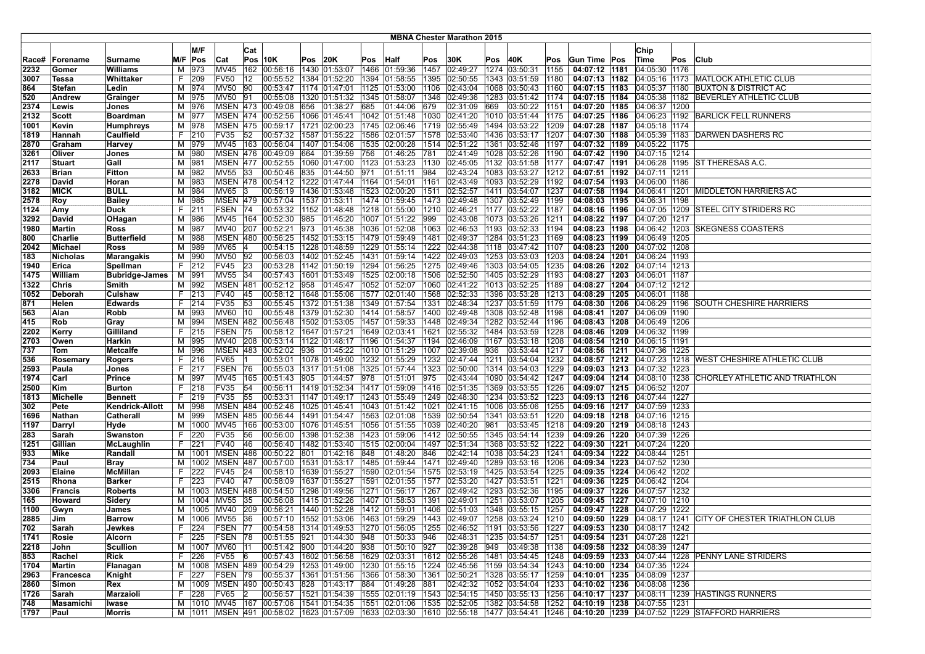|               | <b>MBNA Chester Marathon 2015</b> |                                |    |                |                                |     |                                                                           |         |                                |      |                                |              |                      |     |                                                                                |              |                                                            |                                   |     |                                                                                                                                                        |
|---------------|-----------------------------------|--------------------------------|----|----------------|--------------------------------|-----|---------------------------------------------------------------------------|---------|--------------------------------|------|--------------------------------|--------------|----------------------|-----|--------------------------------------------------------------------------------|--------------|------------------------------------------------------------|-----------------------------------|-----|--------------------------------------------------------------------------------------------------------------------------------------------------------|
|               |                                   |                                |    |                |                                |     |                                                                           |         |                                |      |                                |              |                      |     |                                                                                |              |                                                            |                                   |     |                                                                                                                                                        |
|               |                                   |                                |    | M/F            |                                | Cat |                                                                           | Pos 20K |                                |      |                                |              |                      |     |                                                                                |              |                                                            | Chip                              |     |                                                                                                                                                        |
| Race#<br>2232 | Forename<br> Gomer                | Surname<br><b>Williams</b>     | м  | M/F Pos<br>973 | Cat<br><b>MV45</b>             |     | $Pos$ 10K<br>162 00:56:16                                                 |         | 1430 01:53:07                  | Pos  | <b>Half</b><br>1466 01:59:36   | Pos<br>1457  | 30K<br>02:49:27      | Pos | 40K<br>1274 03:50:31                                                           | Pos<br>1155  | Gun Time Pos<br>04:07:12 1181                              | Time<br>04:05:30   1176           | Pos | Club                                                                                                                                                   |
| 3007          | Tessa                             | Whittaker                      |    | F 209          | <b>FV50</b>                    | 12  | 00:55:52                                                                  |         | 1384 01:52:20                  |      | 1394 01:58:55                  | 1395         | 02:50:55             |     | 1343 03:51:59                                                                  | 1180         | 04:07:13 1182                                              |                                   |     | 04:05:16   1173   MATLOCK ATHLETIC CLUB                                                                                                                |
| 864           | Stefan                            | Ledin                          |    | M 974          | <b>MV50</b>                    | 90  | 00:53:47                                                                  |         | 1174 01:47:01                  | 1125 | 01:53:00                       | 1106         | 02:43:04             |     | 1068 03:50:43                                                                  | 1160         | 04:07:15   1183                                            | 04:05:37 1180                     |     | <b>BUXTON &amp; DISTRICT AC</b>                                                                                                                        |
| 520           | Andrew                            | Grainger                       |    | M 975          | <b>MV50</b>                    | 191 | 00:55:08                                                                  |         | 1320 01:51:32                  |      | 1345 01:58:07                  | 1346         | 02:49:36             |     | 1283 03:51:42                                                                  | 1174         | 04:07:15 1184                                              |                                   |     | 04:05:38 1182 BEVERLEY ATHLETIC CLUB                                                                                                                   |
| 2374          | Lewis                             | Jones                          | М  | 976            |                                |     | MSEN 473 00:49:08                                                         | 656     | 01:38:27                       | 685  | 01:44:06                       | 679          | 02:31:09             | 669 | 03:50:22                                                                       | 1151         | 04:07:20 1185                                              | 04:06:37 1200                     |     |                                                                                                                                                        |
| 2132          | Scott                             | <b>Boardman</b>                |    | M 977          |                                |     | MSEN 474 00:52:56                                                         |         | 1066 01:45:41                  |      | 1042 01:51:48                  | 1030         | 02:41:20             |     | 1010 03:51:44                                                                  | 1175         | 04:07:25 1186                                              |                                   |     | 04:06:23 1192 BARLICK FELL RUNNERS                                                                                                                     |
| 1001          | Kevin                             | <b>Humphreys</b>               |    | M 978          |                                |     | MSEN 475 00:59:17                                                         |         | 1721 02:00:23                  |      | 1745 02:06:46                  | 1719         | 02:55:49             |     | 1494 03:53:22                                                                  | 1209         | 04:07:28 1187                                              | 04:05:18 1174                     |     |                                                                                                                                                        |
| 1819          | Hannah                            | Caulfield                      |    | F 210          | <b>FV35</b>                    | 52  | 00:57:32                                                                  |         | 1587 01:55:22 1586             |      | 02:01:57                       | 1578         | 02:53:40             |     | 1436 03:53:17                                                                  | 1207         | 04:07:30 1188                                              |                                   |     | 04:05:39 1183 DARWEN DASHERS RC                                                                                                                        |
| 2870          | Graham                            | Harvey                         |    | M 979          |                                |     | MV45 163 00:56:04                                                         |         | 1407 01:54:06                  |      | 1535 02:00:28                  | 1514         | 02:51:22             |     | 1361 03:52:46                                                                  | 1197         | 04:07:32 1189                                              | 04:05:22   1175                   |     |                                                                                                                                                        |
| 3261          | Oliver                            | Jones                          | M  | 980            | <b>MSEN 476</b>                |     | 00:49:09                                                                  | 664     | 01:39:59                       | 756  | 01:46:25                       | 781          | 02:41:49             |     | 1028 03:52:26                                                                  | 1190         | 04:07:42 1190                                              | 04:07:15 1214                     |     |                                                                                                                                                        |
| 2117          | Stuart                            | Gall                           | М  | 981            | <b>MSEN 477</b>                |     | 00:52:55                                                                  |         | 1060 01:47:00                  | 1123 | 01:53:23                       | 1130         | 02:45:05             |     | 1132 03:51:58                                                                  | 1177         | 04:07:47 1191                                              | 04:06:28 1195                     |     | <b>ST THERESAS A.C.</b>                                                                                                                                |
| 2633          | Brian                             | <b>Fitton</b>                  |    | M 982          | MV55 33                        |     | 00:50:46 835 01:44:50 971                                                 |         |                                |      | 01:51:11                       | 984          | 02:43:24             |     | 1083 03:53:27                                                                  | 1212         | 04:07:51   1192   04:07:11   1211                          |                                   |     |                                                                                                                                                        |
| 2278          | David                             | Horan                          |    | M 983          |                                |     | MSEN 478 00:54:12 1222 01:47:44 1164 01:54:01                             |         |                                |      |                                | 1161         | 02:43:49             |     | 1093 03:52:29                                                                  | 1192         | 04:07:54   1193   04:06:00   1186                          |                                   |     |                                                                                                                                                        |
| 3182          | <b>MICK</b>                       | <b>BULL</b>                    |    | M 984          | MV65                           | 13  | 00:56:19                                                                  |         | 1436 01:53:48                  |      | 1523 02:00:20                  | 1511         | 02:52:57             |     | 1411 03:54:07                                                                  | 1237         | 04:07:58 1194                                              |                                   |     | 04:06:41   1201   MIDDLETON HARRIERS AC                                                                                                                |
| 2578          | Roy                               | <b>Bailey</b>                  | М  | 985            |                                |     | MSEN 479 00:57:04                                                         |         | 1537 01:53:11                  |      | 1474 01:59:45                  | 1473         | 02:49:48             |     | 1307 03:52:49                                                                  | 1199         | 04:08:03   1195                                            | 04:06:31 1198                     |     |                                                                                                                                                        |
| 1124          | Amy                               | Duck                           | F. | 211            | FSEN 74                        |     | 00:53:32                                                                  |         | 1152 01:48:48                  |      | 1218 01:55:00                  | 1210         | 02:46:21             |     | 1177 03:52:22                                                                  | 1187         | 04:08:16 1196                                              | 04:07:05 1209                     |     | <b>STEEL CITY STRIDERS RC</b>                                                                                                                          |
| 3292          | David                             | OHagan                         | M  | 986            | MV45                           | 164 | 00:52:30                                                                  | 985     | 01:45:20                       |      | 1007 01:51:22                  | 999          | 02:43:08             |     | 1073 03:53:26                                                                  | 1211         | 04:08:22 1197                                              | 04:07:20 1217                     |     |                                                                                                                                                        |
| 1980          | Martin                            | Ross                           |    | M 987          |                                |     | MV40 207 00:52:21                                                         | 973     | 01:45:38                       |      | 1036 01:52:08                  | 1063         | 02:46:53             |     | 1193 03:52:33                                                                  | 1194         | 04:08:23 1198                                              |                                   |     | 04:06:42 1203 SKEGNESS COASTERS                                                                                                                        |
| 800           | Charlie                           | Butterfield                    |    | M 988          |                                |     | MSEN 480 00:56:25                                                         |         | 1452 01:53:15 1479 01:59:49    |      |                                | 1481         | 02:49:37             |     | 1284 03:51:23                                                                  | 1169         | 04:08:23   1199   04:06:49   1205                          |                                   |     |                                                                                                                                                        |
| 2042          | Michael                           | <b>Ross</b>                    |    | M 989          | MV65                           |     | 00:54:15                                                                  |         | 1228 01:48:59   1229 01:55:14  |      |                                | 1222         | 02:44:38             |     | 1118 03:47:42                                                                  | 1107         | 04:08:23 1200 04:07:02 1208                                |                                   |     |                                                                                                                                                        |
| 183           | Nicholas                          | Marangakis                     |    | M 990          | <b>MV50</b>                    | 92  | 00:56:03                                                                  |         | 1402 01:52:45                  |      | 1431 01:59:14                  | 1422         | 02:49:03             |     | 1253 03:53:03                                                                  | 1203         | 04:08:24 1201                                              | 04:06:24 1193                     |     |                                                                                                                                                        |
| 1940          | Erica                             | Spellman                       |    | F 212          | <b>FV45</b>                    | 23  | 00:53:28                                                                  |         | $1142$ $ 01:50:19$             |      | 1294 01:56:25                  | 1275         | 02:49:46             |     | 1303 03:54:05                                                                  | 1235         |                                                            | 04:08:26   1202   04:07:14   1213 |     |                                                                                                                                                        |
| 1475<br>1322  | <b>William</b><br>Chris           | <b>Bubridge-James</b><br>Smith |    | M 991<br>M 992 | <b>MV55</b><br><b>MSEN 481</b> | 34  | 00:57:43<br>00:52:12 958                                                  |         | 1601 01:53:49<br>01:45:47      |      | 1525 02:00:18<br>1052 01:52:07 | 1506<br>1060 | 02:52:50<br>02:41:22 |     | 1405 03:52:29<br>1013 03:52:25                                                 | 1193<br>1189 | 04:08:27 1203 04:06:01 1187<br>04:08:27 1204 04:07:12 1212 |                                   |     |                                                                                                                                                        |
| 1052          | Deborah                           | Culshaw                        | F. | 213            | <b>FV40</b>                    | 45  | 00:58:12   1648   01:55:06   1577   02:01:40                              |         |                                |      |                                | 1568         | 02:52:33             |     | 1396 03:53:28                                                                  | 1213         | 04:08:29 1205 04:06:01 1188                                |                                   |     |                                                                                                                                                        |
| 871           | Helen                             | <b>Edwards</b>                 |    | $F$ 214        | <b>FV35</b>                    | 53  | 00:55:45 1372 01:51:38                                                    |         |                                |      | 1349 01:57:54                  | 1331         | 02:48:34             |     | 1237 03:51:59                                                                  | 1179         |                                                            | 04:08:30 1206 04:06:29 1196       |     | <b>SOUTH CHESHIRE HARRIERS</b>                                                                                                                         |
| 563           | Alan                              | Robb                           | М  | 993            | <b>MV60</b>                    | 10  | 00:55:48                                                                  |         | 1379 01:52:30                  |      | 1414 01:58:57                  | 1400         | 02:49:48             |     | 1308 03:52:48                                                                  | 1198         | 04:08:41 1207                                              | 04:06:09 1190                     |     |                                                                                                                                                        |
| 415           | Rob                               | Gray                           | м  | 994            |                                |     | MSEN 482 00:56:48                                                         |         | 1502 01:53:05                  |      | 1457 01:59:33                  | 1448         | 02:49:34             |     | 1282 03:52:44                                                                  | 1196         |                                                            | 04:08:43 1208 04:06:49 1206       |     |                                                                                                                                                        |
| 2202          | Kerry                             | Gilliland                      | F. | 215            | FSEN                           | 75  | 00:58:12                                                                  |         | 1647 01:57:21                  |      | 1649 02:03:41                  | 1621         | 02:55:32             |     | 1484 03:53:59                                                                  | 1228         | 04:08:46 1209                                              | 04:06:32 1199                     |     |                                                                                                                                                        |
| 2703          | Owen                              | Harkin                         |    | M 995          | MV40 208                       |     | 00:53:14 1122 01:48:17                                                    |         |                                | 1196 | 01:54:37                       | 1194         | 02:46:09             |     | 1167 03:53:18                                                                  | 1208         | 04:08:54 1210 04:06:15 1191                                |                                   |     |                                                                                                                                                        |
| 737           | Tom                               | Metcalfe                       |    | M 996          |                                |     | MSEN 483 00:52:02 936 01:45:22 1010 01:51:29                              |         |                                |      |                                | 1007         | 02:39:08             | 936 | 03:53:44                                                                       | 1217         | 04:08:56 1211 04:07:36 1225                                |                                   |     |                                                                                                                                                        |
| 536           | Rosemary                          | Rogers                         |    | $F$ 216        | <b>FV65</b>                    |     | 00:53:01                                                                  |         | 1078 01:49:00   1232 01:55:29  |      |                                | 1232         | 02:47:44             |     | 1211 03:54:04                                                                  | 1232         |                                                            |                                   |     | 04:08:57   1212   04:07:23   1218   WEST CHESHIRE ATHLETIC CLUB                                                                                        |
| 2593          | Paula                             | Jones                          |    | F 217          | FSEN 76                        |     | 00:55:03                                                                  |         | 1317 01:51:08                  |      | 1325 01:57:44                  | 1323         | 02:50:00             |     | 1314 03:54:03                                                                  | 1229         |                                                            | 04:09:03 1213 04:07:32 1223       |     |                                                                                                                                                        |
| 1974          | Carl                              | Prince                         |    | M 997          | MV45                           | 165 | 00:51:43                                                                  | 905     | 01:44:57                       | 978  | 01:51:01                       | 975          | 02:43:44             |     | 1090 03:54:42                                                                  | 1247         |                                                            |                                   |     | 04:09:04 1214 04:08:10 1238 CHORLEY ATHLETIC AND TRIATHLON                                                                                             |
| 2500          | Kim                               | Burton                         | F. | 218            | FV35                           | 54  | 00:56:11                                                                  |         | 1419 01:52:34                  |      | 1417 01:59:09                  | 1416         | 02:51:35             |     | 1369 03:53:55                                                                  | 1226         | 04:09:07   1215   04:06:52   1207                          |                                   |     |                                                                                                                                                        |
| 1813          | Michelle                          | <b>Bennett</b>                 |    | F 219          | <b>FV35</b>                    | 55  | 00:53:31                                                                  |         | 1147 01:49:17                  |      | 1243 01:55:49                  | 1249         | 02:48:30             |     | 1234 03:53:52                                                                  | 1223         |                                                            | 04:09:13 1216 04:07:44 1227       |     |                                                                                                                                                        |
| 302           | Pete                              | Kendrick-Allott                |    | M 998          |                                |     | MSEN 484 00:52:46                                                         |         | 1025 01:45:41                  |      | 1043 01:51:42                  | 1021<br>1539 | 02:41:15             |     | 1006 03:55:06                                                                  | 1255         | 04:09:16 1217 04:07:59 1233                                |                                   |     |                                                                                                                                                        |
| 1696          | Nathan<br>Darryl                  | Catherall                      |    | M 999          | M   1000   MV45                | 166 | MSEN 485 00:56:44<br>00:53:00                                             |         | 1491 01:54:47<br>1076 01:45:51 |      | 1563 02:01:08<br>1056 01:51:55 | 1039         | 02:50:54<br>02:40:20 | 981 | 1341 03:53:51<br>03:53:45                                                      | 1220<br>1218 | 04:09:20 1219 04:08:18 1243                                | 04:09:18   1218   04:07:16   1215 |     |                                                                                                                                                        |
| 1197<br>283   | Sarah                             | Hyde<br>Swanston               | F. | 220            | <b>FV35</b>                    | 56  | 00:56:00                                                                  |         | 1398 01:52:38                  |      | 1423 01:59:06                  | 1412         | 02:50:55             |     | 1345 03:54:14                                                                  | 1239         |                                                            | 04:09:26 1220 04:07:39 1226       |     |                                                                                                                                                        |
| 1251          | Gillian                           | McLaughlin                     | F. | 221            | <b>FV40</b>                    | 46  | 00:56:40                                                                  |         | 1482 01:53:40                  |      | 1515 02:00:04                  | 1497         | 02:51:34             |     | 1368 03:53:52                                                                  | 1222         | 04:09:30 1221                                              | 04:07:24 1220                     |     |                                                                                                                                                        |
| 933           | Mike                              | Randall                        |    | M   1001       | <b>MSEN 486</b>                |     | 00:50:22                                                                  | 801     | 01:42:16                       | 848  | 01:48:20                       | 846          | 02:42:14             |     | 1038 03:54:23                                                                  | 1241         |                                                            | 04:09:34 1222 04:08:44 1251       |     |                                                                                                                                                        |
| 734           | Paul                              | <b>Bray</b>                    | м  |                |                                |     | 1002 MSEN 487 00:57:00                                                    |         | 1531 01:53:17                  |      | 1485 01:59:44                  | 1471         | 02:49:40             |     | 1289 03:53:16                                                                  | 1206         | 04:09:34 1223 04:07:52 1230                                |                                   |     |                                                                                                                                                        |
| 2093          | Elaine                            | McMillan                       | F. | 222            | <b>FV45</b>                    | 24  | 00:58:10                                                                  |         | 1639 01:55:27                  |      | 1590 02:01:54                  | 1575         | 02:53:19             |     | 1425 03:53:54                                                                  | 1225         | 04:09:35 1224 04:06:42 1202                                |                                   |     |                                                                                                                                                        |
| 2515          | Rhona                             | <b>Barker</b>                  |    | F 223          | <b>FV40</b>                    | 147 | 00:58:09                                                                  |         | 1637 01:55:27                  |      | 1591 02:01:55                  | 1577         | 02:53:20             |     | 1427 03:53:51                                                                  | 1221         |                                                            | 04:09:36 1225 04:06:42 1204       |     |                                                                                                                                                        |
| 3306          | Francis                           | <b>Roberts</b>                 | м  | 1003           | <b>MSEN 488</b>                |     | 00:54:50                                                                  |         | 1298 01:49:56                  |      | 1271 01:56:17                  | 1267         | 02:49:42             |     | 1293 03:52:36                                                                  | 1195         | 04:09:37 1226                                              | 04:07:57 1232                     |     |                                                                                                                                                        |
| 165           | Howard                            | Sidery                         | м  | 1004           | MV55                           | 35  | 00:56:08                                                                  |         | 1415 01:52:26                  | 1407 | 01:58:53                       | 1391         | 02:49:01             |     | 1251 03:53:07                                                                  | 1205         | 04:09:45 1227                                              | 04:07:10 1210                     |     |                                                                                                                                                        |
| 1100          | Gwyn                              | James                          | м  |                | 1005 MV40                      |     | 209 00:56:21                                                              |         | 1440 01:52:28                  |      | 1412 01:59:01                  | 1406         | 02:51:03             |     | 1348 03:55:15                                                                  | 1257         | 04:09:47 1228                                              | 04:07:29 1222                     |     |                                                                                                                                                        |
| 2885          | Jim                               | <b>Barrow</b>                  |    |                | M 1006 MV55 36                 |     | 00:57:10  1552  01:53:06  1463  01:59:29                                  |         |                                |      |                                |              | 1443 02:49:07        |     | 1258 03:53:24 1210                                                             |              |                                                            |                                   |     | 04:09:50 1229 04:08:17 1241 CITY OF CHESTER TRIATHLON CLUB                                                                                             |
| 702           | Sarah                             | Jewkes                         |    | F 224          | FSEN 177                       |     |                                                                           |         |                                |      |                                |              |                      |     | 00:54:58  1314  01:49:53  1270  01:56:05  1255  02:46:52  1191  03:53:56  1227 |              | 04:09:53 1230 04:08:17 1242                                |                                   |     |                                                                                                                                                        |
| 1741          | Rosie                             | Alcorn<br><b>Scullion</b>      |    | F 225          | FSEN 78                        |     | 00:51:55 921 01:44:30 948                                                 |         |                                |      | 01:50:33<br> 01:50:10          | 946<br>927   | 02:48:31<br>02:39:28 | 949 | 1235 03:54:57                                                                  | 1251         | 04:09:54 1231 04:07:28 1221<br>04:09:58 1232 04:08:39 1247 |                                   |     |                                                                                                                                                        |
| 2218<br>853   | John<br>Rachel                    | Rick                           |    | F 226          | M   1007   MV60   11<br>FV55 6 |     | 00:51:42 900 01:44:20 938<br>00:57:43   1602   01:56:58   1629   02:03:31 |         |                                |      |                                | 1612         | 02:55:26             |     | 03:49:38 1138<br>1481 03:54:45                                                 | 1248         |                                                            |                                   |     | 04:09:59 1233 04:07:44 1228 PENNY LANE STRIDERS                                                                                                        |
| 1704          | Martin                            | Flanagan                       |    |                |                                |     | M  1008   MSEN   489   00:54:29   1253   01:49:00   1230   01:55:15       |         |                                |      |                                | 1224         | 02:45:56             |     | 1159 03:54:34                                                                  | 1243         | 04:10:00 1234 04:07:35 1224                                |                                   |     |                                                                                                                                                        |
| 2963          | Francesca                         | Knight                         |    | F 227          | FSEN 79                        |     | 00:55:37 1361 01:51:56 1366 01:58:30                                      |         |                                |      |                                | 1361         | 02:50:21             |     | 1328 03:55:17                                                                  | 1259         | 04:10:01 1235 04:08:09 1237                                |                                   |     |                                                                                                                                                        |
| 2860          | Simon                             | Rex                            |    |                |                                |     | M 1009 MSEN 490 00:50:43 828 01:43:17 884                                 |         |                                |      | 01:49:28                       | 881          | 02:42:32             |     | 1052 03:54:04 1233                                                             |              | 04:10:02 1236 04:08:08 1236                                |                                   |     |                                                                                                                                                        |
| 1726          | Sarah                             | Marzaioli                      |    | F 228          | FV65                           |     | 00:56:57   1521   01:54:39   1555   02:01:19                              |         |                                |      |                                | 1543         |                      |     | 02:54:15 1450 03:55:13                                                         | 1256         |                                                            |                                   |     | 04:10:17   1237   04:08:11   1239   HASTINGS RUNNERS                                                                                                   |
| 748           | Masamichi                         | Iwase                          |    |                |                                |     | M  1010  MV45  167  00:57:06  1541  01:54:35  1551  02:01:06              |         |                                |      |                                |              |                      |     | 1535 02:52:05 1382 03:54:58 1252                                               |              | 04:10:19 1238 04:07:55 1231                                |                                   |     |                                                                                                                                                        |
| 1797          | Paul                              | Morris                         |    |                |                                |     |                                                                           |         |                                |      |                                |              |                      |     |                                                                                |              |                                                            |                                   |     | M  1011  MSEN  491  00:58:02  1623  01:57:09  1633  02:03:30  1610  02:55:18  1477  03:54:41  1246   04:10:20  1239  04:07:52  1229  STAFFORD HARRIERS |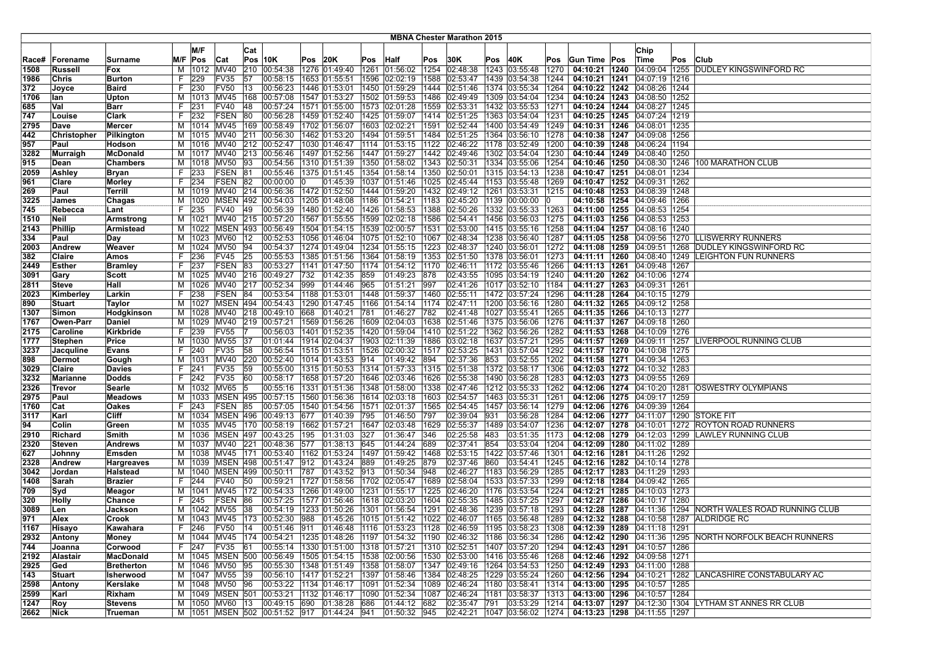|               |                     |                      |         |                 |                      |     |                                                                  |     |                                |     |                                   |              | <b>MBNA Chester Marathon 2015</b> |     |                                                                                                    |              |                                   |                                                                  |     |                                                                 |
|---------------|---------------------|----------------------|---------|-----------------|----------------------|-----|------------------------------------------------------------------|-----|--------------------------------|-----|-----------------------------------|--------------|-----------------------------------|-----|----------------------------------------------------------------------------------------------------|--------------|-----------------------------------|------------------------------------------------------------------|-----|-----------------------------------------------------------------|
|               |                     |                      |         | M/F             |                      |     |                                                                  |     |                                |     |                                   |              |                                   |     |                                                                                                    |              |                                   | Chip                                                             |     |                                                                 |
|               |                     |                      |         |                 |                      | Cat | Pos 10K                                                          |     |                                |     |                                   |              |                                   |     |                                                                                                    |              |                                   |                                                                  |     | Club                                                            |
| Race#<br>1508 | Forename            | Surname              |         | M/F Pos<br>1012 | Cat<br><b>MV40</b>   | 210 | 00:54:38                                                         | Pos | 20K                            | Pos | Half<br>1261 01:56:02             | Pos<br>1254  | 30K<br>02:48:38                   | Pos | 40K<br>1243 03:55:48                                                                               | Pos<br>1270  | Gun Time Pos<br>04:10:21 1240     | ∣Time<br>04:09:04 1255                                           | Pos | DUDLEY KINGSWINFORD RC                                          |
| 1986          | Russell<br>Chris    | Fox<br><b>Burton</b> | м<br>F. | 229             | FV35                 | 57  | 00:58:15                                                         |     | 1276 01:49:40<br>1653 01:55:51 |     | 1596 02:02:19                     | 1588         | 02:53:47                          |     | 1439 03:54:38                                                                                      | 1244         |                                   | 04:10:21   1241   04:07:19   1216                                |     |                                                                 |
| 372           |                     | <b>Baird</b>         | F.      | 230             | <b>FV50</b>          | 13  | 00:56:23                                                         |     | 1446 01:53:01                  |     | 1450 01:59:29                     | 1444         |                                   |     |                                                                                                    | 1264         |                                   | 04:10:22 1242 04:08:26 1244                                      |     |                                                                 |
| 1706          | Joyce<br>lan        | Upton                | м       | 1013            | MV45                 | 168 | 00:57:08                                                         |     | 1547 01:53:27                  |     | 1502 01:59:53                     | 1486         | 02:51:46<br>02:49:49              |     | 1374 03:55:34<br>1309 03:54:04                                                                     | 1234         |                                   | 04:10:24   1243   04:08:50   1252                                |     |                                                                 |
|               |                     |                      | F       | 231             | <b>FV40</b>          | 48  |                                                                  |     |                                |     | 1571 01:55:00 1573 02:01:28       | 1559         |                                   |     |                                                                                                    |              |                                   | 04:10:24 1244 04:08:27 1245                                      |     |                                                                 |
| 685<br>747    | Val                 | Barr                 |         |                 | <b>FSEN</b>          |     | 00:57:24                                                         |     |                                |     |                                   |              | 02:53:31                          |     | 1432 03:55:53                                                                                      | 1271         |                                   |                                                                  |     |                                                                 |
|               | Louise              | Clark                | F.      | 232             |                      | 80  | 00:56:28                                                         |     |                                |     | 1459 01:52:40   1425 01:59:07     |              | 1414 02:51:25                     |     | 1363 03:54:04                                                                                      | 1231         |                                   | 04:10:25   1245   04:07:24   1219                                |     |                                                                 |
| 2795          | Dave<br>Christopher | Mercer               | м       |                 | 1014 MV45            | 169 | 00:58:49                                                         |     |                                |     | 1702 01:56:07   1603   02:02:21   | 1591<br>1484 | 02:52:44                          |     | 1400 03:54:49                                                                                      | 1249<br>1278 |                                   | 04:10:31 1246 04:08:01 1235<br>04:10:38   1247   04:09:08   1256 |     |                                                                 |
| 442           |                     | Pilkington           | м       |                 | 1015 MV40            | 211 | 00:56:30                                                         |     | 1462 01:53:20                  |     | 1494 01:59:51                     | 1122         | 02:51:25                          |     | 1364 03:56:10                                                                                      |              |                                   |                                                                  |     |                                                                 |
| 957           | Paul                | Hodson               | м       | 1016            | MV40                 | 212 | 00:52:47                                                         |     | 1030 01:46:47                  |     | 1114 01:53:15                     |              | 02:46:22                          |     | 1178 03:52:49                                                                                      | 1200         |                                   | 04:10:39 1248 04:06:24 1194                                      |     |                                                                 |
| 3282          | Murraigh            | <b>McDonald</b>      | M       | 1017            | <b>MV40</b>          | 213 | 00:56:46                                                         |     |                                |     | 1497 01:52:56 1447 01:59:27       | 1442         | 02:49:46                          |     | 1302 03:54:04                                                                                      | 1230         |                                   | 04:10:44 1249 04:08:40 1250                                      |     |                                                                 |
| 915           | Dean                | <b>Chambers</b>      | М       | 1018            | <b>MV50</b>          | 93  | 00:54:56                                                         |     |                                |     | 1310 01:51:39  1350 01:58:02      | 1343         | 02:50:31                          |     | 1334 03:55:06                                                                                      | 1254         |                                   | 04:10:46 1250 04:08:30 1246                                      |     | 100 MARATHON CLUB                                               |
| 2059          | Ashley              | <b>Bryan</b>         | F.      | 233             | FSEN 81              |     | 00:55:46                                                         |     |                                |     | 1375 01:51:45 1354 01:58:14       |              | 1350 02:50:01                     |     | 1315 03:54:13                                                                                      | 1238         |                                   | 04:10:47   1251   04:08:01   1234                                |     |                                                                 |
| 961           | Clare               | <b>Morley</b>        | F.      | 234             | <b>FSEN 82</b>       |     | 00:00:00                                                         | 10  |                                |     | 01:45:39  1037  01:51:46          | 1025         | 02:45:44                          |     | 1153 03:55:48                                                                                      | 1269         |                                   | 04:10:47   1252   04:09:31   1262                                |     |                                                                 |
| 269           | Paul                | Terrill              | м       | 1019            | MV40                 | 214 | 00:56:36                                                         |     | 1472 01:52:50                  |     | 1444 01:59:20                     | 1432         | 02:49:12                          |     | 1261 03:53:31                                                                                      | 1215         |                                   | 04:10:48 1253 04:08:39 1248                                      |     |                                                                 |
| 3225          | James               | Chagas               | м       | 1020            | <b>MSEN 492</b>      |     | 00:54:03                                                         |     | 1205 01:48:08                  |     | 1186 01:54:21                     | 1183         | 02:45:20                          |     | 1139 00:00:00                                                                                      |              |                                   | 04:10:58   1254   04:09:46   1266                                |     |                                                                 |
| 745           | Rebecca             | Lant                 | F       | 235             | <b>FV40</b>          | 49  | 00:56:39                                                         |     |                                |     | 1480   01:52:40   1426   01:58:53 | 1388         | 02:50:26                          |     | 1332 03:55:33                                                                                      | 1263         |                                   | 04:11:00   1255   04:08:53   1254                                |     |                                                                 |
| 1510          | Neil                | Armstrong            | м       | 1021            | <b>MV40</b>          |     | 215 00:57:20                                                     |     |                                |     | 1567 01:55:55 1599 02:02:18       | 1586         | 02:54:41                          |     | 1456 03:56:03                                                                                      | 1275         |                                   | 04:11:03   1256   04:08:53   1253                                |     |                                                                 |
| 2143          | <b>Phillip</b>      | <b>Armistead</b>     | M       |                 | 1022 MSEN 493        |     | 00:56:49                                                         |     |                                |     | 1504 01:54:15   1539 02:00:57     | 1531         | 02:53:00                          |     | 1415 03:55:16                                                                                      | 1258         |                                   | 04:11:04   1257   04:08:16   1240                                |     |                                                                 |
| 334           | Paul                | Day                  | м       | 1023            | MV60                 | 12  | 00:52:53                                                         |     |                                |     | 1056  01:46:04   1075   01:52:10  | 1067         | 02:48:34                          |     | 1238 03:56:40                                                                                      | 1287         |                                   | 04:11:05 1258 04:09:56 1270                                      |     | LLISWERRY RUNNERS                                               |
| 2003          | Andrew              | Weaver               | M       | 1024            | <b>MV50</b>          | 94  | 00:54:37                                                         |     |                                |     | 1274 01:49:04   1234 01:55:15     | 1223         | 02:48:37                          |     | 1240 03:56:01                                                                                      | 1272         |                                   | 04:11:08 1259 04:09:51 1268                                      |     | DUDLEY KINGSWINFORD RC                                          |
| 382           | Claire              | Amos                 | F.      | 236             | FV45                 | 25  | 00:55:53                                                         |     |                                |     | 1385 01:51:56 1364 01:58:19       | 1353         | 02:51:50                          |     | 1378 03:56:01                                                                                      | 1273         |                                   | 04:11:11 1260 04:08:40 1249                                      |     | <b>LEIGHTON FUN RUNNERS</b>                                     |
| 2449          | Esther              | <b>Bramley</b>       | F.      | 237             | FSEN 83              |     | 00:53:27                                                         |     |                                |     | 1141 01:47:50 1174 01:54:12       | 1170         | 02:46:11                          |     | 1172 03:55:46                                                                                      | 1266         |                                   | 04:11:13  1261  04:09:48  1267                                   |     |                                                                 |
| 3091          | Gary                | Scott                | м       | 1025            | MV40 216             |     | 00:49:27                                                         | 732 | 01:42:35 859                   |     | 01:49:23                          | 878          | 02:43:55                          |     | 1095 03:54:19                                                                                      | 1240         |                                   | 04:11:20 1262 04:10:06 1274                                      |     |                                                                 |
| 2811          | Steve               | Hall                 | м       |                 | 1026 MV40            | 217 | 00:52:34                                                         | 999 | 01:44:46 965                   |     | 01:51:21                          | 997          | 02:41:26                          |     | 1017 03:52:10                                                                                      | 1184         |                                   | 04:11:27 1263 04:09:31 1261                                      |     |                                                                 |
| 2023          | Kimberley           | Larkin               | F       | 238             | FSEN 84              |     | 00:53:54                                                         |     | 1188 01:53:01                  |     | 1448 01:59:37                     | 1460         | 02:55:11                          |     | 1472 03:57:24                                                                                      | 1296         |                                   | 04:11:28   1264   04:10:15   1279                                |     |                                                                 |
| 890           | <b>Stuart</b>       | Taylor               | M       | 1027            |                      |     | MSEN 494 00:54:43                                                |     |                                |     | 1290 01:47:45 1166 01:54:14       | 1174         | 02:47:11                          |     | 1200 03:56:16                                                                                      | 1280         |                                   | 04:11:32   1265   04:09:12   1258                                |     |                                                                 |
| 1307          | Simon               | Hodgkinson           | М       | 1028            | MV40                 | 218 | 00:49:10                                                         | 668 | 01:40:21                       | 781 | 01:46:27                          | 782          | 02:41:48                          |     | 1027 03:55:41                                                                                      | 1265         |                                   | 04:11:35   1266   04:10:13   1277                                |     |                                                                 |
| 1767          | Owen-Parr           | Daniel               | M       | 1029            | <b>MV40</b>          | 219 | 00:57:21                                                         |     | 1569 01:56:26                  |     | 1609 02:04:03                     | 1638         | 02:51:46                          |     | 1375 03:56:06                                                                                      | 1276         |                                   | 04:11:37 1267 04:09:18 1260                                      |     |                                                                 |
| 2175          | Caroline            | Kirkbride            | F.      | 239             | <b>FV55</b>          |     | 00:56:03                                                         |     |                                |     | 1401 01:52:35 1420 01:59:04       | 1410         | 02:51:22                          |     | 1362 03:56:26                                                                                      | 1282         | 04:11:53 1268                     | 04:10:09 1276                                                    |     |                                                                 |
| 1777          | <b>Stephen</b>      | Price                | M       |                 | 1030 MV55            | 37  | 01:01:44                                                         |     |                                |     | 1914 02:04:37 1903 02:11:39       | 1886         | 03:02:18                          |     | 1637 03:57:21                                                                                      | 1295         |                                   | 04:11:57   1269   04:09:11   1257                                |     | LIVERPOOL RUNNING CLUB                                          |
| 3237          | Jacquline           | <b>Evans</b>         | F.      | 240             | FV35                 | 58  | 00:56:54                                                         |     |                                |     | 1515  01:53:51  1526  02:00:32    |              | 1517 02:53:25                     |     | 1431 03:57:04                                                                                      | 1292         |                                   | 04:11:57   1270   04:10:08   1275                                |     |                                                                 |
| 898           | Dermot              | Gough                | м       | 1031            | <b>MV40</b>          |     | 220 00:52:40                                                     |     | 1014 01:43:53 914              |     | 01:49:42                          | 894          | 02:37:36                          | 853 | 03:52:55                                                                                           | 1202         |                                   | 04:11:58   1271   04:09:34   1263                                |     |                                                                 |
| 3029          | Claire              | <b>Davies</b>        | F.      | 241             | FV35                 | 59  | 00:55:00                                                         |     |                                |     | 1315  01:50:53  1314  01:57:33    | 1315         | 02:51:38                          |     | 1372 03:58:17                                                                                      | 1306         |                                   | 04:12:03   1272   04:10:32   1283                                |     |                                                                 |
| 3232          | <b>Marianne</b>     | <b>Dodds</b>         | F.      | 242             | <b>FV35</b>          | 60  | 00:58:17                                                         |     | 1658 01:57:20                  |     | 1646 02:03:46                     | 1626         | 02:55:38                          |     | 1490 03:56:28                                                                                      | 1283         |                                   | 04:12:03   1273   04:09:55   1269                                |     |                                                                 |
| 2326          | <b>Trevor</b>       | Searle               | M       | 1032            | MV65                 |     | 00:55:16                                                         |     | 1331 01:51:36                  |     | 1348 01:58:00                     | 1338         | 02:47:46                          |     | 1212 03:55:33                                                                                      | 1262         |                                   | 04:12:06   1274   04:10:20   1281                                |     | OSWESTRY OLYMPIANS                                              |
| 2975          | Paul                | <b>Meadows</b>       | M       | 1033            |                      |     | MSEN 495 00:57:15                                                |     |                                |     | 1560 01:56:36 1614 02:03:18       |              | 1603 02:54:57                     |     | 1463 03:55:31                                                                                      | 1261         |                                   | 04:12:06 1275 04:09:17 1259                                      |     |                                                                 |
| 1760          | Cat                 | Oakes                | F.      | 243             | FSEN 85              |     | 00:57:05                                                         |     |                                |     | $ 1540 01:54:56$  1571  02:01:37  | 1565         | 02:54:45                          |     | 1457 03:56:14                                                                                      | 1279         |                                   | 04:12:06 1276 04:09:39 1264                                      |     |                                                                 |
| 3117          | Karl                | <b>Cliff</b>         | м       | 1034            | <b>MSEN 496</b>      |     | 00:49:13                                                         | 677 | 01:40:39 795                   |     | 01:46:50                          | 797          | 02:39:04                          | 931 | 03:56:28                                                                                           | 1284         |                                   | 04:12:06 1277 04:11:07 1290                                      |     | <b>STOKE FIT</b>                                                |
| 94            | Colin               | Green                | м       | 1035            | MV45                 | 170 | 00:58:19                                                         |     | 1662 01:57:21                  |     | 1647 02:03:48                     | 1629         | 02:55:37                          |     | 1489 03:54:07                                                                                      | 1236         |                                   | 04:12:07   1278   04:10:01   1272                                |     | <b>ROYTON ROAD RUNNERS</b>                                      |
| 2910          | Richard             | Smith                | M       | 1036            | <b>MSEN 497</b>      |     | 00:43:25                                                         | 195 | 01:31:03                       | 327 | 01:36:47                          | 346          | 02:25:58                          | 483 | 03:51:35                                                                                           | 1173         |                                   | 04:12:08   1279   04:12:03   1299                                |     | LAWLEY RUNNING CLUB                                             |
| 2320          | <b>Steven</b>       | <b>Andrews</b>       | м       | 1037            | MV40                 | 221 | 00:48:36                                                         | 577 | 01:38:13 645                   |     | 01:44:24                          | 689          | 02:37:41                          | 854 | 03:53:04                                                                                           | 1204         |                                   | 04:12:09   1280   04:11:02   1289                                |     |                                                                 |
| 627           | Johnny              | Emsden               | M       | 1038            | MV45                 | 171 | $ 00:53:40$  1162  01:53:24  1497  01:59:42                      |     |                                |     |                                   | 1468         | 02:53:15                          |     | 1422 03:57:46                                                                                      | 1301         |                                   | 04:12:16   1281   04:11:26   1292                                |     |                                                                 |
| 2328          | Andrew              | Hargreaves           | M       |                 |                      |     | 1039 MSEN 498 00:51:47 912 01:43:24 889                          |     |                                |     | 01:49:25                          | 879          | 02:37:46                          | 860 | 03:54:41                                                                                           | 1245         |                                   | 04:12:16 1282 04:10:14 1278                                      |     |                                                                 |
| 3042          | Jordan              | <b>Halstead</b>      | м       | 1040            |                      |     | MSEN 499 00:50:11                                                | 787 | 01:43:52 913                   |     | 01:50:34                          | 948          | 02:46:27                          |     | 1183 03:56:29                                                                                      | 1285         |                                   | 04:12:17   1283   04:11:29   1293                                |     |                                                                 |
| 1408          | Sarah               | <b>Brazier</b>       | F.      | 244             | <b>FV40</b>          | 50  | 00:59:21                                                         |     |                                |     | 1727 01:58:56  1702 02:05:47      | 1689         | 02:58:04                          |     | 1533 03:57:33                                                                                      | 1299         |                                   | 04:12:18   1284   04:09:42   1265                                |     |                                                                 |
| 709           | Syd                 | Meagor               | M       | 1041            | MV45                 | 172 | 00:54:33                                                         |     | 1266 01:49:00                  |     | 1231 01:55:17                     | 1225         | 02:46:20                          |     | 1176 03:53:54                                                                                      | 1224         |                                   | 04:12:21   1285   04:10:03   1273                                |     |                                                                 |
| 320           | Holly               | Chance               | F       | 245             | FSEN                 | 86  | 00:57:25                                                         |     |                                |     | 1577 01:56:46 1618 02:03:20       | 1604         | 02:55:35                          |     | 1485 03:57:25                                                                                      | 1297         |                                   | 04:12:27   1286   04:10:17   1280                                |     |                                                                 |
| 3089          | Len                 | Jackson              | м       | 1042            | <b>MV55</b>          | 38  | 00:54:19                                                         |     |                                |     | 1233 01:50:26   1301 01:56:54     | 1291         | 02:48:36                          |     | 1239 03:57:18                                                                                      | 1293         | 04:12:28 1287                     |                                                                  |     | 04:11:36 1294 NORTH WALES ROAD RUNNING CLUB                     |
| 971           | Alex                | Crook                |         |                 |                      |     | M  1043  MV45  173  00:52:30  988                                |     |                                |     | $ 01:45:26$  1015  01:51:42       |              | 1022 02:46:07                     |     | 1165 03:56:48                                                                                      | 1289         |                                   |                                                                  |     | 04:12:32   1288   04:10:58   1287   ALDRIDGE RC                 |
| 1167          | Hisayo              | Kawahara             | F.      | 246             | FV50 14              |     |                                                                  |     |                                |     |                                   |              |                                   |     | 00:51:46  911  01:46:48  1116  01:53:23  1128  02:46:59  1195  03:58:23  1308                      |              |                                   | 04:12:39 1289 04:11:18 1291                                      |     |                                                                 |
| 2932          | Antony              | Money                |         |                 |                      |     |                                                                  |     |                                |     |                                   |              |                                   |     | M  1044  MV45  174  00:54:21  1235  01:48:26  1197  01:54:32  1190  02:46:32  1186  03:56:34  1286 |              |                                   |                                                                  |     | 04:12:42   1290   04:11:36   1295   NORTH NORFOLK BEACH RUNNERS |
| 744           | Joanna              | Corwood              | F.      | 247             | FV35                 | 61  | 00:55:14  1330  01:51:00  1318  01:57:21                         |     |                                |     |                                   |              | 1310 02:52:51                     |     | 1407 03:57:20  1294                                                                                |              |                                   | 04:12:43   1291   04:10:57   1286                                |     |                                                                 |
| 2192          | Alastair            | MacDonald            | М       |                 |                      |     | 1045   MSEN   500   00:56:49   1505   01:54:15   1538   02:00:56 |     |                                |     |                                   | 1530         | 02:53:00                          |     | 1416 03:55:46                                                                                      | 1268         |                                   | 04:12:46   1292   04:09:58   1271                                |     |                                                                 |
| 2925          | Ged                 | <b>Bretherton</b>    | M       | 1046            | MV50 95              |     | 00:55:30 1348 01:51:49 1358 01:58:07                             |     |                                |     |                                   |              | 1347 02:49:16                     |     | 1264 03:54:53                                                                                      | 1250         | 04:12:49 1293 04:11:00 1288       |                                                                  |     |                                                                 |
| 143           | Stuart              | Isherwood            |         |                 | M   1047   MV55   39 |     | 00:56:10 1417 01:52:21 1397 01:58:46                             |     |                                |     |                                   |              | 1384 02:48:25                     |     | 1229 03:55:24 1260                                                                                 |              |                                   |                                                                  |     | 04:12:56 1294 04:10:21 1282 LANCASHIRE CONSTABULARY AC          |
| 2598          | Antony              | Kerslake             |         |                 | M   1048   MV50   96 |     | 00:53:22 1134 01:46:17 1091 01:52:34                             |     |                                |     |                                   |              | 1089 02:46:24                     |     | 1180 03:58:41                                                                                      | 1314         |                                   | 04:13:00 1295 04:10:57 1285                                      |     |                                                                 |
| 2599          | Karl                | Rixham               |         |                 |                      |     | M  1049  MSEN  501  00:53:21  1132  01:46:17  1090  01:52:34     |     |                                |     |                                   | 1087         | 02:46:24                          |     | 1181 03:58:37 1313                                                                                 |              |                                   | 04:13:00 1296 04:10:57 1284                                      |     |                                                                 |
| 1247          | Roy                 | <b>Stevens</b>       | M       |                 | 1050 MV60 13         |     | 00:49:15 690 01:38:28 686                                        |     |                                |     | 01:44:12                          | 682          | 02:35:47                          | 791 | 03:53:29                                                                                           | 1214         |                                   |                                                                  |     | 04:13:07   1297   04:12:30   1304   LYTHAM ST ANNES RR CLUB     |
| 2662          | Nick                | Trueman              |         |                 |                      |     | M  1051  MSEN  502  00:51:52  917  01:44:24  941                 |     |                                |     | 01:50:32 945                      |              |                                   |     | 02:42:21 1047 03:56:02 1274                                                                        |              | 04:13:23   1298   04:11:55   1297 |                                                                  |     |                                                                 |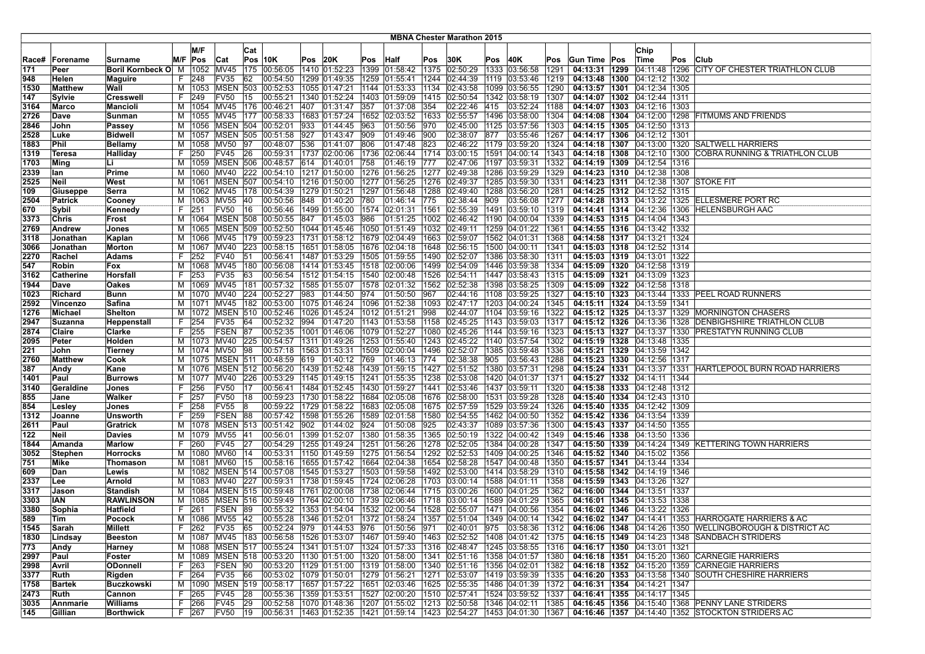|               |                  |                           |         |        |                         |     |                                                                  |      |                  |     |                                             |              | <b>MBNA Chester Marathon 2015</b> |      |                                                                                                                                       |              |                                   |                                   |     |                                                                                                                   |
|---------------|------------------|---------------------------|---------|--------|-------------------------|-----|------------------------------------------------------------------|------|------------------|-----|---------------------------------------------|--------------|-----------------------------------|------|---------------------------------------------------------------------------------------------------------------------------------------|--------------|-----------------------------------|-----------------------------------|-----|-------------------------------------------------------------------------------------------------------------------|
|               |                  |                           |         | M/F    |                         |     |                                                                  |      |                  |     |                                             |              |                                   |      |                                                                                                                                       |              |                                   | Chip                              |     |                                                                                                                   |
|               |                  | Surname                   |         | Pos    |                         | Cat | <b>Pos 10K</b>                                                   |      | 20K              |     | Pos Half                                    |              |                                   |      | 40K                                                                                                                                   |              |                                   | ∣Time                             |     | <b>Club</b>                                                                                                       |
| Race#<br>171  | Forename<br>Peer | Boril Kornbeck O M        | M/F     | 1052   | Cat<br>MV45             |     | 175 00:56:05                                                     | Pos  | 1410 01:52:23    |     | 1399 01:58:42                               | Pos<br>1375  | 30K<br>02:50:29                   | Pos  | 1333 03:56:58                                                                                                                         | Pos<br>1291  | Gun Time Pos<br>04:13:31 1299     | 04:11:48 1296                     | Pos | CITY OF CHESTER TRIATHLON CLUB                                                                                    |
| 948           | Helen            |                           | F.      | 248    | FV35                    | 62  | 00:54:50                                                         |      |                  |     | 1299 01:49:35   1259 01:55:41               | 1244         | 02:44:39                          |      | 1119 03:53:46                                                                                                                         | 1219         |                                   | 04:13:48   1300   04:12:12   1302 |     |                                                                                                                   |
| 1530          | Matthew          | Maguire<br>Wall           | м       | 1053   | <b>MSEN</b>             | 503 | 00:52:53                                                         |      | 1055 01:47:21    |     | 1144 01:53:33                               | 1134         | 02:43:58                          |      | 1099 03:56:55                                                                                                                         | 1290         | 04:13:57 1301                     | 04:12:34 1305                     |     |                                                                                                                   |
| 147           | Svlvie           | Cresswell                 | F.      | 249    | FV50                    | 15  | 00:55:21                                                         |      | 1340 01:52:24    |     | 1403 01:59:09                               | 1415         | 02:50:54                          |      | 1342 03:58:19                                                                                                                         | 1307         |                                   | 04:14:07   1302   04:12:44   1311 |     |                                                                                                                   |
| 3164          | Marco            | Mancioli                  | м       | 1054   | MV45                    |     | 176 00:46:21                                                     | 407  | 01:31:47 357     |     | 01:37:08                                    | 354          | 02:22:46                          | 415  | 03:52:24                                                                                                                              | 1188         |                                   | 04:14:07 1303 04:12:16 1303       |     |                                                                                                                   |
| 2726          | Dave             |                           |         | 1055   | MV45                    |     | 177 00:58:33                                                     |      |                  |     | 1683 01:57:24   1652 02:03:52               | 1633         | 02:55:57                          |      | 1496 03:58:00                                                                                                                         | 1304         |                                   |                                   |     | 04:14:08   1304   04:12:00   1298   FITMUMS AND FRIENDS                                                           |
| 2846          | John             | Sunman<br>Passey          | M<br>м  | 1056   | <b>MSEN 504</b>         |     | 00:52:01                                                         | 933  | 01:44:45 963     |     | 01:50:56                                    | 970          | 02:45:00                          |      | 1125 03:57:56                                                                                                                         | 1303         |                                   | 04:14:15   1305   04:12:50   1313 |     |                                                                                                                   |
| 2528          | Luke             | <b>Bidwell</b>            | м       | 1057   | <b>IMSEN</b>            | 505 | 00:51:58                                                         | 927  | 01:43:47 909     |     | 01:49:46                                    | 900          | 02:38:07                          | 877  | 03:55:46                                                                                                                              | 1267         |                                   | 04:14:17   1306   04:12:12   1301 |     |                                                                                                                   |
| 1883          | Phil             | Bellamy                   | M       | 1058   | <b>MV50</b>             | 197 | 00:48:07                                                         | 536  | 01:41:07         | 806 | 01:47:48                                    | 823          | 02:46:22                          |      | 1179 03:59:20                                                                                                                         | 1324         | 04:14:18 1307                     | 04:13:00 1320                     |     | <b>SALTWELL HARRIERS</b>                                                                                          |
| 1319          | Teresa           | Halliday                  | F.      | 250    | <b>FV45</b>             | 26  | 00:59:31                                                         | 1737 | 02:00:06         |     | 1736 02:06:44                               | 1714         | 03:00:15                          |      | 1591 04:00:14                                                                                                                         | 1343         | 04:14:18 1308                     | 04:12:10 1300                     |     | COBRA RUNNING & TRIATHLON CLUB                                                                                    |
| 1703          | Ming             | Li                        | м       |        | 1059 MSEN 506           |     | 00:48:57                                                         | 614  | 01:40:01         | 758 | 01:46:19                                    | 777          | 02:47:06                          |      | 1197 03:59:31                                                                                                                         | 1332         |                                   | 04:14:19   1309   04:12:54   1316 |     |                                                                                                                   |
| 2339          | lan              | Prime                     | м       | 1060   | MV40                    |     | 222 00:54:10                                                     |      |                  |     | 1217  01:50:00  1276  01:56:25              |              | 1277 02:49:38                     |      | 1286 03:59:29                                                                                                                         | 1329         |                                   | 04:14:23   1310   04:12:38   1308 |     |                                                                                                                   |
| 2525          | Neil             | West                      | м       | 1061   | <b>MSEN</b>             | 507 | 00:54:10                                                         |      |                  |     | 1216 01:50:00  1277 01:56:25                | 1276         | 02:49:37                          |      | 1285 03:59:30                                                                                                                         | 1331         |                                   |                                   |     | 04:14:23   1311   04:12:38   1307   STOKE FIT                                                                     |
| 109           | Giuseppe         | Serra                     | м       | 1062   | MV45                    | 178 | 00:54:39                                                         |      | 1279 01:50:21    |     | 1297 01:56:48                               | 1288         | 02:49:40                          |      | 1288 03:56:20                                                                                                                         | 1281         |                                   | 04:14:25   1312   04:12:52   1315 |     |                                                                                                                   |
| 2504          | <b>Patrick</b>   | Cooney                    | м       | 1063   | MV55                    | 40  | 00:50:56                                                         | 848  | 01:40:20         | 780 | 01:46:14                                    | 775          | 02:38:44                          | 909  | 03:56:08                                                                                                                              | 1277         |                                   |                                   |     | 04:14:28   1313   04:13:22   1325   ELLESMERE PORT RC                                                             |
| 670           | Sybil            | Kennedy                   | F       | 251    | <b>FV50</b>             | 16  | 00:56:46                                                         |      | 1499 01:55:00    |     | 1574 02:01:31                               | 1561         | 02:55:39                          |      | 1491 03:59:10                                                                                                                         | 1319         |                                   | 04:14:41   1314   04:12:36   1306 |     | HELENSBURGH AAC                                                                                                   |
| 3373          | Chris            | Frost                     | м       | 1064   | <b>MSEN 508</b>         |     | 00:50:55                                                         | 847  | 01:45:03         | 986 | 01:51:25                                    | 1002         | 02:46:42                          |      | 1190 04:00:04                                                                                                                         | 1339         |                                   | 04:14:53   1315   04:14:04   1343 |     |                                                                                                                   |
| 2769          | Andrew           | Jones                     | м       | 1065   | <b>MSEN 509</b>         |     | 00:52:50                                                         |      |                  |     | 1044 01:45:46   1050 01:51:49               | 1032         | 02:49:11                          |      | 1259 04:01:22                                                                                                                         | 1361         |                                   | 04:14:55   1316   04:13:42   1332 |     |                                                                                                                   |
| 3118          | Jonathan         | Kaplan                    | м       | 1066   | MV45                    |     | 179 00:59:23                                                     |      |                  |     | 1731 01:58:12   1679 02:04:49               | 1663         | 02:59:07                          |      | 1562 04:01:31                                                                                                                         | 1368         |                                   | 04:14:58   1317   04:13:21   1324 |     |                                                                                                                   |
| 3066          | Jonathan         | <b>Morton</b>             | M       | 1067   | <b>MV40</b>             | 223 | 00:58:15                                                         |      |                  |     | 1651 01:58:05 1676 02:04:18                 | 1648         | 02:56:15                          |      | 1500 04:00:11                                                                                                                         | 1341         |                                   | 04:15:03 1318 04:12:52 1314       |     |                                                                                                                   |
| 2270          | Rachel           | Adams                     | F.      | 252    | FV40                    | 51  | 00:56:41                                                         |      |                  |     | 1487 01:53:29 1505 01:59:55                 | 1490         | 02:52:07                          |      | 1386 03:58:30                                                                                                                         | 1311         | 04:15:03 1319 04:13:01 1322       |                                   |     |                                                                                                                   |
| 547           | Robin            | Fox                       | м       | 1068   | MV45                    | 180 | 00:56:08                                                         |      |                  |     | 1414  01:53:45  1518  02:00:06              | 1499         | 02:54:09                          |      | 1446 03:59:38                                                                                                                         | 1334         |                                   | 04:15:09   1320   04:12:58   1319 |     |                                                                                                                   |
| 3162          | Catherine        | Horsfall                  | F       | 253    | FV35                    | 63  | 00:56:54                                                         |      |                  |     | 1512 01:54:15 1540 02:00:48                 | 1526         | 02:54:11                          |      | 1447 03:58:43                                                                                                                         | 1315         |                                   | 04:15:09   1321   04:13:09   1323 |     |                                                                                                                   |
| 1944          | Dave             | Oakes                     | м       |        | 1069 MV45               | 181 | 00:57:32                                                         |      |                  |     | 1585  01:55:07  1578  02:01:32              | 1562         | 02:52:38                          |      | 1398 03:58:25                                                                                                                         | 1309         | 04:15:09 1322 04:12:58 1318       |                                   |     |                                                                                                                   |
| 1023          | Richard          | Bunn                      | м       | 1070   | MV40                    |     | 224 00:52:27                                                     |      | 983 01:44:50 974 |     | 01:50:50                                    | 967          | 02:44:16                          |      | 1108 03:59:25                                                                                                                         | 1327         |                                   |                                   |     | 04:15:10   1323   04:13:44   1333   PEEL ROAD RUNNERS                                                             |
| 2592          | Vincenzo         | Safina                    | м       |        | 1071 MV45               |     | 182 00:53:00                                                     |      |                  |     | 1075 01:46:24 1096 01:52:38                 | 1093         | 02:47:17                          |      | 1203 04:00:24                                                                                                                         | 1345         |                                   | 04:15:11 1324 04:13:59 1341       |     |                                                                                                                   |
| 1276          | Michael          | Shelton                   | м       | 1072   | MSEN                    | 510 | 00:52:46                                                         |      |                  |     | 1026  01:45:24  1012  01:51:21              | 998          | 02:44:07                          |      | 1104 03:59:16                                                                                                                         | 1322         |                                   |                                   |     | 04:15:12   1325   04:13:37   1329   MORNINGTON CHASERS                                                            |
| 2947          | Suzanna          | Heppenstall               | F.      | 254    | <b>FV35</b>             | 64  | 00:52:32                                                         | 994  | 01:47:20         |     | 1143 01:53:58                               | 1158         | 02:45:25                          | 1143 | 03:59:03                                                                                                                              | 1317         | 04:15:12 1326                     | 04:13:36 1328                     |     | DENBIGHSHIRE TRIATHLON CLUB                                                                                       |
| 2874          | Claire           | Clarke                    | F.      | 255    | <b>FSEN</b>             | 87  | 00:52:35                                                         |      | 1001 01:46:06    |     | 1079 01:52:27                               | 1080         | 02:45:26                          |      | 1144 03:59:16                                                                                                                         | 1323         | 04:15:13 1327                     | 04:13:37 1330                     |     | <b>PRESTATYN RUNNING CLUB</b>                                                                                     |
| 2095          | Peter            | Holden                    | M       |        | 1073  MV40              | 225 | 00:54:57                                                         |      |                  |     | 1311 01:49:26  1253 01:55:40                | 1243         | 02:45:22                          |      | 1140 03:57:54                                                                                                                         | 1302         |                                   | 04:15:19   1328   04:13:48   1335 |     |                                                                                                                   |
| 221           | John             | Tierney                   | м       |        | 1074 MV50 98            |     | 00:57:18                                                         |      |                  |     | 1563  01:53:31  1509  02:00:04              | 1496         | 02:52:07                          |      | 1385 03:59:48                                                                                                                         | 1336         | 04:15:21 1329 04:13:59 1342       |                                   |     |                                                                                                                   |
| 2760          | Matthew          | Cook                      | м       | 1075   | <b>MSEN 511</b>         |     | 00:48:59                                                         | 619  | 01:40:12 769     |     | 01:46:13                                    | 774          | 02:38:38                          | 905  | 03:56:43                                                                                                                              | 1288         |                                   | 04:15:23   1330   04:12:56   1317 |     |                                                                                                                   |
| 387           | Andy             | Kane                      | м       | 1076   |                         |     | MSEN 512 00:56:20                                                |      |                  |     | $ 1439 01:52:48$  1439  01:59:15            | 1427         | 02:51:52                          |      | 1380 03:57:31                                                                                                                         | 1298         |                                   | 04:15:24   1331   04:13:37   1331 |     | HARTLEPOOL BURN ROAD HARRIERS                                                                                     |
| 1401          | Paul             | Burrows                   | м       | 1077   | MV40                    | 226 | 00:53:29                                                         |      |                  |     | 1145  01:49:15  1241  01:55:35              | 1238         | 02:53:08                          |      | 1420 04:01:37                                                                                                                         | 1371         |                                   | 04:15:27   1332   04:14:11   1344 |     |                                                                                                                   |
| 3140          | Geraldine        | Jones                     | F       | 256    | <b>FV50</b>             | 17  | 00:56:41                                                         |      |                  |     | 1484 01:52:45 1430 01:59:27                 | 1441         | 02:53:46                          |      | 1437 03:59:11                                                                                                                         | 1320         |                                   | 04:15:38   1333   04:12:48   1312 |     |                                                                                                                   |
| 855           | Jane             | Walker                    | F.      | 257    | <b>FV50</b>             | 18  | 00:59:23                                                         |      |                  |     | 1730 01:58:22   1684 02:05:08               | 1676         | 02:58:00                          |      | 1531 03:59:28                                                                                                                         | 1328         |                                   | 04:15:40   1334   04:12:43   1310 |     |                                                                                                                   |
| 854           | Lesley           | Jones                     | F.      | 258    | FV55                    | 18  | 00:59:22   1729   01:58:22   1683   02:05:08                     |      |                  |     |                                             | 1675         | 02:57:59                          |      | 1529 03:59:24                                                                                                                         | 1326         |                                   | 04:15:40   1335   04:12:42   1309 |     |                                                                                                                   |
| 1312          | Joanne           | Unsworth                  | F.      | 259    | FSEN 88                 |     | 00:57:42                                                         |      | 1598 01:55:26    |     | 1589 02:01:58                               | 1580         | 02:54:55                          |      | 1462 04:00:50                                                                                                                         | 1352         |                                   | 04:15:42   1336   04:13:54   1339 |     |                                                                                                                   |
| 2611          | Paul             | Gratrick                  | M       | 1078   | <b>MSEN 513</b>         |     | 00:51:42                                                         | 902  | 01:44:02         | 924 | 01:50:08                                    | 925          | 02:43:37                          |      | 1089 03:57:36                                                                                                                         | 1300         |                                   | 04:15:43   1337   04:14:50   1355 |     |                                                                                                                   |
| 122           | Neil             | <b>Davies</b>             | м       | 1079   | MV55                    | 41  | 00:56:01                                                         |      | 1399 01:52:07    |     | 1380 01:58:35                               | 1365         | 02:50:19                          |      | 1322 04:00:42                                                                                                                         | 1349         | 04:15:46   1338                   | 04:13:50 1336                     |     |                                                                                                                   |
| 1844          | Amanda           | Marlow                    | F       | 260    | FV45                    | 27  | 00:54:29                                                         |      | 1255 01:49:24    |     | 1251 01:56:26                               | 1278         | 02:52:05                          |      | 1384 04:00:28                                                                                                                         | 1347         | 04:15:50 1339                     |                                   |     | 04:14:24 1349 KETTERING TOWN HARRIERS                                                                             |
| 3052          | <b>Stephen</b>   | Horrocks                  | м       | 1080   | MV60                    | 14  | 00:53:31                                                         |      |                  |     | 1150  01:49:59  1275  01:56:54              | 1292         | 02:52:53                          |      | 1409 04:00:25                                                                                                                         | 1346         |                                   | 04:15:52   1340   04:15:02   1356 |     |                                                                                                                   |
| 751           | Mike             | Thomason                  | м       | 1081   | MV60                    | 15  | 00:58:16                                                         |      |                  |     | 1655 01:57:42 1664 02:04:38                 |              | 1654 02:58:28                     |      | 1547 04:00:48                                                                                                                         | 1350         | 04:15:57   1341   04:13:44   1334 |                                   |     |                                                                                                                   |
| 609           | <b>Dan</b>       | Lewis                     | м       | 1082   | <b>MSEN 514</b>         |     | 00:57:08                                                         |      | 1545 01:53:27    |     | 1503 01:59:58                               | 1492         | 02:53:00                          |      | 1414 03:58:29                                                                                                                         | 1310         |                                   | 04:15:58   1342   04:14:19   1346 |     |                                                                                                                   |
| 2337          | Lee              | Arnold                    | м       | 1083   | MV40<br><b>MSEN 515</b> | 227 | 00:59:31                                                         |      |                  |     | 1738 01:59:45   1724 02:06:28               | 1703         | [03:00:14]                        |      | 1588 04:01:11                                                                                                                         | 1358         |                                   | 04:15:59   1343   04:13:26   1327 |     |                                                                                                                   |
| 3317          | Jason            | <b>Standish</b>           | M       | 1084   |                         |     | 00:59:48                                                         |      |                  |     | 1761   02:00:08   1738   02:06:44           | 1715         | 03:00:26                          |      | 1600 04:01:25                                                                                                                         | 1362         |                                   | 04:16:00   1344   04:13:51   1337 |     |                                                                                                                   |
| 3303          | IAN              | <b>RAWLINSON</b>          | м<br>F. | 1085   | MSEN<br><b>FSEN</b>     | 516 | 00:59:49<br>00:55:32                                             |      | 1764 02:00:10    |     | 1739 02:06:46                               | 1718<br>1528 | 03:00:14                          |      | 1589 04:01:29                                                                                                                         | 1365<br>1354 | 04:16:01   1345   04:13:53   1338 |                                   |     |                                                                                                                   |
| 3380<br>589   | Sophia<br>Tim    | Hatfield<br>Pocock        |         | 261    | M   1086   MV55   42    | 89  | 00:55:28  1346  01:52:01  1372  01:58:24                         |      |                  |     | 1353 01:54:04   1532 02:00:54               |              | 02:55:07<br>1357 02:51:04         |      | 1471 04:00:56<br>1349 04:00:14                                                                                                        | 1342         |                                   | 04:16:02   1346   04:13:22   1326 |     | 04:16:02   1347   04:14:41   1353   HARROGATE HARRIERS & AC                                                       |
|               |                  |                           | F.      |        |                         |     |                                                                  |      |                  |     |                                             |              |                                   |      |                                                                                                                                       |              |                                   |                                   |     |                                                                                                                   |
| 1545 <br>1830 | Sarah<br>Lindsay | Millett<br><b>Beeston</b> |         | 262    | FV35 65                 |     |                                                                  |      |                  |     | 00:52:24  979  01:44:53  976  01:50:56  971 |              |                                   |      | 02:40:01  975  03:58:36  1312  <br>M  1087  MV45  183  00:56:58  1526  01:53:07  1467  01:59:40  1463  02:52:52  1408  04:01:42  1375 |              |                                   |                                   |     | 04:16:06 1348 04:14:26 1350 WELLINGBOROUGH & DISTRICT AC<br>04:16:15   1349   04:14:23   1348   SANDBACH STRIDERS |
| 773           | Andy             | Harney                    | M       |        |                         |     | 1088   MSEN   517   00:55:24   1341   01:51:07   1324   01:57:33 |      |                  |     |                                             |              |                                   |      | 1316   02:48:47   1245   03:58:55   1316                                                                                              |              |                                   | 04:16:17   1350   04:13:01   1321 |     |                                                                                                                   |
| 2997          | Paul             | Foster                    | м       | 1089   |                         |     | MSEN 518 00:53:20 1130 01:51:00 1320 01:58:00                    |      |                  |     |                                             |              | 1341 02:51:16                     |      | 1358 04:01:57 1380                                                                                                                    |              |                                   |                                   |     | 04:16:18   1351   04:15:20   1360   CARNEGIE HARRIERS                                                             |
| 2998          | Avril            | <b>ODonnell</b>           | F.      | 263    | FSEN 90                 |     | 00:53:20 1129 01:51:00 1319 01:58:00                             |      |                  |     |                                             |              | 1340 02:51:16                     |      | 1356 04:02:01                                                                                                                         | 1382         |                                   |                                   |     | 04:16:18 1352 04:15:20 1359 CARNEGIE HARRIERS                                                                     |
| 3377          | Ruth             | Rigden                    | F.      | 264    | FV35 66                 |     | 00:53:02 1079 01:50:01 1279 01:56:21                             |      |                  |     |                                             |              | 1271 02:53:07                     |      | 1419 03:59:39 1335                                                                                                                    |              |                                   |                                   |     | 04:16:20 1353 04:13:58 1340 SOUTH CHESHIRE HARRIERS                                                               |
| 1758          | Bartek           | Buczkowski                |         | M 1090 |                         |     | MSEN 519 00:58:17 1657 01:57:22 1651 02:03:46                    |      |                  |     |                                             |              | 1625 02:55:35                     |      | 1486 04:01:39 1372                                                                                                                    |              |                                   | 04:16:31   1354   04:14:21   1347 |     |                                                                                                                   |
| 2473          | Ruth             | Cannon                    | F.      | 265    | FV45 28                 |     | 00:55:36                                                         |      |                  |     | 1359 01:53:51 1527 02:00:20                 |              | 1510 02:57:41                     |      | 1524 03:59:52 1337                                                                                                                    |              |                                   | 04:16:41 1355 04:14:17 1345       |     |                                                                                                                   |
| 3035          | Annmarie         | Williams                  |         | F 266  | FV45 29                 |     | 00:52:58 1070 01:48:36 1207 01:55:02                             |      |                  |     |                                             |              | 1213 02:50:58                     |      | 1346 04:02:11 1385                                                                                                                    |              |                                   |                                   |     | 04:16:45   1356   04:15:40   1368   PENNY LANE STRIDERS                                                           |
| 145           | Gillian          | <b>Borthwick</b>          |         | F 267  | FV50 19                 |     |                                                                  |      |                  |     |                                             |              |                                   |      | 00:56:31 1463 01:52:35 1421 01:59:14 1423 02:54:27 1453 04:01:30 1367                                                                 |              |                                   |                                   |     | 04:16:46   1357   04:14:40   1352   STOCKTON STRIDERS AC                                                          |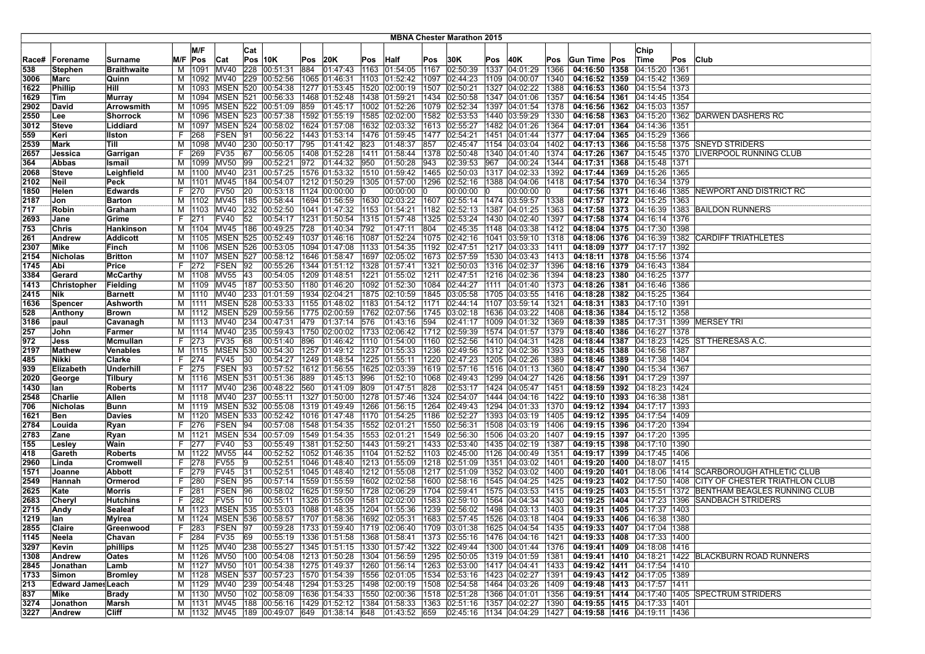|             |                           |                           |         |             |                         |     |                                               |     |                  |     |                                                                                                    |      | <b>MBNA Chester Marathon 2015</b>    |     |                                |              |                                                                                                               |                                                    |      |                                                               |
|-------------|---------------------------|---------------------------|---------|-------------|-------------------------|-----|-----------------------------------------------|-----|------------------|-----|----------------------------------------------------------------------------------------------------|------|--------------------------------------|-----|--------------------------------|--------------|---------------------------------------------------------------------------------------------------------------|----------------------------------------------------|------|---------------------------------------------------------------|
|             |                           |                           |         | M/F         |                         |     |                                               |     |                  |     |                                                                                                    |      |                                      |     |                                |              |                                                                                                               |                                                    |      |                                                               |
|             |                           |                           |         |             |                         | Cat |                                               |     |                  |     |                                                                                                    |      |                                      |     |                                |              |                                                                                                               | Chip                                               |      |                                                               |
| Race#       | Forename                  | Surname                   |         | M/F Pos     | Cat                     |     | <b>Pos 10K</b>                                | Pos | 20K              |     | Pos Half                                                                                           | Pos  | 30K                                  | Pos | 40K                            | Pos          | Gun Time Pos                                                                                                  | ∣Time                                              | Pos  | <b>Club</b>                                                   |
| 538         | Stephen                   | <b>Braithwaite</b>        | М       | 1091        | <b>MV40</b>             | 228 | 00:51:31                                      | 884 | 01:47:43         |     | 1163 01:54:05                                                                                      | 1167 | 02:50:39                             |     | 1337 04:01:29                  | 1366         | 04:16:50 1358                                                                                                 | 04:15:20   1361                                    |      |                                                               |
| 3006        | Marc                      | Quinn                     | м       |             | 1092 MV40               |     | 229 00:52:56                                  |     | 1065 01:46:31    |     | 1103 01:52:42                                                                                      | 1097 | 02:44:23                             |     | 1109 04:00:07                  | 1340         | 04:16:52 1359                                                                                                 | $ 04:15:42\rangle$                                 | 1369 |                                                               |
| 1622        | Phillip                   | Hill                      | м       | 1093        | <b>MSEN</b>             | 520 | 00:54:38<br>00:56:33                          |     | 1277 01:53:45    |     | 1520 02:00:19                                                                                      | 1507 | 02:50:21                             |     | 1327 04:02:22                  | 1388<br>1357 | 04:16:53   1360                                                                                               | 04:15:54<br>04:14:45                               | 1373 |                                                               |
| 1629        | Tim                       | <b>Murray</b>             | м       | 1094        | <b>IMSEN</b>            | 521 | 1095 MSEN 522 00:51:09                        |     | 1468 01:52:48    |     | 1438 01:59:21                                                                                      | 1434 | 02:50:58                             |     | 1347 04:01:06                  |              | 04:16:54 1361                                                                                                 |                                                    | 1354 |                                                               |
| 2902        | David                     | <b>Arrowsmith</b>         | м       |             |                         |     |                                               | 859 |                  |     | 01:45:17   1002   01:52:26                                                                         |      |                                      |     | 1079 02:52:34 1397 04:01:54    | 1378         | 04:16:56   1362   04:15:03   1357                                                                             |                                                    |      |                                                               |
| 2550        | Lee                       | <b>Shorrock</b>           | м       |             |                         |     | 1096   MSEN   523   00:57:38                  |     |                  |     | 1592 01:55:19   1585 02:02:00                                                                      |      | 1582 02:53:53                        |     | 1440 03:59:29                  | 1330         |                                                                                                               |                                                    |      | 04:16:58 1363 04:15:20 1362 DARWEN DASHERS RC                 |
| 3012<br>559 | <b>Steve</b><br>Keri      | Liddiard<br><b>Ilston</b> | м<br>F. | 1097<br>268 | <b>MSEN 524</b><br>FSEN | 91  | 00:58:02<br>00:56:22                          |     | 1624 01:57:08    |     | 1632 02:03:32<br> 1443  01:53:14  1476  01:59:45                                                   |      | 1613 02:55:27<br>1477 02:54:21       |     | 1482 04:01:26<br>1451 04:01:44 | 1364<br>1377 | 04:17:01   1364<br>04:17:04 1365                                                                              | 04:14:36<br>04:15:29 1366                          | 1351 |                                                               |
| 2539        | <b>Mark</b>               | Till                      | М       | 1098        | MV40                    | 230 | 00:50:17                                      | 795 | 01:41:42         | 823 | 01:48:37                                                                                           | 857  | 02:45:47                             |     | 1154 04:03:04                  | 1402         | 04:17:13 1366                                                                                                 | 04:15:58 1375                                      |      | <b>ISNEYD STRIDERS</b>                                        |
| 2657        |                           |                           | F.      | 269         | <b>FV35</b>             | 67  | 00:56:05                                      |     | 1408 01:52:28    |     | 1411 01:58:44                                                                                      | 1378 |                                      |     | 1340 04:01:40                  | 1374         | 04:17:26 1367                                                                                                 |                                                    |      | LIVERPOOL RUNNING CLUB                                        |
| 364         | <b>Jessica</b><br>Abbas   | Garrigan<br>Ismail        | M       |             | 1099 MV50               | 99  | 00:52:21                                      |     | 972 01:44:32 950 |     | 01:50:28                                                                                           | 943  | 02:50:48<br>02:39:53 967             |     | 04:00:24                       | 1344         |                                                                                                               | 04:15:45 1370<br>04:17:31   1368   04:15:48   1371 |      |                                                               |
| 2068        | Steve                     | Leighfield                | м       |             | 1100 MV40               | 231 | 00:57:25                                      |     |                  |     | 1576  01:53:32  1510  01:59:42                                                                     | 1465 | 02:50:03  1317  04:02:33             |     |                                | 1392         | 04:17:44   1369   04:15:26                                                                                    |                                                    | 1365 |                                                               |
| 2102        | Neil                      | Peck                      |         | M   1101    | MV45                    | 184 | 00:54:07                                      |     | 1212 01:50:29    |     | 1305 01:57:00                                                                                      | 1296 | 02:52:16                             |     | 1388 04:04:06                  | 1418         | 04:17:54 1370 04:16:34                                                                                        |                                                    | 1379 |                                                               |
| 1850        | Helen                     | <b>Edwards</b>            | F.      | 270         | <b>FV50</b>             | 20  | 00:53:18                                      |     | 1124 00:00:00    | 10  | 00:00:00                                                                                           |      | 00:00:00                             | -10 | 00:00:00                       |              | 04:17:56 1371 04:16:46                                                                                        |                                                    |      | 1385 NEWPORT AND DISTRICT RC                                  |
| 2187        | Jon                       | <b>Barton</b>             | м       | 1102        | MV45                    | 185 | 00:58:44                                      |     | 1694 01:56:59    |     | 1630 02:03:22                                                                                      | 1607 | $ 02:55:14$  1474   03:59:57         |     |                                | 1338         | 04:17:57   1372   04:15:25                                                                                    |                                                    | 1363 |                                                               |
| 717         | Robin                     | Graham                    | м       | 1103        | MV40                    | 232 | 00:52:50                                      |     | 1041 01:47:32    |     | 1153 01:54:21                                                                                      | 1182 | 02:52:13 1387 04:01:25               |     |                                | 1363         | 04:17:58   1373   04:16:39                                                                                    |                                                    |      | 1383 BAILDON RUNNERS                                          |
| 2693        | Jane                      | Grime                     | F.      | 271         | <b>FV40</b>             | 52  | 00:54:17                                      |     |                  |     | 1231 01:50:54 1315 01:57:48                                                                        | 1325 | 02:53:24   1430   04:02:40           |     |                                | 1397         | 04:17:58 1374 04:16:14                                                                                        |                                                    | 1376 |                                                               |
| 753         | Chris                     | Hankinson                 |         | M   1104    | <b>MV45</b>             | 186 | 00:49:25                                      | 728 | 01:40:34 792     |     | 01:47:11                                                                                           | 804  | 02:45:35  1148  04:03:38             |     |                                | 1412         | 04:18:04   1375   04:17:30   1398                                                                             |                                                    |      |                                                               |
| 261         | Andrew                    | <b>Addicott</b>           |         |             |                         |     | M  1105   MSEN   525   00:52:49               |     |                  |     | 1037 01:46:16 1087 01:52:24                                                                        |      |                                      |     | 1075  02:42:16  1041  03:59:10 | 1318         |                                                                                                               |                                                    |      | 04:18:06   1376   04:16:39   1382   CARDIFF TRIATHLETES       |
| 2307        | Mike                      | Finch                     | м       | 1106        | MSEN                    | 526 | 00:53:05                                      |     | 1094 01:47:08    |     | 1133 01:54:35                                                                                      | 1192 | 02:47:51   1217   04:03:33           |     |                                | 1411         |                                                                                                               | 04:18:09   1377   04:17:17   1392                  |      |                                                               |
| 2154        | Nicholas                  | <b>Britton</b>            | м       | 1107        | MSEN                    | 527 | 00:58:12                                      |     |                  |     | 1646 01:58:47   1697   02:05:02                                                                    | 1673 | 02:57:59                             |     | 1530 04:03:43                  | 1413         | 04:18:11 1378 04:15:56                                                                                        |                                                    | 1374 |                                                               |
| 1745        | Abi                       | Price                     | F.      | 272         | <b>FSEN</b>             | 92  | 00:55:26                                      |     |                  |     | 1344 01:51:12 1328 01:57:41                                                                        | 1321 | 02:50:03                             |     | 1316 04:02:37                  | 1396         | 04:18:16 1379                                                                                                 | 04:16:43                                           | 1384 |                                                               |
| 3384        | Gerard                    | <b>McCarthy</b>           |         | M   1108    | <b>MV55</b>             | 43  | 00:54:05                                      |     | 1209 01:48:51    |     | 1221 01:55:02                                                                                      | 1211 | 02:47:51                             |     | 1216 04:02:36                  | 1394         | 04:18:23   1380   04:16:25                                                                                    |                                                    | 1377 |                                                               |
| 1413        | Christopher               | Fielding                  | M       |             | 1109 MV45 187           |     | 00:53:50   1180   01:46:20   1092   01:52:30  |     |                  |     |                                                                                                    |      |                                      |     | 1084 02:44:27 1111 04:01:40    | 1373         | 04:18:26   1381   04:16:46   1386                                                                             |                                                    |      |                                                               |
| 2415        | Nik                       | <b>Barnett</b>            |         |             | M  1110  MV40           | 233 | 01:01:59                                      |     | 1934 02:04:21    |     | 1875 02:10:59                                                                                      | 1845 | 03:05:58  1705  04:03:55             |     |                                | 1416         |                                                                                                               | 04:18:28   1382   04:15:25                         | 1364 |                                                               |
| 1636        | Spencer                   | Ashworth                  | м       | 11111       | MSEN                    | 528 | 00:53:33                                      |     |                  |     | 1155 01:48:02 1183 01:54:12                                                                        | 1171 | 02:44:14   1107   03:59:14           |     |                                | 1321         | 04:18:31 1383                                                                                                 | 04:17:10                                           | 1391 |                                                               |
| 528         | Anthony                   | <b>Brown</b>              | м       | 11112       | <b>IMSEN</b>            | 529 | 00:59:56                                      |     |                  |     | 1775   02:00:59   1762   02:07:56                                                                  | 1745 | 03:02:18                             |     | 1636 04:03:22                  | 1408         |                                                                                                               | 04:18:36   1384   04:15:12                         | 1358 |                                                               |
| 3186        | paul                      | Cavanagh                  | м       | 1113        | MV40                    | 234 | 00:47:31                                      | 479 | 01:37:14         | 576 | 01:43:16                                                                                           | 594  | 02:41:17                             |     | 1009 04:01:32                  | 1369         | 04:18:39 1385                                                                                                 | 04:17:31                                           | 1399 | <b>MERSEY TRI</b>                                             |
| 257         | John                      | Farmer                    | м       | 1114        | MV40                    | 235 | 00:59:43                                      |     |                  |     | 1750 02:00:02 1733 02:06:42                                                                        |      | 1712   02:59:39   1574   04:01:57    |     |                                | 1379         | 04:18:40 1386                                                                                                 | 04:16:27 1378                                      |      |                                                               |
| 972         | Jess                      | Mcmullan                  | F.      | 273         | <b>FV35</b>             | 68  | 00:51:40                                      | 896 |                  |     | 01:46:42 1110 01:54:00                                                                             | 1160 | $[02:52:56 \mid 1410 \mid 04:04:31]$ |     |                                | 1428         |                                                                                                               |                                                    |      | 04:18:44   1387   04:18:23   1425   ST THERESAS A.C.          |
| 2197        | Mathew                    | Venables                  | М       | 1115        | <b>MSEN 530</b>         |     | 00:54:30                                      |     |                  |     | 1257  01:49:12  1237  01:55:33                                                                     | 1236 | 02:49:56                             |     | 1312 04:02:36                  | 1393         |                                                                                                               | 04:18:45 1388 04:16:56 1387                        |      |                                                               |
| 485         | <b>Nikki</b>              | Clarke                    | F.      | 274         | <b>FV45</b>             | 30  | 00:54:27                                      |     | 1249 01:48:54    |     | 1225 01:55:11                                                                                      |      | 1220 02:47:23                        |     | 1205 04:02:26                  | 1389         | 04:18:46 1389                                                                                                 | 04:17:38                                           | 1404 |                                                               |
| 939         | Elizabeth                 | Underhill                 |         | F 275       | FSEN 93                 |     | 00:57:52                                      |     |                  |     | 1612 01:56:55 1625 02:03:39                                                                        | 1619 | 02:57:16                             |     | 1516 04:01:13                  | 1360         | 04:18:47   1390   04:15:34                                                                                    |                                                    | 1367 |                                                               |
| 2020        | George                    | <b>Tilbury</b>            | м       | 1116        | MSEN                    | 531 | 00:51:36                                      | 889 | 01:45:13         | 996 | 01:52:10                                                                                           | 1068 | 02:49:43                             |     | 1299 04:04:27                  | 1426         | 04:18:56 1391                                                                                                 | 04:17:29                                           | 1397 |                                                               |
| 1430        | llan                      | <b>Roberts</b>            | м       | 1117        | MV40                    | 236 | 00:48:22                                      | 560 | 01:41:09         | 809 | 01:47:51                                                                                           | 828  | 02:53:17                             |     | 1424 04:05:47                  | 1451         | 04:18:59   1392   04:18:23                                                                                    |                                                    | 1424 |                                                               |
| 2548        | Charlie                   | Allen                     | м       | 1118        | MV40                    | 237 | 00:55:11                                      |     |                  |     | 1327 01:50:00 1278 01:57:46                                                                        | 1324 | 02:54:07                             |     | 1444 04:04:16                  | 1422         |                                                                                                               | 04:19:10 1393 04:16:38 1381                        |      |                                                               |
| 706         | Nicholas                  | Bunn                      |         |             |                         |     | M  1119   MSEN   532   00:55:08               |     |                  |     | 1319 01:49:49   1266   01:56:15                                                                    | 1264 | 02:49:43                             |     | 1294 04:01:33                  | 1370         | 04:19:12   1394   04:17:17   1393                                                                             |                                                    |      |                                                               |
| 1621        | Ben                       | <b>Davies</b>             | м       | 1120        | <b>MSEN 533</b>         |     | 00:52:42                                      |     |                  |     | 1016 01:47:48 1170 01:54:25                                                                        | 1186 | 02:52:27                             |     | 1393 04:03:19                  | 1405         | 04:19:12 1395                                                                                                 | 04:17:54                                           | 1409 |                                                               |
| 2784        | Louida                    | Ryan                      | F.      | 276         | FSEN                    | 94  | 00:57:08                                      |     | 1548 01:54:35    |     | 1552 02:01:21                                                                                      | 1550 | 02:56:31                             |     | 1508 04:03:19                  | 1406         | 04:19:15   1396                                                                                               | 04:17:20                                           | 1394 |                                                               |
| 2783        | Zane                      | Ryan                      | м       | 1121        | MSEN                    | 534 | 00:57:09                                      |     | 1549 01:54:35    |     | 1553 02:01:21                                                                                      | 1549 | 02:56:30                             |     | 1506 04:03:20                  | 1407         | 04:19:15 1397                                                                                                 | 04:17:20                                           | 1395 |                                                               |
| 155         | Lesley                    | Wain                      | F.      | 277         | <b>FV40</b>             | 53  | 00:55:49                                      |     | 1381 01:52:50    |     | 1443 01:59:21                                                                                      |      | 1433 02:53:40                        |     | 1435 04:02:19                  | 1387         | 04:19:15   1398                                                                                               | 04:17:10                                           | 1390 |                                                               |
| 418         | Gareth                    | <b>Roberts</b>            | M       | 1122        | <b>MV55</b>             | 44  | 00:52:52                                      |     |                  |     | 1052 01:46:35 1104 01:52:52                                                                        | 1103 | 02:45:00                             |     | 1126 04:00:49                  | 1351         | 04:19:17   1399   04:17:45                                                                                    |                                                    | 1406 |                                                               |
| 2960        | Linda                     | Cromwell                  | F.      | 278         | <b>FV55</b>             | 19  | 00:52:51                                      |     |                  |     | 1046 01:48:40 1213 01:55:09                                                                        |      |                                      |     | 1218  02:51:09  1351  04:03:02 | 1401         | 04:19:20 1400 04:18:07 1415                                                                                   |                                                    |      |                                                               |
| 1571        | <b>Joanne</b>             | Abbott                    | F.      | 279         | <b>FV45</b>             | 31  | 00:52:51                                      |     |                  |     | 1045 01:48:40   1212 01:55:08                                                                      |      | 1217 02:51:09                        |     | 1352 04:03:02                  | 1400         |                                                                                                               |                                                    |      | 04:19:20   1401   04:18:06   1414   SCARBOROUGH ATHLETIC CLUB |
| 2549        | Hannah                    | Ormerod                   | F.      | 280         | <b>FSEN 95</b>          |     | 00:57:14                                      |     | 1559 01:55:59    |     | 1602 02:02:58                                                                                      | 1600 | 02:58:16                             |     | 1545 04:04:25                  | 1425         | 04:19:23 1402                                                                                                 | 04:17:50                                           | 1408 | <b>CITY OF CHESTER TRIATHLON CLUB</b>                         |
| 2625        | Kate                      | <b>Morris</b>             | F.      | 281         | FSEN 96                 |     | 00:58:02                                      |     | 1625 01:59:50    |     | 1728 02:06:29                                                                                      | 1704 | 02:59:41                             |     | 1575 04:03:53                  | 1415         | 04:19:25 1403                                                                                                 |                                                    |      | 04:15:51 1372 BENTHAM BEAGLES RUNNING CLUB                    |
| 2683        | Cheryl                    | Hutchins                  | F.      | 282         | FV55                    | 10  | 00:55:11                                      |     | 1326 01:55:09    |     | 1581 02:02:00                                                                                      | 1583 | 02:59:10                             |     | 1564 04:04:34                  | 1430         | 04:19:25 1404                                                                                                 | 04:17:23   1396                                    |      | <b>SANDBACH STRIDERS</b>                                      |
| 2715        | Andy                      | Sealeaf                   | м       | 1123        | <b>MSEN 535</b>         |     | 00:53:03                                      |     |                  |     | 1088 01:48:35 1204 01:55:36                                                                        |      | 1239 02:56:02                        |     | 1498 04:03:13                  | 1403         | 04:19:31 1405                                                                                                 | 04:17:37                                           | 1403 |                                                               |
| 1219        | lan                       | Mylrea                    |         | M   1124    |                         |     | MSEN 536 00:58:57 1707 01:58:36 1692 02:05:31 |     |                  |     |                                                                                                    |      |                                      |     | 1683  02:57:45  1526  04:03:18 | 1404         | 04:19:33 1406 04:16:38 1380                                                                                   |                                                    |      |                                                               |
| 2855        | Claire                    | Greenwood                 | F.      | 283         | FSEN 197                |     |                                               |     |                  |     |                                                                                                    |      |                                      |     |                                |              | 1388   1733   1733   179   1719   1706   1709   1709   1709   1625   1627   1435   1437   1438   1407   17104 |                                                    |      |                                                               |
| 1145        | Neela                     | Chavan                    | F.      | 284         | FV35 69                 |     |                                               |     |                  |     | 00:55:19 1336 01:51:58 1368 01:58:41 1373 02:55:16 1476 04:04:16 1421                              |      |                                      |     |                                |              | 04:19:33 1408 04:17:33 1400                                                                                   |                                                    |      |                                                               |
| 3297        | Kevin                     | phillips                  |         |             |                         |     |                                               |     |                  |     | M  1125  MV40  238  00:55:27  1345  01:51:15  1330  01:57:42  1322  02:49:44  1300  04:01:44  1376 |      |                                      |     |                                |              | 04:19:41   1409   04:18:08   1416                                                                             |                                                    |      |                                                               |
| 1308        | Andrew                    | Oates                     |         |             | M   1126   MV50         |     | 100  00:54:08  1213  01:50:28  1304  01:56:59 |     |                  |     |                                                                                                    |      |                                      |     | 1295 02:50:05  1319 04:01:59   | 1381         |                                                                                                               |                                                    |      | 04:19:41   1410   04:18:21   1422   BLACKBURN ROAD RUNNERS    |
| 2845        | Jonathan                  | Lamb                      |         |             | M   1127   MV50         |     | 101 00:54:38                                  |     |                  |     | 1275 01:49:37 1260 01:56:14                                                                        |      |                                      |     | 1263  02:53:00  1417  04:04:41 | 1433         | 04:19:42   1411   04:17:54   1410                                                                             |                                                    |      |                                                               |
| 1733        | Simon                     | <b>Bromley</b>            |         |             |                         |     |                                               |     |                  |     | M  1128  MSEN 537  00:57:23  1570  01:54:39  1556  02:01:05  1534  02:53:16  1423  04:02:27  1391  |      |                                      |     |                                |              | 04:19:43 1412 04:17:05 1389                                                                                   |                                                    |      |                                                               |
| 213         | <b>Edward James Leach</b> |                           |         |             |                         |     |                                               |     |                  |     | M  1129  MV40  239  00:54:48  1294  01:53:25  1498  02:00:19  1508  02:54:58  1464  04:03:26       |      |                                      |     |                                | 1409         | 04:19:48 1413 04:17:57 1411                                                                                   |                                                    |      |                                                               |
| 837         | Mike                      | <b>Brady</b>              |         |             |                         |     | M  1130  MV50  102  00:58:09                  |     |                  |     | 1636 01:54:33   1550   02:00:36   1518   02:51:28   1366   04:01:01   1356                         |      |                                      |     |                                |              |                                                                                                               |                                                    |      | 04:19:51   1414   04:17:40   1405   SPECTRUM STRIDERS         |
| 3274        | Jonathon                  | Marsh                     |         |             |                         |     |                                               |     |                  |     | M  1131  MV45  188  00:56:16  1429  01:52:12  1384  01:58:33  1363  02:51:16  1357  04:02:27  1390 |      |                                      |     |                                |              | 04:19:55   1415   04:17:33   1401                                                                             |                                                    |      |                                                               |
| 3227        | Andrew                    | <b>Cliff</b>              |         |             |                         |     |                                               |     |                  |     | M  1132  MV45  189  00:49:07  649  01:38:14  648  01:43:52  659                                    |      |                                      |     | 02:45:16 1134 04:04:29 1427    |              | 04:19:58 1416 04:19:11 1436                                                                                   |                                                    |      |                                                               |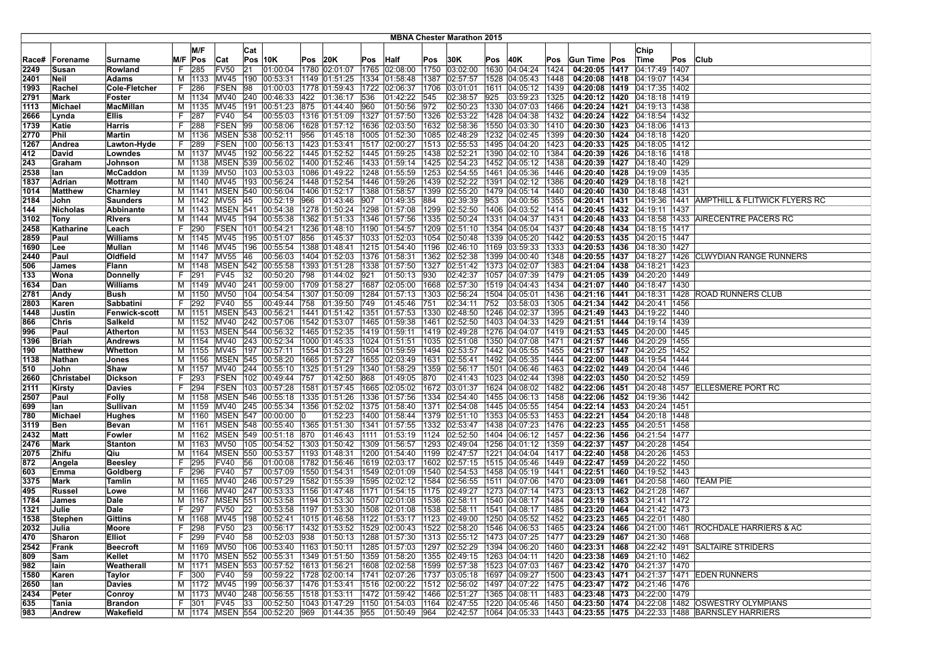|             |                |                      |    |                    |                       |     |                                                                     |                |                                                |      |               |              | <b>MBNA Chester Marathon 2015</b> |     |                                                                                          |              |                                                   |                                                      |     |                                                                                                                                                     |
|-------------|----------------|----------------------|----|--------------------|-----------------------|-----|---------------------------------------------------------------------|----------------|------------------------------------------------|------|---------------|--------------|-----------------------------------|-----|------------------------------------------------------------------------------------------|--------------|---------------------------------------------------|------------------------------------------------------|-----|-----------------------------------------------------------------------------------------------------------------------------------------------------|
|             |                |                      |    |                    |                       |     |                                                                     |                |                                                |      |               |              |                                   |     |                                                                                          |              |                                                   |                                                      |     |                                                                                                                                                     |
|             |                |                      |    | M/F                |                       | Cat |                                                                     |                |                                                |      |               |              |                                   |     |                                                                                          |              |                                                   | Chip                                                 |     |                                                                                                                                                     |
| Race#       | Forename       | <b>Surname</b>       |    | M/F Pos            | Cat                   |     | $Pos$ 10K                                                           | <b>Pos 20K</b> |                                                | Pos  | <b>Half</b>   | Pos          | 30K                               | Pos | 40K                                                                                      | Pos          | Gun Time Pos                                      | Time                                                 | Pos | <b>Club</b>                                                                                                                                         |
| 2249        | Susan          | Rowland              |    | 285                | <b>FV50</b>           | 21  | 01:00:04                                                            |                | 1780 02:01:07                                  |      | 1765 02:08:00 | 1750         | 03:02:00                          |     | 1630 04:04:24                                                                            | 1424         | 04:20:05 1417                                     | 04:17:49   1407                                      |     |                                                                                                                                                     |
| 2401        | Neil           | Adams                |    |                    | M   1133   MV45       |     | 190 00:53:31                                                        |                | 1149 01:51:25                                  |      | 1334 01:58:48 | 1387         | 02:57:57                          |     | 1528 04:05:43                                                                            | 1448         | 04:20:08 1418                                     | 04:19:07   1434                                      |     |                                                                                                                                                     |
| 1993        | Rachel         | Cole-Fletcher        | F. | 286                | FSEN                  | 98  | 01:00:03                                                            |                | 1778 01:59:43                                  | 1722 | 02:06:37      | 1706         | 03:01:01                          |     | 1611 04:05:12                                                                            | 1439         | 04:20:08 1419                                     | 04:17:35 1402                                        |     |                                                                                                                                                     |
| 2791        | Mark           | Foster               |    | M   1134           | MV40                  |     | 240 00:46:33                                                        | 422            | 01:36:17                                       | 536  | 01:42:22      | 545          | 02:38:57                          | 925 | 03:59:23                                                                                 | 1325         | 04:20:12 1420 04:18:18 1419                       |                                                      |     |                                                                                                                                                     |
| 1113        | Michael        | <b>MacMillan</b>     |    |                    | M   1135   MV45       |     | 191 00:51:23 875                                                    |                | 01:44:40 960                                   |      | 01:50:56      | 972          | 02:50:23                          |     | 1330 04:07:03                                                                            | 1466         | 04:20:24 1421 04:19:13 1438                       |                                                      |     |                                                                                                                                                     |
| 2666        | Lynda          | Ellis                | F. | 287                | <b>FV40</b>           | 54  | 00:55:03                                                            |                | 1316 01:51:09 1327 01:57:50                    |      |               | 1326         | 02:53:22                          |     | 1428 04:04:38                                                                            | 1432         |                                                   | 04:20:24 1422 04:18:54 1432                          |     |                                                                                                                                                     |
| 1739        | Katie          | Harris               | F. | 288                | FSEN                  | 99  | 00:58:06                                                            |                | 1628 01:57:12   1636 02:03:50                  |      |               | 1632         | 02:58:36                          |     | 1550 04:03:30                                                                            | 1410         |                                                   | 04:20:30   1423   04:18:06   1413                    |     |                                                                                                                                                     |
| 2770        | Phil           | Martin               |    | M   1136           | <b>MSEN 538</b>       |     | 00:52:11                                                            | 956            | 01:45:18                                       |      | 1005 01:52:30 | 1085         | 02:48:29                          |     | 1232 04:02:45                                                                            | 1399         |                                                   | 04:20:30   1424   04:18:18   1420                    |     |                                                                                                                                                     |
| 1267        | Andrea         | Lawton-Hyde          | F. | 289                | FSEN                  | 100 | 00:56:13                                                            |                | 1423 01:53:41                                  |      | 1517 02:00:27 | 1513         | 02:55:53                          |     | 1495 04:04:20                                                                            | 1423         |                                                   | 04:20:33 1425 04:18:05 1412                          |     |                                                                                                                                                     |
| 412         | David          | Lowndes              |    |                    | M   1137   MV45       |     | 192 00:56:22                                                        |                | 1445 01:52:52                                  |      | 1445 01:59:25 | 1438         | 02:52:21                          |     | 1390 04:02:10                                                                            | 1384         | 04:20:39 1426                                     | 04:18:16   1418                                      |     |                                                                                                                                                     |
| 243         | Graham         | Johnson              |    |                    |                       |     | M  1138   MSEN   539   00:56:02                                     |                | 1400   01:52:46   1433   01:59:14              |      |               | 1425         | 02:54:23                          |     | 1452 04:05:12                                                                            | 1438         | 04:20:39 1427 04:18:40 1429                       |                                                      |     |                                                                                                                                                     |
| 2538        | lan            | <b>McCaddon</b>      |    |                    | M   1139   MV50       |     | 103 00:53:03                                                        |                | 1086 01:49:22 1248 01:55:59                    |      |               | 1253         | 02:54:55                          |     | 1461 04:05:36                                                                            | 1446         | 04:20:40   1428   04:19:09   1435                 |                                                      |     |                                                                                                                                                     |
| 1837        | Adrian         | Mottram              |    |                    | M   1140   MV45       |     | 193 00:56:24                                                        |                | 1448 01:52:54                                  |      | 1446 01:59:26 | 1439         | 02:52:22                          |     | 1391 04:02:12                                                                            | 1386         |                                                   | 04:20:40   1429   04:18:18   1421                    |     |                                                                                                                                                     |
| 1014        | Matthew        | Charnley             |    |                    |                       |     | M  1141  MSEN  540  00:56:04                                        |                | 1406 01:52:17                                  |      | 1388 01:58:57 | 1399         | 02:55:20                          |     | 1479 04:05:14                                                                            | 1440         |                                                   | 04:20:40 1430 04:18:48 1431                          |     |                                                                                                                                                     |
| 2184        | John           | <b>Saunders</b>      |    |                    | M   1142   MV55       | 45  | 00:52:19                                                            | 966            | 01:43:46                                       | 907  | 01:49:35      | 884          | 02:39:39                          | 953 | 04:00:56                                                                                 | 1355         |                                                   | 04:20:41   1431   04:19:36   1441                    |     | AMPTHILL & FLITWICK FLYERS RC                                                                                                                       |
| 144         | Nicholas       | <b>Abbinante</b>     |    |                    |                       |     | M  1143   MSEN   541   00:54:38                                     |                | 1278 01:50:24                                  |      | 1298 01:57:08 | 1299         | 02:52:50                          |     | 1406 04:03:52                                                                            | 1414         | 04:20:45   1432   04:19:11   1437                 |                                                      |     |                                                                                                                                                     |
| 3102        | Tony           | <b>Rivers</b>        |    |                    | M   1144   MV45       |     | 194 00:55:38                                                        |                | 1362 01:51:33                                  |      | 1346 01:57:56 | 1335         | 02:50:24                          |     | 1331 04:04:37                                                                            | 1431         |                                                   |                                                      |     | 04:20:48   1433   04:18:58   1433   AIRECENTRE PACERS RC                                                                                            |
| 2458        | Katharine      | Leach                | F. | 290                | <b>FSEN</b>           |     | 101 00:54:21                                                        |                | 1236 01:48:10   1190 01:54:57                  |      |               | 1209         | 02:51:10                          |     | 1354 04:05:04                                                                            | 1437         |                                                   | 04:20:48   1434   04:18:15   1417                    |     |                                                                                                                                                     |
| 2859        | Paul           | <b>Williams</b>      |    |                    | M   1145   MV45       |     | 195 00:51:07                                                        |                | 856 01:45:37                                   |      | 1033 01:52:03 | 1054         | 02:50:48                          |     | 1339 04:05:20                                                                            | 1442         |                                                   | 04:20:53   1435   04:20:15   1447                    |     |                                                                                                                                                     |
| 1690        | Lee            | Mullan               |    |                    | M   1146   MV45       | 196 | 00:55:54                                                            |                | 1388 01:48:41                                  |      | 1215 01:54:40 | 1196         | 02:46:10                          |     | 1169 03:59:33                                                                            | 1333         |                                                   | 04:20:53 1436 04:18:30 1427                          |     |                                                                                                                                                     |
| 2440        | Paul           | Oldfield             |    |                    | M   1147   MV55       | 46  | 00:56:03                                                            |                | 1404 01:52:03                                  |      | 1376 01:58:31 | 1362         | 02:52:38                          |     | 1399 04:00:40                                                                            | 1348         | 04:20:55 1437 04:18:27 1426                       |                                                      |     | <b>CLWYDIAN RANGE RUNNERS</b>                                                                                                                       |
| 506         | James          | Flann                |    |                    |                       |     | M  1148   MSEN   542   00:55:58                                     |                | 1393 01:51:28                                  |      | 1338 01:57:50 | 1327         | 02:51:42                          |     | 1373 04:02:07                                                                            | 1383         | 04:21:04 1438                                     | 04:18:21 1423                                        |     |                                                                                                                                                     |
| 133         | Wona           | Donnelly             | F. | 291                | <b>FV45</b>           | 32  | 00:50:20                                                            | 798            | 01:44:02                                       | 921  | 01:50:13      | 930          | 02:42:37                          |     | 1057 04:07:39                                                                            | 1479         | 04:21:05   1439   04:20:20   1449                 |                                                      |     |                                                                                                                                                     |
| 1634        | Dan            | Williams             |    |                    | M   1149   MV40       |     | 241 00:59:00                                                        |                | 1709 01:58:27                                  |      | 1687 02:05:00 | 1668         | 02:57:30                          |     | 1519 04:04:43                                                                            | 1434         | 04:21:07 1440 04:18:47 1430                       |                                                      |     |                                                                                                                                                     |
| 2781        | Andy           | Bush                 |    |                    | M   1150   MV50       | 104 | 00:54:54                                                            |                | 1307 01:50:09                                  |      | 1284 01:57:13 | 1303         | 02:56:24                          |     | 1504 04:05:01                                                                            | 1436         |                                                   | 04:21:16 1441 04:18:31 1428                          |     | <b>ROAD RUNNERS CLUB</b>                                                                                                                            |
| 2803        | Karen          | Sabbatini            |    | F 292              | <b>FV40</b>           | 55  | 00:49:44                                                            |                | 758 01:39:50                                   | 749  | 01:45:46      | 751          | 02:34:11                          | 752 | 03:58:03                                                                                 | 1305         |                                                   | 04:21:34   1442   04:20:41   1456                    |     |                                                                                                                                                     |
| 1448        | Justin         | <b>Fenwick-scott</b> |    |                    |                       |     | M  1151  MSEN  543  00:56:21                                        |                | 1441   01:51:42   1351   01:57:53              |      |               | 1330         | 02:48:50                          |     | 1246 04:02:37                                                                            | 1395         | 04:21:49 1443                                     | 04:19:22 1440                                        |     |                                                                                                                                                     |
| 866         | Chris          | Salkeld              |    |                    | M   1152   MV40       | 242 | 00:57:06                                                            |                | 1542 01:53:07                                  | 1465 | 01:59:38      | 1461         | 02:52:50                          |     | 1403 04:04:33                                                                            | 1429         |                                                   | 04:21:51 1444 04:19:14 1439                          |     |                                                                                                                                                     |
| 996         | Paul           | <b>Atherton</b>      |    | M 1153             |                       |     | MSEN 544 00:56:32                                                   |                | 1465 01:52:35                                  |      | 1419 01:59:11 | 1419         | 02:49:28                          |     | 1276 04:04:07                                                                            | 1419         | 04:21:53 1445                                     | 04:20:00 1445                                        |     |                                                                                                                                                     |
| 1396        | <b>Briah</b>   | <b>Andrews</b>       |    |                    |                       |     | M  1154   MV40   243   00:52:34<br>M  1155   MV45   197   00:57:11  |                | 1000 01:45:33   1024 01:51:51                  |      |               | 1035         | 02:51:08                          |     | 1350 04:07:08                                                                            | 1471         | 04:21:57   1446   04:20:29   1455                 |                                                      |     |                                                                                                                                                     |
| 190         | Matthew        | Whetton              |    |                    |                       |     |                                                                     |                | 1554  01:53:28  1504  01:59:59                 |      |               | 1494         | 02:53:57                          |     | 1442 04:05:55                                                                            | 1455         | 04:21:57   1447   04:20:25   1452                 |                                                      |     |                                                                                                                                                     |
| 1138<br>510 | Nathan<br>John | Jones<br>Shaw        |    | M   1156<br>M 1157 | MV40                  |     | MSEN 545 00:58:20<br>244 00:55:10                                   |                | 1665 01:57:27   1655 02:03:49<br>1325 01:51:29 |      | 1340 01:58:29 | 1631<br>1359 | 02:55:41<br>02:56:17              |     | 1492 04:05:35<br>1501 04:06:46                                                           | 1444<br>1463 | 04:22:00 1448                                     | 04:19:54   1444<br>04:22:02   1449   04:20:04   1446 |     |                                                                                                                                                     |
| 2660        | Christabel     | <b>Dickson</b>       | F. | 293                | FSEN                  |     | 102 00:49:44                                                        | 757            | 01:42:50                                       | 868  | 01:49:05      | 870          | 02:41:43                          |     | 1023 04:02:44                                                                            | 1398         |                                                   | 04:22:03   1450   04:20:52   1459                    |     |                                                                                                                                                     |
| 2111        | Kirsty         | Davies               | F. | 294                | FSEN                  |     | 103 00:57:28                                                        |                | 1581 01:57:45   1665 02:05:02                  |      |               | 1672         | 03:01:37                          |     | 1624 04:08:02                                                                            | 1482         | 04:22:06   1451   04:20:48   1457                 |                                                      |     | <b>ELLESMERE PORT RC</b>                                                                                                                            |
| 2507        | Paul           | Folly                |    |                    |                       |     | M  1158   MSEN   546   00:55:18   1335   01:51:26   1336   01:57:56 |                |                                                |      |               | 1334         | 02:54:40                          |     | 1455 04:06:13                                                                            | 1458         | 04:22:06 1452 04:19:36 1442                       |                                                      |     |                                                                                                                                                     |
| 699         | lan            | Sullivan             |    |                    |                       |     | M  1159   MV40   245   00:55:34                                     |                | 1356 01:52:02   1375 01:58:40                  |      |               | 1371         | 02:54:08                          |     | 1445 04:05:55                                                                            | 1454         |                                                   | 04:22:14 1453 04:20:24 1451                          |     |                                                                                                                                                     |
| 780         | Michael        | <b>Hughes</b>        |    |                    |                       |     | M  1160   MSEN  547  00:00:00                                       |                | 01:52:23   1400   01:58:44                     |      |               | 1379         | 02:51:10                          |     | 1353 04:05:53                                                                            | 1453         |                                                   | 04:22:21   1454   04:20:18   1448                    |     |                                                                                                                                                     |
| 3119        | Ben            | Bevan                |    |                    | M   1161   MSEN   548 |     | 00:55:40                                                            |                | 1365 01:51:30                                  |      | 1341 01:57:55 | 1332         | 02:53:47                          |     | 1438 04:07:23                                                                            | 1476         | 04:22:23 1455                                     | 04:20:51 1458                                        |     |                                                                                                                                                     |
| 2432        | Matt           | Fowler               |    |                    |                       |     | M  1162   MSEN   549   00:51:18                                     | 870            | 01:46:43                                       | 1111 | 01:53:19      | 1124         | 02:52:50                          |     | 1404 04:06:12                                                                            | 1457         |                                                   | 04:22:36   1456   04:21:54   1477                    |     |                                                                                                                                                     |
| 2476        | Mark           | Stanton              |    | M   1163   MV50    |                       |     | 105 00:54:52                                                        |                | 1303  01:50:42  1309  01:56:57                 |      |               | 1293         | 02:49:04                          |     | 1256 04:01:12                                                                            | 1359         | 04:22:37 1457                                     | 04:20:28 1454                                        |     |                                                                                                                                                     |
| 2075        | Zhifu          | Qiu                  |    | M   1164           |                       |     | MSEN 550 00:53:57                                                   |                | 1193 01:48:31                                  |      | 1200 01:54:40 | 1199         | 02:47:57                          |     | 1221 04:04:04                                                                            | 1417         | 04:22:40   1458   04:20:26   1453                 |                                                      |     |                                                                                                                                                     |
| 872         | Angela         | <b>Beesley</b>       | F. | 295                | FV40                  | 56  | 01:00:08                                                            |                | 1782 01:56:46 1619 02:03:17                    |      |               | 1602         | 02:57:15                          |     | 1515 04:05:46                                                                            | 1449         | 04:22:47 1459 04:20:22 1450                       |                                                      |     |                                                                                                                                                     |
| 603         | Emma           | Goldberg             | F. | 296                | <b>FV40</b>           | 57  | 00:57:09                                                            |                | 1550 01:54:31                                  |      | 1549 02:01:09 | 1540         | 02:54:53                          |     | 1458 04:05:19                                                                            | 1441         | 04:22:51 1460                                     | 04:19:52 1443                                        |     |                                                                                                                                                     |
| 3375        | Mark           | Tamlin               |    | M   1165   MV40    |                       | 246 | 00:57:29                                                            |                | 1582 01:55:39                                  |      | 1595 02:02:12 | 1584         | 02:56:55                          |     | 1511 04:07:06                                                                            | 1470         | 04:23:09 1461                                     | [04:20:58]1460                                       |     | <b>TEAM PIE</b>                                                                                                                                     |
| 495         | Russel         | Lowe                 |    | M   1166           | MV40                  | 247 | 00:53:33                                                            |                | 1156 01:47:48                                  |      | 1171 01:54:15 | 1175         | 02:49:27                          |     | 1273 04:07:14                                                                            | 1473         |                                                   | 04:23:13   1462   04:21:28   1467                    |     |                                                                                                                                                     |
| 1784        | James          | Dale                 | м  | 1167               | MSEN                  | 551 | 00:53:58                                                            |                | 1194 01:53:30                                  |      | 1507 02:01:08 | 1536         | 02:58:11                          |     | 1540 04:08:17                                                                            | 1484         | 04:23:19 1463                                     | 04:21:41   1472                                      |     |                                                                                                                                                     |
| 1321        | Julie          | Dale                 | F. | 297                | <b>FV50</b>           | 22  | 00:53:58                                                            |                | 1197 01:53:30                                  |      | 1508 02:01:08 | 1538         | 02:58:11                          |     | 1541 04:08:17                                                                            | 1485         | 04:23:20 1464                                     | 04:21:42   1473                                      |     |                                                                                                                                                     |
| 1538        | Stephen        | Gittins              |    |                    |                       |     | M  1168  MV45  198  00:52:41  1015  01:46:58  1122  01:53:17        |                |                                                |      |               | 1123         | 02:49:00                          |     |                                                                                          |              | $ 1250 04:05:52 1452 04:23:23 1465 04:22:01 1480$ |                                                      |     |                                                                                                                                                     |
| 2032        | Julia          | Moore                | F. | 298                | FV50 23               |     |                                                                     |                |                                                |      |               |              |                                   |     |                                                                                          |              |                                                   |                                                      |     | 02:00:43   1461  ROCHDALE HARRIERS & AC   1522   1522   258:20   1546   04:06:53   1465   04:23:24   1466   04:21:00   1461  ROCHDALE HARRIERS & AC |
| 470         | Sharon         | Elliot               |    | F 299              | FV40 58               |     |                                                                     |                |                                                |      |               |              |                                   |     | $ 00:52:03 $ 938 $ 01:50:13 $ 1288 $ 01:57:30 $ 1313 $ 02:55:12 $ 1473 $ 04:07:25 $ 1477 |              | 04:23:29 1467 04:21:30 1468                       |                                                      |     |                                                                                                                                                     |
| 2542        | Frank          | Beecroft             |    |                    |                       |     | M  1169  MV50  106  00:53:40  1163  01:50:11  1285  01:57:03        |                |                                                |      |               |              |                                   |     | 1297  02:52:29  1394  04:06:20  1460                                                     |              |                                                   |                                                      |     | 04:23:31   1468   04:22:42   1491   SALTAIRE STRIDERS                                                                                               |
| 809         | Sam            | Kellet               |    |                    |                       |     | M  1170  MSEN  552  00:55:31  1349  01:51:50  1359  01:58:20        |                |                                                |      |               | 1355         | 02:49:15                          |     | 1263 04:04:11                                                                            | 1420         | 04:23:38   1469   04:21:10   1462                 |                                                      |     |                                                                                                                                                     |
| 982         | lain           | Weatherall           |    | M   1171           |                       |     | MSEN 553 00:57:52 1613 01:56:21                                     |                |                                                |      | 1608 02:02:58 | 1599         | 02:57:38                          |     | 1523 04:07:03                                                                            | 1467         | 04:23:42 1470 04:21:37 1470                       |                                                      |     |                                                                                                                                                     |
| 1580        | Karen          | Taylor               |    | F 300              | FV40 59               |     | 00:59:22 1728 02:00:14 1741 02:07:26                                |                |                                                |      |               |              | 1737 03:05:18                     |     | 1697 04:09:27 1500                                                                       |              |                                                   |                                                      |     | 04:23:43 1471 04:21:37 1471 EDEN RUNNERS                                                                                                            |
| 2650        | lan            | <b>Davies</b>        |    |                    |                       |     | M  1172  MV45  199  00:56:37  1476  01:53:41  1516  02:00:22        |                |                                                |      |               |              | 1512 02:56:02                     |     | 1497 04:07:22 1475                                                                       |              | 04:23:47 1472 04:21:46 1476                       |                                                      |     |                                                                                                                                                     |
| 2434        | Peter          | Conroy               |    |                    |                       |     | M  1173  MV40  248  00:56:55  1518  01:53:11  1472  01:59:42        |                |                                                |      |               | 1466         | 02:51:27                          |     | 1365 04:08:11 1483                                                                       |              | 04:23:48 1473 04:22:00 1479                       |                                                      |     |                                                                                                                                                     |
| 635         | Tania          | <b>Brandon</b>       |    | F 301              | FV45                  | 33  | 00:52:50 1043 01:47:29 1150 01:54:03                                |                |                                                |      |               | 1164         | 02:47:55                          |     | 1220 04:05:46 1450                                                                       |              |                                                   |                                                      |     | 04:23:50 1474 04:22:08 1482 OSWESTRY OLYMPIANS                                                                                                      |
| 983         | Andrew         | Wakefield            |    |                    |                       |     | M  1174  MSEN  554  00:52:20  969  01:44:35  955                    |                |                                                |      | 01:50:49 964  |              |                                   |     | 02:42:57  1064  04:05:33  1443                                                           |              |                                                   |                                                      |     | 04:23:55 1475 04:22:33 1488 BARNSLEY HARRIERS                                                                                                       |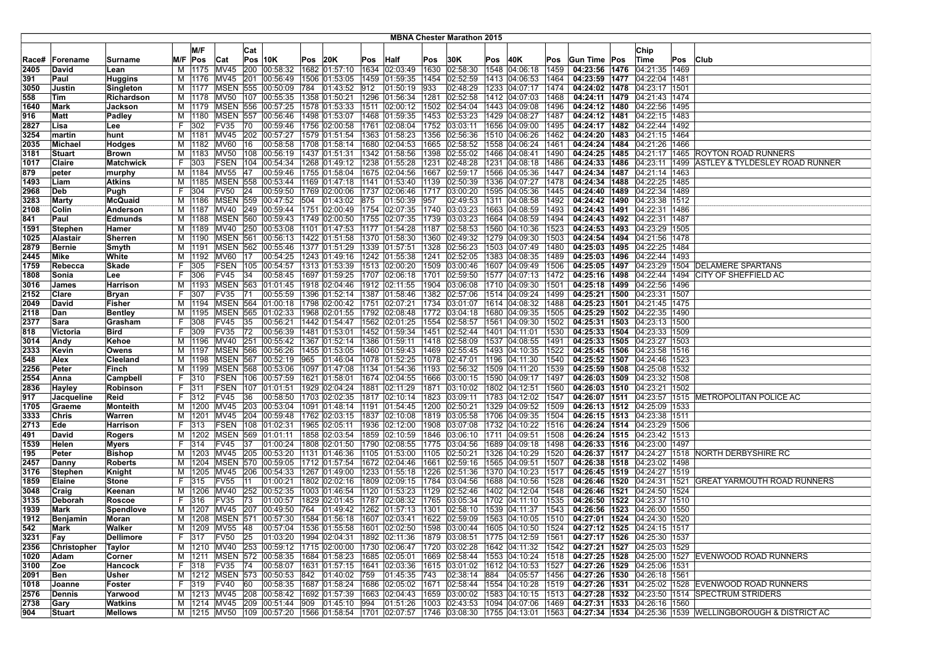|       |                 |                    |    |          |                   |     |                                                                         |      |               |                                                          |      | <b>MBNA Chester Marathon 2015</b> |     |                                                                                                    |      |                                         |                                   |     |                                                                    |
|-------|-----------------|--------------------|----|----------|-------------------|-----|-------------------------------------------------------------------------|------|---------------|----------------------------------------------------------|------|-----------------------------------|-----|----------------------------------------------------------------------------------------------------|------|-----------------------------------------|-----------------------------------|-----|--------------------------------------------------------------------|
|       |                 |                    |    | M/F      |                   |     |                                                                         |      |               |                                                          |      |                                   |     |                                                                                                    |      |                                         |                                   |     |                                                                    |
|       |                 |                    |    |          |                   | Cat |                                                                         |      |               |                                                          |      |                                   |     |                                                                                                    |      |                                         | Chip                              |     |                                                                    |
| Race# | <b>Forename</b> | Surname            |    | M/F Pos  | <b>Cat</b>        |     | Pos 10K                                                                 | Pos  | 20K           | Pos Half                                                 | Pos  | 30K                               | Pos | 40K                                                                                                | Pos  | Gun Time Pos                            | Time                              | Pos | <b>Club</b>                                                        |
| 2405  | David           | Lean               | м  |          | 1175 MV45         | 200 | 00:58:32                                                                |      | 1682 01:57:10 | 1634 02:03:49                                            | 1630 | 02:58:30                          |     | 1548 04:06:18                                                                                      | 1459 | 04:23:56 1476                           | 04:21:35   1469                   |     |                                                                    |
| 391   | Paul            | Huggins            | M  |          | 1176 MV45         | 201 | 00:56:49                                                                |      |               | 1506 01:53:05   1459 01:59:35                            | 1454 | 02:52:59                          |     | 1413 04:06:53                                                                                      | 1464 |                                         | 04:23:59 1477 04:22:04 1481       |     |                                                                    |
| 3050  | Justin          | Singleton          | м  | 1177     | <b>MSEN</b>       | 555 | 00:50:09                                                                | 784  | 01:43:52 012  | 01:50:19                                                 | 933  | 02:48:29                          |     | 1233 04:07:17                                                                                      | 1474 | 04:24:02 1478                           | 04:23:17 1501                     |     |                                                                    |
| 558   | Tim             | Richardson         | M  | 1178     | MV50              | 107 | 00:55:35                                                                |      | 1358 01:50:21 | 1296 01:56:34                                            | 1281 | 02:52:58                          |     | 1412 04:07:03                                                                                      | 1468 |                                         | 04:24:11   1479   04:21:43   1474 |     |                                                                    |
| 1640  | Mark            | Jackson            |    |          |                   |     | M  1179   MSEN   556   00:57:25                                         |      |               | 1578 01:53:33   1511 02:00:12                            |      | 1502 02:54:04                     |     | 1443 04:09:08                                                                                      | 1496 |                                         | 04:24:12   1480   04:22:56   1495 |     |                                                                    |
| 916   | Matt            | Padley             |    | M   1180 |                   |     | MSEN 557 00:56:46                                                       |      |               | 1498 01:53:07   1468 01:59:35                            |      | 1453 02:53:23                     |     | 1429 04:08:27                                                                                      | 1487 |                                         | 04:24:12   1481   04:22:15   1483 |     |                                                                    |
| 2827  | Lisa            | Lee                | F  | 302      | FV35              | 70  | 00:59:46                                                                |      |               | 1756 02:00:58   1761 02:08:04                            | 1752 | 03:03:11                          |     | 1656 04:09:00                                                                                      | 1495 |                                         | 04:24:17   1482   04:22:44   1492 |     |                                                                    |
| 3254  | martin          | hunt               | м  | 1181     | MV45              | 202 | 00:57:27                                                                |      |               | 1579   01:51:54   1363   01:58:23                        | 1356 | 02:56:36                          |     | 1510 04:06:26                                                                                      | 1462 |                                         | 04:24:20   1483   04:21:15   1464 |     |                                                                    |
| 2035  | Michael         | Hodges             | м  | 1182     | MV60              | 16  | 00:58:58                                                                |      | 1708 01:58:14 | 1680 02:04:53                                            | 1665 | 02:58:52                          |     | 1558 04:06:24                                                                                      | 1461 |                                         | 04:24:24   1484   04:21:26   1466 |     |                                                                    |
| 3181  | Stuart          | Brown              | м  | 1183     | <b>MV50</b>       | 108 | 00:56:19                                                                |      | 1437 01:51:31 | 1342 01:58:56                                            | 1398 | 02:55:02                          |     | 1466 04:08:41                                                                                      | 1490 |                                         |                                   |     | 04:24:25   1485   04:21:17   1465   ROYTON ROAD RUNNERS            |
| 1017  | Claire          | Matchwick          | F. | 303      |                   |     | FSEN 104 00:54:34                                                       |      |               | 1268 01:49:12  1238 01:55:28                             | 1231 | 02:48:28                          |     | 1231 04:08:18                                                                                      | 1486 |                                         |                                   |     | 04:24:33   1486   04:23:11   1499   ASTLEY & TYLDESLEY ROAD RUNNER |
| 879   | peter           | murphy             |    | M   1184 | MV55 47           |     | 00:59:46                                                                |      |               | 1755 01:58:04 1675 02:04:56                              |      | 1667 02:59:17                     |     | 1566 04:05:36                                                                                      | 1447 |                                         | 04:24:34 1487 04:21:14 1463       |     |                                                                    |
| 1493  | Liam            | <b>Atkins</b>      | м  | 1185     | <b>MSEN</b>       | 558 | 00:53:44                                                                |      |               | $1169$ 01:47:18 1141 01:53:40                            | 1139 | 02:50:39                          |     | 1336 04:07:27                                                                                      | 1478 |                                         | 04:24:34 1488 04:22:25 1485       |     |                                                                    |
| 2968  | Deb             | Pugh               | F  | 304      | <b>FV50</b>       | 24  | 00:59:50                                                                |      |               | 1769 02:00:06 1737 02:06:46                              | 1717 | 03:00:20                          |     | 1595 04:05:36                                                                                      | 1445 |                                         | 04:24:40 1489 04:22:34 1489       |     |                                                                    |
| 3283  | Marty           | <b>McQuaid</b>     | м  | 1186     | <b>MSEN 559</b>   |     | 00:47:52                                                                | 504  | 01:43:02 875  | 01:50:39                                                 | 957  | 02:49:53                          |     | 1311 04:08:58                                                                                      | 1492 |                                         | 04:24:42   1490   04:23:38   1512 |     |                                                                    |
| 2108  | Colin           | Anderson           | M  | 1187     | MV40              |     | 249 00:59:44                                                            |      |               | 1751 02:00:49   1754 02:07:35                            | 1740 | 03:03:23                          |     | 1663 04:08:59                                                                                      | 1493 |                                         | 04:24:43   1491   04:22:31   1486 |     |                                                                    |
| 841   | Paul            | <b>Edmunds</b>     | м  | 1188     |                   |     | MSEN 560 00:59:43                                                       |      |               | 1749 02:00:50 1755 02:07:35                              | 1739 | 03:03:23                          |     | 1664 04:08:59                                                                                      | 1494 |                                         | 04:24:43   1492   04:22:31   1487 |     |                                                                    |
| 1591  | <b>Stephen</b>  | Hamer              |    |          |                   |     | M  1189   MV40   250   00:53:08                                         |      |               | 1101 01:47:53 1177 01:54:28                              | 1187 | 02:58:53                          |     | 1560 04:10:36                                                                                      | 1523 |                                         | 04:24:53   1493   04:23:29   1505 |     |                                                                    |
| 1025  | Alastair        | <b>Sherren</b>     |    | M   1190 | <b>MSEN 561</b>   |     | 00:56:13                                                                |      |               | 1422  01:51:58  1370  01:58:30                           | 1360 | 02:49:32                          |     | 1279 04:09:30                                                                                      | 1503 |                                         | 04:24:54   1494   04:21:56   1478 |     |                                                                    |
| 2879  | <b>Bernie</b>   | Smyth              | М  | 1191     | MSEN              | 562 | 00:55:46                                                                |      |               | 1377 01:51:29 1339 01:57:51                              | 1328 | 02:56:23                          |     | 1503 04:07:49                                                                                      | 1480 |                                         | 04:25:03   1495   04:22:25   1484 |     |                                                                    |
| 2445  | Mike            | White              | м  | 1192     | MV60              | 17  | 00:54:25                                                                |      |               | $ 1243 01:49:16$ $ 1242 01:55:38$                        | 1241 | 02:52:05                          |     | 1383 04:08:35                                                                                      | 1489 |                                         | 04:25:03   1496   04:22:44   1493 |     |                                                                    |
| 1759  | Rebecca         | Skade              | F. | 305      | FSEN              | 105 | 00:54:57                                                                |      |               | 1313 01:53:39 1513 02:00:20                              | 1509 | 03:00:46                          |     | 1607 04:09:49                                                                                      | 1506 |                                         | 04:25:05 1497 04:23:29 1504       |     | DELAMERE SPARTANS                                                  |
| 1808  | Sonia           | Lee                | F. | 306      | FV45              | 34  | 00:58:45                                                                |      |               | 1697  01:59:25  1707  02:06:18                           | 1701 | 02:59:50                          |     | 1577 04:07:13                                                                                      | 1472 |                                         | 04:25:16 1498 04:22:44 1494       |     | <b>CITY OF SHEFFIELD AC</b>                                        |
| 3016  | James           | Harrison           | м  | 1193     | <b>MSEN 563</b>   |     | 01:01:45                                                                |      |               | 1918 02:04:46   1912 02:11:55                            |      | 1904 03:06:08                     |     | 1710 04:09:30                                                                                      | 1501 | 04:25:18 1499 04:22:56 1496             |                                   |     |                                                                    |
| 2152  | Clare           | Bryan              | F. | 307      | FV35              | 71  | 00:55:59                                                                |      |               | 1396 01:52:14  1387 01:58:46                             | 1382 | 02:57:06                          |     | 1514 04:09:24                                                                                      | 1499 |                                         | 04:25:21 1500 04:23:31 1507       |     |                                                                    |
| 2049  | David           | Fisher             | м  | 1194     | <b>MSEN 564</b>   |     | 01:00:18                                                                |      |               | 1798 02:00:42 1751 02:07:21                              | 1734 | 03:01:07                          |     | 1614 04:08:32                                                                                      | 1488 |                                         | 04:25:23 1501 04:21:45 1475       |     |                                                                    |
| 2118  | Dan             | <b>Bentley</b>     | м  | 1195     | <b>IMSEN</b>      | 565 | 01:02:33                                                                |      |               | 1968   02:01:55   1792   02:08:48                        | 1772 | 03:04:18                          |     | 1680 04:09:35                                                                                      | 1505 |                                         | 04:25:29 1502 04:22:35 1490       |     |                                                                    |
| 2377  | Sara            | Grasham            | F. | 308      | FV45              | 35  | 00:56:21                                                                |      |               | 1442 01:54:47 1562 02:01:25                              | 1554 | 02:58:57                          |     | 1561 04:09:30                                                                                      | 1502 |                                         | 04:25:31   1503   04:23:13   1500 |     |                                                                    |
| 818   | Victoria        | <b>Bird</b>        | F. | 309      | <b>FV35</b>       | 72  | 00:56:39                                                                |      | 1481 01:53:01 | 1452 01:59:34                                            | 1451 | 02:52:44                          |     | 1401 04:11:01                                                                                      | 1530 | 04:25:33 1504                           | 04:23:33 1509                     |     |                                                                    |
| 3014  | Andy            | Kehoe              |    | M   1196 | MV40 251          |     | 00:55:42   1367   01:52:14   1386   01:59:11                            |      |               |                                                          |      | 1418 02:58:09                     |     | 1537 04:08:55                                                                                      | 1491 |                                         | 04:25:33   1505   04:23:27   1503 |     |                                                                    |
| 2333  | Kevin           | Owens              | м  | 1197     |                   |     | MSEN 566 00:56:26                                                       |      |               | 1455  01:53:05  1460  01:59:43                           |      | 1469 02:55:45                     |     | 1493 04:10:35                                                                                      | 1522 |                                         | 04:25:45   1506   04:23:58   1516 |     |                                                                    |
| 548   | Alex            | Cleeland           | м  | 1198     | <b>MSEN 567</b>   |     | 00:52:19                                                                | 965  |               | 01:46:04  1078  01:52:25                                 | 1078 | 02:47:01                          |     | 1196 04:11:30                                                                                      | 1540 |                                         | 04:25:52   1507   04:24:46   1523 |     |                                                                    |
| 2256  | Peter           | Finch              | м  | 1199     | MSEN              | 568 | 00:53:06                                                                |      |               | 1097  01:47:08  1134  01:54:36                           | 1193 | 02:56:32                          |     | 1509 04:11:20                                                                                      | 1539 |                                         | 04:25:59   1508   04:25:08   1532 |     |                                                                    |
| 2554  | Anna            | Campbell           | F. | 310      | FSEN              | 106 | 00:57:59                                                                |      | 1621 01:58:01 | 1674 02:04:55                                            | 1666 | 03:00:15                          |     | 1590 04:09:17                                                                                      | 1497 |                                         | 04:26:03   1509   04:23:32   1508 |     |                                                                    |
| 2836  | Hayley          | Robinson           | F. | 311      | FSEN              | 107 | 01:01:51                                                                |      |               | 1929 02:04:24 1881 02:11:29                              | 1871 | 03:10:02                          |     | 1802 04:12:51                                                                                      | 1560 |                                         | 04:26:03   1510   04:23:21   1502 |     |                                                                    |
| 917   | Jacqueline      | Reid               | F. | 312      | FV45              | 36  | 00:58:50                                                                |      |               | 1703 02:02:35 1817 02:10:14                              |      | 1823 03:09:11                     |     | 1783 04:12:02                                                                                      | 1547 |                                         |                                   |     | 04:26:07   1511   04:23:57   1515   METROPOLITAN POLICE AC         |
| 1705  | Graeme          | Monteith           |    |          | M   1200   MV45   | 203 | 00:53:04                                                                |      |               | 1091  01:48:14  1191  01:54:45                           |      | 1200  02:50:21                    |     | 1329 04:09:52                                                                                      | 1509 |                                         | 04:26:13   1512   04:25:09   1533 |     |                                                                    |
| 3333  | <b>Chris</b>    | Warren             | м  | 1201     | MV45              | 204 | 00:59:48                                                                |      |               | 1762 02:03:15 1837 02:10:08                              | 1819 | 03:05:58                          |     | 1706 04:09:35                                                                                      | 1504 |                                         | 04:26:15   1513   04:23:38   1511 |     |                                                                    |
| 2713  | Ede             | Harrison           | F. | 313      | <b>FSEN</b>       | 108 | 01:02:31                                                                |      | 1965 02:05:11 | 1936 02:12:00                                            | 1908 | 03:07:08                          |     | 1732 04:10:22                                                                                      | 1516 |                                         | 04:26:24   1514   04:23:29   1506 |     |                                                                    |
| 491   | David           | <b>Rogers</b>      | м  | 1202     | MSEN              | 569 | 01:01:11                                                                |      |               | 1858 02:03:54 1859 02:10:59                              | 1846 | 03:06:10                          |     | 1711 04:09:51                                                                                      | 1508 |                                         | 04:26:24   1515   04:23:42   1513 |     |                                                                    |
| 1539  | Helen           | Myers              | F. | 314      | FV45              | 37  | 01:00:24                                                                |      |               | 1808 02:01:50 1790 02:08:55                              | 1775 | 03:04:56                          |     | 1689 04:09:18                                                                                      | 1498 |                                         | 04:26:33 1516 04:23:00 1497       |     |                                                                    |
| 195   | Peter           | <b>Bishop</b>      | M  | 1203     | <b>MV45</b>       |     | 205 00:53:20                                                            |      |               | 1131  01:46:36  1105  01:53:00                           | 1105 | 02:50:21                          |     | 1326 04:10:29                                                                                      | 1520 |                                         |                                   |     | 04:26:37   1517   04:24:27   1518   NORTH DERBYSHIRE RC            |
| 2457  | Danny           | <b>Roberts</b>     | M  |          |                   |     | 1204   MSEN   570   00:59:05                                            |      |               | 1712 01:57:54 1672 02:04:46                              | 1661 | 02:59:16                          |     | 1565 04:09:51                                                                                      | 1507 | 04:26:38 1518 04:23:02 1498             |                                   |     |                                                                    |
| 3176  | Stephen         | Knight             | м  | 1205     | MV45              |     | 206 00:54:33                                                            |      |               | 1267 01:49:00   1233 01:55:18                            | 1226 | 02:51:36                          |     | 1370 04:10:23                                                                                      | 1517 |                                         | 04:26:45   1519   04:24:27   1519 |     |                                                                    |
| 1859  | Elaine          | Stone              | F. | 315      | <b>FV55</b>       | 111 | 01:00:21                                                                |      |               | 1802 02:02:16 1809 02:09:15                              | 1784 | 03:04:56                          |     | 1688 04:10:56                                                                                      | 1528 |                                         | 04:26:46   1520   04:24:31   1521 |     | GREAT YARMOUTH ROAD RUNNERS                                        |
| 3048  | Craig           | Keenan             | м  | 1206     | MV40              |     | 252 00:52:35                                                            |      |               | 1003  01:46:54  1120  01:53:23                           | 1129 | 02:52:46                          |     | 1402 04:12:04                                                                                      | 1548 |                                         | 04:26:46   1521   04:24:50   1524 |     |                                                                    |
| 3135  | Deborah         | Roscoe             | F  | 316      | FV35              | 73  | 01:00:57                                                                | 1829 |               | 02:01:45  1787  02:08:32                                 | 1765 | 03:05:34                          |     | 1702 04:11:10                                                                                      | 1535 |                                         | 04:26:50   1522   04:23:37   1510 |     |                                                                    |
| 1939  | Mark            | Spendlove          | M  | 1207     | MV45              | 207 | 00:49:50                                                                | 764  |               | 01:49:42  1262  01:57:13                                 | 1301 | 02:58:10                          |     | 1539 04:11:37                                                                                      | 1543 | 04:26:56 1523                           | $\sqrt{04:26:00}$   1550          |     |                                                                    |
| 1912  | Benjamin        | Moran              |    |          |                   |     | M  1208  MSEN  571  00:57:30  1584  01:56:18  1607  02:03:41            |      |               |                                                          |      | 1622 02:59:09                     |     | 1563 04:10:05                                                                                      |      | $ 1510 $ 04:27:01 1524 $ 04:24:30 1520$ |                                   |     |                                                                    |
| 542   | Mark            | Walker             |    |          | M  1209  MV55  48 |     |                                                                         |      |               | 00:57:04  1536  01:55:58  1601  02:02:50  1598  03:00:44 |      |                                   |     | 1605  04:10:50  1524                                                                               |      |                                         | 04:27:12   1525   04:24:15   1517 |     |                                                                    |
| 3231  | Fay             | <b>Dellimore</b>   | F. | 317      | FV50 25           |     | 01:03:20 1994 02:04:31 1892 02:11:36                                    |      |               |                                                          |      | 1879 03:08:51                     |     | 1775 04:12:59                                                                                      | 1561 |                                         | 04:27:17   1526   04:25:30   1537 |     |                                                                    |
| 2356  | Christopher     | Taylor             |    |          |                   |     | M  1210  MV40  253  00:59:12  1715  02:00:00  1730  02:06:47            |      |               |                                                          |      | 1720   03:02:28                   |     | 1642 04:11:32 1542                                                                                 |      |                                         | 04:27:21   1527   04:25:03   1529 |     |                                                                    |
| 1020  | Adam            | Corner             | M  | 1211     |                   |     | MSEN 572 00:58:35 1684 01:58:23 1685 02:05:01                           |      |               |                                                          | 1669 | 02:58:44                          |     | 1553 04:10:24                                                                                      | 1518 |                                         | 04:27:25 1528 04:25:00 1527       |     | EVENWOOD ROAD RUNNERS                                              |
| 3100  | Zoe             | Hancock            | F. | 318      | FV35              | 74  | 00:58:07                                                                |      |               | 1631 01:57:15 1641 02:03:36                              | 1615 | 03:01:02                          |     | 1612 04:10:53                                                                                      | 1527 |                                         | 04:27:26   1529   04:25:06   1531 |     |                                                                    |
| 2091  | Ben             | Usher              |    |          |                   |     | M  1212   MSEN   573   00:50:53   842   01:40:02   759   01:45:35   743 |      |               |                                                          |      | 02:38:14                          | 884 | 04:05:57 1456                                                                                      |      | 04:27:26   1530   04:26:18   1561       |                                   |     |                                                                    |
| 1018  | Joanne          | Foster             |    | F 319    |                   |     |                                                                         |      |               |                                                          |      |                                   |     | FV40 60 00:58:35 1687 01:58:24 1686 02:05:02 1671 02:58:44 1554 04:10:28 1519                      |      |                                         |                                   |     | 04:27:26 1531 04:25:02 1528 EVENWOOD ROAD RUNNERS                  |
| 2576  | Dennis          |                    |    |          |                   |     | M  1213  MV45  208  00:58:42  1692  01:57:39  1663  02:04:43            |      |               |                                                          |      | 1659 03:00:02                     |     | 1583 04:10:15 1513                                                                                 |      |                                         | 04:27:28 1532 04:23:50 1514       |     | <b>SPECTRUM STRIDERS</b>                                           |
| 2738  | Gary            | Yarwood<br>Watkins |    |          |                   |     | M  1214  MV45  209  00:51:44  909  01:45:10  994                        |      |               | 01:51:26                                                 |      | 1003 02:43:53                     |     | 1094 04:07:06                                                                                      | 1469 |                                         | 04:27:31   1533   04:26:16   1560 |     |                                                                    |
|       |                 |                    |    |          |                   |     |                                                                         |      |               |                                                          |      |                                   |     |                                                                                                    |      |                                         |                                   |     |                                                                    |
| 904   | Stuart          | Mellows            |    |          |                   |     |                                                                         |      |               |                                                          |      |                                   |     | M  1215  MV50  109  00:57:20  1566  01:58:54  1701  02:07:57  1746  03:08:30  1755  04:13:01  1563 |      |                                         |                                   |     | 04:27:34   1534   04:25:36   1539   WELLINGBOROUGH & DISTRICT AC   |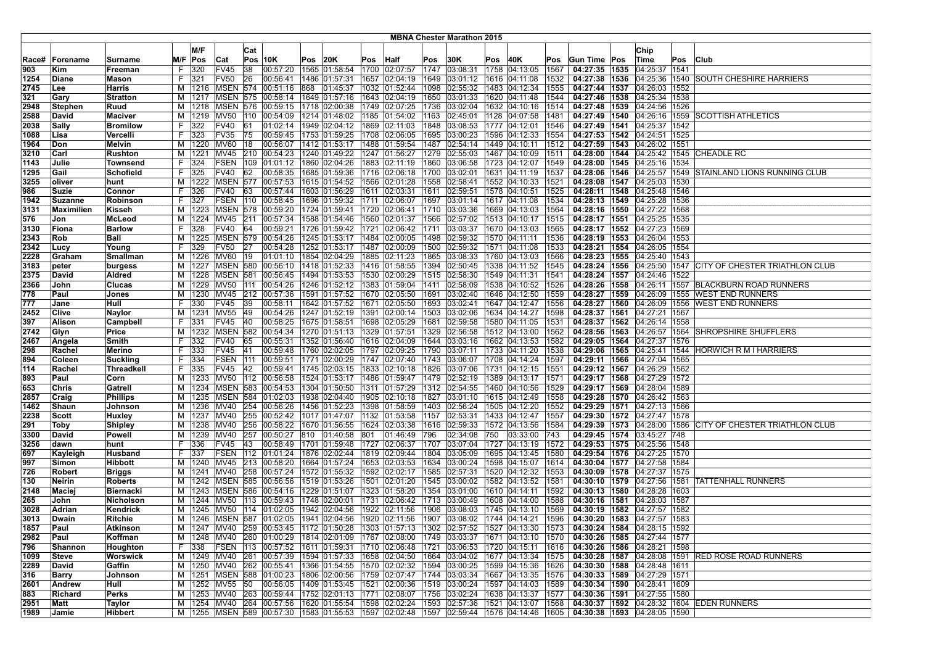|       |              |                   |    |                 |                       |     |                                                                     |      |                                 |      |               |      | <b>MBNA Chester Marathon 2015</b> |     |                    |      |                                                                                                                                             |                                   |      |                                                           |
|-------|--------------|-------------------|----|-----------------|-----------------------|-----|---------------------------------------------------------------------|------|---------------------------------|------|---------------|------|-----------------------------------|-----|--------------------|------|---------------------------------------------------------------------------------------------------------------------------------------------|-----------------------------------|------|-----------------------------------------------------------|
|       |              |                   |    |                 |                       |     |                                                                     |      |                                 |      |               |      |                                   |     |                    |      |                                                                                                                                             |                                   |      |                                                           |
|       |              |                   |    | M/F             |                       | Cat |                                                                     |      |                                 |      |               |      |                                   |     |                    |      |                                                                                                                                             | Chip                              |      |                                                           |
| Race# | Forename     | Surname           |    | M/F Pos         | Cat                   |     | Pos 10K                                                             | Pos  | 20K                             | Pos  | Half          | Pos  | 30K                               | Pos | 40K                | Pos  | Gun Time Pos                                                                                                                                | ∣Time                             | Pos  | <b>Club</b>                                               |
| 903   | Kim          | Freeman           | F  | 320             | <b>FV45</b>           | 38  | 00:57:20                                                            |      | 1565 01:58:54                   |      | 1700 02:07:57 | 1747 | 03:08:31                          |     | 1758 04:13:05      | 1567 | 04:27:35 1535                                                                                                                               | 04:25:37   1541                   |      |                                                           |
| 1254  | Diane        | <b>Mason</b>      | F. | 321             | <b>FV50</b>           | 26  | 00:56:41                                                            |      | 1486 01:57:31                   | 1657 | 02:04:19      | 1649 | 03:01:12                          |     | 1616 04:11:08      | 1532 | 04:27:38 1536                                                                                                                               | 04:25:36                          | 1540 | <b>SOUTH CHESHIRE HARRIERS</b>                            |
| 2745  | Lee          | Harris            |    |                 | M   1216   MSEN   574 |     | 00:51:16                                                            | 868  | 01:45:37                        |      | 1032 01:52:44 | 1098 | 02:55:32                          |     | 1483 04:12:34      | 1555 | 04:27:44 1537                                                                                                                               | 04:26:03 1552                     |      |                                                           |
| 321   | Gary         | Stratton          | м  | 1217            | <b>MSEN 575</b>       |     | 00:58:14                                                            |      | 1649 01:57:16                   |      | 1643 02:04:19 | 1650 | 03:01:33                          |     | 1620 04:11:48      | 1544 | 04:27:46   1538                                                                                                                             | 04:25:34 1538                     |      |                                                           |
| 2948  | Stephen      | Ruud              | М  |                 | 1218   MSEN   576     |     | 00:59:15                                                            |      | 1718 02:00:38                   |      | 1749 02:07:25 | 1736 | 03:02:04                          |     | 1632 04:10:16      | 1514 | 04:27:48 1539                                                                                                                               | 04:24:56 1526                     |      |                                                           |
| 2588  | David        | <b>Maciver</b>    | м  |                 | 1219 MV50             | 110 | 00:54:09                                                            |      | 1214 01:48:02 1185 01:54:02     |      |               | 1163 | 02:45:01                          |     | 1128 04:07:58      | 1481 |                                                                                                                                             |                                   |      | 04:27:49   1540   04:26:16   1559   SCOTTISH ATHLETICS    |
| 2038  | Sally        | <b>Bromilow</b>   | F. | 322             | <b>FV40</b>           | 61  | 01:02:14                                                            |      | 1949 02:04:12 1869 02:11:03     |      |               | 848  | 03:08:53                          |     | 1777 04:12:01      | 1546 | 04:27:49 1541                                                                                                                               | 04:25:37 1542                     |      |                                                           |
| 1088  | Lisa         | Vercelli          |    | 323             | <b>FV35</b>           | 75  | 00:59:45                                                            |      | 1753  01:59:25  1708            |      | 02:06:05      | 1695 | 03:00:23                          |     | 1596 04:12:33      | 1554 | 04:27:53 1542                                                                                                                               | 04:24:51 1525                     |      |                                                           |
| 1964  | Don          | <b>Melvin</b>     |    | M   1220   MV60 |                       | 18  | 00:56:07                                                            |      | 1412 01:53:17                   |      | 1488 01:59:54 | 1487 | 02:54:14                          |     | 1449 04:10:11      | 1512 | 04:27:59 1543                                                                                                                               | 04:26:02   1551                   |      |                                                           |
| 3210  | Carl         | Rushton           | м  | 1221            | MV45                  | 210 | 00:54:23                                                            |      | 1240 01:49:22                   | 1247 | 01:56:27      | 1279 | 02:55:03                          |     | 1467 04:10:09      | 1511 | 04:28:00 1544                                                                                                                               | 04:25:42 1545                     |      | <b>CHEADLE RC</b>                                         |
| 1143  | Julie        | Townsend          | F. | 324             | <b>FSEN</b>           | 109 | 01:01:12                                                            |      | 1860 02:04:26                   | 1883 | 02:11:19      | 1860 | 03:06:58                          |     | 1723 04:12:07      | 1549 | 04:28:00 1545                                                                                                                               | 04:25:16 1534                     |      |                                                           |
| 1295  | Gail         | <b>Schofield</b>  | F. | 325             | <b>FV40</b>           | 62  | 00:58:35                                                            |      | 1685 01:59:36   1716   02:06:18 |      |               | 1700 | 03:02:01                          |     | 1631 04:11:19      | 1537 |                                                                                                                                             |                                   |      | 04:28:06 1546 04:25:57 1549 STAINLAND LIONS RUNNING CLUB  |
| 3255  | oliver       | hunt              |    | M   1222        |                       |     | MSEN 577 00:57:53                                                   |      | 1615 01:54:52   1566 02:01:28   |      |               | 1558 | 02:58:41                          |     | 1552 04:10:33      | 1521 | 04:28:08 1547                                                                                                                               | 04:25:03 1530                     |      |                                                           |
| 986   | Suzie        | Connor            | F. | 326             | <b>FV40</b>           | 63  | 00:57:44                                                            |      | 1603 01:56:29                   |      | 1611 02:03:31 | 1611 | 02:59:51                          |     | 1578 04:10:51      | 1525 | 04:28:11   1548                                                                                                                             | 04:25:48 1546                     |      |                                                           |
| 1942  | Suzanne      | Robinson          | F. | 327             | FSEN                  | 110 | 00:58:45                                                            |      | 1696 01:59:32                   | 1711 | 02:06:07      | 1697 | 03:01:14                          |     | 1617 04:11:08      | 1534 | 04:28:13   1549                                                                                                                             | 04:25:28 1536                     |      |                                                           |
| 3131  | Maximilien   | Kisseh            |    | M   1223        | <b>MSEN 578</b>       |     | 00:59:20                                                            |      | 1724 01:59:41                   | 1720 | 02:06:41      | 1710 | 03:03:36                          |     | 1669 04:13:03      | 1564 | 04:28:16 1550                                                                                                                               | 04:27:22 1568                     |      |                                                           |
| 576   | Jon          | <b>McLeod</b>     | м  |                 | 1224 MV45             | 211 | 00:57:34                                                            |      | 1588 01:54:46                   |      | 1560 02:01:37 | 1566 | 02:57:02                          |     | 1513 04:10:17      | 1515 | 04:28:17 1551                                                                                                                               | 04:25:25 1535                     |      |                                                           |
| 3130  | Fiona        | <b>Barlow</b>     | F. | 328             | <b>FV40</b>           | 64  | 00:59:21                                                            |      | 1726 01:59:42   1721 02:06:42   |      |               | 1711 | 03:03:37                          |     | 1670 04:13:03      | 1565 | 04:28:17   1552   04:27:23   1569                                                                                                           |                                   |      |                                                           |
| 2343  | Rob          | Ball              | м  |                 |                       |     | 1225   MSEN   579   00:54:26                                        |      | 1245 01:53:17                   |      | 1484 02:00:05 | 1498 | 02:59:32                          |     | 1570 04:11:11      | 1536 | 04:28:19 1553                                                                                                                               | 04:26:04 1553                     |      |                                                           |
| 2342  | Lucy         | Young             | F  | 329             | <b>FV50</b>           | 27  | 00:54:28                                                            |      | 1252 01:53:17                   |      | 1487 02:00:09 | 1500 | 02:59:32                          |     | 1571 04:11:08      | 1533 |                                                                                                                                             | 04:28:21   1554   04:26:05   1554 |      |                                                           |
| 2228  | Graham       | <b>Smallman</b>   | м  | 1226 MV60       |                       | 19  | 01:01:10                                                            |      | 1854 02:04:29                   |      | 1885 02:11:23 | 1865 | 03:08:33                          |     | 1760 04:13:03      | 1566 |                                                                                                                                             | 04:28:23 1555 04:25:40 1543       |      |                                                           |
| 3183  | peter        | burgess           | м  | 1227            | MSEN                  | 580 | 00:56:10                                                            |      | 1418 01:52:33                   |      | 1416 01:58:55 | 1394 | 02:50:45                          |     | 1338 04:11:52      | 1545 | 04:28:24 1556                                                                                                                               | 04:25:50 1547                     |      | CITY OF CHESTER TRIATHLON CLUB                            |
| 2375  | David        | Aldred            | M  |                 | 1228   MSEN   581     |     | 00:56:45                                                            |      | 1494 01:53:53                   |      | 1530 02:00:29 | 1515 | 02:58:30                          |     | 1549 04:11:31      | 1541 | 04:28:24 1557                                                                                                                               | 04:24:46 1522                     |      |                                                           |
| 2366  | John         | Clucas            | м  |                 | 1229 MV50             | 111 | 00:54:26                                                            |      | 1246 01:52:12 1383 01:59:04     |      |               | 1411 | 02:58:09                          |     | 1538 04:10:52      | 1526 | 04:28:26 1558                                                                                                                               |                                   |      | 04:26:11 1557 BLACKBURN ROAD RUNNERS                      |
| 778   | Paul         | Jones             |    |                 | M   1230   MV45       |     | 212 00:57:36                                                        |      | 1591 01:57:52   1670 02:05:50   |      |               | 1691 | 03:02:40                          |     | 1646 04:12:50      | 1559 |                                                                                                                                             |                                   |      | 04:28:27 1559 04:26:09 1555 WEST END RUNNERS              |
| 777   | Jane         | Hull              | F. | 330             | <b>FV45</b>           | 39  | 00:58:11                                                            |      | 1642 01:57:52 1671 02:05:50     |      |               | 1693 | 03:02:41                          |     | 1647 04:12:47      | 1556 | 04:28:27 1560                                                                                                                               |                                   |      | 04:26:09 1556 WEST END RUNNERS                            |
| 2452  | <b>Clive</b> | Naylor            | м  | 1231            | <b>MV55</b>           | 49  | 00:54:26                                                            |      | 1247 01:52:19                   | 1391 | 02:00:14      | 1503 | 03:02:06                          |     | 1634 04:14:27      | 1598 | 04:28:37 1561                                                                                                                               | 04:27:21 1567                     |      |                                                           |
| 397   | Alison       | Campbell          | F. | 331             | <b>FV45</b>           | 40  | 00:58:25                                                            |      | 1675 01:58:51                   |      | 1698 02:05:29 | 1681 | 02:59:58                          |     | 1580 04:11:05      | 1531 |                                                                                                                                             | 04:28:37 1562 04:26:14 1558       |      |                                                           |
| 2742  | Glyn         | Price             | м  | 1232            | <b>MSEN</b>           | 582 | 00:54:34                                                            |      | 1270 01:51:13                   |      | 1329 01:57:51 | 1329 | 02:56:58                          |     | 1512 04:13:00      | 1562 | 04:28:56 1563                                                                                                                               | 04:26:57 1564                     |      | <b>SHROPSHIRE SHUFFLERS</b>                               |
| 2467  | Angela       | Smith             | F. | 332             | <b>FV40</b>           | 65  | 00:55:31                                                            |      | 1352 01:56:40                   |      | 1616 02:04:09 | 1644 | 03:03:16                          |     | 1662 04:13:53      | 1582 | 04:29:05 1564                                                                                                                               | 04:27:37                          | 1576 |                                                           |
| 298   | Rachel       | Merino            | F. | 333             | <b>FV45</b>           | 41  | 00:59:48                                                            |      | 1760 02:02:05   1797 02:09:25   |      |               | 1790 | 03:07:11                          |     | 1733 04:11:20      | 1538 |                                                                                                                                             |                                   |      | 04:29:06 1565 04:25:41 1544 HORWICH R M I HARRIERS        |
| 894   | Coleen       | Suckling          | F. | 334             | <b>FSEN 111</b>       |     | 00:59:51                                                            |      | 1771 02:00:29  1747 02:07:40    |      |               | 1743 | 03:06:07                          |     | 1708 04:14:24      | 1597 | 04:29:11   1566                                                                                                                             | 04:27:04 1565                     |      |                                                           |
| 114   | Rachel       | <b>Threadkell</b> | F. | 335             | <b>FV45</b>           | 42  | 00:59:41                                                            |      | 1745 02:03:15 1833 02:10:18     |      |               | 1826 | 03:07:06                          |     | 1731 04:12:15      | 1551 | 04:29:12 1567                                                                                                                               | 04:26:29   1562                   |      |                                                           |
| 893   | Paul         | Corn              |    | M   1233   MV50 |                       | 112 | 00:56:58                                                            |      | 1524 01:53:17                   |      | 1486 01:59:47 | 1479 | 02:52:19                          |     | 1389 04:13:17      | 1571 | 04:29:17   1568                                                                                                                             | 04:27:29 1572                     |      |                                                           |
| 653   | Chris        | Gatrell           | м  | 1234            | <b>MSEN</b>           | 583 | 00:54:53                                                            |      | 1304 01:50:50                   | 1311 | 01:57:29      | 1312 | 02:54:55                          |     | 1460 04:10:56      | 1529 | 04:29:17   1569                                                                                                                             | 04:28:04 1589                     |      |                                                           |
| 2857  | Craig        | <b>Phillips</b>   | М  | 1235            | <b>MSEN</b>           | 584 | 01:02:03                                                            |      | 1938 02:04:40                   | 1905 | 02:10:18      | 1827 | 03:01:10                          |     | 1615 04:12:49      | 1558 |                                                                                                                                             | 04:29:28 1570 04:26:42 1563       |      |                                                           |
| 1462  | Shaun        | Johnson           |    |                 | M   1236   MV40       | 254 | 00:56:26                                                            |      | 1456 01:52:23                   |      | 1398 01:58:59 | 1403 | 02:56:24                          |     | 1505 04:12:20      | 1552 | 04:29:29 1571 04:27:13 1566                                                                                                                 |                                   |      |                                                           |
| 2238  | Scott        | Huxley            |    |                 | M   1237   MV40       |     | 255 00:52:42                                                        |      | 1017 01:47:07                   |      | 1132 01:53:58 | 1157 | 02:53:31                          |     | 1433 04:12:47      | 1557 |                                                                                                                                             | 04:29:30   1572   04:27:47   1578 |      |                                                           |
| 291   | Toby         | <b>Shipley</b>    |    |                 | M   1238   MV40       | 256 | 00:58:22                                                            |      | 1670 01:56:55                   |      | 1624 02:03:38 | 1616 | 02:59:33                          |     | 1572 04:13:56      | 1584 | 04:29:39 1573                                                                                                                               | 04:28:00 1586                     |      | CITY OF CHESTER TRIATHLON CLUB                            |
| 3300  | David        | <b>Powell</b>     | м  | 1239            | <b>MV40</b>           | 257 | 00:50:27                                                            | 810  | 01:40:58                        | 801  | 01:46:49      | 796  | 02:34:08                          | 750 | 03:33:00           | 743  |                                                                                                                                             | 04:29:45 1574 03:45:27 748        |      |                                                           |
| 3256  | dawn         | hunt              |    | 336             | FV45                  | 43  | 00:58:49                                                            | 1701 | 01:59:48                        | 1727 | 02:06:37      | 1707 | 03:07:04                          |     | 1727 04:13:19      | 1572 | 04:29:53 1575                                                                                                                               | 04:25:56 1548                     |      |                                                           |
| 697   | Kayleigh     | Husband           | F. | 337             | FSEN                  |     | 112 01:01:24                                                        |      | 1876 02:02:44                   |      | 1819 02:09:44 | 1804 | 03:05:09                          |     | 1695 04:13:45      | 1580 | 04:29:54 1576                                                                                                                               | 04:27:25 1570                     |      |                                                           |
| 997   | Simon        | Hibbott           |    |                 | M   1240   MV45       |     | 213 00:58:20                                                        |      | 1664 01:57:24                   |      | 1653 02:03:53 | 1634 | 03:00:24                          |     | 1598 04:15:07      | 1614 | 04:30:04 1577 04:27:58 1584                                                                                                                 |                                   |      |                                                           |
| 726   | Robert       | Briggs            |    |                 |                       |     | M   1241   MV40   258   00:57:24                                    |      | 1572 01:55:32   1592 02:02:17   |      |               | 1585 | 02:57:31                          |     | 1520 04:12:32      | 1553 | 04:30:09   1578   04:27:37   1575                                                                                                           |                                   |      |                                                           |
| 130   | Neirin       | <b>Roberts</b>    |    |                 | M 1242 MSEN 585       |     | [00:56:56]                                                          |      | 1519 01:53:26                   |      | 1501 02:01:20 | 1545 | 03:00:02                          |     | 1582 04:13:52      | 1581 | 04:30:10 1579                                                                                                                               | 04:27:56 1581                     |      | <b>TATTENHALL RUNNERS</b>                                 |
| 2148  | Maciej       | Biernacki         | м  | 1243            | MSEN                  | 586 | 00:54:16                                                            |      | 1229 01:51:07                   |      | 1323 01:58:20 | 1354 | 03:01:00                          |     | 1610 04:14:11      | 1592 | 04:30:13 1580                                                                                                                               | 04:28:28 1603                     |      |                                                           |
| 265   | John         | Nicholson         | м  | 1244            | MV <sub>50</sub>      | 113 | 00:59:43                                                            |      | 1748 02:00:01                   | 1731 | 02:06:42      | 1713 | 03:00:49                          |     | 1608 04:14:00      | 1588 | 04:30:16 1581                                                                                                                               | 04:28:03 1587                     |      |                                                           |
| 3028  | Adrian       | Kendrick          |    | M   1245   MV50 |                       |     | 114 01:02:05                                                        |      | 1942 02:04:56                   |      | 1922 02:11:56 | 1906 | 03:08:03                          |     | 1745 04:13:10      | 1569 | 04:30:19 1582 04:27:57 1582                                                                                                                 |                                   |      |                                                           |
| 3013  | Dwain        | Ritchie           |    |                 |                       |     | M  1246   MSEN   587   01:02:05   1941   02:04:56   1920   02:11:56 |      |                                 |      |               | 1907 | 03:08:02                          |     | 1744 04:14:21      | 1596 | 04:30:20 1583 04:27:57 1583                                                                                                                 |                                   |      |                                                           |
| 1857  | Paul         | Atkinson          |    |                 |                       |     |                                                                     |      |                                 |      |               |      |                                   |     |                    |      | M  1247  MV40  259  00:53:45  1172  01:50:28  1303  01:57:13  1302  02:57:52  1527  04:13:30  1573   <b>04:30:24  1584</b>  04:28:15  1592  |                                   |      |                                                           |
| 2982  | Paul         | Koffman           |    |                 |                       |     |                                                                     |      |                                 |      |               |      |                                   |     |                    |      | M  1248  MV40  260  01:00:29  1814  02:01:09  1767  02:08:00  1749  03:03:37  1671  04:13:10  1570   <b>04:30:26  1585  </b> 04:27:44  1577 |                                   |      |                                                           |
| 796   | Shannon      | Houghton          |    | F 338           |                       |     | FSEN 113 00:57:52 1611 01:59:31 1710 02:06:48                       |      |                                 |      |               | 1721 | 03:06:53                          |     | 1720 04:15:11      | 1616 | 04:30:26 1586 04:28:21 1598                                                                                                                 |                                   |      |                                                           |
| 1099  | Steve        | <b>Worswick</b>   |    |                 |                       |     | M  1249  MV40  261  00:57:39  1594  01:57:33  1658  02:04:50        |      |                                 |      |               | 1664 | 03:04:02                          |     | 1677 04:13:34      | 1575 |                                                                                                                                             |                                   |      | 04:30:28   1587   04:28:08   1591   RED ROSE ROAD RUNNERS |
| 2289  | David        | Gaffin            |    |                 |                       |     | M  1250  MV40  262  00:55:41  1366  01:54:55  1570  02:02:32        |      |                                 |      |               | 1594 | 03:00:25                          |     | 1599 04:15:36 1626 |      | 04:30:30   1588   04:28:48   1611                                                                                                           |                                   |      |                                                           |
| 316   | Barry        | Johnson           |    |                 |                       |     | M  1251  MSEN  588  01:00:23  1806  02:00:56  1759  02:07:47        |      |                                 |      |               | 1744 | 03:03:34                          |     | 1667 04:13:35      | 1576 | 04:30:33 1589 04:27:29 1571                                                                                                                 |                                   |      |                                                           |
| 2601  | Andrew       | Hull              |    |                 |                       |     | M  1252  MV55  50  00:56:05  1409  01:53:45  1521  02:00:36         |      |                                 |      |               |      | 1519 03:00:24                     |     | 1597 04:14:03 1589 |      | 04:30:34 1590 04:28:41 1609                                                                                                                 |                                   |      |                                                           |
| 883   | Richard      | <b>Perks</b>      |    |                 |                       |     | M  1253  MV40  263  00:59:44  1752  02:01:13  1771  02:08:07        |      |                                 |      |               | 1756 | 03:02:24                          |     | 1638 04:13:37      | 1577 | 04:30:36 1591 04:27:55 1580                                                                                                                 |                                   |      |                                                           |
| 2951  | Matt         | Taylor            |    |                 |                       |     | M  1254  MV40  264  00:57:56  1620  01:55:54  1598  02:02:24        |      |                                 |      |               |      | 1593 02:57:36                     |     | 1521 04:13:07 1568 |      |                                                                                                                                             |                                   |      | 04:30:37   1592   04:28:32   1604   EDEN RUNNERS          |
| 1989  | <b>Jamie</b> | <b>Hibbert</b>    |    |                 |                       |     |                                                                     |      |                                 |      |               |      |                                   |     |                    |      | M  1255  MSEN  589  00:57:30  1583  01:55:53  1597  02:02:48  1597  02:59:44  1576  04:14:46  1605   04:30:38  1593  04:28:05  1590         |                                   |      |                                                           |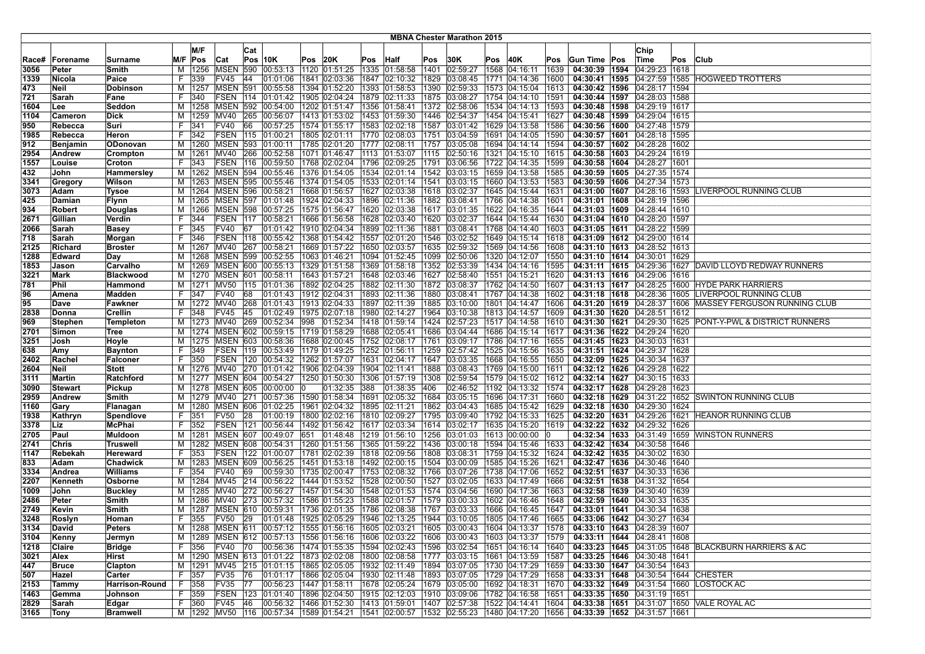|              |                |                   |          |               |                                |     |                                                              |     |               |     |                                                 |              | <b>MBNA Chester Marathon 2015</b> |     |                                                                                                    |              |                                   |                                   |     |                                                           |
|--------------|----------------|-------------------|----------|---------------|--------------------------------|-----|--------------------------------------------------------------|-----|---------------|-----|-------------------------------------------------|--------------|-----------------------------------|-----|----------------------------------------------------------------------------------------------------|--------------|-----------------------------------|-----------------------------------|-----|-----------------------------------------------------------|
|              |                |                   |          |               |                                |     |                                                              |     |               |     |                                                 |              |                                   |     |                                                                                                    |              |                                   |                                   |     |                                                           |
|              |                |                   |          | M/F           |                                | Cat |                                                              |     |               |     |                                                 |              |                                   |     |                                                                                                    |              |                                   | Chip                              |     |                                                           |
| Race#        | Forename       | Surname           |          | M/F Pos       | Cat                            |     | <b>Pos 10K</b>                                               | Pos | 20K           |     | Pos Half                                        | Pos          | 30K                               | Pos | 40K                                                                                                | Pos          | Gun Time Pos                      | ∣Time                             | Pos | <b>Club</b>                                               |
| 3056         | Peter          | Smith             | м        | 1256          | <b>MSEN</b>                    | 590 | 00:53:13                                                     |     |               |     | 1120 01:51:25 1335 01:58:58                     | 1401         | 02:59:27                          |     | 1568 04:16:11                                                                                      | 1639         | 04:30:39 1594                     | 04:29:23   1618                   |     |                                                           |
| 1339         | Nicola         | Paice             | F.       | 339           | FV45                           | 44  | 01:01:06                                                     |     |               |     | $1841$ 02:03:36 1847 02:10:32                   | 1829         | 03:08:45                          |     | 1771 04:14:36                                                                                      | 1600         | 04:30:41   1595   04:27:59   1585 |                                   |     | <b>HOGWEED TROTTERS</b>                                   |
| 473          | Neil           | Dobinson          | м        | 1257          | <b>MSEN</b>                    | 591 | 00:55:58                                                     |     | 1394 01:52:20 |     | 1393 01:58:53                                   | 1390         | 02:59:33                          |     | 1573 04:15:04                                                                                      | 1613         | 04:30:42   1596                   | 04:28:17 1594                     |     |                                                           |
| 721          | Sarah          | Fane              | F.       | 340           | FSEN                           | 114 | 01:01:42                                                     |     | 1905 02:04:24 |     | 1879 02:11:33                                   | 1875         | 03:08:27                          |     | 1754 04:14:10                                                                                      | 1591         | 04:30:44   1597   04:28:03   1588 |                                   |     |                                                           |
| 1604         | Lee            | Seddon            | м        | 1258          |                                |     | MSEN 592 00:54:00                                            |     |               |     | 1202 01:51:47   1356 01:58:41                   |              | 1372 02:58:06                     |     | 1534 04:14:13                                                                                      | 1593         | 04:30:48 1598 04:29:19 1617       |                                   |     |                                                           |
| 1104         | Cameron        | Dick              | M        | 1259          | MV40                           |     | 265 00:56:07                                                 |     |               |     | 1413 01:53:02 1453 01:59:30                     | 1446         | 02:54:37                          |     | 1454 04:15:41                                                                                      | 1627         |                                   | 04:30:48 1599 04:29:04 1615       |     |                                                           |
| 950          | Rebecca        | Suri              | F        | 341           | FV40                           | 66  | 00:57:25                                                     |     |               |     | 1574  01:55:17  1583  02:02:18                  | 1587         | 03:01:42                          |     | 1629 04:13:58                                                                                      | 1586         |                                   | 04:30:56   1600   04:27:48   1579 |     |                                                           |
| 1985         | Rebecca        | Heron             | F.       | $ 342\rangle$ | FSEN                           | 115 | 01:00:21                                                     |     | 1805 02:01:11 |     | 1770 02:08:03                                   | 1751         | 03:04:59                          |     | 1691 04:14:05                                                                                      | 1590         |                                   | 04:30:57   1601   04:28:18   1595 |     |                                                           |
| 912          | Benjamin       | ODonovan          | M        | 1260          | <b>MSEN</b>                    | 593 | 01:00:11                                                     |     | 1785 02:01:20 |     | 1777 02:08:11                                   | 1757         | 03:05:08                          |     | 1694 04:14:14                                                                                      | 1594         |                                   | 04:30:57   1602   04:28:28   1602 |     |                                                           |
| 2954         | Andrew         | Crompton          | M        | 1261          | <b>MV40</b>                    | 266 | 00:52:58                                                     |     |               |     | 1071 01:46:47 1113 01:53:07                     | 1115         | 02:50:16                          |     | 1321 04:15:10                                                                                      | 1615         | 04:30:58 1603 04:29:24 1619       |                                   |     |                                                           |
| 1557         | Louise         | Croton            | F.       | 343           | <b>FSEN 116</b>                |     | 00:59:50                                                     |     |               |     | 1768 02:02:04   1796 02:09:25                   | 1791         | 03:06:56                          |     | 1722 04:14:35                                                                                      | 1599         | 04:30:58   1604   04:28:27   1601 |                                   |     |                                                           |
| 432          | John           | Hammersley        |          |               | M   1262   MSEN   594          |     | 00:55:46                                                     |     |               |     | 1376 01:54:05 1534 02:01:14                     | 1542         | 03:03:15                          |     | 1659 04:13:58                                                                                      | 1585         | 04:30:59   1605   04:27:35   1574 |                                   |     |                                                           |
| 3341         | Gregory        | Wilson            | M        | 1263          | <b>MSEN 595</b>                |     | 00:55:46                                                     |     |               |     | 1374  01:54:05  1533  02:01:14                  | 1541         | 03:03:15                          |     | 1660 04:13:53                                                                                      | 1583         |                                   | 04:30:59 1606 04:27:34 1573       |     |                                                           |
| 3073         | Adam           | <b>Tysoe</b>      | M        | 1264          | <b>MSEN 596</b>                |     | 00:58:21                                                     |     |               |     | 1668 01:56:57 1627 02:03:38                     | 1618         | 03:02:37                          |     | 1645 04:15:44                                                                                      | 1631         |                                   | 04:31:00 1607 04:28:16 1593       |     | LIVERPOOL RUNNING CLUB                                    |
| 425          | Damian         | <b>Flynn</b>      | м        | 1265          | MSEN                           | 597 | 01:01:48                                                     |     | 1924 02:04:33 |     | 1896 02:11:36                                   | 1882         | 03:08:41                          |     | 1766 04:14:38                                                                                      | 1601         | 04:31:01   1608                   | 04:28:19 1596                     |     |                                                           |
| 934          | <b>Robert</b>  | Douglas           | M        | 1266          | <b>MSEN 598</b>                |     | 00:57:25                                                     |     | 1575 01:56:47 |     | 1620 02:03:38                                   | 1617         | 03:01:35                          |     | 1622 04:16:35                                                                                      | 1644         | 04:31:03   1609   04:28:44   1610 |                                   |     |                                                           |
| 2671         | Gillian        | Verdin            | F.       | 344           | <b>FSEN</b>                    | 117 | 00:58:21                                                     |     |               |     | 1666 01:56:58 1628 02:03:40                     | 1620         | 03:02:37                          |     | 1644 04:15:44                                                                                      | 1630         | 04:31:04   1610   04:28:20   1597 |                                   |     |                                                           |
| 2066         | Sarah          | Basey             | F.<br>F. | 345           | <b>FV40</b><br><b>FSEN 118</b> | 67  | 01:01:42  1910  02:04:34  1899  02:11:36                     |     |               |     |                                                 | 1881<br>1546 | 03:08:41                          |     | 1768 04:14:40                                                                                      | 1603         | 04:31:05   1611   04:28:22   1599 |                                   |     |                                                           |
| 718          | Sarah          | Morgan            |          | 346           |                                |     | $ 00:55:42\rangle$                                           |     |               |     | 1368 01:54:42   1557 02:01:20                   |              | 03:02:52                          |     | 1649 04:15:14                                                                                      | 1618         |                                   | 04:31:09   1612   04:29:00   1614 |     |                                                           |
| 2125         | <b>Richard</b> | <b>Broster</b>    | м        | 1267          | <b>MV40</b>                    | 267 | 00:58:21                                                     |     |               |     | 1669 01:57:22   1650 02:03:57                   | 1635         | 02:59:32                          |     | 1569 04:14:56                                                                                      | 1608         |                                   | 04:31:10   1613   04:28:52   1613 |     |                                                           |
| 1288         | Edward         | Day<br>Carvalho   | м        | 1268<br>1269  | MSEN<br><b>MSEN 600</b>        | 599 | 00:52:55                                                     |     |               |     | 1063 01:46:21   1094   01:52:45                 | 1099<br>1352 | 02:50:06                          |     | 1320 04:12:07                                                                                      | 1550         | 04:31:10   1614   04:30:01   1629 | 04:31:11   1615   04:29:36   1627 |     | DAVID LLOYD REDWAY RUNNERS                                |
| 1853<br>3221 | Jason<br>Mark  |                   | M<br>м   |               | <b>MSEN 601</b>                |     | 00:55:13<br> 00:58:11                                        |     | 1643 01:57:21 |     | 1329  01:51:58  1369  01:58:18<br>1648 02:03:46 | 1627         | 02:53:39<br>02:58:40              |     | 1434 04:14:16<br>1551 04:15:21                                                                     | 1595<br>1620 | 04:31:13   1616   04:29:06   1616 |                                   |     |                                                           |
|              |                | <b>Blackwood</b>  |          | 1270          | 1271 MV50                      | 115 | 01:01:36                                                     |     |               |     | 1892 02:04:25   1882 02:11:30                   |              | 1872 03:08:37                     |     | 1762 04:14:50                                                                                      | 1607         |                                   |                                   |     | 04:31:13 1617 04:28:25 1600 HYDE PARK HARRIERS            |
| 781<br>96    | Phil           | Hammond<br>Madden | M<br>F.  | 347           | <b>FV40</b>                    | 68  | 01:01:43                                                     |     | 1912 02:04:31 |     | 1893 02:11:36                                   | 1880         | 03:08:41                          |     | 1767 04:14:38                                                                                      | 1602         |                                   | 04:31:18 1618 04:28:36 1605       |     | LIVERPOOL RUNNING CLUB                                    |
| 95           | Amena<br>Dave  | Fawkner           | М        | 1272          | MV40                           | 268 | 01:01:43                                                     |     |               |     | 1913  02:04:33  1897  02:11:39                  | 1885         | 03:10:00                          |     | 1801 04:14:47                                                                                      | 1606         |                                   | 04:31:20   1619   04:28:37   1606 |     | MASSEY FERGUSON RUNNING CLUB                              |
| 2838         | Donna          | Crellin           | F.       | 348           | FV45                           | 45  | 01:02:49                                                     |     |               |     | 1975  02:07:18  1980  02:14:27                  | 1964         | 03:10:38                          |     | 1813 04:14:57                                                                                      | 1609         |                                   | 04:31:30   1620   04:28:51   1612 |     |                                                           |
| 969          | Stephen        | Templeton         | M        | 1273          | <b>MV40</b>                    | 269 | 00:52:34                                                     | 998 | 01:52:34      |     | 1418 01:59:14                                   | 1424         | 02:57:23                          |     | 1517 04:14:58                                                                                      | 1610         |                                   |                                   |     | 04:31:30 1621 04:29:30 1625 PONT-Y-PWL & DISTRICT RUNNERS |
| 2701         | Simon          | Tree              | м        | 1274          | <b>MSEN</b>                    |     | 602 00:59:15                                                 |     | 1719 01:58:29 |     | 1688 02:05:41                                   | 1686         | 03:04:44                          |     | 1686 04:15:14                                                                                      | 1617         | 04:31:36   1622   04:29:24   1620 |                                   |     |                                                           |
| 3251         | Josh           | Hoyle             | м        |               |                                |     | 1275   MSEN   603   00:58:36                                 |     |               |     | 1688 02:00:45   1752 02:08:17                   |              | 1761 03:09:17                     |     | 1786 04:17:16                                                                                      | 1655         | 04:31:45   1623   04:30:03   1631 |                                   |     |                                                           |
| 638          | Amy            | Baynton           | F.       | 349           |                                |     | FSEN  119  00:53:49  1179  01:49:25  1252  01:56:11          |     |               |     |                                                 |              | 1259 02:57:42                     |     | 1525 04:15:56                                                                                      | 1635         | 04:31:51 1624 04:29:37 1628       |                                   |     |                                                           |
| 2402         | Rachel         | Falconer          | F        | 350           |                                |     | FSEN   120   00:54:32   1262   01:57:07   1631   02:04:17    |     |               |     |                                                 | 1647         | 03:03:35                          |     | 1668 04:16:55                                                                                      | 1650         | 04:32:09   1625   04:30:34   1637 |                                   |     |                                                           |
| 2604         | Neil           | <b>Stott</b>      | м        | 1276          | MV40                           |     | 270 01:01:42                                                 |     | 1906 02:04:39 |     | 1904 02:11:41                                   | 1888         | 03:08:43                          |     | 1769 04:15:00                                                                                      | 1611         | 04:32:12   1626   04:29:28   1622 |                                   |     |                                                           |
| 3111         | Martin         | Ratchford         | м        | 1277          | <b>MSEN</b>                    | 604 | 00:54:27                                                     |     | 1250 01:50:30 |     | 1306 01:57:19                                   | 1308         | 02:59:54                          |     | 1579 04:15:02                                                                                      | 1612         | 04:32:14 1627                     | 04:30:15 1633                     |     |                                                           |
| 3090         | <b>Stewart</b> | Pickup            | M        | 1278          | <b>MSEN 605</b>                |     | 00:00:00                                                     |     | 01:32:35      | 388 | 01:38:35                                        | 406          | 02:46:52                          |     | 1192 04:13:32                                                                                      | 1574         | 04:32:17   1628   04:29:28   1623 |                                   |     |                                                           |
| 2959         | Andrew         | Smith             | M        |               | 1279 MV40                      |     | 271 00:57:36                                                 |     |               |     | 1590 01:58:34  1691 02:05:32                    | 1684         | 03:05:15                          |     | 1696 04:17:31                                                                                      | 1660         |                                   |                                   |     | 04:32:18 1629 04:31:22 1652 SWINTON RUNNING CLUB          |
| 1160         | Gary           | Flanagan          | M        | 1280          |                                |     | MSEN 606 01:02:25                                            |     |               |     | 1961 02:04:32   1895 02:11:21                   | 1862         | 03:04:43                          |     | 1685 04:15:42                                                                                      | 1629         | 04:32:18   1630   04:29:30   1624 |                                   |     |                                                           |
| 1938         | Kathryn        | Spendlove         | F.       | 351           | <b>FV50</b>                    | 28  | 01:00:19                                                     |     |               |     | 1800 02:02:16 1810 02:09:27                     | 1795         | 03:09:40                          |     | 1792 04:15:33                                                                                      | 1625         |                                   | 04:32:20   1631   04:29:26   1621 |     | <b>HEANOR RUNNING CLUB</b>                                |
| 3378         | Liz            | <b>McPhai</b>     | F.       | 352           | FSEN                           | 121 | 00:56:44                                                     |     |               |     | 1492 01:56:42 1617 02:03:34                     | 1614         | 03:02:17                          |     | 1635 04:15:20                                                                                      | 1619         |                                   | 04:32:22   1632   04:29:32   1626 |     |                                                           |
| 2705         | Paul           | Muldoon           | м        | 1281          | <b>MSEN 607</b>                |     | 00:49:07                                                     | 651 |               |     | $[01:48:48$  1219  01:56:10                     | 1256         | 03:01:03                          |     | 1613 00:00:00                                                                                      |              |                                   | 04:32:34   1633   04:31:49   1659 |     | WINSTON RUNNERS                                           |
| 2741         | Chris          | <b>Truswell</b>   | M        | 1282          | <b>MSEN 608</b>                |     | 00:54:31                                                     |     | 1260 01:51:56 |     | 1365 01:59:22                                   | 1436         | 03:00:18                          |     | 1594 04:15:46                                                                                      | 1633         | 04:32:42 1634                     | 04:30:58 1646                     |     |                                                           |
| 1147         | Rebekah        | Hereward          | F.       | 353           |                                |     | FSEN 122 01:00:07                                            |     |               |     | 1781 02:02:39   1818 02:09:56                   | 1808         | 03:08:31                          |     | 1759 04:15:32                                                                                      | 1624         | 04:32:42   1635   04:30:02   1630 |                                   |     |                                                           |
| 833          | Adam           | Chadwick          | M        |               |                                |     | 1283   MSEN   609   00:56:25                                 |     |               |     | 1451  01:53:18  1492  02:00:15                  | 1504         | 03:00:09                          |     | 1585 04:15:26                                                                                      | 1621         | 04:32:47 1636 04:30:46 1640       |                                   |     |                                                           |
| 3334         | Andrea         | Williams          | F        | 354           | FV40                           | 69  | 00:59:30                                                     |     |               |     | 1735 02:00:47 1753 02:08:32                     | 1766         | 03:07:26                          |     | 1738 04:17:06                                                                                      | 1652         |                                   | 04:32:51   1637   04:30:33   1636 |     |                                                           |
| 2207         | Kenneth        | Osborne           | М        | 1284          | MV45                           | 214 | 00:56:22                                                     |     | 1444 01:53:52 |     | 1528 02:00:50                                   | 1527         | 03:02:05                          |     | 1633 04:17:49                                                                                      | 1666         |                                   | 04:32:51   1638   04:31:32   1654 |     |                                                           |
| 1009         | John           | <b>Buckley</b>    | M        | 1285          | MV40                           |     | 272 00:56:27                                                 |     |               |     | 1457 01:54:30 1548 02:01:53                     | 1574         | 03:04:56                          |     | 1690 04:17:36                                                                                      | 1663         |                                   | 04:32:58   1639   04:30:40   1639 |     |                                                           |
| 2486         | Peter          | Smith             | м        | 1286          | MV40                           | 273 | 00:57:32                                                     |     | 1586 01:55:23 |     | 1588 02:01:57                                   | 1579         | 03:00:33                          |     | 1602 04:16:46                                                                                      | 1648         | 04:32:59 1640 04:30:33 1635       |                                   |     |                                                           |
| 2749         | Kevin          | Smith             | м        | 1287          |                                |     | MSEN 610 00:59:31                                            |     |               |     | 1736 02:01:35 1786 02:08:38                     | 1767         | 03:03:33                          |     | 1666 04:16:45                                                                                      | 1647         | 04:33:01   1641   04:30:34   1638 |                                   |     |                                                           |
| 3248         | Roslyn         | Homan             | F.       | 355           | FV50                           | 29  |                                                              |     |               |     | 01:01:48  1925  02:05:29  1946  02:13:25        |              | 1944 03:10:05                     |     | 1805 04:17:46                                                                                      | 1665         | 04:33:06 1642 04:30:27 1634       |                                   |     |                                                           |
| 3134         | David          | Peters            |          |               |                                |     |                                                              |     |               |     |                                                 |              |                                   |     | M  1288  MSEN  611  00:57:12  1555  01:56:16  1605  02:03:21  1605  03:00:43  1604  04:13:37  1578 |              | 04:33:10   1643   04:28:39   1607 |                                   |     |                                                           |
| 3104         | Kenny          | Jermyn            |          | M   1289      |                                |     |                                                              |     |               |     |                                                 |              |                                   |     | MSEN 612 00:57:13 1556 01:56:16 1606 02:03:22 1606 03:00:43 1603 04:13:37 1579                     |              |                                   | 04:33:11 1644 04:28:41 1608       |     |                                                           |
| 1218         | Claire         | <b>Bridge</b>     | F.       | 356           | FV40 70                        |     | $ 00:56:36 \t  1474 \t  01:55:35 \t  1594 \t  02:02:43 \t$   |     |               |     |                                                 |              | 1596 03:02:54                     |     | 1651 04:16:14  1640                                                                                |              |                                   |                                   |     | 04:33:23 1645 04:31:05 1648 BLACKBURN HARRIERS & AC       |
| 3021         | Alex           | Hirst             | M        |               |                                |     | 1290 MSEN 613 01:01:22 1873 02:02:08 1800 02:08:58           |     |               |     |                                                 |              | 1777 03:03:15                     |     | 1661 04:13:59                                                                                      | 1587         | 04:33:25   1646   04:30:48   1641 |                                   |     |                                                           |
| 447          | <b>Bruce</b>   | Clapton           | м        | 1291          |                                |     | MV45 215 01:01:15 1865 02:05:05 1932 02:11:49                |     |               |     |                                                 |              | 1894 03:07:05                     |     | 1730 04:17:29                                                                                      | 1659         | 04:33:30   1647   04:30:54   1643 |                                   |     |                                                           |
| 507          | Hazel          | Carter            | F.       | 357           | FV35 76                        |     | 01:01:17 1866 02:05:04 1930 02:11:48                         |     |               |     |                                                 |              |                                   |     | 1893 03:07:05 1729 04:17:29                                                                        | 1658         |                                   |                                   |     | 04:33:31 1648 04:30:54 1644 CHESTER                       |
| 2153         | Tammy          | Harrison-Round    |          | F 358         | FV35 77                        |     | 00:56:23 1447 01:58:11 1678 02:05:24                         |     |               |     |                                                 |              |                                   |     | 1679 03:05:00 1692 04:18:31                                                                        | 1670         |                                   |                                   |     | 04:33:32 1649 04:31:54 1660 LOSTOCK AC                    |
| 1463         | Gemma          | Johnson           |          | F 359         |                                |     | FSEN 123 01:01:40 1896 02:04:50 1915 02:12:03                |     |               |     |                                                 |              | 1910 03:09:06                     |     | 1782 04:16:58                                                                                      | 1651         | 04:33:35 1650 04:31:19 1651       |                                   |     |                                                           |
| 2829         | Sarah          | Edgar             |          | F 360         | FV45                           | 46  | 00:56:32 1466 01:52:30 1413 01:59:01                         |     |               |     |                                                 |              | 1407 02:57:38                     |     | 1522 04:14:41                                                                                      | 1604         |                                   |                                   |     | 04:33:38 1651 04:31:07 1650 VALE ROYAL AC                 |
| 3165         | Tony           | <b>Bramwell</b>   |          |               |                                |     | M  1292  MV50  116  00:57:34  1589  01:54:21  1541  02:00:57 |     |               |     |                                                 |              |                                   |     | 1532  02:55:23  1480  04:17:20                                                                     | 1656         | 04:33:39 1652 04:31:57 1661       |                                   |     |                                                           |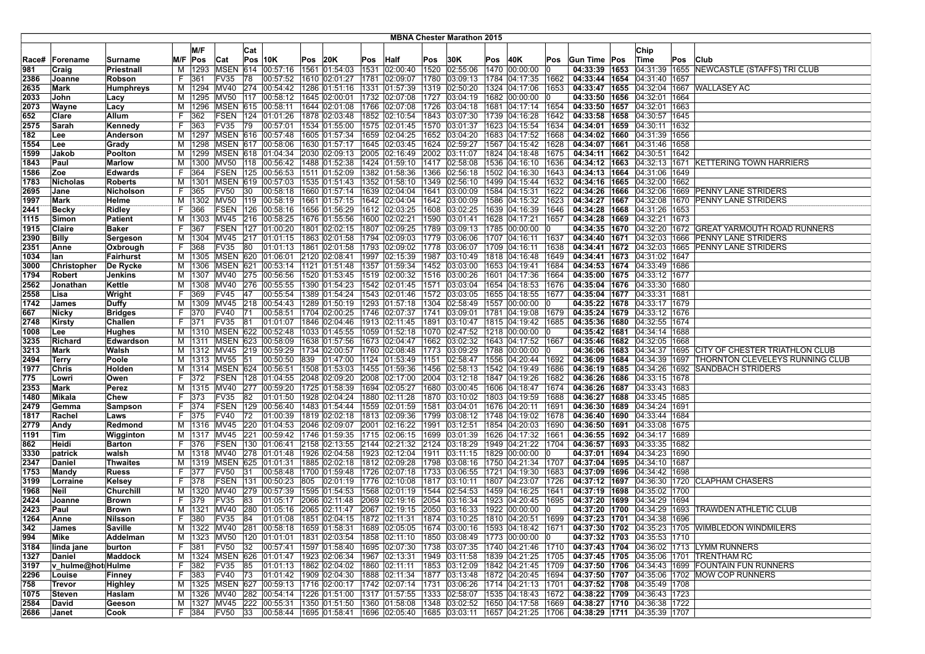|              |                             |                     |         |             |                     |     |                                               |      |                                |                                                                                                    |              | <b>MBNA Chester Marathon 2015</b> |     |                                                  |              |                                   |                                                      |      |                                                                                                                                                                  |
|--------------|-----------------------------|---------------------|---------|-------------|---------------------|-----|-----------------------------------------------|------|--------------------------------|----------------------------------------------------------------------------------------------------|--------------|-----------------------------------|-----|--------------------------------------------------|--------------|-----------------------------------|------------------------------------------------------|------|------------------------------------------------------------------------------------------------------------------------------------------------------------------|
|              |                             |                     |         | M/F         |                     |     |                                               |      |                                |                                                                                                    |              |                                   |     |                                                  |              |                                   |                                                      |      |                                                                                                                                                                  |
|              |                             |                     |         |             |                     | Cat |                                               |      |                                |                                                                                                    |              |                                   |     |                                                  |              |                                   | Chip                                                 |      |                                                                                                                                                                  |
| Race#        | Forename                    | Surname             |         | M/F Pos     | Cat                 |     | <b>Pos 10K</b>                                | Pos  | 20K                            | Pos Half                                                                                           | Pos          | 30K                               | Pos | 40K                                              | Pos          | Gun Time Pos                      | Time                                                 | Pos  | Club                                                                                                                                                             |
| 981          | Craig                       | Priestnall          | м       | 1293        | <b>MSEN</b>         | 614 | 00:57:16                                      |      | 1561 01:54:03                  | 1531 02:00:40                                                                                      | 1520         | 02:55:06                          |     | 1470 00:00:00                                    |              | 04:33:39 1653                     |                                                      |      | 04:31:39 1655 NEWCASTLE (STAFFS) TRI CLUB                                                                                                                        |
| 2386         | Joanne                      | Robson              | F       | 361         | FV35                | 78  | 00:57:52                                      |      | 1610 02:01:27                  | 1781 02:09:07                                                                                      | 1780         | 03:09:13                          |     | 1784 04:17:35                                    | 1662         | 04:33:44   1654   04:31:40   1657 |                                                      |      |                                                                                                                                                                  |
| 2635         | Mark                        | Humphreys           | M       | 1294        | <b>MV40</b>         | 274 | 00:54:42<br>00:58:12                          | 1286 | 01:51:16                       | 1331 01:57:39                                                                                      | 1319         | 02:50:20                          |     | 1324 04:17:06                                    | 1653         | 04:33:47   1655<br>04:33:50 1656  |                                                      |      | 04:32:04 1667 WALLASEY AC                                                                                                                                        |
| 2033         | John                        | Lacy                | м       | 1295        | <b>MV50</b>         | 117 |                                               | 1645 | 02:00:01                       | 1732 02:07:08                                                                                      | 1727         | 03:04:19                          |     | 1682 00:00:00                                    |              | 04:33:50 1657 04:32:01 1663       | 04:32:01 1664                                        |      |                                                                                                                                                                  |
| 2073         | Wayne                       | Lacy                | M       |             |                     |     | 1296 MSEN 615 00:58:11                        |      | 1644 02:01:08                  | 1766 02:07:08                                                                                      |              |                                   |     | 1726  03:04:18  1681  04:17:14                   | 1654         |                                   |                                                      |      |                                                                                                                                                                  |
| 652          | Clare                       | Allum               | F       | 362         |                     |     | FSEN   124   01:01:26                         |      |                                | 1878 02:03:48 1852 02:10:54                                                                        |              |                                   |     | 1843  03:07:30  1739  04:16:28                   | 1642         |                                   | 04:33:58 1658 04:30:57 1645                          |      |                                                                                                                                                                  |
| 2575         | Sarah                       | Kennedy             | F       | 363         | FV35                | 79  | 00:57:01                                      |      | 1534 01:55:00                  | 1575 02:01:45                                                                                      | 1570         | 03:01:37                          |     | 1623 04:15:54                                    | 1634         | 04:34:01   1659   04:30:11        |                                                      | 1632 |                                                                                                                                                                  |
| 182          | Lee                         | Anderson            | м       | 1297        | <b>MSEN 616</b>     |     | 00:57:48                                      |      | 1605 01:57:34                  | 1659 02:04:25                                                                                      |              | 1652 03:04:20                     |     | 1683 04:17:52                                    | 1668         |                                   | 04:34:02   1660   04:31:39   1656                    |      |                                                                                                                                                                  |
| 1554         | Lee                         | Grady               | м       | 1298        | <b>MSEN 617</b>     |     | 00:58:06                                      |      | 1630 01:57:17                  | 1645 02:03:45                                                                                      | 1624         | 02:59:27                          |     | 1567 04:15:42                                    | 1628         | 04:34:07 1661                     | 04:31:46                                             | 1658 |                                                                                                                                                                  |
| 1599         | Jakob                       | Poolton             | M       | 1299        |                     |     | MSEN 618 01:04:34                             |      | 2030 02:09:13                  | 2005 02:16:49                                                                                      | 2002         | 03:11:07                          |     | 1824 04:18:48                                    | 1675         |                                   | 04:34:11   1662   04:30:51   1642                    |      |                                                                                                                                                                  |
| 1843         | Paul                        | <b>Marlow</b>       | м       | 1300        | MV50                |     | 118  00:56:42  1488  01:52:38                 |      |                                | 1424 01:59:10                                                                                      | 1417         | 02:58:08                          |     | 1536 04:16:10                                    | 1636         |                                   |                                                      |      | 04:34:12 1663 04:32:13 1671 KETTERING TOWN HARRIERS                                                                                                              |
| 1586         | Zoe                         | <b>Edwards</b>      | F       | 364         |                     |     | FSEN 125 00:56:53                             |      | 1511 01:52:09                  | 1382 01:58:36                                                                                      | 1366         | 02:56:18                          |     | 1502 04:16:30                                    | 1643         |                                   | 04:34:13   1664   04:31:06   1649                    |      |                                                                                                                                                                  |
| 1783         | <b>Nicholas</b>             | <b>Roberts</b>      | М       | 1301        |                     |     | MSEN 619 00:57:03                             |      | 1535 01:51:43                  | 1352 01:58:10                                                                                      | 1349         | 02:56:10                          |     | 1499 04:15:44                                    | 1632         |                                   | 04:34:16   1665   04:32:00   1662                    |      |                                                                                                                                                                  |
| 2695         | Jane                        | <b>Nicholson</b>    | F       | 365         | <b>FV50</b>         | 30  | 00:58:18                                      |      | 1660 01:57:14                  | 1639 02:04:04                                                                                      | 1641         | 03:00:09                          |     | 1584 04:15:31                                    | 1622         |                                   | 04:34:26 1666 04:32:06                               |      | 1669 PENNY LANE STRIDERS                                                                                                                                         |
| 1997         | <b>Mark</b>                 | Helme               | M       | 1302        | <b>MV50</b>         | 119 | 00:58:19                                      |      | 1661 01:57:15                  | 1642 02:04:04                                                                                      |              | 1642 03:00:09                     |     | 1586 04:15:32                                    | 1623         | 04:34:27 1667                     |                                                      |      | 04:32:08 1670 PENNY LANE STRIDERS                                                                                                                                |
| 2441         | <b>Becky</b>                | <b>Ridley</b>       | F       | 366         | <b>FSEN</b>         | 126 | 00:58:16                                      |      | 1656 01:56:29                  | 1612 02:03:25                                                                                      |              | 1608 03:02:25                     |     | 1639 04:16:39                                    | 1646         |                                   | 04:34:28   1668   04:31:26   1653                    |      |                                                                                                                                                                  |
| 1115         | Simon                       | <b>Patient</b>      | М       | 1303        | MV45                |     | 216 00:58:25                                  |      | 1676 01:55:56                  | 1600 02:02:21                                                                                      |              | 1590 03:01:41                     |     | 1628 04:17:21                                    | 1657         | 04:34:28 1669 04:32:21 1673       |                                                      |      |                                                                                                                                                                  |
| 1915         | Claire                      | Baker               | F       | 367         | <b>FSEN</b>         | 127 | 01:00:20                                      |      |                                | 1801 02:02:15  1807 02:09:25                                                                       |              |                                   |     | 1789  03:09:13  1785  00:00:00                   |              |                                   |                                                      |      | 04:34:35 1670 04:32:20 1672 GREAT YARMOUTH ROAD RUNNERS                                                                                                          |
| 2390         | <b>Billy</b>                | Sergeson            |         | M   1304    | <b>MV45</b>         |     | 217 01:01:15                                  |      | 1863 02:01:58                  | 1794 02:09:03                                                                                      |              | 1779 03:06:06                     |     | 1707 04:16:11                                    | 1637         |                                   |                                                      |      | 04:34:40   1671   04:32:03   1666   PENNY LANE STRIDERS                                                                                                          |
| 2351         | Anne                        | Oxbrough            | F       | 368         | <b>FV35</b>         | 80  | 01:01:13                                      |      | 1861 02:01:58                  | 1793 02:09:02                                                                                      | 1778         | 03:06:07                          |     | 1709 04:16:11                                    | 1638         |                                   |                                                      |      | 04:34:41   1672   04:32:03   1665   PENNY LANE STRIDERS                                                                                                          |
| 1034         | lan                         | <b>Fairhurst</b>    | м       |             |                     |     | 1305 MSEN 620 01:06:01                        |      | 2120 02:08:41                  | 1997 02:15:39                                                                                      | 1987         |                                   |     | 03:10:49  1818  04:16:48                         | 1649         |                                   | 04:34:41 1673 04:31:02 1647                          |      |                                                                                                                                                                  |
| 3000         | Christopher                 | De Rycke            | м       | 1306        | MSEN                | 621 | 00:53:14                                      |      | 1121 01:51:48                  | 1357 01:59:34                                                                                      |              | 1452 03:03:00                     |     | 1653 04:19:41                                    | 1684         |                                   | 04:34:53   1674   04:33:49   1686                    |      |                                                                                                                                                                  |
| 1794         | Robert                      | Jenkins             | м       | 1307        | <b>MV40</b>         |     | 275 00:56:56                                  |      | 1520 01:53:45                  | 1519 02:00:32                                                                                      | 1516         | 03:00:26                          |     | 1601 04:17:36                                    | 1664         |                                   | 04:35:00   1675   04:33:12   1677                    |      |                                                                                                                                                                  |
| 2562         | Jonathan                    | Kettle              | M       |             | 1308 MV40           | 276 | 00:55:55                                      |      | 1390 01:54:23                  | 1542 02:01:45                                                                                      |              | 1571 03:03:04                     |     | 1654 04:18:53                                    | 1676         | 04:35:04 1676 04:33:30 1680       |                                                      |      |                                                                                                                                                                  |
| 2558         | Lisa                        | Wright              | F       | 369         | FV45                | 47  | 00:55:54                                      |      |                                | 1389 01:54:24 1543 02:01:46                                                                        |              | 1572 03:03:05                     |     | 1655 04:18:55                                    | 1677         |                                   | 04:35:04 1677 04:33:31 1681                          |      |                                                                                                                                                                  |
| 1742         | <b>James</b>                | Duffy               | M       | 1309        | <b>MV45</b>         |     | 218 00:54:43                                  |      | 1289 01:50:19                  | 1293 01:57:18                                                                                      |              | 1304 02:58:49                     |     | 1557 00:00:00                                    |              |                                   | 04:35:22   1678   04:33:17   1679                    |      |                                                                                                                                                                  |
| 667          | Nicky                       | <b>Bridges</b>      | F       | 370         | <b>FV40</b>         | 71  | 00:58:51                                      |      | 1704 02:00:25                  | 1746 02:07:37                                                                                      | 1741         | 03:09:01                          |     | 1781 04:19:08                                    | 1679         |                                   | 04:35:24   1679   04:33:12   1676                    |      |                                                                                                                                                                  |
| 2748         | Kirsty                      | Challen             | F       | 371         | FV35                | 81  | 01:01:07                                      | 1846 | 02:04:46                       | 1913 02:11:45                                                                                      | 1891         | 03:10:47                          |     | 1815 04:19:42                                    | 1685         | 04:35:36   1680   04:32:55   1674 |                                                      |      |                                                                                                                                                                  |
| 1008         | Lee                         | Hughes              | м       | 1310        |                     |     | MSEN 622 00:52:48                             |      | 1033 01:45:55                  | 1059 01:52:18                                                                                      | 1070         | 02:47:52                          |     | 1218 00:00:00                                    |              | 04:35:42 1681                     | 04:34:14   1688                                      |      |                                                                                                                                                                  |
| 3235         | Richard                     | Edwardson           |         | M   1311    |                     |     | MSEN 623 00:58:09                             |      | 1638 01:57:56                  | 1673 02:04:47                                                                                      |              |                                   |     | 1662  03:02:32  1643  04:17:52                   | 1667         | 04:35:46 1682 04:32:05 1668       |                                                      |      |                                                                                                                                                                  |
| 3213         | <b>Mark</b>                 | Walsh               |         |             |                     |     | M  1312 MV45  219  00:59:29                   |      | 1734 02:00:57                  | 1760 02:08:48                                                                                      |              |                                   |     | 1773  03:09:29  1788  00:00:00                   |              |                                   |                                                      |      | 04:36:06 1683 04:34:37 1695 CITY OF CHESTER TRIATHLON CLUB                                                                                                       |
| 2494         | <b>Terry</b>                | Poole               | м       | 1313 MV55   |                     | 51  | 00:50:50                                      | 839  | 01:47:00                       | 1124 01:53:49                                                                                      | 1151         | 02:58:47                          |     | 1556 04:20:44                                    | 1692         |                                   |                                                      |      | 04:36:09 1684 04:34:39 1697 THORNTON CLEVELEYS RUNNING CLUB                                                                                                      |
| 1977         | Chris                       | Holden              | м       |             |                     |     | 1314   MSEN 624   00:56:51                    |      | 1508 01:53:03                  | 1455 01:59:36                                                                                      | 1456         | 02:58:13                          |     | 1542 04:19:49                                    | 1686         |                                   | 04:36:19 1685 04:34:26 1692                          |      | <b>SANDBACH STRIDERS</b>                                                                                                                                         |
| 775          | Lowri                       | Owen                | F       | 372         | <b>FSEN</b>         | 128 | 01:04:55                                      |      | 2048 02:09:20                  | 2008 02:17:00                                                                                      | 2004         | 03:12:18                          |     | 1847 04:19:26                                    | 1682         | 04:36:26   1686                   | 04:33:15 1678                                        |      |                                                                                                                                                                  |
| 2353         | Mark                        | Perez               | M       | 1315        | <b>MV40</b>         | 277 | 00:59:20                                      |      | 1725 01:58:39                  | 1694 02:05:27                                                                                      | 1680         | 03:00:45                          |     | 1606 04:18:47                                    | 1674         | 04:36:26   1687                   | 04:33:43 1683                                        |      |                                                                                                                                                                  |
| 1480         | Mikala                      | Chew                | F       | 373         | FV35                | 82  | 01:01:50                                      |      | 1928 02:04:24                  | 1880 02:11:28                                                                                      |              |                                   |     | 1870  03:10:02  1803  04:19:59                   | 1688         | 04:36:27 1688 04:33:45 1685       |                                                      |      |                                                                                                                                                                  |
| 2479         | Gemma                       | Sampson             | F.<br>F | 374         | <b>FSEN</b>         |     | 129 00:56:40                                  |      |                                | 1483 01:54:44 1559 02:01:59                                                                        |              |                                   |     | 1581  03:04:01  1676  04:20:11                   | 1691         |                                   | 04:36:30   1689   04:34:24   1691                    |      |                                                                                                                                                                  |
| 1817         | Rachel                      | Laws                |         | 375         | <b>FV40</b>         | 72  | 01:00:39                                      |      | 1819 02:02:18                  | 1813 02:09:36                                                                                      | 1799         | 03:08:12                          |     | 1748 04:19:02                                    | 1678         |                                   | 04:36:40   1690   04:33:44   1684                    |      |                                                                                                                                                                  |
| 2779         | Andy                        | Redmond             | M       | 1316        | <b>MV45</b>         | 220 | 01:04:53                                      |      | 2046 02:09:07                  | 2001 02:16:22                                                                                      | 1991         | 03:12:51                          |     | 1854 04:20:03                                    | 1690         | 04:36:50                          | $1691$ 04:33:08 1675                                 |      |                                                                                                                                                                  |
| 1191         | Tim<br>Heidi                | Wigginton           | м<br>F  | 1317<br>376 | <b>MV45</b><br>FSEN | 221 | 00:59:42                                      |      | 1746 01:59:35<br>2158 02:13:55 | 1715 02:06:15<br>2144 02:21:32                                                                     | 1699<br>2124 | 03:01:39<br>03:18:29              |     | 1626 04:17:32                                    | 1661<br>1704 | 04:36:57 1693                     | 04:36:55   1692   04:34:17   1689<br>04:33:35   1682 |      |                                                                                                                                                                  |
| 862          |                             | <b>Barton</b>       |         | 1318 MV40   |                     |     | 130 01:06:41                                  |      |                                |                                                                                                    |              |                                   |     | 1949 04:21:22                                    |              |                                   |                                                      |      |                                                                                                                                                                  |
| 3330<br>2347 | patrick<br>Daniel           | walsh<br>Thwaites   | M<br>M  |             |                     |     | 278 01:01:48<br> 1319   MSEN   625   01:01:31 |      |                                | 1926  02:04:58  1923  02:12:04<br>1885 02:02:18 1812 02:09:28                                      | 1911         | 03:11:15                          |     | 1829 00:00:00<br> 1798  03:08:16  1750  04:21:34 | 1707         | 04:37:04 1695 04:34:10 1687       | 04:37:01   1694   04:34:23   1690                    |      |                                                                                                                                                                  |
| 1753         | Mandy                       | <b>Ruess</b>        | F       | 377         | <b>FV50</b>         | 131 | 00:58:48                                      |      |                                | 1700 01:59:48 1726 02:07:18                                                                        | 1733         | 03:06:55                          |     | 1721 04:19:30                                    | 1683         |                                   | 04:37:09   1696   04:34:42   1698                    |      |                                                                                                                                                                  |
| 3199         | Lorraine                    | Kelsey              | F       | 378         | FSEN                | 131 | 00:50:23                                      | 805  | 02:01:19                       | 1776 02:10:08                                                                                      | 1817         | 03:10:11                          |     | 1807 04:23:07                                    | 1726         |                                   |                                                      |      | 04:37:12   1697   04:36:30   1720   CLAPHAM CHASERS                                                                                                              |
| 1968         | Neil                        | Churchill           |         | M   1320    | MV40                |     | 279 00:57:39                                  |      | 1595 01:54:53                  | 1568 02:01:19                                                                                      | 1544         | 02:54:53                          |     | 1459 04:16:25                                    | 1641         |                                   | 04:37:19   1698   04:35:02   1700                    |      |                                                                                                                                                                  |
| 2424         | Joanne                      | <b>Brown</b>        | F.      | 379         | <b>FV35</b>         | 83  | 01:05:17                                      | 2066 | 02:11:48                       | 2069 02:19:16                                                                                      | 2054         | 03:16:34                          |     | 1923 04:20:45                                    | 1695         | 04:37:20   1699   04:34:29   1694 |                                                      |      |                                                                                                                                                                  |
| 2423         | Paul                        | <b>Brown</b>        | м       | 1321        | <b>MV40</b>         | 280 | 01:05:16                                      |      | 2065 02:11:47                  | 2067 02:19:15                                                                                      |              | 2050 03:16:33                     |     | 1922 00:00:00                                    |              |                                   | 04:37:20   1700   04:34:29   1693                    |      | <b>TRAWDEN ATHLETIC CLUB</b>                                                                                                                                     |
| 1264         | Anne                        | Nilsson             | F       | 380         | FV35                | 84  |                                               |      |                                |                                                                                                    |              |                                   |     | 1874  03:10:25  1810  04:20:51                   | 1699         | 04:37:23 1701 04:34:38 1696       |                                                      |      |                                                                                                                                                                  |
| 342          |                             |                     |         |             |                     |     |                                               |      |                                |                                                                                                    |              |                                   |     |                                                  |              |                                   |                                                      |      |                                                                                                                                                                  |
| 994          | James<br>Mike               | Saville<br>Addelman |         |             |                     |     |                                               |      |                                | M  1323  MV50  120  01:01:01  1831  02:03:54  1858  02:11:10  1850  03:08:49  1773  00:00:00  0    |              |                                   |     |                                                  |              |                                   | 04:37:32 1703 04:35:53 1710                          |      | M  1322  MV40  281  00:58:18  1659  01:58:31  1689  02:05:05  1674  03:00:16  1593  04:18:42  1671   <b>04:37:30  1702</b>  04:35:23  1705  WIMBLEDON WINDMILERS |
| 3184         | linda jane                  | burton              | F.      | 381         | FV50                | 32  |                                               |      |                                | 00:57:41  1597  01:58:40  1695  02:07:30  1738  03:07:35  1740  04:21:46  1710                     |              |                                   |     |                                                  |              |                                   |                                                      |      | 04:37:43   1704   04:36:02   1713   LYMM RUNNERS                                                                                                                 |
| 1327         | Daniel                      | Maddock             |         |             |                     |     | 1324   MSEN   626   01:01:47                  |      |                                | 1923 02:06:34 1967 02:13:31                                                                        |              |                                   |     | 1949   03:11:58   1839   04:21:25   1705         |              |                                   |                                                      |      | 04:37:45 1705 04:35:06 1701 TRENTHAM RC                                                                                                                          |
| 3197         |                             |                     | M<br>F  | 382         | FV35                | 85  | 01:01:13  1862  02:04:02  1860  02:11:11      |      |                                |                                                                                                    |              |                                   |     | 1853  03:12:09  1842  04:21:45  1709             |              |                                   |                                                      |      | 04:37:50 1706 04:34:43 1699 FOUNTAIN FUN RUNNERS                                                                                                                 |
| 2296         | v_hulme@hotiHulme<br>Louise |                     | F.      | 383         | FV40 73             |     | 01:01:42 1909 02:04:30 1888 02:11:34          |      |                                |                                                                                                    |              |                                   |     | 1877 03:13:48 1872 04:20:45 1694                 |              |                                   |                                                      |      | 04:37:50   1707   04:35:06   1702   MOW COP RUNNERS                                                                                                              |
| 758          | Trevor                      | Finney              |         |             |                     |     |                                               |      |                                | M  1325  MSEN  627  00:59:13  1716  02:00:17  1742  02:07:14  1731  03:06:26  1714  04:21:13  1701 |              |                                   |     |                                                  |              | 04:37:52   1708   04:35:49   1708 |                                                      |      |                                                                                                                                                                  |
|              |                             | Highley             |         |             |                     |     | M 1326 MV40 282 00:54:14                      |      |                                | 1226 01:51:00 1317 01:57:55                                                                        |              |                                   |     | 1333 02:58:07 1535 04:18:43 1672                 |              |                                   | 04:38:22   1709   04:36:43   1723                    |      |                                                                                                                                                                  |
| 1075         | Steven                      | Haslam              |         | M   1327    |                     |     |                                               |      |                                |                                                                                                    |              |                                   |     |                                                  | 1669         |                                   |                                                      |      |                                                                                                                                                                  |
| 2584<br>2686 | David                       | Geeson              |         |             |                     |     | MV45 222 00:55:31 1350 01:51:50 1360 01:58:08 |      |                                |                                                                                                    |              |                                   |     | 1348  03:02:52  1650  04:17:58                   |              | 04:38:27   1710   04:36:38   1722 |                                                      |      |                                                                                                                                                                  |
|              | <b>Janet</b>                | Cook                |         | F 384       | FV50 33             |     |                                               |      |                                | 00:58:44  1695  01:58:41  1696  02:05:40  1685  03:03:11  1657  04:21:25  1706                     |              |                                   |     |                                                  |              | 04:38:29 1711 04:35:39 1707       |                                                      |      |                                                                                                                                                                  |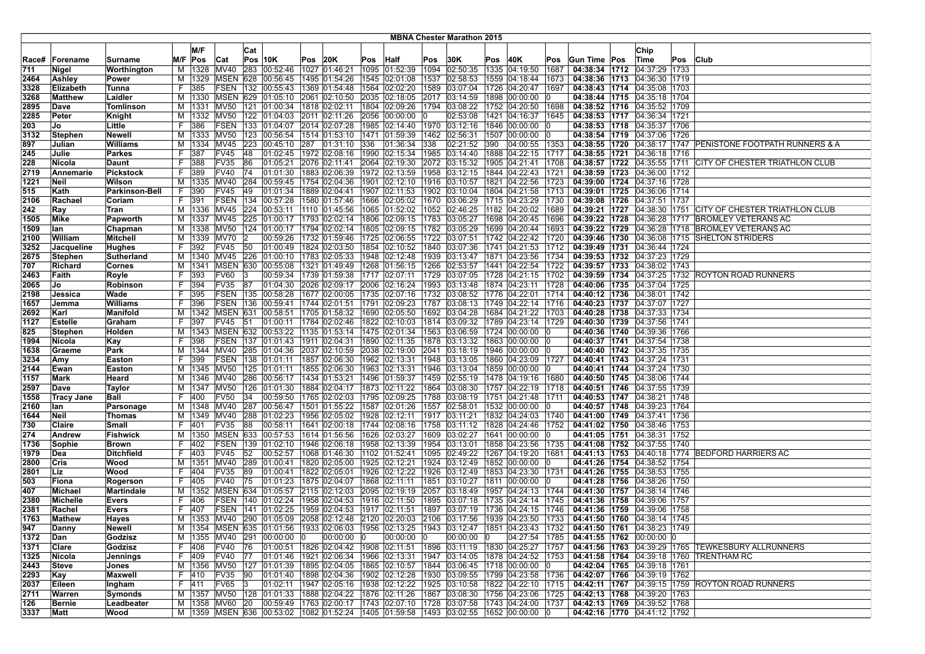|       |                   |                       |    |          |                 |     |                                      |      |               |     |                                                                                                            |      | <b>MBNA Chester Marathon 2015</b> |     |                                      |      |                                   |               |     |                                                            |
|-------|-------------------|-----------------------|----|----------|-----------------|-----|--------------------------------------|------|---------------|-----|------------------------------------------------------------------------------------------------------------|------|-----------------------------------|-----|--------------------------------------|------|-----------------------------------|---------------|-----|------------------------------------------------------------|
|       |                   |                       |    |          |                 |     |                                      |      |               |     |                                                                                                            |      |                                   |     |                                      |      |                                   |               |     |                                                            |
|       |                   |                       |    | M/F      |                 | Cat |                                      |      |               |     |                                                                                                            |      |                                   |     |                                      |      |                                   | Chip          |     |                                                            |
| Race# | Forename          | Surname               |    | M/F Pos  | Cat             |     | <b>Pos 10K</b>                       | Pos  | 20K           |     | Pos Half                                                                                                   | Pos  | 30K                               | Pos | 40K                                  | Pos  | Gun Time   Pos                    | Time          | Pos | <b>Club</b>                                                |
| 711   | Nigel             | Worthington           | M  | 1328     | <b>MV40</b>     | 283 | 00:52:46                             |      | 1027 01:46:21 |     | 1095 01:52:39                                                                                              | 1094 | 02:50:35                          |     | 1335 04:19:50                        | 1687 | 04:38:34   1712   04:37:29   1733 |               |     |                                                            |
| 2464  | Ashley            | Power                 | M  |          | 1329 MSEN       |     | 628 00:56:45                         |      | 1495 01:54:26 |     | 1545 02:01:08                                                                                              | 1537 | 02:58:53                          |     | 1559 04:18:44                        | 1673 | 04:38:36   1713   04:36:30   1719 |               |     |                                                            |
| 3328  | Elizabeth         | Tunna                 | F  | 385      | <b>FSEN</b>     | 132 | 00:55:43                             |      | 1369 01:54:48 |     | 1564 02:02:20                                                                                              | 1589 | 03:07:04                          |     | 1726 04:20:47                        | 1697 | 04:38:43   1714   04:35:08   1703 |               |     |                                                            |
| 3268  | Matthew           | Laidler               | М  | 1330     | <b>MSEN</b>     | 629 | 01:05:10                             |      | 2061 02:10:50 |     | 2035 02:18:05                                                                                              | 2017 | 03:14:59                          |     | 1898 00:00:00                        |      | 04:38:44   1715   04:35:18   1704 |               |     |                                                            |
| 2895  | Dave              | Tomlinson             | м  | 1331     | <b>MV50</b>     |     | 121 01:00:34                         |      | 1818 02:02:11 |     | 1804 02:09:26                                                                                              |      |                                   |     | 1794  03:08:22  1752  04:20:50       | 1698 | 04:38:52   1716   04:35:52   1709 |               |     |                                                            |
| 2285  | Peter             | Knight                | м  | 1332     | <b>MV50</b>     |     | 122 01:04:03                         |      | 2011 02:11:26 |     | 2056 00:00:00 0                                                                                            |      | 02:53:08  1421  04:16:37          |     |                                      | 1645 | 04:38:53 1717 04:36:34 1721       |               |     |                                                            |
| 203   | Jo                | Little                | F  | 386      | FSEN            |     | 133 01:04:07                         |      | 2014 02:07:28 |     | 1985 02:14:40                                                                                              |      | 1970 03:12:16 1846 00:00:00       |     |                                      |      | 04:38:53   1718   04:35:37   1706 |               |     |                                                            |
| 3132  | Stephen           | <b>Newell</b>         | м  | 1333     | MV50            |     | 123 00:56:54                         |      | 1514 01:53:10 |     | 1471 01:59:39                                                                                              | 1462 | 02:56:31                          |     | 1507 00:00:00                        |      | 04:38:54   1719   04:37:06   1726 |               |     |                                                            |
| 897   | Julian            | Williams              | M  | 1334     | <b>MV45</b>     | 223 | 00:45:10                             | 287  | 01:31:10      | 336 | 01:36:34                                                                                                   | 338  | 02:21:52                          | 390 | 04:00:55                             | 1353 |                                   |               |     | 04:38:55 1720 04:38:17 1747 PENISTONE FOOTPATH RUNNERS & A |
| 245   | Julie             | Parkes                | F  | 387      | <b>FV45</b>     | 48  | 01:02:45                             |      | 1972 02:08:16 |     | 1990 02:15:34                                                                                              | 1985 |                                   |     | 03:14:40 1888 04:22:15               | 1717 | 04:38:55 1721 04:36:18 1716       |               |     |                                                            |
| 228   | Nicola            | Daunt                 | F  | 388      | FV35            | 86  | 01:05:21                             |      | 2076 02:11:41 |     | 2064 02:19:30                                                                                              |      | 2072 03:15:32 1905 04:21:41       |     |                                      | 1708 |                                   |               |     | 04:38:57 1722 04:35:55 1711 CITY OF CHESTER TRIATHLON CLUB |
| 2719  | Annemarie         | <b>Pickstock</b>      | F  | 389      | FV40            | 74  | 01:01:30                             |      |               |     | 1883 02:06:39 1972 02:13:59                                                                                |      |                                   |     | 1958 03:12:15 1844 04:22:43          | 1721 | 04:38:59   1723   04:36:00   1712 |               |     |                                                            |
| 1221  | Neil              | Wilson                | м  | 1335     | <b>MV40</b>     | 284 | 00:59:45                             |      | 1754 02:04:36 |     | 1901 02:12:10                                                                                              |      | 1916 03:10:57                     |     | 1821 04:22:56                        | 1723 | 04:39:00 1724 04:37:16 1728       |               |     |                                                            |
| 515   | Kath              | <b>Parkinson-Bell</b> | F  | 390      | <b>FV45</b>     | 49  | 01:01:34                             |      | 1889 02:04:41 |     | 1907 02:11:53                                                                                              |      | 1902 03:10:04                     |     | 1804 04:21:58                        | 1713 | 04:39:01   1725   04:36:06   1714 |               |     |                                                            |
| 2106  | Rachael           | Coriam                | F  | 391      | <b>FSEN</b>     | 134 | 00:57:28                             |      | 1580 01:57:46 |     | 1666 02:05:02                                                                                              |      | 1670 03:06:29                     |     | 1715 04:23:29                        | 1730 | 04:39:08   1726                   | 04:37:51 1737 |     |                                                            |
| 242   | Ray               | Tran                  | м  | 1336     | MV45            | 224 | 00:53:11                             |      | 1110 01:45:56 |     | 1065 01:52:02                                                                                              |      | 1052 02:46:25                     |     | 1182 04:20:02                        | 1689 | 04:39:21 1727                     |               |     | 04:38:30 1751 CITY OF CHESTER TRIATHLON CLUB               |
| 1505  | Mike              | Papworth              | м  | 1337     | MV45            | 225 | 01:00:17                             |      |               |     | 1793 02:02:14 1806 02:09:15                                                                                |      | 1783 03:05:27                     |     | 1698 04:20:45                        | 1696 |                                   |               |     | 04:39:22 1728 04:36:28 1717 BROMLEY VETERANS AC            |
| 1509  | lan               | Chapman               |    |          | M   1338   MV50 |     | 124 01:00:17                         |      |               |     | 1794 02:02:14  1805 02:09:15  1782 03:05:29                                                                |      |                                   |     | 1699 04:20:44                        | 1693 |                                   |               |     | 04:39:22   1729   04:36:28   1718   BROMLEY VETERANS AC    |
| 2100  | William           | <b>Mitchell</b>       |    |          | M   1339   MV70 |     | 00:59:26                             |      | 1732 01:59:46 |     | 1725 02:06:55                                                                                              |      | 1722 03:07:51                     |     | 1742 04:22:42                        | 1720 |                                   |               |     | 04:39:46   1730   04:36:08   1715   SHELTON STRIDERS       |
| 3252  | Jacqueline        | <b>Hughes</b>         | F  | 392      | FV45            | 50  | 01:00:49                             |      | 1824 02:03:50 |     | 1854 02:10:52                                                                                              | 1840 | 03:07:36                          |     | 1741 04:21:53                        | 1712 | 04:39:49   1731   04:36:44   1724 |               |     |                                                            |
| 2675  | Stephen           | Sutherland            | M  |          | 1340 MV45       |     | 226 01:00:10                         |      | 1783 02:05:33 |     | 1948 02:12:48                                                                                              | 1939 | 03:13:47                          |     | 1871 04:23:56                        | 1734 | 04:39:53 1732 04:37:23 1729       |               |     |                                                            |
| 707   | Richard           | Cornes                | м  | 1341     | MSEN            | 630 | 00:55:08                             |      | 1321 01:49:49 |     | 1268 01:56:15                                                                                              |      | 1266 02:53:57                     |     | 1441 04:22:54                        | 1722 | 04:39:57   1733                   | 04:38:02 1743 |     |                                                            |
| 2463  | Faith             | Royle                 | F  | 393      | <b>FV60</b>     |     | 00:59:34                             |      | 1739 01:59:38 |     | 1717 02:07:11                                                                                              |      | 1729 03:07:05                     |     | 1728 04:21:15                        | 1702 |                                   |               |     | 04:39:59 1734 04:37:25 1732 ROYTON ROAD RUNNERS            |
| 2065  | Jo                | Robinson              | F  | 394      | FV35            | 87  | 01:04:30                             |      |               |     | 2026 02:09:17 2006 02:16:24                                                                                |      | 1993 03:13:48 1874 04:23:11       |     |                                      | 1728 | 04:40:06 1735 04:37:04 1725       |               |     |                                                            |
| 2198  | Jessica           | Wade                  | F  | 395      | FSEN 135        |     | 00:58:28                             |      | 1677 02:00:05 |     | 1735 02:07:16                                                                                              |      | 1732 03:08:52 1776 04:22:01       |     |                                      | 1714 | 04:40:12 1736 04:38:01 1742       |               |     |                                                            |
| 1657  | Jemma             | Williams              | F  | 396      | FSEN 136        |     | 00:59:41                             |      | 1744 02:01:51 |     | 1791 02:09:23                                                                                              |      |                                   |     | 1787 03:08:13 1749 04:22:14          | 1716 | 04:40:23 1737 04:37:07 1727       |               |     |                                                            |
| 2692  | Karl              | <b>Manifold</b>       | M  | 1342     | MSEN            | 631 | 00:58:51                             |      | 1705 01:58:32 |     | 1690 02:05:50                                                                                              | 1692 | 03:04:28                          |     | 1684 04:21:22                        | 1703 | 04:40:28   1738   04:37:33   1734 |               |     |                                                            |
| 1127  | Estelle           | Graham                | F  | 397      | <b>FV45</b>     | 51  | 01:00:11                             | 1784 | 02:02:46      |     | 1822 02:10:03                                                                                              | 1814 | 03:09:32                          |     | 1789 04:23:14                        | 1729 | 04:40:30   1739   04:37:56   1741 |               |     |                                                            |
| 825   | Stephen           | Holden                | м  | 1343     |                 |     | MSEN 632 00:53:22                    | 1135 | 01:53:14      |     | 1475 02:01:34                                                                                              | 1563 | 03:06:59 1724 00:00:00            |     |                                      |      | 04:40:36 1740 04:39:36 1766       |               |     |                                                            |
| 1994  | Nicola            | Kay                   | F  | 398      |                 |     | FSEN 137 01:01:43                    |      | 1911 02:04:31 |     | 1890 02:11:35                                                                                              |      |                                   |     | 1878  03:13:32  1863  00:00:00       | ю    | 04:40:37   1741   04:37:54   1738 |               |     |                                                            |
| 1638  | Graeme            | Park                  | м  |          | 1344 MV40       |     | 285 01:04:36                         |      |               |     | 2037 02:10:59 2038 02:19:00                                                                                |      |                                   |     | 2041 03:18:19 1946 00:00:00 0        |      | 04:40:40   1742   04:37:35   1735 |               |     |                                                            |
| 3234  | Amy               | Easton                | F  | 399      | <b>FSEN</b>     |     | 138 01:01:11                         |      | 1857 02:06:30 |     | 1962 02:13:31                                                                                              |      | 1948 03:13:05                     |     | 1860 04:23:09 1727                   |      | 04:40:41   1743   04:37:24   1731 |               |     |                                                            |
| 2144  | Ewan              | Easton                | м  |          | 1345 MV50       |     | 125 01:01:11                         |      | 1855 02:06:30 |     | 1963 02:13:31                                                                                              | 1946 | 03:13:04                          |     | 1859 00:00:00                        |      | 04:40:41   1744   04:37:24   1730 |               |     |                                                            |
| 1157  | Mark              | Heard                 | М  | 1346     | <b>MV40</b>     | 286 | 00:56:17                             |      | 1434 01:53:21 |     | 1496 01:59:37                                                                                              | 1459 | 02:55:19                          |     | 1478  04:19:16                       | 1680 | 04:40:50 1745                     | 04:38:06 1744 |     |                                                            |
| 2597  | Dave              | Taylor                | M  | 1347     | <b>MV50</b>     | 126 | 01:01:30                             |      | 1884 02:04:17 |     | 1873 02:11:22                                                                                              | 1864 | 03:08:30                          |     | 1757 04:22:19                        | 1718 | 04:40:51   1746   04:37:55   1739 |               |     |                                                            |
| 1558  | <b>Tracy Jane</b> | Ball                  | F  | 400      | <b>FV50</b>     | 34  | 00:59:50                             |      | 1765 02:02:03 |     | 1795 02:09:25                                                                                              |      |                                   |     | 1788  03:08:19  1751  04:21:48       | 1711 | 04:40:53 1747 04:38:21 1748       |               |     |                                                            |
| 2160  | lan               | Parsonage             |    |          | M   1348   MV40 | 287 | 00:56:47                             |      |               |     | 1501  01:55:22  1587  02:01:26                                                                             |      | 1557 02:58:01                     |     | 1532 00:00:00                        |      | 04:40:57   1748   04:39:23   1764 |               |     |                                                            |
| 1644  | Neil              | <b>Thomas</b>         | м  |          | 1349 MV40       | 288 | 01:02:23                             |      | 1956 02:05:02 |     | 1928 02:12:11                                                                                              |      | 1917 03:11:21                     |     | 1832 04:24:03                        | 1740 | 04:41:00   1749   04:37:41   1736 |               |     |                                                            |
| 730   | Claire            | Small                 | F  | 401      | FV35            | 88  | 00:58:11                             |      | 1641 02:00:18 |     | 1744 02:08:16                                                                                              | 1758 | 03:11:12                          |     | 1828 04:24:46                        | 1752 | 04:41:02   1750   04:38:46   1753 |               |     |                                                            |
| 274   | Andrew            | <b>Fishwick</b>       | м  | 1350     | <b>MSEN</b>     | 633 | 00:57:53                             |      | 1614 01:56:56 |     | 1626 02:03:27                                                                                              | 1609 | 03:02:27                          |     | 1641 00:00:00                        |      | 04:41:05   1751   04:38:31   1752 |               |     |                                                            |
| 1736  | Sophie            | <b>Brown</b>          | F  | 402      | <b>FSEN</b>     |     | 139 01:02:10                         |      |               |     | 1946 02:06:18 1958 02:13:39                                                                                | 1954 | 03:13:01                          |     | 1858 04:23:56                        | 1735 | 04:41:08   1752   04:37:55   1740 |               |     |                                                            |
| 1979  | Dea               | <b>Ditchfield</b>     | F  | 403      | FV45            | 52  | 00:52:57                             |      | 1068 01:46:30 |     | 1102 01:52:41                                                                                              | 1095 | 02:49:22                          |     | 1267 04:19:20                        | 1681 |                                   |               |     | 04:41:13 1753 04:40:18 1774 BEDFORD HARRIERS AC            |
| 2800  | Cris              | Wood                  | M  | 1351     | <b>MV40</b>     |     | 289 01:00:41                         |      |               |     | 1820 02:05:00 1925 02:12:21                                                                                |      | 1924 03:12:49 1852 00:00:00       |     |                                      |      | 04:41:26 1754 04:38:52 1754       |               |     |                                                            |
| 2801  | Liz               | Wood                  | F  | 404      | <b>FV35</b>     | 89  | 01:00:41                             |      | 1822 02:05:01 |     | 1926 02:12:22                                                                                              |      |                                   |     | 1926 03:12:49 1853 04:23:30          | 1731 | 04:41:26   1755   04:38:53   1755 |               |     |                                                            |
| 503   | Fiona             | Rogerson              | F  | 405      | <b>FV40</b>     | 75  | 01:01:23                             |      | 1875 02:04:07 |     | 1868 02:11:11                                                                                              | 1851 | 03:10:27                          |     | 1811 00:00:00                        |      | 04:41:28 1756 04:38:26 1750       |               |     |                                                            |
| 407   | Michael           | Martindale            |    | M   1352 | MSEN            | 634 | 01:05:57                             |      | 2115 02:12:03 |     | 2095 02:19:19                                                                                              |      | 2057 03:18:49                     |     | 1957 04:24:13                        | 1744 | 04:41:30   1757   04:38:14   1746 |               |     |                                                            |
| 2380  | Michelle          | Evers                 | F  | 406      | FSEN            | 140 | 01:02:24                             | 1958 | 02:04:53      |     | 1916 02:11:50                                                                                              | 1895 | 03:07:18                          |     | 1735 04:24:14                        | 1745 | 04:41:36 1758                     | 04:39:06 1757 |     |                                                            |
| 2381  | Rachel            | Evers                 | F  | 407      | <b>FSEN</b>     | 141 | 01:02:25                             |      |               |     | 1959 02:04:53 1917 02:11:51                                                                                |      |                                   |     | 1897  03:07:19  1736  04:24:15       | 1746 | 04:41:36   1759   04:39:06   1758 |               |     |                                                            |
| 1763  | Mathew            | Hayes                 |    | M   1353 | MV40            |     |                                      |      |               |     | $ 290 01:05:09 2058 02:12:48 2120 02:20:03 2106 03:17:56 1939 04:23:50$                                    |      |                                   |     |                                      | 1733 | 04:41:50   1760   04:38:14   1745 |               |     |                                                            |
| 947   | Danny             | Newell                |    |          |                 |     |                                      |      |               |     | M  1354  MSEN  635  01:01:56  1933  02:06:03  1956  02:13:25  1943  03:12:47  1851  04:23:43  1732         |      |                                   |     |                                      |      | 04:41:50   1761   04:38:23   1749 |               |     |                                                            |
| 1372  | Dan               | Godzisz               |    | M 1355   | MV40            |     | 291 00:00:00 0                       |      | 00:00:00 0    |     | 00:00:00 0                                                                                                 |      | 00:00:00 0                        |     | 04:27:54 1785                        |      | $04:41:55$  1762  00:00:00  0     |               |     |                                                            |
| 1371  | Clare             | Godzisz               | F. | 408      | FV40            | 76  |                                      |      |               |     | 01:00:51  1826  02:04:42  1908  02:11:51  1896  03:11:19  1830  04:25:27  1757                             |      |                                   |     |                                      |      |                                   |               |     | 04:41:56   1763   04:39:29   1765   TEWKESBURY ALLRUNNERS  |
| 1325  | Nicola            | Jennings              | F. | 409      | <b>FV40</b>     | 77  |                                      |      |               |     | 01:01:46 1921 02:06:34 1966 02:13:31                                                                       |      |                                   |     | 1947  03:14:05  1878  04:24:52  1753 |      |                                   |               |     | 04:41:58   1764   04:39:18   1760   TRENTHAM RC            |
| 2443  | <b>Steve</b>      | Jones                 | M  | 1356     | <b>MV50</b>     | 127 | 01:01:39 1895 02:04:05 1865 02:10:57 |      |               |     |                                                                                                            |      |                                   |     | 1844 03:06:45 1718 00:00:00          |      | 04:42:04   1765   04:39:18   1761 |               |     |                                                            |
| 2293  | Kay               | Maxwell               | F. | 410      | FV35            | 90  |                                      |      |               |     | 01:01:40 1898 02:04:36 1902 02:12:28 1930 03:09:55 1799 04:23:58 1736                                      |      |                                   |     |                                      |      | 04:42:07   1766   04:39:19   1762 |               |     |                                                            |
| 2037  | Eileen            | Ingham                |    | F 411    | <b>FV65</b>     | 13  |                                      |      |               |     | $[01:02:11$ $[1947]$ $[02:05:16$ $[1938]$ $[02:12:22$ $[1925]$ $[03:10:58]$ $[1822]$ $[04:22:10]$ $[1715]$ |      |                                   |     |                                      |      |                                   |               |     | 04:42:11  1767  04:39:15  1759  ROYTON ROAD RUNNERS        |
| 2711  | Warren            | Symonds               |    |          |                 |     | M   1357   MV50   128   01:01:33     |      |               |     | 1888 02:04:22 1876 02:11:26                                                                                |      |                                   |     | 1867 03:08:30 1756 04:23:06 1725     |      | 04:42:13 1768 04:39:20 1763       |               |     |                                                            |
| 126   | Bernie            | Leadbeater            |    | M   1358 | MV60 20         |     |                                      |      |               |     | $ 00.59.49 $  1763  02:00:17  1743  02:07:10  1728  03:07:58  1743  04:24:00  1737                         |      |                                   |     |                                      |      | 04:42:13  1769  04:39:52  1768    |               |     |                                                            |
| 3337  | Matt              | Wood                  |    |          |                 |     |                                      |      |               |     | M  1359  MSEN  636  00:53:02  1082  01:52:24  1405  01:59:58  1493  03:02:55  1652  00:00:00  0            |      |                                   |     |                                      |      | 04:42:16 1770 04:41:12 1792       |               |     |                                                            |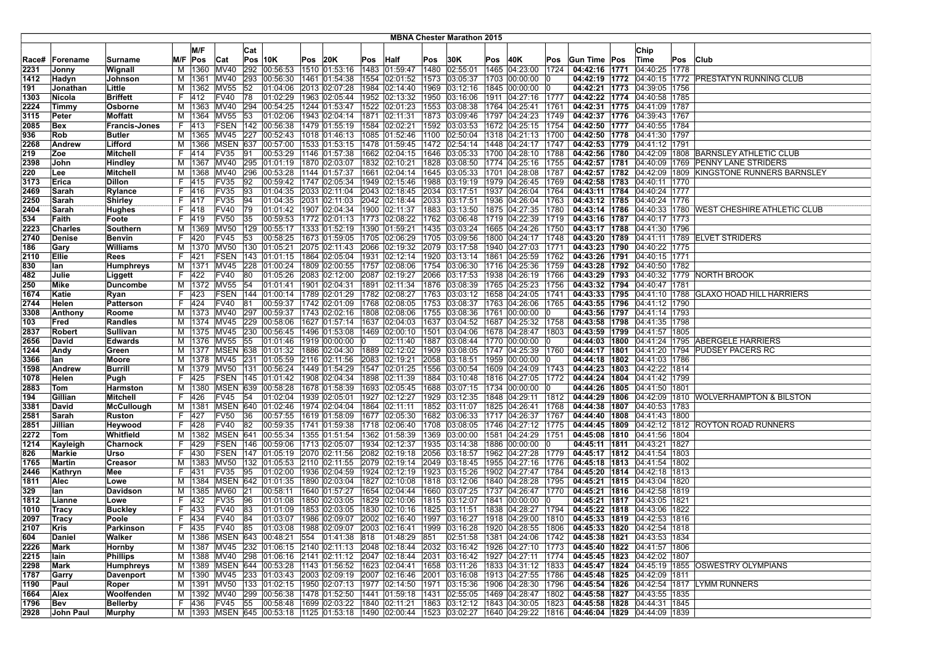|              |                          |                               |    |                          |                            |          |                                                                                                                                     |                |                                               |      |                                |              | <b>MBNA Chester Marathon 2015</b> |      |                                     |              |                                                                                                                  |                                   |     |                                                         |
|--------------|--------------------------|-------------------------------|----|--------------------------|----------------------------|----------|-------------------------------------------------------------------------------------------------------------------------------------|----------------|-----------------------------------------------|------|--------------------------------|--------------|-----------------------------------|------|-------------------------------------|--------------|------------------------------------------------------------------------------------------------------------------|-----------------------------------|-----|---------------------------------------------------------|
|              |                          |                               |    | M/F                      |                            |          |                                                                                                                                     |                |                                               |      |                                |              |                                   |      |                                     |              |                                                                                                                  |                                   |     |                                                         |
|              |                          |                               |    |                          |                            | Cat      |                                                                                                                                     |                |                                               |      |                                |              |                                   |      |                                     |              |                                                                                                                  | Chip                              |     |                                                         |
| Race#        | Forename                 | Surname                       |    | M/F Pos                  | Cat                        |          | $Pos$ 10K                                                                                                                           | <b>Pos 20K</b> |                                               | Pos  | Half                           | Pos          | 30K                               | Pos  | 40K                                 | Pos          | Gun Time Pos                                                                                                     | ∣Time                             | Pos | Club                                                    |
| 2231         | Jonny                    | Wignall                       | м  | 1360                     | MV40                       |          | 292 00:56:53                                                                                                                        |                | 1510 01:53:16                                 |      | 1483 01:59:47                  | 1480         | 02:55:01                          | 1465 | 04:23:00                            | 1724         | 04:42:16 1771                                                                                                    | 04:40:25 1778                     |     |                                                         |
| 1412         | Hadyn                    | Johnson                       |    | M   1361   MV40          |                            |          | 293 00:56:30                                                                                                                        |                | 1461 01:54:38                                 |      | 1554 02:01:52                  | 1573         | 03:05:37                          |      | 1703 00:00:00                       |              | 04:42:19 1772                                                                                                    |                                   |     | 04:40:15 1772 PRESTATYN RUNNING CLUB                    |
| 191          | Jonathan                 | Little                        | м  |                          | 1362 MV55                  | 52       | 01:04:06                                                                                                                            |                | 2013 02:07:28                                 | 1984 | 02:14:40                       | 1969         | 03:12:16                          |      | 1845 00:00:00                       |              | 04:42:21 1773                                                                                                    | 04:39:05 1756                     |     |                                                         |
| 1303         | Nicola                   | <b>Briffett</b>               | F. | 1412                     | <b>FV40</b>                | 78       | 01:02:29                                                                                                                            |                | 1963 02:05:44                                 |      | 1952 02:13:32                  | 1950         | 03:16:06                          |      | 1911 04:27:16                       | 1777         | 04:42:22 1774 04:40:58 1785                                                                                      |                                   |     |                                                         |
| 2224         | Timmy                    | Osborne                       |    |                          | M   1363   MV40            |          | 294 00:54:25                                                                                                                        |                | 1244 01:53:47                                 |      | 1522 02:01:23                  | 1553         | 03:08:38                          |      | 1764 04:25:41                       | 1761         | 04:42:31 1775 04:41:09 1787                                                                                      |                                   |     |                                                         |
| 3115         | Peter                    | <b>Moffatt</b>                |    | M   1364                 | <b>MV55</b>                | 53       | 01:02:06                                                                                                                            |                | 1943 02:04:14 1871 02:11:31                   |      |                                | 1873         | 03:09:46                          |      | 1797 04:24:23                       | 1749         | 04:42:37   1776   04:39:43   1767                                                                                |                                   |     |                                                         |
| 2085         | Bex                      | <b>Francis-Jones</b>          |    | F 413                    |                            |          | FSEN   142   00:56:38                                                                                                               |                | 1479 01:55:19                                 |      | 1584 02:02:21                  | 1592         | 03:03:53                          |      | 1672 04:25:15                       | 1754         | 04:42:50 1777 04:40:55 1784                                                                                      |                                   |     |                                                         |
| 936          | Rob                      | <b>Butler</b>                 |    | M   1365   MV45          |                            | 227      | 00:52:43                                                                                                                            |                | 1018 01:46:13                                 |      | 1085 01:52:46                  | 1100         | 02:50:04                          |      | 1318 04:21:13                       | 1700         | 04:42:50   1778   04:41:30   1797                                                                                |                                   |     |                                                         |
| 2268         | Andrew                   | Lifford                       |    | M   1366                 | <b>MSEN</b>                | 637      | 00:57:00                                                                                                                            |                | 1533 01:53:15                                 |      | 1478 01:59:45                  | 1472         | 02:54:14                          |      | 1448 04:24:17                       | 1747         | 04:42:53 1779 04:41:12 1791                                                                                      |                                   |     |                                                         |
| 219          | Zoe                      | <b>Mitchell</b>               | F. | 414                      | <b>FV35</b>                | 91       | 00:53:29                                                                                                                            |                | 1146 01:57:38                                 |      | 1662 02:04:15                  | 1646         | 03:05:33                          |      | 1700 04:28:10                       | 1788         | 04:42:56 1780                                                                                                    |                                   |     | 04:42:09   1808   BARNSLEY ATHLETIC CLUB                |
| 2398         | John                     | Hindley                       |    |                          | M  1367  MV40              |          | 295 01:01:19 1870 02:03:07                                                                                                          |                |                                               |      | 1832 02:10:21                  | 1828         | 03:08:50                          |      | 1774 04:25:16                       | 1755         |                                                                                                                  |                                   |     | 04:42:57   1781   04:40:09   1769   PENNY LANE STRIDERS |
| 220          | Lee                      | Mitchell                      |    | M   1368   MV40          |                            | 296      | 00:53:28   1144   01:57:37                                                                                                          |                |                                               |      | 1661 02:04:14                  | 1645         | 03:05:33                          |      | 1701 04:28:08                       | 1787         |                                                                                                                  |                                   |     | 04:42:57 1782 04:42:09 1809 KINGSTONE RUNNERS BARNSLEY  |
| 3173         | Erica                    | <b>Dillon</b>                 | F. | 415                      | <b>FV35</b>                | 92       | 00:59:42                                                                                                                            |                | 1747 02:05:34                                 |      | 1949 02:15:46                  | 1988         | 03:19:19                          |      | 1979 04:26:45                       | 1769         | 04:42:58 1783 04:40:11 1770                                                                                      |                                   |     |                                                         |
| 2469         | Sarah                    | <b>Rylance</b>                |    | F 416<br>F  417          | <b>FV35</b><br><b>FV35</b> | 93<br>94 | 01:04:35<br>01:04:35                                                                                                                |                | 2033 02:11:04                                 |      | 2043 02:18:45<br>2042 02:18:44 | 2034         | 03:17:51                          |      | 1937 04:26:04                       | 1764         | 04:43:11   1784   04:40:24   1777                                                                                |                                   |     |                                                         |
| 2250<br>2404 | Sarah<br>Sarah           | Shirley                       |    | F 418                    | <b>FV40</b>                | 79       | 01:01:42   1907   02:04:34   1900   02:11:37                                                                                        |                | 2031 02:11:03                                 |      |                                | 2033<br>1883 | 03:17:51                          |      | 1936 04:26:04<br>1875 04:27:35      | 1763         | 04:43:12 1785<br>04:43:14 1786                                                                                   | 04:40:24 1776                     |     |                                                         |
|              |                          | <b>Hughes</b>                 | F. |                          | <b>FV50</b>                | 35       |                                                                                                                                     |                |                                               |      |                                | 1762         | 03:13:50                          |      |                                     | 1780         |                                                                                                                  | 04:40:17 1773                     |     | 04:40:33   1780   WEST CHESHIRE ATHLETIC CLUB           |
| 534          | Faith                    | Foote                         |    | 419                      |                            |          | 00:59:53  1772  02:01:13  1773  02:08:22                                                                                            |                |                                               |      |                                |              | 03:06:48                          |      | 1719 04:22:39                       | 1719         | 04:43:16 1787                                                                                                    |                                   |     |                                                         |
| 2223<br>2740 | <b>Charles</b><br>Denise | Southern<br><b>Benvin</b>     |    | M   1369   MV50<br>F 420 | <b>FV45</b>                | 53       | 129 00:55:17<br>00:58:25                                                                                                            |                | 1333 01:52:19  1390 01:59:21<br>1673 01:59:05 |      | 1705 02:06:29                  | 1435<br>1705 | 03:03:24<br>03:09:56              |      | 1665 04:24:26<br>1800 04:24:17 1748 | 1750         | 04:43:17   1788   04:41:30   1796                                                                                |                                   |     | 04:43:20   1789   04:41:11   1789   ELVET STRIDERS      |
| 186          | Gary                     | <b>Williams</b>               |    | M   1370   MV50          |                            |          | 130 01:05:21                                                                                                                        |                | 2075 02:11:43                                 |      | 2066 02:19:32                  | 2079         | 03:17:58                          |      | 1940 04:27:03                       | 1771         | 04:43:23   1790   04:40:22   1775                                                                                |                                   |     |                                                         |
| 2110         | Ellie                    | Rees                          |    | F 421                    | FSEN                       |          | 143 01:01:15                                                                                                                        |                | 1864 02:05:04   1931 02:12:14                 |      |                                | 1920         | 03:13:14                          |      | 1861 04:25:59                       | 1762         | 04:43:26 1791 04:40:15 1771                                                                                      |                                   |     |                                                         |
| 830          | lan                      | Humphreys                     |    | M   1371                 | MV45                       |          | 228 01:00:24                                                                                                                        |                | 1809 02:00:55                                 |      | 1757 02:08:06                  | 1754         | 03:06:30                          |      | 1716 04:25:36                       | 1759         | 04:43:28 1792 04:40:50 1782                                                                                      |                                   |     |                                                         |
| 482          | Julie                    | Liggett                       | F. | 422                      | <b>FV40</b>                | 80       | 01:05:26                                                                                                                            |                | 2083 02:12:00                                 | 2087 | 02:19:27                       | 2066         | 03:17:53                          |      | 1938 04:26:19                       | 1766         |                                                                                                                  |                                   |     | 04:43:29 1793 04:40:32 1779 NORTH BROOK                 |
| 250          | Mike                     | <b>Duncombe</b>               |    |                          | M   1372   MV55            | 54       | 01:01:41                                                                                                                            |                | 1901 02:04:31                                 |      | 1891 02:11:34                  | 1876         | 03:08:39                          |      | 1765 04:25:23                       | 1756         | 04:43:32 1794 04:40:47 1781                                                                                      |                                   |     |                                                         |
| 1674         | Katie                    | Ryan                          | F. | 423                      | FSEN                       |          | 144 01:00:14                                                                                                                        |                | 1789 02:01:29   1782 02:08:27                 |      |                                | 1763         | 03:03:12                          |      | 1658 04:24:05                       | 1741         |                                                                                                                  |                                   |     | 04:43:33 1795 04:41:10 1788 GLAXO HOAD HILL HARRIERS    |
| 2744         | Helen                    | <b>Patterson</b>              |    | F 424                    | <b>FV40</b>                | 81       | 00:59:37                                                                                                                            |                | 1742 02:01:09                                 |      | 1768 02:08:05                  | 1753         | 03:08:37                          |      | 1763 04:26:06                       | 1765         | 04:43:55   1796   04:41:12   1790                                                                                |                                   |     |                                                         |
| 3308         | Anthony                  | Roome                         |    | M   1373   MV40          |                            |          | 297 00:59:37                                                                                                                        |                | 1743   02:02:16   1808   02:08:06             |      |                                | 1755         | 03:08:36                          |      | 1761 00:00:00                       |              | 04:43:56   1797   04:41:14   1793                                                                                |                                   |     |                                                         |
| 103          | Fred                     | Randles                       | м  |                          | 1374 MV45                  | 229      | 00:58:06                                                                                                                            |                | 1627 01:57:14                                 | 1637 | 02:04:03                       | 1637         | 03:04:52                          |      | 1687 04:25:32                       | 1758         | 04:43:58 1798 04:41:35 1798                                                                                      |                                   |     |                                                         |
| 2837         | <b>Robert</b>            | Sullivan                      | м  |                          | 1375 MV45                  | 230      | 00:56:45                                                                                                                            |                | 1496 01:53:08                                 |      | 1469 02:00:10                  | 1501         | 03:04:06                          |      | 1678 04:28:47                       | 1803         | 04:43:59 1799                                                                                                    | 04:41:57 1805                     |     |                                                         |
| 2656         | David                    | <b>Edwards</b>                |    |                          | M   1376   MV55            | 55       | 01:01:46 1919 00:00:00                                                                                                              |                |                                               | - 10 | 02:11:40                       | 1887         | 03:08:44                          |      | 1770 00:00:00                       |              |                                                                                                                  |                                   |     | 04:44:03   1800   04:41:24   1795   ABERGELE HARRIERS   |
| 1244         | Andy                     | Green                         |    |                          |                            |          | M  1377   MSEN   638   01:01:32                                                                                                     |                | 1886 02:04:30 1889 02:12:02                   |      |                                | 1909         | 03:08:05                          |      | 1747 04:25:39                       | 1760         |                                                                                                                  |                                   |     | 04:44:17   1801   04:41:20   1794   PUDSEY PACERS RC    |
| 3366         | lan                      | Moore                         |    |                          | M   1378   MV45            |          | 231 01:05:59                                                                                                                        |                | 2116 02:11:56                                 |      | 2083 02:19:21                  | 2058         | 03:18:51                          |      | 1959 00:00:00                       |              | 04:44:18   1802   04:41:03   1786                                                                                |                                   |     |                                                         |
| 1598         | Andrew                   | <b>Burrill</b>                |    | M   1379   MV50          |                            |          | 131 00:56:24                                                                                                                        |                | 1449 01:54:29                                 |      | 1547 02:01:25                  | 1556         | 03:00:54                          |      | 1609 04:24:09                       | 1743         | 04:44:23   1803   04:42:22   1814                                                                                |                                   |     |                                                         |
| 1078         | Helen                    | Pugh                          | F. | 425                      | FSEN                       |          | 145 01:01:42                                                                                                                        |                | 1908 02:04:34                                 | 1898 | 02:11:39                       | 1884         | 03:10:48                          |      | 1816 04:27:05                       | 1772         | 04:44:24   1804   04:41:42   1799                                                                                |                                   |     |                                                         |
| 2883         | Tom                      | Harmston                      |    | M   1380                 |                            |          | MSEN 639 00:58:28                                                                                                                   |                | 1678 01:58:39                                 |      | 1693 02:05:45                  | 1688         | 03:07:15                          |      | 1734 00:00:00                       |              | 04:44:26   1805   04:41:50   1801                                                                                |                                   |     |                                                         |
| 194          | Gillian                  | Mitchell                      | F. | 426                      | <b>FV45</b>                | 54       | 01:02:04                                                                                                                            |                | 1939 02:05:01                                 |      | 1927 02:12:27                  | 1929         | 03:12:35                          |      | 1848 04:29:11                       | 1812         |                                                                                                                  |                                   |     | 04:44:29 1806 04:42:09 1810 WOLVERHAMPTON & BILSTON     |
| 3381         | David                    | <b>McCullough</b>             |    | M   1381                 |                            |          | MSEN 640 01:02:46                                                                                                                   |                | 1974 02:04:04                                 |      | 1864 02:11:11                  | 1852         | 03:11:07                          |      | 1825 04:26:41                       | 1768         | 04:44:38   1807   04:40:53   1783                                                                                |                                   |     |                                                         |
| 2581         | Sarah                    | <b>Ruston</b>                 |    | F 427                    | <b>FV50</b>                | 36       | 00:57:55                                                                                                                            |                | 1619 01:58:09                                 |      | 1677 02:05:30                  | 1682         | 03:06:33                          |      | 1717 04:26:37                       | 1767         | 04:44:40   1808   04:41:43   1800                                                                                |                                   |     |                                                         |
| 2851         | Jillian                  | Heywood                       |    | F 428                    | <b>FV40</b>                | 82       | 00:59:35                                                                                                                            |                | 1741 01:59:38                                 |      | 1718 02:06:40                  | 1708         | 03:08:05                          |      | 1746 04:27:12                       | 1775         | 04:44:45 1809                                                                                                    |                                   |     | 04:42:12 1812 ROYTON ROAD RUNNERS                       |
| 2272         | Tom                      | Whitfield                     |    | M 1382                   | MSEN 641                   |          | 00:55:34                                                                                                                            |                | 1355 01:51:54                                 |      | 1362 01:58:39                  | 1369         | 03:00:00                          |      | 1581 04:24:29                       | 1751         | 04:45:08 1810 04:41:56 1804                                                                                      |                                   |     |                                                         |
| 1214         | Kayleigh                 | Charnock                      | F. | 429                      | FSEN                       |          | 146 00:59:06                                                                                                                        |                | 1713 02:05:07                                 | 1934 | 02:12:37                       | 1935         | 03:14:38                          |      | 1886 00:00:00                       |              | 04:45:11 1811                                                                                                    | 04:43:21 1827                     |     |                                                         |
| 826          | Markie                   | Urso                          | F. | 1430                     | <b>FSEN</b>                |          | 147 01:05:19                                                                                                                        |                | 2070 02:11:56                                 |      | 2082 02:19:18                  | 2056         | 03:18:57                          |      | 1962 04:27:28                       | 1779         | 04:45:17   1812   04:41:54   1803                                                                                |                                   |     |                                                         |
| 1765         | Martin                   | Creasor                       |    | M   1383   MV50          |                            |          | 132 01:05:53                                                                                                                        |                | 2110 02:11:55                                 |      | 2079 02:19:14                  | 2049         | 03:18:45                          |      | 1955 04:27:16                       | 1776         | 04:45:18 1813 04:41:54 1802                                                                                      |                                   |     |                                                         |
| 2446         | Kathryn                  | Mee                           | F. | 431                      | <b>FV35</b>                | 95       | 01:02:00                                                                                                                            |                | 1936 02:04:59                                 |      | 1924 02:12:19                  | 1923         | 03:15:26                          |      | 1902 04:27:47                       | 1784         | 04:45:20   1814   04:42:18   1813                                                                                |                                   |     |                                                         |
| 1811         | Alec                     | Lowe                          |    | M   1384                 |                            |          | MSEN 642 01:01:35                                                                                                                   |                | 1890 02:03:04                                 |      | 1827 02:10:08                  | 1818         | 03:12:06                          |      | 1840 04:28:28                       | 1795         | 04:45:21   1815   04:43:04   1820                                                                                |                                   |     |                                                         |
| 329          | lan                      | Davidson                      |    | M   1385   MV60          |                            | 21       | 00:58:11                                                                                                                            |                | 1640 01:57:27                                 |      | 1654 02:04:44                  | 1660         | 03:07:25                          |      | 1737 04:26:47 1770                  |              | 04:45:21   1816   04:42:58   1819                                                                                |                                   |     |                                                         |
| 1812         | Lianne                   | Lowe                          | F. | 432                      | FV35                       | 96       | 01:01:08                                                                                                                            |                | 1850 02:03:05                                 |      | 1829 02:10:06                  | 1815         | 03:12:07                          |      | 1841 00:00:00                       |              |                                                                                                                  | 04:45:21   1817   04:43:05   1821 |     |                                                         |
| 1010         | Tracy                    | <b>Buckley</b>                |    | F 433                    | <b>FV40</b>                | 83       | 01:01:09                                                                                                                            |                | 1853 02:03:05                                 |      | 1830 02:10:16                  | 1825         | 03:11:51                          |      | 1838 04:28:27 1794                  |              | 04:45:22   1818   04:43:06   1822                                                                                |                                   |     |                                                         |
| 2097         | Tracy                    | Poole                         |    | F 434                    | <b>FV40</b>                | 84       | 01:03:07 1986 02:09:07 2002 02:16:40                                                                                                |                |                                               |      |                                |              | 1997 03:16:27                     |      |                                     |              | $ 1918 04:29:00 1810 04:45:33 1819 04:42:53 1816$                                                                |                                   |     |                                                         |
| 2107         | Kris                     | Parkinson                     |    | F  435                   |                            |          |                                                                                                                                     |                |                                               |      |                                |              |                                   |      |                                     |              | FV40 85 01:03:08 1988 02:09:07 2003 02:16:41 1999 03:16:28 1920 04:28:55 1806 <b>04:45:33 1820</b> 04:42:54 1818 |                                   |     |                                                         |
| 604          | Daniel                   | Walker                        |    |                          |                            |          | M  1386  MSEN  643  00:48:21  554  01:41:38  818                                                                                    |                |                                               |      | 01:48:29                       | 851          |                                   |      | 02:51:58 1381 04:24:06 1742         |              | 04:45:38 1821 04:43:53 1834                                                                                      |                                   |     |                                                         |
| 2226         | Mark                     | Hornby                        |    |                          |                            |          | M  1387  MV45  232  01:06:15  2140  02:11:13  2048  02:18:44                                                                        |                |                                               |      |                                |              | 2032 03:16:42                     |      | 1926 04:27:10 1773                  |              | 04:45:40   1822   04:41:57   1806                                                                                |                                   |     |                                                         |
| 2215         | lain                     | <b>Phillips</b>               |    |                          |                            |          | M  1388  MV40  298  01:06:16  2141  02:11:12  2047  02:18:44<br>M  1389   MSEN   644   00:53:28   1143   01:56:52   1623   02:04:41 |                |                                               |      |                                | 2031<br>1658 | 03:16:42<br>03:11:26              |      | 1927 04:27:11<br>1833 04:31:12      | 1774<br>1833 | 04:45:45   1823   04:42:02   1807<br>04:45:47   1824   04:45:19   1855                                           |                                   |     | <b>OSWESTRY OLYMPIANS</b>                               |
| 2298<br>1787 | Mark<br>Garry            | <b>Humphreys</b><br>Davenport |    |                          |                            |          | M  1390  MV45  233  01:03:43  2003  02:09:19  2007  02:16:46                                                                        |                |                                               |      |                                | 2001         | 03:16:08                          |      | 1913 04:27:55 1786                  |              | 04:45:48 1825 04:42:09 1811                                                                                      |                                   |     |                                                         |
| 1190         | Paul                     | Roper                         |    |                          |                            |          | M  1391  MV50  133  01:02:15  1950  02:07:13  1977  02:14:50                                                                        |                |                                               |      |                                |              |                                   |      | 1971 03:15:36 1906 04:28:30 1796    |              |                                                                                                                  |                                   |     | 04:45:54   1826   04:42:54   1817   LYMM RUNNERS        |
| 1664         | Alex                     | Woolfenden                    |    |                          |                            |          | M  1392  MV40  299  00:56:38  1478  01:52:50  1441  01:59:18                                                                        |                |                                               |      |                                | 1431         | 02:55:05                          |      | 1469 04:28:47 1802                  |              | 04:45:58   1827   04:43:55   1835                                                                                |                                   |     |                                                         |
| 1796         | Bev                      | <b>Bellerby</b>               |    | F 436                    | FV45 55                    |          | 00:58:48   1699   02:03:22   1840   02:11:21                                                                                        |                |                                               |      |                                | 1863         | 03:12:12                          |      | 1843 04:30:05                       | 1823         | 04:45:58   1828   04:44:31   1845                                                                                |                                   |     |                                                         |
| 2928         | John Paul                | Murphy                        |    |                          |                            |          | M  1393  MSEN  645  00:53:18  1125  01:53:18  1490  02:00:44                                                                        |                |                                               |      |                                |              |                                   |      |                                     |              | $ 1523 03:02:27 1640 04:29:22 1816 04:46:04 1829 04:44:09 1839$                                                  |                                   |     |                                                         |
|              |                          |                               |    |                          |                            |          |                                                                                                                                     |                |                                               |      |                                |              |                                   |      |                                     |              |                                                                                                                  |                                   |     |                                                         |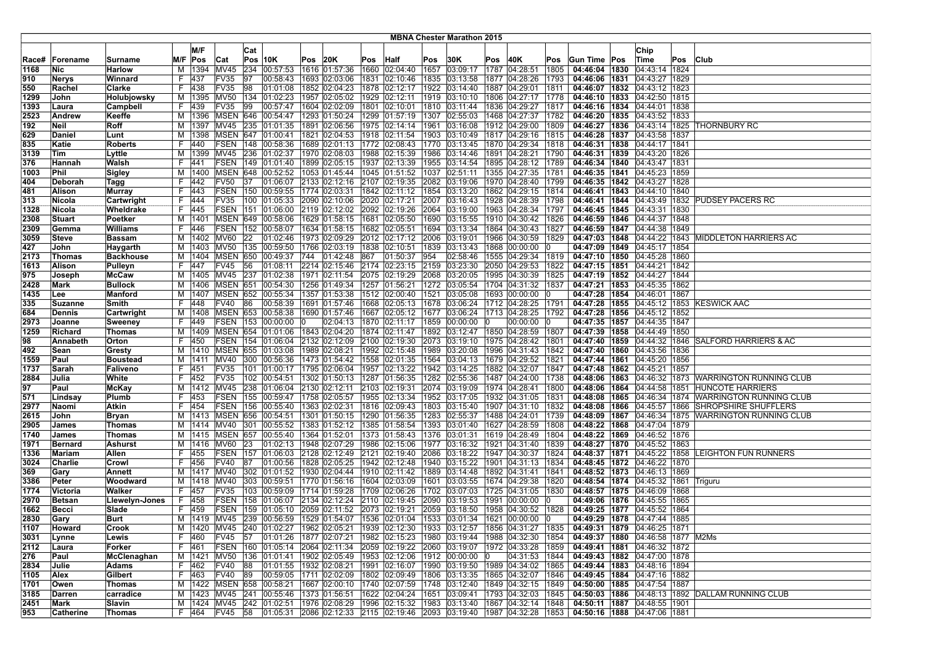|             |                |                    |        |                        |                        |     |                                               |      |               |     |                                                                                                                             |      | <b>MBNA Chester Marathon 2015</b> |     |                                                               |      |                                                            |                                                             |      |                                                             |
|-------------|----------------|--------------------|--------|------------------------|------------------------|-----|-----------------------------------------------|------|---------------|-----|-----------------------------------------------------------------------------------------------------------------------------|------|-----------------------------------|-----|---------------------------------------------------------------|------|------------------------------------------------------------|-------------------------------------------------------------|------|-------------------------------------------------------------|
|             |                |                    |        |                        |                        |     |                                               |      |               |     |                                                                                                                             |      |                                   |     |                                                               |      |                                                            |                                                             |      |                                                             |
|             |                |                    |        | M/F                    |                        | Cat |                                               |      |               |     |                                                                                                                             |      |                                   |     |                                                               |      |                                                            | Chip                                                        |      |                                                             |
| Race#       | Forename       | Surname            |        | M/F Pos                | Cat                    |     | $Pos$ 10K                                     | Pos  | 20K           |     | Pos Half                                                                                                                    | Pos  | 30K                               | Pos | 40K                                                           | Pos  | Gun Time Pos                                               | Time                                                        | Pos  | <b>Club</b>                                                 |
| 1168        | Nic            | <b>Harlow</b>      | м      | 1394                   | MV45                   | 234 | 00:57:53                                      |      | 1616 01:57:36 |     | 1660 02:04:40                                                                                                               | 1657 | 03:09:17                          |     | 1787 04:28:51                                                 | 1805 | 04:46:04 1830                                              | 04:43:14 1824                                               |      |                                                             |
| 910         | Nerys          | Winnard            | F      | 437                    | FV35                   | 97  | 00:58:43                                      |      | 1693 02:03:06 |     | 1831 02:10:46                                                                                                               | 1835 |                                   |     | $ 03:13:58$  1877  04:28:26                                   | 1793 | 04:46:06   1831   04:43:27   1829                          |                                                             |      |                                                             |
| 550         | Rachel         | Clarke             | F      | 438                    | <b>FV35</b>            | 98  | 01:01:08                                      | 1852 | 02:04:23      |     | 1878 02:12:17                                                                                                               | 1922 | 03:14:40                          |     | 1887 04:29:01                                                 | 1811 | 04:46:07 1832                                              | 04:43:12 1823                                               |      |                                                             |
| 1299        | John           | Holubjowsky        | м      | 1395                   | <b>MV50</b>            | 134 | 01:02:23                                      |      | 1957 02:05:02 |     | 1929 02:12:11                                                                                                               |      | 1919 03:10:10                     |     | 1806 04:27:17                                                 | 1778 | 04:46:10 1833                                              | 04:42:50 1815                                               |      |                                                             |
| 1393        | Laura          | Campbell           | F      | 439                    | FV35                   | 99  | 00:57:47                                      |      | 1604 02:02:09 |     | 1801 02:10:01                                                                                                               |      | 1810 03:11:44                     |     | 1836 04:29:27                                                 | 1817 |                                                            | 04:46:16 1834 04:44:01 1838                                 |      |                                                             |
| 2523        | Andrew         | Keeffe             |        | M   1396               |                        |     | MSEN 646 00:54:47                             |      |               |     | 1293 01:50:24   1299 01:57:19                                                                                               |      | 1307 02:55:03                     |     | 1468 04:27:37                                                 | 1782 |                                                            | 04:46:20   1835   04:43:52   1833                           |      |                                                             |
| 192         | Neil           | Roff               | м      | 1397                   | <b>MV45</b>            | 235 | 01:01:35                                      |      | 1891 02:06:56 |     | 1975 02:14:14                                                                                                               | 1961 | 03:16:08                          |     | 1912 04:29:00                                                 | 1809 |                                                            | 04:46:27   1836   04:43:14   1825                           |      | <b>THORNBURY RC</b>                                         |
| 629         | Daniel         | Lunt               | м      | 1398                   | MSEN 647               |     | 01:00:41                                      |      | 1821 02:04:53 |     | 1918 02:11:54                                                                                                               | 1903 |                                   |     | $ 03:10:49$  1817  04:29:16                                   | 1815 |                                                            | 04:46:28   1837   04:43:58   1837                           |      |                                                             |
| 835         | Katie          | <b>Roberts</b>     | F      | 440                    | FSEN                   | 148 | 00:58:36                                      | 1689 | 02:01:13      |     | 1772 02:08:43                                                                                                               | 1770 | 03:13:45                          |     | 1870 04:29:34                                                 | 1818 |                                                            | 04:46:31 1838 04:44:17 1841                                 |      |                                                             |
| 3139        | Tim            | Lyttle             | M      |                        | 1399 MV45              | 236 | 01:02:37                                      |      | 1970 02:08:03 |     | 1988 02:15:39                                                                                                               | 1986 | 03:14:46                          |     | 1891 04:28:21                                                 | 1790 |                                                            | 04:46:31 1839 04:43:20 1826                                 |      |                                                             |
| 376         | Hannah         | Walsh              | F      | 1441                   | FSEN                   |     | 149  01:01:40  1899  02:05:15                 |      |               |     | 1937 02:13:39                                                                                                               |      |                                   |     | 1955  03:14:54  1895  04:28:12                                | 1789 |                                                            | 04:46:34   1840   04:43:47   1831                           |      |                                                             |
| 1003        | Phil           | Sigley             | м      | 1400                   |                        |     | MSEN 648 00:52:52                             |      |               |     | 1053 01:45:44 1045 01:51:52                                                                                                 |      | 1037 02:51:11                     |     | 1355 04:27:35                                                 | 1781 | 04:46:35 1841 04:45:23 1859                                |                                                             |      |                                                             |
| 404         | Deborah        | Tagg               | F      | 442                    | <b>FV50</b>            | 137 | 01:06:07                                      |      |               |     | 2133 02:12:16 2107 02:19:35                                                                                                 |      | 2082 03:19:06                     |     | 1970 04:28:40                                                 | 1799 |                                                            | 04:46:35 1842 04:43:27 1828                                 |      |                                                             |
| 481         | Alison         | <b>Murray</b>      | F      | 443                    | <b>FSEN</b>            | 150 | 00:59:55                                      |      | 1774 02:03:31 |     | 1842 02:11:12                                                                                                               | 1854 | 03:13:20                          |     | 1862 04:29:15                                                 | 1814 |                                                            | 04:46:41   1843   04:44:10   1840                           |      |                                                             |
| 313         | Nicola         | Cartwright         | F.     | 444                    | <b>FV35</b>            | 100 | 01:05:33                                      | 2090 | 02:10:06      |     | 2020 02:17:21                                                                                                               | 2007 | 03:16:43                          |     | 1928 04:28:39                                                 | 1798 |                                                            |                                                             |      | 04:46:41   1844   04:43:49   1832   PUDSEY PACERS RC        |
| 1328        | Nicola         | Wheldrake          | F      | 445                    | <b>FSEN</b>            | 151 | 01:06:00                                      |      | 2119 02:12:02 |     | 2092 02:19:26                                                                                                               | 2064 | 03:19:00                          |     | 1963 04:28:34                                                 | 1797 | 04:46:45   1845                                            | 04:43:31 1830                                               |      |                                                             |
| 2308        | <b>Stuart</b>  | Poetker            | м      | 1401                   |                        |     | MSEN 649 00:58:06                             |      | 1629 01:58:15 |     | 1681 02:05:50                                                                                                               | 1690 | 03:15:55                          |     | 1910 04:30:42                                                 | 1826 |                                                            | 04:46:59   1846   04:44:37   1848                           |      |                                                             |
| 2309        | Gemma          | <b>Williams</b>    | F      | 446                    | FSEN                   |     | 152 00:58:07                                  |      |               |     | 1634 01:58:15   1682 02:05:51                                                                                               |      | 1694 03:13:34                     |     | 1864 04:30:43                                                 | 1827 |                                                            | 04:46:59   1847   04:44:38   1849                           |      |                                                             |
| 3059        | Steve          | <b>Bassam</b>      |        | M   1402               | MV60                   | 22  | 01:02:46                                      |      | 1973 02:09:29 |     | 2012 02:17:12                                                                                                               | 2006 | 03:19:01                          |     | 1966 04:30:59                                                 | 1829 |                                                            |                                                             |      | 04:47:03   1848   04:44:22   1843   MIDDLETON HARRIERS AC   |
| 427         | John           | Haygarth           | м      | 1403                   | MV <sub>50</sub>       | 135 | 00:59:50                                      |      | 1766 02:03:19 |     | 1838 02:10:51                                                                                                               | 1839 | 03:13:43                          |     | 1868 00:00:00                                                 |      | 04:47:09 1849                                              | 04:45:17 1854                                               |      |                                                             |
| 2173        | Thomas         | <b>Backhouse</b>   | M      | 1404                   | MSEN                   |     | 650 00:49:37                                  | 744  | [01:42:48]    | 867 | 01:50:37                                                                                                                    | 954  | 02:58:46                          |     | 1555 04:29:34                                                 | 1819 | 04:47:10 1850 04:45:28 1860                                |                                                             |      |                                                             |
| 1613        | Alison         | Pulleyn            | F      | 447                    | FV45                   | 56  | 01:08:11                                      |      | 2214 02:15:46 |     | 2174 02:23:15                                                                                                               | 2159 | 03:23:30                          |     | 2050 04:29:53                                                 | 1822 | 04:47:15   1851                                            | 04:44:21   1842                                             |      |                                                             |
| 975         | Joseph         | <b>McCaw</b>       | M      |                        | 1405 MV45              | 237 | 01:02:38                                      |      | 1971 02:11:54 |     | 2075 02:19:29                                                                                                               | 2068 | 03:20:05                          |     | 1995 04:30:39                                                 | 1825 |                                                            | 04:47:19   1852   04:44:27   1844                           |      |                                                             |
| 2428        | Mark           | <b>Bullock</b>     | М      |                        | 1406   MSEN 651        |     | 00:54:30                                      |      | 1256 01:49:34 |     | 1257 01:56:21                                                                                                               |      |                                   |     | 1272 03:05:54 1704 04:31:32                                   | 1837 | 04:47:21 1853 04:45:35 1862                                |                                                             |      |                                                             |
| 1435        | Lee            | Manford            | М      | 1407                   |                        |     | MSEN 652 00:55:34                             |      | 1357 01:53:38 |     | 1512 02:00:40                                                                                                               |      | 1521 03:05:08                     |     | 1693 00:00:00                                                 |      |                                                            | 04:47:28 1854 04:46:01 1867                                 |      |                                                             |
| 335         | <b>Suzanne</b> | Smith              | F      | 448                    | FV40                   | 86  | 00:58:39                                      |      | 1691 01:57:46 |     | 1668 02:05:13                                                                                                               |      |                                   |     | 1678 03:06:24 1712 04:28:25                                   | 1791 | 04:47:28 1855                                              |                                                             |      | 04:45:12 1853 KESWICK AAC                                   |
| 684         | Dennis         | Cartwright         | M      | 1408                   | <b>MSEN 653</b>        |     | 00:58:38                                      |      | 1690 01:57:46 |     | 1667 02:05:12                                                                                                               |      |                                   |     | 1677  03:06:24  1713  04:28:25                                | 1792 |                                                            | 04:47:28   1856   04:45:12   1852                           |      |                                                             |
| 2973        | Joanne         | <b>Sweeney</b>     | F      | 449                    | FSEN                   | 153 | 00:00:00                                      |      | 02:04:13      |     | 1870 02:11:17                                                                                                               | 1859 | 00:00:00                          |     | 00:00:00                                                      |      |                                                            | 04:47:35 1857 04:44:35                                      | 1847 |                                                             |
| 1259        | Richard        | Thomas             | м      | 1409                   | <b>MSEN 654</b>        |     | 01:01:06                                      |      | 1843 02:04:20 |     | 1874 02:11:47                                                                                                               | 1892 |                                   |     | 03:12:47 1850 04:28:59                                        | 1807 | 04:47:39 1858 04:44:49 1850                                |                                                             |      |                                                             |
| 98          | Annabeth       | Orton              | F      | 450                    |                        |     | FSEN 154 01:06:04                             |      |               |     | 2132 02:12:09 2100 02:19:30                                                                                                 |      |                                   |     | 2073 03:19:10 1975 04:28:42                                   | 1801 |                                                            |                                                             |      | 04:47:40 1859 04:44:32 1846 SALFORD HARRIERS & AC           |
| 492         | Sean           | Gresty             | M      |                        |                        |     | 1410 MSEN 655 01:03:08                        |      | 1989 02:08:21 |     | 1992 02:15:48                                                                                                               |      | 1989 03:20:08                     |     | 1996 04:31:43                                                 | 1842 |                                                            | 04:47:40 1860 04:43:56 1836                                 |      |                                                             |
| 1559        | Paul           | <b>Boustead</b>    | м      | 1411                   | <b>MV40</b>            |     | 300 00:56:36                                  |      | 1473 01:54:42 |     | 1558 02:01:35                                                                                                               |      | 1564 03:04:13                     |     | 1679 04:29:52                                                 | 1821 |                                                            | 04:47:44   1861   04:45:20   1856                           |      |                                                             |
| 1737        | Sarah          | Faliveno           | F      | 451                    | <b>FV35</b>            | 101 | 01:00:17                                      |      | 1795 02:06:04 |     | 1957 02:13:22                                                                                                               | 1942 | 03:14:25                          |     | 1882 04:32:07                                                 | 1847 |                                                            | 04:47:48   1862   04:45:21   1857                           |      |                                                             |
| 2884        | Julia          | White              | F      | 452                    | <b>FV35</b>            | 102 | 00:54:51                                      |      | 1302 01:50:13 |     | 1287 01:56:35                                                                                                               | 1282 | 02:55:36                          |     | 1487 04:24:00                                                 | 1738 | 04:48:06 1863                                              |                                                             |      | 04:46:32 1873 WARRINGTON RUNNING CLUB                       |
| 97          | Paul           | McKay              | M      | 1412                   | <b>MV45</b>            |     | 238 01:06:04                                  |      | 2130 02:12:11 |     | 2103 02:19:31                                                                                                               |      | 2074 03:19:09                     |     | 1974 04:28:41                                                 | 1800 | 04:48:06 1864                                              |                                                             |      | 04:44:58 1851 HUNCOTE HARRIERS                              |
| 571         | Lindsay        | Plumb              | F      | 453                    | <b>FSEN</b>            |     | 155 00:59:47                                  |      | 1758 02:05:57 |     | 1955 02:13:34                                                                                                               |      |                                   |     | 1952  03:17:05  1932  04:31:05                                | 1831 |                                                            |                                                             |      | 04:48:08 1865 04:46:34 1874 WARRINGTON RUNNING CLUB         |
| 2977        | Naomi          | Atkin              | F.     | 454                    |                        |     | FSEN   156   00:55:40                         |      | 1363 02:02:31 |     | 1816 02:09:43                                                                                                               |      |                                   |     | 1803  03:15:40  1907  04:31:10                                | 1832 |                                                            |                                                             |      | 04:48:08 1866 04:45:57 1866 SHROPSHIRE SHUFFLERS            |
| 2615        | John           | Bryan              | м      | 1413                   | <b>MSEN</b>            | 656 | 00:54:51                                      |      | 1301 01:50:15 |     | 1290 01:56:35                                                                                                               |      | 1283 02:55:37                     |     | 1488 04:24:01                                                 | 1739 |                                                            |                                                             |      | 04:48:09   1867   04:46:34   1875   WARRINGTON RUNNING CLUB |
| 2905        | James          | Thomas             | м      | 1414                   | <b>MV40</b>            | 301 | 00:55:52                                      |      | 1383 01:52:12 |     | 1385 01:58:54                                                                                                               | 1393 | 03:01:40                          |     | 1627 04:28:59                                                 | 1808 |                                                            | 04:48:22   1868   04:47:04   1879                           |      |                                                             |
| 1740        | <b>James</b>   | <b>Thomas</b>      | м      | 1415                   | <b>MSEN</b>            | 657 | 00:55:40                                      |      | 1364 01:52:01 |     | 1373 01:58:43                                                                                                               | 1376 | 03:01:31                          |     | 1619 04:28:49                                                 | 1804 | 04:48:22 1869                                              | 04:46:52 1876                                               |      |                                                             |
| 1971        | Bernard        | Ashurst            | M      | 1416                   | MV60                   | 23  | 01:02:13                                      |      | 1948 02:07:29 |     | 1986 02:15:06                                                                                                               |      |                                   |     | 1977 03:16:32 1921 04:31:40                                   | 1839 |                                                            | 04:48:27   1870   04:45:52   1863                           |      |                                                             |
| 1336        | Mariam         | Allen              | F      | 455                    | FSEN                   | 157 | 01:06:03                                      |      | 2128 02:12:49 |     | 2121 02:19:40                                                                                                               | 2086 | 03:18:22   1947   04:30:37        |     |                                                               | 1824 |                                                            |                                                             |      | 04:48:37   1871   04:45:22   1858   LEIGHTON FUN RUNNERS    |
| 3024        | Charlie        | Crowl              | F      | 456                    | FV40                   | 87  | 01:00:56                                      |      | 1828 02:05:25 |     | 1942 02:12:48                                                                                                               |      |                                   |     | 1940  03:15:22  1901  04:31:13<br>1889 03:14:48 1892 04:31:41 | 1834 | 04:48:45 1872 04:46:22 1870                                |                                                             |      |                                                             |
| 369<br>3386 | Gary<br>Peter  | Annett<br>Woodward | м<br>M | 1417 MV40<br>1418      | <b>MV40</b>            | 303 | 302 01:01:52<br> 00:59:51                     |      | 1770 01:56:16 |     | 1930 02:04:44  1910 02:11:42<br>1604 02:03:09                                                                               | 1601 | 03:03:55                          |     | 1674 04:29:38                                                 | 1841 |                                                            | 04:48:52   1873   04:46:13   1869<br>04:48:54 1874 04:45:32 | 1861 |                                                             |
|             |                |                    |        |                        |                        |     |                                               |      |               |     |                                                                                                                             |      |                                   |     |                                                               | 1820 |                                                            |                                                             |      | Triguru                                                     |
| 1774        | Victoria       | Walker             | F      | 457                    | <b>FV35</b>            |     | 103 00:59:09                                  |      | 1714 01:59:28 |     | 1709 02:06:26                                                                                                               | 1702 | 03:07:03                          |     | 1725 04:31:05                                                 | 1830 |                                                            | 04:48:57   1875   04:46:09   1868                           |      |                                                             |
| 2970        | <b>Betsan</b>  | Llewelyn-Jones     | F      | 458                    | FSEN                   | 158 | 01:06:07                                      |      | 2134 02:12:24 |     | 2110 02:19:45                                                                                                               | 2090 | 03:19:53                          |     | 1991 00:00:00                                                 |      | 04:49:06 1876                                              | 04:45:55   1865                                             |      |                                                             |
| 1662        | Becci<br>Gary  | Slade<br>Burt      | F      | 459<br>M   1419   MV45 | <b>FSEN</b>            |     | 159 01:05:10                                  |      | 2059 02:11:52 |     | 2073 02:19:21                                                                                                               |      | 2059 03:18:50                     |     | 1958 04:30:52 1828<br> 1533  03:01:34  1621  00:00:00         |      | 04:49:25 1877 04:45:52 1864                                | 04:49:29 1878 04:47:44 1885                                 |      |                                                             |
| 2830        |                |                    |        |                        |                        |     | 239  00:56:59  1529  01:54:07  1536  02:01:04 |      |               |     |                                                                                                                             |      |                                   |     |                                                               |      |                                                            |                                                             |      |                                                             |
| 1107        | Howard         | Crook              | м      |                        |                        |     |                                               |      |               |     | 1420   MV45   240   01:02:27   1962   02:05:21   1939   02:12:30   1933   03:12:57   1856   04:31:27   1835                 |      |                                   |     |                                                               |      | 04:49:31   1879   04:46:25   1871                          |                                                             |      |                                                             |
| 3031        | Lynne          | Lewis              | F      | 460                    | FV45                   | 57  |                                               |      |               |     | $ 01:01:26$  1877 $ 02:07:21$  1982 $ 02:15:23$  1980 $ 03:19:44$  1988 $ 04:32:30$  1854                                   |      |                                   |     |                                                               |      |                                                            | 04:49:37   1880   04:46:58   1877   M2Ms                    |      |                                                             |
| 2112        | <b>Laura</b>   | Forker             | F.     | 461                    |                        |     |                                               |      |               |     | FSEN 160 01:05:14 2064 02:11:34 2059 02:19:22 2060 03:19:07 1972 04:33:28                                                   |      |                                   |     | 04:31:53                                                      | 1859 |                                                            | 04:49:41   1881   04:46:32   1872                           |      |                                                             |
| 276         | Paul           | McClenaghan        | M<br>F | 1421                   | <b>MV50</b>            | 88  | 136 01:01:41 1902 02:05:49 1953 02:12:06      |      |               |     |                                                                                                                             |      | 1912 00:00:00 0                   |     |                                                               | 1844 |                                                            | 04:49:43   1882   04:47:00   1878                           |      |                                                             |
| 2834        | Julie          | Adams              | F.     | 462<br>463             | <b>FV40</b><br>FV40 89 |     | 01:01:55                                      |      | 1932 02:08:21 |     | 1991 02:16:07<br>00:59:05 1711 02:02:09 1802 02:09:49 1806 03:13:35 1865 04:32:07 1846                                      |      |                                   |     | 1990 03:19:50 1989 04:34:02                                   | 1865 | 04:49:44 1883 04:48:16 1894<br>04:49:45 1884 04:47:16 1882 |                                                             |      |                                                             |
| 1105        | Alex           | Gilbert            |        |                        |                        |     |                                               |      |               |     | M  1422  MSEN  658  00:58:21  1667  02:00:10  1740  02:07:59  1748  03:12:40  1849  04:32:15                                |      |                                   |     |                                                               |      | 04:50:00 1885 04:47:54 1887                                |                                                             |      |                                                             |
| 1701        | Owen           | Thomas             |        |                        |                        |     |                                               |      |               |     |                                                                                                                             |      |                                   |     | 1651 03:09:41 1793 04:32:03                                   | 1849 |                                                            |                                                             |      |                                                             |
| 3185        | Darren         | carradice          |        |                        |                        |     | M   1423   MV45   241   00:55:46              |      |               |     | 1373 01:56:51 1622 02:04:24<br>M  1424  MV45  242  01:02:51  1976  02:08:29  1996  02:15:32  1983  03:13:40  1867  04:32:14 |      |                                   |     |                                                               | 1845 |                                                            |                                                             |      | 04:50:03   1886   04:48:13   1892   DALLAM RUNNING CLUB     |
| 2451        | Mark           | Slavin             |        |                        |                        |     |                                               |      |               |     |                                                                                                                             |      |                                   |     |                                                               | 1848 |                                                            | 04:50:11   1887   04:48:55   1901                           |      |                                                             |
| 953         | Catherine      | Thomas             |        | F 464                  | FV45 58                |     |                                               |      |               |     | $ 01:05:31 $ 2086 02:12:33 2115 02:19:46 2093 03:19:40 1987 04:32:28                                                        |      |                                   |     |                                                               | 1853 | 04:50:16   1888   04:47:06   1881                          |                                                             |      |                                                             |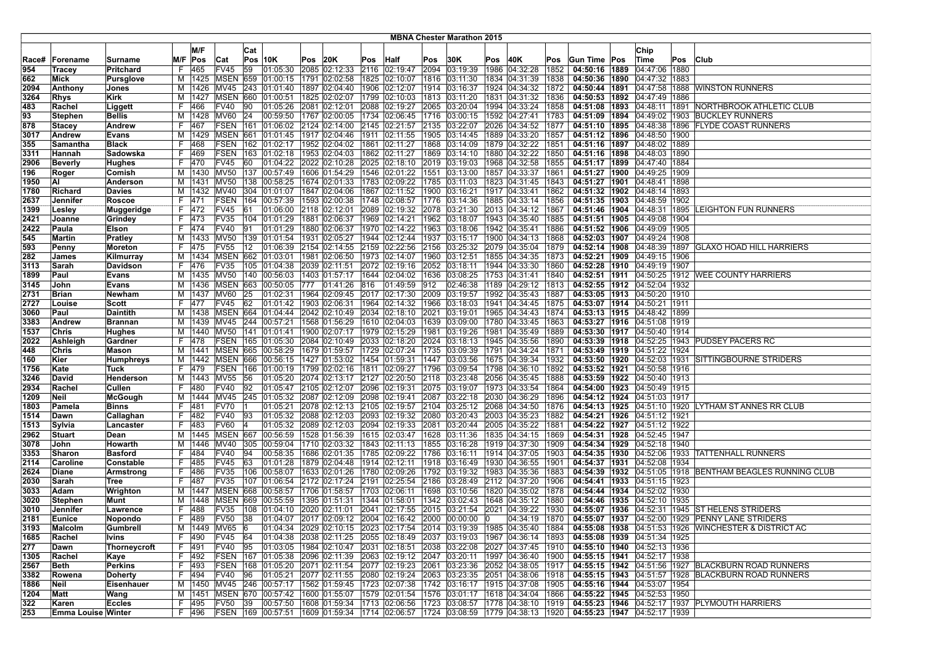|       |                    |                  |     |           |                  |     |                                                                                              |      |                                   |     |                                   |      | <b>MBNA Chester Marathon 2015</b> |             |                                                                           |      |                                   |                                   |      |                                                                |
|-------|--------------------|------------------|-----|-----------|------------------|-----|----------------------------------------------------------------------------------------------|------|-----------------------------------|-----|-----------------------------------|------|-----------------------------------|-------------|---------------------------------------------------------------------------|------|-----------------------------------|-----------------------------------|------|----------------------------------------------------------------|
|       |                    |                  |     |           |                  |     |                                                                                              |      |                                   |     |                                   |      |                                   |             |                                                                           |      |                                   |                                   |      |                                                                |
|       |                    |                  |     | M/F       |                  | Cat |                                                                                              |      |                                   |     |                                   |      |                                   |             |                                                                           |      |                                   | Chip                              |      |                                                                |
| Race# | Forename           | Surname          | M/F | Pos       | Cat              |     | <b>Pos 10K</b>                                                                               | Pos  | 20K                               | Pos | <b>Half</b>                       | Pos  | 30K                               | Pos         | 40K                                                                       | Pos  | Gun Time Pos                      | <b>Time</b>                       | Pos  | <b>Club</b>                                                    |
| 954   | Tracey             | <b>Pritchard</b> |     | 465       | FV45             | 59  | 01:05:30                                                                                     | 2085 | 02:12:33                          |     | 2116 02:19:47                     | 2094 | 03:19:39                          | 1986        | 04:32:28                                                                  | 1852 | 04:50:16 1889                     | 04:47:06                          | 1880 |                                                                |
| 662   | Mick               | <b>Pursglove</b> | M   |           | 1425   MSEN      |     | 659  01:00:15  1791  02:02:58  1825  02:10:07                                                |      |                                   |     |                                   | 1816 | 03:11:30                          |             | 1834 04:31:39                                                             | 1838 |                                   | 04:50:36   1890   04:47:32   1883 |      |                                                                |
| 2094  | Anthony            | Jones            | м   | 1426      | MV45             | 243 | 01:01:40                                                                                     | 1897 | 02:04:40                          |     | 1906 02:12:07                     | 1914 | 03:16:37                          |             | 1924 04:34:32                                                             | 1872 |                                   | 04:50:44   1891   04:47:58   1888 |      | <b>WINSTON RUNNERS</b>                                         |
| 3264  | <b>Rhys</b>        | Kirk             | M   | 1427      | MSEN             | 660 | 01:00:51                                                                                     | 1825 | 02:02:07                          |     | 1799 02:10:03                     | 1813 | 03:11:20                          |             | 1831 04:31:32                                                             | 1836 |                                   | 04:50:53   1892   04:47:49   1886 |      |                                                                |
| 483   | Rachel             | Liggett          | F   | 466       | FV40             | 90  | 01:05:26                                                                                     |      | 2081 02:12:01                     |     | 2088 02:19:27                     | 2065 | 03:20:04                          |             | 1994 04:33:24                                                             | 1858 |                                   |                                   |      | 04:51:08   1893   04:48:11   1891   NORTHBROOK ATHLETIC CLUB   |
| 93    | Stephen            | <b>Bellis</b>    | M   | 1428      | MV60             | 24  | 00:59:50                                                                                     |      |                                   |     | 1767 02:00:05 1734 02:06:45       | 1716 | 03:00:15                          |             | 1592 04:27:41                                                             | 1783 |                                   |                                   |      | 04:51:09   1894   04:49:02   1903   BUCKLEY RUNNERS            |
| 878   | Stacey             | <b>Andrew</b>    | F   | 467       | <b>FSEN 161</b>  |     | 01:06:02                                                                                     |      |                                   |     | 2124 02:14:00 2145 02:21:57       | 2135 | 03:22:07                          |             | 2026 04:34:52                                                             | 1877 | 04:51:10 1895                     | 04:48:38 1896                     |      | <b>FLYDE COAST RUNNERS</b>                                     |
| 3017  | Andrew             | <b>Evans</b>     | М   | 1429      | MSEN             | 661 | 01:01:45                                                                                     |      |                                   |     | 1917   02:04:46   1911   02:11:55 | 1905 | [03:14:45]                        |             | 1889 04:33:20                                                             | 1857 |                                   | 04:51:12   1896   04:48:50   1900 |      |                                                                |
| 355   | Samantha           | <b>Black</b>     | F   | 468       | FSEN             | 162 | 01:02:17                                                                                     |      | 1952 02:04:02 1861                |     | 02:11:27                          | 1868 | 03:14:09                          |             | 1879 04:32:22                                                             | 1851 |                                   | 04:51:16   1897   04:48:02   1889 |      |                                                                |
| 3311  | Hannah             | Sadowska         | F.  | 469       | FSEN             | 163 | 01:02:18                                                                                     |      | 1953 02:04:03                     |     | 1862 02:11:27                     | 1869 | 03:14:10                          |             | 1880 04:32:22                                                             | 1850 | 04:51:16 1898                     | 04:48:03 1890                     |      |                                                                |
| 2906  | Beverly            | <b>Hughes</b>    | F.  | 1470      | FV45             | 60  | 01:04:22                                                                                     |      |                                   |     | 2022 02:10:28 2025 02:18:10       | 2019 | 03:19:03                          |             | 1968 04:32:58                                                             | 1855 |                                   | 04:51:17   1899   04:47:40   1884 |      |                                                                |
| 196   | Roger              | Comish           | M   | 1430 MV50 |                  | 137 | 00:57:49                                                                                     |      |                                   |     | 1606 01:54:29 1546 02:01:22       | 1551 | 03:13:00                          |             | 1857 04:33:37                                                             | 1861 |                                   | 04:51:27   1900   04:49:25   1909 |      |                                                                |
| 1950  | ΙAΙ                | Anderson         | м   | 1431      | <b>MV50</b>      | 138 | 00:58:25                                                                                     |      |                                   |     | 1674 02:01:33   1783 02:09:22     | 1785 | 03:11:03                          |             | 1823 04:31:45                                                             | 1843 |                                   | 04:51:27   1901   04:48:41   1898 |      |                                                                |
| 1780  | Richard            | <b>Davies</b>    | м   | 1432      | <b>MV40</b>      | 304 | 01:01:07                                                                                     |      |                                   |     | 1847 02:04:06   1867 02:11:52     | 1900 | 03:16:21                          |             | 1917 04:33:41                                                             | 1862 |                                   | 04:51:32   1902   04:48:14   1893 |      |                                                                |
| 2637  | Jennifer           | Roscoe           | F.  | 471       | <b>FSEN</b>      | 164 | 00:57:39                                                                                     |      |                                   |     | 1593 02:00:38 1748 02:08:57       | 1776 | 03:14:36                          |             | 1885 04:33:14                                                             | 1856 |                                   | 04:51:35   1903   04:48:59   1902 |      |                                                                |
| 1399  | Lesley             | Muggeridge       | F.  | 472       | FV45             | 61  | 01:06:00                                                                                     |      | 2118 02:12:01                     |     | 2089 02:19:32                     | 2078 | 03:21:30                          |             | 2013 04:34:12                                                             | 1867 | 04:51:46   1904   04:48:31   1895 |                                   |      | LEIGHTON FUN RUNNERS                                           |
| 2421  | Joanne             | Grindey          | F.  | 473       | <b>FV35</b>      |     | 104 01:01:29                                                                                 |      | 1881 02:06:37                     |     | 1969 02:14:21                     | 1962 | 03:18:07                          |             | 1943 04:35:40                                                             | 1885 |                                   | 04:51:51  1905  04:49:08  1904    |      |                                                                |
| 2422  | Paula              | Elson            | F.  | 474       | <b>FV40</b>      | 91  | 01:01:29                                                                                     |      | 1880 02:06:37                     |     | 1970 02:14:22                     | 1963 | 03:18:06                          |             | 1942 04:35:41                                                             | 1886 |                                   | 04:51:52  1906  04:49:09  1905    |      |                                                                |
| 545   | Martin             | <b>Pratley</b>   | м   | 1433      | <b>MV50</b>      |     | 139 01:01:54                                                                                 |      | 1931 02:05:27                     |     | 1944 02:12:44                     | 1937 | 03:15:17                          |             | 1900 04:34:13                                                             | 1868 |                                   | 04:52:03   1907   04:49:24   1908 |      |                                                                |
| 593   | Penny              | Moreton          | F.  | 475       | FV <sub>55</sub> | 12  | 01:06:39                                                                                     |      |                                   |     | 2154 02:14:55 2159 02:22:56       | 2156 | 03:25:32                          |             | 2079 04:35:04                                                             | 1879 |                                   | 04:52:14   1908   04:48:39   1897 |      | <b>GLAXO HOAD HILL HARRIERS</b>                                |
| 282   | James              | Kilmurray        | м   | 1434      | MSEN             |     | 662 01:03:01                                                                                 |      |                                   |     | 1981 02:06:50 1973 02:14:07       | 1960 | 03:12:51                          |             | 1855 04:34:35                                                             | 1873 | 04:52:21   1909   04:49:15   1906 |                                   |      |                                                                |
| 3113  | Sarah              | Davidson         | F.  | 476       | <b>FV35</b>      | 105 | 01:04:38                                                                                     |      | 2039 02:11:51                     |     | 2072 02:19:16                     | 2052 | 03:18:11                          |             | 1944 04:33:30                                                             | 1860 |                                   | 04:52:28 1910 04:49:19 1907       |      |                                                                |
| 1899  | Paul               | Evans            | м   | 1435      | <b>MV50</b>      |     | 140 00:56:03                                                                                 |      | 1403 01:57:17                     |     | 1644 02:04:02                     | 1636 | 03:08:25                          |             | 1753 04:31:41                                                             | 1840 |                                   |                                   |      | 04:52:51 1911 04:50:25 1912 WEE COUNTY HARRIERS                |
| 3145  | John               | <b>Evans</b>     | м   |           | 1436 MSEN        | 663 | 00:50:05                                                                                     | 777  | 01:41:26 816                      |     | 01:49:59                          | 912  | 02:46:38                          |             | 1189 04:29:12                                                             | 1813 | 04:52:55 1912 04:52:04 1932       |                                   |      |                                                                |
| 2731  | Brian              | Newham           | м   | 1437      | <b>MV60</b>      | 25  | 01:02:31                                                                                     |      |                                   |     | 1964 02:09:45 2017 02:17:30       | 2009 | 03:19:57                          |             | 1992 04:35:43                                                             | 1887 |                                   | 04:53:05   1913   04:50:20   1910 |      |                                                                |
| 2727  | Louise             | Scott            | F.  | 477       | FV45             | 62  | 01:01:42                                                                                     |      |                                   |     | 1903 02:06:31 1964 02:14:32       | 1966 | 03:18:03                          |             | 1941 04:34:45                                                             | 1875 |                                   | 04:53:07 1914 04:50:21 1911       |      |                                                                |
| 3060  | Paul               | <b>Daintith</b>  | M   | 1438      | <b>MSEN 664</b>  |     | 01:04:44                                                                                     |      |                                   |     | 2042 02:10:49 2034 02:18:10       | 2021 | 03:19:01                          |             | 1965 04:34:43                                                             | 1874 |                                   | 04:53:13   1915   04:48:42   1899 |      |                                                                |
| 3383  | Andrew             | <b>Brannan</b>   | м   | 1439      | MV45             | 244 | 00:57:21                                                                                     |      |                                   |     | 1568 01:56:29 1610 02:04:03       | 1639 | 03:09:00                          |             | 1780 04:33:45                                                             | 1863 |                                   | 04:53:27   1916   04:51:08   1919 |      |                                                                |
| 1537  | Chris              | Hughes           | м   | 1440      | <b>MV50</b>      | 141 | 01:01:41                                                                                     |      | 1900 02:07:17                     |     | 1979 02:15:29                     | 1981 | 03:19:26                          |             | 1981 04:35:49                                                             | 1889 |                                   | 04:53:30   1917   04:50:40   1914 |      |                                                                |
| 2022  | Ashleigh           | Gardner          | F.  | 478       |                  |     | FSEN 165 01:05:30                                                                            |      |                                   |     | 2084 02:10:49 2033 02:18:20       | 2024 | 03:18:13                          |             | 1945 04:35:56                                                             | 1890 |                                   |                                   |      | 04:53:39   1918   04:52:25   1943   PUDSEY PACERS RC           |
| 448   | Chris              | Mason            | м   | 1441      |                  |     | MSEN 665 00:58:29                                                                            |      |                                   |     | 1679   01:59:57   1729   02:07:24 | 1735 | 03:09:39                          |             | 1791 04:34:24                                                             | 1871 |                                   | 04:53:49   1919   04:51:22   1924 |      |                                                                |
| 160   | Kier               | Humphreys        | М   | 1442      | <b>MSEN</b>      | 666 | 00:56:15                                                                                     |      |                                   |     | 1427 01:53:02   1454 01:59:31     | 1447 | 03:03:56                          |             | 1675 04:39:34                                                             | 1932 |                                   | 04:53:50 1920 04:52:03 1931       |      | <b>SITTINGBOURNE STRIDERS</b>                                  |
| 1756  | Kate               | Tuck             | F.  | 479       | FSEN             | 166 | 01:00:19                                                                                     |      |                                   |     | $ 1799 02:02:16$  1811  02:09:27  | 1796 | 03:09:54                          |             | 1798 04:36:10                                                             | 1892 |                                   | 04:53:52   1921   04:50:58   1916 |      |                                                                |
| 3246  | David              | Henderson        | M   | 1443      | <b>MV55</b>      | 56  | 01:05:20                                                                                     |      |                                   |     | 2074 02:13:17 2127 02:20:50       | 2118 | 03:23:48                          |             | 2056 04:35:45                                                             | 1888 |                                   | 04:53:59   1922   04:50:40   1913 |      |                                                                |
| 2934  | Rachel             | Cullen           | F   | 480       | <b>FV40</b>      | 92  | 01:05:47                                                                                     |      | 2105 02:12:07                     |     | 2096 02:19:31                     | 2075 | 03:19:07                          |             | 1973 04:33:54                                                             | 1864 |                                   | 04:54:00   1923   04:50:49   1915 |      |                                                                |
| 1209  | Neil               | McGough          | M   | 1444      | <b>MV45</b>      |     | 245 01:05:32                                                                                 |      |                                   |     | 2087 02:12:09 2098 02:19:41       | 2087 | 03:22:18                          |             | 2030 04:36:29                                                             | 1896 |                                   | 04:54:12   1924   04:51:03   1917 |      |                                                                |
| 1803  | Pamela             | Binns            | F.  | 481       | FV70             |     | 01:05:21                                                                                     |      |                                   |     | 2078 02:12:13 2105 02:19:57       |      | 2104  03:25:12  2068  04:34:50    |             |                                                                           | 1876 |                                   |                                   |      | 04:54:13   1925   04:51:10   1920   LYTHAM ST ANNES RR CLUB    |
| 1514  | Dawn               | Callaghan        | F.  | 482       | <b>FV40</b>      | 93  | 01:05:32                                                                                     |      |                                   |     | 2088 02:12:03 2093 02:19:32       | 2080 | 03:20:43                          |             | 2003 04:35:23                                                             | 1882 |                                   | 04:54:21   1926   04:51:12   1921 |      |                                                                |
| 1513  | Sylvia             | Lancaster        | F.  | 483       | <b>FV60</b>      | 14  | 01:05:32                                                                                     |      | 2089 02:12:03                     |     | 2094 02:19:33                     | 2081 | 03:20:44                          |             | 2005 04:35:22                                                             | 1881 |                                   | 04:54:22   1927   04:51:12   1922 |      |                                                                |
| 2962  | Stuart             | Dean             | M   | 1445      | <b>MSEN 667</b>  |     | 00:56:59                                                                                     |      |                                   |     | 1528 01:56:39   1615 02:03:47     | 1628 | 03:11:36                          |             | 1835 04:34:15                                                             | 1869 |                                   | 04:54:31   1928   04:52:45   1947 |      |                                                                |
| 3078  | John               | Howarth          | м   | 1446      | MV40             | 305 | 00:59:04                                                                                     |      |                                   |     | 1710 02:03:32 1843 02:11:13       | 1855 | 03:16:28                          |             | 1919 04:37:30                                                             | 1909 | 04:54:34   1929   04:52:18   1940 |                                   |      |                                                                |
| 3353  | Sharon             | <b>Basford</b>   | F.  | 484       | <b>FV40</b>      | 94  | 00:58:35                                                                                     |      |                                   |     | 1686  02:01:35  1785  02:09:22    | 1786 | 03:16:11                          |             | 1914 04:37:05                                                             | 1903 |                                   |                                   |      | 04:54:35   1930   04:52:06   1933   TATTENHALL RUNNERS         |
| 2114  | Caroline           | Constable        | F.  | 485       | FV45             | 63  | 01:01:28                                                                                     |      | 1879 02:04:48 1914 02:12:11       |     |                                   |      | 1918 03:16:49                     |             | 1930 04:36:55                                                             | 1901 | 04:54:37 1931 04:52:08 1934       |                                   |      |                                                                |
| 2624  | Diane              | Armstrong        | F.  | 486       | FV35             | 106 | 00:58:07                                                                                     |      |                                   |     | 1633 02:01:26   1780 02:09:26     | 1792 | 03:19:32                          |             | 1983 04:35:36                                                             | 1883 |                                   |                                   |      | 04:54:39 1932 04:51:05 1918 BENTHAM BEAGLES RUNNING CLUB       |
| 2030  | Sarah              | Tree             | F.  | 487       | FV35             | 107 | 01:06:54                                                                                     |      | 2172 02:17:24                     |     | 2191 02:25:54                     | 2186 | 03:28:49                          |             | 2112 04:37:20                                                             | 1906 |                                   | 04:54:41   1933   04:51:15   1923 |      |                                                                |
| 3033  | Adam               | Wrighton         | M   | 1447      | <b>MSEN</b>      | 668 | 00:58:57                                                                                     |      | 1706   01:58:57   1703   02:06:11 |     |                                   | 1698 | 03:10:56                          |             | 1820 04:35:02                                                             | 1878 |                                   | 04:54:44   1934   04:52:02   1930 |      |                                                                |
| 3020  | <b>Stephen</b>     | Munt             | м   | 1448      | <b>MSEN</b>      | 669 | 00:55:59                                                                                     |      | 1395 01:51:31                     |     | 1344 01:58:01                     | 1342 | 03:02:43                          |             | 1648 04:35:12                                                             | 1880 |                                   | 04:54:46   1935   04:52:10   1935 |      |                                                                |
| 3010  | Jennifer           | Lawrence         | F.  | 488       | <b>FV35</b>      | 108 | 01:04:10 2020 02:11:01                                                                       |      |                                   |     | 2041 02:17:55                     | 2015 | 03:21:54                          |             | 2021 04:39:22                                                             | 1930 |                                   |                                   |      | 04:55:07   1936   04:52:31   1945   ST HELENS STRIDERS         |
| 2181  | Eunice             | Nopondo          | F.  | 489       | <b>FV50</b>      | 38  | 01:04:07 2017 02:09:12 2004 02:16:42                                                         |      |                                   |     |                                   |      | 2000 00:00:00                     | $ 0\rangle$ | 04:34:19                                                                  |      |                                   |                                   |      | 1870   04:55:07   1937   04:52:00   1929   PENNY LANE STRIDERS |
| 3193  | Malcolm            | Gumbrell         |     |           | M  1449  MV65  6 |     |                                                                                              |      |                                   |     |                                   |      |                                   |             | $01:04:34$ 2029 02:10:15 2023 02:17:54 2014 03:19:39 1985 04:35:40 1884   |      |                                   |                                   |      | 04:55:08   1938   04:51:53   1926   WINCHESTER & DISTRICT AC   |
| 1685  | Rachel             | lvins            | F.  | 490       | FV45 64          |     |                                                                                              |      |                                   |     |                                   |      |                                   |             | $ 01:04:38 $ 2038 02:11:25 2055 02:18:49 2037 03:19:03 1967 04:36:14 1893 |      |                                   | 04:55:08   1939   04:51:34   1925 |      |                                                                |
| 277   | Dawn               | Thorneycroft     |     | F 491     | FV40 95          |     | 01:03:05 1984 02:10:47 2031 02:18:51                                                         |      |                                   |     |                                   | 2038 | 03:22:08                          |             | 2027 04:37:45                                                             | 1910 | 04:55:10 1940 04:52:13 1936       |                                   |      |                                                                |
| 1305  | Rachel             | Kaye             | F.  | 492       | <b>FSEN</b>      |     | 167  01:05:38  2096  02:11:39  2063  02:19:12  2047  03:20:11                                |      |                                   |     |                                   |      |                                   |             | 1997 04:36:40                                                             | 1900 |                                   | 04:55:15   1941   04:52:17   1938 |      |                                                                |
| 2567  | Beth               | Perkins          | F.  | 493       | FSEN             |     | 168 01:05:20 2071 02:11:54 2077 02:19:23                                                     |      |                                   |     |                                   | 2061 | 03:23:36                          |             | 2052 04:38:05                                                             | 1917 |                                   |                                   |      | 04:55:15   1942   04:51:56   1927   BLACKBURN ROAD RUNNERS     |
| 3382  | Rowena             | Doherty          | F.  | 494       | FV40 96          |     | 01:05:21 2077 02:11:55 2080 02:19:24 2063 03:23:35 2051 04:38:06                             |      |                                   |     |                                   |      |                                   |             |                                                                           | 1918 |                                   |                                   |      | 04:55:15   1943   04:51:57   1928   BLACKBURN ROAD RUNNERS     |
| 1886  | Neil               | Eisenhauer       |     |           |                  |     | M  1450  MV45  246  00:57:17  1562  01:59:45  1723  02:07:38  1742  03:16:17  1915  04:37:08 |      |                                   |     |                                   |      |                                   |             |                                                                           | 1905 | 04:55:16 1944 04:53:07 1954       |                                   |      |                                                                |
| 1204  | Matt               | Wang             |     | M   1451  |                  |     | MSEN 670 00:57:42 1600 01:55:07 1579 02:01:54                                                |      |                                   |     |                                   |      |                                   |             | 1576 03:01:17 1618 04:34:04                                               | 1866 | 04:55:22 1945 04:52:53 1950       |                                   |      |                                                                |
| 322   | Karen              | <b>Eccles</b>    |     | F 495     | <b>FV50</b>      | 39  | 00:57:50 1608 01:59:34 1713 02:06:56                                                         |      |                                   |     |                                   |      |                                   |             | 1723 03:08:57 1778 04:38:10                                               | 1919 |                                   |                                   |      | 04:55:23   1946   04:52:17   1937   PLYMOUTH HARRIERS          |
| 253   | Emma Louise Winter |                  |     | F 496     |                  |     | FSEN 169 00:57:51 1609 01:59:34 1714 02:06:57 1724 03:08:59 1779 04:38:13 1920               |      |                                   |     |                                   |      |                                   |             |                                                                           |      | 04:55:23   1947   04:52:17   1939 |                                   |      |                                                                |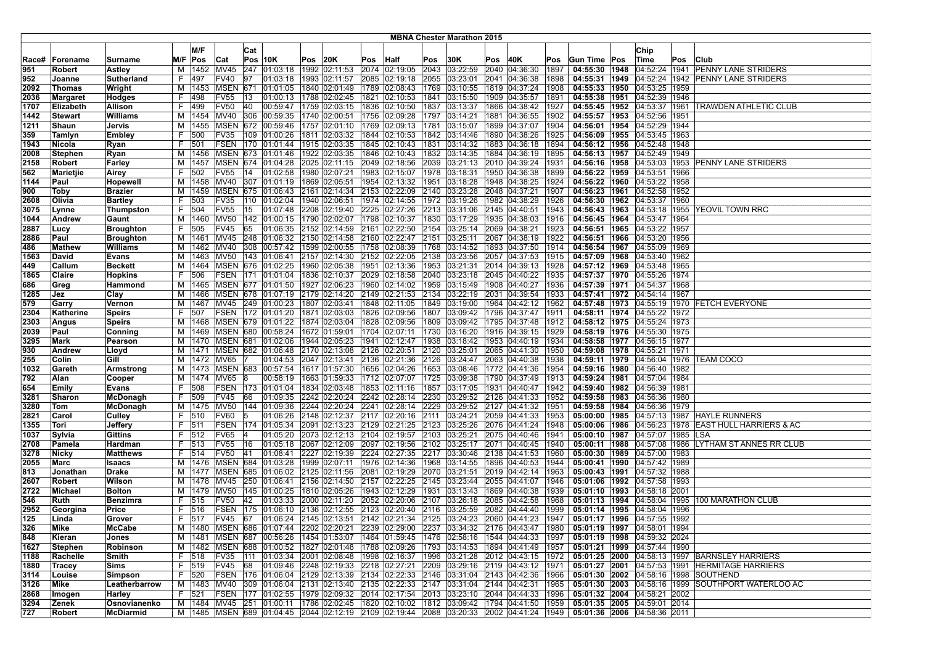|       |               |                  |    |                 |             |     |                                      |     |               |          |                                           |      | <b>MBNA Chester Marathon 2015</b> |     |                                                                                                    |      |                                   |      |                                   |      |                                                         |
|-------|---------------|------------------|----|-----------------|-------------|-----|--------------------------------------|-----|---------------|----------|-------------------------------------------|------|-----------------------------------|-----|----------------------------------------------------------------------------------------------------|------|-----------------------------------|------|-----------------------------------|------|---------------------------------------------------------|
|       |               |                  |    |                 |             |     |                                      |     |               |          |                                           |      |                                   |     |                                                                                                    |      |                                   |      |                                   |      |                                                         |
|       |               |                  |    | M/F             |             | Cat |                                      |     |               |          |                                           |      |                                   |     |                                                                                                    |      |                                   |      | Chip                              |      |                                                         |
| Race# | Forename      | Surname          |    | $M/F$ Pos       | Cat         |     | <b>Pos 10K</b>                       | Pos | 20K           | Pos Half |                                           | Pos  | 30K                               | Pos | 40K                                                                                                | Pos  | <b>Gun Time Pos</b>               |      | Time                              | Pos  | Club                                                    |
| 951   | Robert        | <b>Astley</b>    | м  | 1452            | MV45        |     | 247 01:03:18                         |     | 1992 02:11:53 |          | 2074 02:19:05                             | 2043 | 03:22:59                          |     | 2040 04:36:30                                                                                      | 1897 | 04:55:30                          | 1948 |                                   |      | 04:52:24 1941 PENNY LANE STRIDERS                       |
| 952   | Joanne        | Sutherland       |    | F 497           | FV40        | 97  | 01:03:18                             |     | 1993 02:11:57 |          | 2085 02:19:18                             | 2055 |                                   |     | 03:23:01 2041 04:36:38                                                                             | 1898 | 04:55:31   1949                   |      |                                   |      | 04:52:24   1942   PENNY LANE STRIDERS                   |
| 2092  | Thomas        | Wright           | М  | 1453            | <b>MSEN</b> | 671 | 01:01:05                             |     | 1840 02:01:49 |          | 1789 02:08:43                             | 1769 |                                   |     | 03:10:55  1819  04:37:24                                                                           | 1908 | 04:55:33 1950                     |      | 04:53:25 1959                     |      |                                                         |
| 2036  | Margaret      | Hodges           | F. | 498             | <b>FV55</b> | 13  | 01:00:13                             |     | 1788 02:02:45 |          | 1821 02:10:53                             | 1841 | $\sqrt{03:15:50}$                 |     | 1909 04:35:57                                                                                      | 1891 | 04:55:38 1951                     |      | 04:52:39 1946                     |      |                                                         |
| 1707  | Elizabeth     | Allison          | F. | 499             | <b>FV50</b> | 40  | 00:59:47                             |     | 1759 02:03:15 |          | 1836 02:10:50                             | 1837 | 03:13:37                          |     | 1866 04:38:42                                                                                      | 1927 |                                   |      |                                   |      | 04:55:45 1952 04:53:37 1961 TRAWDEN ATHLETIC CLUB       |
| 1442  | Stewart       | Williams         |    | M   1454   MV40 |             |     | 306 00:59:35                         |     | 1740 02:00:51 |          | 1756 02:09:28                             | 1797 | 03:14:21                          |     | 1881 04:36:55                                                                                      | 1902 |                                   |      | 04:55:57   1953   04:52:56   1951 |      |                                                         |
| 1211  | Shaun         | Jervis           |    | M   1455   MSEN |             |     | 672 00:59:46                         |     | 1757 02:01:10 |          | 1769 02:09:13                             | 1781 | 03:15:07                          |     | 1899 04:37:07                                                                                      | 1904 |                                   |      | 04:56:01   1954   04:52:29   1944 |      |                                                         |
| 359   | Tamlyn        | Embley           | F. | 500             | FV35        |     | 109 01:00:26                         |     | 1811 02:03:32 |          | 1844 02:10:53                             | 1842 |                                   |     | 03:14:46   1890   04:38:26                                                                         | 1925 | 04:56:09 1955                     |      | 04:53:45 1963                     |      |                                                         |
| 1943  | Nicola        | Ryan             | F. | 501             | <b>FSEN</b> |     | 170 01:01:44                         |     | 1915 02:03:35 |          | 1845 02:10:43                             | 1831 |                                   |     | 03:14:32 1883 04:36:18                                                                             | 1894 | 04:56:12 1956                     |      | 04:52:48                          | 1948 |                                                         |
| 2008  | Stephen       | Ryan             |    | M   1456   MSEN |             |     | 673 01:01:46                         |     | 1922 02:03:35 |          | 1846 02:10:43                             | 1832 |                                   |     | 03:14:35 1884 04:36:19                                                                             | 1895 | 04:56:13 1957                     |      | 04:52:49 1949                     |      |                                                         |
| 2158  | <b>Robert</b> | Farley           |    |                 |             |     | M  1457   MSEN   674   01:04:28      |     | 2025 02:11:15 |          | 2049 02:18:56                             |      |                                   |     | 2039 03:21:13 2010 04:39:24                                                                        | 1931 |                                   |      |                                   |      | 04:56:16   1958   04:53:03   1953   PENNY LANE STRIDERS |
| 562   | Marietjie     | Airey            | F. | 502             | FV55        | 14  | 01:02:58                             |     | 1980 02:07:21 |          | 1983 02:15:07                             | 1978 | 03:18:31                          |     | 1950 04:36:38                                                                                      | 1899 | 04:56:22 1959 04:53:51 1966       |      |                                   |      |                                                         |
| 1144  | Paul          | Hopewell         |    | M   1458   MV40 |             |     | 307 01:01:19                         |     | 1869 02:05:51 |          | 1954 02:13:32                             | 1951 |                                   |     | 03:18:28   1948   04:38:25                                                                         | 1924 |                                   |      | 04:56:22   1960   04:53:22   1958 |      |                                                         |
| 900   | Toby          | <b>Brazier</b>   | м  |                 | 1459 MSEN   |     | 675 01:06:43                         |     | 2161 02:14:34 |          | 2153 02:22:09                             | 2140 | 03:23:28                          |     | 2048 04:37:21                                                                                      | 1907 | 04:56:23 1961 04:52:58            |      |                                   | 1952 |                                                         |
| 2608  | Olivia        | <b>Bartley</b>   | F. | 503             | FV35        |     | 110 01:02:04                         |     | 1940 02:06:51 |          | 1974 02:14:55                             | 1972 |                                   |     | 03:19:26  1982  04:38:29                                                                           | 1926 | 04:56:30 1962                     |      | 04:53:37 1960                     |      |                                                         |
| 3075  | Lynne         | Thumpston        | F. | 504             | FV55        | 15  | 01:07:48                             |     | 2208 02:19:40 |          | 2225 02:27:26                             |      | 2213 03:31:06 2145 04:40:51       |     |                                                                                                    | 1943 | 04:56:43 1963                     |      |                                   |      | 04:53:18 1955 YEOVIL TOWN RRC                           |
| 1044  | Andrew        | Gaunt            |    | M   1460   MV50 |             |     | 142 01:00:15                         |     | 1790 02:02:07 |          | 1798 02:10:37                             |      |                                   |     | 1830  03:17:29  1935 04:38:03                                                                      | 1916 |                                   |      | 04:56:45   1964   04:53:47   1964 |      |                                                         |
| 2887  | Lucy          | <b>Broughton</b> | F. | 505             | <b>FV45</b> | 65  | 01:06:35 2152 02:14:59               |     |               |          | 2161 02:22:50                             |      | 2154 03:25:14 2069 04:38:21       |     |                                                                                                    | 1923 | 04:56:51 1965 04:53:22 1957       |      |                                   |      |                                                         |
| 2886  | Paul          | <b>Broughton</b> |    | M   1461   MV45 |             |     | 248 01:06:32 2150 02:14:58           |     |               |          | 2160 02:22:47                             | 2151 | 03:25:11                          |     | 2067 04:38:19                                                                                      | 1922 | 04:56:51   1966                   |      | 04:53:20 1956                     |      |                                                         |
| 486   | Mathew        | <b>Williams</b>  |    | M   1462   MV40 |             |     | 308 00:57:42                         |     | 1599 02:00:55 |          | 1758 02:08:39                             | 1768 |                                   |     | 03:14:52 1893 04:37:50                                                                             | 1914 |                                   |      | 04:56:54 1967 04:55:09 1969       |      |                                                         |
| 1563  | David         | <b>Evans</b>     |    | M   1463   MV50 |             |     | 143 01:06:41                         |     | 2157 02:14:30 |          | 2152 02:22:05                             | 2138 |                                   |     | 03:23:56 2057 04:37:53                                                                             | 1915 | 04:57:09 1968 04:53:40            |      |                                   | 1962 |                                                         |
| 449   | Callum        | <b>Beckett</b>   | м  |                 | 1464 MSEN   |     | 676 01:02:25                         |     | 1960 02:05:38 |          | 1951 02:13:36                             | 1953 |                                   |     | 03:21:31 2014 04:39:13                                                                             | 1928 | 04:57:12 1969                     |      | 04:53:48                          | 1965 |                                                         |
| 1865  | Claire        | <b>Hopkins</b>   | F. | 1506            |             |     | FSEN 171 01:01:04                    |     | 1836 02:10:37 |          | 2029 02:18:58                             |      |                                   |     | 2040 03:23:18 2045 04:40:22                                                                        | 1935 | 04:57:37 1970 04:55:26            |      |                                   | 1974 |                                                         |
| 686   | Greg          | Hammond          |    |                 |             |     | M  1465   MSEN   677   01:01:50      |     | 1927 02:06:23 |          | 1960 02:14:02                             |      |                                   |     | 1959 03:15:49 1908 04:40:27                                                                        | 1936 | 04:57:39 1971 04:54:37 1968       |      |                                   |      |                                                         |
| 1285  | Jez           | Clay             |    |                 |             |     | M   1466   MSEN   678   01:07:19     |     | 2179 02:14:20 |          | 2149 02:21:53                             |      | 2134  03:22:19  2031  04:39:54    |     |                                                                                                    | 1933 |                                   |      | 04:57:41   1972   04:54:14   1967 |      |                                                         |
| 579   | Garry         | Vernon           |    | M   1467   MV45 |             |     | 249 01:00:23                         |     | 1807 02:03:41 |          | 1848 02:11:05                             | 1849 |                                   |     | 03:19:00 1964 04:42:12                                                                             | 1962 |                                   |      |                                   |      | 04:57:48 1973 04:55:19 1970 FETCH EVERYONE              |
| 2304  | Katherine     | Speirs           | F. | 1507            |             |     | FSEN 172 01:01:20                    |     | 1871 02:03:03 |          | 1826 02:09:56                             | 1807 |                                   |     | 03:09:42  1796  04:37:47                                                                           | 1911 |                                   |      | 04:58:11   1974   04:55:22   1972 |      |                                                         |
| 2303  | Angus         | <b>Speirs</b>    |    | M   1468   MSEN |             |     | 679 01:01:22                         |     | 1874 02:03:04 |          | 1828 02:09:56                             | 1809 |                                   |     | 03:09:42 1795 04:37:48                                                                             | 1912 | 04:58:12 1975 04:55:24            |      |                                   | 1973 |                                                         |
| 2039  | Paul          | Conning          | М  |                 |             |     | 1469   MSEN   680   00:58:24         |     | 1672 01:59:01 |          | 1704 02:07:11                             | 1730 |                                   |     | 03:16:20   1916   04:39:15                                                                         | 1929 |                                   |      | 04:58:19   1976   04:55:30   1975 |      |                                                         |
| 3295  | Mark          | Pearson          |    |                 |             |     | M  1470   MSEN   681   01:02:06      |     | 1944 02:05:23 |          | 1941 02:12:47                             |      |                                   |     | 1938  03:18:42  1953  04:40:19                                                                     | 1934 | 04:58:58   1977   04:56:15   1977 |      |                                   |      |                                                         |
| 930   | Andrew        | Lloyd            |    |                 |             |     | M  1471  MSEN  682  01:06:48         |     | 2170 02:13:08 |          | 2126 02:20:51                             |      | 2120 03:25:01                     |     | 2065 04:41:30                                                                                      | 1950 |                                   |      | 04:59:08 1978 04:55:21 1971       |      |                                                         |
| 255   | Colin         | Gill             |    | M   1472   MV65 |             |     | 01:04:53                             |     | 2047 02:13:41 |          | 2136 02:21:36                             | 2126 | 03:24:47 2063 04:40:38            |     |                                                                                                    | 1938 |                                   |      |                                   |      | 04:59:11   1979   04:56:04   1976   TEAM COCO           |
| 1032  | Gareth        | Armstrong        |    |                 |             |     | M   1473   MSEN   683   00:57:54     |     | 1617 01:57:30 |          | 1656 02:04:26                             | 1653 |                                   |     | 03:08:46  1772  04:41:36                                                                           | 1954 |                                   |      | 04:59:16   1980   04:56:40   1982 |      |                                                         |
| 792   | Alan          | Cooper           |    | M   1474   MV65 |             |     | 00:58:19                             |     | 1663 01:59:33 |          | 1712 02:07:07                             | 1725 |                                   |     | 03:09:38  1790  04:37:49                                                                           | 1913 | 04:59:24 1981                     |      | 04:57:04                          | 1984 |                                                         |
| 654   | Emily         | <b>Evans</b>     | F  | 508             | <b>FSEN</b> |     | 173 01:01:04                         |     | 1834 02:03:48 |          | 1853 02:11:16                             | 1857 |                                   |     | 03:17:05  1931  04:40:47                                                                           | 1942 | 04:59:40   1982   04:56:39        |      |                                   | 1981 |                                                         |
| 3281  | Sharon        | McDonagh         | F. | 509             | FV45        | 66  | 01:09:35                             |     | 2242 02:20:24 |          | 2242 02:28:14 2230 03:29:52 2126 04:41:33 |      |                                   |     |                                                                                                    | 1952 | 04:59:58 1983 04:56:36 1980       |      |                                   |      |                                                         |
| 3280  | Tom           | <b>McDonagh</b>  |    | M   1475   MV50 |             |     | 144 01:09:36                         |     | 2244 02:20:24 |          | 2241 02:28:14                             |      |                                   |     | 2229 03:29:52 2127 04:41:32                                                                        | 1951 | 04:59:58   1984   04:56:36   1979 |      |                                   |      |                                                         |
| 2821  | Carol         | Culley           |    | F 510           | FV60        |     | 01:06:26                             |     | 2148 02:12:37 |          | 2117 02:20:16                             | 2111 | 03:24:21                          |     | 2059 04:41:33                                                                                      | 1953 | 05:00:00 1985                     |      |                                   |      | 04:57:13 1987 HAYLE RUNNERS                             |
| 1355  | Tori          | <b>Jeffery</b>   |    | F 511           | <b>FSEN</b> |     | 174 01:05:34                         |     | 2091 02:13:23 |          | 2129 02:21:25                             | 2123 | 03:25:26                          |     | 2076 04:41:24                                                                                      | 1948 | 05:00:06                          | 1986 |                                   |      | 04:56:23 1978 EAST HULL HARRIERS & AC                   |
| 1037  | Sylvia        | Gittins          | F. | 512             | <b>FV65</b> |     | 01:05:20                             |     | 2073 02:12:13 |          | 2104 02:19:57                             | 2103 | 03:25:21                          |     | 2075 04:40:46                                                                                      | 1941 |                                   |      | 05:00:10 1987 04:57:07 1985 LSA   |      |                                                         |
| 2708  | Pamela        | Hardman          |    | 513             | <b>FV55</b> | 16  | 01:05:18                             |     | 2067 02:12:09 |          | 2097 02:19:56                             |      |                                   |     | 2102 03:25:17 2071 04:40:45                                                                        | 1940 | 05:00:11                          | 1988 |                                   |      | 04:57:08   1986   LYTHAM ST ANNES RR CLUB               |
| 3278  | Nicky         | <b>Matthews</b>  |    | F 1514          | FV50        | 41  | 01:08:41                             |     | 2227 02:19:39 |          | 2224 02:27:35                             | 2217 |                                   |     | 03:30:46 2138 04:41:53                                                                             | 1960 |                                   |      | 05:00:30   1989   04:57:00   1983 |      |                                                         |
| 2055  | Marc          | Isaacs           |    |                 |             |     | M  1476   MSEN   684   01:03:28      |     | 1999 02:07:11 |          | 1976 02:14:36                             |      |                                   |     | 1968  03:14:55  1896  04:40:53                                                                     | 1944 |                                   |      | 05:00:41   1990   04:57:42   1989 |      |                                                         |
| 813   | Jonathan      | Drake            |    |                 |             |     | M  1477   MSEN   685   01:06:02      |     | 2125 02:11:56 |          | 2081 02:19:29                             | 2070 | 03:21:51                          |     | 2019 04:42:14                                                                                      | 1963 |                                   |      | 05:00:43 1991 04:57:32 1988       |      |                                                         |
| 2607  | <b>Robert</b> | Wilson           |    | M   1478   MV45 |             |     | 250 01:06:41                         |     | 2156 02:14:50 |          | 2157 02:22:25                             | 2145 | 03:23:44                          |     | 2055 04:41:07                                                                                      | 1946 | 05:01:06                          |      | 1992 04:57:58                     | 1993 |                                                         |
| 2722  | Michael       | <b>Bolton</b>    |    | M   1479   MV50 |             |     | 145 01:00:25                         |     | 1810 02:05:26 |          | 1943 02:12:29                             | 1931 | 03:13:43                          |     | 1869  04:40:38                                                                                     | 1939 | 05:01:10   1993   04:58:18        |      |                                   | 2001 |                                                         |
| 546   | Ruth          | <b>Benzimra</b>  | F. | 515             | <b>FV50</b> | 42  | 01:03:33                             |     | 2000 02:11:20 |          | 2052 02:20:06                             | 2107 |                                   |     | 03:26:18 2085 04:42:58                                                                             | 1968 | 05:01:13 1994                     |      | 04:58:04                          |      | 1995   100 MARATHON CLUB                                |
| 2952  | Georgina      | Price            | F. | 516             | <b>FSEN</b> |     | 175  01:06:10  2136 02:12:55         |     |               |          | 2123 02:20:40                             | 2116 |                                   |     | 03:25:59 2082 04:44:40                                                                             | 1999 | 05:01:14 1995                     |      | 04:58:04 1996                     |      |                                                         |
| 125   | Linda         | Grover           |    | F   517         | <b>FV45</b> | 67  | 01:06:24 2145 02:13:51               |     |               |          |                                           |      |                                   |     | 2142 02:21:34 2125 03:24:23 2060 04:41:23                                                          | 1947 | 05:01:17   1996   04:57:55   1992 |      |                                   |      |                                                         |
| 326   | Mike          | McCabe           |    |                 |             |     |                                      |     |               |          |                                           |      |                                   |     | M  1480  MSEN  686  01:07:44  2202  02:20:21  2239  02:29:00  2237  03:34:32  2176  04:43:47  1980 |      | 05:01:19   1997   04:58:01   1994 |      |                                   |      |                                                         |
| 848   | Kieran        | Jones            |    |                 |             |     |                                      |     |               |          |                                           |      |                                   |     | M  1481  MSEN  687  00:56:26  1454  01:53:07  1464  01:59:45  1476  02:58:16  1544  04:44:33  1997 |      | 05:01:19 1998 04:59:32 2024       |      |                                   |      |                                                         |
| 1627  | Stephen       | Robinson         |    |                 |             |     |                                      |     |               |          |                                           |      |                                   |     | M  1482  MSEN  688  01:00:52  1827  02:01:48  1788  02:09:26  1793  03:14:53  1894  04:41:49  1957 |      | 05:01:21   1999   04:57:44   1990 |      |                                   |      |                                                         |
| 1188  | Rachelle      | Smith            |    | F 518           | FV35        |     |                                      |     |               |          |                                           |      |                                   |     | 111 01:03:34 2001 02:08:48 1998 02:16:37 1996 03:21:28 2012 04:43:15 1972                          |      |                                   |      |                                   |      | 05:01:25 2000 04:58:13 1997 BARNSLEY HARRIERS           |
| 1880  | Tracey        | Sims             |    | F 519           | FV45        | 68  | 01:09:46 2248 02:19:33 2218 02:27:21 |     |               |          |                                           |      |                                   |     | 2209 03:29:16 2119 04:43:12                                                                        | 1971 |                                   |      |                                   |      | 05:01:27 2001 04:57:53 1991 HERMITAGE HARRIERS          |
| 3114  | Louise        | Simpson          |    | F 520           |             |     |                                      |     |               |          |                                           |      |                                   |     | FSEN 176 01:06:04 2129 02:13:39 2134 02:22:33 2146 03:31:04 2143 04:42:36 1966                     |      |                                   |      |                                   |      | 05:01:30 2002 04:58:16 1998 SOUTHEND                    |
| 3126  | Mike          | Leatherbarrow    |    |                 |             |     |                                      |     |               |          |                                           |      |                                   |     | M  1483  MV40  309  01:06:04  2131  02:13:40  2135  02:22:33  2147  03:31:04  2144  04:42:31  1965 |      |                                   |      |                                   |      | 05:01:30 2003 04:58:16 1999 SOUTHPORT WATERLOO AC       |
| 2868  | Imogen        | <b>Harley</b>    |    | F  521          |             |     |                                      |     |               |          |                                           |      |                                   |     | FSEN 177 01:02:55 1979 02:09:32 2014 02:17:54 2013 03:23:10 2044 04:44:33 1996                     |      |                                   |      | 05:01:32 2004 04:58:21 2002       |      |                                                         |
| 3294  | Zenek         | Osnovianenko     |    |                 |             |     |                                      |     |               |          |                                           |      |                                   |     | M  1484  MV45  251  01:00:11  1786  02:02:45  1820  02:10:02  1812  03:09:42  1794  04:41:50  1959 |      | 05:01:35 2005 04:59:01 2014       |      |                                   |      |                                                         |
| 727   | Robert        | McDiarmid        |    |                 |             |     |                                      |     |               |          |                                           |      |                                   |     | M  1485  MSEN  689  01:04:45  2044  02:12:19  2109  02:19:44  2088  03:20:33  2002  04:41:24  1949 |      | 05:01:36 2006 04:58:36 2011       |      |                                   |      |                                                         |
|       |               |                  |    |                 |             |     |                                      |     |               |          |                                           |      |                                   |     |                                                                                                    |      |                                   |      |                                   |      |                                                         |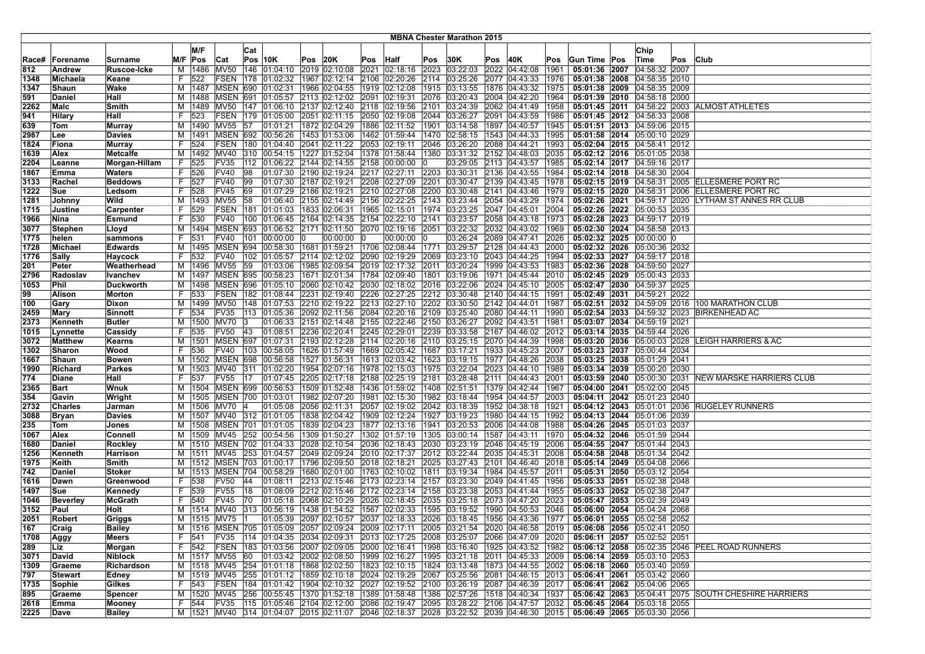|              |                  |                        |        |              |                         |     |                                                                                                    |      |                             |                                                              |              | <b>MBNA Chester Marathon 2015</b>            |     |                                                                         |              |                                                            |                             |     |                                                     |
|--------------|------------------|------------------------|--------|--------------|-------------------------|-----|----------------------------------------------------------------------------------------------------|------|-----------------------------|--------------------------------------------------------------|--------------|----------------------------------------------|-----|-------------------------------------------------------------------------|--------------|------------------------------------------------------------|-----------------------------|-----|-----------------------------------------------------|
|              |                  |                        |        | M/F          |                         |     |                                                                                                    |      |                             |                                                              |              |                                              |     |                                                                         |              |                                                            |                             |     |                                                     |
|              |                  |                        |        |              |                         | Cat |                                                                                                    |      |                             |                                                              |              |                                              |     |                                                                         |              |                                                            | Chip                        |     |                                                     |
| Race#        | Forename         | Surname                |        | M/F Pos      | Cat                     |     | Pos 10K                                                                                            | Pos  | 20K                         | Pos Half                                                     | Pos          | 30K                                          | Pos | 40K                                                                     | Pos          | Gun Time Pos                                               | Time                        | Pos | <b>Club</b>                                         |
| 812          | Andrew           | Ruscoe-Icke            | M      | 1486         | <b>MV50</b>             |     | 146 01:04:10                                                                                       |      | 2019 02:10:08               | 2021 02:18:16                                                | 2023         | 03:22:03                                     |     | 2022 04:42:08                                                           | 1961         | 05:01:36 2007                                              | 04:58:32 2007               |     |                                                     |
| 1348         | Michaela         | Keane                  | F.     | 522          | FSEN                    |     | 178  01:02:32  1967  02:12:14  2106  02:20:26                                                      |      |                             |                                                              | 2114         | 03:25:26                                     |     | 2077 04:43:33                                                           | 1976         | 05:01:38 2008 04:58:35 2010                                |                             |     |                                                     |
| 1347         | Shaun            | Wake                   | M      | 1487         | <b>MSEN</b>             | 690 | 01:02:31                                                                                           | 1966 |                             | 02:04:55  1919  02:12:08                                     | 1915         | 03:13:55                                     |     | 1876 04:43:32                                                           | 1975         |                                                            | 05:01:38 2009 04:58:35 2009 |     |                                                     |
| 591          | Daniel           | Hall                   | м      | 1488         | <b>MSEN</b>             | 691 | 01:05:57                                                                                           |      | 2113 02:12:02 2091 02:19:31 |                                                              | 2076         | 03:20:43                                     |     | 2004 04:42:20                                                           | 1964         | 05:01:39 2010 04:58:18 2000                                |                             |     |                                                     |
| 2262         | Malc             | Smith                  | M      |              |                         |     | 1489  MV50  147  01:06:10  2137  02:12:40  2118  02:19:56                                          |      |                             |                                                              | 2101         | 03:24:39                                     |     | 2062 04:41:49                                                           | 1958         |                                                            |                             |     | 05:01:45 2011 04:58:22 2003 ALMOST ATHLETES         |
| 941          | Hilary           | Hall                   | F.     | 523          |                         |     | FSEN 179 01:05:00                                                                                  |      |                             | 2051 02:11:15 2050 02:19:08                                  | 2044         | 03:26:27                                     |     | 2091 04:43:59                                                           | 1986         |                                                            | 05:01:45 2012 04:58:33 2008 |     |                                                     |
| 639          | Tom              | <b>Murray</b>          | м      |              | 1490 MV55               | 57  | 01:01:21                                                                                           |      |                             | 1872 02:04:29   1886 02:11:52                                | 1901         | 03:14:58                                     |     | 1897 04:40:57                                                           | 1945         |                                                            | 05:01:51 2013 04:59:06 2015 |     |                                                     |
| 2987         | Lee              | Davies                 | м      | 1491         |                         |     | MSEN 692 00:56:26                                                                                  |      |                             | 1453  01:53:06  1462  01:59:44                               | 1470         | 02:58:15                                     |     | 1543 04:44:33                                                           | 1995         | 05:01:58 2014 05:00:10 2029                                |                             |     |                                                     |
| 1824         | Fiona            | Murray                 | F      | 524          | FSEN                    | 180 | 01:04:40                                                                                           |      | 2041 02:11:22               | 2053 02:19:11                                                | 2046         | 03:26:20                                     |     | 2088 04:44:21                                                           | 1993         |                                                            | 05:02:04 2015 04:58:41 2012 |     |                                                     |
| 1639         | Alex             | Metcalfe               | M      |              | 1492 MV40               |     | 310 00:54:15                                                                                       |      |                             | 1227 01:52:04   1378 01:58:44                                | 1380         | 03:31:32                                     |     | 2152 04:48:03                                                           | 2035         | 05:02:12 2016 05:01:05 2038                                |                             |     |                                                     |
| 2204         | Leanne           | Morgan-Hillam          | F      | 525          | FV35                    |     | 112  01:06:22  2144  02:14:55  2158  00:00:00                                                      |      |                             |                                                              |              |                                              |     | 03:29:05 2113 04:43:57                                                  | 1985         | 05:02:14 2017 04:59:16 2017                                |                             |     |                                                     |
| 1867         | Emma             | Waters                 | F.     | 526          | <b>FV40</b>             | 98  | 01:07:30 2190 02:19:24 2217 02:27:11                                                               |      |                             |                                                              |              | 2203 03:30:31                                |     | 2136 04:43:55                                                           | 1984         | 05:02:14 2018 04:58:30 2004                                |                             |     |                                                     |
| 3133         | Rachel           | <b>Beddows</b>         | F.     | 527          | FV40                    | 99  |                                                                                                    |      |                             | 01:07:30 2187 02:19:21 2208 02:27:09                         | 2201         | 03:30:47                                     |     | 2139 04:43:45                                                           | 1978         |                                                            |                             |     | 05:02:15 2019 04:58:31 2005 ELLESMERE PORT RC       |
| 1222         | Sue              | Ledsom                 | F.     | 528          | FV45                    | 69  | 01:07:29                                                                                           |      | 2186 02:19:21               | 2210 02:27:08                                                | 2200         | 03:30:48                                     |     | 2141 04:43:46                                                           | 1979         |                                                            | 05:02:15 2020 04:58:31 2006 |     | <b>ELLESMERE PORT RC</b>                            |
| 1281         | Johnny           | Wild                   | M      | 1493         | MV <sub>55</sub>        | 58  |                                                                                                    |      |                             | 01:06:40 2155 02:14:49 2156 02:22:25                         | 2143         | 03:23:44                                     |     | 2054 04:43:29                                                           | 1974         |                                                            | 05:02:26 2021 04:59:17 2020 |     | LYTHAM ST ANNES RR CLUB                             |
| 1715         | Justine          | Carpenter              | F.     | 529          |                         |     | FSEN   181   01:01:03                                                                              |      | 1833 02:06:31               | 1965 02:15:01                                                | 1974         | 03:23:25                                     |     | 2047 04:45:01                                                           | 2004         | 05:02:26 2022 05:00:53 2035                                |                             |     |                                                     |
| 1966         | Nina             | Esmund                 | F.     | 530          | <b>FV40</b>             |     | 100   01:06:45   2164   02:14:35   2154   02:22:10                                                 |      |                             |                                                              | 2141         | 03:23:57                                     |     | 2058 04:43:18                                                           | 1973         | 05:02:28 2023 04:59:17 2019                                |                             |     |                                                     |
| 3077         | <b>Stephen</b>   | Lloyd                  |        | M   1494     |                         |     | MSEN 693 01:06:52 2171 02:11:50 2070 02:19:16                                                      |      |                             |                                                              | 2051         | 03:22:32                                     |     | 2032 04:43:02                                                           | 1969         | 05:02:30 2024 04:58:58 2013                                |                             |     |                                                     |
| 1775         | helen            | sammons                | F.     | 531          | <b>FV40</b>             | 101 | 00:00:00                                                                                           |      | 00:00:00 0                  | 00:00:00                                                     |              | 03:26:24                                     |     | 2089 04:47:41                                                           | 2026         |                                                            | 05:02:32 2025 00:00:00 0    |     |                                                     |
| 1728         | Michael          | <b>Edwards</b>         | M      | 1495         | <b>MSEN</b>             | 694 | 00:58:30   1681   01:59:21   1706   02:08:44                                                       |      |                             |                                                              | 1771         | 03:29:57                                     |     | 2128 04:44:43                                                           | 2000         |                                                            | 05:02:32 2026 05:00:36 2032 |     |                                                     |
| 1776         | Sally            | Haycock                | F.     | 532          | FV40                    |     | 102 01:05:57 2114 02:12:02 2090 02:19:29                                                           |      |                             |                                                              | 2069         | 03:23:10                                     |     | 2043 04:44:25                                                           | 1994         | 05:02:33 2027 04:59:17 2018                                |                             |     |                                                     |
| 201          | Peter            | Weatherhead            | M      | 1496         | <b>MV55</b>             | 59  | 01:03:06                                                                                           |      |                             | 1985 02:09:54 2019 02:17:32                                  | 2011         | 03:20:24                                     |     | 1999 04:43:53                                                           | 1983         | 05:02:36 2028 04:59:50 2027                                |                             |     |                                                     |
| 2796         | Radoslav         | Ivanchev               | М      | 1497         | <b>MSEN 695</b>         |     | 00:58:23                                                                                           |      |                             | 1671  02:01:34  1784  02:09:40                               | 1801         | 03:19:06                                     |     | 1971 04:45:44                                                           | 2010         | 05:02:45 2029 05:00:43 2033                                |                             |     |                                                     |
| 1053         | Phil             | Duckworth              | M      |              |                         |     | 1498   MSEN   696   01:05:10   2060   02:10:42   2030   02:18:02                                   |      |                             |                                                              | 2016         | 03:22:06                                     |     | 2024 04:45:10                                                           | 2005         | 05:02:47 2030 04:59:37 2025                                |                             |     |                                                     |
| 99           | Alison           | Morton                 | F.     | 533          |                         |     | FSEN 182 01:08:44                                                                                  |      |                             | 2231 02:19:40 2226 02:27:25                                  |              | 2212 03:30:48                                |     | 2140 04:44:15                                                           | 1991         |                                                            | 05:02:49 2031 04:59:21 2022 |     |                                                     |
| 100          | Gary             | Dixon                  | M      | 1499         | MV50                    |     | 148 01:07:53                                                                                       |      |                             | 2210 02:19:22 2213 02:27:10                                  | 2202         | 03:30:50                                     |     | 2142 04:44:01                                                           | 1987         |                                                            | 05:02:51 2032 04:59:09 2016 |     | 100 MARATHON CLUB                                   |
| 2459         | Mary             | Sinnott                | F.     | 534          | FV35                    | 113 | 01:05:36                                                                                           |      |                             | 2092 02:11:56 2084 02:20:16                                  | 2109         | 03:25:40                                     |     | 2080 04:44:11                                                           | 1990         | 05:02:54 2033 04:59:32 2023                                |                             |     | <b>BIRKENHEAD AC</b>                                |
| 2373         | Kenneth          | <b>Butler</b>          | M<br>F | 1500         | <b>MV70</b>             |     | 01:06:33                                                                                           |      |                             | 2151 02:14:48 2155 02:22:46                                  | 2150         | 03:26:27                                     |     | 2092 04:43:51                                                           | 1981         |                                                            | 05:03:07 2034 04:59:19 2021 |     |                                                     |
| 1015         | Lynnette         | Cassidy                |        | 535          | <b>FV50</b>             | 43  | 01:08:51                                                                                           |      | 2236 02:20:41               | 2245 02:29:01                                                | 2239         | 03:33:58                                     |     | 2167 04:46:02                                                           | 2012         | 05:03:14 2035 04:59:44 2026                                |                             |     |                                                     |
| 3072         | Matthew          | Kearns                 | M      | 1501         |                         |     | MSEN 697 01:07:31                                                                                  |      |                             | 2193 02:12:28 2114 02:20:16                                  |              | 2110 03:25:15 2070 04:44:39<br>1687 03:17:21 |     | 1933 04:45:23                                                           | 1998         |                                                            |                             |     | 05:03:20 2036 05:00:03 2028 LEIGH HARRIERS & AC     |
| 1302         | Sharon           | Wood                   | F.     | 536          | FV40                    |     | 103 00:58:05                                                                                       |      |                             | 1626 01:57:49 1669 02:05:42                                  |              |                                              |     |                                                                         | 2007         |                                                            | 05:03:23 2037 05:00:44 2034 |     |                                                     |
| 1667<br>1990 | Shaun<br>Richard | <b>Bowen</b><br>Parkes | м<br>м | 1502<br>1503 | <b>MSEN 698</b><br>MV40 | 311 | 00:56:58<br> 01:02:20                                                                              |      |                             | 1527 01:56:31 1613 02:03:42                                  | 1623<br>1975 | 03:19:15<br> 03:22:04                        |     | 1977 04:48:26                                                           | 2038<br>1989 | 05:03:25 2038 05:01:29 2041<br>05:03:34 2039 05:00:20 2030 |                             |     |                                                     |
| 774          | Diane            | Hall                   | F      | 537          | <b>FV55</b>             | 17  | 01:07:45                                                                                           |      |                             | 1954 02:07:16   1978 02:15:03<br>2205 02:17:18 2188 02:25:19 | 2181         | 03:28:48                                     |     | 2023 04:44:10<br>2111 04:44:43                                          | 2001         |                                                            | 05:03:59 2040 05:00:30 2031 |     | NEW MARSKE HARRIERS CLUB                            |
| 2365         | Bart             | Wnuk                   | м      | 1504         |                         |     | MSEN 699 00:56:53                                                                                  |      |                             | 1509 01:52:48 1436 01:59:02                                  | 1408         | 02:51:51                                     |     | 1379 04:42:44                                                           | 1967         | 05:04:00 2041 05:02:00 2045                                |                             |     |                                                     |
| 354          | Gavin            | Wright                 | M      |              |                         |     | 1505 MSEN 700 01:03:01                                                                             |      |                             | 1982 02:07:20 1981 02:15:30                                  |              | 1982 03:18:44                                |     | 1954 04:44:57                                                           | 2003         |                                                            | 05:04:11 2042 05:01:23 2040 |     |                                                     |
| 2732         | <b>Charles</b>   | Jarman                 |        |              | M   1506   MV70   4     |     | 01:05:08                                                                                           |      |                             | 2056 02:11:31 2057 02:19:02                                  |              | 2042 03:18:39 1952 04:38:18                  |     |                                                                         | 1921         |                                                            |                             |     | 05:04:12 2043 05:01:01 2036 RUGELEY RUNNERS         |
| 3088         | <b>Bryan</b>     | <b>Davies</b>          | м      |              |                         |     | 1507 MV40 312 01:01:05                                                                             |      |                             | 1838 02:04:42   1909 02:12:24                                | 1927         | 03:19:23                                     |     | 1980 04:44:15                                                           | 1992         |                                                            | 05:04:13 2044 05:01:06 2039 |     |                                                     |
| 235          | Tom              | Jones                  | м      | 1508         | <b>MSEN 701</b>         |     | 01:01:05                                                                                           |      |                             | 1839 02:04:23   1877 02:13:16                                | 1941         | 03:20:53                                     |     | 2006 04:44:08                                                           | 1988         |                                                            | 05:04:26 2045 05:01:03 2037 |     |                                                     |
| 1067         | Alex             | Connell                | м      | 1509         | MV45                    |     | 252 00:54:56                                                                                       |      |                             | 1309 01:50:27  1302 01:57:19                                 | 1305         | 03:00:14                                     |     | 1587 04:43:11                                                           | 1970         |                                                            | 05:04:32 2046 05:01:59 2044 |     |                                                     |
| 1680         | Daniel           | Rockley                | M      | 1510         |                         |     | MSEN 702 01:04:33                                                                                  |      |                             | 2028 02:10:54 2036 02:18:43                                  | 2030         | 03:23:19                                     |     | 2046 04:45:19                                                           | 2006         | 05:04:55 2047 05:01:44 2043                                |                             |     |                                                     |
| 1256         | Kenneth          | Harrison               | M      | 1511         |                         |     | MV45 253 01:04:57                                                                                  |      |                             | 2049 02:09:24 2010 02:17:37                                  |              | 2012 03:22:44                                |     | 2035 04:45:31                                                           | 2008         | 05:04:58 2048 05:01:34 2042                                |                             |     |                                                     |
| 1975         | Keith            | Smith                  | м      |              |                         |     | 1512 MSEN 703 01:00:17                                                                             |      |                             | 1796 02:09:50 2018 02:18:21                                  |              | 2025 03:27:43                                |     | 2101 04:46:40                                                           | 2018         | 05:05:14 2049 05:04:08 2066                                |                             |     |                                                     |
| 742          | Daniel           | <b>Stoker</b>          | м      | 1513         | <b>MSEN 704</b>         |     | 00:58:29                                                                                           |      |                             | 1680 02:01:00 1763 02:10:02                                  | 1811         | 03:19:34                                     |     | 1984 04:45:57                                                           | 2011         |                                                            | 05:05:31 2050 05:03:12 2054 |     |                                                     |
| 1616         | Dawn             | Greenwood              | F.     | 538          | <b>FV50</b>             | 44  | 01:08:11                                                                                           |      |                             | 2213 02:15:46 2173 02:23:14                                  | 2157         | 03:23:30                                     |     | 2049 04:41:45                                                           | 1956         |                                                            | 05:05:33 2051 05:02:38 2048 |     |                                                     |
| 1497         | Sue              | Kennedy                | F.     | 539          | FV55                    | 18  | 01:08:09                                                                                           |      |                             | 2212 02:15:46 2172 02:23:14                                  | 2158         | 03:23:38                                     |     | 2053 04:41:44                                                           | 1955         | 05:05:33 2052 05:02:38 2047                                |                             |     |                                                     |
| 1046         | <b>Beverley</b>  | <b>McGrath</b>         | F.     | 540          | FV45                    | 70  | 01:05:18                                                                                           |      | 2068 02:10:29               | 2026 02:18:45                                                | 2035         | 03:25:18                                     |     | 2073 04:47:20                                                           | 2023         | 05:05:47 2053                                              | 05:02:39 2049               |     |                                                     |
| 3152         | Paul             | Holt                   | M      | 1514         | MV40                    |     | 313 00:56:19 1438 01:54:52 1567 02:02:33                                                           |      |                             |                                                              | 1595         | 03:19:52                                     |     | 1990 04:50:53                                                           | 2046         | 05:06:00 2054 05:04:24 2068                                |                             |     |                                                     |
| 2051         | <b>Robert</b>    | Griggs                 |        |              | M   1515   MV75         |     |                                                                                                    |      |                             |                                                              |              |                                              |     | $ 01:05:39 $ $ 2097 02:10:57 2037 02:18:33 2026 03:18:45 1956 04:43:36$ | 1977         | 05:06:01 2055 05:02:58 2052                                |                             |     |                                                     |
| 167          | Craig            | Bailey                 |        |              |                         |     | M  1516  MSEN  705  01:05:09  2057  02:09:24  2009  02:17:11  2005  03:21:54  2020  04:46:58  2019 |      |                             |                                                              |              |                                              |     |                                                                         |              | 05:06:08 2056 05:02:41 2050                                |                             |     |                                                     |
| 1708         | Aggy             | Meers                  | F.     | 541          |                         |     | FV35  114  01:04:35  2034  02:09:31  2013  02:17:25  2008  03:25:07  2066  04:47:09  2020          |      |                             |                                                              |              |                                              |     |                                                                         |              | 05:06:11 2057 05:02:52 2051                                |                             |     |                                                     |
| 289          | ∣Liz             | Morgan                 | F.     | 542          |                         |     | FSEN   183   01:03:56   2007   02:09:05   2000   02:16:41                                          |      |                             |                                                              |              |                                              |     | 1998 03:16:40 1925 04:43:52 1982                                        |              |                                                            |                             |     | 05:06:12 2058 05:02:35 2046 PEEL ROAD RUNNERS       |
| 3071         | David            | <b>Niblock</b>         | M      |              | 1517 MV55 60            |     | 01:03:42 2002 02:08:50 1999 02:16:27                                                               |      |                             |                                                              |              | 1995 03:21:18                                |     | 2011 04:45:33                                                           | 2009         | 05:06:14 2059 05:03:10 2053                                |                             |     |                                                     |
| 1309         | Graeme           | Richardson             | м      |              |                         |     | 1518   MV45   254   01:01:18   1868   02:02:50   1823   02:10:15                                   |      |                             |                                                              | 1824         |                                              |     | 03:13:48 1873 04:44:55                                                  | 2002         | 05:06:18 2060 05:03:40 2059                                |                             |     |                                                     |
| 797          | Stewart          | Edney                  |        |              |                         |     | M  1519  MV45  255  01:01:12  1859  02:10:18  2024  02:19:29  2067  03:25:56  2081  04:46:15  2013 |      |                             |                                                              |              |                                              |     |                                                                         |              | 05:06:41 2061 05:03:42 2060                                |                             |     |                                                     |
| 1735         | Sophie           | Gilkes                 |        | F 543        |                         |     | FSEN 184 01:01:42 1904 02:10:32 2027 02:19:52 2100 03:26:19 2087 04:46:39 2017                     |      |                             |                                                              |              |                                              |     |                                                                         |              | 05:06:41 2062 05:04:06 2065                                |                             |     |                                                     |
| 895          | Graeme           | Spencer                |        |              |                         |     | M  1520  MV45  256  00:55:45  1370  01:52:18  1389  01:58:48                                       |      |                             |                                                              |              |                                              |     | 1386 02:57:26 1518 04:40:34                                             | 1937         |                                                            |                             |     | 05:06:42 2063 05:04:41 2075 SOUTH CHESHIRE HARRIERS |
| 2618         | Emma             | Mooney                 |        | F 544        |                         |     | FV35  115  01:05:46  2104  02:12:00  2086  02:19:47                                                |      |                             |                                                              | 2095         |                                              |     | 03:28:22 2106 04:47:57                                                  | 2032         | 05:06:45 2064 05:03:18 2055                                |                             |     |                                                     |
| 2225         | Dave             | <b>Bailey</b>          |        | M   1521     |                         |     | MV40 314 01:04:07 2015 02:11:07 2046 02:18:37                                                      |      |                             |                                                              |              |                                              |     | 2028 03:22:52 2039 04:46:30 2015                                        |              | 05:06:49 2065 05:03:30 2056                                |                             |     |                                                     |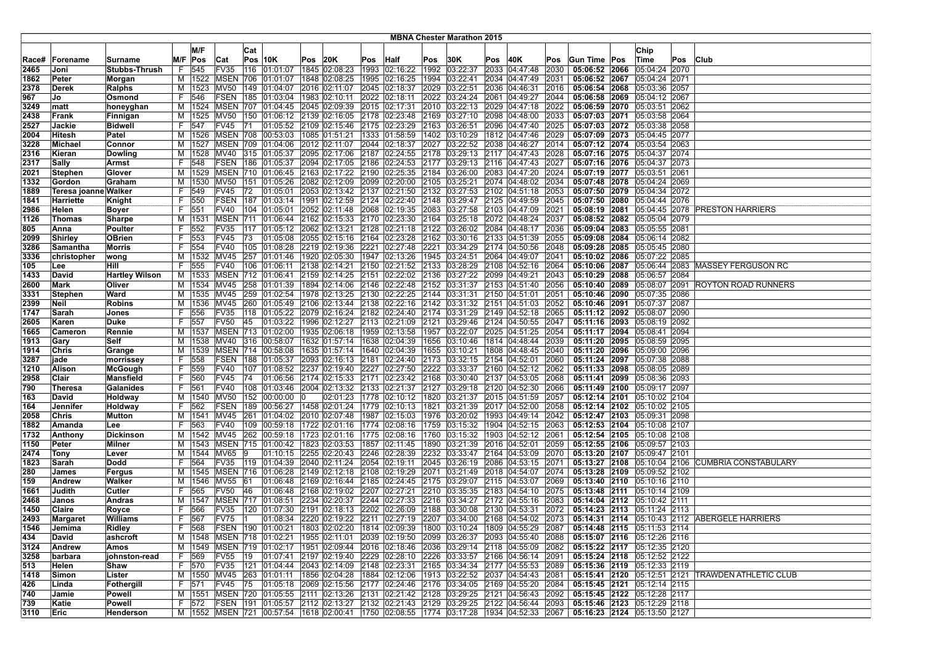|       |                      |                       |    |          |                   |              |                                                                                                    |      |               |                                                    |      | <b>MBNA Chester Marathon 2015</b> |     |                                                                       |      |              |                                |     |                                                   |
|-------|----------------------|-----------------------|----|----------|-------------------|--------------|----------------------------------------------------------------------------------------------------|------|---------------|----------------------------------------------------|------|-----------------------------------|-----|-----------------------------------------------------------------------|------|--------------|--------------------------------|-----|---------------------------------------------------|
|       |                      |                       |    |          |                   |              |                                                                                                    |      |               |                                                    |      |                                   |     |                                                                       |      |              |                                |     |                                                   |
|       |                      |                       |    | M/F      |                   | Cat          |                                                                                                    |      |               |                                                    |      |                                   |     |                                                                       |      |              | Chip                           |     |                                                   |
| Race# | Forename             | Surname               |    | M/F Pos  | Cat               |              | Pos $ 10K $                                                                                        | Pos  | 20K           | Pos Half                                           | Pos  | 30K                               | Pos | 40K                                                                   | Pos  | Gun Time Pos | Time                           | Pos | <b>Club</b>                                       |
| 2465  | Joni                 | Stubbs-Thrush         | F. | 545      | FV35              |              | 116 01:01:07                                                                                       |      | 1845 02:08:23 | 1993 02:16:22                                      | 1992 | 03:22:37                          |     | 2033 04:47:48                                                         | 2030 |              | 05:06:52 2066 05:04:24 2070    |     |                                                   |
| 1862  | Peter                | Morgan                |    |          |                   |              | M   1522   MSEN   706   01:01:07                                                                   |      |               | 1848 02:08:25  1995 02:16:25                       | 1994 | 03:22:41                          |     | 2034 04:47:49                                                         | 2031 |              | 05:06:52 2067 05:04:24 2071    |     |                                                   |
| 2378  | Derek                | <b>Ralphs</b>         | м  | 1523     | MV50              |              | 149 01:04:07                                                                                       | 2016 | 02:11:07      | 2045 02:18:37                                      | 2029 | 03:22:51                          |     | 2036 04:46:31                                                         | 2016 |              | 05:06:54 2068 05:03:36 2057    |     |                                                   |
| 967   | Jo                   | Osmond                | F. | 546      | FSEN              |              | 185 01:03:04                                                                                       |      | 1983 02:10:11 | 2022 02:18:11                                      | 2022 | 03:24:24                          |     | 2061 04:49:27                                                         | 2044 |              | 05:06:58 2069 05:04:12 2067    |     |                                                   |
| 3249  | matt                 | honeyghan             | M  |          |                   |              | 1524   MSEN   707   01:04:45   2045   02:09:39   2015   02:17:31                                   |      |               |                                                    |      |                                   |     | 2010 03:22:13 2029 04:47:18                                           | 2022 |              | 05:06:59 2070 05:03:51 2062    |     |                                                   |
| 2438  | Frank                | Finnigan              |    | M 1525   |                   |              | MV50 150 01:06:12 2139 02:16:05 2178 02:23:48                                                      |      |               |                                                    |      | 2169 03:27:10                     |     | 2098 04:48:00                                                         | 2033 |              | 05:07:03 2071 05:03:58 2064    |     |                                                   |
| 2527  | Jackie               | <b>Bidwell</b>        | F. | 547      | FV45              | 171          | 01:05:52 2109 02:15:46 2175 02:23:29                                                               |      |               |                                                    | 2163 | 03:26:51                          |     | 2096 04:47:40                                                         | 2025 |              | 05:07:03 2072 05:03:38 2058    |     |                                                   |
| 2004  | <b>Hitesh</b>        | Patel                 | M  |          | 1526   MSEN   708 |              | 00:53:03                                                                                           |      |               | 1085 01:51:21  1333 01:58:59                       | 1402 | 03:10:29                          |     | 1812 04:47:46                                                         | 2029 |              | 05:07:09 2073 05:04:45 2077    |     |                                                   |
| 3228  | <b>Michael</b>       | Connor                | м  | 1527     |                   |              | MSEN 709 01:04:06                                                                                  |      | 2012 02:11:07 | 2044 02:18:37                                      | 2027 | 03:22:52                          |     | 2038 04:46:27                                                         | 2014 |              | 05:07:12 2074 05:03:54 2063    |     |                                                   |
| 2316  | Kieran               | <b>Dowling</b>        | M  | 1528     | MV40              |              | 315 01:05:37                                                                                       |      |               | 2095 02:17:06 2187 02:24:55                        | 2178 |                                   |     | 03:29:13 2117 04:47:43                                                | 2028 |              | 05:07:16 2075 05:04:37 2074    |     |                                                   |
| 2317  | Sally                | Armst                 | F. | 548      |                   |              | FSEN   186   01:05:37   2094   02:17:05   2186   02:24:53                                          |      |               |                                                    |      |                                   |     | 2177 03:29:13 2116 04:47:43                                           | 2027 |              | 05:07:16 2076 05:04:37 2073    |     |                                                   |
| 2021  | Stephen              | Glover                | M  |          |                   |              | 1529 MSEN 710 01:06:45 2163 02:17:22 2190 02:25:35 2184 03:26:00                                   |      |               |                                                    |      |                                   |     | 2083 04:47:20                                                         | 2024 |              | 05:07:19 2077 05:03:51 2061    |     |                                                   |
| 1332  | Gordon               |                       | M  | 1530     | MV50              |              | 151 01:05:26                                                                                       |      |               | 2082 02:12:09 2099 02:20:00                        | 2105 | 03:25:21                          |     | 2074 04:48:02                                                         | 2034 |              | 05:07:48 2078 05:04:24 2069    |     |                                                   |
|       |                      | Graham                |    |          |                   |              |                                                                                                    |      |               |                                                    |      |                                   |     |                                                                       |      |              |                                |     |                                                   |
| 1889  | Teresa joanne Walker |                       | F. | 549      | FV45              | 72           | 01:05:01                                                                                           |      |               | 2053 02:13:42 2137 02:21:50                        | 2132 | 03:27:53                          |     | 2102 04:51:18                                                         | 2053 |              | 05:07:50 2079 05:04:34 2072    |     |                                                   |
| 1841  | Harriette            | Knight                | F. | 550      | <b>FSEN</b>       |              | 187 01:03:14                                                                                       |      |               | 1991 02:12:59 2124 02:22:40                        | 2148 | 03:29:47                          |     | 2125 04:49:59                                                         | 2045 |              | 05:07:50 2080 05:04:44 2076    |     |                                                   |
| 2986  | Helen                | Boyer                 | F. | 551      | FV40              |              | 104 01:05:01                                                                                       |      |               | 2052 02:11:48 2068 02:19:35                        | 2083 | 03:27:58                          |     | 2103 04:47:09                                                         | 2021 |              |                                |     | 05:08:19 2081 05:04:45 2078 PRESTON HARRIERS      |
| 1126  | <b>Thomas</b>        | Sharpe                | м  | 1531     |                   |              | MSEN 711 01:06:44 2162 02:15:33 2170 02:23:30                                                      |      |               |                                                    |      |                                   |     | 2164 03:25:18 2072 04:48:24                                           | 2037 |              | 05:08:52 2082 05:05:04 2079    |     |                                                   |
| 805   | Anna                 | Poulter               | F. | 552      | FV35              |              |                                                                                                    |      |               |                                                    |      |                                   |     |                                                                       | 2036 |              | 05:09:04 2083 05:05:55 2081    |     |                                                   |
| 2099  | Shirley              | <b>OBrien</b>         | F. | 553      | FV45              | 73           | 01:05:08                                                                                           |      |               | 2055 02:15:16 2164 02:23:28                        |      | 2162 03:30:16                     |     | 2133 04:51:39                                                         | 2055 |              | 05:09:08 2084 05:06:14 2082    |     |                                                   |
| 3286  | Samantha             | Morris                | F. | 554      | <b>FV40</b>       |              | 105 01:08:28                                                                                       |      |               | 2219 02:19:36 2221 02:27:48                        | 2221 | 03:34:29                          |     | 2174 04:50:56                                                         | 2048 |              | 05:09:28 2085 05:05:45 2080    |     |                                                   |
| 3336  | christopher          | wong                  | М  |          | 1532 MV45         |              | 257 01:01:46 1920 02:05:30 1947 02:13:26                                                           |      |               |                                                    | 1945 | 03:24:51                          |     | 2064 04:49:07                                                         | 2041 |              | 05:10:02 2086 05:07:22 2085    |     |                                                   |
| 105   | Lee                  | Hill                  | F. | 555      | FV40              |              | 106 01:06:11                                                                                       |      |               | 2138 02:14:21 2150 02:21:52                        | 2133 | 03:28:29                          |     | 2108 04:52:16                                                         | 2064 |              |                                |     | 05:10:06 2087 05:06:44 2083 MASSEY FERGUSON RC    |
| 1433  | David                | <b>Hartley Wilson</b> |    | M   1533 |                   |              | MSEN 712 01:06:41                                                                                  |      |               | 2159 02:14:25 2151 02:22:02                        | 2136 |                                   |     | 03:27:22 2099 04:49:21                                                | 2043 |              | 05:10:29 2088 05:06:57 2084    |     |                                                   |
| 2600  | Mark                 | Oliver                |    |          |                   |              | M   1534   MV45   258   01:01:39                                                                   |      |               |                                                    |      |                                   |     | 1894 02:14:06   2146   02:22:48   2152   03:31:37   2153   04:51:40   | 2056 |              |                                |     | 05:10:40 2089 05:08:07 2091 ROYTON ROAD RUNNERS   |
| 3331  | Stephen              | Ward                  |    |          | M   1535   MV45   |              | 259 01:02:54                                                                                       |      |               | 1978 02:13:25 2130 02:22:25                        |      |                                   |     | 2144 03:31:31 2150 04:51:01                                           | 2051 |              | 05:10:46 2090 05:07:35 2086    |     |                                                   |
| 2399  | Neil                 | <b>Robins</b>         | м  |          | 1536 MV45         |              | 260 01:05:49                                                                                       |      |               | 2106 02:13:44 2138 02:22:16                        | 2142 |                                   |     | 03:31:32 2151 04:51:03                                                | 2052 |              | 05:10:46 2091 05:07:37 2087    |     |                                                   |
| 1747  | Sarah                | Jones                 | F. | 556      | FV35              | 118          | 01:05:22 2079 02:16:24 2182 02:24:40                                                               |      |               |                                                    | 2174 | 03:31:29                          |     | 2149 04:52:18                                                         | 2065 |              | 05:11:12 2092 05:08:07 2090    |     |                                                   |
| 2605  | Karen                | Duke                  | F. | 557      | <b>FV50</b>       | 45           |                                                                                                    |      |               | 01:03:22  1996  02:12:27  2113  02:21:09           | 2121 | 03:29:46                          |     | 2124 04:50:55                                                         | 2047 |              | 05:11:16 2093 05:08:19 2092    |     |                                                   |
| 1665  | Cameron              | Rennie                | M  | 1537     |                   |              | MSEN 713 01:02:00                                                                                  |      |               | 1935 02:06:18 1959 02:13:58                        | 1957 | 03:22:07                          |     | 2025 04:51:25                                                         | 2054 |              | 05:11:17 2094 05:08:41 2094    |     |                                                   |
| 1913  | Gary                 | Self                  | M  |          |                   |              | 1538 MV40 316 00:58:07 1632 01:57:14 1638 02:04:39                                                 |      |               |                                                    |      |                                   |     | 1656  03:10:46  1814  04:48:44                                        | 2039 |              | 05:11:20 2095 05:08:59 2095    |     |                                                   |
| 1914  | <b>Chris</b>         | Grange                | м  |          |                   |              | 1539 MSEN 714 00:58:08 1635 01:57:14 1640 02:04:39                                                 |      |               |                                                    |      | 1655 03:10:21                     |     | 1808 04:48:45                                                         | 2040 |              | 05:11:20 2096 05:09:00 2096    |     |                                                   |
| 3287  | jade                 | morrissey             | F. | 558      |                   |              | FSEN   188   01:05:37   2093   02:16:13   2181   02:24:40                                          |      |               |                                                    |      |                                   |     | 2173 03:32:15 2154 04:52:01                                           | 2060 |              | 05:11:24 2097 05:07:38 2088    |     |                                                   |
| 1210  | Alison               | McGough               | F. | 559      | FV40              | 107          | 01:08:52 2237 02:19:40 2227 02:27:50                                                               |      |               |                                                    | 2222 | 03:33:37                          |     | 2160 04:52:12                                                         | 2062 |              | 05:11:33 2098 05:08:05 2089    |     |                                                   |
| 2958  | Clair                | Mansfield             | F. | 560      | <b>FV45</b>       | 74           |                                                                                                    |      |               | 01:06:56  2174  02:15:33  2171  02:23:42           | 2168 | 03:30:40                          |     | 2137 04:53:05                                                         | 2068 |              | 05:11:41 2099 05:08:36 2093    |     |                                                   |
|       |                      |                       |    |          |                   |              |                                                                                                    |      |               |                                                    |      |                                   |     |                                                                       |      |              |                                |     |                                                   |
| 790   | Theresa              | <b>Galanides</b>      | F. | 561      | <b>FV40</b>       |              | 108 01:03:46                                                                                       |      |               | 2004 02:13:32 2133 02:21:37                        | 2127 | 03:29:18                          |     | 2120 04:52:30                                                         | 2066 |              | 05:11:49 2100 05:09:17 2097    |     |                                                   |
| 163   | David                | Holdway               | М  |          | 1540 MV50         |              | 152 00:00:00 0                                                                                     |      |               | 02:01:23 1778 02:10:12 1820 03:21:37 2015 04:51:59 |      |                                   |     |                                                                       | 2057 |              | 05:12:14 2101 05:10:02 2104    |     |                                                   |
| 164   | Jennifer             | Holdway               | F. | 562      | FSEN              |              | 189 00:56:27 1458 02:01:24 1779 02:10:13 1821 03:21:39 2017 04:52:00                               |      |               |                                                    |      |                                   |     |                                                                       | 2058 |              | 05:12:14 2102 05:10:02 2105    |     |                                                   |
| 2058  | <b>Chris</b>         | <b>Mutton</b>         |    | M   1541 | <b>MV45</b>       | 261          | 01:04:02 2010 02:07:48 1987 02:15:03                                                               |      |               |                                                    |      | 1976 03:20:02                     |     | 1993 04:49:14                                                         | 2042 |              | 05:12:47 2103 05:09:31 2098    |     |                                                   |
| 1882  | Amanda               | Lee                   | F. | 563      | <b>FV40</b>       | 109          | 00:59:18                                                                                           |      |               | 1722 02:01:16 1774 02:08:16                        | 1759 | 03:15:32                          |     | 1904 04:52:15                                                         | 2063 |              | 05:12:53 2104 05:10:08 2107    |     |                                                   |
| 1732  | Anthony              | <b>Dickinson</b>      | M  |          | 1542 MV45         |              | 262 00:59:18 1723 02:01:16 1775 02:08:16                                                           |      |               |                                                    | 1760 | 03:15:32                          |     | $1903$ 04:52:12                                                       | 2061 |              | 05:12:54 2105 05:10:08 2108    |     |                                                   |
| 1150  | Peter                | Milner                | м  | 1543     |                   |              | MSEN 715 01:00:42 1823 02:03:53 1857 02:11:45                                                      |      |               |                                                    | 1890 | 03:21:39                          |     | 2016 04:52:01                                                         | 2059 |              | 05:12:55 2106 05:09:57 2103    |     |                                                   |
| 2474  | Tony                 | Lever                 | м  | 1544     | MV65              | ١9           | 01:10:15                                                                                           |      |               | 2255 02:20:43 2246 02:28:39                        | 2232 | 03:33:47                          |     | 2164 04:53:09                                                         | 2070 |              | 05:13:20 2107 05:09:47 2101    |     |                                                   |
| 1823  | Sarah                | Dodd                  | F  | 564      | FV35              |              | 119  01:04:39  2040  02:11:24  2054  02:19:11                                                      |      |               |                                                    |      |                                   |     | 2045 03:26:19 2086 04:53:15                                           | 2071 |              |                                |     | 05:13:27 2108 05:10:04 2106 CUMBRIA CONSTABULARY  |
| 280   | <b>James</b>         | Fergus                | м  | 1545     |                   |              | MSEN 716 01:06:28                                                                                  |      |               | 2149 02:12:18 2108 02:19:29                        | 2071 | 03:21:49                          |     | 2018 04:54:07                                                         | 2074 |              | 05:13:28 2109 05:09:52 2102    |     |                                                   |
| 159   | Andrew               | Walker                | M  | 1546     | MV <sub>55</sub>  | 161          | 01:06:48                                                                                           |      |               | 2169 02:16:44 2185 02:24:45                        | 2175 | 03:29:07                          |     | 2115 04:53:07                                                         | 2069 |              | 05:13:40 2110 05:10:16 2110    |     |                                                   |
| 1661  | Judith               | Cutler                | F. | 565      | FV50              | 46           | 01:06:48                                                                                           |      |               | 2168 02:19:02 2207 02:27:21                        | 2210 | 03:35:35                          |     | 2183 04:54:10                                                         | 2075 |              | 05:13:48 2111 05:10:14 2109    |     |                                                   |
| 2468  | Janos                | Andras                | м  | 1547     |                   |              | MSEN 717 01:08:51                                                                                  |      |               | 2234 02:20:37 2244 02:27:33                        | 2216 | 03:34:27                          |     | 2172 04:55:16                                                         | 2083 |              | 05:14:04 2112 05:10:42 2111    |     |                                                   |
| 1450  | Claire               | Royce                 | F. | 566      | FV35              |              | 120 01:07:30                                                                                       |      |               | 2191 02:18:13 2202 02:26:09                        | 2188 | 03:30:08                          |     | 2130 04:53:31                                                         | 2072 |              | 05:14:23 2113 05:11:24 2113    |     |                                                   |
| 2493  | Margaret             | Williams              | F. | 567      | FV75              |              |                                                                                                    |      |               |                                                    |      |                                   |     | 01:08:34 2220 02:19:22 2211 02:27:19 2207 03:34:00 2168 04:54:02 2073 |      |              |                                |     | 05:14:31 2114 05:10:43 2112 ABERGELE HARRIERS     |
| 1546  | Jemima               | Ridley                | F. | 1568     |                   |              | FSEN  190  01:00:21  1803  02:02:20  1814  02:09:39  1800  03:10:24  1809  04:55:29  2087          |      |               |                                                    |      |                                   |     |                                                                       |      |              | 05:14:48 2115 $ 05:11:53$ 2114 |     |                                                   |
| 434   | David                | ashcroft              |    |          |                   |              | M  1548  MSEN  718  01:02:21  1955  02:11:01  2039  02:19:50  2099  03:26:37  2093  04:55:40  2088 |      |               |                                                    |      |                                   |     |                                                                       |      |              | 05:15:07 2116 05:12:26 2116    |     |                                                   |
| 3124  | Andrew               | Amos                  |    |          |                   |              | M  1549  MSEN  719  01:02:17  1951  02:09:44  2016  02:18:46  2036  03:29:14  2118  04:55:09  2082 |      |               |                                                    |      |                                   |     |                                                                       |      |              | 05:15:22 2117 05:12:35 2120    |     |                                                   |
| 3258  | barbara              | johnston-read         | F. | 569      | <b>FV55</b>       | $ 19\rangle$ | 01:07:41 2197 02:19:40 2229 02:28:10                                                               |      |               |                                                    |      |                                   |     | 2226 03:33:57 2166 04:56:14 2091                                      |      |              | 05:15:24 2118 05:12:52 2122    |     |                                                   |
| 513   | Helen                | Shaw                  | F. | 570      | FV35              |              | 121 01:04:44 2043 02:14:09 2148 02:23:31                                                           |      |               |                                                    |      |                                   |     | 2165 03:34:34 2177 04:55:53 2089                                      |      |              | 05:15:36 2119 05:12:33 2119    |     |                                                   |
| 1418  | Simon                | Lister                |    |          |                   |              | M  1550  MV45  263  01:01:11  1856  02:04:28  1884  02:12:06  1913  03:22:52  2037  04:54:43  2081 |      |               |                                                    |      |                                   |     |                                                                       |      |              |                                |     | 05:15:41 2120 05:12:51 2121 TRAWDEN ATHLETIC CLUB |
| 426   | Linda                | Fothergill            |    | F 571    |                   |              | FV45 75 01:05:18 2069 02:15:56 2177 02:24:46 2176 03:34:05 2169 04:55:20 2084                      |      |               |                                                    |      |                                   |     |                                                                       |      |              | 05:15:45 2121 05:12:14 2115    |     |                                                   |
| 740   | Jamie                | <b>Powell</b>         |    |          |                   |              | M  1551  MSEN  720  01:05:55  2111  02:13:26  2131  02:21:42  2128  03:29:25  2121  04:56:43  2092 |      |               |                                                    |      |                                   |     |                                                                       |      |              | 05:15:45 2122 05:12:28 2117    |     |                                                   |
|       |                      |                       |    | F 572    |                   |              | FSEN 191 01:05:57 2112 02:13:27 2132 02:21:43 2129 03:29:25 2122 04:56:44 2093                     |      |               |                                                    |      |                                   |     |                                                                       |      |              |                                |     |                                                   |
| 739   | Katie                | Powell                |    |          |                   |              |                                                                                                    |      |               |                                                    |      |                                   |     |                                                                       |      |              | 05:15:46 2123 05:12:29 2118    |     |                                                   |
| 3110  | Eric                 | Henderson             |    |          |                   |              | M  1552  MSEN  721  00:57:54  1618  02:00:41  1750  02:08:55  1774  03:17:28  1934  04:52:33  2067 |      |               |                                                    |      |                                   |     |                                                                       |      |              | 05:16:23 2124 05:13:50 2127    |     |                                                   |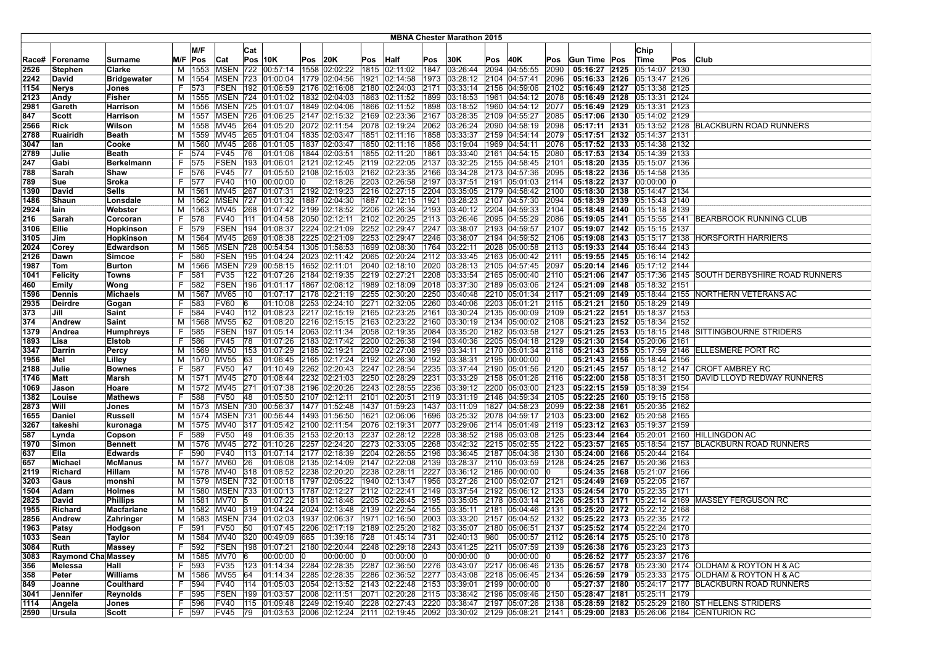|              |                           |                         |    |                        |                      | <b>MBNA Chester Marathon 2015</b> |                                                                     |                |                                              |      |               |              |                      |     |                                                                                              |      |                             |  |                             |     |                                                    |
|--------------|---------------------------|-------------------------|----|------------------------|----------------------|-----------------------------------|---------------------------------------------------------------------|----------------|----------------------------------------------|------|---------------|--------------|----------------------|-----|----------------------------------------------------------------------------------------------|------|-----------------------------|--|-----------------------------|-----|----------------------------------------------------|
|              |                           |                         |    | M/F                    |                      |                                   |                                                                     |                |                                              |      |               |              |                      |     |                                                                                              |      |                             |  |                             |     |                                                    |
|              |                           |                         |    |                        |                      | Cat                               |                                                                     |                |                                              |      |               |              |                      |     |                                                                                              |      |                             |  | Chip                        |     |                                                    |
| Race#        | Forename                  | Surname                 |    | M/F Pos                | Cat                  |                                   | $Pos$ 10K                                                           | <b>Pos 20K</b> |                                              | Pos  | Half          | Pos          | 30K                  | Pos | 40K                                                                                          | Pos  | Gun Time Pos                |  | Time                        | Pos | <b>Club</b>                                        |
| 2526         | Stephen                   | Clarke                  | М  | 1553                   | <b>MSEN 722</b>      |                                   | 00:57:14                                                            |                | 1558 02:02:22                                |      | 1815 02:11:02 | 1847         | 03:26:44             |     | 2094 04:55:55                                                                                | 2090 | 05:16:27 2125               |  | 05:14:07 2130               |     |                                                    |
| 2242         | David                     | <b>Bridgewater</b>      |    |                        |                      |                                   | M   1554   MSEN   723   01:00:04                                    |                | 1779 02:04:56                                |      | 1921 02:14:58 | 1973         | 03:28:12             |     | 2104 04:57:41                                                                                | 2096 | 05:16:33 2126               |  | 05:13:47 2126               |     |                                                    |
| 1154         | Nerys                     | Jones                   | F. | 573                    | FSEN                 | 192                               | 01:06:59                                                            |                | 2176 02:16:08                                |      | 2180 02:24:03 | 2171         | 03:33:14             |     | 2156 04:59:06                                                                                | 2102 | 05:16:49 2127               |  | 05:13:38 2125               |     |                                                    |
| 2123         | Andy                      | Fisher                  | M  | 1555                   |                      |                                   | MSEN 724 01:01:02                                                   |                | 1832 02:04:03                                |      | 1863 02:11:52 | 1899         | 03:18:53             |     | 1961 04:54:12                                                                                | 2078 | 05:16:49 2128               |  | 05:13:31 2124               |     |                                                    |
| 2981         | Gareth                    | <b>Harrison</b>         |    |                        |                      |                                   | M  1556   MSEN   725   01:01:07                                     |                | 1849 02:04:06   1866 02:11:52                |      |               | 1898         | 03:18:52             |     | 1960 04:54:12                                                                                | 2077 | 05:16:49 2129 05:13:31 2123 |  |                             |     |                                                    |
| 847          | Scott                     | Harrison                |    |                        |                      |                                   | M  1557   MSEN   726   01:06:25   2147   02:15:32   2169   02:23:36 |                |                                              |      |               | 2167         | 03:28:35             |     | 2109 04:55:27                                                                                | 2085 |                             |  | 05:17:06 2130 05:14:02 2129 |     |                                                    |
| 2566         | Rick                      | Wilson                  |    |                        | M  1558  MV45        |                                   | 264 01:05:20                                                        |                | 2072 02:11:54                                |      | 2078 02:19:24 | 2062         | 03:26:24             |     | 2090 04:58:19                                                                                | 2098 |                             |  |                             |     | 05:17:11 2131 05:13:52 2128 BLACKBURN ROAD RUNNERS |
| 2788         | Ruairidh                  | <b>Beath</b>            |    |                        | M   1559   MV45      |                                   | 265 01:01:04                                                        |                | 1835 02:03:47                                |      | 1851 02:11:16 | 1858         | 03:33:37             |     | 2159 04:54:14                                                                                | 2079 |                             |  | 05:17:51 2132 05:14:37 2131 |     |                                                    |
| 3047         | lan                       | Cooke                   | м  | 1560                   | MV45                 | 266                               | 01:01:05                                                            |                | 1837 02:03:47                                |      | 1850 02:11:16 | 1856         | 03:19:04             |     | 1969 04:54:11                                                                                | 2076 | 05:17:52 2133               |  | 05:14:38 2132               |     |                                                    |
| 2789         | Julie                     | <b>Beath</b>            | F. | 574                    | <b>FV45</b>          | 76                                | 01:01:06                                                            |                | 1844 02:03:51                                |      | 1855 02:11:20 | 1861         | 03:33:40             |     | 2161 04:54:15                                                                                | 2080 | 05:17:53 2134               |  | 05:14:39 2133               |     |                                                    |
| 247          | Gabi                      | Berkelmann              |    | F  575                 | FSEN                 |                                   | 193 01:06:01                                                        |                | 2121 02:12:45 2119 02:22:05                  |      |               | 2137         | 03:32:25             |     | 2155 04:58:45                                                                                | 2101 | 05:18:20 2135 05:15:07 2136 |  |                             |     |                                                    |
| 788          | <b>Sarah</b>              | Shaw                    | F. | 576                    | <b>FV45</b>          | 77                                | 01:05:50                                                            |                | 2108 02:15:03 2162 02:23:35                  |      |               | 2166         | 03:34:28             |     | 2173 04:57:36                                                                                | 2095 | 05:18:22 2136 05:14:58 2135 |  |                             |     |                                                    |
| 789          | <b>Sue</b>                | Sroka                   | F. | 577                    | <b>FV40</b>          |                                   | 110 00:00:00                                                        |                | 02:18:26                                     |      | 2203 02:26:58 | 2197         | 03:37:51             |     | 2191 05:01:03                                                                                | 2114 |                             |  | 05:18:22 2137 00:00:00 0    |     |                                                    |
| 1390         | David                     | <b>Sells</b>            | м  | 1561                   | <b>MV45</b>          | 267                               | 01:07:31                                                            |                | 2192 02:19:23                                |      | 2216 02:27:15 | 2204         | 03:35:05             |     | 2179 04:58:42                                                                                | 2100 |                             |  | 05:18:30 2138 05:14:47 2134 |     |                                                    |
| 1486         | Shaun                     | Lonsdale                | м  |                        | 1562 MSEN            |                                   | 727 01:01:32                                                        |                | 1887 02:04:30                                |      | 1887 02:12:15 | 1921         | 03:28:23             |     | 2107 04:57:30                                                                                | 2094 | 05:18:39 2139               |  | 05:15:43 2140               |     |                                                    |
| 2924         | lain                      | Webster                 | м  |                        | 1563 MV45            |                                   | 268 01:07:42                                                        |                | 2199 02:18:52 2206 02:26:34                  |      |               | 2193         | 03:40:12             |     | 2204 04:59:33                                                                                | 2104 | 05:18:48 2140 05:15:18 2139 |  |                             |     |                                                    |
| 216          | <b>Sarah</b>              | Corcoran                | F. | 578                    | <b>FV40</b>          |                                   | 111 01:04:58                                                        |                | 2050 02:12:11                                |      | 2102 02:20:25 | 2113         | 03:26:46             |     | 2095 04:55:29                                                                                | 2086 |                             |  |                             |     | 05:19:05 2141 05:15:55 2141 BEARBROOK RUNNING CLUB |
| 3106         | Ellie                     | Hopkinson               |    | F 579                  | <b>FSEN</b>          |                                   | 194 01:08:37                                                        |                | 2224 02:21:09 2252 02:29:47                  |      |               | 2247         | 03:38:07             |     | 2193 04:59:57                                                                                | 2107 |                             |  | 05:19:07 2142 05:15:15 2137 |     |                                                    |
| 3105         | Jim                       | Hopkinson               |    |                        | M   1564   MV45      |                                   | 269 01:08:38                                                        |                | 2225 02:21:09                                |      | 2253 02:29:47 | 2246         | 03:38:07             |     | 2194 04:59:52 2106                                                                           |      |                             |  |                             |     | 05:19:08 2143 05:15:17 2138 HORSFORTH HARRIERS     |
| 2024         | Corey                     | Edwardson               |    | M   1565               | <b>MSEN 728</b>      |                                   | 00:54:54                                                            |                | 1305 01:58:53                                |      | 1699 02:08:30 | 1764         | 03:22:11             |     | 2028 05:00:58                                                                                | 2113 |                             |  | 05:19:33 2144 05:16:44 2143 |     |                                                    |
| 2126         | Dawn                      | Simcoe                  | F. | 580                    |                      |                                   | FSEN   195   01:04:24                                               |                | 2023 02:11:42                                |      | 2065 02:20:24 | 2112         | 03:33:45             |     | 2163 05:00:42                                                                                | 2111 | 05:19:55 2145 05:16:14 2142 |  |                             |     |                                                    |
| 1987         | Tom                       | <b>Burton</b>           |    | M   1566               |                      |                                   | MSEN 729 00:58:15                                                   |                | 1652 02:11:01                                |      | 2040 02:18:10 | 2020         | 03:28:13             |     | 2105 04:57:45                                                                                | 2097 | 05:20:14 2146               |  | 05:17:12 2144               |     |                                                    |
| 1041         | Felicity                  | Towns                   | F. | 581                    | <b>FV35</b>          |                                   | 122 01:07:26                                                        |                | 2184 02:19:35 2219 02:27:21                  |      |               | 2208         | 03:33:54             |     | 2165 05:00:40 2110                                                                           |      | 05:21:06 2147               |  |                             |     | 05:17:36 2145 SOUTH DERBYSHIRE ROAD RUNNERS        |
| 460          | Emily                     | Wong                    | F. | 582                    | <b>FSEN</b>          |                                   | 196 01:01:17 1867 02:08:12 1989 02:18:09                            |                |                                              |      |               | 2018         | 03:37:30             |     | 2189 05:03:06 2124                                                                           |      | 05:21:09 2148 05:18:32 2151 |  |                             |     |                                                    |
| 1596         | Dennis                    | <b>Michaels</b>         |    | M   1567               | <b>MV65</b>          | 10                                | 01:07:17                                                            |                | 2178 02:21:19 2255 02:30:20                  |      |               | 2250         | 03:40:48             |     | 2210 05:01:34                                                                                | 2117 |                             |  |                             |     | 05:21:09 2149 05:18:44 2155 NORTHERN VETERANS AC   |
| 2935         | Deirdre                   | Gogan                   |    | F 583                  | <b>FV60</b>          | 16                                | 01:10:08                                                            |                | 2253 02:24:10 2271 02:32:05                  |      |               | 2260         | 03:40:06             |     | 2203 05:01:21                                                                                | 2115 | 05:21:21 2150 05:18:29 2149 |  |                             |     |                                                    |
| 373          | Jill                      | Saint                   | F. | 584                    | <b>FV40</b>          |                                   | 112 01:08:23                                                        |                | 2217 02:15:19 2165 02:23:25                  |      |               | 2161         | 03:30:24             |     | 2135 05:00:09 2109                                                                           |      | 05:21:22 2151 05:18:37 2153 |  |                             |     |                                                    |
| 374          | Andrew                    | Saint                   | M  | 1568                   | <b>MV55</b>          | 62                                | 01:08:20<br>197 01:05:14                                            |                | 2216 02:15:15 2163                           |      | 02:23:22      | 2160         | 03:30:19             |     | 2134 05:00:02                                                                                | 2108 | 05:21:23 2152 05:18:34 2152 |  |                             |     |                                                    |
| 1379         | Andrea                    | <b>Humphreys</b>        | F. | 585                    | FSEN                 |                                   |                                                                     |                | 2063 02:11:34                                |      | 2058 02:19:35 | 2084         | 03:35:20             |     | 2182 05:03:58<br>2205 05:04:18 2129                                                          | 2127 | 05:21:25 2153               |  |                             |     | 05:18:15 2148 SITTINGBOURNE STRIDERS               |
| 1893         | Lisa                      | <b>Elstob</b>           |    | F 586                  | <b>FV45</b>          | 78                                | 01:07:26                                                            |                | 2183 02:17:42 2200 02:26:38                  |      |               | 2194         | 03:40:36             |     |                                                                                              |      | 05:21:30 2154 05:20:06 2161 |  |                             |     |                                                    |
| 3347         | Darrin                    | Percy                   |    |                        | M  1569  MV50        |                                   | 153 01:07:29                                                        |                | 2185 02:19:21                                |      | 2209 02:27:08 | 2199         | 03:34:11             |     | 2170 05:01:34 2118                                                                           |      |                             |  |                             |     | 05:21:43 2155 05:17:59 2146 ELLESMERE PORT RC      |
| 1956<br>2188 | Mel<br>Julie              | Lilley<br><b>Bownes</b> | F. | M   1570   MV55<br>587 | <b>FV50</b>          | 63<br>47                          | 01:06:45<br> 01:10:49                                               |                | 2165 02:17:24<br>2262 02:20:43 2247 02:28:54 |      | 2192 02:26:30 | 2192<br>2235 | 03:38:31<br>03:37:44 |     | 2195 00:00:00<br>2190 05:01:56 2120                                                          |      | 05:21:45 2157               |  | 05:21:43 2156 05:18:44 2156 |     | 05:18:12 2147 CROFT AMBREY RC                      |
| 1746         | Matt                      | Marsh                   | м  | 1571                   | MV45                 |                                   | 270 01:08:44                                                        |                | 2232 02:21:03                                |      | 2250 02:28:29 | 2231         | 03:33:29             |     | 2158 05:01:26                                                                                | 2116 | 05:22:00 2158               |  | 05:18:31 2150               |     | DAVID LLOYD REDWAY RUNNERS                         |
| 1069         | Jason                     | Hoare                   | м  |                        | 1572 MV45            | 271                               | 01:07:38                                                            |                | 2196 02:20:26                                |      | 2243 02:28:55 | 2236         | 03:39:12             |     | 2200 05:03:00                                                                                | 2123 | 05:22:15 2159 05:18:39 2154 |  |                             |     |                                                    |
| 1382         | Louise                    | <b>Mathews</b>          | F. | 588                    | <b>FV50</b>          | 48                                | 01:05:50                                                            |                | 2107 02:12:11                                |      | 2101 02:20:51 | 2119         | 03:31:19             |     | 2146 04:59:34 2105                                                                           |      | 05:22:25 2160 05:19:15 2158 |  |                             |     |                                                    |
| 2873         | Will                      | Jones                   |    |                        |                      |                                   | M  1573   MSEN   730   00:56:37                                     |                | 1477  01:52:48  1437  01:59:23               |      |               | 1437         | 03:11:09             |     | 1827 04:58:23                                                                                | 2099 | 05:22:38 2161 05:20:35 2162 |  |                             |     |                                                    |
| 1655         | Daniel                    | <b>Russell</b>          |    |                        |                      |                                   | M  1574   MSEN   731   00:56:44                                     |                | 1493 01:56:50                                |      | 1621 02:06:06 | 1696         | 03:25:32             |     | 2078 04:59:17 2103                                                                           |      |                             |  | 05:23:00 2162 05:20:58 2165 |     |                                                    |
| 3267         | takeshi                   | kuronaga                | м  |                        | 1575 MV40            | 317                               | 01:05:42                                                            |                | 2100 02:11:54                                |      | 2076 02:19:31 | 2077         | 03:29:06             |     | 2114 05:01:49                                                                                | 2119 | 05:23:12 2163               |  | 05:19:37 2159               |     |                                                    |
| 587          | ∣Lynda                    | Copson                  | F. | 589                    | <b>FV50</b>          | 49                                | 01:06:35                                                            |                | 2153 02:20:13                                | 2237 | 02:28:12      | 2228         | 03:38:52             |     | 2198 05:03:08 2125                                                                           |      |                             |  |                             |     | 05:23:44 2164 05:20:01 2160 HILLINGDON AC          |
| 1970         | Simon                     | Bennett                 |    |                        | M   1576   MV45      |                                   | 272 01:10:26                                                        |                | 2257 02:24:20                                |      | 2273 02:33:05 | 2268         | 03:42:32             |     | 2215 05:02:55                                                                                | 2122 | 05:23:57 2165               |  | 05:18:54 2157               |     | <b>BLACKBURN ROAD RUNNERS</b>                      |
| 637          | Ella                      | <b>Edwards</b>          | F. | 1590                   | <b>FV40</b>          |                                   | 113  01:07:14  2177  02:18:39  2204  02:26:55                       |                |                                              |      |               | 2196         | 03:36:45             |     | 2187 05:04:36                                                                                | 2130 | 05:24:00 2166 05:20:44 2164 |  |                             |     |                                                    |
| 657          | Michael                   | <b>McManus</b>          |    | M   1577   MV60        |                      | 26                                | 01:06:08 2135 02:14:09 2147 02:22:08                                |                |                                              |      |               | 2139         | 03:28:37             |     | 2110 05:03:59 2128                                                                           |      | 05:24:25 2167 05:20:36 2163 |  |                             |     |                                                    |
| 2119         | Richard                   | Hillam                  |    |                        | M   1578   MV40      |                                   | 318 01:08:52                                                        |                | 2238 02:20:20 2238 02:28:11                  |      |               | 2227         | 03:36:12             |     | 2186 00:00:00                                                                                |      |                             |  | 05:24:35 2168 05:21:07 2166 |     |                                                    |
| 3203         | Gaus                      | monshi                  |    |                        |                      |                                   | M  1579   MSEN   732   01:00:18                                     |                | 1797 02:05:22                                |      | 1940 02:13:47 | 1956         | 03:27:26             |     | 2100 05:02:07 2121                                                                           |      | 05:24:49 2169 05:22:05 2167 |  |                             |     |                                                    |
| 1504         | Adam                      | <b>Holmes</b>           | м  |                        |                      |                                   | 1580   MSEN   733   01:00:13                                        |                | 1787 02:12:27                                |      | 2112 02:22:41 | 2149         | 03:37:54             |     | 2192 05:06:12 2133                                                                           |      | 05:24:54 2170               |  | 05:22:35 2171               |     |                                                    |
| 2825         | David                     | <b>Phillips</b>         | м  | 1581                   | MV70                 |                                   | 01:07:22                                                            |                | 2181 02:18:46                                |      | 2205 02:26:45 | 2195         | 03:35:05             |     | 2178 05:03:14 2126                                                                           |      | 05:25:13 2171               |  |                             |     | 05:22:14 2169 MASSEY FERGUSON RC                   |
| 1955         | Richard                   | <b>Macfarlane</b>       | М  |                        |                      |                                   | 1582   MV40   319   01:04:24   2024   02:13:48   2139   02:22:54    |                |                                              |      |               | 2155         | 03:35:11             |     | 2181 05:04:46                                                                                | 2131 | 05:25:20 2172 05:22:12 2168 |  |                             |     |                                                    |
| 2856         | Andrew                    | Zahringer               |    |                        |                      |                                   | M  1583  MSEN  734  01:02:03  1937  02:06:37  1971  02:16:50        |                |                                              |      |               |              |                      |     | 2003 03:33:20 2157 05:04:52 2132                                                             |      | 05:25:22 2173 05:22:35 2172 |  |                             |     |                                                    |
| 1963         | ∣Patsy                    | Hodgson                 |    | F  591                 | FV50 50              |                                   |                                                                     |                |                                              |      |               |              |                      |     | $ 01:07:45 $ 2206 $ 02:17:19 $ 2189 $ 02:25:20 $ 2182 $ 03:35:07 $ 2180 $ 05:06:51 $ 2137    |      | 05:25:52 2174 05:22:24 2170 |  |                             |     |                                                    |
| 1033         | Sean                      | Taylor                  |    |                        |                      |                                   | M  1584  MV40  320  00:49:09  665  01:39:16  728                    |                |                                              |      | 01:45:14 731  |              |                      |     | 02:40:13 980 05:00:57 2112                                                                   |      | 05:26:14 2175 05:25:10 2178 |  |                             |     |                                                    |
| 3084         | Ruth                      | <b>Massey</b>           |    | F 592                  |                      |                                   |                                                                     |                |                                              |      |               |              |                      |     | FSEN  198  01:07:21  2180  02:20:44  2248  02:29:18  2243  03:41:25  2211  05:07:59  2139    |      | 05:26:38 2176 05:23:23 2173 |  |                             |     |                                                    |
| 3083         | <b>Raymond Cha Massey</b> |                         |    |                        | M   1585 MV70        | 16                                | 00:00:00 0                                                          |                | 00:00:00 0                                   |      | 00:00:00      | ю            | 00:00:00             | 10  | 00:00:00 0                                                                                   |      |                             |  | 05:26:52 2177 05:23:37 2176 |     |                                                    |
| 356          | Melessa                   | Hall                    |    | F 593                  | <b>FV35</b>          |                                   | 123  01:14:34  2284  02:28:35  2287  02:36:50                       |                |                                              |      |               | 2276         |                      |     | 03:43:07 2217 05:06:46 2135                                                                  |      |                             |  |                             |     | 05:26:57 2178 05:23:30 2174 OLDHAM & ROYTON H & AC |
| 358          | Peter                     | Williams                |    |                        | M   1586   MV55   64 |                                   |                                                                     |                |                                              |      |               |              |                      |     | 01:14:34 2285 02:28:35 2286 02:36:52 2277 03:43:08 2218 05:06:45 2134                        |      |                             |  |                             |     | 05:26:59 2179 05:23:33 2175 OLDHAM & ROYTON H & AC |
| 849          | Joanne                    | Coulthard               |    | F 594                  |                      |                                   |                                                                     |                |                                              |      |               |              |                      |     | FV40 114 01:05:03 2054 02:13:52 2143 02:22:48 2153 03:39:01 2199 00:00:00 0                  |      |                             |  |                             |     | 05:27:37 2180 05:24:17 2177 BLACKBURN ROAD RUNNERS |
| 3041         | Jennifer                  | <b>Reynolds</b>         |    | F  595                 |                      |                                   | FSEN  199  01:03:57  2008  02:11:51  2071  02:20:28                 |                |                                              |      |               |              |                      |     | 2115 03:38:42 2196 05:09:46 2150                                                             |      | 05:28:47 2181 05:25:11 2179 |  |                             |     |                                                    |
| 1114         | Angela                    | Jones                   |    | F 596                  | <b>FV40</b>          |                                   | 115 01:09:48 2249 02:19:40 2228 02:27:43                            |                |                                              |      |               | 2220         |                      |     | 03:38:47 2197 05:07:26 2138                                                                  |      |                             |  |                             |     | 05:28:59 2182 05:25:29 2180 ST HELENS STRIDERS     |
| 2590         | Ursula                    | Scott                   |    | F 597                  | FV45                 |                                   |                                                                     |                |                                              |      |               |              |                      |     | 79   01:03:53   2006   02:12:24   2111   02:19:45   2092   03:30:02   2129   05:08:21   2141 |      |                             |  |                             |     | 05:29:00 2183 05:26:06 2184 CENTURION RC           |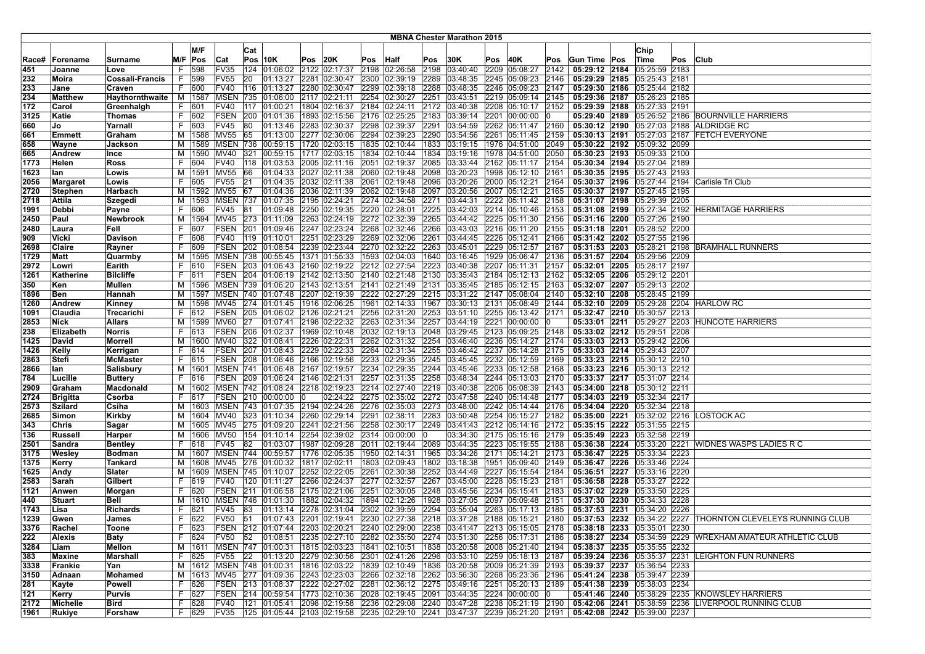| <b>MBNA Chester Marathon 2015</b> |                  |                  |    |                    |             |     |                                                                                                    |          |               |          |                                           |      |                        |         |                                                |      |                                                                                                                                   |  |               |     |                                                             |
|-----------------------------------|------------------|------------------|----|--------------------|-------------|-----|----------------------------------------------------------------------------------------------------|----------|---------------|----------|-------------------------------------------|------|------------------------|---------|------------------------------------------------|------|-----------------------------------------------------------------------------------------------------------------------------------|--|---------------|-----|-------------------------------------------------------------|
|                                   |                  |                  |    |                    |             |     |                                                                                                    |          |               |          |                                           |      |                        |         |                                                |      |                                                                                                                                   |  |               |     |                                                             |
|                                   |                  |                  |    | M/F                |             | Cat |                                                                                                    |          |               |          |                                           |      |                        |         |                                                |      |                                                                                                                                   |  | Chip          |     |                                                             |
| Race#                             | Forename         | Surname          |    | M/F Pos            | Cat         |     | $Pos$ 10K                                                                                          | Pos  20K |               | Pos Half |                                           | Pos  | 30K                    | Pos 40K |                                                | Pos  | <b>Gun Time Pos</b>                                                                                                               |  | Time          | Pos | <b>Club</b>                                                 |
| 451                               | Joanne           | Love             | F. | 598                | FV35        |     | 124 01:06:02                                                                                       |          | 2122 02:17:37 |          | 2198 02:26:58                             | 2198 | 03:40:40               |         | 2209 05:08:27                                  | 2142 | 05:29:12 2184 05:25:59 2183                                                                                                       |  |               |     |                                                             |
| 232                               | Moira            | Cossali-Francis  |    | F 599              | <b>FV55</b> | 20  | 01:13:27                                                                                           |          | 2281 02:30:47 |          | 2300 02:39:19                             | 2289 |                        |         | 03:48:35 2245 05:09:23                         | 2146 | 05:29:29 2185                                                                                                                     |  | 05:25:43 2181 |     |                                                             |
| 233                               | Jane             | Craven           | F. | 600                | <b>FV40</b> | 116 | 01:13:27                                                                                           |          | 2280 02:30:47 |          | 2299 02:39:18                             | 2288 |                        |         | 03:48:35 2246 05:09:23                         | 2147 | 05:29:30 2186                                                                                                                     |  | 05:25:44 2182 |     |                                                             |
| 234                               | Matthew          | Haythornthwaite  |    | M   1587           | <b>MSEN</b> |     | 735 01:06:00                                                                                       |          | 2117 02:21:11 |          | 2254 02:30:27                             | 2251 |                        |         | 03:43:51 2219 05:09:14 2145                    |      | 05:29:36 2187 05:26:23 2185                                                                                                       |  |               |     |                                                             |
| 172                               | Carol            | Greenhalgh       |    | F 601              | FV40        |     | 117 01:00:21                                                                                       |          | 1804 02:16:37 |          | 2184 02:24:11                             |      |                        |         | 2172 03:40:38 2208 05:10:17 2152               |      | 05:29:39 2188 05:27:33 2191                                                                                                       |  |               |     |                                                             |
| 3125                              | Katie            | Thomas           |    | F 602              | <b>FSEN</b> |     | 200 01:01:36                                                                                       |          | 1893 02:15:56 |          | 2176 02:25:25 2183 03:39:14 2201 00:00:00 |      |                        |         |                                                |      |                                                                                                                                   |  |               |     | 05:29:40 2189 05:26:52 2186 BOURNVILLE HARRIERS             |
| 660                               | Jo               | Yarnall          |    | F 603              | FV45        | 80  | 01:13:46                                                                                           |          | 2283 02:30:37 |          | 2298 02:39:37                             | 2291 |                        |         | 03:54:59 2262 05:11:47 2160                    |      |                                                                                                                                   |  |               |     | 05:30:12 2190 05:27:03 2188 ALDRIDGE RC                     |
| 661                               | Emmett           | Graham           |    | M   1588   MV55    |             | 65  | 01:13:00 2277 02:30:06                                                                             |          |               |          | 2294 02:39:23                             | 2290 |                        |         | 03:54:56 2261 05:11:45                         | 2159 |                                                                                                                                   |  |               |     | 05:30:13 2191 05:27:03 2187 FETCH EVERYONE                  |
| 658                               | Wayne            | Jackson          |    |                    |             |     | M  1589   MSEN   736   00:59:15                                                                    |          | 1720 02:03:15 |          | 1835 02:10:44                             | 1833 |                        |         | 03:19:15 1976 04:51:00                         | 2049 | 05:30:22 2192 05:09:32 2099                                                                                                       |  |               |     |                                                             |
| 665                               | Andrew           | Ince             | М  |                    | 1590 MV40   | 321 | 00:59:15                                                                                           |          | 1717 02:03:15 |          | 1834 02:10:44                             |      |                        |         | 1834 03:19:16 1978 04:51:00                    | 2050 | 05:30:23 2193 05:09:33 2100                                                                                                       |  |               |     |                                                             |
| 1773                              | Helen            | Ross             | F. | 1604               | <b>FV40</b> |     | 118 01:03:53                                                                                       |          | 2005 02:11:16 |          | 2051 02:19:37                             |      |                        |         | 2085 03:33:44 2162 05:11:17                    | 2154 | 05:30:34 2194 05:27:04 2189                                                                                                       |  |               |     |                                                             |
| 1623                              | lan              | Lowis            |    | M   1591   MV55    |             | 66  | 01:04:33                                                                                           |          | 2027 02:11:38 |          | 2060 02:19:48                             | 2098 |                        |         | 03:20:23 1998 05:12:10 2161                    |      | 05:30:35 2195 05:27:43 2193                                                                                                       |  |               |     |                                                             |
| 2056                              | Margaret         | Lowis            | F. | 605                | FV55        | 21  | 01:04:35                                                                                           |          | 2032 02:11:38 |          | 2061 02:19:48                             | 2096 |                        |         | 03:20:26 2000 05:12:21 2164                    |      |                                                                                                                                   |  |               |     | 05:30:37 2196 05:27:44 2194 Carlisle Tri Club               |
| 2720                              | Stephen          | <b>Harbach</b>   |    | M   1592   MV55    |             | 67  | 01:04:36                                                                                           |          | 2036 02:11:39 |          | 2062 02:19:48                             | 2097 | 03:20:56 2007 05:12:21 |         |                                                | 2165 | 05:30:37 2197 05:27:45 2195                                                                                                       |  |               |     |                                                             |
| 2718                              | <b>Attila</b>    | <b>Szegedi</b>   | М  |                    | 1593   MSEN |     | 737 01:07:35 2195 02:24:21                                                                         |          |               |          | 2274 02:34:58                             | 2271 |                        |         | 03:44:31 2222 05:11:42                         | 2158 | 05:31:07 2198 05:29:39 2205                                                                                                       |  |               |     |                                                             |
| 1991                              | Debbi            | Payne            | F. | 606                | <b>FV45</b> | 81  | 01:09:48 2250 02:19:35                                                                             |          |               |          | 2220 02:28:01                             | 2225 |                        |         | 03:42:03 2214 05:10:46 2153                    |      |                                                                                                                                   |  |               |     | 05:31:08 2199 05:27:34 2192 HERMITAGE HARRIERS              |
| 2450                              | Paul             | <b>Newbrook</b>  |    | M   1594   MV45    |             |     | 273 01:11:09                                                                                       |          | 2263 02:24:19 |          | 2272 02:32:39                             | 2265 |                        |         | 03:44:42 2225 05:11:30 2156                    |      | 05:31:16 2200 05:27:26 2190                                                                                                       |  |               |     |                                                             |
| 2480                              | Laura            | Fell             | F. | 607                | FSEN        |     | 201 01:09:46 2247 02:23:24                                                                         |          |               |          | 2268 02:32:46                             |      |                        |         | 2266 03:43:03 2216 05:11:20                    | 2155 | 05:31:18 2201 05:28:52 2200                                                                                                       |  |               |     |                                                             |
| 909                               | Vicki            | Davison          |    | F 608              | <b>FV40</b> |     | 119 01:10:01                                                                                       |          | 2251 02:23:29 |          | 2269 02:32:06                             | 2261 |                        |         | 03:44:45 2226 05:12:41 2166                    |      | 05:31:42 2202 05:27:55 2196                                                                                                       |  |               |     |                                                             |
| 2698                              | Claire           | Rayner           | F. | 609                | <b>FSEN</b> |     | 202 01:08:54                                                                                       |          | 2239 02:23:44 |          | 2270 02:32:22                             | 2263 |                        |         | 03:45:01 2229 05:12:57 2167                    |      |                                                                                                                                   |  |               |     | 05:31:53 2203 05:28:21 2198 BRAMHALL RUNNERS                |
| 1729                              | Matt             | Quarmby          |    |                    |             |     | M  1595   MSEN   738   00:55:45                                                                    |          | 1371 01:55:33 |          | 1593 02:04:03                             | 1640 |                        |         | 03:16:45   1929   05:06:47   2136              |      | 05:31:57 2204 05:29:56 2209                                                                                                       |  |               |     |                                                             |
| 2972                              | Lowri            | Earith           |    | 610                | <b>FSEN</b> |     | 203 01:06:43 2160 02:19:22                                                                         |          |               |          | 2212 02:27:54                             | 2223 | 03:40:38 2207 05:11:31 |         |                                                | 2157 | 05:32:01 2205                                                                                                                     |  | 05:28:17 2197 |     |                                                             |
| 1261                              | Katherine        | <b>Bilcliffe</b> | F. | 611                |             |     | FSEN 204 01:06:19 2142 02:13:50                                                                    |          |               |          | 2140 02:21:48                             |      |                        |         | 2130 03:35:43 2184 05:12:13                    | 2162 | 05:32:05 2206 05:29:12 2201                                                                                                       |  |               |     |                                                             |
| 350                               | Ken              | Mullen           |    |                    |             |     | M 1596 MSEN 739 01:06:20 2143 02:13:51                                                             |          |               |          |                                           |      |                        |         | 2141 02:21:49 2131 03:35:45 2185 05:12:15 2163 |      | 05:32:07 2207 05:29:13 2202                                                                                                       |  |               |     |                                                             |
| 1896                              | Ben              | Hannah           |    |                    |             |     | M  1597   MSEN   740   01:07:48   2207   02:19:39                                                  |          |               |          | 2222 02:27:29                             |      |                        |         | 2215 03:31:22 2147 05:08:04 2140               |      | 05:32:10 2208 05:28:45 2199                                                                                                       |  |               |     |                                                             |
| 1260                              | Andrew           | Kinney           |    | M   1598   MV45    |             |     | 274 01:01:45 1916 02:06:25                                                                         |          |               |          | 1961 02:14:33                             | 1967 |                        |         | 03:30:13 2131 05:08:49 2144                    |      |                                                                                                                                   |  |               |     | 05:32:10 2209 05:29:28 2204 HARLOW RC                       |
| 1091                              | Claudia          | Trecarichi       |    | F 612              | <b>FSEN</b> |     | 205 01:06:02 2126 02:21:21                                                                         |          |               |          | 2256 02:31:20                             | 2253 |                        |         | 03:51:10 2255 05:13:42 2171                    |      | 05:32:47 2210 05:30:57 2213                                                                                                       |  |               |     |                                                             |
| 2853                              | Nick             | Allars           |    | M   1599   MV60    |             | 27  | 01:07:41                                                                                           |          | 2198 02:22:32 |          | 2263 02:31:34                             | 2257 |                        |         | 03:44:19 2221 00:00:00                         |      |                                                                                                                                   |  |               |     | 05:33:01 2211 05:29:27 2203 HUNCOTE HARRIERS                |
| 238                               | <b>Elizabeth</b> | Norris           | F. | 613                | <b>FSEN</b> |     | 206 01:02:37                                                                                       |          | 1969 02:10:48 |          | 2032 02:19:13                             | 2048 |                        |         | 03:29:45 2123 05:09:25 2148                    |      | 05:33:02 2212 05:29:51 2208                                                                                                       |  |               |     |                                                             |
| 1425                              | David            | <b>Morrell</b>   |    | M   1600   MV40    |             |     | 322 01:08:41                                                                                       |          | 2226 02:22:31 |          |                                           |      |                        |         | 2262 02:31:32 2254 03:46:40 2236 05:14:27 2174 |      | 05:33:03 2213 05:29:42 2206                                                                                                       |  |               |     |                                                             |
| 1426                              | Kelly            | Kerrigan         |    | F 614              |             |     | FSEN 207 01:08:43                                                                                  |          | 2229 02:22:33 |          | 2264 02:31:34                             | 2255 |                        |         | 03:46:42 2237 05:14:28 2175                    |      | 05:33:03 2214 05:29:43 2207                                                                                                       |  |               |     |                                                             |
| 2863                              | Stefi            | <b>McMaster</b>  | F. | 615                |             |     | FSEN 208 01:06:46 2166 02:19:56                                                                    |          |               |          | 2233 02:29:35                             |      |                        |         | 2245 03:45:45 2232 05:12:59 2169               |      | 05:33:23 2215 05:30:12 2210                                                                                                       |  |               |     |                                                             |
| 2866                              | lan              | Salisbury        |    | M 1601             |             |     | MSEN 741 01:06:48 2167 02:19:57                                                                    |          |               |          | 2234 02:29:35                             | 2244 |                        |         | 03:45:46 2233 05:12:58                         | 2168 | 05:33:23 2216 05:30:13 2212                                                                                                       |  |               |     |                                                             |
| 784                               | Lucille          | <b>Buttery</b>   | F. | 616                | <b>FSEN</b> |     | 209 01:06:24 2146 02:21:31                                                                         |          |               |          | 2257 02:31:35                             | 2258 |                        |         | 03:48:34 2244 05:13:03                         | 2170 | 05:33:37 2217 05:31:07 2214                                                                                                       |  |               |     |                                                             |
| 2909                              | Graham           | Macdonald        |    |                    |             |     | M  1602   MSEN   742   01:08:24                                                                    |          | 2218 02:19:23 |          |                                           |      |                        |         | 2214 02:27:40 2219 03:40:38 2206 05:08:39 2143 |      | 05:34:00 2218 05:30:12 2211                                                                                                       |  |               |     |                                                             |
| 2724                              | <b>Brigitta</b>  | Csorba           | F. | 617                |             |     | FSEN 210 00:00:00                                                                                  | 10       | 02:24:22      |          |                                           |      |                        |         | 2275 02:35:02 2272 03:47:58 2240 05:14:48 2177 |      | 05:34:03 2219 05:32:34 2217                                                                                                       |  |               |     |                                                             |
| 2573                              | <b>Szilard</b>   | Csiha            |    |                    |             |     | M  1603   MSEN   743   01:07:35   2194   02:24:26                                                  |          |               |          | 2276 02:35:03                             |      |                        |         | 2273 03:48:00 2242 05:14:44 2176               |      | 05:34:04 2220 05:32:34 2218                                                                                                       |  |               |     |                                                             |
| 2685                              | Simon            | <b>Kirkby</b>    |    | M   1604   MV40    |             |     | 323 01:10:34                                                                                       |          | 2260 02:29:14 |          | 2291 02:38:11                             | 2283 |                        |         | 03:50:48 2254 05:15:27 2182                    |      |                                                                                                                                   |  |               |     | 05:35:00 2221 05:32:02 2216 LOSTOCK AC                      |
| 343                               | Chris            | Sagar            | М  |                    | 1605 MV45   |     | 275 01:09:20                                                                                       |          | 2241 02:21:56 |          | 2258 02:30:17                             | 2249 |                        |         | 03:41:43 2212 05:14:16                         | 2172 | 05:35:15 2222 05:31:55 2215                                                                                                       |  |               |     |                                                             |
| 136                               | Russell          | <b>Harper</b>    |    | M   1606   MV50    |             |     | 154 01:10:14                                                                                       |          | 2254 02:39:02 |          | 2314   00:00:00                           |      |                        |         | 03:34:30 2175 05:15:16                         | 2179 | 05:35:49 2223 05:32:58 2219                                                                                                       |  |               |     |                                                             |
| 2501                              | Sandra           | <b>Bentley</b>   |    | 618                | FV45        | 82  | 01:03:07                                                                                           |          | 1987 02:09:28 |          |                                           |      |                        |         | 2011 02:19:44 2089 03:44:35 2223 05:19:55 2188 |      | 05:36:38 2224                                                                                                                     |  |               |     | 05:33:20 2221 WIDNES WASPS LADIES R C                       |
| 3175                              | Wesley           | <b>Bodman</b>    |    |                    |             |     | M  1607   MSEN   744   00:59:57                                                                    |          | 1776 02:05:35 |          | 1950 02:14:31                             |      |                        |         | 1965  03:34:26  2171  05:14:21                 | 2173 | 05:36:47 2225 05:33:34 2223                                                                                                       |  |               |     |                                                             |
| 1375                              | Kerry            | Tankard          |    |                    |             |     | M  1608  MV45  276  01:00:32                                                                       |          | 1817 02:02:11 |          | 1803 02:09:43                             |      |                        |         | 1802 03:18:38 1951 05:09:40 2149               |      | 05:36:47 2226 05:33:46 2224                                                                                                       |  |               |     |                                                             |
| 1625                              | Andy             | Slater           |    |                    |             |     | M  1609   MSEN   745   01:10:07                                                                    |          | 2252 02:22:05 |          | 2261 02:30:38                             |      |                        |         | 2252 03:44:49 2227 05:15:54 2184               |      | 05:36:51 2227 05:33:16 2220                                                                                                       |  |               |     |                                                             |
| 2583                              | Sarah            | Gilbert          |    | $\overline{F}$ 619 | <b>FV40</b> |     | 120 01:11:27                                                                                       |          | 2266 02:24:37 |          | 2277 02:32:57                             | 2267 | 03:45:00               |         | 2228 05:15:23                                  | 2181 | 05:36:58 2228                                                                                                                     |  | 05:33:27 2222 |     |                                                             |
| 1121                              | Anwen            | Morgan           | F. | 620                | FSEN        |     | 211  01:06:58  2175  02:21:06                                                                      |          |               |          | 2251 02:30:05                             | 2248 |                        |         | $ 03:45:56$ 2234 05:15:41                      | 2183 | 05:37:02 2229                                                                                                                     |  | 05:33:50 2225 |     |                                                             |
| 440                               | <b>Stuart</b>    | <b>Bell</b>      |    | M   1610   MSEN    |             |     | 746 01:01:30                                                                                       |          | 1882 02:04:32 |          | 1894 02:12:26                             | 1928 |                        |         | 03:27:05 2097 05:09:48                         | 2151 | 05:37:30 2230                                                                                                                     |  | 05:34:33 2228 |     |                                                             |
| 1743                              | Lisa             | <b>Richards</b>  | F. | 621                | <b>FV45</b> | 83  |                                                                                                    |          |               |          | 01:13:14 2278 02:31:04 2302 02:39:59      |      |                        |         | 2294 03:55:04 2263 05:17:13                    | 2185 | 05:37:53 2231                                                                                                                     |  | 05:34:20 2226 |     |                                                             |
| 1239                              | Gwen             | James            |    | F 622              | <b>FV50</b> | 51  | 01:07:43 2201 02:19:41                                                                             |          |               |          |                                           |      |                        |         | 2230 02:27:38 2218 03:37:28 2188 05:15:21 2180 |      |                                                                                                                                   |  |               |     | 05:37:53 2232 05:34:22 2227 THORNTON CLEVELEYS RUNNING CLUB |
| 3376                              | Rachel           | Toone            | F. | 623                |             |     |                                                                                                    |          |               |          |                                           |      |                        |         |                                                |      | FSEN  212  01:07:44  2203  02:20:21  2240  02:29:00  2238  03:41:47  2213  05:15:05  2178   <b>05:38:18  2233</b>  05:35:01  2230 |  |               |     |                                                             |
| 222                               | Alexis           | <b>Baty</b>      |    | F 624              | FV50        |     |                                                                                                    |          |               |          |                                           |      |                        |         |                                                |      |                                                                                                                                   |  |               |     | 05:38:27 2234 05:34:59 2229 WREXHAM AMATEUR ATHLETIC CLUB   |
| 3284                              | Liam             | Mellon           |    |                    |             |     | M 1611 MSEN 747 01:00:31 1815 02:03:23 1841 02:10:51 1838 03:20:58 2008 05:21:40 2194              |          |               |          |                                           |      |                        |         |                                                |      | 05:38:37 2235 05:35:55 2232                                                                                                       |  |               |     |                                                             |
| 383                               | Maxine           | Marshall         |    | F 625              | FV55        | 22  | 01:13:20 2279 02:30:56 2301 02:41:26                                                               |          |               |          |                                           |      |                        |         | 2296 03:53:10 2259 05:18:13 2187               |      |                                                                                                                                   |  |               |     | 05:39:24 2236 05:35:37 2231 LEIGHTON FUN RUNNERS            |
| 3338                              | Frankie          | Yan              |    |                    |             |     | M 1612 MSEN 748 01:00:31 1816 02:03:22 1839 02:10:49 1836 03:20:58 2009 05:21:39 2193              |          |               |          |                                           |      |                        |         |                                                |      | 05:39:37 2237 05:36:54 2233                                                                                                       |  |               |     |                                                             |
| 3150                              | Adnaan           | Mohamed          |    |                    |             |     | M  1613  MV45  277  01:09:36  2243  02:23:03  2266  02:32:18  2262  03:56:30  2268  05:23:36  2196 |          |               |          |                                           |      |                        |         |                                                |      | 05:41:24 2238 05:39:47 2239                                                                                                       |  |               |     |                                                             |
| 281                               | Kayte            | Powell           |    | F 626              |             |     | FSEN 213 01:08:37 2222 02:27:02 2281 02:36:12 2275 03:49:16 2251 05:20:13 2189                     |          |               |          |                                           |      |                        |         |                                                |      | 05:41:38 2239 05:38:03 2234                                                                                                       |  |               |     |                                                             |
| 121                               | Kerry            | <b>Purvis</b>    |    | F 627              |             |     | FSEN 214 00:59:54 1773 02:10:36 2028 02:19:45 2091 03:44:35 2224 00:00:00 0                        |          |               |          |                                           |      |                        |         |                                                |      |                                                                                                                                   |  |               |     | 05:41:46 2240 05:38:29 2235 KNOWSLEY HARRIERS               |
| 2172                              | Michelle         | Bird             |    | F 628              | FV40        |     | 121 01:05:41 2098 02:19:58 2236 02:29:08 2240 03:47:28 2238 05:21:19 2190                          |          |               |          |                                           |      |                        |         |                                                |      |                                                                                                                                   |  |               |     | 05:42:06 2241 05:38:59 2236 LIVERPOOL RUNNING CLUB          |
| 1961                              | Rukiye           | Forshaw          |    | F 629              | FV35        |     | 125  01:05:44  2103  02:19:58  2235  02:29:10  2241  03:47:37  2239  05:21:20  2191                |          |               |          |                                           |      |                        |         |                                                |      | 05:42:08 2242 05:39:00 2237                                                                                                       |  |               |     |                                                             |